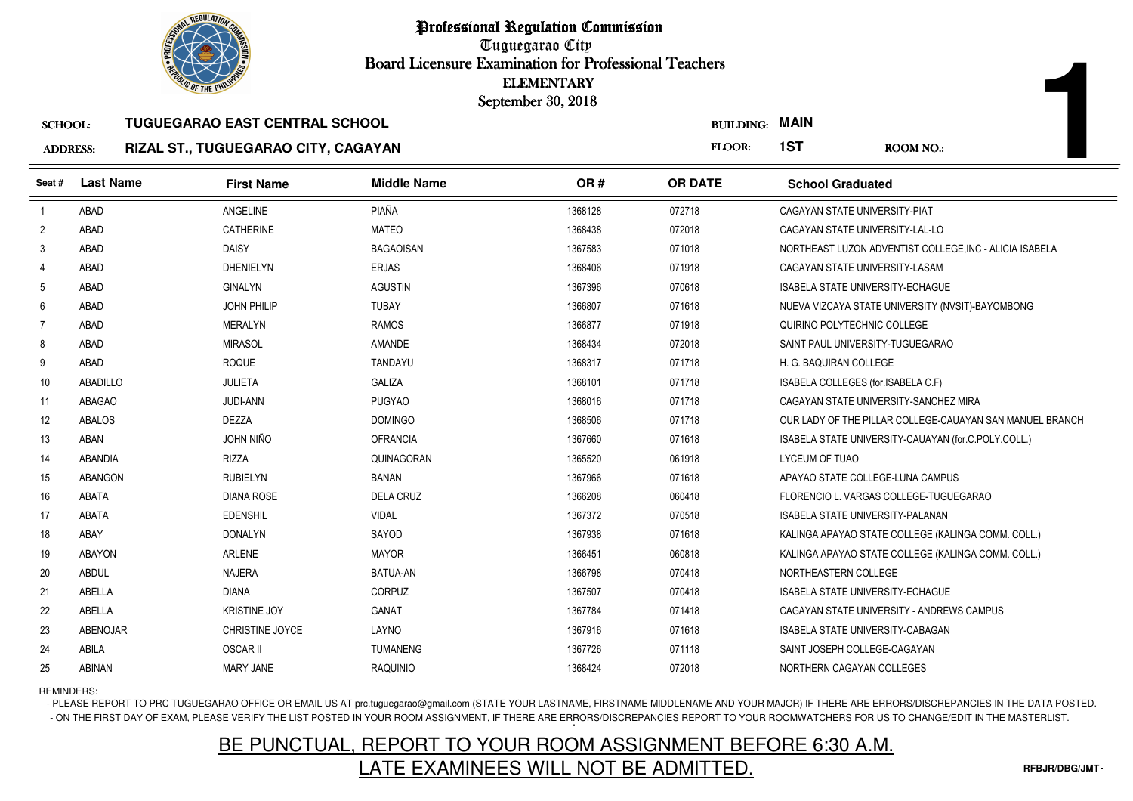

### ADDRESS:**RIZAL ST., TUGUEGARAO CITY, CAGAYAN**

|                 | <b>OLIC OF THE PHILIP</b> |                                       |                    | <b>ELEMENTARY</b><br>September 30, 2018 |                       |                                         |                                                          |
|-----------------|---------------------------|---------------------------------------|--------------------|-----------------------------------------|-----------------------|-----------------------------------------|----------------------------------------------------------|
| <b>SCHOOL:</b>  |                           | <b>TUGUEGARAO EAST CENTRAL SCHOOL</b> |                    |                                         | <b>BUILDING: MAIN</b> |                                         |                                                          |
| <b>ADDRESS:</b> |                           | RIZAL ST., TUGUEGARAO CITY, CAGAYAN   |                    |                                         | FLOOR:                | 1ST                                     | <b>ROOM NO.:</b>                                         |
| Seat #          | <b>Last Name</b>          | <b>First Name</b>                     | <b>Middle Name</b> | OR#                                     | <b>OR DATE</b>        | <b>School Graduated</b>                 |                                                          |
| $\overline{1}$  | ABAD                      | ANGELINE                              | PIAÑA              | 1368128                                 | 072718                | CAGAYAN STATE UNIVERSITY-PIAT           |                                                          |
| $\overline{2}$  | ABAD                      | <b>CATHERINE</b>                      | <b>MATEO</b>       | 1368438                                 | 072018                | CAGAYAN STATE UNIVERSITY-LAL-LO         |                                                          |
| 3               | ABAD                      | <b>DAISY</b>                          | <b>BAGAOISAN</b>   | 1367583                                 | 071018                |                                         | NORTHEAST LUZON ADVENTIST COLLEGE, INC - ALICIA ISABELA  |
| $\overline{4}$  | ABAD                      | <b>DHENIELYN</b>                      | <b>ERJAS</b>       | 1368406                                 | 071918                | CAGAYAN STATE UNIVERSITY-LASAM          |                                                          |
| 5               | ABAD                      | <b>GINALYN</b>                        | <b>AGUSTIN</b>     | 1367396                                 | 070618                | ISABELA STATE UNIVERSITY-ECHAGUE        |                                                          |
| 6               | ABAD                      | <b>JOHN PHILIP</b>                    | <b>TUBAY</b>       | 1366807                                 | 071618                |                                         | NUEVA VIZCAYA STATE UNIVERSITY (NVSIT)-BAYOMBONG         |
| $\overline{7}$  | ABAD                      | <b>MERALYN</b>                        | <b>RAMOS</b>       | 1366877                                 | 071918                | QUIRINO POLYTECHNIC COLLEGE             |                                                          |
| 8               | ABAD                      | <b>MIRASOL</b>                        | AMANDE             | 1368434                                 | 072018                | SAINT PAUL UNIVERSITY-TUGUEGARAO        |                                                          |
| 9               | ABAD                      | <b>ROQUE</b>                          | <b>TANDAYU</b>     | 1368317                                 | 071718                | H. G. BAQUIRAN COLLEGE                  |                                                          |
| 10              | ABADILLO                  | <b>JULIETA</b>                        | <b>GALIZA</b>      | 1368101                                 | 071718                | ISABELA COLLEGES (for.ISABELA C.F)      |                                                          |
| 11              | <b>ABAGAO</b>             | <b>JUDI-ANN</b>                       | <b>PUGYAO</b>      | 1368016                                 | 071718                |                                         | CAGAYAN STATE UNIVERSITY-SANCHEZ MIRA                    |
| 12              | <b>ABALOS</b>             | <b>DEZZA</b>                          | <b>DOMINGO</b>     | 1368506                                 | 071718                |                                         | OUR LADY OF THE PILLAR COLLEGE-CAUAYAN SAN MANUEL BRANCH |
| 13              | ABAN                      | JOHN NIÑO                             | <b>OFRANCIA</b>    | 1367660                                 | 071618                |                                         | ISABELA STATE UNIVERSITY-CAUAYAN (for.C.POLY.COLL.)      |
| 14              | <b>ABANDIA</b>            | <b>RIZZA</b>                          | QUINAGORAN         | 1365520                                 | 061918                | LYCEUM OF TUAO                          |                                                          |
| 15              | <b>ABANGON</b>            | <b>RUBIELYN</b>                       | BANAN              | 1367966                                 | 071618                | APAYAO STATE COLLEGE-LUNA CAMPUS        |                                                          |
| 16              | <b>ABATA</b>              | <b>DIANA ROSE</b>                     | <b>DELA CRUZ</b>   | 1366208                                 | 060418                |                                         | FLORENCIO L. VARGAS COLLEGE-TUGUEGARAO                   |
| 17              | <b>ABATA</b>              | <b>EDENSHIL</b>                       | <b>VIDAL</b>       | 1367372                                 | 070518                | <b>ISABELA STATE UNIVERSITY-PALANAN</b> |                                                          |
| 18              | ABAY                      | <b>DONALYN</b>                        | SAYOD              | 1367938                                 | 071618                |                                         | KALINGA APAYAO STATE COLLEGE (KALINGA COMM. COLL.)       |
| 19              | <b>ABAYON</b>             | ARLENE                                | <b>MAYOR</b>       | 1366451                                 | 060818                |                                         | KALINGA APAYAO STATE COLLEGE (KALINGA COMM. COLL.)       |
| 20              | <b>ABDUL</b>              | <b>NAJERA</b>                         | <b>BATUA-AN</b>    | 1366798                                 | 070418                | NORTHEASTERN COLLEGE                    |                                                          |
| 21              | ABELLA                    | <b>DIANA</b>                          | <b>CORPUZ</b>      | 1367507                                 | 070418                | <b>ISABELA STATE UNIVERSITY-ECHAGUE</b> |                                                          |
| 22              | ABELLA                    | <b>KRISTINE JOY</b>                   | <b>GANAT</b>       | 1367784                                 | 071418                |                                         | CAGAYAN STATE UNIVERSITY - ANDREWS CAMPUS                |
| 23              | <b>ABENOJAR</b>           | <b>CHRISTINE JOYCE</b>                | LAYNO              | 1367916                                 | 071618                | <b>ISABELA STATE UNIVERSITY-CABAGAN</b> |                                                          |
| 24              | ABILA                     | <b>OSCAR II</b>                       | <b>TUMANENG</b>    | 1367726                                 | 071118                | SAINT JOSEPH COLLEGE-CAGAYAN            |                                                          |
| 25              | ABINAN                    | MARY JANE                             | <b>RAQUINIO</b>    | 1368424                                 | 072018                | NORTHERN CAGAYAN COLLEGES               |                                                          |

REMINDERS:

- PLEASE REPORT TO PRC TUGUEGARAO OFFICE OR EMAIL US AT prc.tuguegarao@gmail.com (STATE YOUR LASTNAME, FIRSTNAME MIDDLENAME AND YOUR MAJOR) IF THERE ARE ERRORS/DISCREPANCIES IN THE DATA POSTED. - ON THE FIRST DAY OF EXAM, PLEASE VERIFY THE LIST POSTED IN YOUR ROOM ASSIGNMENT, IF THERE ARE ERRORS/DISCREPANCIES REPORT TO YOUR ROOMWATCHERS FOR US TO CHANGE/EDIT IN THE MASTERLIST.

# BE PUNCTUAL, REPORT TO YOUR ROOM ASSIGNMENT BEFORE 6:30 A.M.LATE EXAMINEES WILL NOT BE ADMITTED.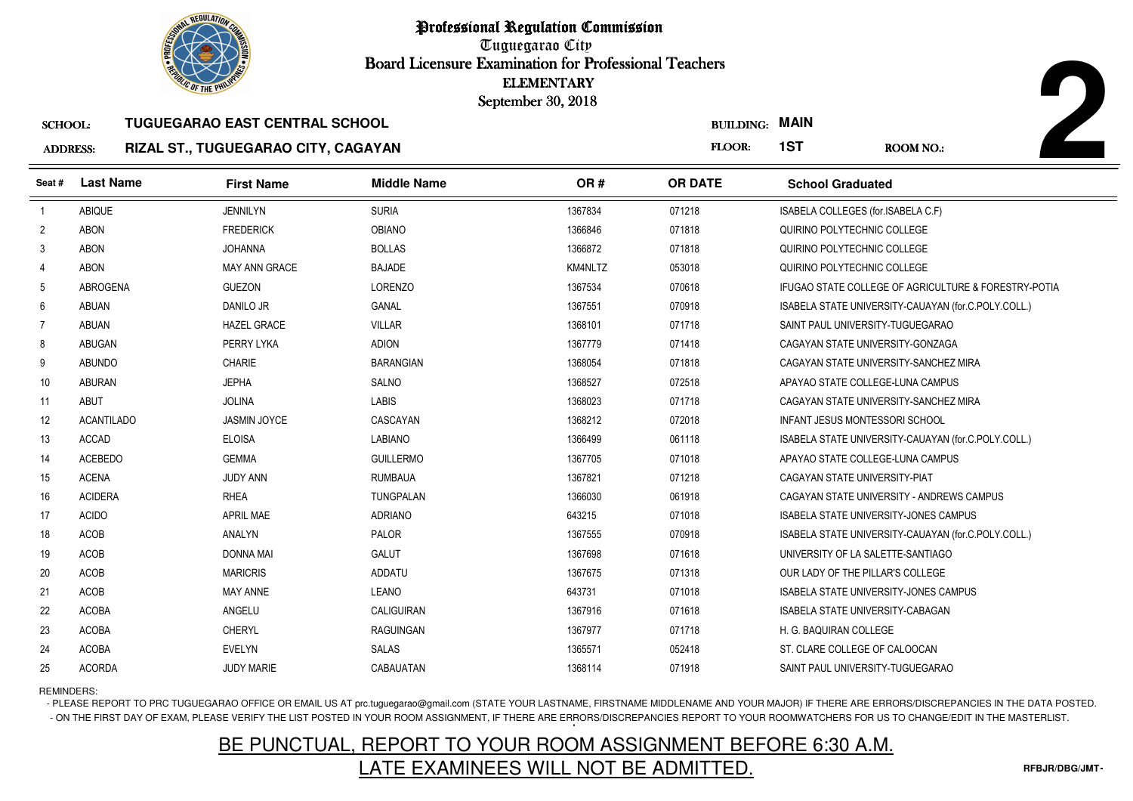

### SCHOOL:**TUGUEGARAO EAST CENTRAL SCHOOL**

### ADDRESS:**RIZAL ST., TUGUEGARAO CITY, CAGAYAN**

|                 | <b>OLIC OF THE PHILIP</b> |                                       |                    | <b>ELEMENTARY</b><br>September 30, 2018 |                       |                                       |                                                      |
|-----------------|---------------------------|---------------------------------------|--------------------|-----------------------------------------|-----------------------|---------------------------------------|------------------------------------------------------|
| <b>SCHOOL:</b>  |                           | <b>TUGUEGARAO EAST CENTRAL SCHOOL</b> |                    |                                         | <b>BUILDING: MAIN</b> |                                       |                                                      |
| <b>ADDRESS:</b> |                           | RIZAL ST., TUGUEGARAO CITY, CAGAYAN   |                    |                                         | FLOOR:                | 1ST                                   | <b>ROOM NO.:</b>                                     |
| Seat #          | <b>Last Name</b>          | <b>First Name</b>                     | <b>Middle Name</b> | OR#                                     | <b>OR DATE</b>        | <b>School Graduated</b>               |                                                      |
| $\overline{1}$  | ABIQUE                    | <b>JENNILYN</b>                       | <b>SURIA</b>       | 1367834                                 | 071218                | ISABELA COLLEGES (for.ISABELA C.F)    |                                                      |
| $\overline{2}$  | <b>ABON</b>               | <b>FREDERICK</b>                      | <b>OBIANO</b>      | 1366846                                 | 071818                | QUIRINO POLYTECHNIC COLLEGE           |                                                      |
| 3               | <b>ABON</b>               | <b>JOHANNA</b>                        | <b>BOLLAS</b>      | 1366872                                 | 071818                | QUIRINO POLYTECHNIC COLLEGE           |                                                      |
| $\overline{4}$  | <b>ABON</b>               | <b>MAY ANN GRACE</b>                  | <b>BAJADE</b>      | KM4NLTZ                                 | 053018                | QUIRINO POLYTECHNIC COLLEGE           |                                                      |
| 5               | <b>ABROGENA</b>           | <b>GUEZON</b>                         | <b>LORENZO</b>     | 1367534                                 | 070618                |                                       | IFUGAO STATE COLLEGE OF AGRICULTURE & FORESTRY-POTIA |
| 6               | <b>ABUAN</b>              | <b>DANILO JR</b>                      | <b>GANAL</b>       | 1367551                                 | 070918                |                                       | ISABELA STATE UNIVERSITY-CAUAYAN (for.C.POLY.COLL.)  |
| 7               | <b>ABUAN</b>              | <b>HAZEL GRACE</b>                    | <b>VILLAR</b>      | 1368101                                 | 071718                | SAINT PAUL UNIVERSITY-TUGUEGARAO      |                                                      |
| 8               | ABUGAN                    | PERRY LYKA                            | <b>ADION</b>       | 1367779                                 | 071418                | CAGAYAN STATE UNIVERSITY-GONZAGA      |                                                      |
| 9               | <b>ABUNDO</b>             | <b>CHARIE</b>                         | <b>BARANGIAN</b>   | 1368054                                 | 071818                |                                       | CAGAYAN STATE UNIVERSITY-SANCHEZ MIRA                |
| 10              | <b>ABURAN</b>             | <b>JEPHA</b>                          | SALNO              | 1368527                                 | 072518                | APAYAO STATE COLLEGE-LUNA CAMPUS      |                                                      |
| 11              | <b>ABUT</b>               | <b>JOLINA</b>                         | <b>LABIS</b>       | 1368023                                 | 071718                |                                       | CAGAYAN STATE UNIVERSITY-SANCHEZ MIRA                |
| 12              | <b>ACANTILADO</b>         | <b>JASMIN JOYCE</b>                   | CASCAYAN           | 1368212                                 | 072018                | <b>INFANT JESUS MONTESSORI SCHOOL</b> |                                                      |
| 13              | <b>ACCAD</b>              | <b>ELOISA</b>                         | <b>LABIANO</b>     | 1366499                                 | 061118                |                                       | ISABELA STATE UNIVERSITY-CAUAYAN (for.C.POLY.COLL.)  |
| 14              | ACEBEDO                   | <b>GEMMA</b>                          | <b>GUILLERMO</b>   | 1367705                                 | 071018                | APAYAO STATE COLLEGE-LUNA CAMPUS      |                                                      |
| 15              | <b>ACENA</b>              | <b>JUDY ANN</b>                       | <b>RUMBAUA</b>     | 1367821                                 | 071218                | CAGAYAN STATE UNIVERSITY-PIAT         |                                                      |
| 16              | <b>ACIDERA</b>            | <b>RHEA</b>                           | TUNGPALAN          | 1366030                                 | 061918                |                                       | CAGAYAN STATE UNIVERSITY - ANDREWS CAMPUS            |
| 17              | <b>ACIDO</b>              | <b>APRIL MAE</b>                      | <b>ADRIANO</b>     | 643215                                  | 071018                |                                       | <b>ISABELA STATE UNIVERSITY-JONES CAMPUS</b>         |
| 18              | ACOB                      | <b>ANALYN</b>                         | PALOR              | 1367555                                 | 070918                |                                       | ISABELA STATE UNIVERSITY-CAUAYAN (for.C.POLY.COLL.)  |
| 19              | ACOB                      | <b>DONNA MAI</b>                      | <b>GALUT</b>       | 1367698                                 | 071618                | UNIVERSITY OF LA SALETTE-SANTIAGO     |                                                      |
| 20              | <b>ACOB</b>               | <b>MARICRIS</b>                       | <b>ADDATU</b>      | 1367675                                 | 071318                | OUR LADY OF THE PILLAR'S COLLEGE      |                                                      |
| 21              | ACOB                      | <b>MAY ANNE</b>                       | LEANO              | 643731                                  | 071018                |                                       | ISABELA STATE UNIVERSITY-JONES CAMPUS                |
| 22              | <b>ACOBA</b>              | ANGELU                                | CALIGUIRAN         | 1367916                                 | 071618                | ISABELA STATE UNIVERSITY-CABAGAN      |                                                      |
| 23              | <b>ACOBA</b>              | <b>CHERYL</b>                         | <b>RAGUINGAN</b>   | 1367977                                 | 071718                | H. G. BAQUIRAN COLLEGE                |                                                      |
| 24              | <b>ACOBA</b>              | <b>EVELYN</b>                         | <b>SALAS</b>       | 1365571                                 | 052418                | ST. CLARE COLLEGE OF CALOOCAN         |                                                      |
| 25              | <b>ACORDA</b>             | <b>JUDY MARIE</b>                     | CABAUATAN          | 1368114                                 | 071918                | SAINT PAUL UNIVERSITY-TUGUEGARAO      |                                                      |

REMINDERS:

- PLEASE REPORT TO PRC TUGUEGARAO OFFICE OR EMAIL US AT prc.tuguegarao@gmail.com (STATE YOUR LASTNAME, FIRSTNAME MIDDLENAME AND YOUR MAJOR) IF THERE ARE ERRORS/DISCREPANCIES IN THE DATA POSTED. - ON THE FIRST DAY OF EXAM, PLEASE VERIFY THE LIST POSTED IN YOUR ROOM ASSIGNMENT, IF THERE ARE ERRORS/DISCREPANCIES REPORT TO YOUR ROOMWATCHERS FOR US TO CHANGE/EDIT IN THE MASTERLIST.

# BE PUNCTUAL, REPORT TO YOUR ROOM ASSIGNMENT BEFORE 6:30 A.M.LATE EXAMINEES WILL NOT BE ADMITTED.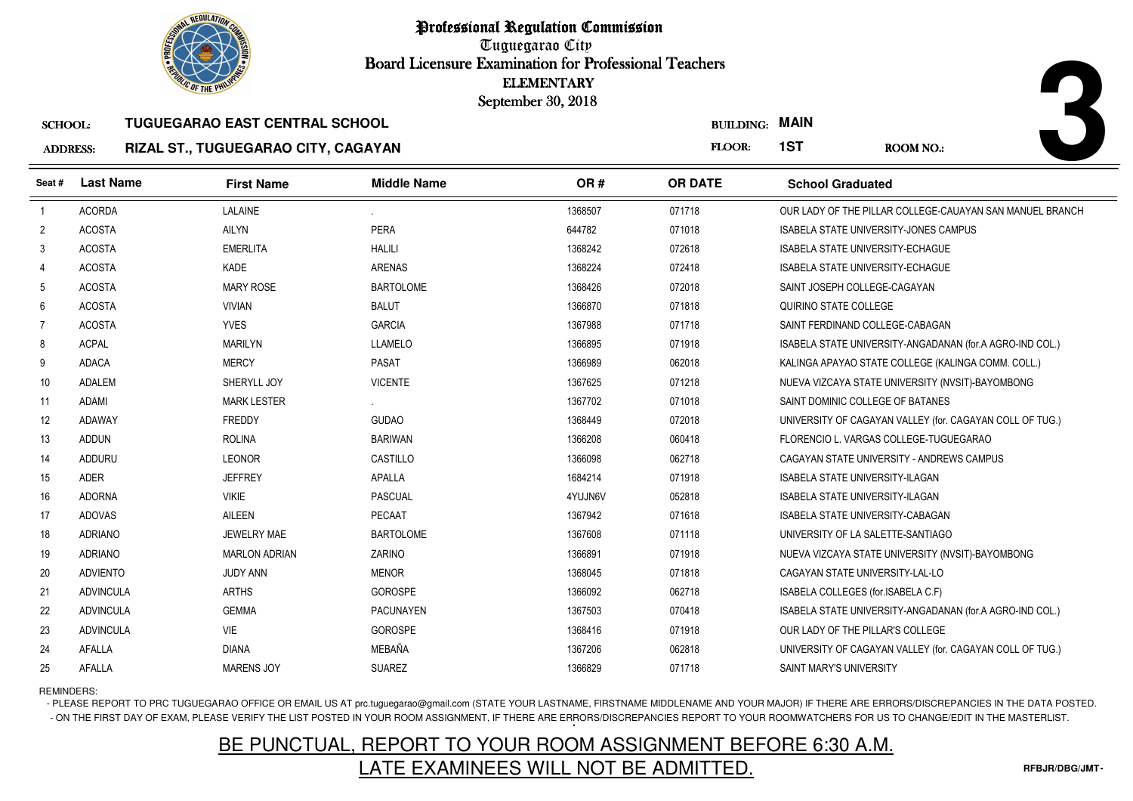

Professional Regulation CommissionTuguegarao City Board Licensure Examination for Professional Teachers September 30, 2018

| <b>ADDRESS:</b> | <b>RIZAL ST., 1</b> |  |
|-----------------|---------------------|--|

# **RIZAL ST., TUGUEGARAO CITY, CAGAYAN**

|                 |                  | <b><i>OLIC OF THE PHILIP</i></b>      |                    | <b>ELEMENTARY</b><br>September 30, 2018 |                  |                                                          |
|-----------------|------------------|---------------------------------------|--------------------|-----------------------------------------|------------------|----------------------------------------------------------|
| <b>SCHOOL:</b>  |                  | <b>TUGUEGARAO EAST CENTRAL SCHOOL</b> |                    |                                         | <b>BUILDING:</b> | <b>MAIN</b>                                              |
| <b>ADDRESS:</b> |                  | RIZAL ST., TUGUEGARAO CITY, CAGAYAN   |                    |                                         | FLOOR:           | 1ST<br><b>ROOM NO.:</b>                                  |
| Seat#           | <b>Last Name</b> | <b>First Name</b>                     | <b>Middle Name</b> | OR#                                     | <b>OR DATE</b>   | <b>School Graduated</b>                                  |
| $\overline{1}$  | <b>ACORDA</b>    | LALAINE                               |                    | 1368507                                 | 071718           | OUR LADY OF THE PILLAR COLLEGE-CAUAYAN SAN MANUEL BRANCH |
| $\overline{2}$  | <b>ACOSTA</b>    | AILYN                                 | PERA               | 644782<br>071018                        |                  | <b>ISABELA STATE UNIVERSITY-JONES CAMPUS</b>             |
| 3               | <b>ACOSTA</b>    | <b>EMERLITA</b>                       | <b>HALILI</b>      | 1368242                                 | 072618           | <b>ISABELA STATE UNIVERSITY-ECHAGUE</b>                  |
| 4               | <b>ACOSTA</b>    | <b>KADE</b>                           | <b>ARENAS</b>      | 1368224                                 | 072418           | <b>ISABELA STATE UNIVERSITY-ECHAGUE</b>                  |
| 5               | <b>ACOSTA</b>    | <b>MARY ROSE</b>                      | <b>BARTOLOME</b>   | 1368426<br>072018                       |                  | SAINT JOSEPH COLLEGE-CAGAYAN                             |
| 6               | <b>ACOSTA</b>    | <b>VIVIAN</b>                         | <b>BALUT</b>       | 071818<br>1366870                       |                  | QUIRINO STATE COLLEGE                                    |
| $\overline{7}$  | <b>ACOSTA</b>    | <b>YVES</b>                           | <b>GARCIA</b>      | 1367988                                 | 071718           | SAINT FERDINAND COLLEGE-CABAGAN                          |
| 8               | <b>ACPAL</b>     | <b>MARILYN</b>                        | <b>LLAMELO</b>     | 1366895                                 | 071918           | ISABELA STATE UNIVERSITY-ANGADANAN (for.A AGRO-IND COL.) |
| 9               | <b>ADACA</b>     | <b>MERCY</b>                          | <b>PASAT</b>       | 1366989                                 | 062018           | KALINGA APAYAO STATE COLLEGE (KALINGA COMM. COLL.)       |
| 10              | ADALEM           | SHERYLL JOY                           | <b>VICENTE</b>     | 1367625                                 | 071218           | NUEVA VIZCAYA STATE UNIVERSITY (NVSIT)-BAYOMBONG         |
| 11              | ADAMI            | <b>MARK LESTER</b>                    |                    | 1367702                                 | 071018           | SAINT DOMINIC COLLEGE OF BATANES                         |
| 12              | ADAWAY           | <b>FREDDY</b>                         | <b>GUDAO</b>       | 1368449                                 | 072018           | UNIVERSITY OF CAGAYAN VALLEY (for. CAGAYAN COLL OF TUG.) |
| 13              | <b>ADDUN</b>     | <b>ROLINA</b>                         | <b>BARIWAN</b>     | 1366208                                 | 060418           | FLORENCIO L. VARGAS COLLEGE-TUGUEGARAO                   |
| 14              | ADDURU           | <b>LEONOR</b>                         | CASTILLO           | 1366098<br>062718                       |                  | CAGAYAN STATE UNIVERSITY - ANDREWS CAMPUS                |
| 15              | ADER             | <b>JEFFREY</b>                        | <b>APALLA</b>      | 1684214                                 | 071918           | <b>ISABELA STATE UNIVERSITY-ILAGAN</b>                   |
| 16              | <b>ADORNA</b>    | <b>VIKIE</b>                          | PASCUAL            | 4YUJN6V                                 | 052818           | <b>ISABELA STATE UNIVERSITY-ILAGAN</b>                   |
| 17              | <b>ADOVAS</b>    | AILEEN                                | PECAAT             | 1367942                                 | 071618           | <b>ISABELA STATE UNIVERSITY-CABAGAN</b>                  |
| 18              | <b>ADRIANO</b>   | JEWELRY MAE                           | <b>BARTOLOME</b>   | 1367608                                 | 071118           | UNIVERSITY OF LA SALETTE-SANTIAGO                        |
| 19              | <b>ADRIANO</b>   | <b>MARLON ADRIAN</b>                  | ZARINO             | 1366891                                 | 071918           | NUEVA VIZCAYA STATE UNIVERSITY (NVSIT)-BAYOMBONG         |
| 20              | <b>ADVIENTO</b>  | <b>JUDY ANN</b>                       | <b>MENOR</b>       | 1368045                                 | 071818           | CAGAYAN STATE UNIVERSITY-LAL-LO                          |
| 21              | <b>ADVINCULA</b> | <b>ARTHS</b>                          | <b>GOROSPE</b>     | 1366092                                 | 062718           | ISABELA COLLEGES (for.ISABELA C.F)                       |
| 22              | <b>ADVINCULA</b> | <b>GEMMA</b>                          | <b>PACUNAYEN</b>   | 070418<br>1367503                       |                  | ISABELA STATE UNIVERSITY-ANGADANAN (for.A AGRO-IND COL.) |
| 23              | <b>ADVINCULA</b> | VIE                                   | <b>GOROSPE</b>     | 1368416                                 | 071918           | OUR LADY OF THE PILLAR'S COLLEGE                         |
| 24              | AFALLA           | <b>DIANA</b>                          | MEBAÑA             | 1367206                                 | 062818           | UNIVERSITY OF CAGAYAN VALLEY (for. CAGAYAN COLL OF TUG.) |
| 25              | AFALLA           | <b>MARENS JOY</b>                     | <b>SUAREZ</b>      | 1366829                                 | 071718           | <b>SAINT MARY'S UNIVERSITY</b>                           |

REMINDERS:

- PLEASE REPORT TO PRC TUGUEGARAO OFFICE OR EMAIL US AT prc.tuguegarao@gmail.com (STATE YOUR LASTNAME, FIRSTNAME MIDDLENAME AND YOUR MAJOR) IF THERE ARE ERRORS/DISCREPANCIES IN THE DATA POSTED. - ON THE FIRST DAY OF EXAM, PLEASE VERIFY THE LIST POSTED IN YOUR ROOM ASSIGNMENT, IF THERE ARE ERRORS/DISCREPANCIES REPORT TO YOUR ROOMWATCHERS FOR US TO CHANGE/EDIT IN THE MASTERLIST.

# BE PUNCTUAL, REPORT TO YOUR ROOM ASSIGNMENT BEFORE 6:30 A.M.LATE EXAMINEES WILL NOT BE ADMITTED.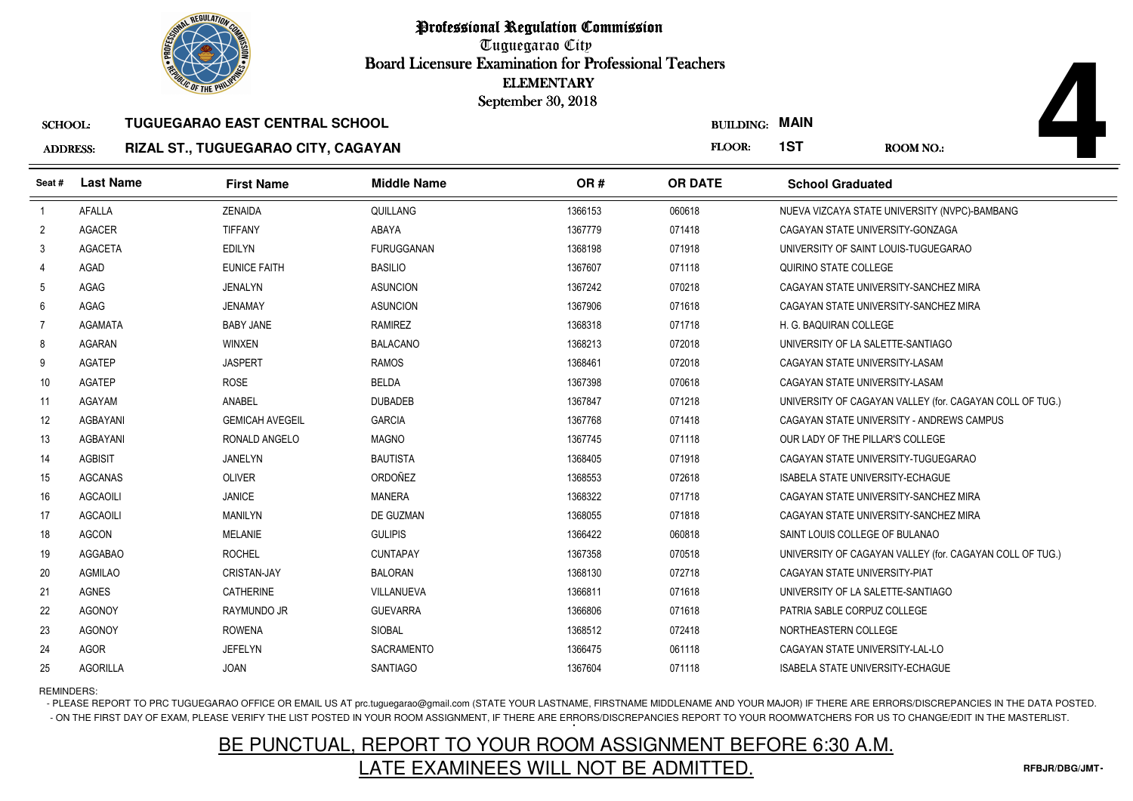

# ADDRESS:**RIZAL ST., TUGUEGARAO CITY, CAGAYAN**

|                  |                                   |                                  | <b>ELEMENTARY</b>                                                            |                    |                                         |                                                          |
|------------------|-----------------------------------|----------------------------------|------------------------------------------------------------------------------|--------------------|-----------------------------------------|----------------------------------------------------------|
|                  |                                   |                                  |                                                                              | <b>BUILDING:</b>   |                                         | <b>ROOM NO.:</b>                                         |
|                  |                                   |                                  |                                                                              |                    |                                         |                                                          |
| <b>Last Name</b> | <b>First Name</b>                 | <b>Middle Name</b>               | OR#                                                                          | <b>OR DATE</b>     | <b>School Graduated</b>                 |                                                          |
| <b>AFALLA</b>    | <b>ZENAIDA</b>                    | QUILLANG                         | 1366153                                                                      | 060618             |                                         | NUEVA VIZCAYA STATE UNIVERSITY (NVPC)-BAMBANG            |
| <b>AGACER</b>    | <b>TIFFANY</b>                    | ABAYA                            | 1367779                                                                      | 071418             | CAGAYAN STATE UNIVERSITY-GONZAGA        |                                                          |
| <b>AGACETA</b>   | <b>EDILYN</b>                     | <b>FURUGGANAN</b>                | 1368198                                                                      | 071918             | UNIVERSITY OF SAINT LOUIS-TUGUEGARAO    |                                                          |
| <b>AGAD</b>      | <b>EUNICE FAITH</b>               | <b>BASILIO</b>                   | 1367607                                                                      | 071118             | QUIRINO STATE COLLEGE                   |                                                          |
| AGAG             | <b>JENALYN</b>                    | <b>ASUNCION</b>                  | 1367242                                                                      | 070218             |                                         | CAGAYAN STATE UNIVERSITY-SANCHEZ MIRA                    |
| AGAG             | <b>JENAMAY</b>                    | <b>ASUNCION</b>                  | 1367906                                                                      | 071618             |                                         | CAGAYAN STATE UNIVERSITY-SANCHEZ MIRA                    |
| <b>AGAMATA</b>   | <b>BABY JANE</b>                  | <b>RAMIREZ</b>                   | 1368318                                                                      | 071718             | H. G. BAQUIRAN COLLEGE                  |                                                          |
| <b>AGARAN</b>    | WINXEN                            | <b>BALACANO</b>                  | 1368213                                                                      | 072018             | UNIVERSITY OF LA SALETTE-SANTIAGO       |                                                          |
| <b>AGATEP</b>    | <b>JASPERT</b>                    | <b>RAMOS</b>                     | 1368461                                                                      | 072018             | CAGAYAN STATE UNIVERSITY-LASAM          |                                                          |
| <b>AGATEP</b>    | <b>ROSE</b>                       | <b>BELDA</b>                     | 1367398                                                                      | 070618             | CAGAYAN STATE UNIVERSITY-LASAM          |                                                          |
| AGAYAM           | ANABEL                            | <b>DUBADEB</b>                   | 1367847                                                                      | 071218             |                                         | UNIVERSITY OF CAGAYAN VALLEY (for. CAGAYAN COLL OF TUG.) |
| AGBAYANI         | <b>GEMICAH AVEGEIL</b>            | <b>GARCIA</b>                    | 1367768                                                                      | 071418             |                                         | CAGAYAN STATE UNIVERSITY - ANDREWS CAMPUS                |
| AGBAYANI         | RONALD ANGELO                     | <b>MAGNO</b>                     | 1367745                                                                      | 071118             | OUR LADY OF THE PILLAR'S COLLEGE        |                                                          |
| <b>AGBISIT</b>   | <b>JANELYN</b>                    | <b>BAUTISTA</b>                  | 1368405                                                                      | 071918             |                                         | CAGAYAN STATE UNIVERSITY-TUGUEGARAO                      |
| <b>AGCANAS</b>   | <b>OLIVER</b>                     | ORDOÑEZ                          | 1368553                                                                      | 072618             | <b>ISABELA STATE UNIVERSITY-ECHAGUE</b> |                                                          |
| <b>AGCAOILI</b>  | <b>JANICE</b>                     | <b>MANERA</b>                    | 1368322                                                                      | 071718             |                                         | CAGAYAN STATE UNIVERSITY-SANCHEZ MIRA                    |
| <b>AGCAOILI</b>  | <b>MANILYN</b>                    | DE GUZMAN                        | 1368055                                                                      | 071818             |                                         | CAGAYAN STATE UNIVERSITY-SANCHEZ MIRA                    |
| <b>AGCON</b>     | <b>MELANIE</b>                    | <b>GULIPIS</b>                   | 1366422                                                                      | 060818             | SAINT LOUIS COLLEGE OF BULANAO          |                                                          |
| <b>AGGABAO</b>   | <b>ROCHEL</b>                     | <b>CUNTAPAY</b>                  | 1367358                                                                      | 070518             |                                         | UNIVERSITY OF CAGAYAN VALLEY (for. CAGAYAN COLL OF TUG.) |
| <b>AGMILAO</b>   | <b>CRISTAN-JAY</b>                | <b>BALORAN</b>                   | 1368130                                                                      | 072718             | CAGAYAN STATE UNIVERSITY-PIAT           |                                                          |
| AGNES            | <b>CATHERINE</b>                  | VILLANUEVA                       | 1366811                                                                      | 071618             | UNIVERSITY OF LA SALETTE-SANTIAGO       |                                                          |
| <b>AGONOY</b>    | RAYMUNDO JR                       | <b>GUEVARRA</b>                  | 1366806                                                                      | 071618             | PATRIA SABLE CORPUZ COLLEGE             |                                                          |
| <b>AGONOY</b>    | <b>ROWENA</b>                     | SIOBAL                           | 1368512                                                                      | 072418             | NORTHEASTERN COLLEGE                    |                                                          |
| <b>AGOR</b>      | <b>JEFELYN</b>                    | SACRAMENTO                       | 1366475                                                                      | 061118             | CAGAYAN STATE UNIVERSITY-LAL-LO         |                                                          |
| <b>AGORILLA</b>  | <b>JOAN</b>                       | <b>SANTIAGO</b>                  | 1367604                                                                      | 071118             | <b>ISABELA STATE UNIVERSITY-ECHAGUE</b> |                                                          |
|                  | <b>SCHOOL:</b><br><b>ADDRESS:</b> | <b><i>OLIC OF THE PHILIP</i></b> | <b>TUGUEGARAO EAST CENTRAL SCHOOL</b><br>RIZAL ST., TUGUEGARAO CITY, CAGAYAN | September 30, 2018 | FLOOR:                                  | <b>MAIN</b><br>1ST                                       |

REMINDERS:

- PLEASE REPORT TO PRC TUGUEGARAO OFFICE OR EMAIL US AT prc.tuguegarao@gmail.com (STATE YOUR LASTNAME, FIRSTNAME MIDDLENAME AND YOUR MAJOR) IF THERE ARE ERRORS/DISCREPANCIES IN THE DATA POSTED. - ON THE FIRST DAY OF EXAM, PLEASE VERIFY THE LIST POSTED IN YOUR ROOM ASSIGNMENT, IF THERE ARE ERRORS/DISCREPANCIES REPORT TO YOUR ROOMWATCHERS FOR US TO CHANGE/EDIT IN THE MASTERLIST.

# BE PUNCTUAL, REPORT TO YOUR ROOM ASSIGNMENT BEFORE 6:30 A.M.LATE EXAMINEES WILL NOT BE ADMITTED.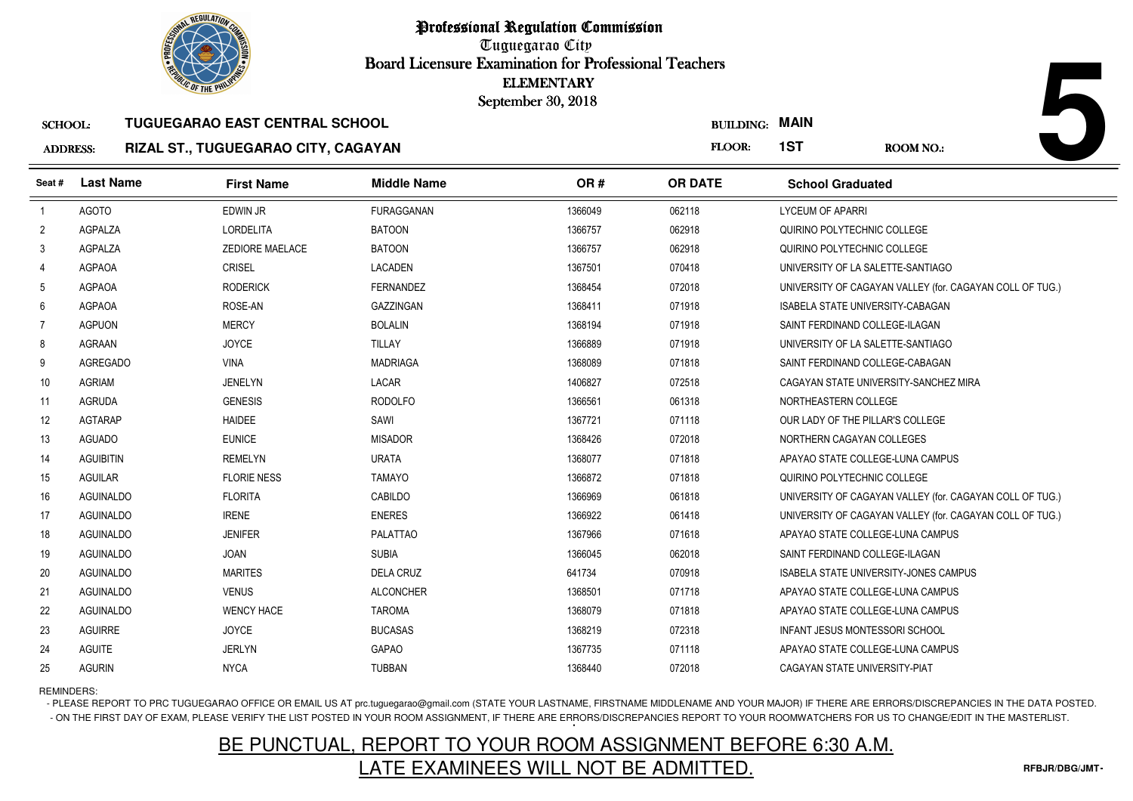

## ADDRESS:**RIZAL ST., TUGUEGARAO CITY, CAGAYAN**

|                 | <b>OLIC OF THE PHILIP</b> |                                       |                    | <b>ELEMENTARY</b><br>September 30, 2018 |                  |                                                          |
|-----------------|---------------------------|---------------------------------------|--------------------|-----------------------------------------|------------------|----------------------------------------------------------|
| <b>SCHOOL:</b>  |                           | <b>TUGUEGARAO EAST CENTRAL SCHOOL</b> |                    |                                         | <b>BUILDING:</b> | <b>MAIN</b>                                              |
| <b>ADDRESS:</b> |                           | RIZAL ST., TUGUEGARAO CITY, CAGAYAN   |                    |                                         | FLOOR:           | 1ST<br><b>ROOM NO.:</b>                                  |
| Seat #          | <b>Last Name</b>          | <b>First Name</b>                     | <b>Middle Name</b> | OR#                                     | <b>OR DATE</b>   | <b>School Graduated</b>                                  |
| $\overline{1}$  | <b>AGOTO</b>              | <b>EDWIN JR</b>                       | <b>FURAGGANAN</b>  | 1366049                                 | 062118           | <b>LYCEUM OF APARRI</b>                                  |
| $\overline{2}$  | AGPALZA                   | <b>LORDELITA</b>                      | <b>BATOON</b>      | 1366757                                 | 062918           | QUIRINO POLYTECHNIC COLLEGE                              |
| 3               | AGPALZA                   | <b>ZEDIORE MAELACE</b>                | <b>BATOON</b>      | 1366757                                 | 062918           | QUIRINO POLYTECHNIC COLLEGE                              |
| 4               | <b>AGPAOA</b>             | <b>CRISEL</b>                         | <b>LACADEN</b>     | 1367501                                 | 070418           | UNIVERSITY OF LA SALETTE-SANTIAGO                        |
| 5               | AGPAOA                    | <b>RODERICK</b>                       | <b>FERNANDEZ</b>   | 1368454                                 | 072018           | UNIVERSITY OF CAGAYAN VALLEY (for. CAGAYAN COLL OF TUG.) |
| 6               | <b>AGPAOA</b>             | ROSE-AN                               | <b>GAZZINGAN</b>   | 1368411                                 | 071918           | <b>ISABELA STATE UNIVERSITY-CABAGAN</b>                  |
| $\overline{7}$  | <b>AGPUON</b>             | <b>MERCY</b>                          | <b>BOLALIN</b>     | 1368194                                 | 071918           | SAINT FERDINAND COLLEGE-ILAGAN                           |
| 8               | AGRAAN                    | <b>JOYCE</b>                          | <b>TILLAY</b>      | 1366889                                 | 071918           | UNIVERSITY OF LA SALETTE-SANTIAGO                        |
| 9               | <b>AGREGADO</b>           | <b>VINA</b>                           | <b>MADRIAGA</b>    | 1368089                                 | 071818           | SAINT FERDINAND COLLEGE-CABAGAN                          |
| 10 <sup>°</sup> | <b>AGRIAM</b>             | JENELYN                               | LACAR              | 1406827                                 | 072518           | CAGAYAN STATE UNIVERSITY-SANCHEZ MIRA                    |
| 11              | <b>AGRUDA</b>             | <b>GENESIS</b>                        | <b>RODOLFO</b>     | 1366561                                 | 061318           | NORTHEASTERN COLLEGE                                     |
| 12              | <b>AGTARAP</b>            | <b>HAIDEE</b>                         | SAWI               | 1367721                                 | 071118           | OUR LADY OF THE PILLAR'S COLLEGE                         |
| 13              | <b>AGUADO</b>             | <b>EUNICE</b>                         | <b>MISADOR</b>     | 1368426                                 | 072018           | NORTHERN CAGAYAN COLLEGES                                |
| 14              | <b>AGUIBITIN</b>          | <b>REMELYN</b>                        | <b>URATA</b>       | 1368077                                 | 071818           | APAYAO STATE COLLEGE-LUNA CAMPUS                         |
| 15              | <b>AGUILAR</b>            | <b>FLORIE NESS</b>                    | <b>TAMAYO</b>      | 1366872                                 | 071818           | QUIRINO POLYTECHNIC COLLEGE                              |
| 16              | AGUINALDO                 | <b>FLORITA</b>                        | CABILDO            | 1366969                                 | 061818           | UNIVERSITY OF CAGAYAN VALLEY (for. CAGAYAN COLL OF TUG.) |
| 17              | AGUINALDO                 | <b>IRENE</b>                          | <b>ENERES</b>      | 1366922                                 | 061418           | UNIVERSITY OF CAGAYAN VALLEY (for. CAGAYAN COLL OF TUG.) |
| 18              | <b>AGUINALDO</b>          | <b>JENIFER</b>                        | <b>PALATTAO</b>    | 1367966                                 | 071618           | APAYAO STATE COLLEGE-LUNA CAMPUS                         |
| 19              | <b>AGUINALDO</b>          | <b>JOAN</b>                           | <b>SUBIA</b>       | 1366045                                 | 062018           | SAINT FERDINAND COLLEGE-ILAGAN                           |
| 20              | <b>AGUINALDO</b>          | <b>MARITES</b>                        | <b>DELA CRUZ</b>   | 641734                                  | 070918           | <b>ISABELA STATE UNIVERSITY-JONES CAMPUS</b>             |
| 21              | <b>AGUINALDO</b>          | <b>VENUS</b>                          | <b>ALCONCHER</b>   | 1368501                                 | 071718           | APAYAO STATE COLLEGE-LUNA CAMPUS                         |
| 22              | AGUINALDO                 | <b>WENCY HACE</b>                     | <b>TAROMA</b>      | 1368079                                 | 071818           | APAYAO STATE COLLEGE-LUNA CAMPUS                         |
| 23              | <b>AGUIRRE</b>            | <b>JOYCE</b>                          | <b>BUCASAS</b>     | 1368219                                 | 072318           | <b>INFANT JESUS MONTESSORI SCHOOL</b>                    |
| 24              | <b>AGUITE</b>             | <b>JERLYN</b>                         | GAPAO              | 1367735                                 | 071118           | APAYAO STATE COLLEGE-LUNA CAMPUS                         |
| 25              | <b>AGURIN</b>             | <b>NYCA</b>                           | <b>TUBBAN</b>      | 1368440                                 | 072018           | CAGAYAN STATE UNIVERSITY-PIAT                            |

# REMINDERS:

- PLEASE REPORT TO PRC TUGUEGARAO OFFICE OR EMAIL US AT prc.tuguegarao@gmail.com (STATE YOUR LASTNAME, FIRSTNAME MIDDLENAME AND YOUR MAJOR) IF THERE ARE ERRORS/DISCREPANCIES IN THE DATA POSTED. - ON THE FIRST DAY OF EXAM, PLEASE VERIFY THE LIST POSTED IN YOUR ROOM ASSIGNMENT, IF THERE ARE ERRORS/DISCREPANCIES REPORT TO YOUR ROOMWATCHERS FOR US TO CHANGE/EDIT IN THE MASTERLIST.

# BE PUNCTUAL, REPORT TO YOUR ROOM ASSIGNMENT BEFORE 6:30 A.M.LATE EXAMINEES WILL NOT BE ADMITTED.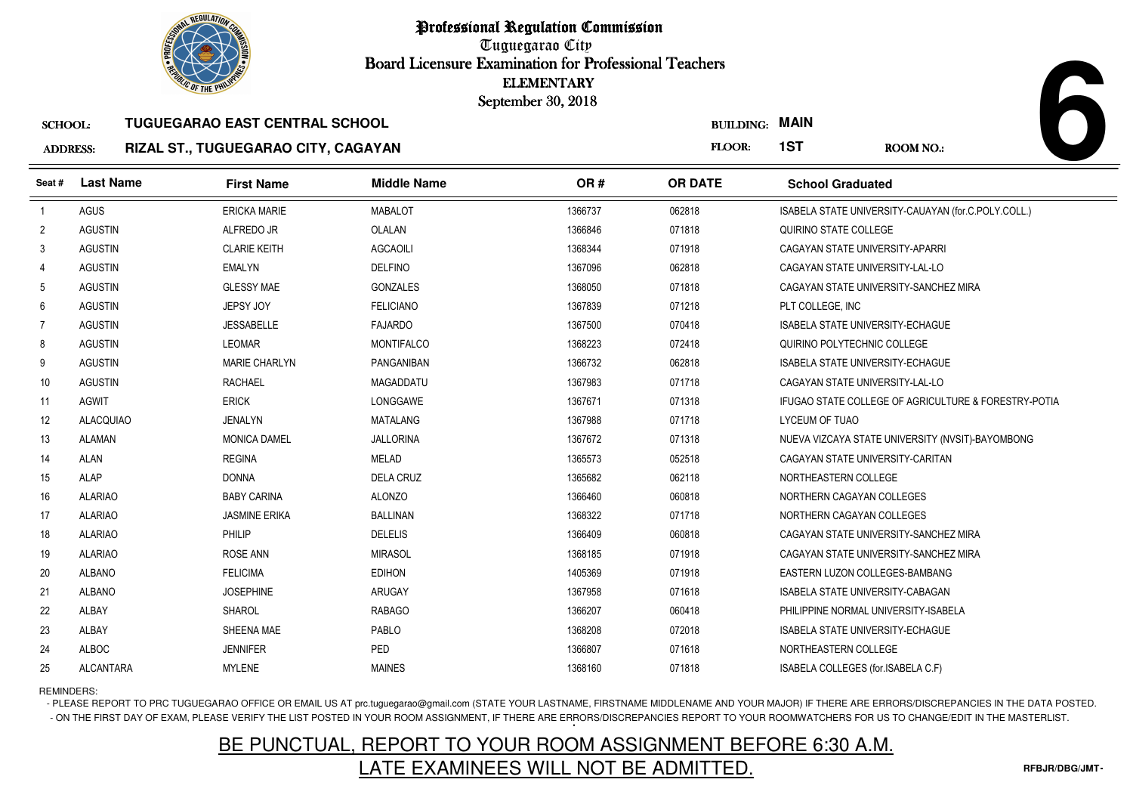

# SCHOOL:**TUGUEGARAO EAST CENTRAL SCHOOL**

### ADDRESS:**RIZAL ST., TUGUEGARAO CITY, CAGAYAN**

|                 | <b><i>OLIC OF THE PHILIPS</i></b> |                                       |                    | <b>ELEMENTARY</b><br>September 30, 2018 |                  |                                         |                                                      |
|-----------------|-----------------------------------|---------------------------------------|--------------------|-----------------------------------------|------------------|-----------------------------------------|------------------------------------------------------|
| <b>SCHOOL:</b>  |                                   | <b>TUGUEGARAO EAST CENTRAL SCHOOL</b> |                    |                                         | <b>BUILDING:</b> | <b>MAIN</b>                             |                                                      |
| <b>ADDRESS:</b> |                                   | RIZAL ST., TUGUEGARAO CITY, CAGAYAN   |                    |                                         | FLOOR:           | 1ST                                     | ROOM NO.:                                            |
| Seat #          | <b>Last Name</b>                  | <b>First Name</b>                     | <b>Middle Name</b> | OR#                                     | <b>OR DATE</b>   | <b>School Graduated</b>                 |                                                      |
| $\overline{1}$  | <b>AGUS</b>                       | <b>ERICKA MARIE</b>                   | <b>MABALOT</b>     | 1366737<br>062818                       |                  |                                         | ISABELA STATE UNIVERSITY-CAUAYAN (for.C.POLY.COLL.)  |
| $\overline{2}$  | <b>AGUSTIN</b>                    | ALFREDO JR                            | OLALAN             | 1366846<br>071818                       |                  | QUIRINO STATE COLLEGE                   |                                                      |
| 3               | <b>AGUSTIN</b>                    | <b>CLARIE KEITH</b>                   | <b>AGCAOILI</b>    | 1368344<br>071918                       |                  | CAGAYAN STATE UNIVERSITY-APARRI         |                                                      |
| 4               | <b>AGUSTIN</b>                    | <b>EMALYN</b>                         | <b>DELFINO</b>     | 1367096<br>062818                       |                  | CAGAYAN STATE UNIVERSITY-LAL-LO         |                                                      |
| 5               | <b>AGUSTIN</b>                    | <b>GLESSY MAE</b>                     | <b>GONZALES</b>    | 1368050<br>071818                       |                  | CAGAYAN STATE UNIVERSITY-SANCHEZ MIRA   |                                                      |
| 6               | <b>AGUSTIN</b>                    | JEPSY JOY                             | <b>FELICIANO</b>   | 1367839<br>071218                       |                  | PLT COLLEGE, INC                        |                                                      |
| 7               | <b>AGUSTIN</b>                    | <b>JESSABELLE</b>                     | <b>FAJARDO</b>     | 1367500<br>070418                       |                  | <b>ISABELA STATE UNIVERSITY-ECHAGUE</b> |                                                      |
| 8               | <b>AGUSTIN</b>                    | <b>LEOMAR</b>                         | <b>MONTIFALCO</b>  | 1368223<br>072418                       |                  | QUIRINO POLYTECHNIC COLLEGE             |                                                      |
| 9               | <b>AGUSTIN</b>                    | <b>MARIE CHARLYN</b>                  | PANGANIBAN         | 1366732<br>062818                       |                  | <b>ISABELA STATE UNIVERSITY-ECHAGUE</b> |                                                      |
| 10              | <b>AGUSTIN</b>                    | <b>RACHAEL</b>                        | <b>MAGADDATU</b>   | 1367983<br>071718                       |                  | CAGAYAN STATE UNIVERSITY-LAL-LO         |                                                      |
| 11              | <b>AGWIT</b>                      | <b>ERICK</b>                          | LONGGAWE           | 1367671<br>071318                       |                  |                                         | IFUGAO STATE COLLEGE OF AGRICULTURE & FORESTRY-POTIA |
| 12              | <b>ALACQUIAO</b>                  | JENALYN                               | <b>MATALANG</b>    | 1367988<br>071718                       |                  | LYCEUM OF TUAO                          |                                                      |
| 13              | ALAMAN                            | <b>MONICA DAMEL</b>                   | <b>JALLORINA</b>   | 1367672<br>071318                       |                  |                                         | NUEVA VIZCAYA STATE UNIVERSITY (NVSIT)-BAYOMBONG     |
| 14              | <b>ALAN</b>                       | <b>REGINA</b>                         | <b>MELAD</b>       | 1365573<br>052518                       |                  | CAGAYAN STATE UNIVERSITY-CARITAN        |                                                      |
| 15              | <b>ALAP</b>                       | <b>DONNA</b>                          | <b>DELA CRUZ</b>   | 1365682<br>062118                       |                  | NORTHEASTERN COLLEGE                    |                                                      |
| 16              | <b>ALARIAO</b>                    | <b>BABY CARINA</b>                    | <b>ALONZO</b>      | 1366460<br>060818                       |                  | NORTHERN CAGAYAN COLLEGES               |                                                      |
| 17              | <b>ALARIAO</b>                    | <b>JASMINE ERIKA</b>                  | <b>BALLINAN</b>    | 1368322<br>071718                       |                  | NORTHERN CAGAYAN COLLEGES               |                                                      |
| 18              | <b>ALARIAO</b>                    | PHILIP                                | <b>DELELIS</b>     | 1366409<br>060818                       |                  | CAGAYAN STATE UNIVERSITY-SANCHEZ MIRA   |                                                      |
| 19              | <b>ALARIAO</b>                    | <b>ROSE ANN</b>                       | <b>MIRASOL</b>     | 1368185<br>071918                       |                  | CAGAYAN STATE UNIVERSITY-SANCHEZ MIRA   |                                                      |
| 20              | <b>ALBANO</b>                     | <b>FELICIMA</b>                       | <b>EDIHON</b>      | 1405369<br>071918                       |                  | EASTERN LUZON COLLEGES-BAMBANG          |                                                      |
| 21              | <b>ALBANO</b>                     | <b>JOSEPHINE</b>                      | ARUGAY             | 1367958<br>071618                       |                  | ISABELA STATE UNIVERSITY-CABAGAN        |                                                      |
| 22              | ALBAY                             | <b>SHAROL</b>                         | <b>RABAGO</b>      | 1366207<br>060418                       |                  | PHILIPPINE NORMAL UNIVERSITY-ISABELA    |                                                      |
| 23              | <b>ALBAY</b>                      | SHEENA MAE                            | PABLO              | 1368208<br>072018                       |                  | <b>ISABELA STATE UNIVERSITY-ECHAGUE</b> |                                                      |
| 24              | <b>ALBOC</b>                      | <b>JENNIFER</b>                       | PED                | 1366807<br>071618                       |                  | NORTHEASTERN COLLEGE                    |                                                      |
| 25              | <b>ALCANTARA</b>                  | <b>MYLENE</b>                         | <b>MAINES</b>      | 1368160<br>071818                       |                  | ISABELA COLLEGES (for.ISABELA C.F)      |                                                      |

# REMINDERS:

- PLEASE REPORT TO PRC TUGUEGARAO OFFICE OR EMAIL US AT prc.tuguegarao@gmail.com (STATE YOUR LASTNAME, FIRSTNAME MIDDLENAME AND YOUR MAJOR) IF THERE ARE ERRORS/DISCREPANCIES IN THE DATA POSTED. - ON THE FIRST DAY OF EXAM, PLEASE VERIFY THE LIST POSTED IN YOUR ROOM ASSIGNMENT, IF THERE ARE ERRORS/DISCREPANCIES REPORT TO YOUR ROOMWATCHERS FOR US TO CHANGE/EDIT IN THE MASTERLIST.

# BE PUNCTUAL, REPORT TO YOUR ROOM ASSIGNMENT BEFORE 6:30 A.M.LATE EXAMINEES WILL NOT BE ADMITTED.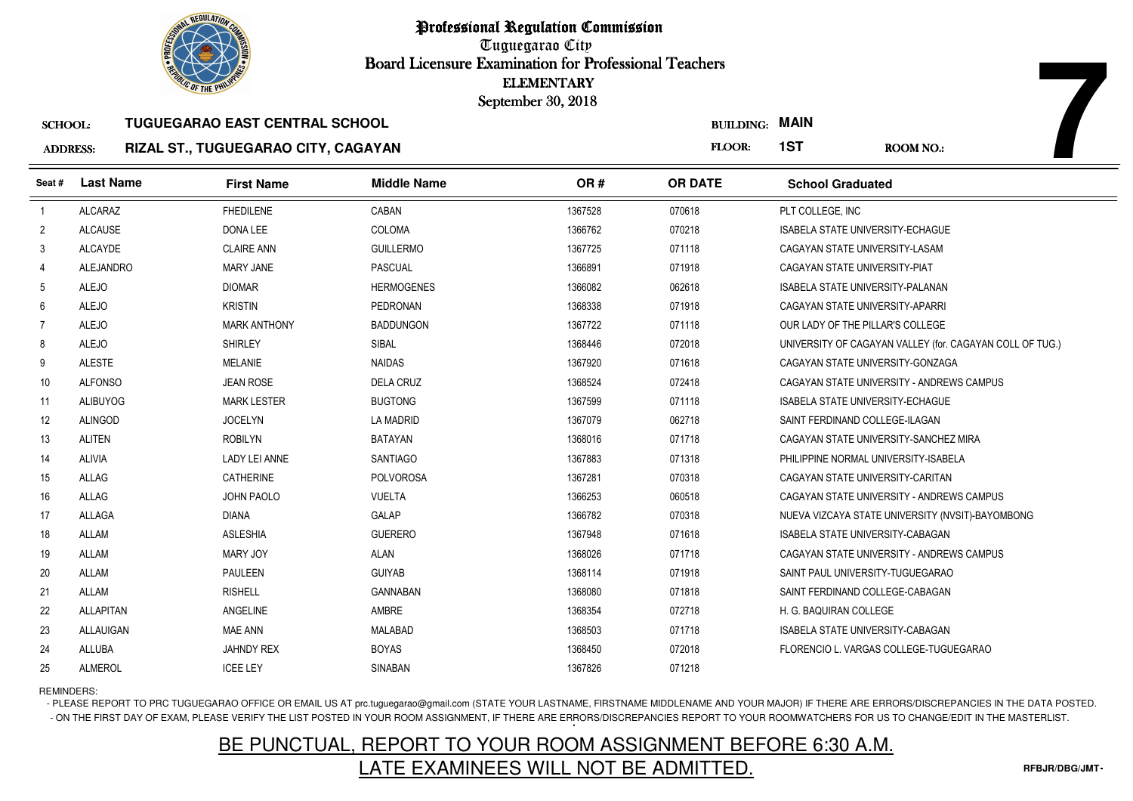

### SCHOOL:**TUGUEGARAO EAST CENTRAL SCHOOL**

### ADDRESS:**RIZAL ST., TUGUEGARAO CITY, CAGAYAN**

|                 | <b>OLIC OF THE PHILIP</b> |                                       |                    | <b>ELEMENTARY</b><br>September 30, 2018 |                       |                                         |                                                          |
|-----------------|---------------------------|---------------------------------------|--------------------|-----------------------------------------|-----------------------|-----------------------------------------|----------------------------------------------------------|
| <b>SCHOOL:</b>  |                           | <b>TUGUEGARAO EAST CENTRAL SCHOOL</b> |                    |                                         | <b>BUILDING: MAIN</b> |                                         |                                                          |
| <b>ADDRESS:</b> |                           | RIZAL ST., TUGUEGARAO CITY, CAGAYAN   |                    |                                         | FLOOR:                | 1ST                                     | <b>ROOM NO.:</b>                                         |
| Seat #          | <b>Last Name</b>          | <b>First Name</b>                     | <b>Middle Name</b> | OR#                                     | <b>OR DATE</b>        | <b>School Graduated</b>                 |                                                          |
|                 | <b>ALCARAZ</b>            | <b>FHEDILENE</b>                      | CABAN              | 1367528                                 | 070618                | PLT COLLEGE, INC                        |                                                          |
| $\overline{2}$  | <b>ALCAUSE</b>            | DONA LEE                              | COLOMA             | 1366762                                 | 070218                | <b>ISABELA STATE UNIVERSITY-ECHAGUE</b> |                                                          |
| 3               | <b>ALCAYDE</b>            | <b>CLAIRE ANN</b>                     | <b>GUILLERMO</b>   | 1367725                                 | 071118                | CAGAYAN STATE UNIVERSITY-LASAM          |                                                          |
| 4               | <b>ALEJANDRO</b>          | <b>MARY JANE</b>                      | <b>PASCUAL</b>     | 1366891                                 | 071918                | CAGAYAN STATE UNIVERSITY-PIAT           |                                                          |
| 5               | <b>ALEJO</b>              | <b>DIOMAR</b>                         | <b>HERMOGENES</b>  | 1366082                                 | 062618                | ISABELA STATE UNIVERSITY-PALANAN        |                                                          |
| 6               | <b>ALEJO</b>              | <b>KRISTIN</b>                        | PEDRONAN           | 1368338                                 | 071918                | CAGAYAN STATE UNIVERSITY-APARRI         |                                                          |
| -7              | <b>ALEJO</b>              | <b>MARK ANTHONY</b>                   | <b>BADDUNGON</b>   | 1367722                                 | 071118                | OUR LADY OF THE PILLAR'S COLLEGE        |                                                          |
| 8               | <b>ALEJO</b>              | <b>SHIRLEY</b>                        | SIBAL              | 1368446                                 | 072018                |                                         | UNIVERSITY OF CAGAYAN VALLEY (for. CAGAYAN COLL OF TUG.) |
| 9               | <b>ALESTE</b>             | <b>MELANIE</b>                        | <b>NAIDAS</b>      | 1367920                                 | 071618                | CAGAYAN STATE UNIVERSITY-GONZAGA        |                                                          |
| 10              | <b>ALFONSO</b>            | <b>JEAN ROSE</b>                      | <b>DELA CRUZ</b>   | 1368524                                 | 072418                |                                         | CAGAYAN STATE UNIVERSITY - ANDREWS CAMPUS                |
| 11              | <b>ALIBUYOG</b>           | <b>MARK LESTER</b>                    | <b>BUGTONG</b>     | 1367599                                 | 071118                | <b>ISABELA STATE UNIVERSITY-ECHAGUE</b> |                                                          |
| 12              | <b>ALINGOD</b>            | <b>JOCELYN</b>                        | <b>LA MADRID</b>   | 1367079                                 | 062718                | SAINT FERDINAND COLLEGE-ILAGAN          |                                                          |
| 13              | <b>ALITEN</b>             | <b>ROBILYN</b>                        | <b>BATAYAN</b>     | 1368016                                 | 071718                |                                         | CAGAYAN STATE UNIVERSITY-SANCHEZ MIRA                    |
| 14              | <b>ALIVIA</b>             | LADY LEI ANNE                         | <b>SANTIAGO</b>    | 1367883                                 | 071318                | PHILIPPINE NORMAL UNIVERSITY-ISABELA    |                                                          |
| 15              | ALLAG                     | <b>CATHERINE</b>                      | <b>POLVOROSA</b>   | 1367281                                 | 070318                | CAGAYAN STATE UNIVERSITY-CARITAN        |                                                          |
| 16              | ALLAG                     | JOHN PAOLO                            | <b>VUELTA</b>      | 1366253                                 | 060518                |                                         | CAGAYAN STATE UNIVERSITY - ANDREWS CAMPUS                |
| 17              | ALLAGA                    | <b>DIANA</b>                          | GALAP              | 1366782                                 | 070318                |                                         | NUEVA VIZCAYA STATE UNIVERSITY (NVSIT)-BAYOMBONG         |
| 18              | <b>ALLAM</b>              | <b>ASLESHIA</b>                       | <b>GUERERO</b>     | 1367948                                 | 071618                | <b>ISABELA STATE UNIVERSITY-CABAGAN</b> |                                                          |
| 19              | <b>ALLAM</b>              | <b>MARY JOY</b>                       | ALAN               | 1368026                                 | 071718                |                                         | CAGAYAN STATE UNIVERSITY - ANDREWS CAMPUS                |
| 20              | ALLAM                     | <b>PAULEEN</b>                        | <b>GUIYAB</b>      | 1368114                                 | 071918                | SAINT PAUL UNIVERSITY-TUGUEGARAO        |                                                          |
| 21              | <b>ALLAM</b>              | <b>RISHELL</b>                        | <b>GANNABAN</b>    | 1368080                                 | 071818                | SAINT FERDINAND COLLEGE-CABAGAN         |                                                          |
| 22              | <b>ALLAPITAN</b>          | ANGELINE                              | AMBRE              | 1368354                                 | 072718                | H. G. BAQUIRAN COLLEGE                  |                                                          |
| 23              | ALLAUIGAN                 | MAE ANN                               | <b>MALABAD</b>     | 1368503                                 | 071718                | ISABELA STATE UNIVERSITY-CABAGAN        |                                                          |
| 24              | ALLUBA                    | <b>JAHNDY REX</b>                     | <b>BOYAS</b>       | 1368450                                 | 072018                |                                         | FLORENCIO L. VARGAS COLLEGE-TUGUEGARAO                   |
| 25              | <b>ALMEROL</b>            | <b>ICEE LEY</b>                       | SINABAN            | 1367826                                 | 071218                |                                         |                                                          |

REMINDERS:

- PLEASE REPORT TO PRC TUGUEGARAO OFFICE OR EMAIL US AT prc.tuguegarao@gmail.com (STATE YOUR LASTNAME, FIRSTNAME MIDDLENAME AND YOUR MAJOR) IF THERE ARE ERRORS/DISCREPANCIES IN THE DATA POSTED. - ON THE FIRST DAY OF EXAM, PLEASE VERIFY THE LIST POSTED IN YOUR ROOM ASSIGNMENT, IF THERE ARE ERRORS/DISCREPANCIES REPORT TO YOUR ROOMWATCHERS FOR US TO CHANGE/EDIT IN THE MASTERLIST.

# BE PUNCTUAL, REPORT TO YOUR ROOM ASSIGNMENT BEFORE 6:30 A.M.LATE EXAMINEES WILL NOT BE ADMITTED.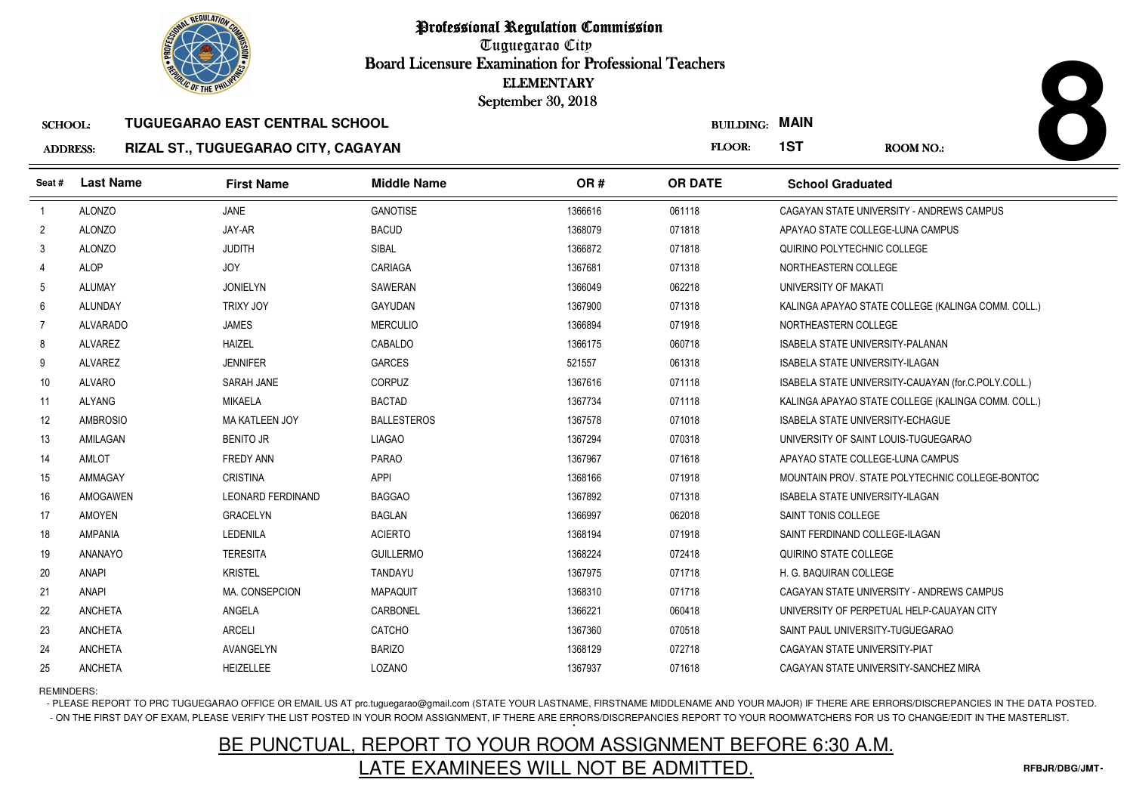

# ADDRESS:**RIZAL ST., TUGUEGARAO CITY, CAGAYAN**

|                 | <b><i>OLIC OF THE PHILIP</i></b> |                                       |                    | <b>ELEMENTARY</b><br>September 30, 2018 |                  |                                         |                                                     |
|-----------------|----------------------------------|---------------------------------------|--------------------|-----------------------------------------|------------------|-----------------------------------------|-----------------------------------------------------|
| <b>SCHOOL:</b>  |                                  | <b>TUGUEGARAO EAST CENTRAL SCHOOL</b> |                    |                                         | <b>BUILDING:</b> | <b>MAIN</b>                             |                                                     |
| <b>ADDRESS:</b> |                                  | RIZAL ST., TUGUEGARAO CITY, CAGAYAN   |                    |                                         | FLOOR:           | 1ST                                     | <b>ROOM NO.:</b>                                    |
| Seat #          | <b>Last Name</b>                 | <b>First Name</b>                     | <b>Middle Name</b> | OR#                                     | <b>OR DATE</b>   | <b>School Graduated</b>                 |                                                     |
| $\overline{1}$  | <b>ALONZO</b>                    | <b>JANE</b>                           | <b>GANOTISE</b>    | 1366616                                 | 061118           |                                         | CAGAYAN STATE UNIVERSITY - ANDREWS CAMPUS           |
| $\overline{2}$  | <b>ALONZO</b>                    | JAY-AR                                | <b>BACUD</b>       | 1368079                                 | 071818           | APAYAO STATE COLLEGE-LUNA CAMPUS        |                                                     |
| 3               | <b>ALONZO</b>                    | <b>JUDITH</b>                         | SIBAL              | 1366872                                 | 071818           | QUIRINO POLYTECHNIC COLLEGE             |                                                     |
| $\overline{4}$  | <b>ALOP</b>                      | <b>JOY</b>                            | CARIAGA            | 1367681                                 | 071318           | NORTHEASTERN COLLEGE                    |                                                     |
| 5               | <b>ALUMAY</b>                    | <b>JONIELYN</b>                       | SAWERAN            | 1366049                                 | 062218           | UNIVERSITY OF MAKATI                    |                                                     |
| 6               | <b>ALUNDAY</b>                   | <b>TRIXY JOY</b>                      | <b>GAYUDAN</b>     | 1367900                                 | 071318           |                                         | KALINGA APAYAO STATE COLLEGE (KALINGA COMM. COLL.)  |
| $\overline{7}$  | <b>ALVARADO</b>                  | <b>JAMES</b>                          | <b>MERCULIO</b>    | 1366894                                 | 071918           | NORTHEASTERN COLLEGE                    |                                                     |
| 8               | <b>ALVAREZ</b>                   | <b>HAIZEL</b>                         | CABALDO            | 1366175                                 | 060718           | <b>ISABELA STATE UNIVERSITY-PALANAN</b> |                                                     |
| 9               | <b>ALVAREZ</b>                   | <b>JENNIFER</b>                       | <b>GARCES</b>      | 521557                                  | 061318           | <b>ISABELA STATE UNIVERSITY-ILAGAN</b>  |                                                     |
| 10              | <b>ALVARO</b>                    | SARAH JANE                            | <b>CORPUZ</b>      | 1367616                                 | 071118           |                                         | ISABELA STATE UNIVERSITY-CAUAYAN (for.C.POLY.COLL.) |
| 11              | <b>ALYANG</b>                    | <b>MIKAELA</b>                        | <b>BACTAD</b>      | 1367734                                 | 071118           |                                         | KALINGA APAYAO STATE COLLEGE (KALINGA COMM. COLL.)  |
| 12              | <b>AMBROSIO</b>                  | <b>MA KATLEEN JOY</b>                 | <b>BALLESTEROS</b> | 1367578                                 | 071018           | <b>ISABELA STATE UNIVERSITY-ECHAGUE</b> |                                                     |
| 13              | AMILAGAN                         | <b>BENITO JR</b>                      | <b>LIAGAO</b>      | 1367294                                 | 070318           |                                         | UNIVERSITY OF SAINT LOUIS-TUGUEGARAO                |
| 14              | AMLOT                            | <b>FREDY ANN</b>                      | <b>PARAO</b>       | 1367967                                 | 071618           | APAYAO STATE COLLEGE-LUNA CAMPUS        |                                                     |
| 15              | AMMAGAY                          | <b>CRISTINA</b>                       | <b>APPI</b>        | 1368166                                 | 071918           |                                         | MOUNTAIN PROV. STATE POLYTECHNIC COLLEGE-BONTOC     |
| 16              | <b>AMOGAWEN</b>                  | <b>LEONARD FERDINAND</b>              | <b>BAGGAO</b>      | 1367892                                 | 071318           | <b>ISABELA STATE UNIVERSITY-ILAGAN</b>  |                                                     |
| 17              | <b>AMOYEN</b>                    | <b>GRACELYN</b>                       | <b>BAGLAN</b>      | 1366997                                 | 062018           | SAINT TONIS COLLEGE                     |                                                     |
| 18              | <b>AMPANIA</b>                   | <b>LEDENILA</b>                       | <b>ACIERTO</b>     | 1368194                                 | 071918           | SAINT FERDINAND COLLEGE-ILAGAN          |                                                     |
| 19              | ANANAYO                          | <b>TERESITA</b>                       | <b>GUILLERMO</b>   | 1368224                                 | 072418           | QUIRINO STATE COLLEGE                   |                                                     |
| 20              | <b>ANAPI</b>                     | <b>KRISTEL</b>                        | <b>TANDAYU</b>     | 1367975                                 | 071718           | H. G. BAQUIRAN COLLEGE                  |                                                     |
| 21              | <b>ANAPI</b>                     | MA. CONSEPCION                        | <b>MAPAQUIT</b>    | 1368310                                 | 071718           |                                         | CAGAYAN STATE UNIVERSITY - ANDREWS CAMPUS           |
| 22              | <b>ANCHETA</b>                   | ANGELA                                | CARBONEL           | 1366221                                 | 060418           |                                         | UNIVERSITY OF PERPETUAL HELP-CAUAYAN CITY           |
| 23              | <b>ANCHETA</b>                   | <b>ARCELI</b>                         | CATCHO             | 1367360                                 | 070518           | SAINT PAUL UNIVERSITY-TUGUEGARAO        |                                                     |
| 24              | <b>ANCHETA</b>                   | AVANGELYN                             | <b>BARIZO</b>      | 1368129                                 | 072718           | CAGAYAN STATE UNIVERSITY-PIAT           |                                                     |
| 25              | <b>ANCHETA</b>                   | <b>HEIZELLEE</b>                      | LOZANO             | 1367937                                 | 071618           |                                         | CAGAYAN STATE UNIVERSITY-SANCHEZ MIRA               |

# REMINDERS:

- PLEASE REPORT TO PRC TUGUEGARAO OFFICE OR EMAIL US AT prc.tuguegarao@gmail.com (STATE YOUR LASTNAME, FIRSTNAME MIDDLENAME AND YOUR MAJOR) IF THERE ARE ERRORS/DISCREPANCIES IN THE DATA POSTED. - ON THE FIRST DAY OF EXAM, PLEASE VERIFY THE LIST POSTED IN YOUR ROOM ASSIGNMENT, IF THERE ARE ERRORS/DISCREPANCIES REPORT TO YOUR ROOMWATCHERS FOR US TO CHANGE/EDIT IN THE MASTERLIST.

# BE PUNCTUAL, REPORT TO YOUR ROOM ASSIGNMENT BEFORE 6:30 A.M.LATE EXAMINEES WILL NOT BE ADMITTED.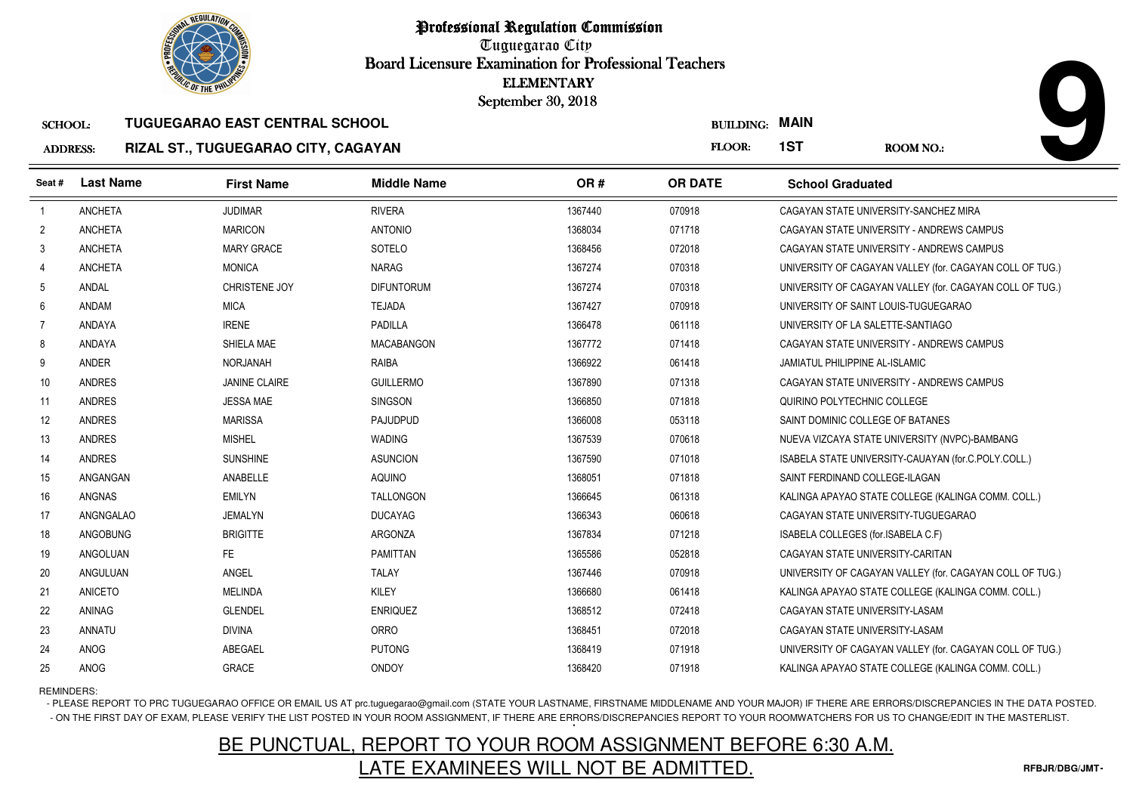

# SCHOOL: **TUGUEGARAO EAST CENTRAL SCHOOLRIZAL ST., TUGUEGARAO CITY, CAGAYAN**

|                 | <b>OLIC OF THE PHILIP</b> |                                       |                    | <b>ELEMENTARY</b><br>September 30, 2018 |                  |                                                          |  |
|-----------------|---------------------------|---------------------------------------|--------------------|-----------------------------------------|------------------|----------------------------------------------------------|--|
| <b>SCHOOL:</b>  |                           | <b>TUGUEGARAO EAST CENTRAL SCHOOL</b> |                    |                                         | <b>BUILDING:</b> | <b>MAIN</b>                                              |  |
| <b>ADDRESS:</b> |                           | RIZAL ST., TUGUEGARAO CITY, CAGAYAN   |                    |                                         | FLOOR:           | 1ST<br><b>ROOM NO.:</b>                                  |  |
| Seat#           | <b>Last Name</b>          | <b>First Name</b>                     | <b>Middle Name</b> | OR#                                     | <b>OR DATE</b>   | <b>School Graduated</b>                                  |  |
| $\overline{1}$  | <b>ANCHETA</b>            | <b>JUDIMAR</b>                        | <b>RIVERA</b>      | 1367440                                 | 070918           | CAGAYAN STATE UNIVERSITY-SANCHEZ MIRA                    |  |
| $\overline{2}$  | <b>ANCHETA</b>            | <b>MARICON</b>                        | <b>ANTONIO</b>     | 1368034                                 | 071718           | CAGAYAN STATE UNIVERSITY - ANDREWS CAMPUS                |  |
| 3               | <b>ANCHETA</b>            | <b>MARY GRACE</b>                     | SOTELO             | 1368456                                 | 072018           | CAGAYAN STATE UNIVERSITY - ANDREWS CAMPUS                |  |
| 4               | <b>ANCHETA</b>            | <b>MONICA</b>                         | <b>NARAG</b>       | 1367274                                 | 070318           | UNIVERSITY OF CAGAYAN VALLEY (for. CAGAYAN COLL OF TUG.) |  |
| 5               | ANDAL                     | CHRISTENE JOY                         | <b>DIFUNTORUM</b>  | 1367274                                 | 070318           | UNIVERSITY OF CAGAYAN VALLEY (for. CAGAYAN COLL OF TUG.) |  |
| 6               | ANDAM                     | <b>MICA</b>                           | <b>TEJADA</b>      | 1367427                                 | 070918           | UNIVERSITY OF SAINT LOUIS-TUGUEGARAO                     |  |
| 7               | ANDAYA                    | <b>IRENE</b>                          | <b>PADILLA</b>     | 1366478                                 | 061118           | UNIVERSITY OF LA SALETTE-SANTIAGO                        |  |
| 8               | ANDAYA                    | SHIELA MAE                            | <b>MACABANGON</b>  | 1367772                                 | 071418           | CAGAYAN STATE UNIVERSITY - ANDREWS CAMPUS                |  |
| 9               | <b>ANDER</b>              | <b>NORJANAH</b>                       | <b>RAIBA</b>       | 1366922                                 | 061418           | JAMIATUL PHILIPPINE AL-ISLAMIC                           |  |
| 10              | <b>ANDRES</b>             | <b>JANINE CLAIRE</b>                  | <b>GUILLERMO</b>   | 1367890                                 | 071318           | CAGAYAN STATE UNIVERSITY - ANDREWS CAMPUS                |  |
| 11              | <b>ANDRES</b>             | <b>JESSA MAE</b>                      | <b>SINGSON</b>     | 1366850                                 | 071818           | QUIRINO POLYTECHNIC COLLEGE                              |  |
| 12              | <b>ANDRES</b>             | <b>MARISSA</b>                        | PAJUDPUD           | 1366008                                 | 053118           | SAINT DOMINIC COLLEGE OF BATANES                         |  |
| 13              | <b>ANDRES</b>             | <b>MISHEL</b>                         | <b>WADING</b>      | 1367539                                 | 070618           | NUEVA VIZCAYA STATE UNIVERSITY (NVPC)-BAMBANG            |  |
| 14              | <b>ANDRES</b>             | <b>SUNSHINE</b>                       | <b>ASUNCION</b>    | 1367590                                 | 071018           | ISABELA STATE UNIVERSITY-CAUAYAN (for C.POLY.COLL.)      |  |
| 15              | ANGANGAN                  | ANABELLE                              | AQUINO             | 1368051                                 | 071818           | SAINT FERDINAND COLLEGE-ILAGAN                           |  |
| 16              | <b>ANGNAS</b>             | <b>EMILYN</b>                         | <b>TALLONGON</b>   | 1366645                                 | 061318           | KALINGA APAYAO STATE COLLEGE (KALINGA COMM. COLL.)       |  |
| 17              | ANGNGALAO                 | <b>JEMALYN</b>                        | <b>DUCAYAG</b>     | 1366343                                 | 060618           | CAGAYAN STATE UNIVERSITY-TUGUEGARAO                      |  |
| 18              | ANGOBUNG                  | <b>BRIGITTE</b>                       | ARGONZA            | 1367834                                 | 071218           | ISABELA COLLEGES (for.ISABELA C.F)                       |  |
| 19              | ANGOLUAN                  | <b>FE</b>                             | <b>PAMITTAN</b>    | 1365586                                 | 052818           | CAGAYAN STATE UNIVERSITY-CARITAN                         |  |
| 20              | ANGULUAN                  | ANGEL                                 | <b>TALAY</b>       | 1367446                                 | 070918           | UNIVERSITY OF CAGAYAN VALLEY (for. CAGAYAN COLL OF TUG.) |  |
| 21              | <b>ANICETO</b>            | <b>MELINDA</b>                        | KILEY              | 1366680                                 | 061418           | KALINGA APAYAO STATE COLLEGE (KALINGA COMM. COLL.)       |  |
| 22              | ANINAG                    | <b>GLENDEL</b>                        | <b>ENRIQUEZ</b>    | 1368512                                 | 072418           | CAGAYAN STATE UNIVERSITY-LASAM                           |  |
| 23              | <b>ANNATU</b>             | <b>DIVINA</b>                         | <b>ORRO</b>        | 1368451                                 | 072018           | CAGAYAN STATE UNIVERSITY-LASAM                           |  |
| 24              | ANOG                      | ABEGAEL                               | <b>PUTONG</b>      | 1368419                                 | 071918           | UNIVERSITY OF CAGAYAN VALLEY (for. CAGAYAN COLL OF TUG.) |  |
| 25              | ANOG                      | <b>GRACE</b>                          | <b>ONDOY</b>       | 1368420                                 | 071918           | KALINGA APAYAO STATE COLLEGE (KALINGA COMM. COLL.)       |  |

REMINDERS:

- PLEASE REPORT TO PRC TUGUEGARAO OFFICE OR EMAIL US AT prc.tuguegarao@gmail.com (STATE YOUR LASTNAME, FIRSTNAME MIDDLENAME AND YOUR MAJOR) IF THERE ARE ERRORS/DISCREPANCIES IN THE DATA POSTED. - ON THE FIRST DAY OF EXAM, PLEASE VERIFY THE LIST POSTED IN YOUR ROOM ASSIGNMENT, IF THERE ARE ERRORS/DISCREPANCIES REPORT TO YOUR ROOMWATCHERS FOR US TO CHANGE/EDIT IN THE MASTERLIST.

# BE PUNCTUAL, REPORT TO YOUR ROOM ASSIGNMENT BEFORE 6:30 A.M.LATE EXAMINEES WILL NOT BE ADMITTED.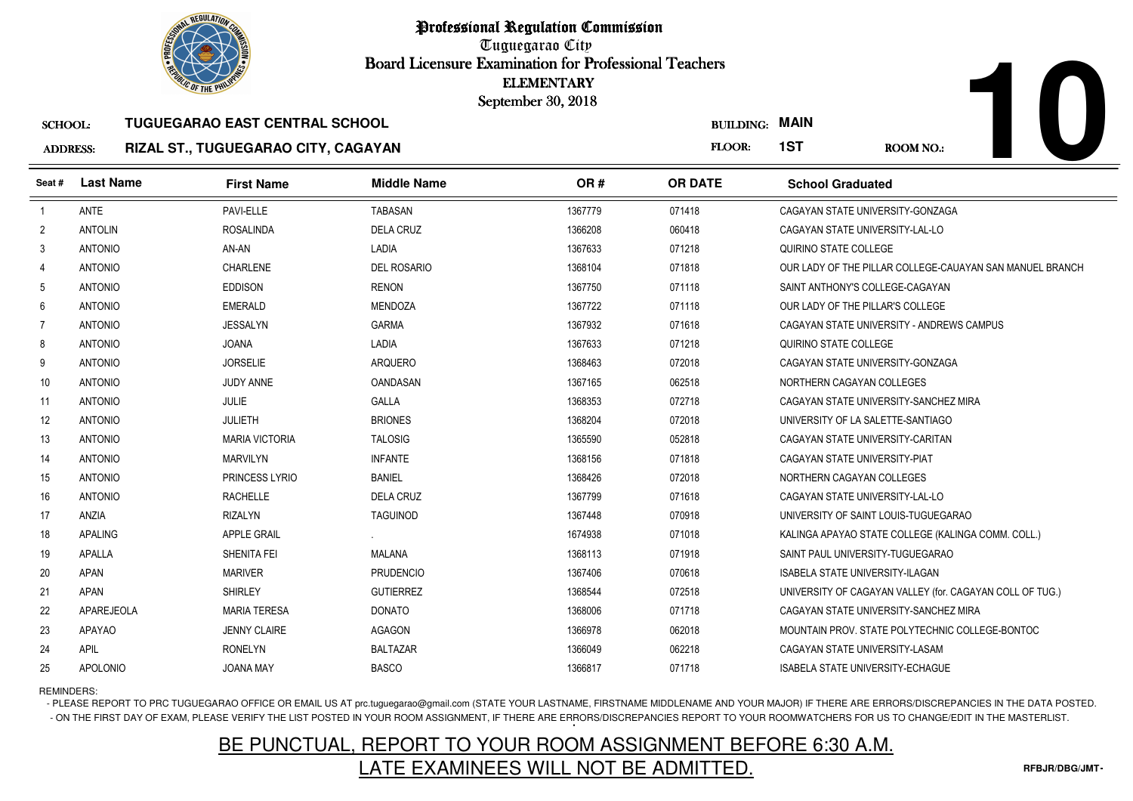

# ADDRESS:**RIZAL ST., TUGUEGARAO CITY, CAGAYAN**

|                 | <b><i>OLIC OF THE PHILIP</i></b> |                                       |                    | <b>ELEMENTARY</b><br>September 30, 2018 |                  |                                                          |
|-----------------|----------------------------------|---------------------------------------|--------------------|-----------------------------------------|------------------|----------------------------------------------------------|
| <b>SCHOOL:</b>  |                                  | <b>TUGUEGARAO EAST CENTRAL SCHOOL</b> |                    |                                         | <b>BUILDING:</b> | <b>MAIN</b>                                              |
| <b>ADDRESS:</b> |                                  | RIZAL ST., TUGUEGARAO CITY, CAGAYAN   |                    |                                         | FLOOR:           | 1ST<br><b>ROOM NO.:</b>                                  |
| Seat#           | <b>Last Name</b>                 | <b>First Name</b>                     | <b>Middle Name</b> | OR#                                     | <b>OR DATE</b>   | <b>School Graduated</b>                                  |
| $\overline{1}$  | <b>ANTE</b>                      | PAVI-ELLE                             | <b>TABASAN</b>     | 1367779                                 | 071418           | CAGAYAN STATE UNIVERSITY-GONZAGA                         |
| $\overline{2}$  | <b>ANTOLIN</b>                   | <b>ROSALINDA</b>                      | <b>DELA CRUZ</b>   | 1366208                                 | 060418           | CAGAYAN STATE UNIVERSITY-LAL-LO                          |
| 3               | <b>ANTONIO</b>                   | AN-AN                                 | LADIA              | 1367633                                 | 071218           | QUIRINO STATE COLLEGE                                    |
| 4               | <b>ANTONIO</b>                   | CHARLENE                              | <b>DEL ROSARIO</b> | 1368104                                 | 071818           | OUR LADY OF THE PILLAR COLLEGE-CAUAYAN SAN MANUEL BRANCH |
| 5               | <b>ANTONIO</b>                   | <b>EDDISON</b>                        | <b>RENON</b>       | 1367750                                 | 071118           | SAINT ANTHONY'S COLLEGE-CAGAYAN                          |
| 6               | <b>ANTONIO</b>                   | <b>EMERALD</b>                        | <b>MENDOZA</b>     | 1367722                                 | 071118           | OUR LADY OF THE PILLAR'S COLLEGE                         |
| $\overline{7}$  | <b>ANTONIO</b>                   | <b>JESSALYN</b>                       | <b>GARMA</b>       | 1367932                                 | 071618           | CAGAYAN STATE UNIVERSITY - ANDREWS CAMPUS                |
| 8               | <b>ANTONIO</b>                   | <b>JOANA</b>                          | LADIA              | 1367633                                 | 071218           | QUIRINO STATE COLLEGE                                    |
| 9               | <b>ANTONIO</b>                   | <b>JORSELIE</b>                       | <b>ARQUERO</b>     | 1368463                                 | 072018           | CAGAYAN STATE UNIVERSITY-GONZAGA                         |
| 10              | <b>ANTONIO</b>                   | <b>JUDY ANNE</b>                      | OANDASAN           | 1367165                                 | 062518           | NORTHERN CAGAYAN COLLEGES                                |
| 11              | <b>ANTONIO</b>                   | JULIE                                 | <b>GALLA</b>       | 1368353                                 | 072718           | CAGAYAN STATE UNIVERSITY-SANCHEZ MIRA                    |
| 12              | <b>ANTONIO</b>                   | <b>JULIETH</b>                        | <b>BRIONES</b>     | 1368204                                 | 072018           | UNIVERSITY OF LA SALETTE-SANTIAGO                        |
| 13              | <b>ANTONIO</b>                   | <b>MARIA VICTORIA</b>                 | <b>TALOSIG</b>     | 1365590                                 | 052818           | CAGAYAN STATE UNIVERSITY-CARITAN                         |
| 14              | <b>ANTONIO</b>                   | <b>MARVILYN</b>                       | <b>INFANTE</b>     | 1368156                                 | 071818           | CAGAYAN STATE UNIVERSITY-PIAT                            |
| 15              | <b>ANTONIO</b>                   | <b>PRINCESS LYRIO</b>                 | <b>BANIEL</b>      | 1368426                                 | 072018           | NORTHERN CAGAYAN COLLEGES                                |
| 16              | <b>ANTONIO</b>                   | <b>RACHELLE</b>                       | <b>DELA CRUZ</b>   | 1367799                                 | 071618           | CAGAYAN STATE UNIVERSITY-LAL-LO                          |
| 17              | <b>ANZIA</b>                     | <b>RIZALYN</b>                        | <b>TAGUINOD</b>    | 1367448                                 | 070918           | UNIVERSITY OF SAINT LOUIS-TUGUEGARAO                     |
| 18              | <b>APALING</b>                   | <b>APPLE GRAIL</b>                    |                    | 1674938                                 | 071018           | KALINGA APAYAO STATE COLLEGE (KALINGA COMM. COLL.)       |
| 19              | <b>APALLA</b>                    | SHENITA FEI                           | <b>MALANA</b>      | 1368113                                 | 071918           | SAINT PAUL UNIVERSITY-TUGUEGARAO                         |
| 20              | <b>APAN</b>                      | <b>MARIVER</b>                        | <b>PRUDENCIO</b>   | 1367406                                 | 070618           | <b>ISABELA STATE UNIVERSITY-ILAGAN</b>                   |
| 21              | <b>APAN</b>                      | <b>SHIRLEY</b>                        | <b>GUTIERREZ</b>   | 1368544                                 | 072518           | UNIVERSITY OF CAGAYAN VALLEY (for. CAGAYAN COLL OF TUG.) |
| 22              | APAREJEOLA                       | <b>MARIA TERESA</b>                   | <b>DONATO</b>      | 1368006                                 | 071718           | CAGAYAN STATE UNIVERSITY-SANCHEZ MIRA                    |
| 23              | <b>APAYAO</b>                    | <b>JENNY CLAIRE</b>                   | AGAGON             | 1366978                                 | 062018           | MOUNTAIN PROV. STATE POLYTECHNIC COLLEGE-BONTOC          |
| 24              | <b>APIL</b>                      | <b>RONELYN</b>                        | <b>BALTAZAR</b>    | 1366049                                 | 062218           | CAGAYAN STATE UNIVERSITY-LASAM                           |
| 25              | <b>APOLONIO</b>                  | <b>JOANA MAY</b>                      | <b>BASCO</b>       | 1366817                                 | 071718           | <b>ISABELA STATE UNIVERSITY-ECHAGUE</b>                  |

REMINDERS:

- PLEASE REPORT TO PRC TUGUEGARAO OFFICE OR EMAIL US AT prc.tuguegarao@gmail.com (STATE YOUR LASTNAME, FIRSTNAME MIDDLENAME AND YOUR MAJOR) IF THERE ARE ERRORS/DISCREPANCIES IN THE DATA POSTED. - ON THE FIRST DAY OF EXAM, PLEASE VERIFY THE LIST POSTED IN YOUR ROOM ASSIGNMENT, IF THERE ARE ERRORS/DISCREPANCIES REPORT TO YOUR ROOMWATCHERS FOR US TO CHANGE/EDIT IN THE MASTERLIST.

# BE PUNCTUAL, REPORT TO YOUR ROOM ASSIGNMENT BEFORE 6:30 A.M.LATE EXAMINEES WILL NOT BE ADMITTED.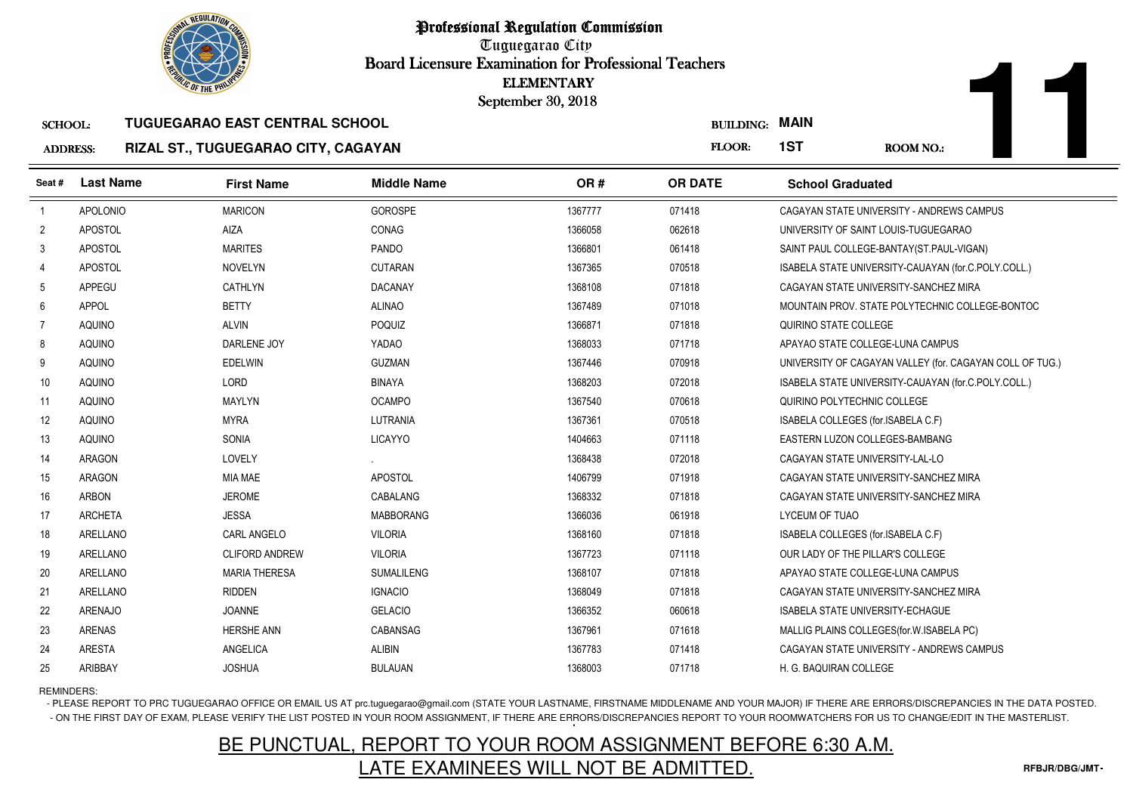

### SCHOOL:**TUGUEGARAO EAST CENTRAL SCHOOL**

### ADDRESS:**RIZAL ST., TUGUEGARAO CITY, CAGAYAN**

|                   | <b><i>OLIC OF THE PHILIP</i></b> |                                       |                    | <b>ELEMENTARY</b><br>September 30, 2018 |                  |                                                          |
|-------------------|----------------------------------|---------------------------------------|--------------------|-----------------------------------------|------------------|----------------------------------------------------------|
| <b>SCHOOL:</b>    |                                  | <b>TUGUEGARAO EAST CENTRAL SCHOOL</b> |                    |                                         | <b>BUILDING:</b> | <b>MAIN</b>                                              |
| <b>ADDRESS:</b>   |                                  | RIZAL ST., TUGUEGARAO CITY, CAGAYAN   |                    |                                         | FLOOR:           | 1ST<br><b>ROOM NO.:</b>                                  |
| Seat#             | <b>Last Name</b>                 | <b>First Name</b>                     | <b>Middle Name</b> | OR#                                     | <b>OR DATE</b>   | <b>School Graduated</b>                                  |
| $\mathbf{1}$      | APOLONIO                         | <b>MARICON</b>                        | GOROSPE            | 1367777                                 | 071418           | CAGAYAN STATE UNIVERSITY - ANDREWS CAMPUS                |
| $\overline{2}$    | APOSTOL                          | <b>AIZA</b>                           | CONAG              | 1366058                                 | 062618           | UNIVERSITY OF SAINT LOUIS-TUGUEGARAO                     |
| 3                 | <b>APOSTOL</b>                   | <b>MARITES</b>                        | PANDO              | 1366801                                 | 061418           | SAINT PAUL COLLEGE-BANTAY(ST.PAUL-VIGAN)                 |
| 4                 | APOSTOL                          | <b>NOVELYN</b>                        | <b>CUTARAN</b>     | 1367365                                 | 070518           | ISABELA STATE UNIVERSITY-CAUAYAN (for.C.POLY.COLL.)      |
| 5                 | APPEGU                           | CATHLYN                               | <b>DACANAY</b>     | 1368108                                 | 071818           | CAGAYAN STATE UNIVERSITY-SANCHEZ MIRA                    |
| 6                 | <b>APPOL</b>                     | <b>BETTY</b>                          | <b>ALINAO</b>      | 1367489                                 | 071018           | MOUNTAIN PROV. STATE POLYTECHNIC COLLEGE-BONTOC          |
| $\overline{7}$    | <b>AQUINO</b>                    | <b>ALVIN</b>                          | POQUIZ             | 1366871                                 | 071818           | QUIRINO STATE COLLEGE                                    |
| 8                 | <b>AQUINO</b>                    | DARLENE JOY                           | YADAO              | 1368033                                 | 071718           | APAYAO STATE COLLEGE-LUNA CAMPUS                         |
| 9                 | <b>AQUINO</b>                    | <b>EDELWIN</b>                        | <b>GUZMAN</b>      | 1367446                                 | 070918           | UNIVERSITY OF CAGAYAN VALLEY (for. CAGAYAN COLL OF TUG.) |
| 10                | <b>AQUINO</b>                    | LORD                                  | <b>BINAYA</b>      | 1368203                                 | 072018           | ISABELA STATE UNIVERSITY-CAUAYAN (for.C.POLY.COLL.)      |
| 11                | <b>AQUINO</b>                    | MAYLYN                                | <b>OCAMPO</b>      | 1367540                                 | 070618           | QUIRINO POLYTECHNIC COLLEGE                              |
| $12 \overline{ }$ | AQUINO                           | <b>MYRA</b>                           | <b>LUTRANIA</b>    | 1367361                                 | 070518           | ISABELA COLLEGES (for ISABELA C.F)                       |
| 13                | <b>AQUINO</b>                    | SONIA                                 | <b>LICAYYO</b>     | 1404663                                 | 071118           | EASTERN LUZON COLLEGES-BAMBANG                           |
| 14                | <b>ARAGON</b>                    | LOVELY                                |                    | 1368438                                 | 072018           | CAGAYAN STATE UNIVERSITY-LAL-LO                          |
| 15                | ARAGON                           | <b>MIA MAE</b>                        | APOSTOL            | 1406799                                 | 071918           | CAGAYAN STATE UNIVERSITY-SANCHEZ MIRA                    |
| 16                | ARBON                            | <b>JEROME</b>                         | CABALANG           | 1368332                                 | 071818           | CAGAYAN STATE UNIVERSITY-SANCHEZ MIRA                    |
| 17                | <b>ARCHETA</b>                   | <b>JESSA</b>                          | <b>MABBORANG</b>   | 1366036                                 | 061918           | LYCEUM OF TUAO                                           |
| 18                | ARELLANO                         | <b>CARL ANGELO</b>                    | <b>VILORIA</b>     | 1368160                                 | 071818           | ISABELA COLLEGES (for.ISABELA C.F)                       |
| 19                | ARELLANO                         | <b>CLIFORD ANDREW</b>                 | <b>VILORIA</b>     | 1367723                                 | 071118           | OUR LADY OF THE PILLAR'S COLLEGE                         |
| 20                | ARELLANO                         | <b>MARIA THERESA</b>                  | <b>SUMALILENG</b>  | 1368107                                 | 071818           | APAYAO STATE COLLEGE-LUNA CAMPUS                         |
| 21                | ARELLANO                         | <b>RIDDEN</b>                         | <b>IGNACIO</b>     | 1368049                                 | 071818           | CAGAYAN STATE UNIVERSITY-SANCHEZ MIRA                    |
| 22                | <b>ARENAJO</b>                   | <b>JOANNE</b>                         | <b>GELACIO</b>     | 1366352                                 | 060618           | <b>ISABELA STATE UNIVERSITY-ECHAGUE</b>                  |
| 23                | <b>ARENAS</b>                    | <b>HERSHE ANN</b>                     | CABANSAG           | 1367961                                 | 071618           | MALLIG PLAINS COLLEGES (for. W. ISABELA PC)              |
| 24                | <b>ARESTA</b>                    | ANGELICA                              | <b>ALIBIN</b>      | 1367783                                 | 071418           | CAGAYAN STATE UNIVERSITY - ANDREWS CAMPUS                |
| 25                | ARIBBAY                          | <b>JOSHUA</b>                         | <b>BULAUAN</b>     | 1368003                                 | 071718           | H. G. BAQUIRAN COLLEGE                                   |

REMINDERS:

- PLEASE REPORT TO PRC TUGUEGARAO OFFICE OR EMAIL US AT prc.tuguegarao@gmail.com (STATE YOUR LASTNAME, FIRSTNAME MIDDLENAME AND YOUR MAJOR) IF THERE ARE ERRORS/DISCREPANCIES IN THE DATA POSTED. - ON THE FIRST DAY OF EXAM, PLEASE VERIFY THE LIST POSTED IN YOUR ROOM ASSIGNMENT, IF THERE ARE ERRORS/DISCREPANCIES REPORT TO YOUR ROOMWATCHERS FOR US TO CHANGE/EDIT IN THE MASTERLIST.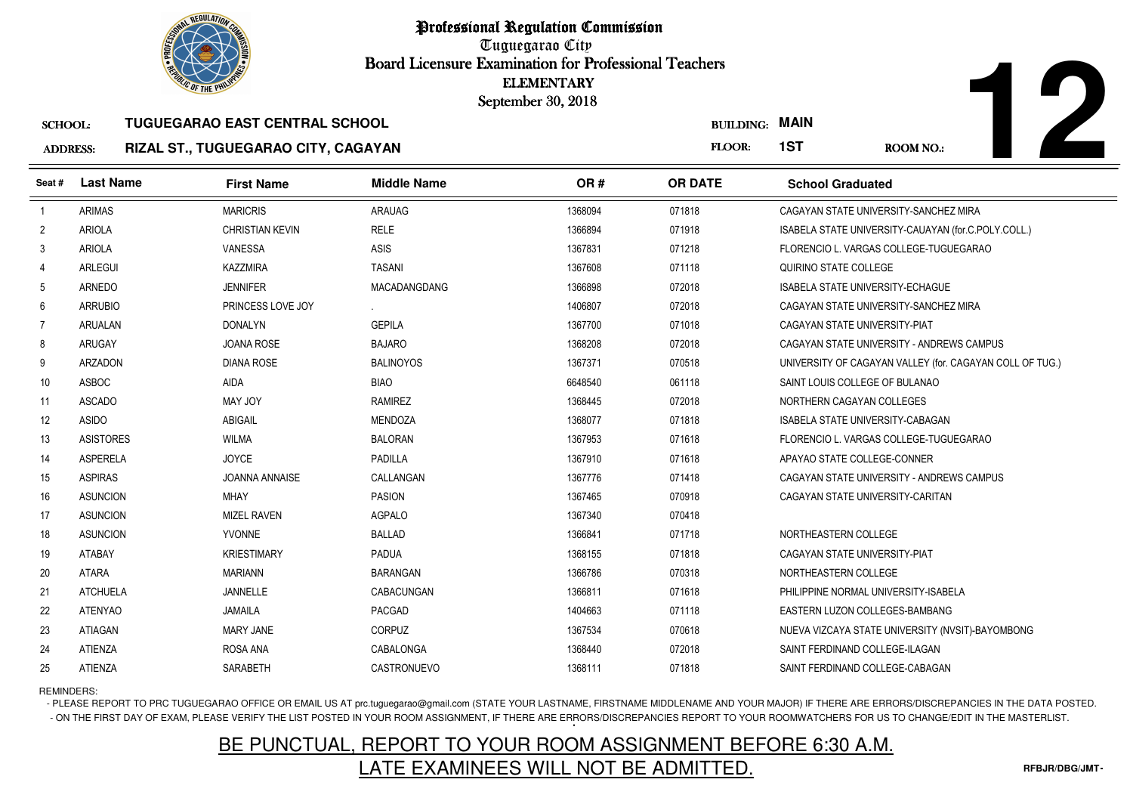

| <b>BUILDING:</b> | <b>MAIN</b> |
|------------------|-------------|
|------------------|-------------|

# SCHOOL: **TUGUEGARAO EAST CENTRAL SCHOOLRIZAL ST., TUGUEGARAO CITY, CAGAYAN**

|                                   | <b><i>OLIC OF THE PHILIP</i></b> |                                                                              |                     | <b>ELEMENTARY</b><br>September 30, 2018 |                            |                                                          |
|-----------------------------------|----------------------------------|------------------------------------------------------------------------------|---------------------|-----------------------------------------|----------------------------|----------------------------------------------------------|
| <b>SCHOOL:</b><br><b>ADDRESS:</b> |                                  | <b>TUGUEGARAO EAST CENTRAL SCHOOL</b><br>RIZAL ST., TUGUEGARAO CITY, CAGAYAN |                     |                                         | <b>BUILDING:</b><br>FLOOR: | <b>MAIN</b><br>1ST<br><b>ROOM NO.:</b>                   |
| Seat#                             | <b>Last Name</b>                 | <b>First Name</b>                                                            | <b>Middle Name</b>  | OR#                                     | <b>OR DATE</b>             | <b>School Graduated</b>                                  |
| $\overline{1}$                    | <b>ARIMAS</b>                    | <b>MARICRIS</b>                                                              | <b>ARAUAG</b>       | 1368094                                 | 071818                     | CAGAYAN STATE UNIVERSITY-SANCHEZ MIRA                    |
| $\overline{2}$                    | <b>ARIOLA</b>                    | <b>CHRISTIAN KEVIN</b>                                                       | <b>RELE</b>         | 1366894                                 | 071918                     | ISABELA STATE UNIVERSITY-CAUAYAN (for.C.POLY.COLL.)      |
| 3                                 | <b>ARIOLA</b>                    | <b>VANESSA</b>                                                               | ASIS                | 1367831                                 | 071218                     | FLORENCIO L. VARGAS COLLEGE-TUGUEGARAO                   |
| $\overline{4}$                    | <b>ARLEGUI</b>                   | <b>KAZZMIRA</b>                                                              | <b>TASANI</b>       | 1367608                                 | 071118                     | QUIRINO STATE COLLEGE                                    |
| 5                                 | ARNEDO                           | <b>JENNIFER</b>                                                              | <b>MACADANGDANG</b> | 1366898                                 | 072018                     | <b>ISABELA STATE UNIVERSITY-ECHAGUE</b>                  |
| 6                                 | <b>ARRUBIO</b>                   | PRINCESS LOVE JOY                                                            |                     | 1406807                                 | 072018                     | CAGAYAN STATE UNIVERSITY-SANCHEZ MIRA                    |
| 7                                 | <b>ARUALAN</b>                   | <b>DONALYN</b>                                                               | <b>GEPILA</b>       | 1367700                                 | 071018                     | CAGAYAN STATE UNIVERSITY-PIAT                            |
| 8                                 | <b>ARUGAY</b>                    | <b>JOANA ROSE</b>                                                            | <b>BAJARO</b>       | 1368208                                 | 072018                     | CAGAYAN STATE UNIVERSITY - ANDREWS CAMPUS                |
| 9                                 | <b>ARZADON</b>                   | <b>DIANA ROSE</b>                                                            | <b>BALINOYOS</b>    | 1367371                                 | 070518                     | UNIVERSITY OF CAGAYAN VALLEY (for. CAGAYAN COLL OF TUG.) |
| 10                                | <b>ASBOC</b>                     | AIDA                                                                         | <b>BIAO</b>         | 6648540                                 | 061118                     | SAINT LOUIS COLLEGE OF BULANAO                           |
| 11                                | <b>ASCADO</b>                    | MAY JOY                                                                      | <b>RAMIREZ</b>      | 1368445                                 | 072018                     | NORTHERN CAGAYAN COLLEGES                                |
| 12                                | <b>ASIDO</b>                     | <b>ABIGAIL</b>                                                               | <b>MENDOZA</b>      | 1368077                                 | 071818                     | ISABELA STATE UNIVERSITY-CABAGAN                         |
| 13                                | <b>ASISTORES</b>                 | <b>WILMA</b>                                                                 | <b>BALORAN</b>      | 1367953                                 | 071618                     | FLORENCIO L. VARGAS COLLEGE-TUGUEGARAO                   |
| 14                                | <b>ASPERELA</b>                  | <b>JOYCE</b>                                                                 | PADILLA             | 1367910                                 | 071618                     | APAYAO STATE COLLEGE-CONNER                              |
| 15                                | <b>ASPIRAS</b>                   | <b>JOANNA ANNAISE</b>                                                        | CALLANGAN           | 1367776                                 | 071418                     | CAGAYAN STATE UNIVERSITY - ANDREWS CAMPUS                |
| 16                                | <b>ASUNCION</b>                  | <b>MHAY</b>                                                                  | <b>PASION</b>       | 1367465                                 | 070918                     | CAGAYAN STATE UNIVERSITY-CARITAN                         |
| 17                                | <b>ASUNCION</b>                  | <b>MIZEL RAVEN</b>                                                           | <b>AGPALO</b>       | 1367340                                 | 070418                     |                                                          |
| 18                                | <b>ASUNCION</b>                  | YVONNE                                                                       | <b>BALLAD</b>       | 1366841                                 | 071718                     | NORTHEASTERN COLLEGE                                     |
| 19                                | ATABAY                           | <b>KRIESTIMARY</b>                                                           | <b>PADUA</b>        | 1368155                                 | 071818                     | CAGAYAN STATE UNIVERSITY-PIAT                            |
| 20                                | <b>ATARA</b>                     | <b>MARIANN</b>                                                               | <b>BARANGAN</b>     | 1366786                                 | 070318                     | NORTHEASTERN COLLEGE                                     |
| 21                                | <b>ATCHUELA</b>                  | JANNELLE                                                                     | CABACUNGAN          | 1366811                                 | 071618                     | PHILIPPINE NORMAL UNIVERSITY-ISABELA                     |
| 22                                | <b>ATENYAO</b>                   | <b>JAMAILA</b>                                                               | PACGAD              | 1404663                                 | 071118                     | EASTERN LUZON COLLEGES-BAMBANG                           |
| 23                                | <b>ATIAGAN</b>                   | <b>MARY JANE</b>                                                             | CORPUZ              | 1367534                                 | 070618                     | NUEVA VIZCAYA STATE UNIVERSITY (NVSIT)-BAYOMBONG         |
| 24                                | ATIENZA                          | ROSA ANA                                                                     | CABALONGA           | 1368440                                 | 072018                     | SAINT FERDINAND COLLEGE-ILAGAN                           |
| 25                                | ATIENZA                          | SARABETH                                                                     | CASTRONUEVO         | 1368111                                 | 071818                     | SAINT FERDINAND COLLEGE-CABAGAN                          |

REMINDERS:

- PLEASE REPORT TO PRC TUGUEGARAO OFFICE OR EMAIL US AT prc.tuguegarao@gmail.com (STATE YOUR LASTNAME, FIRSTNAME MIDDLENAME AND YOUR MAJOR) IF THERE ARE ERRORS/DISCREPANCIES IN THE DATA POSTED. - ON THE FIRST DAY OF EXAM, PLEASE VERIFY THE LIST POSTED IN YOUR ROOM ASSIGNMENT, IF THERE ARE ERRORS/DISCREPANCIES REPORT TO YOUR ROOMWATCHERS FOR US TO CHANGE/EDIT IN THE MASTERLIST.

# BE PUNCTUAL, REPORT TO YOUR ROOM ASSIGNMENT BEFORE 6:30 A.M.LATE EXAMINEES WILL NOT BE ADMITTED.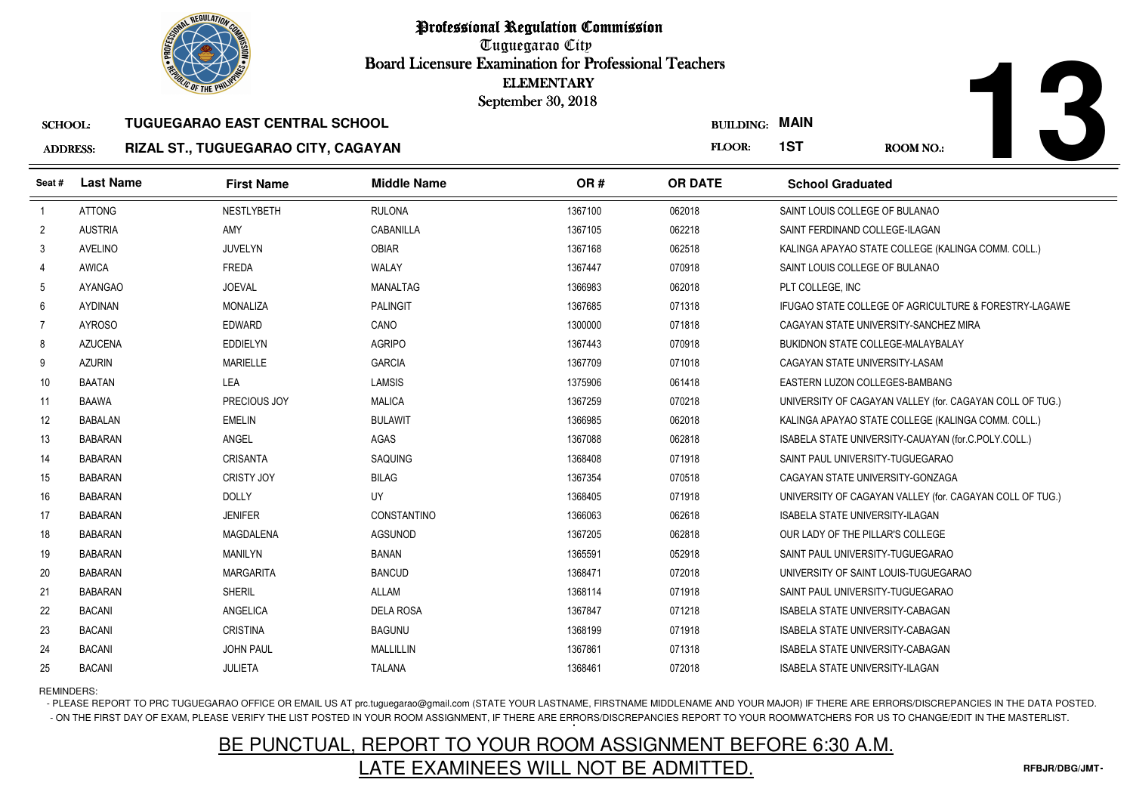

# **13**

### SCHOOL:**TUGUEGARAO EAST CENTRAL SCHOOL**

### ADDRESS:**RIZAL ST., TUGUEGARAO CITY, CAGAYAN**

|                 | <b>OLIC OF THE PHILIP</b> |                                       |                    | <b>ELEMENTARY</b><br>September 30, 2018 |                       |                         |                                                          |
|-----------------|---------------------------|---------------------------------------|--------------------|-----------------------------------------|-----------------------|-------------------------|----------------------------------------------------------|
| <b>SCHOOL:</b>  |                           | <b>TUGUEGARAO EAST CENTRAL SCHOOL</b> |                    |                                         | <b>BUILDING: MAIN</b> |                         |                                                          |
| <b>ADDRESS:</b> |                           | RIZAL ST., TUGUEGARAO CITY, CAGAYAN   |                    |                                         | FLOOR:                | 1ST                     | ROOM NO.:                                                |
| Seat #          | <b>Last Name</b>          | <b>First Name</b>                     | <b>Middle Name</b> | OR#                                     | <b>OR DATE</b>        | <b>School Graduated</b> |                                                          |
| $\overline{1}$  | <b>ATTONG</b>             | <b>NESTLYBETH</b>                     | <b>RULONA</b>      | 1367100                                 | 062018                |                         | SAINT LOUIS COLLEGE OF BULANAO                           |
| $\overline{c}$  | <b>AUSTRIA</b>            | AMY                                   | CABANILLA          | 1367105                                 | 062218                |                         | SAINT FERDINAND COLLEGE-ILAGAN                           |
| 3               | AVELINO                   | <b>JUVELYN</b>                        | <b>OBIAR</b>       | 1367168                                 | 062518                |                         | KALINGA APAYAO STATE COLLEGE (KALINGA COMM. COLL.)       |
| 4               | <b>AWICA</b>              | <b>FREDA</b>                          | WALAY              | 1367447                                 | 070918                |                         | SAINT LOUIS COLLEGE OF BULANAO                           |
| 5               | <b>AYANGAO</b>            | <b>JOEVAL</b>                         | MANALTAG           | 1366983                                 | 062018                | PLT COLLEGE, INC        |                                                          |
| 6               | <b>AYDINAN</b>            | <b>MONALIZA</b>                       | <b>PALINGIT</b>    | 1367685                                 | 071318                |                         | IFUGAO STATE COLLEGE OF AGRICULTURE & FORESTRY-LAGAWE    |
| $\overline{7}$  | <b>AYROSO</b>             | <b>EDWARD</b>                         | CANO               | 1300000                                 | 071818                |                         | CAGAYAN STATE UNIVERSITY-SANCHEZ MIRA                    |
| 8               | <b>AZUCENA</b>            | <b>EDDIELYN</b>                       | <b>AGRIPO</b>      | 1367443                                 | 070918                |                         | BUKIDNON STATE COLLEGE-MALAYBALAY                        |
| 9               | <b>AZURIN</b>             | <b>MARIELLE</b>                       | <b>GARCIA</b>      | 1367709                                 | 071018                |                         | CAGAYAN STATE UNIVERSITY-LASAM                           |
| 10              | <b>BAATAN</b>             | <b>LEA</b>                            | <b>LAMSIS</b>      | 1375906                                 | 061418                |                         | EASTERN LUZON COLLEGES-BAMBANG                           |
| 11              | <b>BAAWA</b>              | PRECIOUS JOY                          | <b>MALICA</b>      | 1367259                                 | 070218                |                         | UNIVERSITY OF CAGAYAN VALLEY (for. CAGAYAN COLL OF TUG.) |
| 12              | <b>BABALAN</b>            | <b>EMELIN</b>                         | <b>BULAWIT</b>     | 1366985                                 | 062018                |                         | KALINGA APAYAO STATE COLLEGE (KALINGA COMM. COLL.)       |
| 13              | <b>BABARAN</b>            | ANGEL                                 | AGAS               | 1367088                                 | 062818                |                         | ISABELA STATE UNIVERSITY-CAUAYAN (for C.POLY.COLL.)      |
| 14              | <b>BABARAN</b>            | <b>CRISANTA</b>                       | SAQUING            | 1368408                                 | 071918                |                         | SAINT PAUL UNIVERSITY-TUGUEGARAO                         |
| 15              | <b>BABARAN</b>            | <b>CRISTY JOY</b>                     | <b>BILAG</b>       | 1367354                                 | 070518                |                         | CAGAYAN STATE UNIVERSITY-GONZAGA                         |
| 16              | <b>BABARAN</b>            | <b>DOLLY</b>                          | UY                 | 1368405                                 | 071918                |                         | UNIVERSITY OF CAGAYAN VALLEY (for. CAGAYAN COLL OF TUG.) |
| 17              | <b>BABARAN</b>            | <b>JENIFER</b>                        | CONSTANTINO        | 1366063                                 | 062618                |                         | <b>ISABELA STATE UNIVERSITY-ILAGAN</b>                   |
| 18              | <b>BABARAN</b>            | MAGDALENA                             | <b>AGSUNOD</b>     | 1367205                                 | 062818                |                         | OUR LADY OF THE PILLAR'S COLLEGE                         |
| 19              | <b>BABARAN</b>            | <b>MANILYN</b>                        | <b>BANAN</b>       | 1365591                                 | 052918                |                         | SAINT PAUL UNIVERSITY-TUGUEGARAO                         |
| 20              | <b>BABARAN</b>            | <b>MARGARITA</b>                      | <b>BANCUD</b>      | 1368471                                 | 072018                |                         | UNIVERSITY OF SAINT LOUIS-TUGUEGARAO                     |
| 21              | <b>BABARAN</b>            | <b>SHERIL</b>                         | <b>ALLAM</b>       | 1368114                                 | 071918                |                         | SAINT PAUL UNIVERSITY-TUGUEGARAO                         |
| 22              | <b>BACANI</b>             | ANGELICA                              | <b>DELA ROSA</b>   | 1367847                                 | 071218                |                         | ISABELA STATE UNIVERSITY-CABAGAN                         |
| 23              | <b>BACANI</b>             | <b>CRISTINA</b>                       | <b>BAGUNU</b>      | 1368199                                 | 071918                |                         | <b>ISABELA STATE UNIVERSITY-CABAGAN</b>                  |
| 24              | <b>BACANI</b>             | <b>JOHN PAUL</b>                      | <b>MALLILLIN</b>   | 1367861                                 | 071318                |                         | ISABELA STATE UNIVERSITY-CABAGAN                         |
| 25              | <b>BACANI</b>             | <b>JULIETA</b>                        | <b>TALANA</b>      | 1368461                                 | 072018                |                         | ISABELA STATE UNIVERSITY-ILAGAN                          |

# REMINDERS:

- PLEASE REPORT TO PRC TUGUEGARAO OFFICE OR EMAIL US AT prc.tuguegarao@gmail.com (STATE YOUR LASTNAME, FIRSTNAME MIDDLENAME AND YOUR MAJOR) IF THERE ARE ERRORS/DISCREPANCIES IN THE DATA POSTED. - ON THE FIRST DAY OF EXAM, PLEASE VERIFY THE LIST POSTED IN YOUR ROOM ASSIGNMENT, IF THERE ARE ERRORS/DISCREPANCIES REPORT TO YOUR ROOMWATCHERS FOR US TO CHANGE/EDIT IN THE MASTERLIST.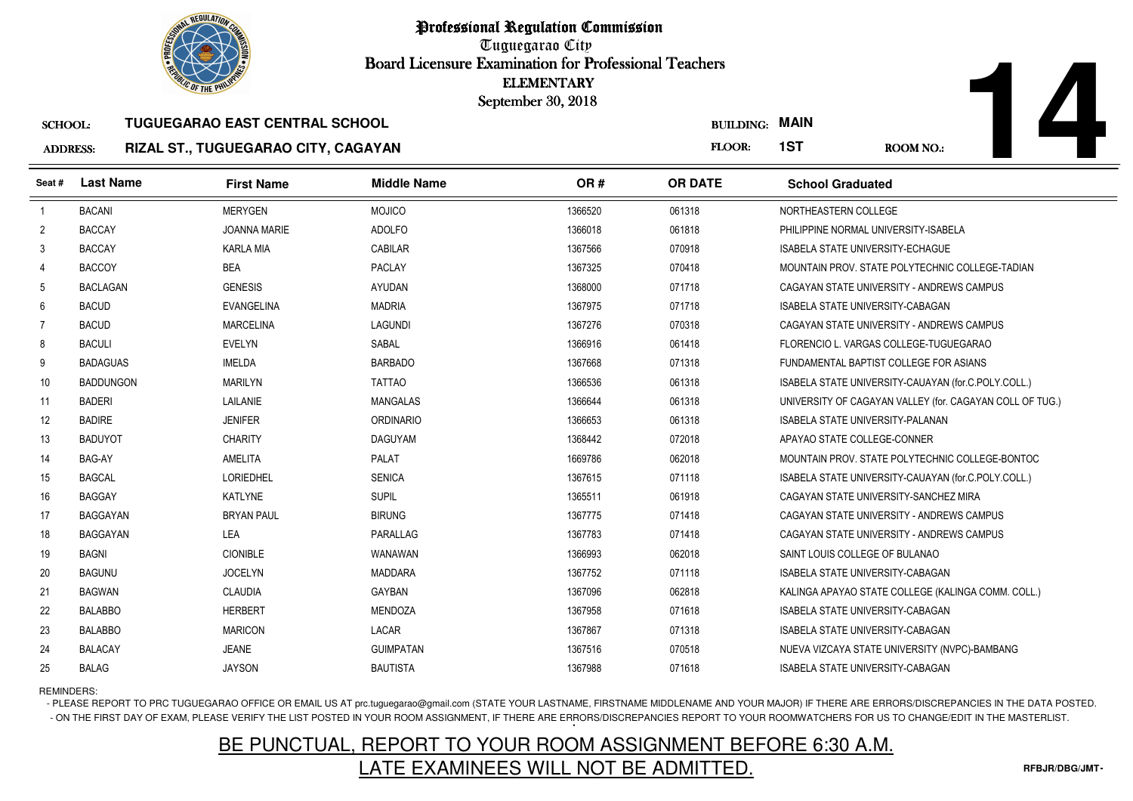

# SCHOOL:**TUGUEGARAO EAST CENTRAL SCHOOL**

### ADDRESS:**RIZAL ST., TUGUEGARAO CITY, CAGAYAN**

|                 | <b><i>OLIC OF THE PHILIP</i></b> |                                       |                    | <b>ELEMENTARY</b><br>September 30, 2018 |                  |                                                          |  |
|-----------------|----------------------------------|---------------------------------------|--------------------|-----------------------------------------|------------------|----------------------------------------------------------|--|
| <b>SCHOOL:</b>  |                                  | <b>TUGUEGARAO EAST CENTRAL SCHOOL</b> |                    |                                         | <b>BUILDING:</b> | <b>MAIN</b>                                              |  |
| <b>ADDRESS:</b> |                                  | RIZAL ST., TUGUEGARAO CITY, CAGAYAN   |                    |                                         | FLOOR:           | 1ST<br><b>ROOM NO.:</b>                                  |  |
| Seat#           | <b>Last Name</b>                 | <b>First Name</b>                     | <b>Middle Name</b> | OR#                                     | <b>OR DATE</b>   | <b>School Graduated</b>                                  |  |
| $\overline{1}$  | <b>BACANI</b>                    | <b>MERYGEN</b>                        | <b>MOJICO</b>      | 1366520                                 | 061318           | NORTHEASTERN COLLEGE                                     |  |
| $\overline{2}$  | <b>BACCAY</b>                    | <b>JOANNA MARIE</b>                   | <b>ADOLFO</b>      | 1366018                                 | 061818           | PHILIPPINE NORMAL UNIVERSITY-ISABELA                     |  |
| 3               | <b>BACCAY</b>                    | <b>KARLA MIA</b>                      | <b>CABILAR</b>     | 1367566                                 | 070918           | ISABELA STATE UNIVERSITY-ECHAGUE                         |  |
| 4               | <b>BACCOY</b>                    | <b>BEA</b>                            | <b>PACLAY</b>      | 1367325                                 | 070418           | MOUNTAIN PROV. STATE POLYTECHNIC COLLEGE-TADIAN          |  |
| 5               | <b>BACLAGAN</b>                  | <b>GENESIS</b>                        | AYUDAN             | 1368000                                 | 071718           | CAGAYAN STATE UNIVERSITY - ANDREWS CAMPUS                |  |
| 6               | <b>BACUD</b>                     | <b>EVANGELINA</b>                     | <b>MADRIA</b>      | 1367975                                 | 071718           | ISABELA STATE UNIVERSITY-CABAGAN                         |  |
| $\overline{7}$  | <b>BACUD</b>                     | <b>MARCELINA</b>                      | <b>LAGUNDI</b>     | 1367276                                 | 070318           | CAGAYAN STATE UNIVERSITY - ANDREWS CAMPUS                |  |
| 8               | <b>BACULI</b>                    | <b>EVELYN</b>                         | SABAL              | 1366916                                 | 061418           | FLORENCIO L. VARGAS COLLEGE-TUGUEGARAO                   |  |
| 9               | <b>BADAGUAS</b>                  | <b>IMELDA</b>                         | <b>BARBADO</b>     | 1367668                                 | 071318           | FUNDAMENTAL BAPTIST COLLEGE FOR ASIANS                   |  |
| 10              | <b>BADDUNGON</b>                 | <b>MARILYN</b>                        | <b>TATTAO</b>      | 1366536                                 | 061318           | ISABELA STATE UNIVERSITY-CAUAYAN (for.C.POLY.COLL.)      |  |
| 11              | <b>BADERI</b>                    | LAILANIE                              | MANGALAS           | 1366644                                 | 061318           | UNIVERSITY OF CAGAYAN VALLEY (for. CAGAYAN COLL OF TUG.) |  |
| 12              | <b>BADIRE</b>                    | <b>JENIFER</b>                        | <b>ORDINARIO</b>   | 1366653                                 | 061318           | <b>ISABELA STATE UNIVERSITY-PALANAN</b>                  |  |
| 13              | <b>BADUYOT</b>                   | <b>CHARITY</b>                        | <b>DAGUYAM</b>     | 1368442                                 | 072018           | APAYAO STATE COLLEGE-CONNER                              |  |
| 14              | BAG-AY                           | AMELITA                               | <b>PALAT</b>       | 1669786                                 | 062018           | MOUNTAIN PROV. STATE POLYTECHNIC COLLEGE-BONTOC          |  |
| 15              | <b>BAGCAL</b>                    | <b>LORIEDHEL</b>                      | <b>SENICA</b>      | 1367615                                 | 071118           | ISABELA STATE UNIVERSITY-CAUAYAN (for.C.POLY.COLL.)      |  |
| 16              | <b>BAGGAY</b>                    | KATLYNE                               | <b>SUPIL</b>       | 1365511                                 | 061918           | CAGAYAN STATE UNIVERSITY-SANCHEZ MIRA                    |  |
| 17              | <b>BAGGAYAN</b>                  | <b>BRYAN PAUL</b>                     | <b>BIRUNG</b>      | 1367775                                 | 071418           | CAGAYAN STATE UNIVERSITY - ANDREWS CAMPUS                |  |
| 18              | <b>BAGGAYAN</b>                  | LEA                                   | PARALLAG           | 1367783                                 | 071418           | CAGAYAN STATE UNIVERSITY - ANDREWS CAMPUS                |  |
| 19              | <b>BAGNI</b>                     | <b>CIONIBLE</b>                       | WANAWAN            | 1366993                                 | 062018           | SAINT LOUIS COLLEGE OF BULANAO                           |  |
| 20              | <b>BAGUNU</b>                    | <b>JOCELYN</b>                        | MADDARA            | 1367752                                 | 071118           | ISABELA STATE UNIVERSITY-CABAGAN                         |  |
| 21              | <b>BAGWAN</b>                    | <b>CLAUDIA</b>                        | GAYBAN             | 1367096                                 | 062818           | KALINGA APAYAO STATE COLLEGE (KALINGA COMM. COLL.)       |  |
| 22              | <b>BALABBO</b>                   | <b>HERBERT</b>                        | MENDOZA            | 1367958                                 | 071618           | ISABELA STATE UNIVERSITY-CABAGAN                         |  |
| 23              | <b>BALABBO</b>                   | <b>MARICON</b>                        | LACAR              | 1367867                                 | 071318           | ISABELA STATE UNIVERSITY-CABAGAN                         |  |
| 24              | <b>BALACAY</b>                   | <b>JEANE</b>                          | <b>GUIMPATAN</b>   | 1367516                                 | 070518           | NUEVA VIZCAYA STATE UNIVERSITY (NVPC)-BAMBANG            |  |
| 25              | <b>BALAG</b>                     | <b>JAYSON</b>                         | <b>BAUTISTA</b>    | 1367988                                 | 071618           | ISABELA STATE UNIVERSITY-CABAGAN                         |  |

# REMINDERS:

- PLEASE REPORT TO PRC TUGUEGARAO OFFICE OR EMAIL US AT prc.tuguegarao@gmail.com (STATE YOUR LASTNAME, FIRSTNAME MIDDLENAME AND YOUR MAJOR) IF THERE ARE ERRORS/DISCREPANCIES IN THE DATA POSTED. - ON THE FIRST DAY OF EXAM, PLEASE VERIFY THE LIST POSTED IN YOUR ROOM ASSIGNMENT, IF THERE ARE ERRORS/DISCREPANCIES REPORT TO YOUR ROOMWATCHERS FOR US TO CHANGE/EDIT IN THE MASTERLIST.

# BE PUNCTUAL, REPORT TO YOUR ROOM ASSIGNMENT BEFORE 6:30 A.M.LATE EXAMINEES WILL NOT BE ADMITTED.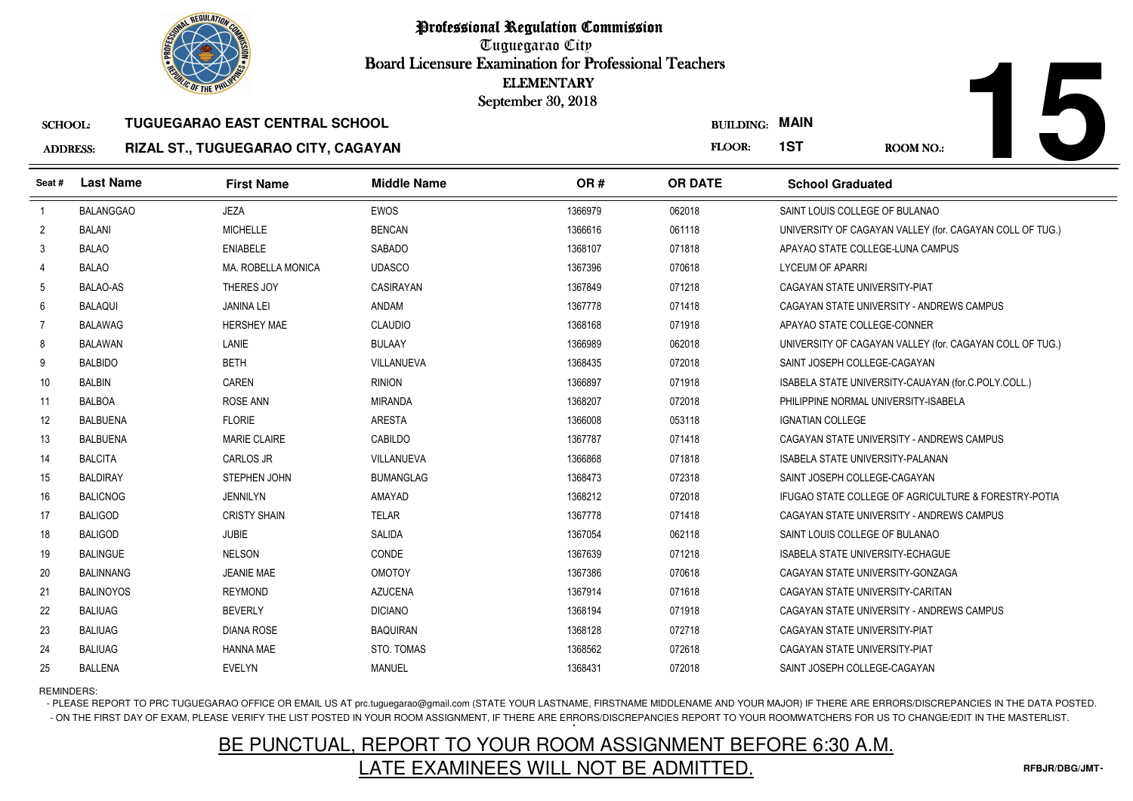

| n n n a a |  |
|-----------|--|

### SCHOOL:**TUGUEGARAO EAST CENTRAL SCHOOL**

### ADDRESS:**RIZAL ST., TUGUEGARAO CITY, CAGAYAN**

|                 |                  |                                       |                    | <b>ELEMENTARY</b><br>September 30, 2018 |                  |                                                          |
|-----------------|------------------|---------------------------------------|--------------------|-----------------------------------------|------------------|----------------------------------------------------------|
| <b>SCHOOL:</b>  |                  | <b>TUGUEGARAO EAST CENTRAL SCHOOL</b> |                    |                                         | <b>BUILDING:</b> | <b>MAIN</b>                                              |
| <b>ADDRESS:</b> |                  | RIZAL ST., TUGUEGARAO CITY, CAGAYAN   |                    |                                         | FLOOR:           | 1ST<br><b>ROOM NO.:</b>                                  |
| Seat #          | <b>Last Name</b> | <b>First Name</b>                     | <b>Middle Name</b> | OR#                                     | <b>OR DATE</b>   | <b>School Graduated</b>                                  |
| $\overline{1}$  | <b>BALANGGAO</b> | <b>JEZA</b>                           | <b>EWOS</b>        | 1366979                                 | 062018           | SAINT LOUIS COLLEGE OF BULANAO                           |
| 2               | <b>BALANI</b>    | <b>MICHELLE</b>                       | <b>BENCAN</b>      | 1366616                                 | 061118           | UNIVERSITY OF CAGAYAN VALLEY (for. CAGAYAN COLL OF TUG.) |
| 3               | <b>BALAO</b>     | <b>ENIABELE</b>                       | SABADO             | 1368107                                 | 071818           | APAYAO STATE COLLEGE-LUNA CAMPUS                         |
| 4               | <b>BALAO</b>     | <b>MA, ROBELLA MONICA</b>             | <b>UDASCO</b>      | 1367396                                 | 070618           | <b>LYCEUM OF APARRI</b>                                  |
| 5               | <b>BALAO-AS</b>  | THERES JOY                            | CASIRAYAN          | 1367849                                 | 071218           | CAGAYAN STATE UNIVERSITY-PIAT                            |
| 6               | <b>BALAQUI</b>   | <b>JANINA LEI</b>                     | ANDAM              | 1367778                                 | 071418           | CAGAYAN STATE UNIVERSITY - ANDREWS CAMPUS                |
| 7               | <b>BALAWAG</b>   | <b>HERSHEY MAE</b>                    | <b>CLAUDIO</b>     | 1368168                                 | 071918           | APAYAO STATE COLLEGE-CONNER                              |
| 8               | <b>BALAWAN</b>   | <b>LANIE</b>                          | <b>BULAAY</b>      | 1366989                                 | 062018           | UNIVERSITY OF CAGAYAN VALLEY (for. CAGAYAN COLL OF TUG.) |
| 9               | <b>BALBIDO</b>   | <b>BETH</b>                           | VILLANUEVA         | 1368435                                 | 072018           | SAINT JOSEPH COLLEGE-CAGAYAN                             |
| 10              | <b>BALBIN</b>    | <b>CAREN</b>                          | <b>RINION</b>      | 1366897                                 | 071918           | ISABELA STATE UNIVERSITY-CAUAYAN (for.C.POLY.COLL.)      |
| 11              | <b>BALBOA</b>    | <b>ROSE ANN</b>                       | MIRANDA            | 1368207                                 | 072018           | PHILIPPINE NORMAL UNIVERSITY-ISABELA                     |
| 12              | <b>BALBUENA</b>  | <b>FLORIE</b>                         | <b>ARESTA</b>      | 1366008                                 | 053118           | <b>IGNATIAN COLLEGE</b>                                  |
| 13              | <b>BALBUENA</b>  | <b>MARIE CLAIRE</b>                   | CABILDO            | 1367787                                 | 071418           | CAGAYAN STATE UNIVERSITY - ANDREWS CAMPUS                |
| 14              | <b>BALCITA</b>   | CARLOS JR                             | VILLANUEVA         | 1366868                                 | 071818           | ISABELA STATE UNIVERSITY-PALANAN                         |
| 15              | <b>BALDIRAY</b>  | STEPHEN JOHN                          | <b>BUMANGLAG</b>   | 1368473                                 | 072318           | SAINT JOSEPH COLLEGE-CAGAYAN                             |
| 16              | <b>BALICNOG</b>  | <b>JENNILYN</b>                       | AMAYAD             | 1368212                                 | 072018           | IFUGAO STATE COLLEGE OF AGRICULTURE & FORESTRY-POTIA     |
| 17              | <b>BALIGOD</b>   | <b>CRISTY SHAIN</b>                   | <b>TELAR</b>       | 1367778                                 | 071418           | CAGAYAN STATE UNIVERSITY - ANDREWS CAMPUS                |
| 18              | <b>BALIGOD</b>   | <b>JUBIE</b>                          | SALIDA             | 1367054                                 | 062118           | SAINT LOUIS COLLEGE OF BULANAO                           |
| 19              | <b>BALINGUE</b>  | <b>NELSON</b>                         | CONDE              | 1367639                                 | 071218           | ISABELA STATE UNIVERSITY-ECHAGUE                         |
| 20              | <b>BALINNANG</b> | <b>JEANIE MAE</b>                     | <b>OMOTOY</b>      | 1367386                                 | 070618           | CAGAYAN STATE UNIVERSITY-GONZAGA                         |
| 21              | <b>BALINOYOS</b> | <b>REYMOND</b>                        | <b>AZUCENA</b>     | 1367914                                 | 071618           | CAGAYAN STATE UNIVERSITY-CARITAN                         |
| 22              | <b>BALIUAG</b>   | <b>BEVERLY</b>                        | <b>DICIANO</b>     | 1368194                                 | 071918           | CAGAYAN STATE UNIVERSITY - ANDREWS CAMPUS                |
| 23              | <b>BALIUAG</b>   | <b>DIANA ROSE</b>                     | <b>BAQUIRAN</b>    | 1368128                                 | 072718           | CAGAYAN STATE UNIVERSITY-PIAT                            |
| 24              | <b>BALIUAG</b>   | <b>HANNA MAE</b>                      | STO. TOMAS         | 1368562                                 | 072618           | CAGAYAN STATE UNIVERSITY-PIAT                            |
| 25              | <b>BALLENA</b>   | <b>EVELYN</b>                         | <b>MANUEL</b>      | 1368431                                 | 072018           | SAINT JOSEPH COLLEGE-CAGAYAN                             |

# REMINDERS:

- PLEASE REPORT TO PRC TUGUEGARAO OFFICE OR EMAIL US AT prc.tuguegarao@gmail.com (STATE YOUR LASTNAME, FIRSTNAME MIDDLENAME AND YOUR MAJOR) IF THERE ARE ERRORS/DISCREPANCIES IN THE DATA POSTED. - ON THE FIRST DAY OF EXAM, PLEASE VERIFY THE LIST POSTED IN YOUR ROOM ASSIGNMENT, IF THERE ARE ERRORS/DISCREPANCIES REPORT TO YOUR ROOMWATCHERS FOR US TO CHANGE/EDIT IN THE MASTERLIST.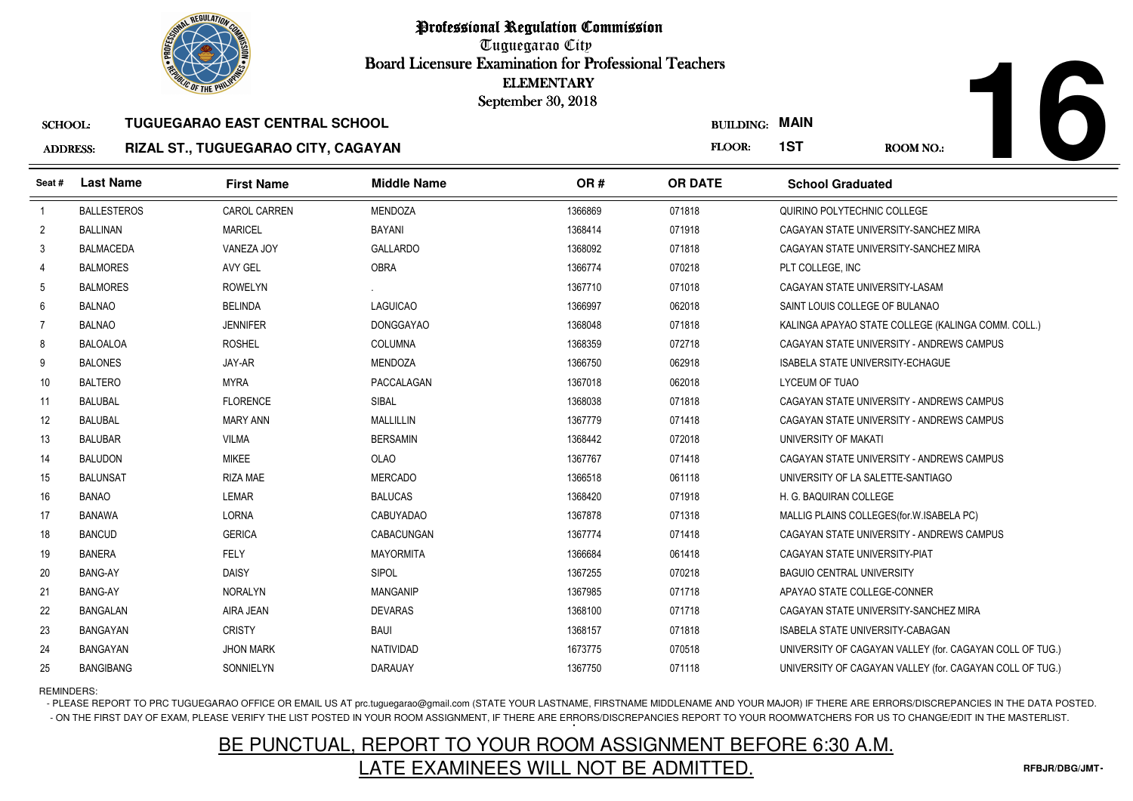

## SCHOOL:**TUGUEGARAO EAST CENTRAL SCHOOL**

### ADDRESS:**RIZAL ST., TUGUEGARAO CITY, CAGAYAN**

**16**

|                    | <b><i>OLIC OF THE PHILIP</i></b>  |                    | <b>ELEMENTARY</b><br>September 30, 2018                                      |                       |                                                          |
|--------------------|-----------------------------------|--------------------|------------------------------------------------------------------------------|-----------------------|----------------------------------------------------------|
|                    |                                   |                    |                                                                              | <b>BUILDING: MAIN</b> |                                                          |
|                    |                                   |                    |                                                                              | FLOOR:                | 1ST<br><b>ROOM NO.:</b>                                  |
| <b>Last Name</b>   | <b>First Name</b>                 | <b>Middle Name</b> | OR#                                                                          | <b>OR DATE</b>        | <b>School Graduated</b>                                  |
| <b>BALLESTEROS</b> | <b>CAROL CARREN</b>               | <b>MENDOZA</b>     | 1366869                                                                      | 071818                | QUIRINO POLYTECHNIC COLLEGE                              |
| <b>BALLINAN</b>    | <b>MARICEL</b>                    | <b>BAYANI</b>      | 1368414                                                                      | 071918                | CAGAYAN STATE UNIVERSITY-SANCHEZ MIRA                    |
| <b>BALMACEDA</b>   | VANEZA JOY                        | <b>GALLARDO</b>    | 1368092                                                                      | 071818                | CAGAYAN STATE UNIVERSITY-SANCHEZ MIRA                    |
| <b>BALMORES</b>    | AVY GEL                           | <b>OBRA</b>        | 1366774                                                                      | 070218                | PLT COLLEGE, INC                                         |
| <b>BALMORES</b>    | <b>ROWELYN</b>                    |                    | 1367710                                                                      | 071018                | CAGAYAN STATE UNIVERSITY-LASAM                           |
| <b>BALNAO</b>      | <b>BELINDA</b>                    | <b>LAGUICAO</b>    | 1366997                                                                      | 062018                | SAINT LOUIS COLLEGE OF BULANAO                           |
| <b>BALNAO</b>      | <b>JENNIFER</b>                   | <b>DONGGAYAO</b>   | 1368048                                                                      | 071818                | KALINGA APAYAO STATE COLLEGE (KALINGA COMM. COLL.)       |
| <b>BALOALOA</b>    | <b>ROSHEL</b>                     | <b>COLUMNA</b>     | 1368359                                                                      | 072718                | CAGAYAN STATE UNIVERSITY - ANDREWS CAMPUS                |
| <b>BALONES</b>     | JAY-AR                            | <b>MENDOZA</b>     | 1366750                                                                      | 062918                | ISABELA STATE UNIVERSITY-ECHAGUE                         |
| <b>BALTERO</b>     | <b>MYRA</b>                       | PACCALAGAN         | 1367018                                                                      | 062018                | LYCEUM OF TUAO                                           |
| <b>BALUBAL</b>     | <b>FLORENCE</b>                   | SIBAL              | 1368038                                                                      | 071818                | CAGAYAN STATE UNIVERSITY - ANDREWS CAMPUS                |
| <b>BALUBAL</b>     | <b>MARY ANN</b>                   | MALLILLIN          | 1367779                                                                      | 071418                | CAGAYAN STATE UNIVERSITY - ANDREWS CAMPUS                |
| <b>BALUBAR</b>     | <b>VILMA</b>                      | <b>BERSAMIN</b>    | 1368442                                                                      | 072018                | UNIVERSITY OF MAKATI                                     |
| <b>BALUDON</b>     | <b>MIKEE</b>                      | <b>OLAO</b>        | 1367767                                                                      | 071418                | CAGAYAN STATE UNIVERSITY - ANDREWS CAMPUS                |
| <b>BALUNSAT</b>    | <b>RIZA MAE</b>                   | <b>MERCADO</b>     | 1366518                                                                      | 061118                | UNIVERSITY OF LA SALETTE-SANTIAGO                        |
| <b>BANAO</b>       | <b>LEMAR</b>                      | <b>BALUCAS</b>     | 1368420                                                                      | 071918                | H. G. BAQUIRAN COLLEGE                                   |
| BANAWA             | <b>LORNA</b>                      | <b>CABUYADAO</b>   | 1367878                                                                      | 071318                | MALLIG PLAINS COLLEGES (for. W. ISABELA PC)              |
| <b>BANCUD</b>      | <b>GERICA</b>                     | CABACUNGAN         | 1367774                                                                      | 071418                | CAGAYAN STATE UNIVERSITY - ANDREWS CAMPUS                |
| <b>BANERA</b>      | FELY                              | <b>MAYORMITA</b>   | 1366684                                                                      | 061418                | CAGAYAN STATE UNIVERSITY-PIAT                            |
| <b>BANG-AY</b>     | <b>DAISY</b>                      | SIPOL              | 1367255                                                                      | 070218                | <b>BAGUIO CENTRAL UNIVERSITY</b>                         |
| <b>BANG-AY</b>     | <b>NORALYN</b>                    | <b>MANGANIP</b>    | 1367985                                                                      | 071718                | APAYAO STATE COLLEGE-CONNER                              |
| <b>BANGALAN</b>    | AIRA JEAN                         | <b>DEVARAS</b>     | 1368100                                                                      | 071718                | CAGAYAN STATE UNIVERSITY-SANCHEZ MIRA                    |
| <b>BANGAYAN</b>    | <b>CRISTY</b>                     | <b>BAUI</b>        | 1368157                                                                      | 071818                | ISABELA STATE UNIVERSITY-CABAGAN                         |
| BANGAYAN           | <b>JHON MARK</b>                  | <b>NATIVIDAD</b>   | 1673775                                                                      | 070518                | UNIVERSITY OF CAGAYAN VALLEY (for. CAGAYAN COLL OF TUG.) |
| <b>BANGIBANG</b>   | SONNIELYN                         | <b>DARAUAY</b>     | 1367750                                                                      | 071118                | UNIVERSITY OF CAGAYAN VALLEY (for. CAGAYAN COLL OF TUG.) |
|                    | <b>SCHOOL:</b><br><b>ADDRESS:</b> |                    | TUGUEGARAO EAST CENTRAL SCHOOL<br><b>RIZAL ST., TUGUEGARAO CITY, CAGAYAN</b> |                       |                                                          |

REMINDERS:

- PLEASE REPORT TO PRC TUGUEGARAO OFFICE OR EMAIL US AT prc.tuguegarao@gmail.com (STATE YOUR LASTNAME, FIRSTNAME MIDDLENAME AND YOUR MAJOR) IF THERE ARE ERRORS/DISCREPANCIES IN THE DATA POSTED. - ON THE FIRST DAY OF EXAM, PLEASE VERIFY THE LIST POSTED IN YOUR ROOM ASSIGNMENT, IF THERE ARE ERRORS/DISCREPANCIES REPORT TO YOUR ROOMWATCHERS FOR US TO CHANGE/EDIT IN THE MASTERLIST.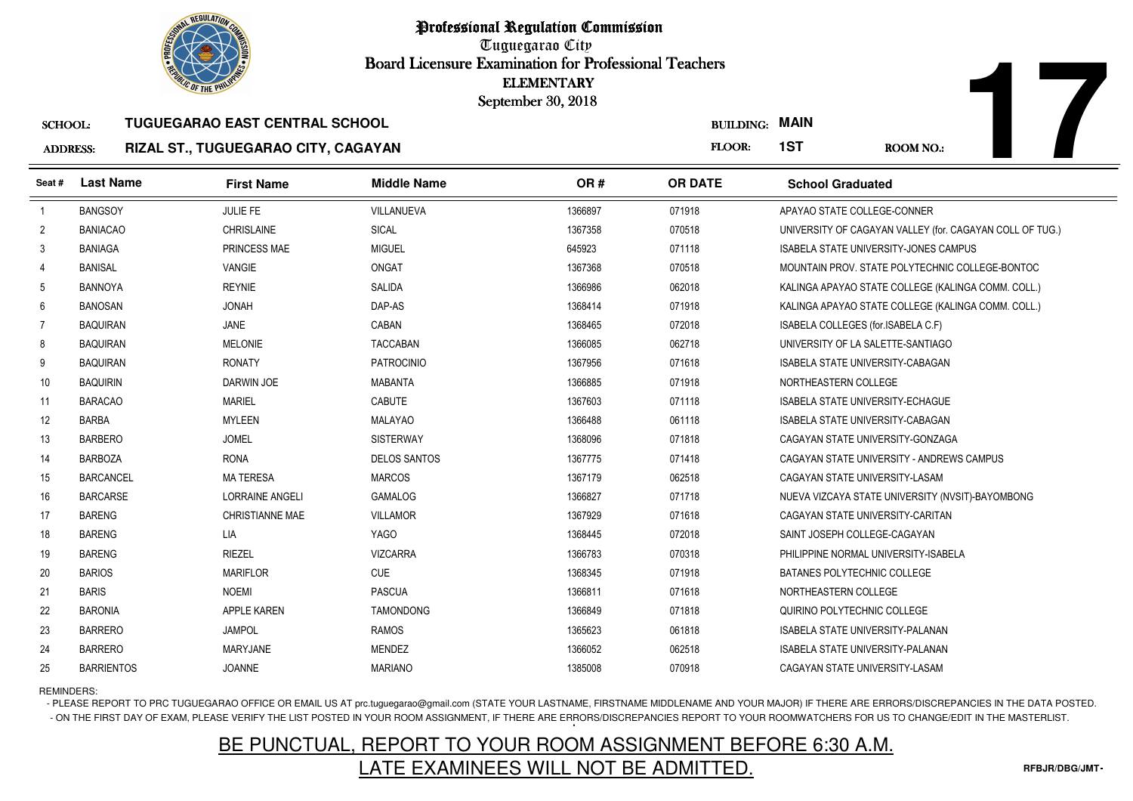

## ADDRESS:**RIZAL ST., TUGUEGARAO CITY, CAGAYAN**

|                 | <b><i>OLIC OF THE PHILIP</i></b> |                                       |                     | <b>ELEMENTARY</b><br>September 30, 2018 |                       |                                                          |
|-----------------|----------------------------------|---------------------------------------|---------------------|-----------------------------------------|-----------------------|----------------------------------------------------------|
| <b>SCHOOL:</b>  |                                  | <b>TUGUEGARAO EAST CENTRAL SCHOOL</b> |                     |                                         | <b>BUILDING: MAIN</b> |                                                          |
| <b>ADDRESS:</b> |                                  | RIZAL ST., TUGUEGARAO CITY, CAGAYAN   |                     |                                         | FLOOR:                | 1ST<br>ROOM NO.:                                         |
| Seat#           | <b>Last Name</b>                 | <b>First Name</b>                     | <b>Middle Name</b>  | OR#                                     | <b>OR DATE</b>        | <b>School Graduated</b>                                  |
| $\overline{1}$  | <b>BANGSOY</b>                   | JULIE FE                              | <b>VILLANUEVA</b>   | 1366897                                 | 071918                | APAYAO STATE COLLEGE-CONNER                              |
| $\overline{2}$  | <b>BANIACAO</b>                  | <b>CHRISLAINE</b>                     | <b>SICAL</b>        | 1367358                                 | 070518                | UNIVERSITY OF CAGAYAN VALLEY (for. CAGAYAN COLL OF TUG.) |
| 3               | <b>BANIAGA</b>                   | PRINCESS MAE                          | <b>MIGUEL</b>       | 645923                                  | 071118                | <b>ISABELA STATE UNIVERSITY-JONES CAMPUS</b>             |
| 4               | <b>BANISAL</b>                   | <b>VANGIE</b>                         | <b>ONGAT</b>        | 1367368                                 | 070518                | MOUNTAIN PROV. STATE POLYTECHNIC COLLEGE-BONTOC          |
| 5               | <b>BANNOYA</b>                   | <b>REYNIE</b>                         | SALIDA              | 1366986                                 | 062018                | KALINGA APAYAO STATE COLLEGE (KALINGA COMM. COLL.)       |
| 6               | <b>BANOSAN</b>                   | <b>JONAH</b>                          | DAP-AS              | 1368414                                 | 071918                | KALINGA APAYAO STATE COLLEGE (KALINGA COMM. COLL.)       |
| -7              | <b>BAQUIRAN</b>                  | JANE                                  | CABAN               | 1368465                                 | 072018                | ISABELA COLLEGES (for ISABELA C.F)                       |
| 8               | <b>BAQUIRAN</b>                  | <b>MELONIE</b>                        | <b>TACCABAN</b>     | 1366085                                 | 062718                | UNIVERSITY OF LA SALETTE-SANTIAGO                        |
| 9               | <b>BAQUIRAN</b>                  | <b>RONATY</b>                         | <b>PATROCINIO</b>   | 1367956                                 | 071618                | ISABELA STATE UNIVERSITY-CABAGAN                         |
| 10              | <b>BAQUIRIN</b>                  | DARWIN JOE                            | <b>MABANTA</b>      | 1366885                                 | 071918                | NORTHEASTERN COLLEGE                                     |
| 11              | <b>BARACAO</b>                   | <b>MARIEL</b>                         | CABUTE              | 1367603                                 | 071118                | <b>ISABELA STATE UNIVERSITY-ECHAGUE</b>                  |
| 12              | <b>BARBA</b>                     | <b>MYLEEN</b>                         | <b>MALAYAO</b>      | 1366488                                 | 061118                | ISABELA STATE UNIVERSITY-CABAGAN                         |
| 13              | <b>BARBERO</b>                   | <b>JOMEL</b>                          | <b>SISTERWAY</b>    | 1368096                                 | 071818                | CAGAYAN STATE UNIVERSITY-GONZAGA                         |
| 14              | <b>BARBOZA</b>                   | <b>RONA</b>                           | <b>DELOS SANTOS</b> | 1367775                                 | 071418                | CAGAYAN STATE UNIVERSITY - ANDREWS CAMPUS                |
| 15              | <b>BARCANCEL</b>                 | <b>MA TERESA</b>                      | <b>MARCOS</b>       | 1367179                                 | 062518                | CAGAYAN STATE UNIVERSITY-LASAM                           |
| 16              | <b>BARCARSE</b>                  | <b>LORRAINE ANGELI</b>                | <b>GAMALOG</b>      | 1366827                                 | 071718                | NUEVA VIZCAYA STATE UNIVERSITY (NVSIT)-BAYOMBONG         |
| 17              | <b>BARENG</b>                    | <b>CHRISTIANNE MAE</b>                | <b>VILLAMOR</b>     | 1367929                                 | 071618                | CAGAYAN STATE UNIVERSITY-CARITAN                         |
| 18              | <b>BARENG</b>                    | <b>LIA</b>                            | <b>YAGO</b>         | 1368445                                 | 072018                | SAINT JOSEPH COLLEGE-CAGAYAN                             |
| 19              | <b>BARENG</b>                    | <b>RIEZEL</b>                         | <b>VIZCARRA</b>     | 1366783                                 | 070318                | PHILIPPINE NORMAL UNIVERSITY-ISABELA                     |
| 20              | <b>BARIOS</b>                    | <b>MARIFLOR</b>                       | <b>CUE</b>          | 1368345                                 | 071918                | BATANES POLYTECHNIC COLLEGE                              |
| 21              | <b>BARIS</b>                     | <b>NOEMI</b>                          | <b>PASCUA</b>       | 1366811                                 | 071618                | NORTHEASTERN COLLEGE                                     |
| 22              | <b>BARONIA</b>                   | APPLE KAREN                           | <b>TAMONDONG</b>    | 1366849                                 | 071818                | QUIRINO POLYTECHNIC COLLEGE                              |
| 23              | <b>BARRERO</b>                   | <b>JAMPOL</b>                         | <b>RAMOS</b>        | 1365623                                 | 061818                | ISABELA STATE UNIVERSITY-PALANAN                         |
| 24              | <b>BARRERO</b>                   | <b>MARYJANE</b>                       | <b>MENDEZ</b>       | 1366052                                 | 062518                | ISABELA STATE UNIVERSITY-PALANAN                         |
| 25              | <b>BARRIENTOS</b>                | <b>JOANNE</b>                         | <b>MARIANO</b>      | 1385008                                 | 070918                | CAGAYAN STATE UNIVERSITY-LASAM                           |

# REMINDERS:

- PLEASE REPORT TO PRC TUGUEGARAO OFFICE OR EMAIL US AT prc.tuguegarao@gmail.com (STATE YOUR LASTNAME, FIRSTNAME MIDDLENAME AND YOUR MAJOR) IF THERE ARE ERRORS/DISCREPANCIES IN THE DATA POSTED. - ON THE FIRST DAY OF EXAM, PLEASE VERIFY THE LIST POSTED IN YOUR ROOM ASSIGNMENT, IF THERE ARE ERRORS/DISCREPANCIES REPORT TO YOUR ROOMWATCHERS FOR US TO CHANGE/EDIT IN THE MASTERLIST.

# BE PUNCTUAL, REPORT TO YOUR ROOM ASSIGNMENT BEFORE 6:30 A.M.LATE EXAMINEES WILL NOT BE ADMITTED.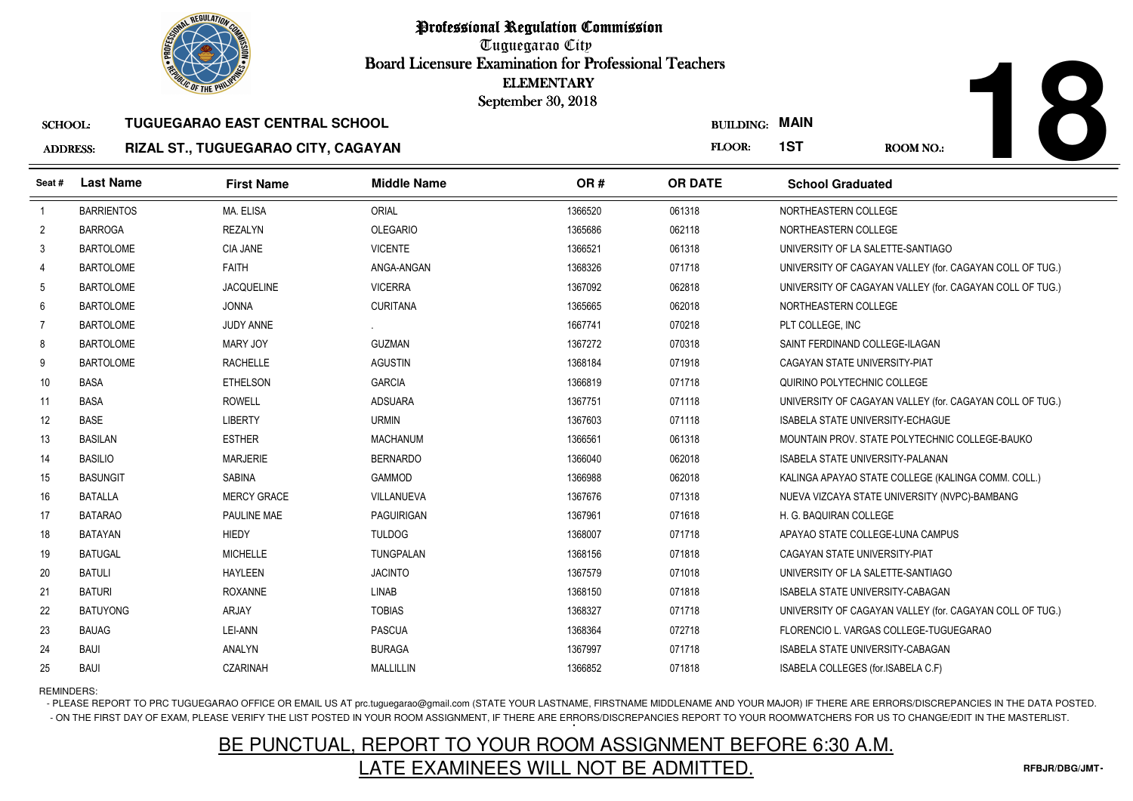

# **18**

### SCHOOL:**TUGUEGARAO EAST CENTRAL SCHOOL**

### ADDRESS:**RIZAL ST., TUGUEGARAO CITY, CAGAYAN**

|                 | <b>OLIC OF THE PHILIP</b> |                                            |                    | <b>ELEMENTARY</b><br>September 30, 2018 |                  |                                                          |
|-----------------|---------------------------|--------------------------------------------|--------------------|-----------------------------------------|------------------|----------------------------------------------------------|
| <b>SCHOOL:</b>  |                           | <b>TUGUEGARAO EAST CENTRAL SCHOOL</b>      |                    |                                         | <b>BUILDING:</b> | <b>MAIN</b>                                              |
| <b>ADDRESS:</b> |                           | <b>RIZAL ST., TUGUEGARAO CITY, CAGAYAN</b> |                    |                                         | FLOOR:           | 1ST<br><b>ROOM NO.:</b>                                  |
| Seat#           | <b>Last Name</b>          | <b>First Name</b>                          | <b>Middle Name</b> | OR#                                     | <b>OR DATE</b>   | <b>School Graduated</b>                                  |
| $\overline{1}$  | <b>BARRIENTOS</b>         | MA. ELISA                                  | <b>ORIAL</b>       | 1366520                                 | 061318           | NORTHEASTERN COLLEGE                                     |
| $\overline{2}$  | <b>BARROGA</b>            | <b>REZALYN</b>                             | <b>OLEGARIO</b>    | 1365686                                 | 062118           | NORTHEASTERN COLLEGE                                     |
| 3               | <b>BARTOLOME</b>          | <b>CIA JANE</b>                            | <b>VICENTE</b>     | 1366521                                 | 061318           | UNIVERSITY OF LA SALETTE-SANTIAGO                        |
|                 | <b>BARTOLOME</b>          | <b>FAITH</b>                               | ANGA-ANGAN         | 1368326                                 | 071718           | UNIVERSITY OF CAGAYAN VALLEY (for. CAGAYAN COLL OF TUG.) |
| 5               | <b>BARTOLOME</b>          | <b>JACQUELINE</b>                          | <b>VICERRA</b>     | 1367092                                 | 062818           | UNIVERSITY OF CAGAYAN VALLEY (for. CAGAYAN COLL OF TUG.) |
| 6               | <b>BARTOLOME</b>          | <b>JONNA</b>                               | <b>CURITANA</b>    | 1365665                                 | 062018           | NORTHEASTERN COLLEGE                                     |
| $\overline{7}$  | <b>BARTOLOME</b>          | <b>JUDY ANNE</b>                           |                    | 1667741                                 | 070218           | PLT COLLEGE. INC                                         |
| 8               | <b>BARTOLOME</b>          | MARY JOY                                   | <b>GUZMAN</b>      | 1367272                                 | 070318           | SAINT FERDINAND COLLEGE-ILAGAN                           |
| 9               | <b>BARTOLOME</b>          | <b>RACHELLE</b>                            | <b>AGUSTIN</b>     | 1368184                                 | 071918           | CAGAYAN STATE UNIVERSITY-PIAT                            |
| 10              | <b>BASA</b>               | <b>ETHELSON</b>                            | <b>GARCIA</b>      | 1366819                                 | 071718           | QUIRINO POLYTECHNIC COLLEGE                              |
| 11              | <b>BASA</b>               | <b>ROWELL</b>                              | <b>ADSUARA</b>     | 1367751                                 | 071118           | UNIVERSITY OF CAGAYAN VALLEY (for. CAGAYAN COLL OF TUG.) |
| 12              | <b>BASE</b>               | <b>LIBERTY</b>                             | <b>URMIN</b>       | 1367603                                 | 071118           | <b>ISABELA STATE UNIVERSITY-ECHAGUE</b>                  |
| 13              | <b>BASILAN</b>            | <b>ESTHER</b>                              | MACHANUM           | 1366561                                 | 061318           | MOUNTAIN PROV. STATE POLYTECHNIC COLLEGE-BAUKO           |
| 14              | <b>BASILIO</b>            | <b>MARJERIE</b>                            | <b>BERNARDO</b>    | 1366040                                 | 062018           | ISABELA STATE UNIVERSITY-PALANAN                         |
| 15              | <b>BASUNGIT</b>           | <b>SABINA</b>                              | <b>GAMMOD</b>      | 1366988                                 | 062018           | KALINGA APAYAO STATE COLLEGE (KALINGA COMM. COLL.)       |
| 16              | <b>BATALLA</b>            | <b>MERCY GRACE</b>                         | VILLANUEVA         | 1367676                                 | 071318           | NUEVA VIZCAYA STATE UNIVERSITY (NVPC)-BAMBANG            |
| 17              | <b>BATARAO</b>            | PAULINE MAE                                | PAGUIRIGAN         | 1367961                                 | 071618           | H. G. BAQUIRAN COLLEGE                                   |
| 18              | <b>BATAYAN</b>            | <b>HIEDY</b>                               | <b>TULDOG</b>      | 1368007                                 | 071718           | APAYAO STATE COLLEGE-LUNA CAMPUS                         |
| 19              | <b>BATUGAL</b>            | <b>MICHELLE</b>                            | <b>TUNGPALAN</b>   | 1368156                                 | 071818           | CAGAYAN STATE UNIVERSITY-PIAT                            |
| 20              | <b>BATULI</b>             | <b>HAYLEEN</b>                             | <b>JACINTO</b>     | 1367579                                 | 071018           | UNIVERSITY OF LA SALETTE-SANTIAGO                        |
| 21              | <b>BATURI</b>             | <b>ROXANNE</b>                             | <b>LINAB</b>       | 1368150                                 | 071818           | ISABELA STATE UNIVERSITY-CABAGAN                         |
| 22              | <b>BATUYONG</b>           | ARJAY                                      | <b>TOBIAS</b>      | 1368327                                 | 071718           | UNIVERSITY OF CAGAYAN VALLEY (for. CAGAYAN COLL OF TUG.) |
| 23              | <b>BAUAG</b>              | LEI-ANN                                    | <b>PASCUA</b>      | 1368364                                 | 072718           | FLORENCIO L. VARGAS COLLEGE-TUGUEGARAO                   |
| 24              | <b>BAUI</b>               | <b>ANALYN</b>                              | <b>BURAGA</b>      | 1367997                                 | 071718           | <b>ISABELA STATE UNIVERSITY-CABAGAN</b>                  |
| 25              | BAUI                      | <b>CZARINAH</b>                            | <b>MALLILLIN</b>   | 1366852                                 | 071818           | ISABELA COLLEGES (for.ISABELA C.F)                       |

REMINDERS:

- PLEASE REPORT TO PRC TUGUEGARAO OFFICE OR EMAIL US AT prc.tuguegarao@gmail.com (STATE YOUR LASTNAME, FIRSTNAME MIDDLENAME AND YOUR MAJOR) IF THERE ARE ERRORS/DISCREPANCIES IN THE DATA POSTED. - ON THE FIRST DAY OF EXAM, PLEASE VERIFY THE LIST POSTED IN YOUR ROOM ASSIGNMENT, IF THERE ARE ERRORS/DISCREPANCIES REPORT TO YOUR ROOMWATCHERS FOR US TO CHANGE/EDIT IN THE MASTERLIST.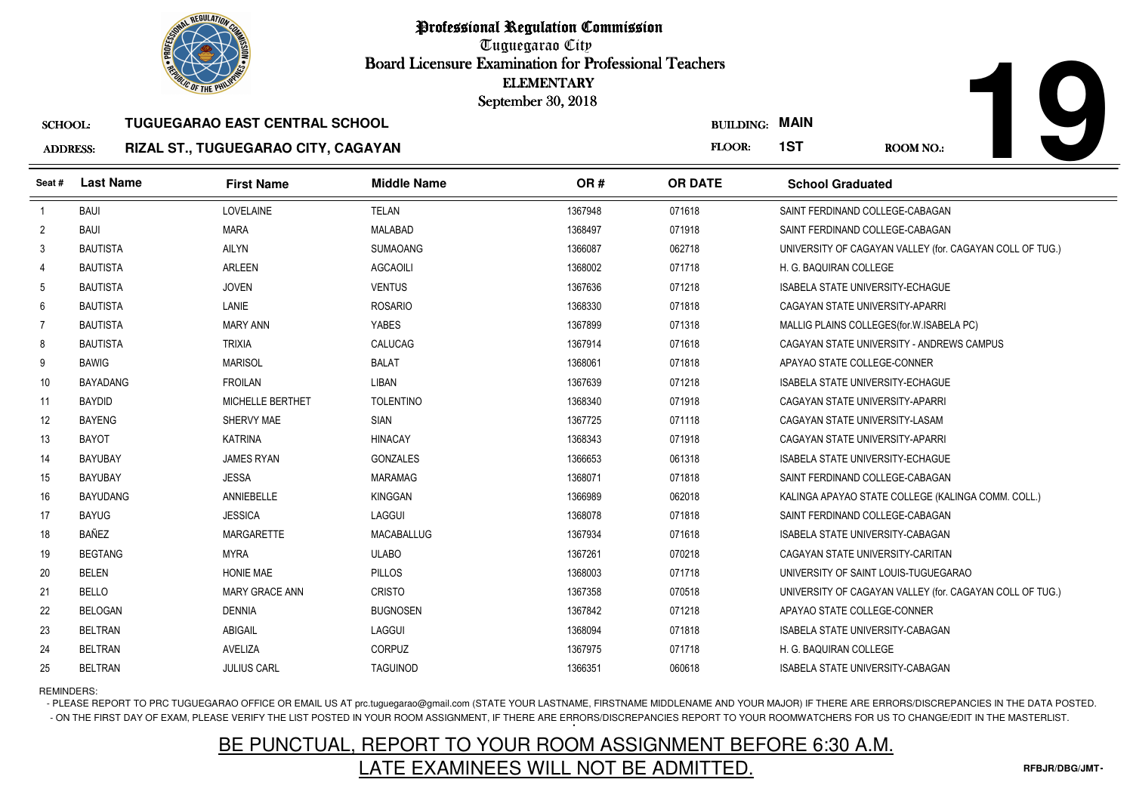

## ADDRESS:**RIZAL ST., TUGUEGARAO CITY, CAGAYAN**

**First Name**

**TUGUEGARAO EAST CENTRAL SCHOOL**

**Middle Name**

**Last Name**

SCHOOL:

| ELEMENTARY<br>ember 30, 2018 | <b>BUILDING: MAIN</b> |                                 |
|------------------------------|-----------------------|---------------------------------|
|                              | FLOOR:                | 1ST<br>ROOM NO.:                |
| OR#                          | <b>OR DATE</b>        | <b>School Graduated</b>         |
| 1367948                      | 071618                | SAINT FERDINAND COLLEGE-CABAGAN |
| 1368497                      | 071918                | SAINT FERDINAND COLLEGE-CABAGAN |

10

| Seat#          | <b>Last Name</b> | <b>First Name</b>       | <b>Middle Name</b> | OR#     | <b>OR DATE</b> | <b>School Graduated</b>                                  |
|----------------|------------------|-------------------------|--------------------|---------|----------------|----------------------------------------------------------|
| $\mathbf{1}$   | <b>BAUI</b>      | LOVELAINE               | <b>TELAN</b>       | 1367948 | 071618         | SAINT FERDINAND COLLEGE-CABAGAN                          |
| $\overline{2}$ | <b>BAUI</b>      | <b>MARA</b>             | MALABAD            | 1368497 | 071918         | SAINT FERDINAND COLLEGE-CABAGAN                          |
| 3              | <b>BAUTISTA</b>  | <b>AILYN</b>            | <b>SUMAOANG</b>    | 1366087 | 062718         | UNIVERSITY OF CAGAYAN VALLEY (for. CAGAYAN COLL OF TUG.) |
| 4              | <b>BAUTISTA</b>  | <b>ARLEEN</b>           | <b>AGCAOILI</b>    | 1368002 | 071718         | H. G. BAQUIRAN COLLEGE                                   |
| 5              | <b>BAUTISTA</b>  | <b>JOVEN</b>            | <b>VENTUS</b>      | 1367636 | 071218         | <b>ISABELA STATE UNIVERSITY-ECHAGUE</b>                  |
| 6              | <b>BAUTISTA</b>  | LANIE                   | <b>ROSARIO</b>     | 1368330 | 071818         | CAGAYAN STATE UNIVERSITY-APARRI                          |
| $\overline{7}$ | <b>BAUTISTA</b>  | <b>MARY ANN</b>         | YABES              | 1367899 | 071318         | MALLIG PLAINS COLLEGES (for. W. ISABELA PC)              |
| 8              | <b>BAUTISTA</b>  | <b>TRIXIA</b>           | CALUCAG            | 1367914 | 071618         | CAGAYAN STATE UNIVERSITY - ANDREWS CAMPUS                |
| 9              | <b>BAWIG</b>     | <b>MARISOL</b>          | <b>BALAT</b>       | 1368061 | 071818         | APAYAO STATE COLLEGE-CONNER                              |
| 10             | <b>BAYADANG</b>  | <b>FROILAN</b>          | LIBAN              | 1367639 | 071218         | <b>ISABELA STATE UNIVERSITY-ECHAGUE</b>                  |
| 11             | <b>BAYDID</b>    | <b>MICHELLE BERTHET</b> | <b>TOLENTINO</b>   | 1368340 | 071918         | CAGAYAN STATE UNIVERSITY-APARRI                          |
| 12             | <b>BAYENG</b>    | SHERVY MAE              | <b>SIAN</b>        | 1367725 | 071118         | CAGAYAN STATE UNIVERSITY-LASAM                           |
| 13             | <b>BAYOT</b>     | <b>KATRINA</b>          | <b>HINACAY</b>     | 1368343 | 071918         | CAGAYAN STATE UNIVERSITY-APARRI                          |
| 14             | <b>BAYUBAY</b>   | <b>JAMES RYAN</b>       | <b>GONZALES</b>    | 1366653 | 061318         | <b>ISABELA STATE UNIVERSITY-ECHAGUE</b>                  |
| 15             | <b>BAYUBAY</b>   | <b>JESSA</b>            | MARAMAG            | 1368071 | 071818         | SAINT FERDINAND COLLEGE-CABAGAN                          |
| 16             | <b>BAYUDANG</b>  | ANNIEBELLE              | <b>KINGGAN</b>     | 1366989 | 062018         | KALINGA APAYAO STATE COLLEGE (KALINGA COMM. COLL.)       |
| 17             | <b>BAYUG</b>     | <b>JESSICA</b>          | LAGGUI             | 1368078 | 071818         | SAINT FERDINAND COLLEGE-CABAGAN                          |
| 18             | BAÑEZ            | <b>MARGARETTE</b>       | <b>MACABALLUG</b>  | 1367934 | 071618         | <b>ISABELA STATE UNIVERSITY-CABAGAN</b>                  |
| 19             | <b>BEGTANG</b>   | <b>MYRA</b>             | <b>ULABO</b>       | 1367261 | 070218         | CAGAYAN STATE UNIVERSITY-CARITAN                         |
| 20             | <b>BELEN</b>     | <b>HONIE MAE</b>        | <b>PILLOS</b>      | 1368003 | 071718         | UNIVERSITY OF SAINT LOUIS-TUGUEGARAO                     |
| 21             | <b>BELLO</b>     | <b>MARY GRACE ANN</b>   | <b>CRISTO</b>      | 1367358 | 070518         | UNIVERSITY OF CAGAYAN VALLEY (for. CAGAYAN COLL OF TUG.) |
| 22             | <b>BELOGAN</b>   | <b>DENNIA</b>           | <b>BUGNOSEN</b>    | 1367842 | 071218         | APAYAO STATE COLLEGE-CONNER                              |
| 23             | <b>BELTRAN</b>   | <b>ABIGAIL</b>          | LAGGUI             | 1368094 | 071818         | <b>ISABELA STATE UNIVERSITY-CABAGAN</b>                  |
| 24             | <b>BELTRAN</b>   | AVELIZA                 | CORPUZ             | 1367975 | 071718         | H. G. BAQUIRAN COLLEGE                                   |
| 25             | <b>BELTRAN</b>   | <b>JULIUS CARL</b>      | <b>TAGUINOD</b>    | 1366351 | 060618         | <b>ISABELA STATE UNIVERSITY-CABAGAN</b>                  |

REMINDERS:

- PLEASE REPORT TO PRC TUGUEGARAO OFFICE OR EMAIL US AT prc.tuguegarao@gmail.com (STATE YOUR LASTNAME, FIRSTNAME MIDDLENAME AND YOUR MAJOR) IF THERE ARE ERRORS/DISCREPANCIES IN THE DATA POSTED. - ON THE FIRST DAY OF EXAM, PLEASE VERIFY THE LIST POSTED IN YOUR ROOM ASSIGNMENT, IF THERE ARE ERRORS/DISCREPANCIES REPORT TO YOUR ROOMWATCHERS FOR US TO CHANGE/EDIT IN THE MASTERLIST.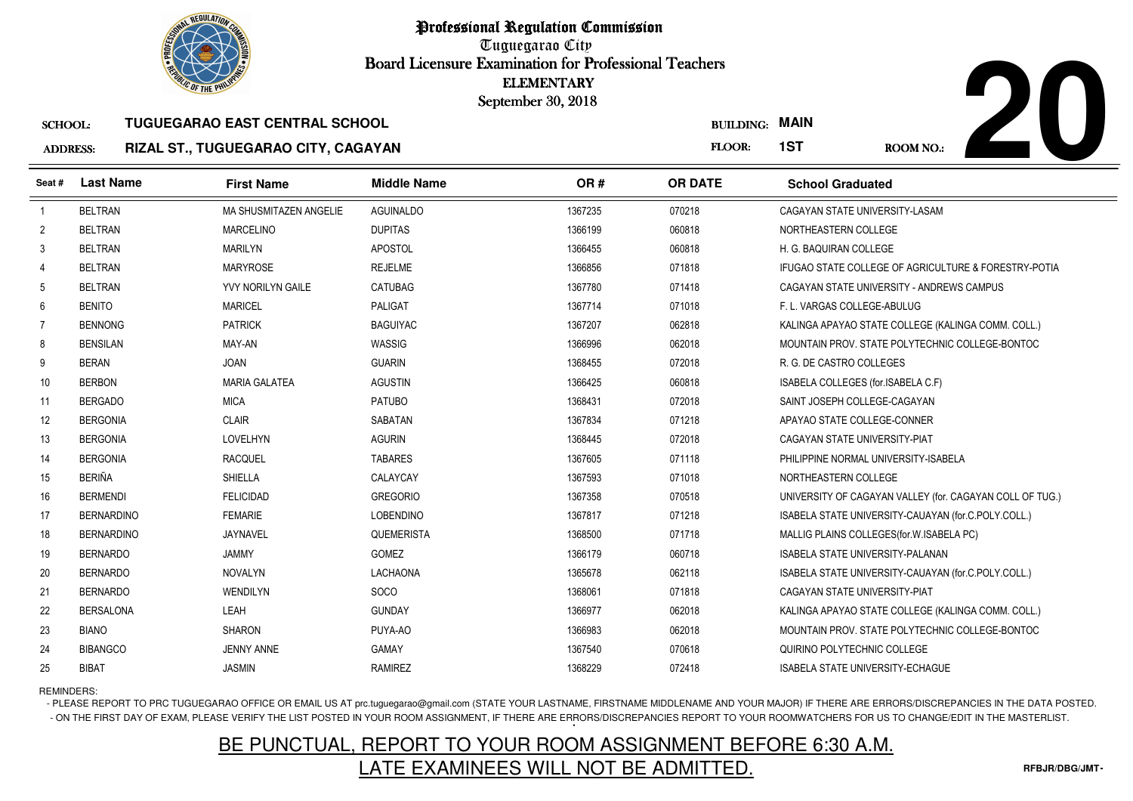

# **20**ROOM NO.:

### SCHOOL:**TUGUEGARAO EAST CENTRAL SCHOOL**

### ADDRESS:**RIZAL ST., TUGUEGARAO CITY, CAGAYAN**

| <b><i>OLIC OF THE PHILIP</i></b> |                   |                                       |                    | <b>ELEMENTARY</b><br>September 30, 2018 |                  |                                                          |
|----------------------------------|-------------------|---------------------------------------|--------------------|-----------------------------------------|------------------|----------------------------------------------------------|
| <b>SCHOOL:</b>                   |                   | <b>TUGUEGARAO EAST CENTRAL SCHOOL</b> |                    |                                         | <b>BUILDING:</b> | <b>MAIN</b>                                              |
| <b>ADDRESS:</b>                  |                   | RIZAL ST., TUGUEGARAO CITY, CAGAYAN   |                    |                                         | FLOOR:           | 1ST<br><b>ROOM NO.:</b>                                  |
| Seat#                            | <b>Last Name</b>  | <b>First Name</b>                     | <b>Middle Name</b> | OR#                                     | <b>OR DATE</b>   | <b>School Graduated</b>                                  |
| $\overline{1}$                   | <b>BELTRAN</b>    | MA SHUSMITAZEN ANGELIE                | <b>AGUINALDO</b>   | 1367235<br>070218                       |                  | CAGAYAN STATE UNIVERSITY-LASAM                           |
| $\overline{2}$                   | <b>BELTRAN</b>    | <b>MARCELINO</b>                      | <b>DUPITAS</b>     | 060818<br>1366199                       |                  | NORTHEASTERN COLLEGE                                     |
| 3                                | <b>BELTRAN</b>    | <b>MARILYN</b>                        | APOSTOL            | 1366455<br>060818                       |                  | H. G. BAQUIRAN COLLEGE                                   |
| 4                                | <b>BELTRAN</b>    | <b>MARYROSE</b>                       | <b>REJELME</b>     | 071818<br>1366856                       |                  | IFUGAO STATE COLLEGE OF AGRICULTURE & FORESTRY-POTIA     |
| 5                                | <b>BELTRAN</b>    | YVY NORILYN GAILE                     | CATUBAG            | 071418<br>1367780                       |                  | CAGAYAN STATE UNIVERSITY - ANDREWS CAMPUS                |
| 6                                | <b>BENITO</b>     | <b>MARICEL</b>                        | <b>PALIGAT</b>     | 1367714<br>071018                       |                  | F. L. VARGAS COLLEGE-ABULUG                              |
| $\overline{7}$                   | <b>BENNONG</b>    | <b>PATRICK</b>                        | <b>BAGUIYAC</b>    | 062818<br>1367207                       |                  | KALINGA APAYAO STATE COLLEGE (KALINGA COMM. COLL.)       |
| 8                                | <b>BENSILAN</b>   | MAY-AN                                | WASSIG             | 062018<br>1366996                       |                  | MOUNTAIN PROV. STATE POLYTECHNIC COLLEGE-BONTOC          |
| 9                                | <b>BERAN</b>      | <b>JOAN</b>                           | <b>GUARIN</b>      | 072018<br>1368455                       |                  | R. G. DE CASTRO COLLEGES                                 |
| 10                               | <b>BERBON</b>     | <b>MARIA GALATEA</b>                  | <b>AGUSTIN</b>     | 1366425<br>060818                       |                  | ISABELA COLLEGES (for.ISABELA C.F)                       |
| 11                               | <b>BERGADO</b>    | <b>MICA</b>                           | <b>PATUBO</b>      | 072018<br>1368431                       |                  | SAINT JOSEPH COLLEGE-CAGAYAN                             |
| 12                               | <b>BERGONIA</b>   | <b>CLAIR</b>                          | <b>SABATAN</b>     | 071218<br>1367834                       |                  | APAYAO STATE COLLEGE-CONNER                              |
| 13                               | <b>BERGONIA</b>   | LOVELHYN                              | <b>AGURIN</b>      | 072018<br>1368445                       |                  | CAGAYAN STATE UNIVERSITY-PIAT                            |
| 14                               | <b>BERGONIA</b>   | <b>RACQUEL</b>                        | <b>TABARES</b>     | 1367605<br>071118                       |                  | PHILIPPINE NORMAL UNIVERSITY-ISABELA                     |
| 15                               | <b>BERIÑA</b>     | <b>SHIELLA</b>                        | CALAYCAY           | 071018<br>1367593                       |                  | NORTHEASTERN COLLEGE                                     |
| 16                               | <b>BERMENDI</b>   | <b>FELICIDAD</b>                      | <b>GREGORIO</b>    | 1367358<br>070518                       |                  | UNIVERSITY OF CAGAYAN VALLEY (for. CAGAYAN COLL OF TUG.) |
| 17                               | <b>BERNARDINO</b> | <b>FEMARIE</b>                        | <b>LOBENDINO</b>   | 071218<br>1367817                       |                  | ISABELA STATE UNIVERSITY-CAUAYAN (for.C.POLY.COLL.)      |
| 18                               | <b>BERNARDINO</b> | JAYNAVEL                              | QUEMERISTA         | 071718<br>1368500                       |                  | MALLIG PLAINS COLLEGES (for. W. ISABELA PC)              |
| 19                               | <b>BERNARDO</b>   | <b>JAMMY</b>                          | <b>GOMEZ</b>       | 060718<br>1366179                       |                  | <b>ISABELA STATE UNIVERSITY-PALANAN</b>                  |
| 20                               | <b>BERNARDO</b>   | <b>NOVALYN</b>                        | <b>LACHAONA</b>    | 1365678<br>062118                       |                  | ISABELA STATE UNIVERSITY-CAUAYAN (for.C.POLY.COLL.)      |
| 21                               | <b>BERNARDO</b>   | WENDILYN                              | <b>SOCO</b>        | 1368061<br>071818                       |                  | CAGAYAN STATE UNIVERSITY-PIAT                            |
| 22                               | <b>BERSALONA</b>  | LEAH                                  | <b>GUNDAY</b>      | 062018<br>1366977                       |                  | KALINGA APAYAO STATE COLLEGE (KALINGA COMM. COLL.)       |
| 23                               | <b>BIANO</b>      | <b>SHARON</b>                         | PUYA-AO            | 1366983<br>062018                       |                  | MOUNTAIN PROV. STATE POLYTECHNIC COLLEGE-BONTOC          |
| 24                               | <b>BIBANGCO</b>   | <b>JENNY ANNE</b>                     | <b>GAMAY</b>       | 070618<br>1367540                       |                  | QUIRINO POLYTECHNIC COLLEGE                              |
| 25                               | <b>BIBAT</b>      | <b>JASMIN</b>                         | <b>RAMIREZ</b>     | 1368229<br>072418                       |                  | <b>ISABELA STATE UNIVERSITY-ECHAGUE</b>                  |

REMINDERS:

- PLEASE REPORT TO PRC TUGUEGARAO OFFICE OR EMAIL US AT prc.tuguegarao@gmail.com (STATE YOUR LASTNAME, FIRSTNAME MIDDLENAME AND YOUR MAJOR) IF THERE ARE ERRORS/DISCREPANCIES IN THE DATA POSTED. - ON THE FIRST DAY OF EXAM, PLEASE VERIFY THE LIST POSTED IN YOUR ROOM ASSIGNMENT, IF THERE ARE ERRORS/DISCREPANCIES REPORT TO YOUR ROOMWATCHERS FOR US TO CHANGE/EDIT IN THE MASTERLIST.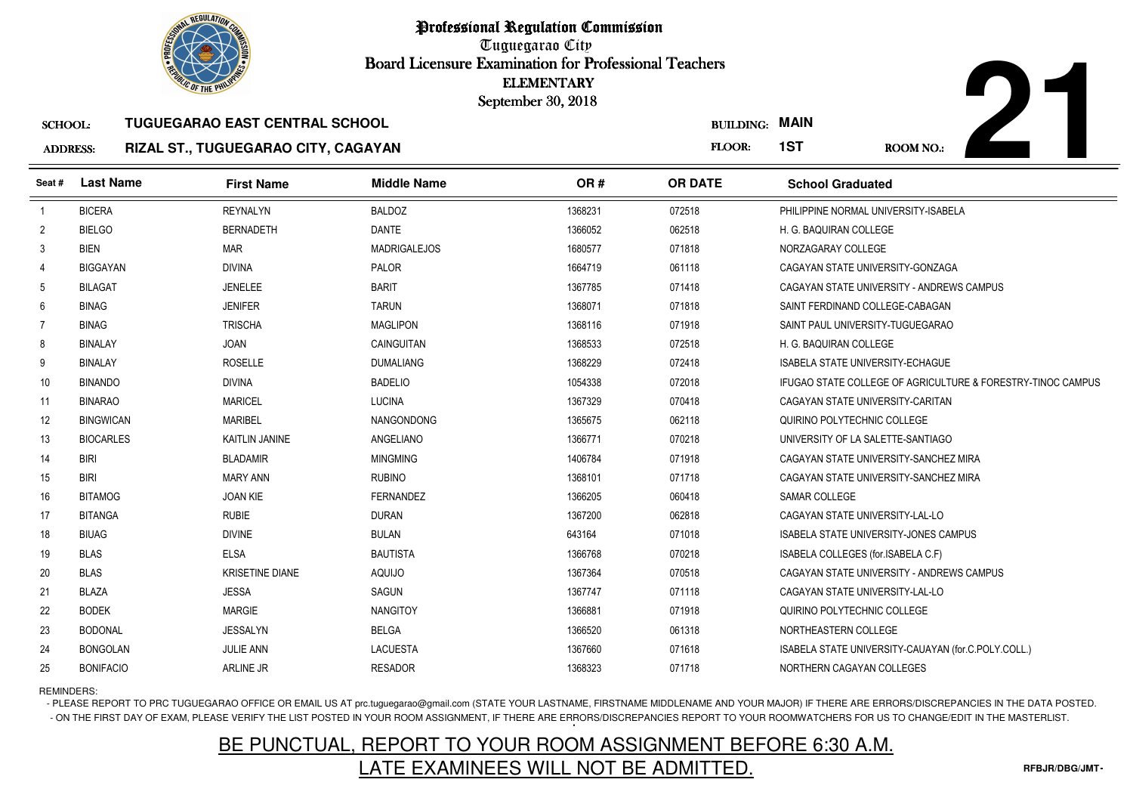

# **21**ROOM NO.:

### SCHOOL:**TUGUEGARAO EAST CENTRAL SCHOOL**

### ADDRESS:**RIZAL ST., TUGUEGARAO CITY, CAGAYAN**

|                 | <b>OLIC OF THE PHILIP</b> |                                       |                     | <b>ELEMENTARY</b><br>September 30, 2018 |                       |                                                             |
|-----------------|---------------------------|---------------------------------------|---------------------|-----------------------------------------|-----------------------|-------------------------------------------------------------|
| <b>SCHOOL:</b>  |                           | <b>TUGUEGARAO EAST CENTRAL SCHOOL</b> |                     |                                         | <b>BUILDING: MAIN</b> |                                                             |
| <b>ADDRESS:</b> |                           | RIZAL ST., TUGUEGARAO CITY, CAGAYAN   |                     |                                         | FLOOR:                | 1ST<br>ROOM NO.:                                            |
| Seat#           | <b>Last Name</b>          | <b>First Name</b>                     | <b>Middle Name</b>  | OR#                                     | <b>OR DATE</b>        | <b>School Graduated</b>                                     |
| $\overline{1}$  | <b>BICERA</b>             | <b>REYNALYN</b>                       | <b>BALDOZ</b>       | 1368231                                 | 072518                | PHILIPPINE NORMAL UNIVERSITY-ISABELA                        |
| $\overline{2}$  | <b>BIELGO</b>             | <b>BERNADETH</b>                      | <b>DANTE</b>        | 1366052                                 | 062518                | H. G. BAQUIRAN COLLEGE                                      |
| 3               | <b>BIEN</b>               | <b>MAR</b>                            | <b>MADRIGALEJOS</b> | 1680577                                 | 071818                | NORZAGARAY COLLEGE                                          |
| 4               | <b>BIGGAYAN</b>           | <b>DIVINA</b>                         | PALOR               | 1664719                                 | 061118                | CAGAYAN STATE UNIVERSITY-GONZAGA                            |
| -5              | <b>BILAGAT</b>            | <b>JENELEE</b>                        | <b>BARIT</b>        | 1367785                                 | 071418                | CAGAYAN STATE UNIVERSITY - ANDREWS CAMPUS                   |
| 6               | <b>BINAG</b>              | <b>JENIFER</b>                        | <b>TARUN</b>        | 1368071                                 | 071818                | SAINT FERDINAND COLLEGE-CABAGAN                             |
| 7               | <b>BINAG</b>              | <b>TRISCHA</b>                        | <b>MAGLIPON</b>     | 1368116                                 | 071918                | SAINT PAUL UNIVERSITY-TUGUEGARAO                            |
| 8               | <b>BINALAY</b>            | <b>JOAN</b>                           | CAINGUITAN          | 1368533                                 | 072518                | H. G. BAQUIRAN COLLEGE                                      |
| 9               | <b>BINALAY</b>            | <b>ROSELLE</b>                        | <b>DUMALIANG</b>    | 1368229                                 | 072418                | <b>ISABELA STATE UNIVERSITY-ECHAGUE</b>                     |
| 10              | <b>BINANDO</b>            | <b>DIVINA</b>                         | <b>BADELIO</b>      | 1054338                                 | 072018                | IFUGAO STATE COLLEGE OF AGRICULTURE & FORESTRY-TINOC CAMPUS |
| 11              | <b>BINARAO</b>            | <b>MARICEL</b>                        | <b>LUCINA</b>       | 1367329                                 | 070418                | CAGAYAN STATE UNIVERSITY-CARITAN                            |
| 12              | <b>BINGWICAN</b>          | <b>MARIBEL</b>                        | NANGONDONG          | 1365675                                 | 062118                | QUIRINO POLYTECHNIC COLLEGE                                 |
| 13              | <b>BIOCARLES</b>          | KAITLIN JANINE                        | ANGELIANO           | 1366771                                 | 070218                | UNIVERSITY OF LA SALETTE-SANTIAGO                           |
| 14              | <b>BIRI</b>               | <b>BLADAMIR</b>                       | <b>MINGMING</b>     | 1406784                                 | 071918                | CAGAYAN STATE UNIVERSITY-SANCHEZ MIRA                       |
| 15              | <b>BIRI</b>               | <b>MARY ANN</b>                       | <b>RUBINO</b>       | 1368101                                 | 071718                | CAGAYAN STATE UNIVERSITY-SANCHEZ MIRA                       |
| 16              | <b>BITAMOG</b>            | <b>JOAN KIE</b>                       | <b>FERNANDEZ</b>    | 1366205                                 | 060418                | SAMAR COLLEGE                                               |
| 17              | <b>BITANGA</b>            | <b>RUBIE</b>                          | <b>DURAN</b>        | 1367200                                 | 062818                | CAGAYAN STATE UNIVERSITY-LAL-LO                             |
| 18              | <b>BIUAG</b>              | <b>DIVINE</b>                         | <b>BULAN</b>        | 643164                                  | 071018                | <b>ISABELA STATE UNIVERSITY-JONES CAMPUS</b>                |
| 19              | <b>BLAS</b>               | <b>ELSA</b>                           | <b>BAUTISTA</b>     | 1366768                                 | 070218                | ISABELA COLLEGES (for.ISABELA C.F)                          |
| 20              | <b>BLAS</b>               | <b>KRISETINE DIANE</b>                | <b>AQUIJO</b>       | 1367364                                 | 070518                | CAGAYAN STATE UNIVERSITY - ANDREWS CAMPUS                   |
| 21              | <b>BLAZA</b>              | <b>JESSA</b>                          | SAGUN               | 1367747                                 | 071118                | CAGAYAN STATE UNIVERSITY-LAL-LO                             |
| 22              | <b>BODEK</b>              | <b>MARGIE</b>                         | <b>NANGITOY</b>     | 1366881                                 | 071918                | QUIRINO POLYTECHNIC COLLEGE                                 |
| 23              | <b>BODONAL</b>            | <b>JESSALYN</b>                       | <b>BELGA</b>        | 1366520                                 | 061318                | NORTHEASTERN COLLEGE                                        |
| 24              | <b>BONGOLAN</b>           | <b>JULIE ANN</b>                      | <b>LACUESTA</b>     | 1367660                                 | 071618                | ISABELA STATE UNIVERSITY-CAUAYAN (for.C.POLY.COLL.)         |
| 25              | <b>BONIFACIO</b>          | <b>ARLINE JR</b>                      | <b>RESADOR</b>      | 1368323                                 | 071718                | NORTHERN CAGAYAN COLLEGES                                   |

REMINDERS:

- PLEASE REPORT TO PRC TUGUEGARAO OFFICE OR EMAIL US AT prc.tuguegarao@gmail.com (STATE YOUR LASTNAME, FIRSTNAME MIDDLENAME AND YOUR MAJOR) IF THERE ARE ERRORS/DISCREPANCIES IN THE DATA POSTED. - ON THE FIRST DAY OF EXAM, PLEASE VERIFY THE LIST POSTED IN YOUR ROOM ASSIGNMENT, IF THERE ARE ERRORS/DISCREPANCIES REPORT TO YOUR ROOMWATCHERS FOR US TO CHANGE/EDIT IN THE MASTERLIST.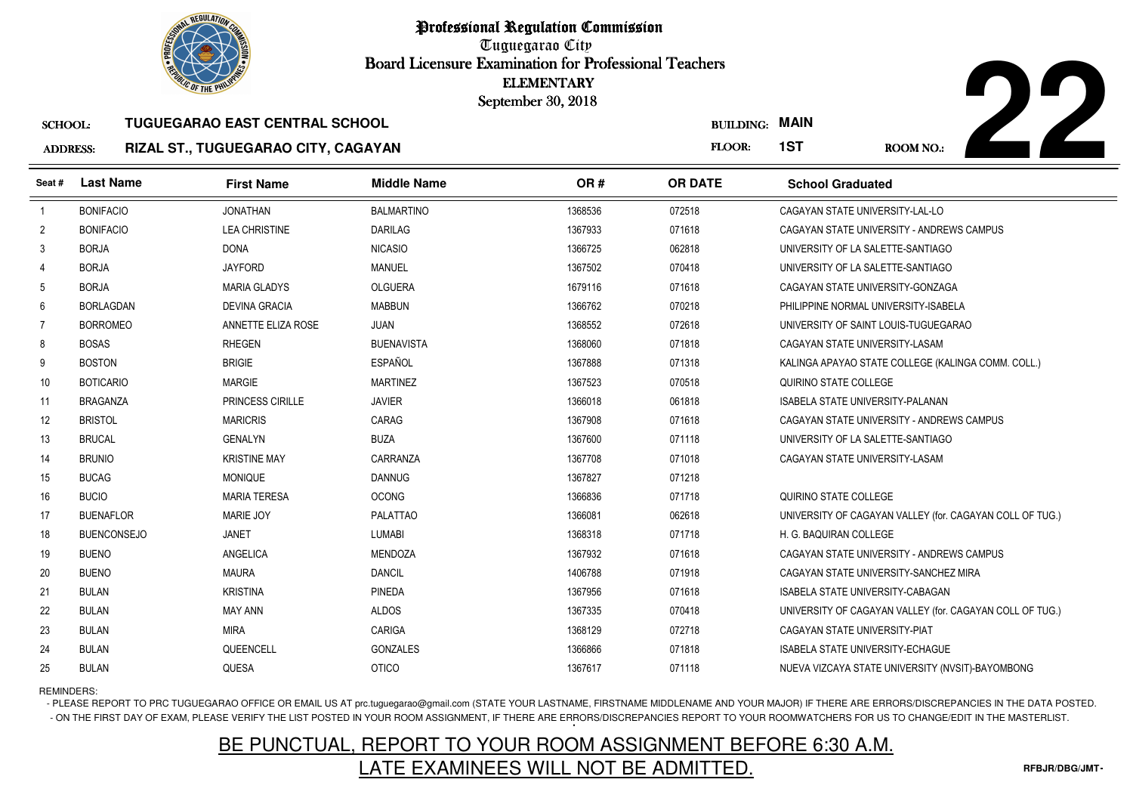

# **22**

### SCHOOL:**TUGUEGARAO EAST CENTRAL SCHOOL**

### ADDRESS:**RIZAL ST., TUGUEGARAO CITY, CAGAYAN**

| <b>MAIN</b><br><b>BUILDING:</b>                                    |
|--------------------------------------------------------------------|
| 1ST<br>FLOOR:<br>ROOM NO.:                                         |
| <b>OR DATE</b><br><b>School Graduated</b>                          |
| 072518<br>CAGAYAN STATE UNIVERSITY-LAL-LO                          |
| 071618<br>CAGAYAN STATE UNIVERSITY - ANDREWS CAMPUS                |
| 062818<br>UNIVERSITY OF LA SALETTE-SANTIAGO                        |
| 070418<br>UNIVERSITY OF LA SALETTE-SANTIAGO                        |
| 071618<br>CAGAYAN STATE UNIVERSITY-GONZAGA                         |
| 070218<br>PHILIPPINE NORMAL UNIVERSITY-ISABELA                     |
| 072618<br>UNIVERSITY OF SAINT LOUIS-TUGUEGARAO                     |
| 071818<br>CAGAYAN STATE UNIVERSITY-LASAM                           |
| 071318<br>KALINGA APAYAO STATE COLLEGE (KALINGA COMM. COLL.)       |
| 070518<br>QUIRINO STATE COLLEGE                                    |
| 061818<br><b>ISABELA STATE UNIVERSITY-PALANAN</b>                  |
| 071618<br>CAGAYAN STATE UNIVERSITY - ANDREWS CAMPUS                |
| 071118<br>UNIVERSITY OF LA SALETTE-SANTIAGO                        |
| 071018<br>CAGAYAN STATE UNIVERSITY-LASAM                           |
| 071218                                                             |
| 071718<br>QUIRINO STATE COLLEGE                                    |
| 062618<br>UNIVERSITY OF CAGAYAN VALLEY (for. CAGAYAN COLL OF TUG.) |
| 071718<br>H. G. BAQUIRAN COLLEGE                                   |
| 071618<br>CAGAYAN STATE UNIVERSITY - ANDREWS CAMPUS                |
| 071918<br>CAGAYAN STATE UNIVERSITY-SANCHEZ MIRA                    |
| 071618<br>ISABELA STATE UNIVERSITY-CABAGAN                         |
| 070418<br>UNIVERSITY OF CAGAYAN VALLEY (for. CAGAYAN COLL OF TUG.) |
| 072718<br>CAGAYAN STATE UNIVERSITY-PIAT                            |
| 071818<br><b>ISABELA STATE UNIVERSITY-ECHAGUE</b>                  |
| 071118<br>NUEVA VIZCAYA STATE UNIVERSITY (NVSIT)-BAYOMBONG         |
|                                                                    |

REMINDERS:

- PLEASE REPORT TO PRC TUGUEGARAO OFFICE OR EMAIL US AT prc.tuguegarao@gmail.com (STATE YOUR LASTNAME, FIRSTNAME MIDDLENAME AND YOUR MAJOR) IF THERE ARE ERRORS/DISCREPANCIES IN THE DATA POSTED. - ON THE FIRST DAY OF EXAM, PLEASE VERIFY THE LIST POSTED IN YOUR ROOM ASSIGNMENT, IF THERE ARE ERRORS/DISCREPANCIES REPORT TO YOUR ROOMWATCHERS FOR US TO CHANGE/EDIT IN THE MASTERLIST.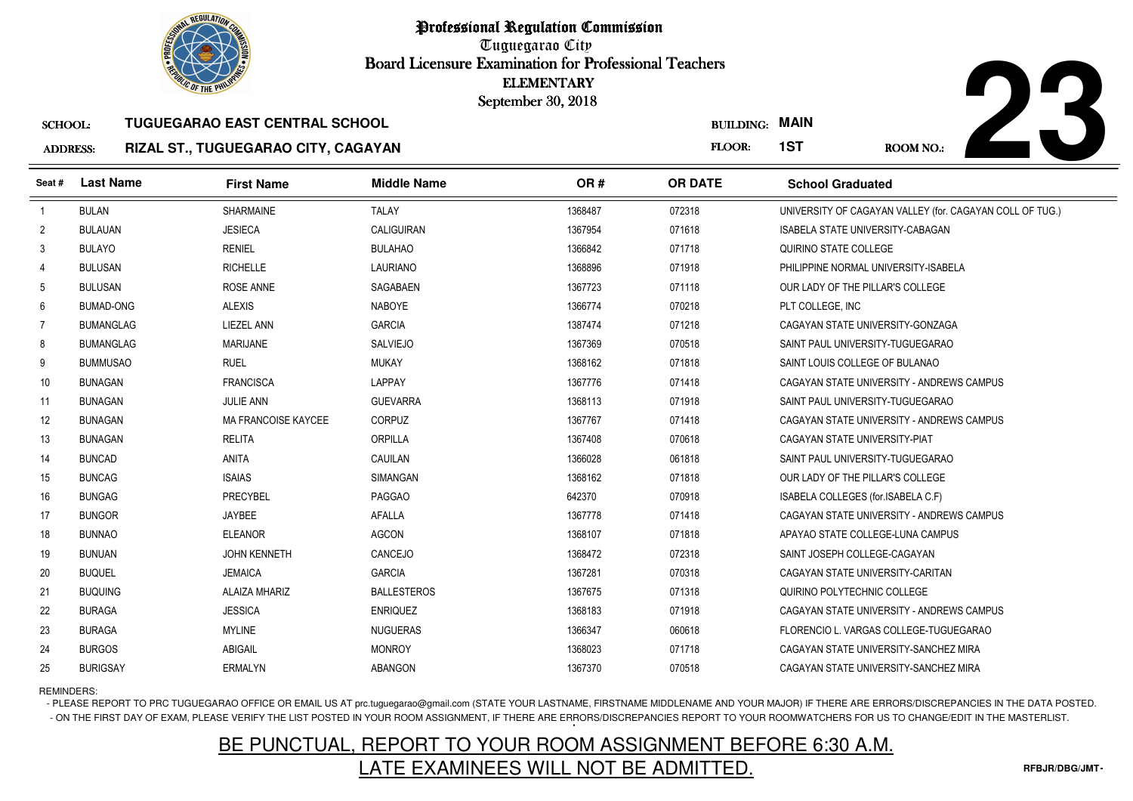



### SCHOOL:**TUGUEGARAO EAST CENTRAL SCHOOL**

### ADDRESS:**RIZAL ST., TUGUEGARAO CITY, CAGAYAN**

| <b><i>OLIC OF THE PHILIPS</i></b> |                  |                                       | <b>ELEMENTARY</b><br>September 30, 2018 |         |                       |                                                          |
|-----------------------------------|------------------|---------------------------------------|-----------------------------------------|---------|-----------------------|----------------------------------------------------------|
| <b>SCHOOL:</b>                    |                  | <b>TUGUEGARAO EAST CENTRAL SCHOOL</b> |                                         |         | <b>BUILDING: MAIN</b> |                                                          |
| <b>ADDRESS:</b>                   |                  | RIZAL ST., TUGUEGARAO CITY, CAGAYAN   |                                         |         | FLOOR:                | 1ST<br>ROOM NO.:                                         |
| Seat #                            | <b>Last Name</b> | <b>First Name</b>                     | <b>Middle Name</b>                      | OR#     | <b>OR DATE</b>        | <b>School Graduated</b>                                  |
| $\overline{1}$                    | <b>BULAN</b>     | <b>SHARMAINE</b>                      | <b>TALAY</b>                            | 1368487 | 072318                | UNIVERSITY OF CAGAYAN VALLEY (for. CAGAYAN COLL OF TUG.) |
| $\overline{2}$                    | <b>BULAUAN</b>   | <b>JESIECA</b>                        | <b>CALIGUIRAN</b>                       | 1367954 | 071618                | <b>ISABELA STATE UNIVERSITY-CABAGAN</b>                  |
| 3                                 | <b>BULAYO</b>    | <b>RENIEL</b>                         | <b>BULAHAO</b>                          | 1366842 | 071718                | QUIRINO STATE COLLEGE                                    |
| 4                                 | <b>BULUSAN</b>   | <b>RICHELLE</b>                       | <b>LAURIANO</b>                         | 1368896 | 071918                | PHILIPPINE NORMAL UNIVERSITY-ISABELA                     |
| 5                                 | <b>BULUSAN</b>   | ROSE ANNE                             | SAGABAEN                                | 1367723 | 071118                | OUR LADY OF THE PILLAR'S COLLEGE                         |
| 6                                 | <b>BUMAD-ONG</b> | <b>ALEXIS</b>                         | <b>NABOYE</b>                           | 1366774 | 070218                | PLT COLLEGE, INC                                         |
| 7                                 | <b>BUMANGLAG</b> | LIEZEL ANN                            | <b>GARCIA</b>                           | 1387474 | 071218                | CAGAYAN STATE UNIVERSITY-GONZAGA                         |
| 8                                 | <b>BUMANGLAG</b> | <b>MARIJANE</b>                       | <b>SALVIEJO</b>                         | 1367369 | 070518                | SAINT PAUL UNIVERSITY-TUGUEGARAO                         |
| 9                                 | <b>BUMMUSAO</b>  | <b>RUEL</b>                           | <b>MUKAY</b>                            | 1368162 | 071818                | SAINT LOUIS COLLEGE OF BULANAO                           |
| 10                                | <b>BUNAGAN</b>   | <b>FRANCISCA</b>                      | LAPPAY                                  | 1367776 | 071418                | CAGAYAN STATE UNIVERSITY - ANDREWS CAMPUS                |
| 11                                | <b>BUNAGAN</b>   | <b>JULIE ANN</b>                      | <b>GUEVARRA</b>                         | 1368113 | 071918                | SAINT PAUL UNIVERSITY-TUGUEGARAO                         |
| 12                                | <b>BUNAGAN</b>   | <b>MA FRANCOISE KAYCEE</b>            | <b>CORPUZ</b>                           | 1367767 | 071418                | CAGAYAN STATE UNIVERSITY - ANDREWS CAMPUS                |
| 13                                | <b>BUNAGAN</b>   | <b>RELITA</b>                         | ORPILLA                                 | 1367408 | 070618                | CAGAYAN STATE UNIVERSITY-PIAT                            |
| 14                                | <b>BUNCAD</b>    | <b>ANITA</b>                          | CAUILAN                                 | 1366028 | 061818                | SAINT PAUL UNIVERSITY-TUGUEGARAO                         |
| 15                                | <b>BUNCAG</b>    | <b>ISAIAS</b>                         | <b>SIMANGAN</b>                         | 1368162 | 071818                | OUR LADY OF THE PILLAR'S COLLEGE                         |
| 16                                | <b>BUNGAG</b>    | <b>PRECYBEL</b>                       | <b>PAGGAO</b>                           | 642370  | 070918                | ISABELA COLLEGES (for.ISABELA C.F)                       |
| 17                                | <b>BUNGOR</b>    | JAYBEE                                | <b>AFALLA</b>                           | 1367778 | 071418                | CAGAYAN STATE UNIVERSITY - ANDREWS CAMPUS                |
| 18                                | <b>BUNNAO</b>    | <b>ELEANOR</b>                        | <b>AGCON</b>                            | 1368107 | 071818                | APAYAO STATE COLLEGE-LUNA CAMPUS                         |
| 19                                | <b>BUNUAN</b>    | <b>JOHN KENNETH</b>                   | CANCEJO                                 | 1368472 | 072318                | SAINT JOSEPH COLLEGE-CAGAYAN                             |
| 20                                | <b>BUQUEL</b>    | <b>JEMAICA</b>                        | <b>GARCIA</b>                           | 1367281 | 070318                | CAGAYAN STATE UNIVERSITY-CARITAN                         |
| 21                                | <b>BUQUING</b>   | <b>ALAIZA MHARIZ</b>                  | <b>BALLESTEROS</b>                      | 1367675 | 071318                | QUIRINO POLYTECHNIC COLLEGE                              |
| 22                                | <b>BURAGA</b>    | <b>JESSICA</b>                        | <b>ENRIQUEZ</b>                         | 1368183 | 071918                | CAGAYAN STATE UNIVERSITY - ANDREWS CAMPUS                |
| 23                                | <b>BURAGA</b>    | <b>MYLINE</b>                         | <b>NUGUERAS</b>                         | 1366347 | 060618                | FLORENCIO L. VARGAS COLLEGE-TUGUEGARAO                   |
| 24                                | <b>BURGOS</b>    | <b>ABIGAIL</b>                        | <b>MONROY</b>                           | 1368023 | 071718                | CAGAYAN STATE UNIVERSITY-SANCHEZ MIRA                    |
| 25                                | <b>BURIGSAY</b>  | <b>ERMALYN</b>                        | <b>ABANGON</b>                          | 1367370 | 070518                | CAGAYAN STATE UNIVERSITY-SANCHEZ MIRA                    |

REMINDERS:

- PLEASE REPORT TO PRC TUGUEGARAO OFFICE OR EMAIL US AT prc.tuguegarao@gmail.com (STATE YOUR LASTNAME, FIRSTNAME MIDDLENAME AND YOUR MAJOR) IF THERE ARE ERRORS/DISCREPANCIES IN THE DATA POSTED. - ON THE FIRST DAY OF EXAM, PLEASE VERIFY THE LIST POSTED IN YOUR ROOM ASSIGNMENT, IF THERE ARE ERRORS/DISCREPANCIES REPORT TO YOUR ROOMWATCHERS FOR US TO CHANGE/EDIT IN THE MASTERLIST.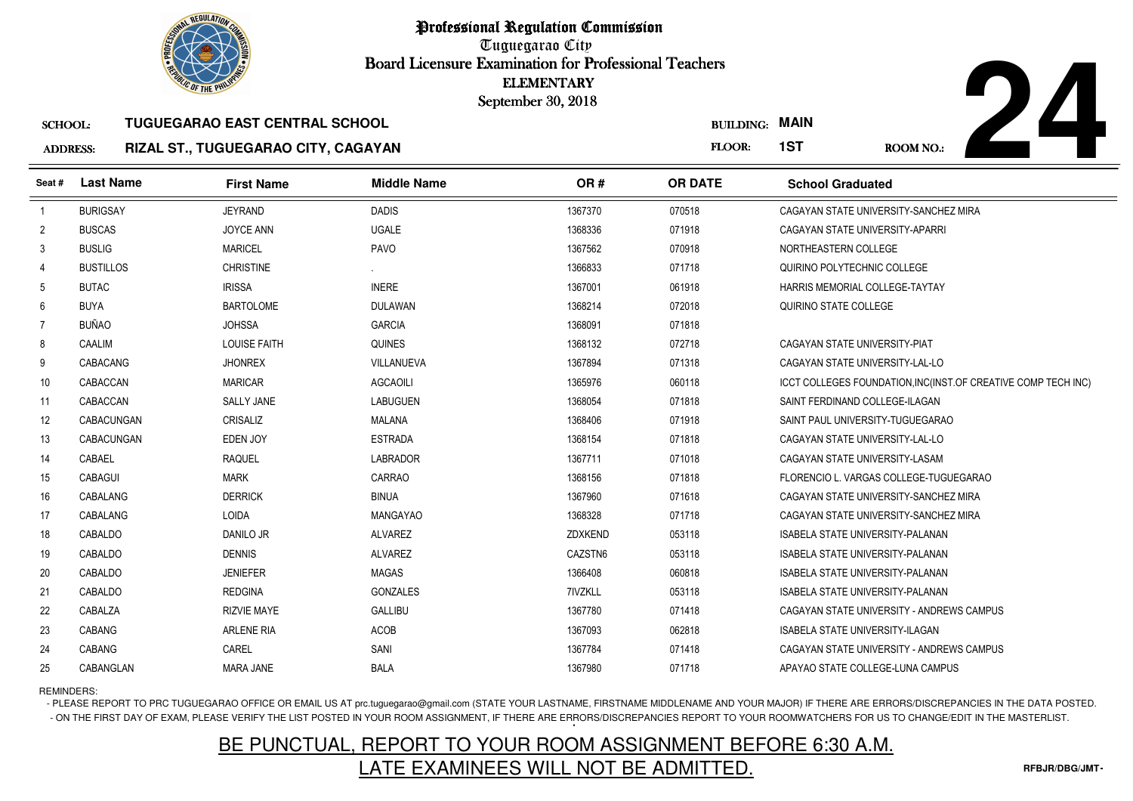

# **TUGUEGARAO EAST CENTRAL SCHOOL**

### ADDRESS:**RIZAL ST., TUGUEGARAO CITY, CAGAYAN**

CABACUNGAN CRISALIZ MALANA

CABACUNGAN EDEN JOY ESTRADA

4 CABAEL RAQUEL RESOLUTION RAQUEL

CABALANG LOIDA MANGAYAO

8 CABALDO DANILO JR ALVAREZ

9 CABALDO DENNIS DENTIS ALVAREZ

1 CABALDO REDGINA REDGINA GONZALES

CABALZA RIZVIE MAYE GALLIBU

0 CABALDO JENIEFER MAGAS

3 CABANG ARLENE RIA ACOB

5 CABANGLAN MARA JANE BALA

5 CABAGUI MARK MARK CARRAO

6 CABALANG DERRICK BINUA

<sup>1368406</sup> <sup>071918</sup> SAINT PAUL UNIVERSITY-TUGUEGARAO

<sup>1367780</sup> <sup>071418</sup> CAGAYAN STATE UNIVERSITY - ANDREWS CAMPUS

<sup>1368154</sup> <sup>071818</sup> CAGAYAN STATE UNIVERSITY-LAL-LO

<sup>1367711</sup> <sup>071018</sup> CAGAYAN STATE UNIVERSITY-LASAM

ZDXKEND <sup>053118</sup> ISABELA STATE UNIVERSITY-PALANAN

CAZSTN6 <sup>053118</sup> ISABELA STATE UNIVERSITY-PALANAN

<sup>1366408</sup> <sup>060818</sup> ISABELA STATE UNIVERSITY-PALANAN

7IVZKLL <sup>053118</sup> ISABELA STATE UNIVERSITY-PALANAN

<sup>1367093</sup> <sup>062818</sup> ISABELA STATE UNIVERSITY-ILAGAN

<sup>1367980</sup> <sup>071718</sup> APAYAO STATE COLLEGE-LUNA CAMPUS

<sup>1368156</sup> <sup>071818</sup> FLORENCIO L. VARGAS COLLEGE-TUGUEGARAO

<sup>1367960</sup> <sup>071618</sup> CAGAYAN STATE UNIVERSITY-SANCHEZ MIRA

<sup>1368328</sup> <sup>071718</sup> CAGAYAN STATE UNIVERSITY-SANCHEZ MIRA



| <b><i>OLIC OF THE PHILIP</i></b> |                  |                                       | <b>ELEMENTARY</b><br>September 30, 2018 |         |                  |                                                               |
|----------------------------------|------------------|---------------------------------------|-----------------------------------------|---------|------------------|---------------------------------------------------------------|
| <b>SCHOOL:</b>                   |                  | <b>TUGUEGARAO EAST CENTRAL SCHOOL</b> |                                         |         | <b>BUILDING:</b> | <b>MAIN</b>                                                   |
| <b>ADDRESS:</b>                  |                  | RIZAL ST., TUGUEGARAO CITY, CAGAYAN   |                                         |         | <b>FLOOR:</b>    | 1ST<br><b>ROOM NO.:</b>                                       |
| Seat #                           | <b>Last Name</b> | <b>First Name</b>                     | <b>Middle Name</b>                      | OR#     | <b>OR DATE</b>   | <b>School Graduated</b>                                       |
|                                  | <b>BURIGSAY</b>  | <b>JEYRAND</b>                        | <b>DADIS</b>                            | 1367370 | 070518           | CAGAYAN STATE UNIVERSITY-SANCHEZ MIRA                         |
| $\overline{2}$                   | <b>BUSCAS</b>    | JOYCE ANN                             | <b>UGALE</b>                            | 1368336 | 071918           | CAGAYAN STATE UNIVERSITY-APARRI                               |
| 3                                | <b>BUSLIG</b>    | <b>MARICEL</b>                        | PAVO                                    | 1367562 | 070918           | NORTHEASTERN COLLEGE                                          |
| 4                                | <b>BUSTILLOS</b> | <b>CHRISTINE</b>                      |                                         | 1366833 | 071718           | QUIRINO POLYTECHNIC COLLEGE                                   |
| 5                                | <b>BUTAC</b>     | <b>IRISSA</b>                         | <b>INERE</b>                            | 1367001 | 061918           | HARRIS MEMORIAL COLLEGE-TAYTAY                                |
| 6                                | <b>BUYA</b>      | <b>BARTOLOME</b>                      | <b>DULAWAN</b>                          | 1368214 | 072018           | QUIRINO STATE COLLEGE                                         |
|                                  | BUÑAO            | <b>JOHSSA</b>                         | <b>GARCIA</b>                           | 1368091 | 071818           |                                                               |
| 8                                | CAALIM           | <b>LOUISE FAITH</b>                   | <b>QUINES</b>                           | 1368132 | 072718           | CAGAYAN STATE UNIVERSITY-PIAT                                 |
| 9                                | CABACANG         | <b>JHONREX</b>                        | VILLANUEVA                              | 1367894 | 071318           | CAGAYAN STATE UNIVERSITY-LAL-LO                               |
| 10                               | CABACCAN         | <b>MARICAR</b>                        | AGCAOILI                                | 1365976 | 060118           | ICCT COLLEGES FOUNDATION, INC(INST.OF CREATIVE COMP TECH INC) |
| 11                               | CABACCAN         | <b>SALLY JANE</b>                     | <b>LABUGUEN</b>                         | 1368054 | 071818           | SAINT FERDINAND COLLEGE-ILAGAN                                |
|                                  |                  |                                       |                                         |         |                  |                                                               |

REMINDERS:

12

13

14

15

16

17

18

19

20

21

22

23

24

25

- PLEASE REPORT TO PRC TUGUEGARAO OFFICE OR EMAIL US AT prc.tuguegarao@gmail.com (STATE YOUR LASTNAME, FIRSTNAME MIDDLENAME AND YOUR MAJOR) IF THERE ARE ERRORS/DISCREPANCIES IN THE DATA POSTED. - ON THE FIRST DAY OF EXAM, PLEASE VERIFY THE LIST POSTED IN YOUR ROOM ASSIGNMENT, IF THERE ARE ERRORS/DISCREPANCIES REPORT TO YOUR ROOMWATCHERS FOR US TO CHANGE/EDIT IN THE MASTERLIST.

# BE PUNCTUAL, REPORT TO YOUR ROOM ASSIGNMENT BEFORE 6:30 A.M.LATE EXAMINEES WILL NOT BE ADMITTED.

CABANG CAREL CAREL SANI SANI SANI 1367784 071418 CAGAYAN STATE UNIVERSITY - ANDREWS CAMPUS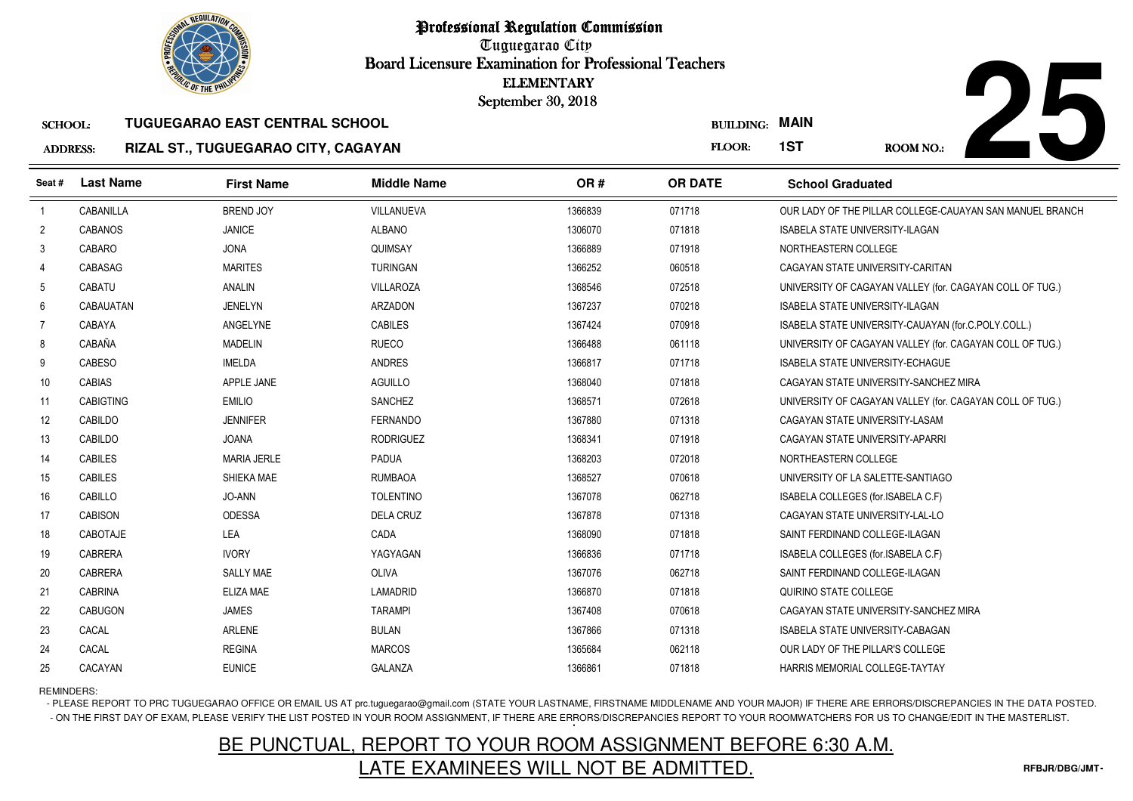



### SCHOOL:**TUGUEGARAO EAST CENTRAL SCHOOL**

### ADDRESS:**RIZAL ST., TUGUEGARAO CITY, CAGAYAN**

| <b><i>OLIC OF THE PHILIP</i></b> |                  |                                       |                    | <b>ELEMENTARY</b><br>September 30, 2018 |                  |                                                          |
|----------------------------------|------------------|---------------------------------------|--------------------|-----------------------------------------|------------------|----------------------------------------------------------|
| <b>SCHOOL:</b>                   |                  | <b>TUGUEGARAO EAST CENTRAL SCHOOL</b> |                    |                                         | <b>BUILDING:</b> | <b>MAIN</b>                                              |
| <b>ADDRESS:</b>                  |                  | RIZAL ST., TUGUEGARAO CITY, CAGAYAN   |                    |                                         | FLOOR:           | 1ST<br>ROOM NO.:                                         |
| Seat #                           | <b>Last Name</b> | <b>First Name</b>                     | <b>Middle Name</b> | OR#                                     | <b>OR DATE</b>   | <b>School Graduated</b>                                  |
| $\overline{1}$                   | CABANILLA        | <b>BREND JOY</b>                      | VILLANUEVA         | 1366839                                 | 071718           | OUR LADY OF THE PILLAR COLLEGE-CAUAYAN SAN MANUEL BRANCH |
| $\overline{2}$                   | <b>CABANOS</b>   | <b>JANICE</b>                         | <b>ALBANO</b>      | 1306070                                 | 071818           | <b>ISABELA STATE UNIVERSITY-ILAGAN</b>                   |
| 3                                | CABARO           | <b>JONA</b>                           | QUIMSAY            | 1366889                                 | 071918           | NORTHEASTERN COLLEGE                                     |
| $\overline{4}$                   | CABASAG          | <b>MARITES</b>                        | <b>TURINGAN</b>    | 1366252                                 | 060518           | CAGAYAN STATE UNIVERSITY-CARITAN                         |
| 5                                | CABATU           | ANALIN                                | <b>VILLAROZA</b>   | 1368546                                 | 072518           | UNIVERSITY OF CAGAYAN VALLEY (for. CAGAYAN COLL OF TUG.) |
| 6                                | CABAUATAN        | <b>JENELYN</b>                        | <b>ARZADON</b>     | 1367237                                 | 070218           | <b>ISABELA STATE UNIVERSITY-ILAGAN</b>                   |
| 7                                | CABAYA           | ANGELYNE                              | <b>CABILES</b>     | 1367424                                 | 070918           | ISABELA STATE UNIVERSITY-CAUAYAN (for.C.POLY.COLL.)      |
| 8                                | CABAÑA           | <b>MADELIN</b>                        | <b>RUECO</b>       | 1366488                                 | 061118           | UNIVERSITY OF CAGAYAN VALLEY (for. CAGAYAN COLL OF TUG.) |
| 9                                | <b>CABESO</b>    | <b>IMELDA</b>                         | <b>ANDRES</b>      | 1366817                                 | 071718           | <b>ISABELA STATE UNIVERSITY-ECHAGUE</b>                  |
| 10                               | <b>CABIAS</b>    | APPLE JANE                            | <b>AGUILLO</b>     | 1368040                                 | 071818           | CAGAYAN STATE UNIVERSITY-SANCHEZ MIRA                    |
| 11                               | <b>CABIGTING</b> | <b>EMILIO</b>                         | <b>SANCHEZ</b>     | 1368571                                 | 072618           | UNIVERSITY OF CAGAYAN VALLEY (for. CAGAYAN COLL OF TUG.) |
| 12                               | CABILDO          | <b>JENNIFER</b>                       | <b>FERNANDO</b>    | 1367880                                 | 071318           | CAGAYAN STATE UNIVERSITY-LASAM                           |
| 13                               | CABILDO          | <b>JOANA</b>                          | <b>RODRIGUEZ</b>   | 1368341                                 | 071918           | CAGAYAN STATE UNIVERSITY-APARRI                          |
| 14                               | <b>CABILES</b>   | <b>MARIA JERLE</b>                    | <b>PADUA</b>       | 1368203                                 | 072018           | NORTHEASTERN COLLEGE                                     |
| 15                               | <b>CABILES</b>   | SHIEKA MAE                            | <b>RUMBAOA</b>     | 1368527                                 | 070618           | UNIVERSITY OF LA SALETTE-SANTIAGO                        |
| 16                               | CABILLO          | JO-ANN                                | <b>TOLENTINO</b>   | 1367078                                 | 062718           | ISABELA COLLEGES (for.ISABELA C.F)                       |
| 17                               | <b>CABISON</b>   | <b>ODESSA</b>                         | <b>DELA CRUZ</b>   | 1367878                                 | 071318           | CAGAYAN STATE UNIVERSITY-LAL-LO                          |
| 18                               | CABOTAJE         | LEA                                   | CADA               | 1368090                                 | 071818           | SAINT FERDINAND COLLEGE-ILAGAN                           |
| 19                               | <b>CABRERA</b>   | <b>IVORY</b>                          | YAGYAGAN           | 1366836                                 | 071718           | ISABELA COLLEGES (for.ISABELA C.F)                       |
| 20                               | <b>CABRERA</b>   | <b>SALLY MAE</b>                      | OLIVA              | 1367076                                 | 062718           | SAINT FERDINAND COLLEGE-ILAGAN                           |
| 21                               | <b>CABRINA</b>   | <b>ELIZA MAE</b>                      | <b>LAMADRID</b>    | 1366870                                 | 071818           | QUIRINO STATE COLLEGE                                    |
| 22                               | <b>CABUGON</b>   | <b>JAMES</b>                          | <b>TARAMPI</b>     | 1367408                                 | 070618           | CAGAYAN STATE UNIVERSITY-SANCHEZ MIRA                    |
| 23                               | CACAL            | <b>ARLENE</b>                         | <b>BULAN</b>       | 1367866                                 | 071318           | ISABELA STATE UNIVERSITY-CABAGAN                         |
| 24                               | CACAL            | <b>REGINA</b>                         | <b>MARCOS</b>      | 1365684                                 | 062118           | OUR LADY OF THE PILLAR'S COLLEGE                         |
| 25                               | CACAYAN          | <b>EUNICE</b>                         | GALANZA            | 1366861                                 | 071818           | HARRIS MEMORIAL COLLEGE-TAYTAY                           |

REMINDERS:

- PLEASE REPORT TO PRC TUGUEGARAO OFFICE OR EMAIL US AT prc.tuguegarao@gmail.com (STATE YOUR LASTNAME, FIRSTNAME MIDDLENAME AND YOUR MAJOR) IF THERE ARE ERRORS/DISCREPANCIES IN THE DATA POSTED. - ON THE FIRST DAY OF EXAM, PLEASE VERIFY THE LIST POSTED IN YOUR ROOM ASSIGNMENT, IF THERE ARE ERRORS/DISCREPANCIES REPORT TO YOUR ROOMWATCHERS FOR US TO CHANGE/EDIT IN THE MASTERLIST.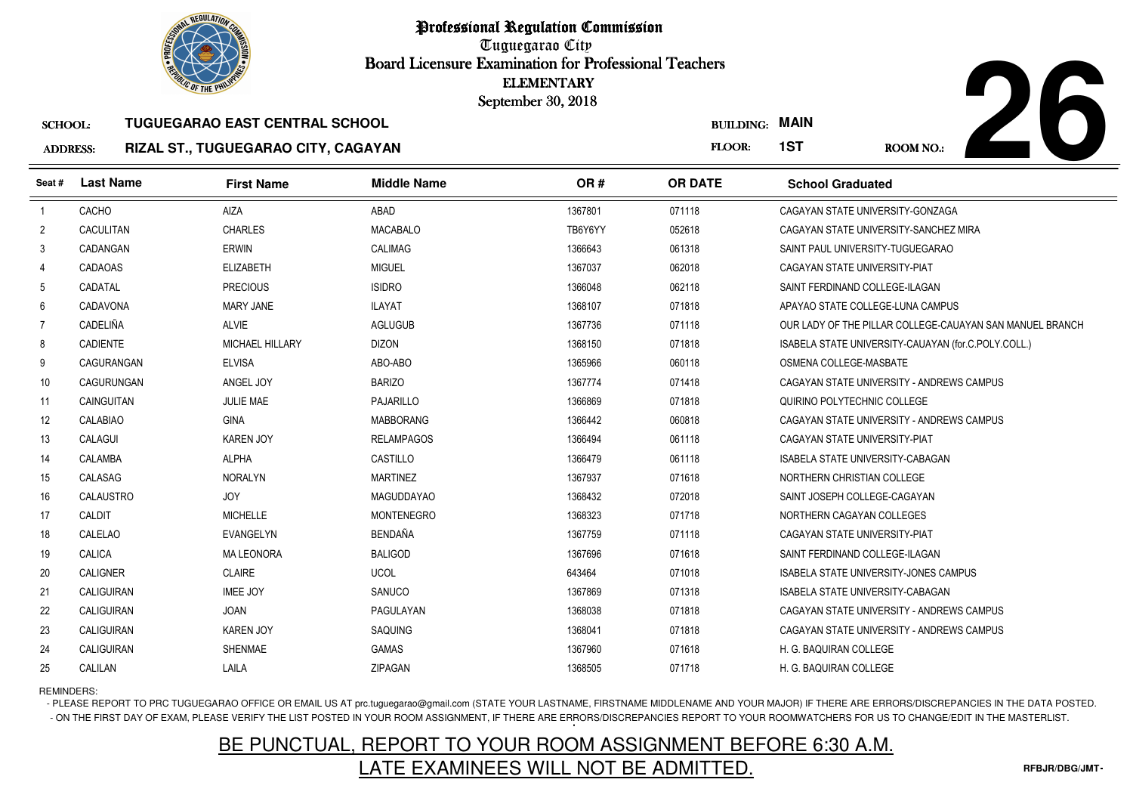

# BUILDING: **MAIN**



### SCHOOL:**TUGUEGARAO EAST CENTRAL SCHOOL**

### ADDRESS:**RIZAL ST., TUGUEGARAO CITY, CAGAYAN**

|                 | <b>OLIC OF THE PHILIP</b> |                                       |                    | <b>ELEMENTARY</b><br>September 30, 2018 |                       |                                                          |
|-----------------|---------------------------|---------------------------------------|--------------------|-----------------------------------------|-----------------------|----------------------------------------------------------|
| <b>SCHOOL:</b>  |                           | <b>TUGUEGARAO EAST CENTRAL SCHOOL</b> |                    |                                         | <b>BUILDING: MAIN</b> |                                                          |
| <b>ADDRESS:</b> |                           | RIZAL ST., TUGUEGARAO CITY, CAGAYAN   |                    |                                         | FLOOR:                | 1ST<br>ROOM NO.:                                         |
| Seat #          | <b>Last Name</b>          | <b>First Name</b>                     | <b>Middle Name</b> | OR#                                     | <b>OR DATE</b>        | <b>School Graduated</b>                                  |
| $\overline{1}$  | CACHO                     | AIZA                                  | ABAD               | 1367801                                 | 071118                | CAGAYAN STATE UNIVERSITY-GONZAGA                         |
| $\overline{2}$  | <b>CACULITAN</b>          | <b>CHARLES</b>                        | <b>MACABALO</b>    | TB6Y6YY                                 | 052618                | CAGAYAN STATE UNIVERSITY-SANCHEZ MIRA                    |
| 3               | CADANGAN                  | <b>ERWIN</b>                          | CALIMAG            | 1366643                                 | 061318                | SAINT PAUL UNIVERSITY-TUGUEGARAO                         |
| $\overline{4}$  | <b>CADAOAS</b>            | <b>ELIZABETH</b>                      | <b>MIGUEL</b>      | 1367037                                 | 062018                | CAGAYAN STATE UNIVERSITY-PIAT                            |
| 5               | CADATAL                   | <b>PRECIOUS</b>                       | <b>ISIDRO</b>      | 1366048                                 | 062118                | SAINT FERDINAND COLLEGE-ILAGAN                           |
| 6               | CADAVONA                  | <b>MARY JANE</b>                      | <b>ILAYAT</b>      | 1368107                                 | 071818                | APAYAO STATE COLLEGE-LUNA CAMPUS                         |
| $\overline{7}$  | <b>CADELIÑA</b>           | <b>ALVIE</b>                          | <b>AGLUGUB</b>     | 1367736                                 | 071118                | OUR LADY OF THE PILLAR COLLEGE-CAUAYAN SAN MANUEL BRANCH |
| 8               | CADIENTE                  | MICHAEL HILLARY                       | <b>DIZON</b>       | 1368150                                 | 071818                | ISABELA STATE UNIVERSITY-CAUAYAN (for.C.POLY.COLL.)      |
| 9               | CAGURANGAN                | <b>ELVISA</b>                         | ABO-ABO            | 1365966                                 | 060118                | OSMENA COLLEGE-MASBATE                                   |
| 10              | CAGURUNGAN                | ANGEL JOY                             | <b>BARIZO</b>      | 1367774                                 | 071418                | CAGAYAN STATE UNIVERSITY - ANDREWS CAMPUS                |
| 11              | CAINGUITAN                | <b>JULIE MAE</b>                      | <b>PAJARILLO</b>   | 1366869                                 | 071818                | QUIRINO POLYTECHNIC COLLEGE                              |
| 12              | CALABIAO                  | <b>GINA</b>                           | <b>MABBORANG</b>   | 1366442                                 | 060818                | CAGAYAN STATE UNIVERSITY - ANDREWS CAMPUS                |
| 13              | CALAGUI                   | <b>KAREN JOY</b>                      | <b>RELAMPAGOS</b>  | 1366494                                 | 061118                | CAGAYAN STATE UNIVERSITY-PIAT                            |
| 14              | <b>CALAMBA</b>            | <b>ALPHA</b>                          | CASTILLO           | 1366479                                 | 061118                | ISABELA STATE UNIVERSITY-CABAGAN                         |
| 15              | CALASAG                   | <b>NORALYN</b>                        | <b>MARTINEZ</b>    | 1367937                                 | 071618                | NORTHERN CHRISTIAN COLLEGE                               |
| 16              | CALAUSTRO                 | <b>JOY</b>                            | <b>MAGUDDAYAO</b>  | 1368432                                 | 072018                | SAINT JOSEPH COLLEGE-CAGAYAN                             |
| 17              | CALDIT                    | <b>MICHELLE</b>                       | <b>MONTENEGRO</b>  | 1368323                                 | 071718                | NORTHERN CAGAYAN COLLEGES                                |
| 18              | CALELAO                   | <b>EVANGELYN</b>                      | <b>BENDAÑA</b>     | 1367759                                 | 071118                | CAGAYAN STATE UNIVERSITY-PIAT                            |
| 19              | CALICA                    | <b>MA LEONORA</b>                     | <b>BALIGOD</b>     | 1367696                                 | 071618                | SAINT FERDINAND COLLEGE-ILAGAN                           |
| 20              | <b>CALIGNER</b>           | <b>CLAIRE</b>                         | <b>UCOL</b>        | 643464                                  | 071018                | <b>ISABELA STATE UNIVERSITY-JONES CAMPUS</b>             |
| 21              | CALIGUIRAN                | <b>IMEE JOY</b>                       | SANUCO             | 1367869                                 | 071318                | <b>ISABELA STATE UNIVERSITY-CABAGAN</b>                  |
| 22              | CALIGUIRAN                | <b>JOAN</b>                           | PAGULAYAN          | 1368038                                 | 071818                | CAGAYAN STATE UNIVERSITY - ANDREWS CAMPUS                |
| 23              | CALIGUIRAN                | <b>KAREN JOY</b>                      | SAQUING            | 1368041                                 | 071818                | CAGAYAN STATE UNIVERSITY - ANDREWS CAMPUS                |
| 24              | <b>CALIGUIRAN</b>         | <b>SHENMAE</b>                        | GAMAS              | 1367960                                 | 071618                | H. G. BAQUIRAN COLLEGE                                   |
| 25              | CALILAN                   | LAILA                                 | ZIPAGAN            | 1368505                                 | 071718                | H. G. BAQUIRAN COLLEGE                                   |

REMINDERS:

- PLEASE REPORT TO PRC TUGUEGARAO OFFICE OR EMAIL US AT prc.tuguegarao@gmail.com (STATE YOUR LASTNAME, FIRSTNAME MIDDLENAME AND YOUR MAJOR) IF THERE ARE ERRORS/DISCREPANCIES IN THE DATA POSTED. - ON THE FIRST DAY OF EXAM, PLEASE VERIFY THE LIST POSTED IN YOUR ROOM ASSIGNMENT, IF THERE ARE ERRORS/DISCREPANCIES REPORT TO YOUR ROOMWATCHERS FOR US TO CHANGE/EDIT IN THE MASTERLIST.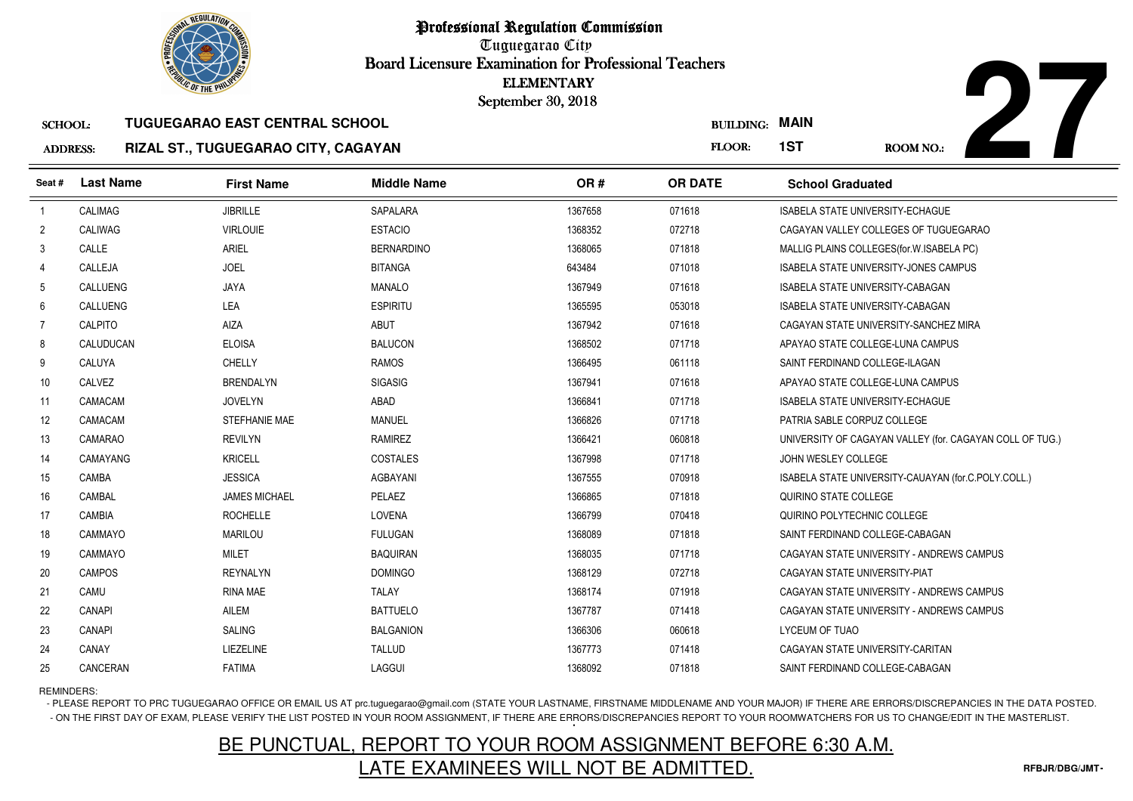

**27**

### SCHOOL:**TUGUEGARAO EAST CENTRAL SCHOOL**

### ADDRESS:**RIZAL ST., TUGUEGARAO CITY, CAGAYAN**

| <b><i>OLIC OF THE PHILIP</i></b> |                  |                                            |                    | <b>ELEMENTARY</b><br>September 30, 2018 |                  |                                                          |
|----------------------------------|------------------|--------------------------------------------|--------------------|-----------------------------------------|------------------|----------------------------------------------------------|
| <b>SCHOOL:</b>                   |                  | <b>TUGUEGARAO EAST CENTRAL SCHOOL</b>      |                    |                                         | <b>BUILDING:</b> | <b>MAIN</b>                                              |
| <b>ADDRESS:</b>                  |                  | <b>RIZAL ST., TUGUEGARAO CITY, CAGAYAN</b> |                    |                                         | FLOOR:           | 1ST<br>ROOM NO.:                                         |
| Seat#                            | <b>Last Name</b> | <b>First Name</b>                          | <b>Middle Name</b> | OR#                                     | <b>OR DATE</b>   | <b>School Graduated</b>                                  |
| $\overline{1}$                   | CALIMAG          | <b>JIBRILLE</b>                            | <b>SAPALARA</b>    | 1367658                                 | 071618           | <b>ISABELA STATE UNIVERSITY-ECHAGUE</b>                  |
| $\overline{2}$                   | <b>CALIWAG</b>   | <b>VIRLOUIE</b>                            | <b>ESTACIO</b>     | 1368352                                 | 072718           | CAGAYAN VALLEY COLLEGES OF TUGUEGARAO                    |
| 3                                | CALLE            | ARIEL                                      | <b>BERNARDINO</b>  | 1368065                                 | 071818           | MALLIG PLAINS COLLEGES (for W. ISABELA PC)               |
| 4                                | CALLEJA          | <b>JOEL</b>                                | <b>BITANGA</b>     | 643484                                  | 071018           | <b>ISABELA STATE UNIVERSITY-JONES CAMPUS</b>             |
| 5                                | CALLUENG         | <b>JAYA</b>                                | <b>MANALO</b>      | 1367949                                 | 071618           | ISABELA STATE UNIVERSITY-CABAGAN                         |
| 6                                | <b>CALLUENG</b>  | LEA                                        | <b>ESPIRITU</b>    | 1365595                                 | 053018           | ISABELA STATE UNIVERSITY-CABAGAN                         |
| $\overline{7}$                   | <b>CALPITO</b>   | AIZA                                       | <b>ABUT</b>        | 1367942                                 | 071618           | CAGAYAN STATE UNIVERSITY-SANCHEZ MIRA                    |
| 8                                | CALUDUCAN        | <b>ELOISA</b>                              | <b>BALUCON</b>     | 1368502                                 | 071718           | APAYAO STATE COLLEGE-LUNA CAMPUS                         |
| 9                                | CALUYA           | <b>CHELLY</b>                              | <b>RAMOS</b>       | 1366495                                 | 061118           | SAINT FERDINAND COLLEGE-ILAGAN                           |
| 10                               | CALVEZ           | <b>BRENDALYN</b>                           | <b>SIGASIG</b>     | 1367941                                 | 071618           | APAYAO STATE COLLEGE-LUNA CAMPUS                         |
| 11                               | CAMACAM          | <b>JOVELYN</b>                             | ABAD               | 1366841                                 | 071718           | <b>ISABELA STATE UNIVERSITY-ECHAGUE</b>                  |
| 12                               | CAMACAM          | STEFHANIE MAE                              | <b>MANUEL</b>      | 1366826                                 | 071718           | PATRIA SABLE CORPUZ COLLEGE                              |
| 13                               | CAMARAO          | <b>REVILYN</b>                             | RAMIREZ            | 1366421                                 | 060818           | UNIVERSITY OF CAGAYAN VALLEY (for. CAGAYAN COLL OF TUG.) |
| 14                               | CAMAYANG         | <b>KRICELL</b>                             | COSTALES           | 1367998                                 | 071718           | JOHN WESLEY COLLEGE                                      |
| 15                               | CAMBA            | <b>JESSICA</b>                             | <b>AGBAYANI</b>    | 1367555                                 | 070918           | ISABELA STATE UNIVERSITY-CAUAYAN (for.C.POLY.COLL.)      |
| 16                               | CAMBAL           | <b>JAMES MICHAEL</b>                       | PELAEZ             | 1366865                                 | 071818           | QUIRINO STATE COLLEGE                                    |
| 17                               | <b>CAMBIA</b>    | <b>ROCHELLE</b>                            | LOVENA             | 1366799                                 | 070418           | QUIRINO POLYTECHNIC COLLEGE                              |
| 18                               | CAMMAYO          | <b>MARILOU</b>                             | <b>FULUGAN</b>     | 1368089                                 | 071818           | SAINT FERDINAND COLLEGE-CABAGAN                          |
| 19                               | CAMMAYO          | <b>MILET</b>                               | <b>BAQUIRAN</b>    | 1368035                                 | 071718           | CAGAYAN STATE UNIVERSITY - ANDREWS CAMPUS                |
| 20                               | <b>CAMPOS</b>    | <b>REYNALYN</b>                            | <b>DOMINGO</b>     | 1368129                                 | 072718           | CAGAYAN STATE UNIVERSITY-PIAT                            |
| 21                               | CAMU             | <b>RINA MAE</b>                            | <b>TALAY</b>       | 1368174                                 | 071918           | CAGAYAN STATE UNIVERSITY - ANDREWS CAMPUS                |
| 22                               | <b>CANAPI</b>    | <b>AILEM</b>                               | <b>BATTUELO</b>    | 1367787                                 | 071418           | CAGAYAN STATE UNIVERSITY - ANDREWS CAMPUS                |
| 23                               | CANAPI           | <b>SALING</b>                              | <b>BALGANION</b>   | 1366306                                 | 060618           | LYCEUM OF TUAO                                           |
| 24                               | CANAY            | LIEZELINE                                  | <b>TALLUD</b>      | 1367773                                 | 071418           | CAGAYAN STATE UNIVERSITY-CARITAN                         |
| 25                               | CANCERAN         | <b>FATIMA</b>                              | LAGGUI             | 1368092                                 | 071818           | SAINT FERDINAND COLLEGE-CABAGAN                          |

REMINDERS:

- PLEASE REPORT TO PRC TUGUEGARAO OFFICE OR EMAIL US AT prc.tuguegarao@gmail.com (STATE YOUR LASTNAME, FIRSTNAME MIDDLENAME AND YOUR MAJOR) IF THERE ARE ERRORS/DISCREPANCIES IN THE DATA POSTED. - ON THE FIRST DAY OF EXAM, PLEASE VERIFY THE LIST POSTED IN YOUR ROOM ASSIGNMENT, IF THERE ARE ERRORS/DISCREPANCIES REPORT TO YOUR ROOMWATCHERS FOR US TO CHANGE/EDIT IN THE MASTERLIST.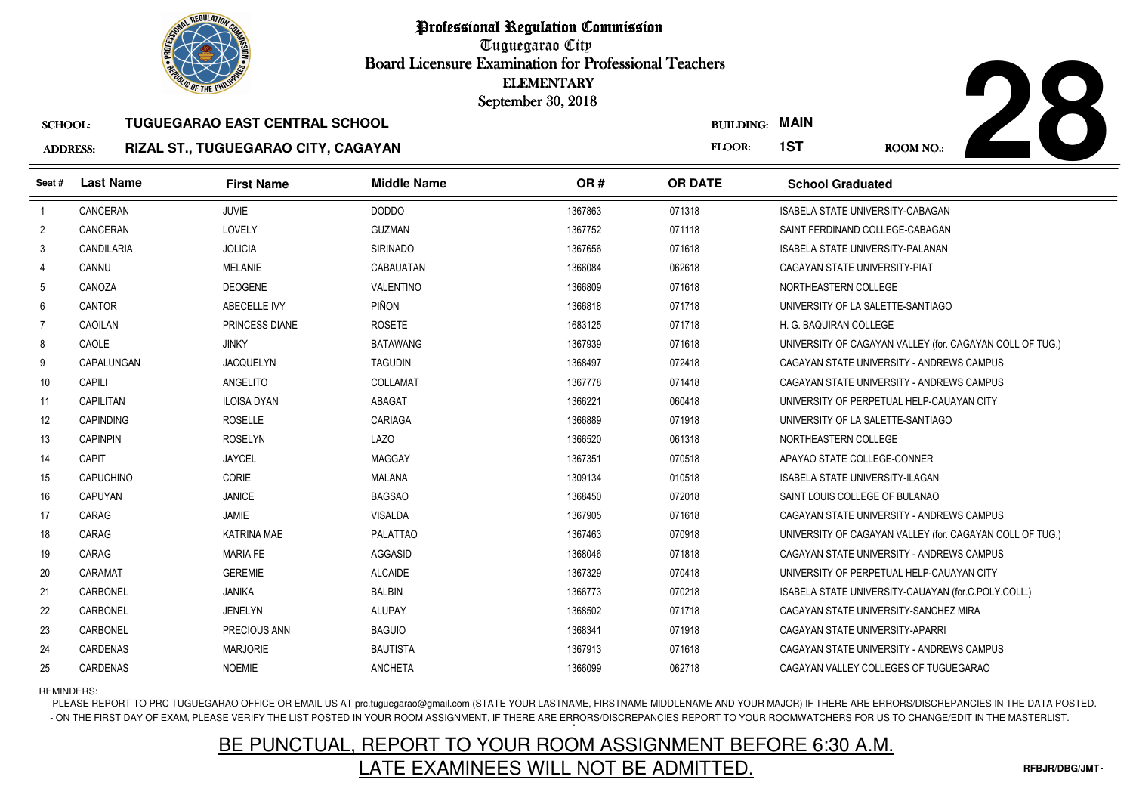

# **28**

### SCHOOL:**TUGUEGARAO EAST CENTRAL SCHOOL**

### ADDRESS:**RIZAL ST., TUGUEGARAO CITY, CAGAYAN**

|                 | <b><i>OLIC OF THE PHILIP</i></b> |                                       |                    | <b>ELEMENTARY</b><br>September 30, 2018 |                  |                                                          |
|-----------------|----------------------------------|---------------------------------------|--------------------|-----------------------------------------|------------------|----------------------------------------------------------|
| <b>SCHOOL:</b>  |                                  | <b>TUGUEGARAO EAST CENTRAL SCHOOL</b> |                    |                                         | <b>BUILDING:</b> | <b>MAIN</b>                                              |
| <b>ADDRESS:</b> |                                  | RIZAL ST., TUGUEGARAO CITY, CAGAYAN   |                    |                                         | FLOOR:           | 1ST<br><b>ROOM NO.:</b>                                  |
| Seat#           | <b>Last Name</b>                 | <b>First Name</b>                     | <b>Middle Name</b> | OR#                                     | <b>OR DATE</b>   | <b>School Graduated</b>                                  |
| $\overline{1}$  | CANCERAN                         | <b>JUVIE</b>                          | <b>DODDO</b>       | 1367863                                 | 071318           | <b>ISABELA STATE UNIVERSITY-CABAGAN</b>                  |
| $\overline{2}$  | CANCERAN                         | LOVELY                                | <b>GUZMAN</b>      | 1367752                                 | 071118           | SAINT FERDINAND COLLEGE-CABAGAN                          |
| 3               | <b>CANDILARIA</b>                | <b>JOLICIA</b>                        | <b>SIRINADO</b>    | 1367656                                 | 071618           | <b>ISABELA STATE UNIVERSITY-PALANAN</b>                  |
| 4               | CANNU                            | <b>MELANIE</b>                        | CABAUATAN          | 1366084                                 | 062618           | CAGAYAN STATE UNIVERSITY-PIAT                            |
| 5               | CANOZA                           | <b>DEOGENE</b>                        | VALENTINO          | 1366809                                 | 071618           | NORTHEASTERN COLLEGE                                     |
| 6               | <b>CANTOR</b>                    | ABECELLE IVY                          | PIÑON              | 1366818                                 | 071718           | UNIVERSITY OF LA SALETTE-SANTIAGO                        |
| $\overline{7}$  | <b>CAOILAN</b>                   | PRINCESS DIANE                        | <b>ROSETE</b>      | 1683125                                 | 071718           | H. G. BAQUIRAN COLLEGE                                   |
| 8               | CAOLE                            | <b>JINKY</b>                          | <b>BATAWANG</b>    | 1367939                                 | 071618           | UNIVERSITY OF CAGAYAN VALLEY (for. CAGAYAN COLL OF TUG.) |
| 9               | CAPALUNGAN                       | <b>JACQUELYN</b>                      | <b>TAGUDIN</b>     | 1368497                                 | 072418           | CAGAYAN STATE UNIVERSITY - ANDREWS CAMPUS                |
| 10 <sup>°</sup> | CAPILI                           | ANGELITO                              | COLLAMAT           | 1367778                                 | 071418           | CAGAYAN STATE UNIVERSITY - ANDREWS CAMPUS                |
| 11              | CAPILITAN                        | <b>ILOISA DYAN</b>                    | <b>ABAGAT</b>      | 1366221                                 | 060418           | UNIVERSITY OF PERPETUAL HELP-CAUAYAN CITY                |
| 12              | <b>CAPINDING</b>                 | <b>ROSELLE</b>                        | CARIAGA            | 1366889                                 | 071918           | UNIVERSITY OF LA SALETTE-SANTIAGO                        |
| 13              | <b>CAPINPIN</b>                  | <b>ROSELYN</b>                        | <b>LAZO</b>        | 1366520                                 | 061318           | NORTHEASTERN COLLEGE                                     |
| 14              | CAPIT                            | <b>JAYCEL</b>                         | <b>MAGGAY</b>      | 1367351                                 | 070518           | APAYAO STATE COLLEGE-CONNER                              |
| 15              | <b>CAPUCHINO</b>                 | <b>CORIE</b>                          | <b>MALANA</b>      | 1309134                                 | 010518           | ISABELA STATE UNIVERSITY-ILAGAN                          |
| 16              | CAPUYAN                          | <b>JANICE</b>                         | <b>BAGSAO</b>      | 1368450                                 | 072018           | SAINT LOUIS COLLEGE OF BULANAO                           |
| 17              | CARAG                            | JAMIE                                 | <b>VISALDA</b>     | 1367905                                 | 071618           | CAGAYAN STATE UNIVERSITY - ANDREWS CAMPUS                |
| 18              | CARAG                            | <b>KATRINA MAE</b>                    | <b>PALATTAO</b>    | 1367463                                 | 070918           | UNIVERSITY OF CAGAYAN VALLEY (for. CAGAYAN COLL OF TUG.) |
| 19              | CARAG                            | <b>MARIA FE</b>                       | AGGASID            | 1368046                                 | 071818           | CAGAYAN STATE UNIVERSITY - ANDREWS CAMPUS                |
| 20              | CARAMAT                          | <b>GEREMIE</b>                        | <b>ALCAIDE</b>     | 1367329                                 | 070418           | UNIVERSITY OF PERPETUAL HELP-CAUAYAN CITY                |
| 21              | CARBONEL                         | <b>JANIKA</b>                         | <b>BALBIN</b>      | 1366773                                 | 070218           | ISABELA STATE UNIVERSITY-CAUAYAN (for.C.POLY.COLL.)      |
| 22              | CARBONEL                         | <b>JENELYN</b>                        | <b>ALUPAY</b>      | 1368502                                 | 071718           | CAGAYAN STATE UNIVERSITY-SANCHEZ MIRA                    |
| 23              | CARBONEL                         | PRECIOUS ANN                          | <b>BAGUIO</b>      | 1368341                                 | 071918           | CAGAYAN STATE UNIVERSITY-APARRI                          |
| 24              | CARDENAS                         | <b>MARJORIE</b>                       | <b>BAUTISTA</b>    | 1367913                                 | 071618           | CAGAYAN STATE UNIVERSITY - ANDREWS CAMPUS                |
| 25              | CARDENAS                         | <b>NOEMIE</b>                         | <b>ANCHETA</b>     | 1366099                                 | 062718           | CAGAYAN VALLEY COLLEGES OF TUGUEGARAO                    |

# REMINDERS:

- PLEASE REPORT TO PRC TUGUEGARAO OFFICE OR EMAIL US AT prc.tuguegarao@gmail.com (STATE YOUR LASTNAME, FIRSTNAME MIDDLENAME AND YOUR MAJOR) IF THERE ARE ERRORS/DISCREPANCIES IN THE DATA POSTED. - ON THE FIRST DAY OF EXAM, PLEASE VERIFY THE LIST POSTED IN YOUR ROOM ASSIGNMENT, IF THERE ARE ERRORS/DISCREPANCIES REPORT TO YOUR ROOMWATCHERS FOR US TO CHANGE/EDIT IN THE MASTERLIST.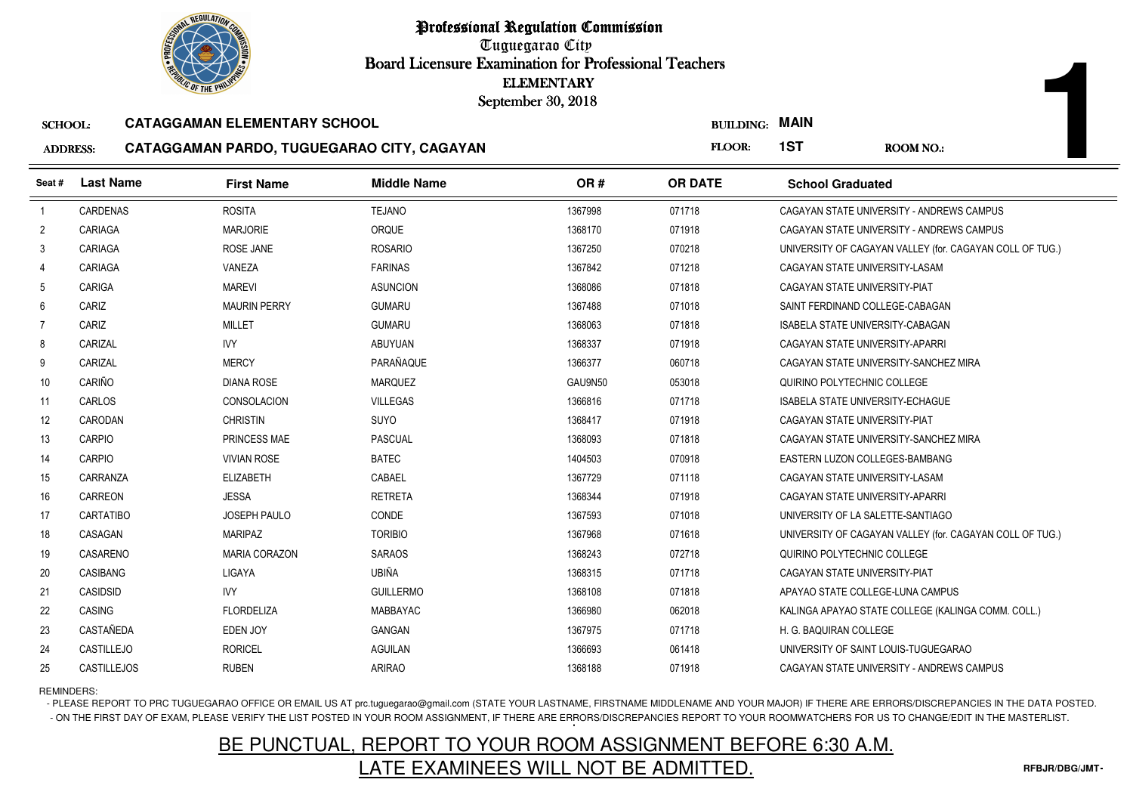

Tuguegarao City Board Licensure Examination for Professional Teachers September 30, 2018

### SCHOOL:**CATAGGAMAN ELEMENTARY SCHOOL**

### ADDRESS:**CATAGGAMAN PARDO, TUGUEGARAO CITY, CAGAYAN**

|                 | <b><i>OLIC OF THE PHILIP</i></b> |                                            | <b>ELEMENTARY</b><br>September 30, 2018 |         |                       |                                         |                                                          |
|-----------------|----------------------------------|--------------------------------------------|-----------------------------------------|---------|-----------------------|-----------------------------------------|----------------------------------------------------------|
| <b>SCHOOL:</b>  |                                  | <b>CATAGGAMAN ELEMENTARY SCHOOL</b>        |                                         |         | <b>BUILDING: MAIN</b> |                                         |                                                          |
| <b>ADDRESS:</b> |                                  | CATAGGAMAN PARDO, TUGUEGARAO CITY, CAGAYAN |                                         |         | FLOOR:                | 1ST                                     | <b>ROOM NO.:</b>                                         |
| Seat#           | <b>Last Name</b>                 | <b>First Name</b>                          | <b>Middle Name</b>                      | OR#     | <b>OR DATE</b>        | <b>School Graduated</b>                 |                                                          |
| $\overline{1}$  | <b>CARDENAS</b>                  | <b>ROSITA</b>                              | <b>TEJANO</b>                           | 1367998 | 071718                |                                         | CAGAYAN STATE UNIVERSITY - ANDREWS CAMPUS                |
| $\overline{2}$  | CARIAGA                          | <b>MARJORIE</b>                            | ORQUE                                   | 1368170 | 071918                |                                         | CAGAYAN STATE UNIVERSITY - ANDREWS CAMPUS                |
| 3               | CARIAGA                          | ROSE JANE                                  | <b>ROSARIO</b>                          | 1367250 | 070218                |                                         | UNIVERSITY OF CAGAYAN VALLEY (for. CAGAYAN COLL OF TUG.) |
| 4               | CARIAGA                          | VANEZA                                     | <b>FARINAS</b>                          | 1367842 | 071218                | CAGAYAN STATE UNIVERSITY-LASAM          |                                                          |
| 5               | CARIGA                           | <b>MAREVI</b>                              | <b>ASUNCION</b>                         | 1368086 | 071818                | CAGAYAN STATE UNIVERSITY-PIAT           |                                                          |
| 6               | CARIZ                            | <b>MAURIN PERRY</b>                        | <b>GUMARU</b>                           | 1367488 | 071018                | SAINT FERDINAND COLLEGE-CABAGAN         |                                                          |
| $\overline{7}$  | CARIZ                            | <b>MILLET</b>                              | <b>GUMARU</b>                           | 1368063 | 071818                | ISABELA STATE UNIVERSITY-CABAGAN        |                                                          |
| 8               | CARIZAL                          | <b>IVY</b>                                 | <b>ABUYUAN</b>                          | 1368337 | 071918                | CAGAYAN STATE UNIVERSITY-APARRI         |                                                          |
| 9               | CARIZAL                          | <b>MERCY</b>                               | PARAÑAQUE                               | 1366377 | 060718                |                                         | CAGAYAN STATE UNIVERSITY-SANCHEZ MIRA                    |
| 10              | CARIÑO                           | <b>DIANA ROSE</b>                          | <b>MARQUEZ</b>                          | GAU9N50 | 053018                | QUIRINO POLYTECHNIC COLLEGE             |                                                          |
| 11              | <b>CARLOS</b>                    | <b>CONSOLACION</b>                         | <b>VILLEGAS</b>                         | 1366816 | 071718                | <b>ISABELA STATE UNIVERSITY-ECHAGUE</b> |                                                          |
| 12              | CARODAN                          | <b>CHRISTIN</b>                            | <b>SUYO</b>                             | 1368417 | 071918                | CAGAYAN STATE UNIVERSITY-PIAT           |                                                          |
| 13              | CARPIO                           | PRINCESS MAE                               | <b>PASCUAL</b>                          | 1368093 | 071818                |                                         | CAGAYAN STATE UNIVERSITY-SANCHEZ MIRA                    |
| 14              | <b>CARPIO</b>                    | <b>VIVIAN ROSE</b>                         | <b>BATEC</b>                            | 1404503 | 070918                | EASTERN LUZON COLLEGES-BAMBANG          |                                                          |
| 15              | CARRANZA                         | <b>ELIZABETH</b>                           | CABAEL                                  | 1367729 | 071118                | CAGAYAN STATE UNIVERSITY-LASAM          |                                                          |
| 16              | CARREON                          | <b>JESSA</b>                               | <b>RETRETA</b>                          | 1368344 | 071918                | CAGAYAN STATE UNIVERSITY-APARRI         |                                                          |
| 17              | <b>CARTATIBO</b>                 | <b>JOSEPH PAULO</b>                        | CONDE                                   | 1367593 | 071018                | UNIVERSITY OF LA SALETTE-SANTIAGO       |                                                          |
| 18              | CASAGAN                          | <b>MARIPAZ</b>                             | <b>TORIBIO</b>                          | 1367968 | 071618                |                                         | UNIVERSITY OF CAGAYAN VALLEY (for. CAGAYAN COLL OF TUG.) |
| 19              | CASARENO                         | <b>MARIA CORAZON</b>                       | <b>SARAOS</b>                           | 1368243 | 072718                | QUIRINO POLYTECHNIC COLLEGE             |                                                          |
| 20              | CASIBANG                         | LIGAYA                                     | UBIÑA                                   | 1368315 | 071718                | CAGAYAN STATE UNIVERSITY-PIAT           |                                                          |
| 21              | CASIDSID                         | <b>IVY</b>                                 | <b>GUILLERMO</b>                        | 1368108 | 071818                | APAYAO STATE COLLEGE-LUNA CAMPUS        |                                                          |
| 22              | CASING                           | <b>FLORDELIZA</b>                          | MABBAYAC                                | 1366980 | 062018                |                                         | KALINGA APAYAO STATE COLLEGE (KALINGA COMM. COLL.)       |
| 23              | CASTAÑEDA                        | EDEN JOY                                   | <b>GANGAN</b>                           | 1367975 | 071718                | H. G. BAQUIRAN COLLEGE                  |                                                          |
| 24              | CASTILLEJO                       | <b>RORICEL</b>                             | <b>AGUILAN</b>                          | 1366693 | 061418                | UNIVERSITY OF SAINT LOUIS-TUGUEGARAO    |                                                          |
| 25              | <b>CASTILLEJOS</b>               | <b>RUBEN</b>                               | <b>ARIRAO</b>                           | 1368188 | 071918                |                                         | CAGAYAN STATE UNIVERSITY - ANDREWS CAMPUS                |

REMINDERS:

- PLEASE REPORT TO PRC TUGUEGARAO OFFICE OR EMAIL US AT prc.tuguegarao@gmail.com (STATE YOUR LASTNAME, FIRSTNAME MIDDLENAME AND YOUR MAJOR) IF THERE ARE ERRORS/DISCREPANCIES IN THE DATA POSTED. - ON THE FIRST DAY OF EXAM, PLEASE VERIFY THE LIST POSTED IN YOUR ROOM ASSIGNMENT, IF THERE ARE ERRORS/DISCREPANCIES REPORT TO YOUR ROOMWATCHERS FOR US TO CHANGE/EDIT IN THE MASTERLIST.

# BE PUNCTUAL, REPORT TO YOUR ROOM ASSIGNMENT BEFORE 6:30 A.M.LATE EXAMINEES WILL NOT BE ADMITTED.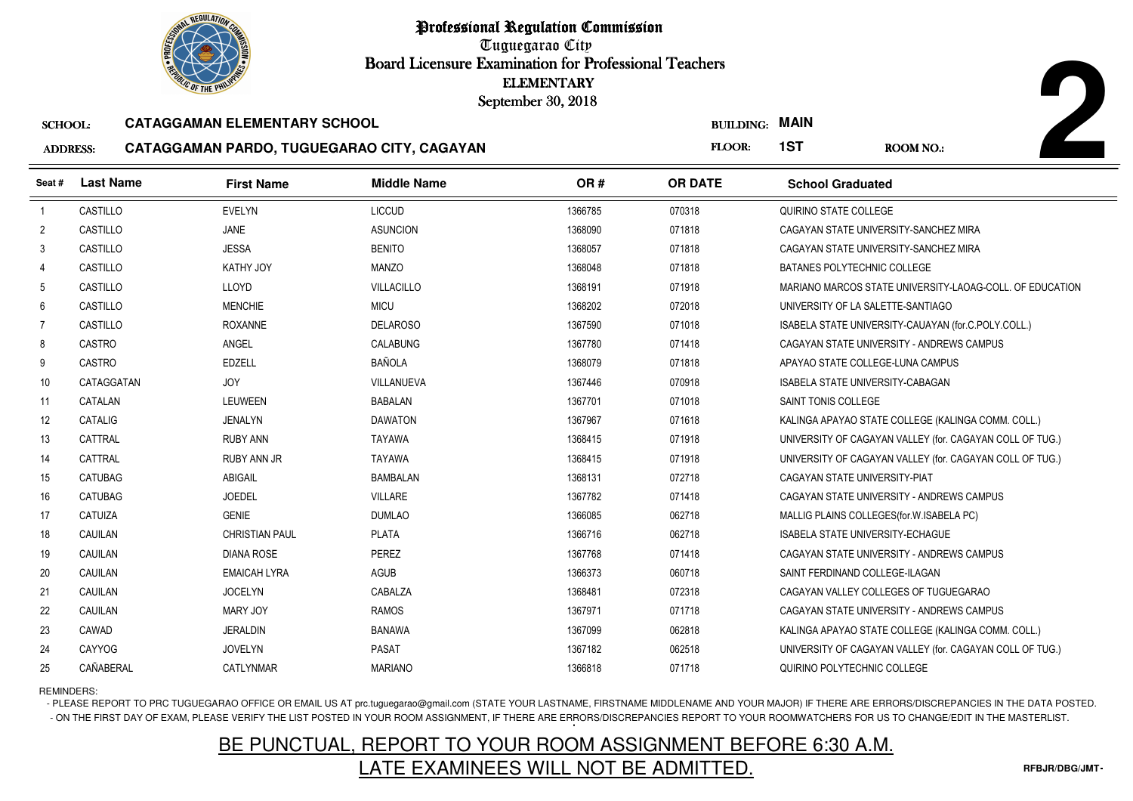

Tuguegarao City Board Licensure Examination for Professional Teachers September 30, 2018

### SCHOOL:**CATAGGAMAN ELEMENTARY SCHOOL**

### ADDRESS:**CATAGGAMAN PARDO, TUGUEGARAO CITY, CAGAYAN**

|                 | <b><i>OLIC OF THE PHILIP</i></b> |                                            | <b>ELEMENTARY</b><br>September 30, 2018 |         |                       |                                   |                                                          |
|-----------------|----------------------------------|--------------------------------------------|-----------------------------------------|---------|-----------------------|-----------------------------------|----------------------------------------------------------|
| <b>SCHOOL:</b>  |                                  | <b>CATAGGAMAN ELEMENTARY SCHOOL</b>        |                                         |         | <b>BUILDING: MAIN</b> |                                   |                                                          |
| <b>ADDRESS:</b> |                                  | CATAGGAMAN PARDO, TUGUEGARAO CITY, CAGAYAN |                                         |         | <b>FLOOR:</b>         | 1ST                               | <b>ROOM NO.:</b>                                         |
| Seat #          | <b>Last Name</b>                 | <b>First Name</b>                          | <b>Middle Name</b>                      | OR#     | <b>OR DATE</b>        | <b>School Graduated</b>           |                                                          |
| $\overline{1}$  | CASTILLO                         | <b>EVELYN</b>                              | <b>LICCUD</b>                           | 1366785 | 070318                | QUIRINO STATE COLLEGE             |                                                          |
| $\overline{2}$  | CASTILLO                         | JANE                                       | <b>ASUNCION</b>                         | 1368090 | 071818                |                                   | CAGAYAN STATE UNIVERSITY-SANCHEZ MIRA                    |
| 3               | CASTILLO                         | <b>JESSA</b>                               | <b>BENITO</b>                           | 1368057 | 071818                |                                   | CAGAYAN STATE UNIVERSITY-SANCHEZ MIRA                    |
| $\overline{4}$  | CASTILLO                         | KATHY JOY                                  | <b>MANZO</b>                            | 1368048 | 071818                | BATANES POLYTECHNIC COLLEGE       |                                                          |
| 5               | CASTILLO                         | LLOYD                                      | <b>VILLACILLO</b>                       | 1368191 | 071918                |                                   | MARIANO MARCOS STATE UNIVERSITY-LAOAG-COLL. OF EDUCATION |
| 6               | CASTILLO                         | <b>MENCHIE</b>                             | <b>MICU</b>                             | 1368202 | 072018                | UNIVERSITY OF LA SALETTE-SANTIAGO |                                                          |
| 7               | CASTILLO                         | <b>ROXANNE</b>                             | <b>DELAROSO</b>                         | 1367590 | 071018                |                                   | ISABELA STATE UNIVERSITY-CAUAYAN (for.C.POLY.COLL.)      |
| 8               | CASTRO                           | ANGEL                                      | <b>CALABUNG</b>                         | 1367780 | 071418                |                                   | CAGAYAN STATE UNIVERSITY - ANDREWS CAMPUS                |
| 9               | CASTRO                           | <b>EDZELL</b>                              | <b>BAÑOLA</b>                           | 1368079 | 071818                | APAYAO STATE COLLEGE-LUNA CAMPUS  |                                                          |
| 10              | CATAGGATAN                       | <b>JOY</b>                                 | VILLANUEVA                              | 1367446 | 070918                | ISABELA STATE UNIVERSITY-CABAGAN  |                                                          |
| 11              | CATALAN                          | LEUWEEN                                    | <b>BABALAN</b>                          | 1367701 | 071018                | SAINT TONIS COLLEGE               |                                                          |
| 12              | CATALIG                          | <b>JENALYN</b>                             | <b>DAWATON</b>                          | 1367967 | 071618                |                                   | KALINGA APAYAO STATE COLLEGE (KALINGA COMM. COLL.)       |
| 13              | CATTRAL                          | RUBY ANN                                   | <b>TAYAWA</b>                           | 1368415 | 071918                |                                   | UNIVERSITY OF CAGAYAN VALLEY (for. CAGAYAN COLL OF TUG.) |
| 14              | CATTRAL                          | <b>RUBY ANN JR</b>                         | <b>TAYAWA</b>                           | 1368415 | 071918                |                                   | UNIVERSITY OF CAGAYAN VALLEY (for. CAGAYAN COLL OF TUG.) |
| 15              | CATUBAG                          | <b>ABIGAIL</b>                             | <b>BAMBALAN</b>                         | 1368131 | 072718                | CAGAYAN STATE UNIVERSITY-PIAT     |                                                          |
| 16              | CATUBAG                          | <b>JOEDEL</b>                              | <b>VILLARE</b>                          | 1367782 | 071418                |                                   | CAGAYAN STATE UNIVERSITY - ANDREWS CAMPUS                |
| 17              | CATUIZA                          | <b>GENIE</b>                               | <b>DUMLAO</b>                           | 1366085 | 062718                |                                   | MALLIG PLAINS COLLEGES (for W. ISABELA PC)               |
| 18              | CAUILAN                          | <b>CHRISTIAN PAUL</b>                      | <b>PLATA</b>                            | 1366716 | 062718                | ISABELA STATE UNIVERSITY-ECHAGUE  |                                                          |
| 19              | CAUILAN                          | <b>DIANA ROSE</b>                          | <b>PEREZ</b>                            | 1367768 | 071418                |                                   | CAGAYAN STATE UNIVERSITY - ANDREWS CAMPUS                |
| 20              | CAUILAN                          | <b>EMAICAH LYRA</b>                        | <b>AGUB</b>                             | 1366373 | 060718                | SAINT FERDINAND COLLEGE-ILAGAN    |                                                          |
| 21              | CAUILAN                          | <b>JOCELYN</b>                             | CABALZA                                 | 1368481 | 072318                |                                   | CAGAYAN VALLEY COLLEGES OF TUGUEGARAO                    |
| 22              | CAUILAN                          | <b>MARY JOY</b>                            | <b>RAMOS</b>                            | 1367971 | 071718                |                                   | CAGAYAN STATE UNIVERSITY - ANDREWS CAMPUS                |
| 23              | CAWAD                            | <b>JERALDIN</b>                            | <b>BANAWA</b>                           | 1367099 | 062818                |                                   | KALINGA APAYAO STATE COLLEGE (KALINGA COMM. COLL.)       |
| 24              | CAYYOG                           | <b>JOVELYN</b>                             | <b>PASAT</b>                            | 1367182 | 062518                |                                   | UNIVERSITY OF CAGAYAN VALLEY (for. CAGAYAN COLL OF TUG.) |
| 25              | CAÑABERAL                        | <b>CATLYNMAR</b>                           | <b>MARIANO</b>                          | 1366818 | 071718                | QUIRINO POLYTECHNIC COLLEGE       |                                                          |

# REMINDERS:

- PLEASE REPORT TO PRC TUGUEGARAO OFFICE OR EMAIL US AT prc.tuguegarao@gmail.com (STATE YOUR LASTNAME, FIRSTNAME MIDDLENAME AND YOUR MAJOR) IF THERE ARE ERRORS/DISCREPANCIES IN THE DATA POSTED. - ON THE FIRST DAY OF EXAM, PLEASE VERIFY THE LIST POSTED IN YOUR ROOM ASSIGNMENT, IF THERE ARE ERRORS/DISCREPANCIES REPORT TO YOUR ROOMWATCHERS FOR US TO CHANGE/EDIT IN THE MASTERLIST.

# BE PUNCTUAL, REPORT TO YOUR ROOM ASSIGNMENT BEFORE 6:30 A.M.LATE EXAMINEES WILL NOT BE ADMITTED.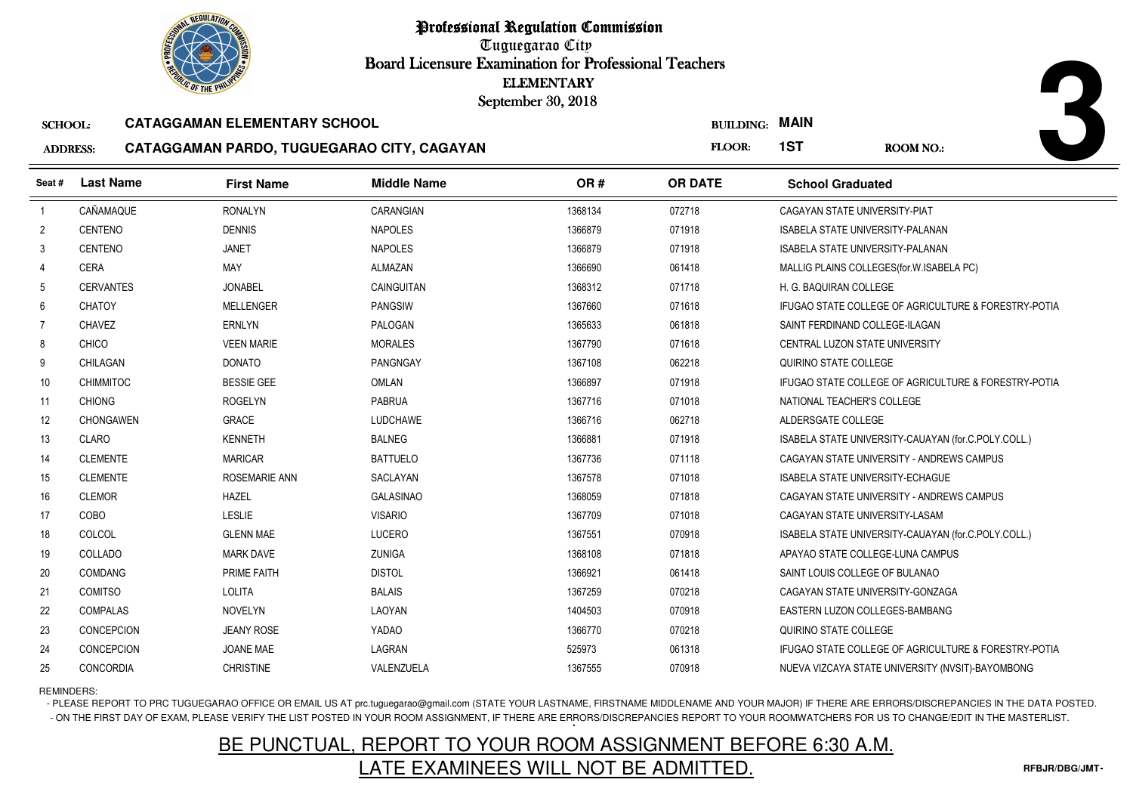

Tuguegarao City Board Licensure Examination for Professional Teachers September 30, 2018

### SCHOOL:**CATAGGAMAN ELEMENTARY SCHOOL**

### ADDRESS:**CATAGGAMAN PARDO, TUGUEGARAO CITY, CAGAYAN**

| <b><i>OLIC OF THE PHILIP</i></b>                      |                  |                                            | <b>ELEMENTARY</b><br>September 30, 2018 |         |                       |                                         |                                                      |
|-------------------------------------------------------|------------------|--------------------------------------------|-----------------------------------------|---------|-----------------------|-----------------------------------------|------------------------------------------------------|
| <b>CATAGGAMAN ELEMENTARY SCHOOL</b><br><b>SCHOOL:</b> |                  |                                            |                                         |         | <b>BUILDING: MAIN</b> |                                         |                                                      |
| <b>ADDRESS:</b>                                       |                  | CATAGGAMAN PARDO, TUGUEGARAO CITY, CAGAYAN |                                         |         | FLOOR:                | 1ST                                     | <b>ROOM NO.:</b>                                     |
| Seat#                                                 | <b>Last Name</b> | <b>First Name</b>                          | <b>Middle Name</b>                      | OR#     | <b>OR DATE</b>        | <b>School Graduated</b>                 |                                                      |
| $\overline{1}$                                        | CAÑAMAQUE        | <b>RONALYN</b>                             | CARANGIAN                               | 1368134 | 072718                | CAGAYAN STATE UNIVERSITY-PIAT           |                                                      |
| $\overline{2}$                                        | <b>CENTENO</b>   | <b>DENNIS</b>                              | <b>NAPOLES</b>                          | 1366879 | 071918                | <b>ISABELA STATE UNIVERSITY-PALANAN</b> |                                                      |
| 3                                                     | CENTENO          | <b>JANET</b>                               | <b>NAPOLES</b>                          | 1366879 | 071918                | <b>ISABELA STATE UNIVERSITY-PALANAN</b> |                                                      |
| 4                                                     | <b>CERA</b>      | MAY                                        | <b>ALMAZAN</b>                          | 1366690 | 061418                |                                         | MALLIG PLAINS COLLEGES (for. W. ISABELA PC)          |
| -5                                                    | <b>CERVANTES</b> | <b>JONABEL</b>                             | CAINGUITAN                              | 1368312 | 071718                | H. G. BAQUIRAN COLLEGE                  |                                                      |
| 6                                                     | <b>CHATOY</b>    | <b>MELLENGER</b>                           | <b>PANGSIW</b>                          | 1367660 | 071618                |                                         | IFUGAO STATE COLLEGE OF AGRICULTURE & FORESTRY-POTIA |
| 7                                                     | <b>CHAVEZ</b>    | <b>ERNLYN</b>                              | <b>PALOGAN</b>                          | 1365633 | 061818                | SAINT FERDINAND COLLEGE-ILAGAN          |                                                      |
| 8                                                     | <b>CHICO</b>     | <b>VEEN MARIE</b>                          | <b>MORALES</b>                          | 1367790 | 071618                | CENTRAL LUZON STATE UNIVERSITY          |                                                      |
| 9                                                     | CHILAGAN         | <b>DONATO</b>                              | <b>PANGNGAY</b>                         | 1367108 | 062218                | QUIRINO STATE COLLEGE                   |                                                      |
| 10 <sup>°</sup>                                       | <b>CHIMMITOC</b> | <b>BESSIE GEE</b>                          | <b>OMLAN</b>                            | 1366897 | 071918                |                                         | IFUGAO STATE COLLEGE OF AGRICULTURE & FORESTRY-POTIA |
| 11                                                    | <b>CHIONG</b>    | <b>ROGELYN</b>                             | <b>PABRUA</b>                           | 1367716 | 071018                | NATIONAL TEACHER'S COLLEGE              |                                                      |
| 12                                                    | <b>CHONGAWEN</b> | <b>GRACE</b>                               | <b>LUDCHAWE</b>                         | 1366716 | 062718                | ALDERSGATE COLLEGE                      |                                                      |
| 13                                                    | <b>CLARO</b>     | <b>KENNETH</b>                             | <b>BALNEG</b>                           | 1366881 | 071918                |                                         | ISABELA STATE UNIVERSITY-CAUAYAN (for.C.POLY.COLL.)  |
| 14                                                    | <b>CLEMENTE</b>  | <b>MARICAR</b>                             | <b>BATTUELO</b>                         | 1367736 | 071118                |                                         | CAGAYAN STATE UNIVERSITY - ANDREWS CAMPUS            |
| 15                                                    | <b>CLEMENTE</b>  | ROSEMARIE ANN                              | <b>SACLAYAN</b>                         | 1367578 | 071018                | <b>ISABELA STATE UNIVERSITY-ECHAGUE</b> |                                                      |
| 16                                                    | <b>CLEMOR</b>    | <b>HAZEL</b>                               | <b>GALASINAO</b>                        | 1368059 | 071818                |                                         | CAGAYAN STATE UNIVERSITY - ANDREWS CAMPUS            |
| 17                                                    | COBO             | <b>LESLIE</b>                              | <b>VISARIO</b>                          | 1367709 | 071018                | CAGAYAN STATE UNIVERSITY-LASAM          |                                                      |
| 18                                                    | COLCOL           | <b>GLENN MAE</b>                           | <b>LUCERO</b>                           | 1367551 | 070918                |                                         | ISABELA STATE UNIVERSITY-CAUAYAN (for.C.POLY.COLL.)  |
| 19                                                    | COLLADO          | <b>MARK DAVE</b>                           | <b>ZUNIGA</b>                           | 1368108 | 071818                | APAYAO STATE COLLEGE-LUNA CAMPUS        |                                                      |
| 20                                                    | <b>COMDANG</b>   | PRIME FAITH                                | <b>DISTOL</b>                           | 1366921 | 061418                | SAINT LOUIS COLLEGE OF BULANAO          |                                                      |
| 21                                                    | <b>COMITSO</b>   | <b>LOLITA</b>                              | <b>BALAIS</b>                           | 1367259 | 070218                | CAGAYAN STATE UNIVERSITY-GONZAGA        |                                                      |
| 22                                                    | <b>COMPALAS</b>  | <b>NOVELYN</b>                             | LAOYAN                                  | 1404503 | 070918                | EASTERN LUZON COLLEGES-BAMBANG          |                                                      |
| 23                                                    | CONCEPCION       | <b>JEANY ROSE</b>                          | YADAO                                   | 1366770 | 070218                | QUIRINO STATE COLLEGE                   |                                                      |
| 24                                                    | CONCEPCION       | <b>JOANE MAE</b>                           | LAGRAN                                  | 525973  | 061318                |                                         | IFUGAO STATE COLLEGE OF AGRICULTURE & FORESTRY-POTIA |
| 25                                                    | CONCORDIA        | <b>CHRISTINE</b>                           | VALENZUELA                              | 1367555 | 070918                |                                         | NUEVA VIZCAYA STATE UNIVERSITY (NVSIT)-BAYOMBONG     |

# REMINDERS:

- PLEASE REPORT TO PRC TUGUEGARAO OFFICE OR EMAIL US AT prc.tuguegarao@gmail.com (STATE YOUR LASTNAME, FIRSTNAME MIDDLENAME AND YOUR MAJOR) IF THERE ARE ERRORS/DISCREPANCIES IN THE DATA POSTED. - ON THE FIRST DAY OF EXAM, PLEASE VERIFY THE LIST POSTED IN YOUR ROOM ASSIGNMENT, IF THERE ARE ERRORS/DISCREPANCIES REPORT TO YOUR ROOMWATCHERS FOR US TO CHANGE/EDIT IN THE MASTERLIST.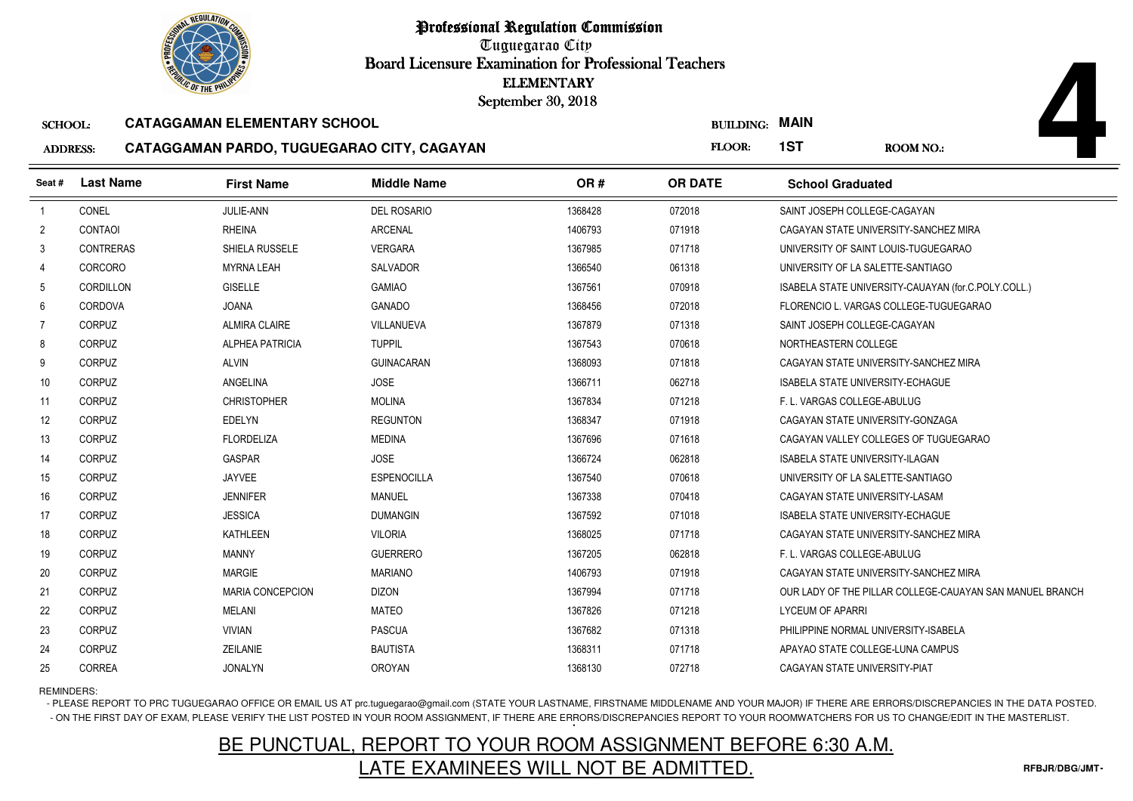

Tuguegarao City Board Licensure Examination for Professional Teachers September 30, 2018

### SCHOOL:**CATAGGAMAN ELEMENTARY SCHOOL**

### ADDRESS:**CATAGGAMAN PARDO, TUGUEGARAO CITY, CAGAYAN**

| <b><i>OLIC OF THE PHILIP</i></b> |                  |                                            | September 30, 2018 | <b>ELEMENTARY</b> |                       |                                         |                                                          |
|----------------------------------|------------------|--------------------------------------------|--------------------|-------------------|-----------------------|-----------------------------------------|----------------------------------------------------------|
| <b>SCHOOL:</b>                   |                  | <b>CATAGGAMAN ELEMENTARY SCHOOL</b>        |                    |                   | <b>BUILDING: MAIN</b> |                                         |                                                          |
| <b>ADDRESS:</b>                  |                  | CATAGGAMAN PARDO, TUGUEGARAO CITY, CAGAYAN |                    |                   | FLOOR:                | 1ST                                     | <b>ROOM NO.:</b>                                         |
| Seat#                            | <b>Last Name</b> | <b>First Name</b>                          | <b>Middle Name</b> | OR#               | <b>OR DATE</b>        | <b>School Graduated</b>                 |                                                          |
| $\overline{1}$                   | CONEL            | JULIE-ANN                                  | <b>DEL ROSARIO</b> | 1368428           | 072018                | SAINT JOSEPH COLLEGE-CAGAYAN            |                                                          |
| $\overline{2}$                   | <b>CONTAOI</b>   | <b>RHEINA</b>                              | <b>ARCENAL</b>     | 1406793           | 071918                |                                         | CAGAYAN STATE UNIVERSITY-SANCHEZ MIRA                    |
| 3                                | CONTRERAS        | SHIELA RUSSELE                             | <b>VERGARA</b>     | 1367985           | 071718                |                                         | UNIVERSITY OF SAINT LOUIS-TUGUEGARAO                     |
| 4                                | <b>CORCORO</b>   | <b>MYRNA LEAH</b>                          | <b>SALVADOR</b>    | 1366540           | 061318                | UNIVERSITY OF LA SALETTE-SANTIAGO       |                                                          |
| 5                                | CORDILLON        | <b>GISELLE</b>                             | <b>GAMIAO</b>      | 1367561           | 070918                |                                         | ISABELA STATE UNIVERSITY-CAUAYAN (for.C.POLY.COLL.)      |
| 6                                | CORDOVA          | <b>JOANA</b>                               | <b>GANADO</b>      | 1368456           | 072018                |                                         | FLORENCIO L. VARGAS COLLEGE-TUGUEGARAO                   |
| 7                                | CORPUZ           | <b>ALMIRA CLAIRE</b>                       | VILLANUEVA         | 1367879           | 071318                | SAINT JOSEPH COLLEGE-CAGAYAN            |                                                          |
| 8                                | CORPUZ           | <b>ALPHEA PATRICIA</b>                     | <b>TUPPIL</b>      | 1367543           | 070618                | NORTHEASTERN COLLEGE                    |                                                          |
| 9                                | <b>CORPUZ</b>    | <b>ALVIN</b>                               | <b>GUINACARAN</b>  | 1368093           | 071818                |                                         | CAGAYAN STATE UNIVERSITY-SANCHEZ MIRA                    |
| 10                               | CORPUZ           | ANGELINA                                   | <b>JOSE</b>        | 1366711           | 062718                | <b>ISABELA STATE UNIVERSITY-ECHAGUE</b> |                                                          |
| 11                               | CORPUZ           | <b>CHRISTOPHER</b>                         | <b>MOLINA</b>      | 1367834           | 071218                | F. L. VARGAS COLLEGE-ABULUG             |                                                          |
| 12                               | CORPUZ           | <b>EDELYN</b>                              | <b>REGUNTON</b>    | 1368347           | 071918                | CAGAYAN STATE UNIVERSITY-GONZAGA        |                                                          |
| 13                               | <b>CORPUZ</b>    | <b>FLORDELIZA</b>                          | <b>MEDINA</b>      | 1367696           | 071618                |                                         | CAGAYAN VALLEY COLLEGES OF TUGUEGARAO                    |
| 14                               | CORPUZ           | <b>GASPAR</b>                              | <b>JOSE</b>        | 1366724           | 062818                | <b>ISABELA STATE UNIVERSITY-ILAGAN</b>  |                                                          |
| 15                               | CORPUZ           | <b>JAYVEE</b>                              | <b>ESPENOCILLA</b> | 1367540           | 070618                | UNIVERSITY OF LA SALETTE-SANTIAGO       |                                                          |
| 16                               | CORPUZ           | <b>JENNIFER</b>                            | <b>MANUEL</b>      | 1367338           | 070418                | CAGAYAN STATE UNIVERSITY-LASAM          |                                                          |
| 17                               | <b>CORPUZ</b>    | <b>JESSICA</b>                             | <b>DUMANGIN</b>    | 1367592           | 071018                | <b>ISABELA STATE UNIVERSITY-ECHAGUE</b> |                                                          |
| 18                               | CORPUZ           | <b>KATHLEEN</b>                            | <b>VILORIA</b>     | 1368025           | 071718                |                                         | CAGAYAN STATE UNIVERSITY-SANCHEZ MIRA                    |
| 19                               | CORPUZ           | <b>MANNY</b>                               | <b>GUERRERO</b>    | 1367205           | 062818                | F. L. VARGAS COLLEGE-ABULUG             |                                                          |
| 20                               | CORPUZ           | <b>MARGIE</b>                              | <b>MARIANO</b>     | 1406793           | 071918                |                                         | CAGAYAN STATE UNIVERSITY-SANCHEZ MIRA                    |
| 21                               | CORPUZ           | <b>MARIA CONCEPCION</b>                    | <b>DIZON</b>       | 1367994           | 071718                |                                         | OUR LADY OF THE PILLAR COLLEGE-CAUAYAN SAN MANUEL BRANCH |
| 22                               | CORPUZ           | <b>MELANI</b>                              | <b>MATEO</b>       | 1367826           | 071218                | <b>LYCEUM OF APARRI</b>                 |                                                          |
| 23                               | <b>CORPUZ</b>    | <b>VIVIAN</b>                              | <b>PASCUA</b>      | 1367682           | 071318                | PHILIPPINE NORMAL UNIVERSITY-ISABELA    |                                                          |
| 24                               | CORPUZ           | ZEILANIE                                   | <b>BAUTISTA</b>    | 1368311           | 071718                | APAYAO STATE COLLEGE-LUNA CAMPUS        |                                                          |
| 25                               | <b>CORREA</b>    | <b>JONALYN</b>                             | <b>OROYAN</b>      | 1368130           | 072718                | CAGAYAN STATE UNIVERSITY-PIAT           |                                                          |

REMINDERS:

- PLEASE REPORT TO PRC TUGUEGARAO OFFICE OR EMAIL US AT prc.tuguegarao@gmail.com (STATE YOUR LASTNAME, FIRSTNAME MIDDLENAME AND YOUR MAJOR) IF THERE ARE ERRORS/DISCREPANCIES IN THE DATA POSTED. - ON THE FIRST DAY OF EXAM, PLEASE VERIFY THE LIST POSTED IN YOUR ROOM ASSIGNMENT, IF THERE ARE ERRORS/DISCREPANCIES REPORT TO YOUR ROOMWATCHERS FOR US TO CHANGE/EDIT IN THE MASTERLIST.

# BE PUNCTUAL, REPORT TO YOUR ROOM ASSIGNMENT BEFORE 6:30 A.M.LATE EXAMINEES WILL NOT BE ADMITTED.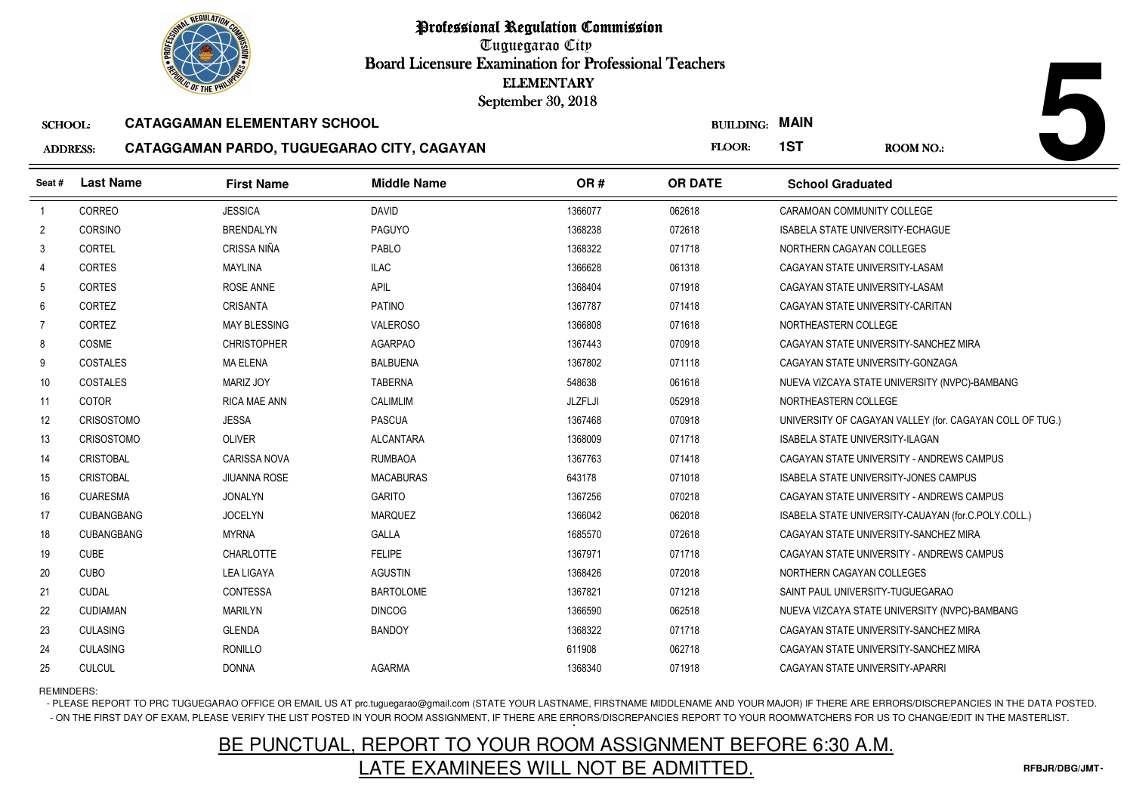Tuguegarao City Board Licensure Examination for Professional Teachers September 30, 2018

### SCHOOL:**CATAGGAMAN ELEMENTARY SCHOOL**

### ADDRESS:**CATAGGAMAN PARDO, TUGUEGARAO CITY, CAGAYAN**

|                 | <b><i>OLIC OF THE PHILIPS</i></b> |                                            | <b>ELEMENTARY</b><br>September 30, 2018 |         |                       |                                         |                                                          |
|-----------------|-----------------------------------|--------------------------------------------|-----------------------------------------|---------|-----------------------|-----------------------------------------|----------------------------------------------------------|
| <b>SCHOOL:</b>  |                                   | <b>CATAGGAMAN ELEMENTARY SCHOOL</b>        |                                         |         | <b>BUILDING: MAIN</b> |                                         |                                                          |
| <b>ADDRESS:</b> |                                   | CATAGGAMAN PARDO, TUGUEGARAO CITY, CAGAYAN |                                         |         | FLOOR:                | 1ST                                     | <b>ROOM NO.:</b>                                         |
| Seat #          | <b>Last Name</b>                  | <b>First Name</b>                          | <b>Middle Name</b>                      | OR#     | <b>OR DATE</b>        | <b>School Graduated</b>                 |                                                          |
| $\overline{1}$  | CORREO                            | <b>JESSICA</b>                             | <b>DAVID</b>                            | 1366077 | 062618                | CARAMOAN COMMUNITY COLLEGE              |                                                          |
| $\overline{2}$  | CORSINO                           | <b>BRENDALYN</b>                           | <b>PAGUYO</b>                           | 1368238 | 072618                | <b>ISABELA STATE UNIVERSITY-ECHAGUE</b> |                                                          |
| 3               | <b>CORTEL</b>                     | CRISSA NIÑA                                | PABLO                                   | 1368322 | 071718                | NORTHERN CAGAYAN COLLEGES               |                                                          |
| 4               | <b>CORTES</b>                     | <b>MAYLINA</b>                             | <b>ILAC</b>                             | 1366628 | 061318                | CAGAYAN STATE UNIVERSITY-LASAM          |                                                          |
| 5               | <b>CORTES</b>                     | ROSE ANNE                                  | <b>APIL</b>                             | 1368404 | 071918                | CAGAYAN STATE UNIVERSITY-LASAM          |                                                          |
| 6               | CORTEZ                            | <b>CRISANTA</b>                            | <b>PATINO</b>                           | 1367787 | 071418                | CAGAYAN STATE UNIVERSITY-CARITAN        |                                                          |
| 7               | CORTEZ                            | <b>MAY BLESSING</b>                        | <b>VALEROSO</b>                         | 1366808 | 071618                | NORTHEASTERN COLLEGE                    |                                                          |
| 8               | COSME                             | <b>CHRISTOPHER</b>                         | <b>AGARPAO</b>                          | 1367443 | 070918                |                                         | CAGAYAN STATE UNIVERSITY-SANCHEZ MIRA                    |
| 9               | <b>COSTALES</b>                   | <b>MA ELENA</b>                            | <b>BALBUENA</b>                         | 1367802 | 071118                | CAGAYAN STATE UNIVERSITY-GONZAGA        |                                                          |
| 10              | <b>COSTALES</b>                   | <b>MARIZ JOY</b>                           | <b>TABERNA</b>                          | 548638  | 061618                |                                         | NUEVA VIZCAYA STATE UNIVERSITY (NVPC)-BAMBANG            |
| 11              | <b>COTOR</b>                      | <b>RICA MAE ANN</b>                        | <b>CALIMLIM</b>                         | JLZFLJI | 052918                | NORTHEASTERN COLLEGE                    |                                                          |
| 12              | <b>CRISOSTOMO</b>                 | <b>JESSA</b>                               | <b>PASCUA</b>                           | 1367468 | 070918                |                                         | UNIVERSITY OF CAGAYAN VALLEY (for. CAGAYAN COLL OF TUG.) |
| 13              | <b>CRISOSTOMO</b>                 | <b>OLIVER</b>                              | <b>ALCANTARA</b>                        | 1368009 | 071718                | <b>ISABELA STATE UNIVERSITY-ILAGAN</b>  |                                                          |
| 14              | <b>CRISTOBAL</b>                  | <b>CARISSA NOVA</b>                        | <b>RUMBAOA</b>                          | 1367763 | 071418                |                                         | CAGAYAN STATE UNIVERSITY - ANDREWS CAMPUS                |
| 15              | <b>CRISTOBAL</b>                  | <b>JIUANNA ROSE</b>                        | <b>MACABURAS</b>                        | 643178  | 071018                |                                         | <b>ISABELA STATE UNIVERSITY-JONES CAMPUS</b>             |
| 16              | <b>CUARESMA</b>                   | <b>JONALYN</b>                             | <b>GARITO</b>                           | 1367256 | 070218                |                                         | CAGAYAN STATE UNIVERSITY - ANDREWS CAMPUS                |
| 17              | <b>CUBANGBANG</b>                 | <b>JOCELYN</b>                             | <b>MARQUEZ</b>                          | 1366042 | 062018                |                                         | ISABELA STATE UNIVERSITY-CAUAYAN (for.C.POLY.COLL.)      |
| 18              | <b>CUBANGBANG</b>                 | <b>MYRNA</b>                               | GALLA                                   | 1685570 | 072618                |                                         | CAGAYAN STATE UNIVERSITY-SANCHEZ MIRA                    |
| 19              | <b>CUBE</b>                       | <b>CHARLOTTE</b>                           | <b>FELIPE</b>                           | 1367971 | 071718                |                                         | CAGAYAN STATE UNIVERSITY - ANDREWS CAMPUS                |
| 20              | <b>CUBO</b>                       | <b>LEA LIGAYA</b>                          | <b>AGUSTIN</b>                          | 1368426 | 072018                | NORTHERN CAGAYAN COLLEGES               |                                                          |
| 21              | <b>CUDAL</b>                      | CONTESSA                                   | <b>BARTOLOME</b>                        | 1367821 | 071218                | SAINT PAUL UNIVERSITY-TUGUEGARAO        |                                                          |
| 22              | <b>CUDIAMAN</b>                   | <b>MARILYN</b>                             | <b>DINCOG</b>                           | 1366590 | 062518                |                                         | NUEVA VIZCAYA STATE UNIVERSITY (NVPC)-BAMBANG            |
| 23              | <b>CULASING</b>                   | <b>GLENDA</b>                              | <b>BANDOY</b>                           | 1368322 | 071718                |                                         | CAGAYAN STATE UNIVERSITY-SANCHEZ MIRA                    |
| 24              | <b>CULASING</b>                   | <b>RONILLO</b>                             |                                         | 611908  | 062718                |                                         | CAGAYAN STATE UNIVERSITY-SANCHEZ MIRA                    |
| 25              | <b>CULCUL</b>                     | <b>DONNA</b>                               | <b>AGARMA</b>                           | 1368340 | 071918                | CAGAYAN STATE UNIVERSITY-APARRI         |                                                          |

REMINDERS:

- PLEASE REPORT TO PRC TUGUEGARAO OFFICE OR EMAIL US AT prc.tuguegarao@gmail.com (STATE YOUR LASTNAME, FIRSTNAME MIDDLENAME AND YOUR MAJOR) IF THERE ARE ERRORS/DISCREPANCIES IN THE DATA POSTED. - ON THE FIRST DAY OF EXAM, PLEASE VERIFY THE LIST POSTED IN YOUR ROOM ASSIGNMENT, IF THERE ARE ERRORS/DISCREPANCIES REPORT TO YOUR ROOMWATCHERS FOR US TO CHANGE/EDIT IN THE MASTERLIST.

# BE PUNCTUAL, REPORT TO YOUR ROOM ASSIGNMENT BEFORE 6:30 A.M.LATE EXAMINEES WILL NOT BE ADMITTED.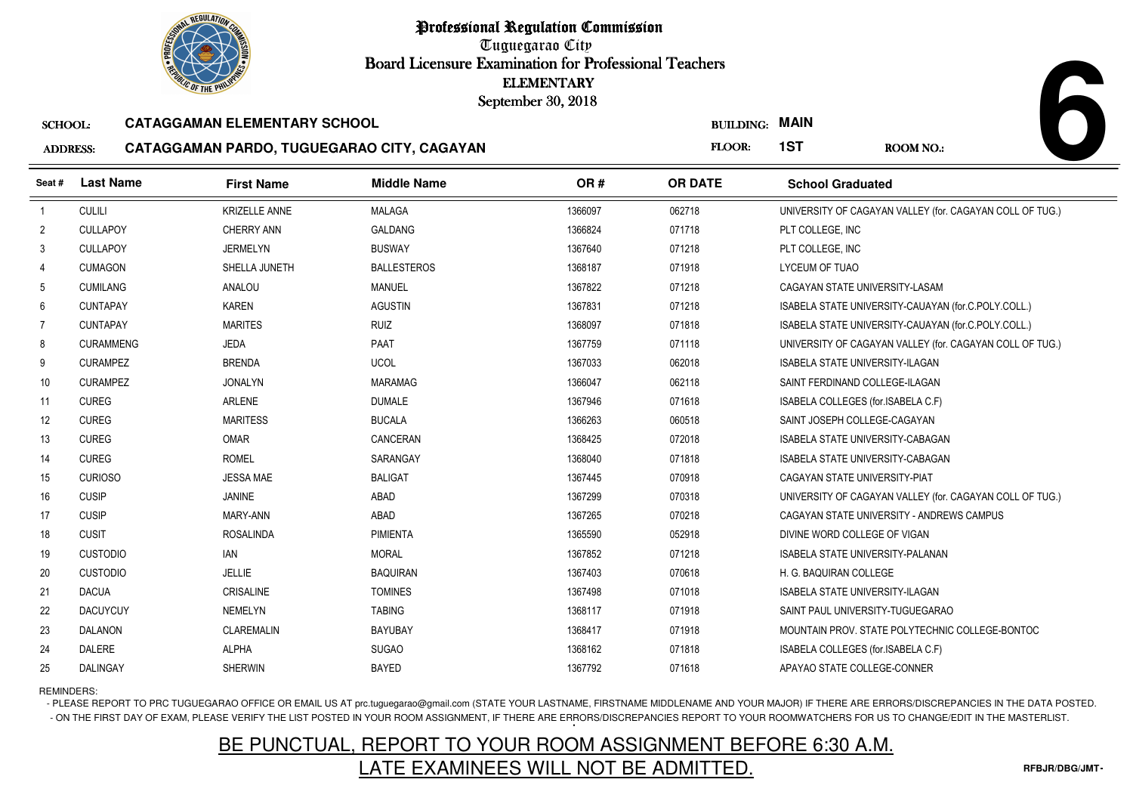Tuguegarao City Board Licensure Examination for Professional Teachers September 30, 2018

### SCHOOL:**CATAGGAMAN ELEMENTARY SCHOOL**

### ADDRESS:**CATAGGAMAN PARDO, TUGUEGARAO CITY, CAGAYAN**

| <b>OLIC OF THE PHILIP</b> |                  |                                            |                    | <b>ELEMENTARY</b><br>September 30, 2018 |                  |                                                          |
|---------------------------|------------------|--------------------------------------------|--------------------|-----------------------------------------|------------------|----------------------------------------------------------|
| <b>SCHOOL:</b>            |                  | <b>CATAGGAMAN ELEMENTARY SCHOOL</b>        |                    |                                         | <b>BUILDING:</b> | <b>MAIN</b>                                              |
| <b>ADDRESS:</b>           |                  | CATAGGAMAN PARDO, TUGUEGARAO CITY, CAGAYAN |                    |                                         | FLOOR:           | 1ST<br><b>ROOM NO.:</b>                                  |
| Seat#                     | <b>Last Name</b> | <b>First Name</b>                          | <b>Middle Name</b> | OR#                                     | <b>OR DATE</b>   | <b>School Graduated</b>                                  |
| $\mathbf{1}$              | <b>CULILI</b>    | <b>KRIZELLE ANNE</b>                       | <b>MALAGA</b>      | 1366097                                 | 062718           | UNIVERSITY OF CAGAYAN VALLEY (for. CAGAYAN COLL OF TUG.) |
| $\overline{2}$            | <b>CULLAPOY</b>  | <b>CHERRY ANN</b>                          | <b>GALDANG</b>     | 1366824                                 | 071718           | PLT COLLEGE, INC                                         |
| 3                         | <b>CULLAPOY</b>  | <b>JERMELYN</b>                            | <b>BUSWAY</b>      | 1367640                                 | 071218           | PLT COLLEGE, INC                                         |
| 4                         | <b>CUMAGON</b>   | SHELLA JUNETH                              | <b>BALLESTEROS</b> | 1368187                                 | 071918           | <b>LYCEUM OF TUAO</b>                                    |
| 5                         | <b>CUMILANG</b>  | ANALOU                                     | MANUEL             | 1367822                                 | 071218           | CAGAYAN STATE UNIVERSITY-LASAM                           |
| 6                         | <b>CUNTAPAY</b>  | <b>KAREN</b>                               | <b>AGUSTIN</b>     | 1367831                                 | 071218           | ISABELA STATE UNIVERSITY-CAUAYAN (for.C.POLY.COLL.)      |
| $\overline{7}$            | <b>CUNTAPAY</b>  | <b>MARITES</b>                             | <b>RUIZ</b>        | 1368097                                 | 071818           | ISABELA STATE UNIVERSITY-CAUAYAN (for.C.POLY.COLL.)      |
| 8                         | <b>CURAMMENG</b> | JEDA                                       | PAAT               | 1367759                                 | 071118           | UNIVERSITY OF CAGAYAN VALLEY (for. CAGAYAN COLL OF TUG.) |
| 9                         | <b>CURAMPEZ</b>  | <b>BRENDA</b>                              | <b>UCOL</b>        | 1367033                                 | 062018           | <b>ISABELA STATE UNIVERSITY-ILAGAN</b>                   |
| 10                        | <b>CURAMPEZ</b>  | <b>JONALYN</b>                             | <b>MARAMAG</b>     | 1366047                                 | 062118           | SAINT FERDINAND COLLEGE-ILAGAN                           |
| 11                        | <b>CUREG</b>     | ARLENE                                     | <b>DUMALE</b>      | 1367946                                 | 071618           | ISABELA COLLEGES (for.ISABELA C.F)                       |
| 12                        | <b>CUREG</b>     | <b>MARITESS</b>                            | <b>BUCALA</b>      | 1366263                                 | 060518           | SAINT JOSEPH COLLEGE-CAGAYAN                             |
| 13                        | <b>CUREG</b>     | <b>OMAR</b>                                | CANCERAN           | 1368425                                 | 072018           | ISABELA STATE UNIVERSITY-CABAGAN                         |
| 14                        | <b>CUREG</b>     | <b>ROMEL</b>                               | SARANGAY           | 1368040                                 | 071818           | <b>ISABELA STATE UNIVERSITY-CABAGAN</b>                  |
| 15                        | <b>CURIOSO</b>   | <b>JESSA MAE</b>                           | <b>BALIGAT</b>     | 1367445                                 | 070918           | CAGAYAN STATE UNIVERSITY-PIAT                            |
| 16                        | <b>CUSIP</b>     | <b>JANINE</b>                              | <b>ABAD</b>        | 1367299                                 | 070318           | UNIVERSITY OF CAGAYAN VALLEY (for. CAGAYAN COLL OF TUG.) |
| 17                        | <b>CUSIP</b>     | MARY-ANN                                   | ABAD               | 1367265                                 | 070218           | CAGAYAN STATE UNIVERSITY - ANDREWS CAMPUS                |
| 18                        | <b>CUSIT</b>     | <b>ROSALINDA</b>                           | <b>PIMIENTA</b>    | 1365590                                 | 052918           | DIVINE WORD COLLEGE OF VIGAN                             |
| 19                        | <b>CUSTODIO</b>  | IAN                                        | <b>MORAL</b>       | 1367852                                 | 071218           | <b>ISABELA STATE UNIVERSITY-PALANAN</b>                  |
| 20                        | <b>CUSTODIO</b>  | <b>JELLIE</b>                              | <b>BAQUIRAN</b>    | 1367403                                 | 070618           | H. G. BAQUIRAN COLLEGE                                   |
| 21                        | <b>DACUA</b>     | CRISALINE                                  | <b>TOMINES</b>     | 1367498                                 | 071018           | ISABELA STATE UNIVERSITY-ILAGAN                          |
| 22                        | <b>DACUYCUY</b>  | <b>NEMELYN</b>                             | <b>TABING</b>      | 1368117                                 | 071918           | SAINT PAUL UNIVERSITY-TUGUEGARAO                         |
| 23                        | <b>DALANON</b>   | <b>CLAREMALIN</b>                          | <b>BAYUBAY</b>     | 1368417                                 | 071918           | MOUNTAIN PROV. STATE POLYTECHNIC COLLEGE-BONTOC          |
| 24                        | <b>DALERE</b>    | <b>ALPHA</b>                               | <b>SUGAO</b>       | 1368162                                 | 071818           | ISABELA COLLEGES (for.ISABELA C.F)                       |
| 25                        | DALINGAY         | <b>SHERWIN</b>                             | <b>BAYED</b>       | 1367792                                 | 071618           | APAYAO STATE COLLEGE-CONNER                              |

REMINDERS:

- PLEASE REPORT TO PRC TUGUEGARAO OFFICE OR EMAIL US AT prc.tuguegarao@gmail.com (STATE YOUR LASTNAME, FIRSTNAME MIDDLENAME AND YOUR MAJOR) IF THERE ARE ERRORS/DISCREPANCIES IN THE DATA POSTED. - ON THE FIRST DAY OF EXAM, PLEASE VERIFY THE LIST POSTED IN YOUR ROOM ASSIGNMENT, IF THERE ARE ERRORS/DISCREPANCIES REPORT TO YOUR ROOMWATCHERS FOR US TO CHANGE/EDIT IN THE MASTERLIST.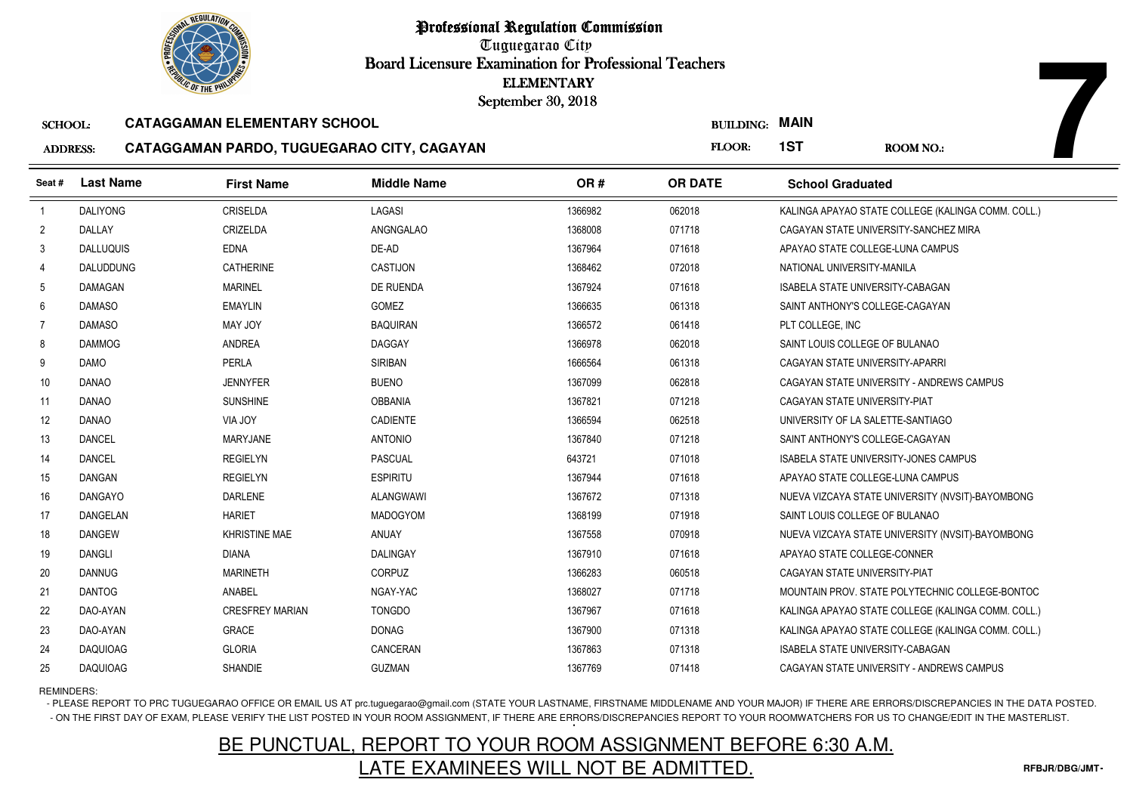

Tuguegarao City Board Licensure Examination for Professional Teachers September 30, 2018

### SCHOOL:**CATAGGAMAN ELEMENTARY SCHOOL**

### ADDRESS:**CATAGGAMAN PARDO, TUGUEGARAO CITY, CAGAYAN**

| <b><i>OLIC OF THE PHILIPS</i></b> |                  |                                            |                    | <b>ELEMENTARY</b><br>September 30, 2018 |                       |                                   |                                                    |
|-----------------------------------|------------------|--------------------------------------------|--------------------|-----------------------------------------|-----------------------|-----------------------------------|----------------------------------------------------|
| <b>SCHOOL:</b>                    |                  | <b>CATAGGAMAN ELEMENTARY SCHOOL</b>        |                    |                                         | <b>BUILDING: MAIN</b> |                                   |                                                    |
| <b>ADDRESS:</b>                   |                  | CATAGGAMAN PARDO, TUGUEGARAO CITY, CAGAYAN |                    |                                         | FLOOR:                | 1ST                               | <b>ROOM NO.:</b>                                   |
| Seat#                             | <b>Last Name</b> | <b>First Name</b>                          | <b>Middle Name</b> | OR#                                     | <b>OR DATE</b>        | <b>School Graduated</b>           |                                                    |
| $\overline{1}$                    | <b>DALIYONG</b>  | <b>CRISELDA</b>                            | LAGASI             | 1366982                                 | 062018                |                                   | KALINGA APAYAO STATE COLLEGE (KALINGA COMM. COLL.) |
| $\overline{2}$                    | DALLAY           | CRIZELDA                                   | ANGNGALAO          | 1368008                                 | 071718                |                                   | CAGAYAN STATE UNIVERSITY-SANCHEZ MIRA              |
| 3                                 | <b>DALLUQUIS</b> | <b>EDNA</b>                                | DE-AD              | 1367964                                 | 071618                | APAYAO STATE COLLEGE-LUNA CAMPUS  |                                                    |
| 4                                 | <b>DALUDDUNG</b> | <b>CATHERINE</b>                           | <b>CASTIJON</b>    | 1368462                                 | 072018                | NATIONAL UNIVERSITY-MANILA        |                                                    |
| 5                                 | DAMAGAN          | <b>MARINEL</b>                             | DE RUENDA          | 1367924                                 | 071618                | ISABELA STATE UNIVERSITY-CABAGAN  |                                                    |
| 6                                 | <b>DAMASO</b>    | <b>EMAYLIN</b>                             | GOMEZ              | 1366635                                 | 061318                | SAINT ANTHONY'S COLLEGE-CAGAYAN   |                                                    |
| 7                                 | <b>DAMASO</b>    | MAY JOY                                    | <b>BAQUIRAN</b>    | 1366572                                 | 061418                | PLT COLLEGE, INC                  |                                                    |
| 8                                 | <b>DAMMOG</b>    | <b>ANDREA</b>                              | <b>DAGGAY</b>      | 1366978                                 | 062018                | SAINT LOUIS COLLEGE OF BULANAO    |                                                    |
| 9                                 | <b>DAMO</b>      | PERLA                                      | <b>SIRIBAN</b>     | 1666564                                 | 061318                | CAGAYAN STATE UNIVERSITY-APARRI   |                                                    |
| 10                                | <b>DANAO</b>     | <b>JENNYFER</b>                            | <b>BUENO</b>       | 1367099                                 | 062818                |                                   | CAGAYAN STATE UNIVERSITY - ANDREWS CAMPUS          |
| 11                                | <b>DANAO</b>     | <b>SUNSHINE</b>                            | <b>OBBANIA</b>     | 1367821                                 | 071218                | CAGAYAN STATE UNIVERSITY-PIAT     |                                                    |
| 12                                | <b>DANAO</b>     | VIA JOY                                    | <b>CADIENTE</b>    | 1366594                                 | 062518                | UNIVERSITY OF LA SALETTE-SANTIAGO |                                                    |
| 13                                | <b>DANCEL</b>    | <b>MARYJANE</b>                            | <b>ANTONIO</b>     | 1367840                                 | 071218                | SAINT ANTHONY'S COLLEGE-CAGAYAN   |                                                    |
| 14                                | <b>DANCEL</b>    | <b>REGIELYN</b>                            | <b>PASCUAL</b>     | 643721                                  | 071018                |                                   | <b>ISABELA STATE UNIVERSITY-JONES CAMPUS</b>       |
| 15                                | <b>DANGAN</b>    | <b>REGIELYN</b>                            | <b>ESPIRITU</b>    | 1367944                                 | 071618                | APAYAO STATE COLLEGE-LUNA CAMPUS  |                                                    |
| 16                                | <b>DANGAYO</b>   | DARLENE                                    | ALANGWAWI          | 1367672                                 | 071318                |                                   | NUEVA VIZCAYA STATE UNIVERSITY (NVSIT)-BAYOMBONG   |
| 17                                | DANGELAN         | <b>HARIET</b>                              | <b>MADOGYOM</b>    | 1368199                                 | 071918                | SAINT LOUIS COLLEGE OF BULANAO    |                                                    |
| 18                                | <b>DANGEW</b>    | <b>KHRISTINE MAE</b>                       | ANUAY              | 1367558                                 | 070918                |                                   | NUEVA VIZCAYA STATE UNIVERSITY (NVSIT)-BAYOMBONG   |
| 19                                | <b>DANGLI</b>    | <b>DIANA</b>                               | <b>DALINGAY</b>    | 1367910                                 | 071618                | APAYAO STATE COLLEGE-CONNER       |                                                    |
| 20                                | <b>DANNUG</b>    | <b>MARINETH</b>                            | <b>CORPUZ</b>      | 1366283                                 | 060518                | CAGAYAN STATE UNIVERSITY-PIAT     |                                                    |
| 21                                | <b>DANTOG</b>    | ANABEL                                     | NGAY-YAC           | 1368027                                 | 071718                |                                   | MOUNTAIN PROV. STATE POLYTECHNIC COLLEGE-BONTOC    |
| 22                                | DAO-AYAN         | <b>CRESFREY MARIAN</b>                     | <b>TONGDO</b>      | 1367967                                 | 071618                |                                   | KALINGA APAYAO STATE COLLEGE (KALINGA COMM. COLL.) |
| 23                                | DAO-AYAN         | <b>GRACE</b>                               | <b>DONAG</b>       | 1367900                                 | 071318                |                                   | KALINGA APAYAO STATE COLLEGE (KALINGA COMM. COLL.) |
| 24                                | <b>DAQUIOAG</b>  | <b>GLORIA</b>                              | CANCERAN           | 1367863                                 | 071318                | ISABELA STATE UNIVERSITY-CABAGAN  |                                                    |
| 25                                | <b>DAQUIOAG</b>  | SHANDIE                                    | <b>GUZMAN</b>      | 1367769                                 | 071418                |                                   | CAGAYAN STATE UNIVERSITY - ANDREWS CAMPUS          |

REMINDERS:

- PLEASE REPORT TO PRC TUGUEGARAO OFFICE OR EMAIL US AT prc.tuguegarao@gmail.com (STATE YOUR LASTNAME, FIRSTNAME MIDDLENAME AND YOUR MAJOR) IF THERE ARE ERRORS/DISCREPANCIES IN THE DATA POSTED. - ON THE FIRST DAY OF EXAM, PLEASE VERIFY THE LIST POSTED IN YOUR ROOM ASSIGNMENT, IF THERE ARE ERRORS/DISCREPANCIES REPORT TO YOUR ROOMWATCHERS FOR US TO CHANGE/EDIT IN THE MASTERLIST.

# BE PUNCTUAL, REPORT TO YOUR ROOM ASSIGNMENT BEFORE 6:30 A.M.LATE EXAMINEES WILL NOT BE ADMITTED.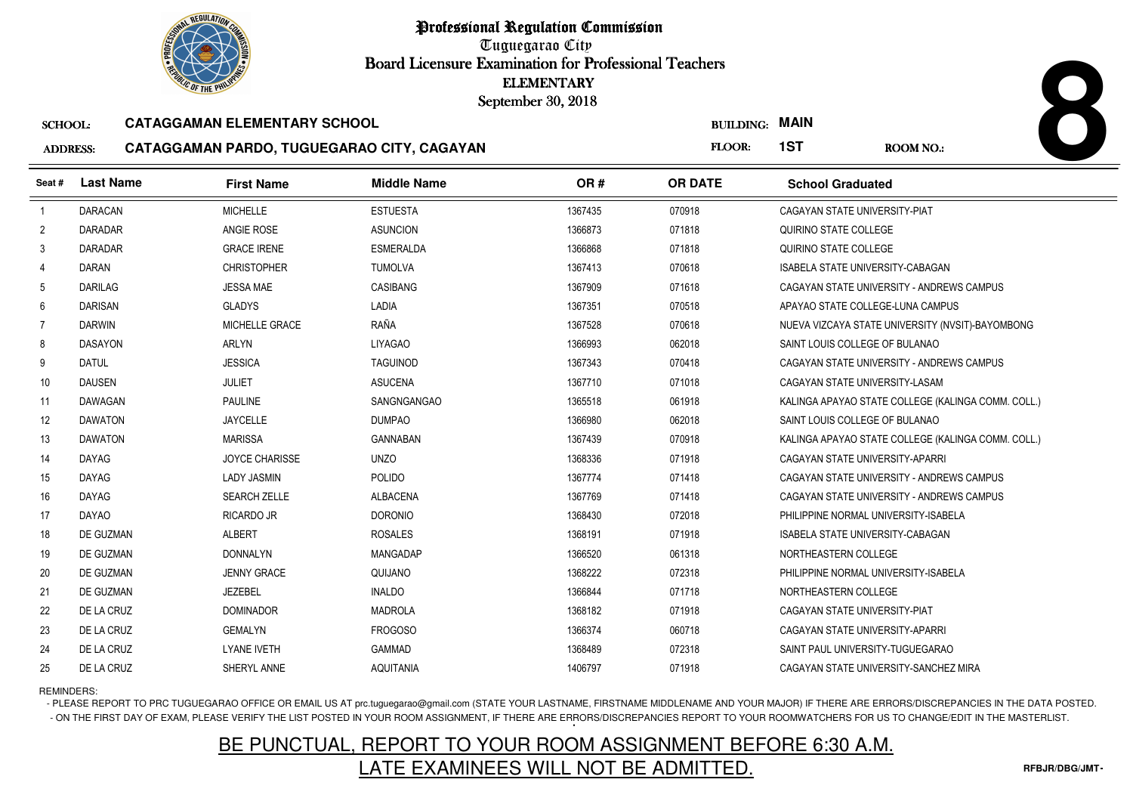Tuguegarao City Board Licensure Examination for Professional Teachers September 30, 2018

### SCHOOL:**CATAGGAMAN ELEMENTARY SCHOOL**

# ADDRESS:



| <b><i>OLIC OF THE PHILIP</i></b> |                  |                                            | <b>ELEMENTARY</b><br>September 30, 2018 |         |                  |                                      |                                                    |
|----------------------------------|------------------|--------------------------------------------|-----------------------------------------|---------|------------------|--------------------------------------|----------------------------------------------------|
| <b>SCHOOL:</b>                   |                  | <b>CATAGGAMAN ELEMENTARY SCHOOL</b>        |                                         |         | <b>BUILDING:</b> | <b>MAIN</b>                          |                                                    |
| <b>ADDRESS:</b>                  |                  | CATAGGAMAN PARDO, TUGUEGARAO CITY, CAGAYAN |                                         |         | <b>FLOOR:</b>    | 1ST                                  | <b>ROOM NO.:</b>                                   |
| Seat #                           | <b>Last Name</b> | <b>First Name</b>                          | <b>Middle Name</b>                      | OR#     | <b>OR DATE</b>   | <b>School Graduated</b>              |                                                    |
| $\overline{1}$                   | <b>DARACAN</b>   | <b>MICHELLE</b>                            | <b>ESTUESTA</b>                         | 1367435 | 070918           | CAGAYAN STATE UNIVERSITY-PIAT        |                                                    |
| $\overline{2}$                   | <b>DARADAR</b>   | ANGIE ROSE                                 | <b>ASUNCION</b>                         | 1366873 | 071818           | QUIRINO STATE COLLEGE                |                                                    |
| 3                                | <b>DARADAR</b>   | <b>GRACE IRENE</b>                         | <b>ESMERALDA</b>                        | 1366868 | 071818           | QUIRINO STATE COLLEGE                |                                                    |
| $\overline{4}$                   | <b>DARAN</b>     | <b>CHRISTOPHER</b>                         | <b>TUMOLVA</b>                          | 1367413 | 070618           | ISABELA STATE UNIVERSITY-CABAGAN     |                                                    |
| -5                               | <b>DARILAG</b>   | <b>JESSA MAE</b>                           | CASIBANG                                | 1367909 | 071618           |                                      | CAGAYAN STATE UNIVERSITY - ANDREWS CAMPUS          |
| 6                                | <b>DARISAN</b>   | <b>GLADYS</b>                              | LADIA                                   | 1367351 | 070518           | APAYAO STATE COLLEGE-LUNA CAMPUS     |                                                    |
| 7                                | <b>DARWIN</b>    | MICHELLE GRACE                             | RAÑA                                    | 1367528 | 070618           |                                      | NUEVA VIZCAYA STATE UNIVERSITY (NVSIT)-BAYOMBONG   |
| 8                                | <b>DASAYON</b>   | ARLYN                                      | LIYAGAO                                 | 1366993 | 062018           | SAINT LOUIS COLLEGE OF BULANAO       |                                                    |
| 9                                | <b>DATUL</b>     | <b>JESSICA</b>                             | <b>TAGUINOD</b>                         | 1367343 | 070418           |                                      | CAGAYAN STATE UNIVERSITY - ANDREWS CAMPUS          |
| 10                               | <b>DAUSEN</b>    | <b>JULIET</b>                              | <b>ASUCENA</b>                          | 1367710 | 071018           | CAGAYAN STATE UNIVERSITY-LASAM       |                                                    |
| 11                               | DAWAGAN          | <b>PAULINE</b>                             | <b>SANGNGANGAO</b>                      | 1365518 | 061918           |                                      | KALINGA APAYAO STATE COLLEGE (KALINGA COMM. COLL.) |
| 12                               | <b>DAWATON</b>   | <b>JAYCELLE</b>                            | <b>DUMPAO</b>                           | 1366980 | 062018           | SAINT LOUIS COLLEGE OF BULANAO       |                                                    |
| 13                               | <b>DAWATON</b>   | <b>MARISSA</b>                             | <b>GANNABAN</b>                         | 1367439 | 070918           |                                      | KALINGA APAYAO STATE COLLEGE (KALINGA COMM. COLL.) |
| 14                               | <b>DAYAG</b>     | <b>JOYCE CHARISSE</b>                      | <b>UNZO</b>                             | 1368336 | 071918           | CAGAYAN STATE UNIVERSITY-APARRI      |                                                    |
| 15                               | <b>DAYAG</b>     | <b>LADY JASMIN</b>                         | POLIDO                                  | 1367774 | 071418           |                                      | CAGAYAN STATE UNIVERSITY - ANDREWS CAMPUS          |
| 16                               | <b>DAYAG</b>     | <b>SEARCH ZELLE</b>                        | <b>ALBACENA</b>                         | 1367769 | 071418           |                                      | CAGAYAN STATE UNIVERSITY - ANDREWS CAMPUS          |
| 17                               | <b>DAYAO</b>     | <b>RICARDO JR</b>                          | <b>DORONIO</b>                          | 1368430 | 072018           | PHILIPPINE NORMAL UNIVERSITY-ISABELA |                                                    |
| 18                               | DE GUZMAN        | <b>ALBERT</b>                              | <b>ROSALES</b>                          | 1368191 | 071918           | ISABELA STATE UNIVERSITY-CABAGAN     |                                                    |
| 19                               | DE GUZMAN        | <b>DONNALYN</b>                            | MANGADAP                                | 1366520 | 061318           | NORTHEASTERN COLLEGE                 |                                                    |
| 20                               | DE GUZMAN        | <b>JENNY GRACE</b>                         | QUIJANO                                 | 1368222 | 072318           | PHILIPPINE NORMAL UNIVERSITY-ISABELA |                                                    |
| 21                               | DE GUZMAN        | <b>JEZEBEL</b>                             | <b>INALDO</b>                           | 1366844 | 071718           | NORTHEASTERN COLLEGE                 |                                                    |
| 22                               | DE LA CRUZ       | <b>DOMINADOR</b>                           | <b>MADROLA</b>                          | 1368182 | 071918           | CAGAYAN STATE UNIVERSITY-PIAT        |                                                    |
| 23                               | DE LA CRUZ       | <b>GEMALYN</b>                             | <b>FROGOSO</b>                          | 1366374 | 060718           | CAGAYAN STATE UNIVERSITY-APARRI      |                                                    |
| 24                               | DE LA CRUZ       | <b>LYANE IVETH</b>                         | <b>GAMMAD</b>                           | 1368489 | 072318           | SAINT PAUL UNIVERSITY-TUGUEGARAO     |                                                    |
| 25                               | DE LA CRUZ       | SHERYL ANNE                                | <b>AQUITANIA</b>                        | 1406797 | 071918           |                                      | CAGAYAN STATE UNIVERSITY-SANCHEZ MIRA              |

REMINDERS:

- PLEASE REPORT TO PRC TUGUEGARAO OFFICE OR EMAIL US AT prc.tuguegarao@gmail.com (STATE YOUR LASTNAME, FIRSTNAME MIDDLENAME AND YOUR MAJOR) IF THERE ARE ERRORS/DISCREPANCIES IN THE DATA POSTED. - ON THE FIRST DAY OF EXAM, PLEASE VERIFY THE LIST POSTED IN YOUR ROOM ASSIGNMENT, IF THERE ARE ERRORS/DISCREPANCIES REPORT TO YOUR ROOMWATCHERS FOR US TO CHANGE/EDIT IN THE MASTERLIST.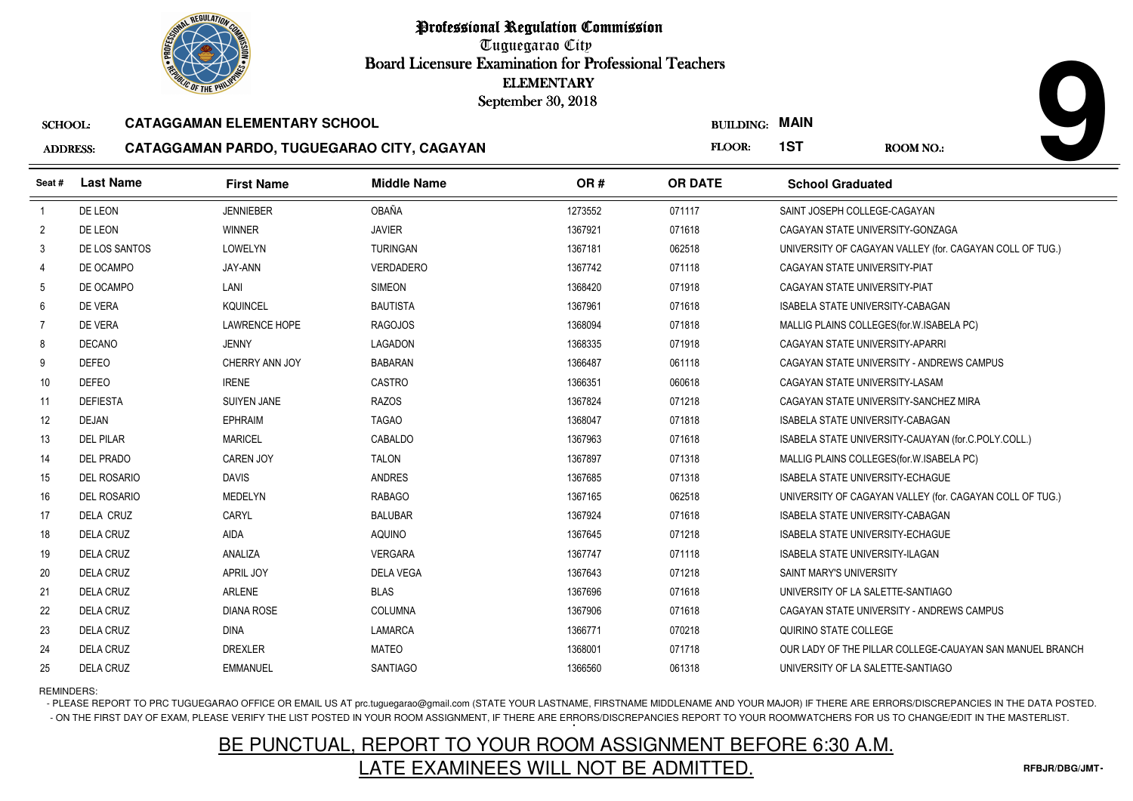Tuguegarao City Board Licensure Examination for Professional Teachers September 30, 2018

#### SCHOOL:**CATAGGAMAN ELEMENTARY SCHOOL**

#### ADDRESS:**CATAGGAMAN PARDO, TUGUEGARAO CITY, CAGAYAN**

|                 | <b>OLIC OF THE PHILIP</b> |                                            | <b>ELEMENTARY</b><br>September 30, 2018 |         |                       |                                         |                                                          |
|-----------------|---------------------------|--------------------------------------------|-----------------------------------------|---------|-----------------------|-----------------------------------------|----------------------------------------------------------|
| <b>SCHOOL:</b>  |                           | <b>CATAGGAMAN ELEMENTARY SCHOOL</b>        |                                         |         | <b>BUILDING: MAIN</b> |                                         |                                                          |
| <b>ADDRESS:</b> |                           | CATAGGAMAN PARDO, TUGUEGARAO CITY, CAGAYAN |                                         |         | FLOOR:                | 1ST                                     | <b>ROOM NO.:</b>                                         |
| Seat #          | <b>Last Name</b>          | <b>First Name</b>                          | <b>Middle Name</b>                      | OR#     | <b>OR DATE</b>        | <b>School Graduated</b>                 |                                                          |
| -1              | DE LEON                   | <b>JENNIEBER</b>                           | OBAÑA                                   | 1273552 | 071117                | SAINT JOSEPH COLLEGE-CAGAYAN            |                                                          |
| $\overline{2}$  | DE LEON                   | <b>WINNER</b>                              | <b>JAVIER</b>                           | 1367921 | 071618                | CAGAYAN STATE UNIVERSITY-GONZAGA        |                                                          |
| 3               | DE LOS SANTOS             | LOWELYN                                    | <b>TURINGAN</b>                         | 1367181 | 062518                |                                         | UNIVERSITY OF CAGAYAN VALLEY (for. CAGAYAN COLL OF TUG.) |
| $\overline{4}$  | DE OCAMPO                 | JAY-ANN                                    | VERDADERO                               | 1367742 | 071118                | CAGAYAN STATE UNIVERSITY-PIAT           |                                                          |
| 5               | DE OCAMPO                 | LANI                                       | <b>SIMEON</b>                           | 1368420 | 071918                | CAGAYAN STATE UNIVERSITY-PIAT           |                                                          |
| 6               | DE VERA                   | <b>KQUINCEL</b>                            | <b>BAUTISTA</b>                         | 1367961 | 071618                | ISABELA STATE UNIVERSITY-CABAGAN        |                                                          |
| $\overline{7}$  | DE VERA                   | <b>LAWRENCE HOPE</b>                       | <b>RAGOJOS</b>                          | 1368094 | 071818                |                                         | MALLIG PLAINS COLLEGES (for W. ISABELA PC)               |
| 8               | <b>DECANO</b>             | <b>JENNY</b>                               | <b>LAGADON</b>                          | 1368335 | 071918                | CAGAYAN STATE UNIVERSITY-APARRI         |                                                          |
| 9               | <b>DEFEO</b>              | CHERRY ANN JOY                             | <b>BABARAN</b>                          | 1366487 | 061118                |                                         | CAGAYAN STATE UNIVERSITY - ANDREWS CAMPUS                |
| 10              | <b>DEFEO</b>              | <b>IRENE</b>                               | CASTRO                                  | 1366351 | 060618                | CAGAYAN STATE UNIVERSITY-LASAM          |                                                          |
| 11              | <b>DEFIESTA</b>           | <b>SUIYEN JANE</b>                         | <b>RAZOS</b>                            | 1367824 | 071218                |                                         | CAGAYAN STATE UNIVERSITY-SANCHEZ MIRA                    |
| 12              | <b>DEJAN</b>              | <b>EPHRAIM</b>                             | <b>TAGAO</b>                            | 1368047 | 071818                | <b>ISABELA STATE UNIVERSITY-CABAGAN</b> |                                                          |
| 13              | <b>DEL PILAR</b>          | <b>MARICEL</b>                             | CABALDO                                 | 1367963 | 071618                |                                         | ISABELA STATE UNIVERSITY-CAUAYAN (for.C.POLY.COLL.)      |
| 14              | <b>DEL PRADO</b>          | <b>CAREN JOY</b>                           | <b>TALON</b>                            | 1367897 | 071318                |                                         | MALLIG PLAINS COLLEGES (for. W. ISABELA PC)              |
| 15              | <b>DEL ROSARIO</b>        | <b>DAVIS</b>                               | <b>ANDRES</b>                           | 1367685 | 071318                | <b>ISABELA STATE UNIVERSITY-ECHAGUE</b> |                                                          |
| 16              | <b>DEL ROSARIO</b>        | <b>MEDELYN</b>                             | <b>RABAGO</b>                           | 1367165 | 062518                |                                         | UNIVERSITY OF CAGAYAN VALLEY (for. CAGAYAN COLL OF TUG.) |
| 17              | <b>DELA CRUZ</b>          | CARYL                                      | <b>BALUBAR</b>                          | 1367924 | 071618                | ISABELA STATE UNIVERSITY-CABAGAN        |                                                          |
| 18              | <b>DELA CRUZ</b>          | <b>AIDA</b>                                | <b>AQUINO</b>                           | 1367645 | 071218                | <b>ISABELA STATE UNIVERSITY-ECHAGUE</b> |                                                          |
| 19              | <b>DELA CRUZ</b>          | ANALIZA                                    | <b>VERGARA</b>                          | 1367747 | 071118                | <b>ISABELA STATE UNIVERSITY-ILAGAN</b>  |                                                          |
| 20              | <b>DELA CRUZ</b>          | <b>APRIL JOY</b>                           | <b>DELA VEGA</b>                        | 1367643 | 071218                | <b>SAINT MARY'S UNIVERSITY</b>          |                                                          |
| 21              | <b>DELA CRUZ</b>          | <b>ARLENE</b>                              | <b>BLAS</b>                             | 1367696 | 071618                | UNIVERSITY OF LA SALETTE-SANTIAGO       |                                                          |
| 22              | <b>DELA CRUZ</b>          | <b>DIANA ROSE</b>                          | <b>COLUMNA</b>                          | 1367906 | 071618                |                                         | CAGAYAN STATE UNIVERSITY - ANDREWS CAMPUS                |
| 23              | <b>DELA CRUZ</b>          | <b>DINA</b>                                | <b>LAMARCA</b>                          | 1366771 | 070218                | QUIRINO STATE COLLEGE                   |                                                          |
| 24              | <b>DELA CRUZ</b>          | <b>DREXLER</b>                             | <b>MATEO</b>                            | 1368001 | 071718                |                                         | OUR LADY OF THE PILLAR COLLEGE-CAUAYAN SAN MANUEL BRANCH |
| 25              | <b>DELA CRUZ</b>          | <b>EMMANUEL</b>                            | <b>SANTIAGO</b>                         | 1366560 | 061318                | UNIVERSITY OF LA SALETTE-SANTIAGO       |                                                          |

### REMINDERS:

- PLEASE REPORT TO PRC TUGUEGARAO OFFICE OR EMAIL US AT prc.tuguegarao@gmail.com (STATE YOUR LASTNAME, FIRSTNAME MIDDLENAME AND YOUR MAJOR) IF THERE ARE ERRORS/DISCREPANCIES IN THE DATA POSTED. - ON THE FIRST DAY OF EXAM, PLEASE VERIFY THE LIST POSTED IN YOUR ROOM ASSIGNMENT, IF THERE ARE ERRORS/DISCREPANCIES REPORT TO YOUR ROOMWATCHERS FOR US TO CHANGE/EDIT IN THE MASTERLIST.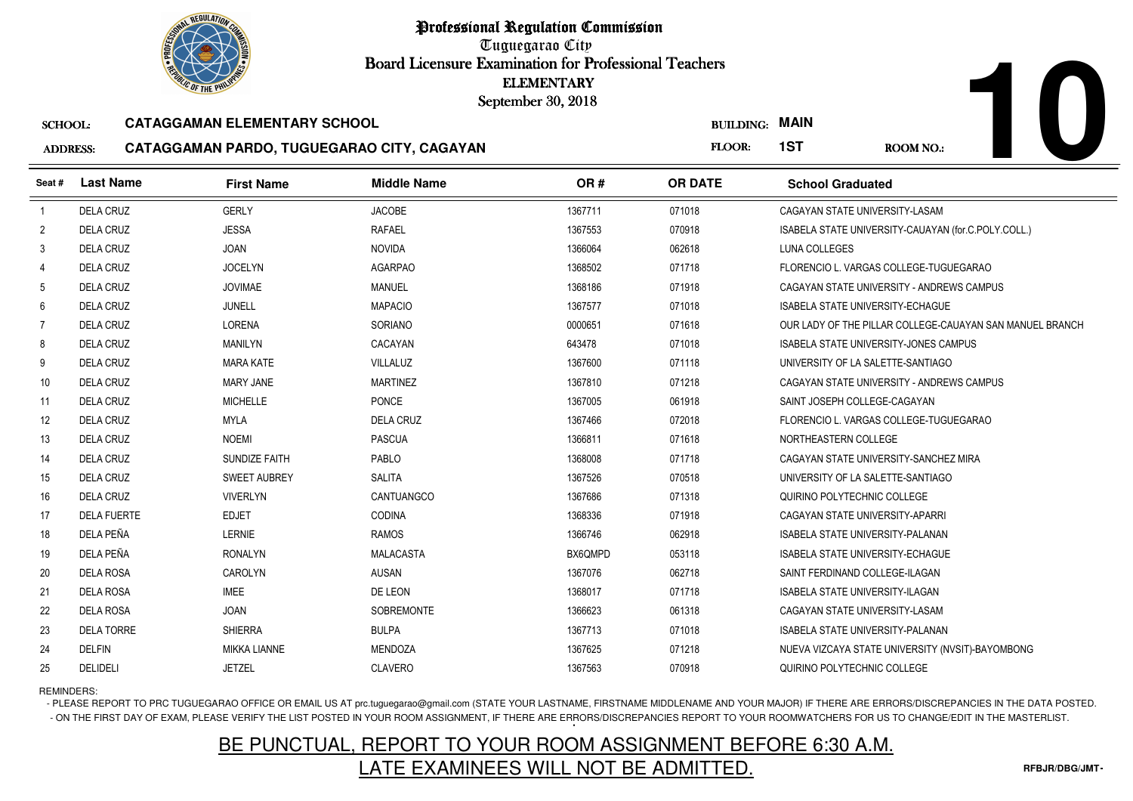Tuguegarao City Board Licensure Examination for Professional Teachers September 30, 2018

#### SCHOOL:**CATAGGAMAN ELEMENTARY SCHOOL**

#### ADDRESS:**CATAGGAMAN PARDO, TUGUEGARAO CITY, CAGAYAN**

|                 | <b><i>OLIC OF THE PHILIP</i></b> |                                            | <b>ELEMENTARY</b><br>September 30, 2018 |         |                  |                                                          |
|-----------------|----------------------------------|--------------------------------------------|-----------------------------------------|---------|------------------|----------------------------------------------------------|
| <b>SCHOOL:</b>  |                                  | <b>CATAGGAMAN ELEMENTARY SCHOOL</b>        |                                         |         | <b>BUILDING:</b> | <b>MAIN</b>                                              |
| <b>ADDRESS:</b> |                                  | CATAGGAMAN PARDO, TUGUEGARAO CITY, CAGAYAN |                                         |         | FLOOR:           | 1ST<br><b>ROOM NO.:</b>                                  |
| Seat #          | <b>Last Name</b>                 | <b>First Name</b>                          | <b>Middle Name</b>                      | OR#     | <b>OR DATE</b>   | <b>School Graduated</b>                                  |
| $\overline{1}$  | <b>DELA CRUZ</b>                 | <b>GERLY</b>                               | <b>JACOBE</b>                           | 1367711 | 071018           | CAGAYAN STATE UNIVERSITY-LASAM                           |
| $\overline{2}$  | <b>DELA CRUZ</b>                 | <b>JESSA</b>                               | <b>RAFAEL</b>                           | 1367553 | 070918           | ISABELA STATE UNIVERSITY-CAUAYAN (for.C.POLY.COLL.)      |
| 3               | <b>DELA CRUZ</b>                 | <b>JOAN</b>                                | <b>NOVIDA</b>                           | 1366064 | 062618           | LUNA COLLEGES                                            |
| 4               | <b>DELA CRUZ</b>                 | <b>JOCELYN</b>                             | <b>AGARPAO</b>                          | 1368502 | 071718           | FLORENCIO L. VARGAS COLLEGE-TUGUEGARAO                   |
| 5               | <b>DELA CRUZ</b>                 | <b>JOVIMAE</b>                             | MANUEL                                  | 1368186 | 071918           | CAGAYAN STATE UNIVERSITY - ANDREWS CAMPUS                |
| 6               | <b>DELA CRUZ</b>                 | <b>JUNELL</b>                              | <b>MAPACIO</b>                          | 1367577 | 071018           | <b>ISABELA STATE UNIVERSITY-ECHAGUE</b>                  |
| $\overline{7}$  | <b>DELA CRUZ</b>                 | LORENA                                     | SORIANO                                 | 0000651 | 071618           | OUR LADY OF THE PILLAR COLLEGE-CAUAYAN SAN MANUEL BRANCH |
| 8               | <b>DELA CRUZ</b>                 | <b>MANILYN</b>                             | CACAYAN                                 | 643478  | 071018           | <b>ISABELA STATE UNIVERSITY-JONES CAMPUS</b>             |
| 9               | <b>DELA CRUZ</b>                 | <b>MARA KATE</b>                           | <b>VILLALUZ</b>                         | 1367600 | 071118           | UNIVERSITY OF LA SALETTE-SANTIAGO                        |
| 10              | <b>DELA CRUZ</b>                 | <b>MARY JANE</b>                           | <b>MARTINEZ</b>                         | 1367810 | 071218           | CAGAYAN STATE UNIVERSITY - ANDREWS CAMPUS                |
| 11              | <b>DELA CRUZ</b>                 | <b>MICHELLE</b>                            | <b>PONCE</b>                            | 1367005 | 061918           | SAINT JOSEPH COLLEGE-CAGAYAN                             |
| 12              | <b>DELA CRUZ</b>                 | <b>MYLA</b>                                | <b>DELA CRUZ</b>                        | 1367466 | 072018           | FLORENCIO L. VARGAS COLLEGE-TUGUEGARAO                   |
| 13              | <b>DELA CRUZ</b>                 | <b>NOEMI</b>                               | PASCUA                                  | 1366811 | 071618           | NORTHEASTERN COLLEGE                                     |
| 14              | <b>DELA CRUZ</b>                 | <b>SUNDIZE FAITH</b>                       | PABLO                                   | 1368008 | 071718           | CAGAYAN STATE UNIVERSITY-SANCHEZ MIRA                    |
| 15              | <b>DELA CRUZ</b>                 | <b>SWEET AUBREY</b>                        | <b>SALITA</b>                           | 1367526 | 070518           | UNIVERSITY OF LA SALETTE-SANTIAGO                        |
| 16              | <b>DELA CRUZ</b>                 | <b>VIVERLYN</b>                            | CANTUANGCO                              | 1367686 | 071318           | QUIRINO POLYTECHNIC COLLEGE                              |
| 17              | <b>DELA FUERTE</b>               | <b>EDJET</b>                               | <b>CODINA</b>                           | 1368336 | 071918           | CAGAYAN STATE UNIVERSITY-APARRI                          |
| 18              | DELA PEÑA                        | LERNIE                                     | <b>RAMOS</b>                            | 1366746 | 062918           | <b>ISABELA STATE UNIVERSITY-PALANAN</b>                  |
| 19              | DELA PEÑA                        | <b>RONALYN</b>                             | <b>MALACASTA</b>                        | BX6QMPD | 053118           | <b>ISABELA STATE UNIVERSITY-ECHAGUE</b>                  |
| 20              | <b>DELA ROSA</b>                 | CAROLYN                                    | <b>AUSAN</b>                            | 1367076 | 062718           | SAINT FERDINAND COLLEGE-ILAGAN                           |
| 21              | <b>DELA ROSA</b>                 | <b>IMEE</b>                                | DE LEON                                 | 1368017 | 071718           | <b>ISABELA STATE UNIVERSITY-ILAGAN</b>                   |
| 22              | <b>DELA ROSA</b>                 | <b>JOAN</b>                                | SOBREMONTE                              | 1366623 | 061318           | CAGAYAN STATE UNIVERSITY-LASAM                           |
| 23              | <b>DELA TORRE</b>                | <b>SHIERRA</b>                             | <b>BULPA</b>                            | 1367713 | 071018           | <b>ISABELA STATE UNIVERSITY-PALANAN</b>                  |
| 24              | <b>DELFIN</b>                    | <b>MIKKA LIANNE</b>                        | <b>MENDOZA</b>                          | 1367625 | 071218           | NUEVA VIZCAYA STATE UNIVERSITY (NVSIT)-BAYOMBONG         |
| 25              | <b>DELIDELI</b>                  | <b>JETZEL</b>                              | <b>CLAVERO</b>                          | 1367563 | 070918           | QUIRINO POLYTECHNIC COLLEGE                              |

REMINDERS:

- PLEASE REPORT TO PRC TUGUEGARAO OFFICE OR EMAIL US AT prc.tuguegarao@gmail.com (STATE YOUR LASTNAME, FIRSTNAME MIDDLENAME AND YOUR MAJOR) IF THERE ARE ERRORS/DISCREPANCIES IN THE DATA POSTED. - ON THE FIRST DAY OF EXAM, PLEASE VERIFY THE LIST POSTED IN YOUR ROOM ASSIGNMENT, IF THERE ARE ERRORS/DISCREPANCIES REPORT TO YOUR ROOMWATCHERS FOR US TO CHANGE/EDIT IN THE MASTERLIST.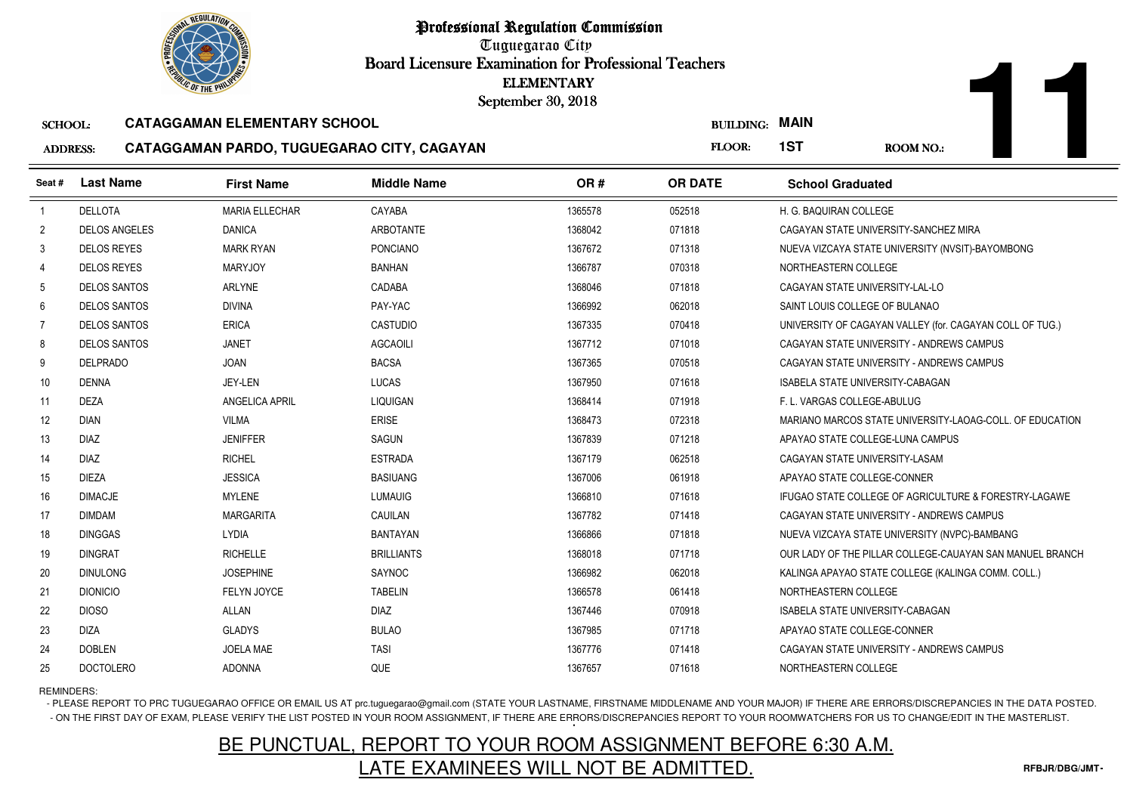Tuguegarao City Board Licensure Examination for Professional Teachers September 30, 2018

#### SCHOOL:**CATAGGAMAN ELEMENTARY SCHOOL**

#### ADDRESS:**CATAGGAMAN PARDO, TUGUEGARAO CITY, CAGAYAN**

|                 | <b>OLIC OF THE PHILIP</b> |                                            | <b>ELEMENTARY</b><br>September 30, 2018 |         |                  |                                         |                                                          |
|-----------------|---------------------------|--------------------------------------------|-----------------------------------------|---------|------------------|-----------------------------------------|----------------------------------------------------------|
| <b>SCHOOL:</b>  |                           | <b>CATAGGAMAN ELEMENTARY SCHOOL</b>        |                                         |         | <b>BUILDING:</b> | <b>MAIN</b>                             |                                                          |
| <b>ADDRESS:</b> |                           | CATAGGAMAN PARDO, TUGUEGARAO CITY, CAGAYAN |                                         |         | FLOOR:           | 1ST                                     | <b>ROOM NO.:</b>                                         |
| Seat#           | <b>Last Name</b>          | <b>First Name</b>                          | <b>Middle Name</b>                      | OR#     | <b>OR DATE</b>   | <b>School Graduated</b>                 |                                                          |
| $\mathbf{1}$    | <b>DELLOTA</b>            | <b>MARIA ELLECHAR</b>                      | CAYABA                                  | 1365578 | 052518           | H. G. BAQUIRAN COLLEGE                  |                                                          |
| $\overline{2}$  | <b>DELOS ANGELES</b>      | <b>DANICA</b>                              | ARBOTANTE                               | 1368042 | 071818           |                                         | CAGAYAN STATE UNIVERSITY-SANCHEZ MIRA                    |
| $\mathbf{3}$    | <b>DELOS REYES</b>        | <b>MARK RYAN</b>                           | <b>PONCIANO</b>                         | 1367672 | 071318           |                                         | NUEVA VIZCAYA STATE UNIVERSITY (NVSIT)-BAYOMBONG         |
| 4               | <b>DELOS REYES</b>        | <b>MARYJOY</b>                             | <b>BANHAN</b>                           | 1366787 | 070318           | NORTHEASTERN COLLEGE                    |                                                          |
| 5               | <b>DELOS SANTOS</b>       | <b>ARLYNE</b>                              | CADABA                                  | 1368046 | 071818           | CAGAYAN STATE UNIVERSITY-LAL-LO         |                                                          |
| 6               | <b>DELOS SANTOS</b>       | <b>DIVINA</b>                              | PAY-YAC                                 | 1366992 | 062018           | SAINT LOUIS COLLEGE OF BULANAO          |                                                          |
| $\overline{7}$  | <b>DELOS SANTOS</b>       | <b>ERICA</b>                               | <b>CASTUDIO</b>                         | 1367335 | 070418           |                                         | UNIVERSITY OF CAGAYAN VALLEY (for. CAGAYAN COLL OF TUG.) |
| 8               | <b>DELOS SANTOS</b>       | <b>JANET</b>                               | <b>AGCAOILI</b>                         | 1367712 | 071018           |                                         | CAGAYAN STATE UNIVERSITY - ANDREWS CAMPUS                |
| 9               | <b>DELPRADO</b>           | <b>JOAN</b>                                | <b>BACSA</b>                            | 1367365 | 070518           |                                         | CAGAYAN STATE UNIVERSITY - ANDREWS CAMPUS                |
| 10 <sup>°</sup> | <b>DENNA</b>              | <b>JEY-LEN</b>                             | LUCAS                                   | 1367950 | 071618           | <b>ISABELA STATE UNIVERSITY-CABAGAN</b> |                                                          |
| 11              | <b>DEZA</b>               | ANGELICA APRIL                             | <b>LIQUIGAN</b>                         | 1368414 | 071918           | F. L. VARGAS COLLEGE-ABULUG             |                                                          |
| 12              | <b>DIAN</b>               | <b>VILMA</b>                               | <b>ERISE</b>                            | 1368473 | 072318           |                                         | MARIANO MARCOS STATE UNIVERSITY-LAOAG-COLL. OF EDUCATION |
| 13              | <b>DIAZ</b>               | <b>JENIFFER</b>                            | SAGUN                                   | 1367839 | 071218           | APAYAO STATE COLLEGE-LUNA CAMPUS        |                                                          |
| 14              | <b>DIAZ</b>               | <b>RICHEL</b>                              | <b>ESTRADA</b>                          | 1367179 | 062518           | CAGAYAN STATE UNIVERSITY-LASAM          |                                                          |
| 15              | <b>DIEZA</b>              | <b>JESSICA</b>                             | <b>BASIUANG</b>                         | 1367006 | 061918           | APAYAO STATE COLLEGE-CONNER             |                                                          |
| 16              | <b>DIMACJE</b>            | <b>MYLENE</b>                              | <b>LUMAUIG</b>                          | 1366810 | 071618           |                                         | IFUGAO STATE COLLEGE OF AGRICULTURE & FORESTRY-LAGAWE    |
| 17              | <b>DIMDAM</b>             | <b>MARGARITA</b>                           | CAUILAN                                 | 1367782 | 071418           |                                         | CAGAYAN STATE UNIVERSITY - ANDREWS CAMPUS                |
| 18              | <b>DINGGAS</b>            | <b>LYDIA</b>                               | <b>BANTAYAN</b>                         | 1366866 | 071818           |                                         | NUEVA VIZCAYA STATE UNIVERSITY (NVPC)-BAMBANG            |
| 19              | <b>DINGRAT</b>            | <b>RICHELLE</b>                            | <b>BRILLIANTS</b>                       | 1368018 | 071718           |                                         | OUR LADY OF THE PILLAR COLLEGE-CAUAYAN SAN MANUEL BRANCH |
| 20              | <b>DINULONG</b>           | <b>JOSEPHINE</b>                           | SAYNOC                                  | 1366982 | 062018           |                                         | KALINGA APAYAO STATE COLLEGE (KALINGA COMM. COLL.)       |
| 21              | <b>DIONICIO</b>           | FELYN JOYCE                                | <b>TABELIN</b>                          | 1366578 | 061418           | NORTHEASTERN COLLEGE                    |                                                          |
| 22              | <b>DIOSO</b>              | ALLAN                                      | <b>DIAZ</b>                             | 1367446 | 070918           | <b>ISABELA STATE UNIVERSITY-CABAGAN</b> |                                                          |
| 23              | <b>DIZA</b>               | <b>GLADYS</b>                              | <b>BULAO</b>                            | 1367985 | 071718           | APAYAO STATE COLLEGE-CONNER             |                                                          |
| 24              | <b>DOBLEN</b>             | <b>JOELA MAE</b>                           | <b>TASI</b>                             | 1367776 | 071418           |                                         | CAGAYAN STATE UNIVERSITY - ANDREWS CAMPUS                |
| 25              | <b>DOCTOLERO</b>          | <b>ADONNA</b>                              | QUE                                     | 1367657 | 071618           | NORTHEASTERN COLLEGE                    |                                                          |

### REMINDERS:

- PLEASE REPORT TO PRC TUGUEGARAO OFFICE OR EMAIL US AT prc.tuguegarao@gmail.com (STATE YOUR LASTNAME, FIRSTNAME MIDDLENAME AND YOUR MAJOR) IF THERE ARE ERRORS/DISCREPANCIES IN THE DATA POSTED. - ON THE FIRST DAY OF EXAM, PLEASE VERIFY THE LIST POSTED IN YOUR ROOM ASSIGNMENT, IF THERE ARE ERRORS/DISCREPANCIES REPORT TO YOUR ROOMWATCHERS FOR US TO CHANGE/EDIT IN THE MASTERLIST.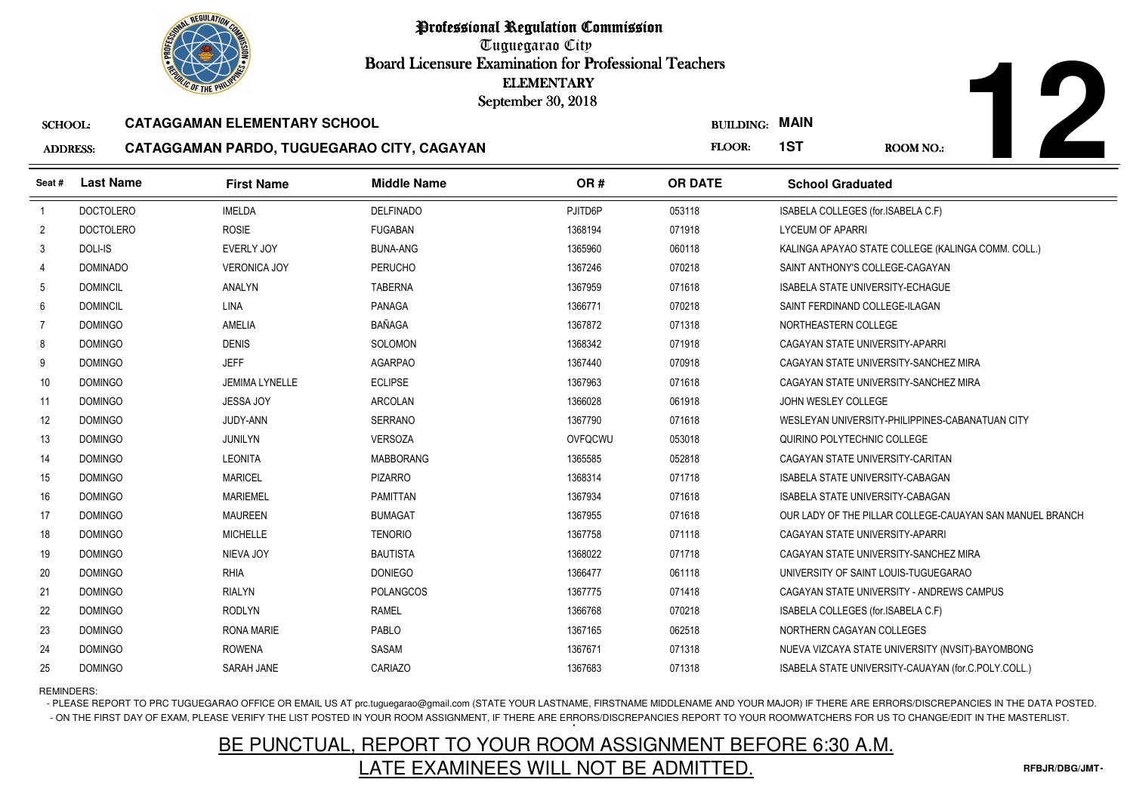Tuguegarao City Board Licensure Examination for Professional Teachers September 30, 2018

#### SCHOOL:**CATAGGAMAN ELEMENTARY SCHOOL**

#### ADDRESS:**CATAGGAMAN PARDO, TUGUEGARAO CITY, CAGAYAN**

|                 | <b>OLIC OF THE PHILIP</b> |                                            | <b>ELEMENTARY</b><br>September 30, 2018 |         |                  |                                                          |
|-----------------|---------------------------|--------------------------------------------|-----------------------------------------|---------|------------------|----------------------------------------------------------|
| <b>SCHOOL:</b>  |                           | <b>CATAGGAMAN ELEMENTARY SCHOOL</b>        |                                         |         | <b>BUILDING:</b> | <b>MAIN</b>                                              |
| <b>ADDRESS:</b> |                           | CATAGGAMAN PARDO, TUGUEGARAO CITY, CAGAYAN |                                         |         | FLOOR:           | 1ST<br><b>ROOM NO.:</b>                                  |
| Seat #          | <b>Last Name</b>          | <b>First Name</b>                          | <b>Middle Name</b>                      | OR#     | <b>OR DATE</b>   | <b>School Graduated</b>                                  |
| $\overline{1}$  | <b>DOCTOLERO</b>          | <b>IMELDA</b>                              | <b>DELFINADO</b>                        | PJITD6P | 053118           | ISABELA COLLEGES (for.ISABELA C.F)                       |
| $\overline{c}$  | <b>DOCTOLERO</b>          | <b>ROSIE</b>                               | <b>FUGABAN</b>                          | 1368194 | 071918           | <b>LYCEUM OF APARRI</b>                                  |
| 3               | DOLI-IS                   | EVERLY JOY                                 | <b>BUNA-ANG</b>                         | 1365960 | 060118           | KALINGA APAYAO STATE COLLEGE (KALINGA COMM. COLL.)       |
| 4               | <b>DOMINADO</b>           | <b>VERONICA JOY</b>                        | <b>PERUCHO</b>                          | 1367246 | 070218           | SAINT ANTHONY'S COLLEGE-CAGAYAN                          |
| 5               | <b>DOMINCIL</b>           | <b>ANALYN</b>                              | <b>TABERNA</b>                          | 1367959 | 071618           | ISABELA STATE UNIVERSITY-ECHAGUE                         |
| 6               | <b>DOMINCIL</b>           | <b>LINA</b>                                | <b>PANAGA</b>                           | 1366771 | 070218           | SAINT FERDINAND COLLEGE-ILAGAN                           |
| $\overline{7}$  | <b>DOMINGO</b>            | <b>AMELIA</b>                              | <b>BAÑAGA</b>                           | 1367872 | 071318           | NORTHEASTERN COLLEGE                                     |
| 8               | <b>DOMINGO</b>            | <b>DENIS</b>                               | SOLOMON                                 | 1368342 | 071918           | CAGAYAN STATE UNIVERSITY-APARRI                          |
| 9               | <b>DOMINGO</b>            | <b>JEFF</b>                                | <b>AGARPAO</b>                          | 1367440 | 070918           | CAGAYAN STATE UNIVERSITY-SANCHEZ MIRA                    |
| 10 <sup>1</sup> | <b>DOMINGO</b>            | <b>JEMIMA LYNELLE</b>                      | <b>ECLIPSE</b>                          | 1367963 | 071618           | CAGAYAN STATE UNIVERSITY-SANCHEZ MIRA                    |
| 11              | <b>DOMINGO</b>            | <b>JESSA JOY</b>                           | <b>ARCOLAN</b>                          | 1366028 | 061918           | JOHN WESLEY COLLEGE                                      |
| 12              | <b>DOMINGO</b>            | JUDY-ANN                                   | <b>SERRANO</b>                          | 1367790 | 071618           | WESLEYAN UNIVERSITY-PHILIPPINES-CABANATUAN CITY          |
| 13              | <b>DOMINGO</b>            | <b>JUNILYN</b>                             | <b>VERSOZA</b>                          | OVFQCWU | 053018           | QUIRINO POLYTECHNIC COLLEGE                              |
| 14              | <b>DOMINGO</b>            | <b>LEONITA</b>                             | <b>MABBORANG</b>                        | 1365585 | 052818           | CAGAYAN STATE UNIVERSITY-CARITAN                         |
| 15              | <b>DOMINGO</b>            | <b>MARICEL</b>                             | <b>PIZARRO</b>                          | 1368314 | 071718           | ISABELA STATE UNIVERSITY-CABAGAN                         |
| 16              | <b>DOMINGO</b>            | <b>MARIEMEL</b>                            | <b>PAMITTAN</b>                         | 1367934 | 071618           | ISABELA STATE UNIVERSITY-CABAGAN                         |
| 17              | <b>DOMINGO</b>            | <b>MAUREEN</b>                             | <b>BUMAGAT</b>                          | 1367955 | 071618           | OUR LADY OF THE PILLAR COLLEGE-CAUAYAN SAN MANUEL BRANCH |
| 18              | <b>DOMINGO</b>            | <b>MICHELLE</b>                            | <b>TENORIO</b>                          | 1367758 | 071118           | CAGAYAN STATE UNIVERSITY-APARRI                          |
| 19              | <b>DOMINGO</b>            | NIEVA JOY                                  | <b>BAUTISTA</b>                         | 1368022 | 071718           | CAGAYAN STATE UNIVERSITY-SANCHEZ MIRA                    |
| 20              | <b>DOMINGO</b>            | <b>RHIA</b>                                | <b>DONIEGO</b>                          | 1366477 | 061118           | UNIVERSITY OF SAINT LOUIS-TUGUEGARAO                     |
| 21              | <b>DOMINGO</b>            | <b>RIALYN</b>                              | <b>POLANGCOS</b>                        | 1367775 | 071418           | CAGAYAN STATE UNIVERSITY - ANDREWS CAMPUS                |
| 22              | <b>DOMINGO</b>            | <b>RODLYN</b>                              | <b>RAMEL</b>                            | 1366768 | 070218           | ISABELA COLLEGES (for ISABELA C.F)                       |
| 23              | <b>DOMINGO</b>            | <b>RONA MARIE</b>                          | PABLO                                   | 1367165 | 062518           | NORTHERN CAGAYAN COLLEGES                                |
| 24              | <b>DOMINGO</b>            | <b>ROWENA</b>                              | SASAM                                   | 1367671 | 071318           | NUEVA VIZCAYA STATE UNIVERSITY (NVSIT)-BAYOMBONG         |
| 25              | <b>DOMINGO</b>            | SARAH JANE                                 | CARIAZO                                 | 1367683 | 071318           | ISABELA STATE UNIVERSITY-CAUAYAN (for.C.POLY.COLL.)      |

REMINDERS:

- PLEASE REPORT TO PRC TUGUEGARAO OFFICE OR EMAIL US AT prc.tuguegarao@gmail.com (STATE YOUR LASTNAME, FIRSTNAME MIDDLENAME AND YOUR MAJOR) IF THERE ARE ERRORS/DISCREPANCIES IN THE DATA POSTED. - ON THE FIRST DAY OF EXAM, PLEASE VERIFY THE LIST POSTED IN YOUR ROOM ASSIGNMENT, IF THERE ARE ERRORS/DISCREPANCIES REPORT TO YOUR ROOMWATCHERS FOR US TO CHANGE/EDIT IN THE MASTERLIST.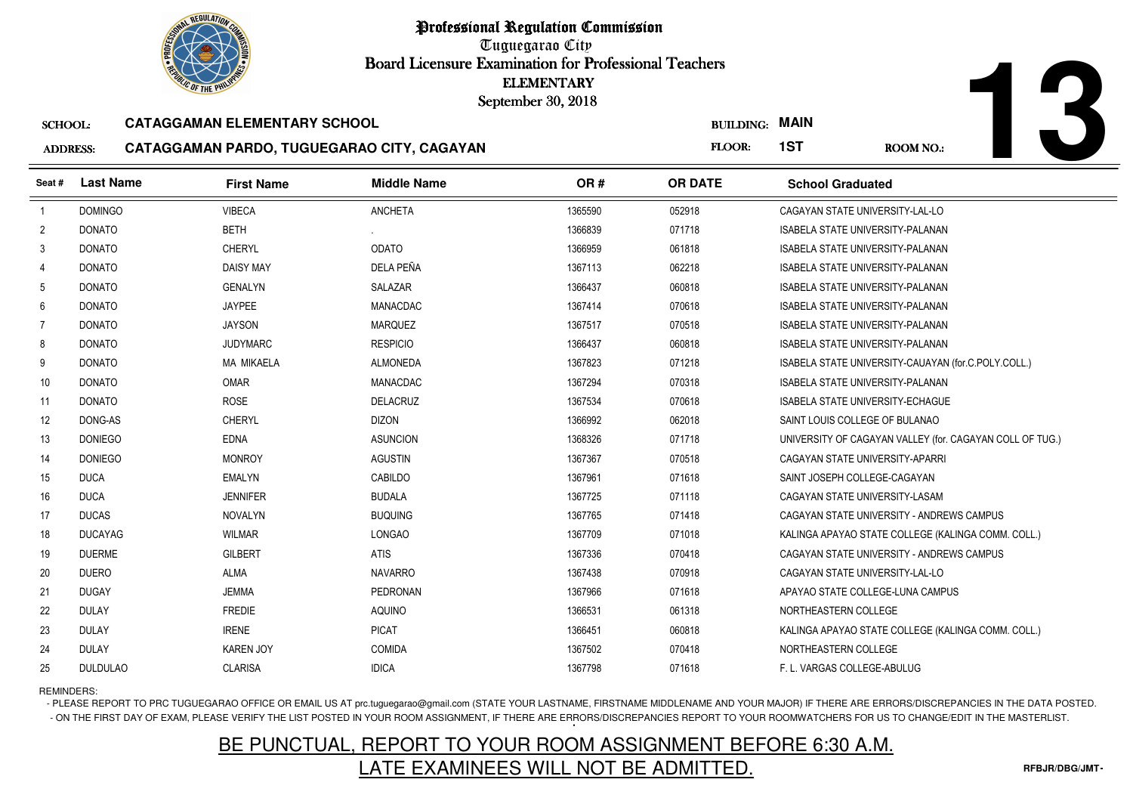Tuguegarao City Board Licensure Examination for Professional Teachers September 30, 2018

#### SCHOOL:**CATAGGAMAN ELEMENTARY SCHOOL**

#### ADDRESS: **CATAGGAMAN PARDO, TUGUEGARAO CITY, CAGAYAN**



|                 |                  | <b><i>OLIC OF THE PHILIP</i></b>    |                                            | <b>ELEMENTARY</b><br>September 30, 2018 |                  |                                                          |
|-----------------|------------------|-------------------------------------|--------------------------------------------|-----------------------------------------|------------------|----------------------------------------------------------|
| <b>SCHOOL:</b>  |                  | <b>CATAGGAMAN ELEMENTARY SCHOOL</b> |                                            |                                         | <b>BUILDING:</b> | <b>MAIN</b>                                              |
| <b>ADDRESS:</b> |                  |                                     | CATAGGAMAN PARDO, TUGUEGARAO CITY, CAGAYAN |                                         | FLOOR:           | 1ST<br><b>ROOM NO.:</b>                                  |
| Seat #          | <b>Last Name</b> | <b>First Name</b>                   | <b>Middle Name</b>                         | OR#                                     | <b>OR DATE</b>   | <b>School Graduated</b>                                  |
| $\overline{1}$  | <b>DOMINGO</b>   | <b>VIBECA</b>                       | <b>ANCHETA</b>                             | 1365590                                 | 052918           | CAGAYAN STATE UNIVERSITY-LAL-LO                          |
| $\overline{2}$  | <b>DONATO</b>    | <b>BETH</b>                         |                                            | 1366839                                 | 071718           | <b>ISABELA STATE UNIVERSITY-PALANAN</b>                  |
| 3               | <b>DONATO</b>    | <b>CHERYL</b>                       | <b>ODATO</b>                               | 1366959                                 | 061818           | <b>ISABELA STATE UNIVERSITY-PALANAN</b>                  |
| 4               | <b>DONATO</b>    | <b>DAISY MAY</b>                    | DELA PEÑA                                  | 1367113                                 | 062218           | <b>ISABELA STATE UNIVERSITY-PALANAN</b>                  |
| 5               | <b>DONATO</b>    | <b>GENALYN</b>                      | SALAZAR                                    | 1366437                                 | 060818           | ISABELA STATE UNIVERSITY-PALANAN                         |
| 6               | <b>DONATO</b>    | <b>JAYPEE</b>                       | <b>MANACDAC</b>                            | 1367414                                 | 070618           | <b>ISABELA STATE UNIVERSITY-PALANAN</b>                  |
| $\overline{7}$  | <b>DONATO</b>    | <b>JAYSON</b>                       | <b>MARQUEZ</b>                             | 1367517                                 | 070518           | <b>ISABELA STATE UNIVERSITY-PALANAN</b>                  |
| 8               | <b>DONATO</b>    | <b>JUDYMARC</b>                     | <b>RESPICIO</b>                            | 1366437                                 | 060818           | ISABELA STATE UNIVERSITY-PALANAN                         |
| 9               | <b>DONATO</b>    | <b>MA MIKAELA</b>                   | <b>ALMONEDA</b>                            | 1367823                                 | 071218           | ISABELA STATE UNIVERSITY-CAUAYAN (for.C.POLY.COLL.)      |
| 10              | <b>DONATO</b>    | OMAR                                | <b>MANACDAC</b>                            | 1367294                                 | 070318           | <b>ISABELA STATE UNIVERSITY-PALANAN</b>                  |
| 11              | <b>DONATO</b>    | <b>ROSE</b>                         | <b>DELACRUZ</b>                            | 1367534                                 | 070618           | <b>ISABELA STATE UNIVERSITY-ECHAGUE</b>                  |
| 12              | DONG-AS          | <b>CHERYL</b>                       | <b>DIZON</b>                               | 1366992                                 | 062018           | SAINT LOUIS COLLEGE OF BULANAO                           |
| 13              | <b>DONIEGO</b>   | <b>EDNA</b>                         | <b>ASUNCION</b>                            | 1368326                                 | 071718           | UNIVERSITY OF CAGAYAN VALLEY (for. CAGAYAN COLL OF TUG.) |
| 14              | <b>DONIEGO</b>   | <b>MONROY</b>                       | <b>AGUSTIN</b>                             | 1367367                                 | 070518           | CAGAYAN STATE UNIVERSITY-APARRI                          |
| 15              | <b>DUCA</b>      | <b>EMALYN</b>                       | CABILDO                                    | 1367961                                 | 071618           | SAINT JOSEPH COLLEGE-CAGAYAN                             |
| 16              | <b>DUCA</b>      | <b>JENNIFER</b>                     | <b>BUDALA</b>                              | 1367725                                 | 071118           | CAGAYAN STATE UNIVERSITY-LASAM                           |
| 17              | <b>DUCAS</b>     | <b>NOVALYN</b>                      | <b>BUQUING</b>                             | 1367765                                 | 071418           | CAGAYAN STATE UNIVERSITY - ANDREWS CAMPUS                |
| 18              | <b>DUCAYAG</b>   | <b>WILMAR</b>                       | <b>LONGAO</b>                              | 1367709                                 | 071018           | KALINGA APAYAO STATE COLLEGE (KALINGA COMM. COLL.)       |
| 19              | <b>DUERME</b>    | <b>GILBERT</b>                      | <b>ATIS</b>                                | 1367336                                 | 070418           | CAGAYAN STATE UNIVERSITY - ANDREWS CAMPUS                |
| 20              | <b>DUERO</b>     | ALMA                                | <b>NAVARRO</b>                             | 1367438                                 | 070918           | CAGAYAN STATE UNIVERSITY-LAL-LO                          |
| 21              | <b>DUGAY</b>     | <b>JEMMA</b>                        | <b>PEDRONAN</b>                            | 1367966                                 | 071618           | APAYAO STATE COLLEGE-LUNA CAMPUS                         |
| 22              | <b>DULAY</b>     | <b>FREDIE</b>                       | <b>AQUINO</b>                              | 1366531                                 | 061318           | NORTHEASTERN COLLEGE                                     |
| 23              | <b>DULAY</b>     | <b>IRENE</b>                        | <b>PICAT</b>                               | 1366451                                 | 060818           | KALINGA APAYAO STATE COLLEGE (KALINGA COMM. COLL.)       |
| 24              | <b>DULAY</b>     | <b>KAREN JOY</b>                    | <b>COMIDA</b>                              | 1367502                                 | 070418           | NORTHEASTERN COLLEGE                                     |
| 25              | <b>DULDULAO</b>  | <b>CLARISA</b>                      | <b>IDICA</b>                               | 1367798                                 | 071618           | F. L. VARGAS COLLEGE-ABULUG                              |

REMINDERS:

- PLEASE REPORT TO PRC TUGUEGARAO OFFICE OR EMAIL US AT prc.tuguegarao@gmail.com (STATE YOUR LASTNAME, FIRSTNAME MIDDLENAME AND YOUR MAJOR) IF THERE ARE ERRORS/DISCREPANCIES IN THE DATA POSTED. - ON THE FIRST DAY OF EXAM, PLEASE VERIFY THE LIST POSTED IN YOUR ROOM ASSIGNMENT, IF THERE ARE ERRORS/DISCREPANCIES REPORT TO YOUR ROOMWATCHERS FOR US TO CHANGE/EDIT IN THE MASTERLIST.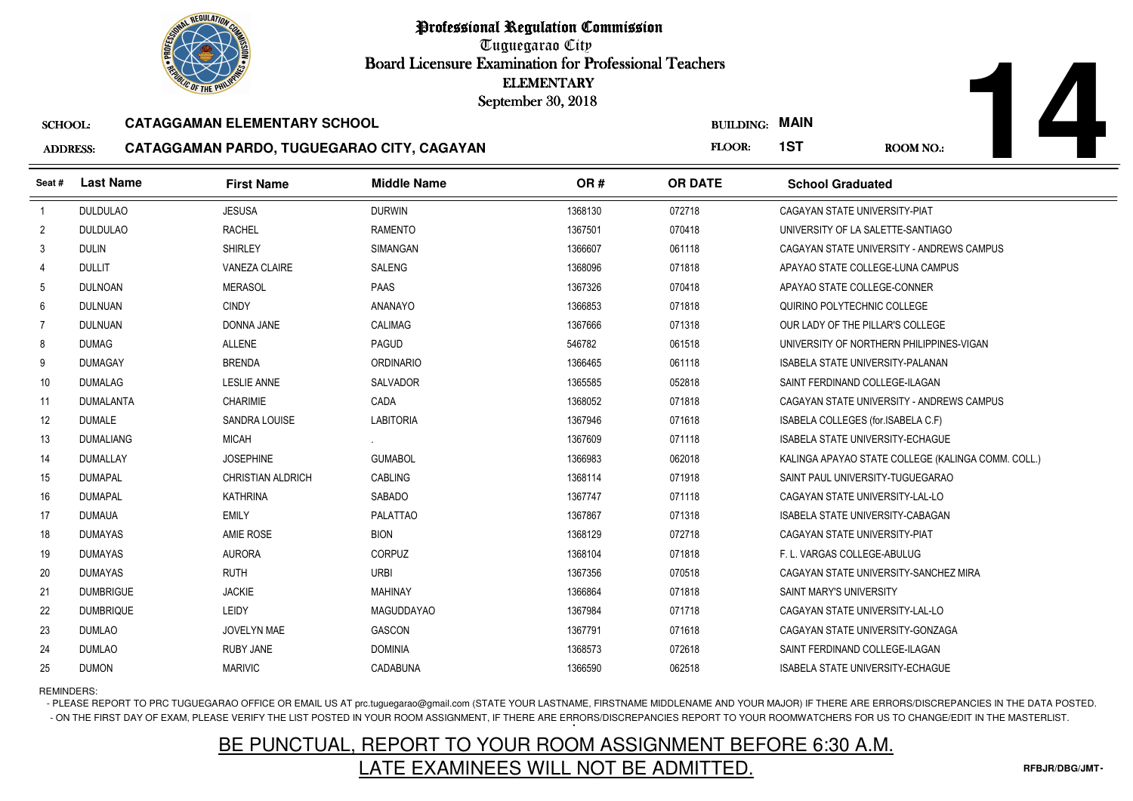

Tuguegarao City Board Licensure Examination for Professional Teachers September 30, 2018

#### SCHOOL:**CATAGGAMAN ELEMENTARY SCHOOL**

#### ADDRESS:**CATAGGAMAN PARDO, TUGUEGARAO CITY, CAGAYAN**

**14**

|                 |                  | <b><i>OLIC OF THE PHILIPS</i></b>   |                                            | <b>ELEMENTARY</b><br>September 30, 2018 |                  |                                                    |
|-----------------|------------------|-------------------------------------|--------------------------------------------|-----------------------------------------|------------------|----------------------------------------------------|
| <b>SCHOOL:</b>  |                  | <b>CATAGGAMAN ELEMENTARY SCHOOL</b> |                                            |                                         | <b>BUILDING:</b> | <b>MAIN</b>                                        |
| <b>ADDRESS:</b> |                  |                                     | CATAGGAMAN PARDO, TUGUEGARAO CITY, CAGAYAN |                                         | FLOOR:           | 1ST<br><b>ROOM NO.:</b>                            |
| Seat #          | <b>Last Name</b> | <b>First Name</b>                   | <b>Middle Name</b>                         | OR#                                     | <b>OR DATE</b>   | <b>School Graduated</b>                            |
| $\overline{1}$  | <b>DULDULAO</b>  | <b>JESUSA</b>                       | <b>DURWIN</b>                              | 1368130                                 | 072718           | CAGAYAN STATE UNIVERSITY-PIAT                      |
| $\overline{2}$  | <b>DULDULAO</b>  | <b>RACHEL</b>                       | <b>RAMENTO</b>                             | 1367501                                 | 070418           | UNIVERSITY OF LA SALETTE-SANTIAGO                  |
| 3               | <b>DULIN</b>     | <b>SHIRLEY</b>                      | <b>SIMANGAN</b>                            | 1366607                                 | 061118           | CAGAYAN STATE UNIVERSITY - ANDREWS CAMPUS          |
| 4               | <b>DULLIT</b>    | <b>VANEZA CLAIRE</b>                | SALENG                                     | 1368096                                 | 071818           | APAYAO STATE COLLEGE-LUNA CAMPUS                   |
| 5               | <b>DULNOAN</b>   | <b>MERASOL</b>                      | PAAS                                       | 1367326                                 | 070418           | APAYAO STATE COLLEGE-CONNER                        |
| 6               | <b>DULNUAN</b>   | <b>CINDY</b>                        | <b>ANANAYO</b>                             | 1366853                                 | 071818           | QUIRINO POLYTECHNIC COLLEGE                        |
| $\overline{7}$  | <b>DULNUAN</b>   | DONNA JANE                          | <b>CALIMAG</b>                             | 1367666                                 | 071318           | OUR LADY OF THE PILLAR'S COLLEGE                   |
| 8               | <b>DUMAG</b>     | <b>ALLENE</b>                       | PAGUD                                      | 546782                                  | 061518           | UNIVERSITY OF NORTHERN PHILIPPINES-VIGAN           |
| 9               | <b>DUMAGAY</b>   | <b>BRENDA</b>                       | <b>ORDINARIO</b>                           | 1366465                                 | 061118           | <b>ISABELA STATE UNIVERSITY-PALANAN</b>            |
| 10 <sup>°</sup> | <b>DUMALAG</b>   | <b>LESLIE ANNE</b>                  | <b>SALVADOR</b>                            | 1365585                                 | 052818           | SAINT FERDINAND COLLEGE-ILAGAN                     |
| 11              | <b>DUMALANTA</b> | <b>CHARIMIE</b>                     | CADA                                       | 1368052                                 | 071818           | CAGAYAN STATE UNIVERSITY - ANDREWS CAMPUS          |
| 12              | <b>DUMALE</b>    | SANDRA LOUISE                       | <b>LABITORIA</b>                           | 1367946                                 | 071618           | ISABELA COLLEGES (for ISABELA C.F)                 |
| 13              | <b>DUMALIANG</b> | <b>MICAH</b>                        |                                            | 1367609                                 | 071118           | ISABELA STATE UNIVERSITY-ECHAGUE                   |
| 14              | <b>DUMALLAY</b>  | <b>JOSEPHINE</b>                    | <b>GUMABOL</b>                             | 1366983                                 | 062018           | KALINGA APAYAO STATE COLLEGE (KALINGA COMM. COLL.) |
| 15              | <b>DUMAPAL</b>   | <b>CHRISTIAN ALDRICH</b>            | <b>CABLING</b>                             | 1368114                                 | 071918           | SAINT PAUL UNIVERSITY-TUGUEGARAO                   |
| 16              | <b>DUMAPAL</b>   | <b>KATHRINA</b>                     | SABADO                                     | 1367747                                 | 071118           | CAGAYAN STATE UNIVERSITY-LAL-LO                    |
| 17              | <b>DUMAUA</b>    | <b>EMILY</b>                        | <b>PALATTAO</b>                            | 1367867                                 | 071318           | ISABELA STATE UNIVERSITY-CABAGAN                   |
| 18              | <b>DUMAYAS</b>   | AMIE ROSE                           | <b>BION</b>                                | 1368129                                 | 072718           | CAGAYAN STATE UNIVERSITY-PIAT                      |
| 19              | <b>DUMAYAS</b>   | <b>AURORA</b>                       | CORPUZ                                     | 1368104                                 | 071818           | F. L. VARGAS COLLEGE-ABULUG                        |
| 20              | <b>DUMAYAS</b>   | <b>RUTH</b>                         | <b>URBI</b>                                | 1367356                                 | 070518           | CAGAYAN STATE UNIVERSITY-SANCHEZ MIRA              |
| 21              | <b>DUMBRIGUE</b> | <b>JACKIE</b>                       | <b>MAHINAY</b>                             | 1366864                                 | 071818           | SAINT MARY'S UNIVERSITY                            |
| 22              | <b>DUMBRIQUE</b> | <b>LEIDY</b>                        | <b>MAGUDDAYAO</b>                          | 1367984                                 | 071718           | CAGAYAN STATE UNIVERSITY-LAL-LO                    |
| 23              | <b>DUMLAO</b>    | JOVELYN MAE                         | GASCON                                     | 1367791                                 | 071618           | CAGAYAN STATE UNIVERSITY-GONZAGA                   |
| 24              | <b>DUMLAO</b>    | <b>RUBY JANE</b>                    | <b>DOMINIA</b>                             | 1368573                                 | 072618           | SAINT FERDINAND COLLEGE-ILAGAN                     |
| 25              | <b>DUMON</b>     | <b>MARIVIC</b>                      | CADABUNA                                   | 1366590                                 | 062518           | <b>ISABELA STATE UNIVERSITY-ECHAGUE</b>            |

REMINDERS:

- PLEASE REPORT TO PRC TUGUEGARAO OFFICE OR EMAIL US AT prc.tuguegarao@gmail.com (STATE YOUR LASTNAME, FIRSTNAME MIDDLENAME AND YOUR MAJOR) IF THERE ARE ERRORS/DISCREPANCIES IN THE DATA POSTED. - ON THE FIRST DAY OF EXAM, PLEASE VERIFY THE LIST POSTED IN YOUR ROOM ASSIGNMENT, IF THERE ARE ERRORS/DISCREPANCIES REPORT TO YOUR ROOMWATCHERS FOR US TO CHANGE/EDIT IN THE MASTERLIST.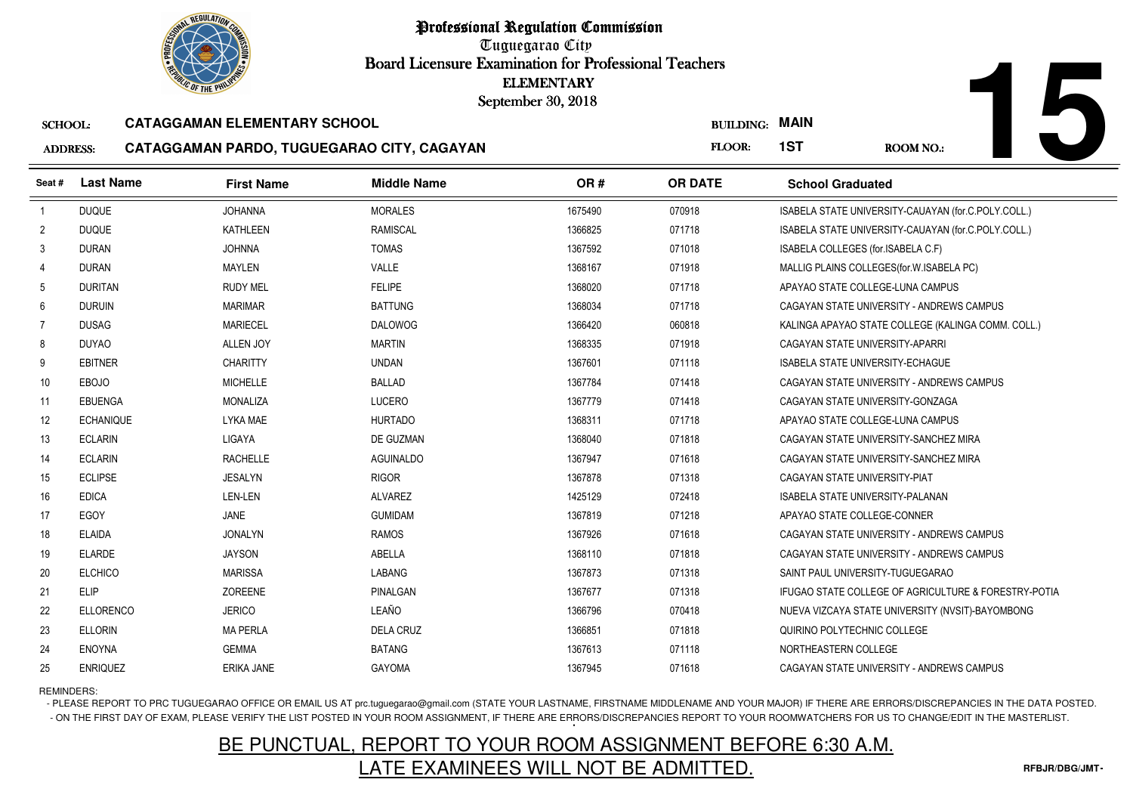Tuguegarao City Board Licensure Examination for Professional Teachers September 30, 2018

#### SCHOOL:**CATAGGAMAN ELEMENTARY SCHOOL**

#### ADDRESS:**CATAGGAMAN PARDO, TUGUEGARAO CITY, CAGAYAN**

|                                                               |                  | <b><i>OLIC OF THE PHILIP</i></b>    |                    | <b>ELEMENTARY</b><br>September 30, 2018 |                  |                                                      |  |
|---------------------------------------------------------------|------------------|-------------------------------------|--------------------|-----------------------------------------|------------------|------------------------------------------------------|--|
| <b>SCHOOL:</b>                                                |                  | <b>CATAGGAMAN ELEMENTARY SCHOOL</b> |                    |                                         | <b>BUILDING:</b> | <b>MAIN</b>                                          |  |
| CATAGGAMAN PARDO, TUGUEGARAO CITY, CAGAYAN<br><b>ADDRESS:</b> |                  |                                     |                    |                                         |                  | 1ST<br><b>ROOM NO.:</b>                              |  |
| Seat#                                                         | <b>Last Name</b> | <b>First Name</b>                   | <b>Middle Name</b> | OR#                                     | <b>OR DATE</b>   | <b>School Graduated</b>                              |  |
| $\overline{1}$                                                | <b>DUQUE</b>     | <b>JOHANNA</b>                      | <b>MORALES</b>     | 1675490                                 | 070918           | ISABELA STATE UNIVERSITY-CAUAYAN (for.C.POLY.COLL.)  |  |
| $\overline{2}$                                                | <b>DUQUE</b>     | <b>KATHLEEN</b>                     | <b>RAMISCAL</b>    | 1366825                                 | 071718           | ISABELA STATE UNIVERSITY-CAUAYAN (for.C.POLY.COLL.)  |  |
| 3                                                             | <b>DURAN</b>     | <b>JOHNNA</b>                       | <b>TOMAS</b>       | 1367592                                 | 071018           | ISABELA COLLEGES (for.ISABELA C.F)                   |  |
| 4                                                             | <b>DURAN</b>     | MAYLEN                              | VALLE              | 1368167                                 | 071918           | MALLIG PLAINS COLLEGES (for W. ISABELA PC)           |  |
| 5                                                             | <b>DURITAN</b>   | <b>RUDY MEL</b>                     | <b>FELIPE</b>      | 1368020                                 | 071718           | APAYAO STATE COLLEGE-LUNA CAMPUS                     |  |
| 6                                                             | <b>DURUIN</b>    | <b>MARIMAR</b>                      | <b>BATTUNG</b>     | 1368034                                 | 071718           | CAGAYAN STATE UNIVERSITY - ANDREWS CAMPUS            |  |
| $\overline{7}$                                                | <b>DUSAG</b>     | <b>MARIECEL</b>                     | <b>DALOWOG</b>     | 1366420                                 | 060818           | KALINGA APAYAO STATE COLLEGE (KALINGA COMM. COLL.)   |  |
| 8                                                             | <b>DUYAO</b>     | <b>ALLEN JOY</b>                    | <b>MARTIN</b>      | 1368335                                 | 071918           | CAGAYAN STATE UNIVERSITY-APARRI                      |  |
| 9                                                             | <b>EBITNER</b>   | <b>CHARITTY</b>                     | <b>UNDAN</b>       | 1367601                                 | 071118           | <b>ISABELA STATE UNIVERSITY-ECHAGUE</b>              |  |
| 10                                                            | <b>EBOJO</b>     | <b>MICHELLE</b>                     | <b>BALLAD</b>      | 1367784                                 | 071418           | CAGAYAN STATE UNIVERSITY - ANDREWS CAMPUS            |  |
| 11                                                            | <b>EBUENGA</b>   | <b>MONALIZA</b>                     | <b>LUCERO</b>      | 1367779                                 | 071418           | CAGAYAN STATE UNIVERSITY-GONZAGA                     |  |
| 12                                                            | <b>ECHANIQUE</b> | <b>LYKA MAE</b>                     | <b>HURTADO</b>     | 1368311                                 | 071718           | APAYAO STATE COLLEGE-LUNA CAMPUS                     |  |
| 13                                                            | <b>ECLARIN</b>   | LIGAYA                              | DE GUZMAN          | 1368040                                 | 071818           | CAGAYAN STATE UNIVERSITY-SANCHEZ MIRA                |  |
| 14                                                            | <b>ECLARIN</b>   | <b>RACHELLE</b>                     | <b>AGUINALDO</b>   | 1367947                                 | 071618           | CAGAYAN STATE UNIVERSITY-SANCHEZ MIRA                |  |
| 15                                                            | <b>ECLIPSE</b>   | <b>JESALYN</b>                      | <b>RIGOR</b>       | 1367878                                 | 071318           | CAGAYAN STATE UNIVERSITY-PIAT                        |  |
| 16                                                            | <b>EDICA</b>     | LEN-LEN                             | <b>ALVAREZ</b>     | 1425129                                 | 072418           | <b>ISABELA STATE UNIVERSITY-PALANAN</b>              |  |
| 17                                                            | EGOY             | <b>JANE</b>                         | <b>GUMIDAM</b>     | 1367819                                 | 071218           | APAYAO STATE COLLEGE-CONNER                          |  |
| 18                                                            | <b>ELAIDA</b>    | <b>JONALYN</b>                      | <b>RAMOS</b>       | 1367926                                 | 071618           | CAGAYAN STATE UNIVERSITY - ANDREWS CAMPUS            |  |
| 19                                                            | <b>ELARDE</b>    | <b>JAYSON</b>                       | ABELLA             | 1368110                                 | 071818           | CAGAYAN STATE UNIVERSITY - ANDREWS CAMPUS            |  |
| 20                                                            | <b>ELCHICO</b>   | <b>MARISSA</b>                      | LABANG             | 1367873                                 | 071318           | SAINT PAUL UNIVERSITY-TUGUEGARAO                     |  |
| 21                                                            | ELIP             | ZOREENE                             | PINALGAN           | 1367677                                 | 071318           | IFUGAO STATE COLLEGE OF AGRICULTURE & FORESTRY-POTIA |  |
| 22                                                            | ELLORENCO        | <b>JERICO</b>                       | LEAÑO              | 1366796                                 | 070418           | NUEVA VIZCAYA STATE UNIVERSITY (NVSIT)-BAYOMBONG     |  |
| 23                                                            | <b>ELLORIN</b>   | <b>MA PERLA</b>                     | <b>DELA CRUZ</b>   | 1366851                                 | 071818           | QUIRINO POLYTECHNIC COLLEGE                          |  |
| 24                                                            | <b>ENOYNA</b>    | <b>GEMMA</b>                        | <b>BATANG</b>      | 1367613                                 | 071118           | NORTHEASTERN COLLEGE                                 |  |
| 25                                                            | <b>ENRIQUEZ</b>  | ERIKA JANE                          | <b>GAYOMA</b>      | 1367945                                 | 071618           | CAGAYAN STATE UNIVERSITY - ANDREWS CAMPUS            |  |

REMINDERS:

- PLEASE REPORT TO PRC TUGUEGARAO OFFICE OR EMAIL US AT prc.tuguegarao@gmail.com (STATE YOUR LASTNAME, FIRSTNAME MIDDLENAME AND YOUR MAJOR) IF THERE ARE ERRORS/DISCREPANCIES IN THE DATA POSTED. - ON THE FIRST DAY OF EXAM, PLEASE VERIFY THE LIST POSTED IN YOUR ROOM ASSIGNMENT, IF THERE ARE ERRORS/DISCREPANCIES REPORT TO YOUR ROOMWATCHERS FOR US TO CHANGE/EDIT IN THE MASTERLIST.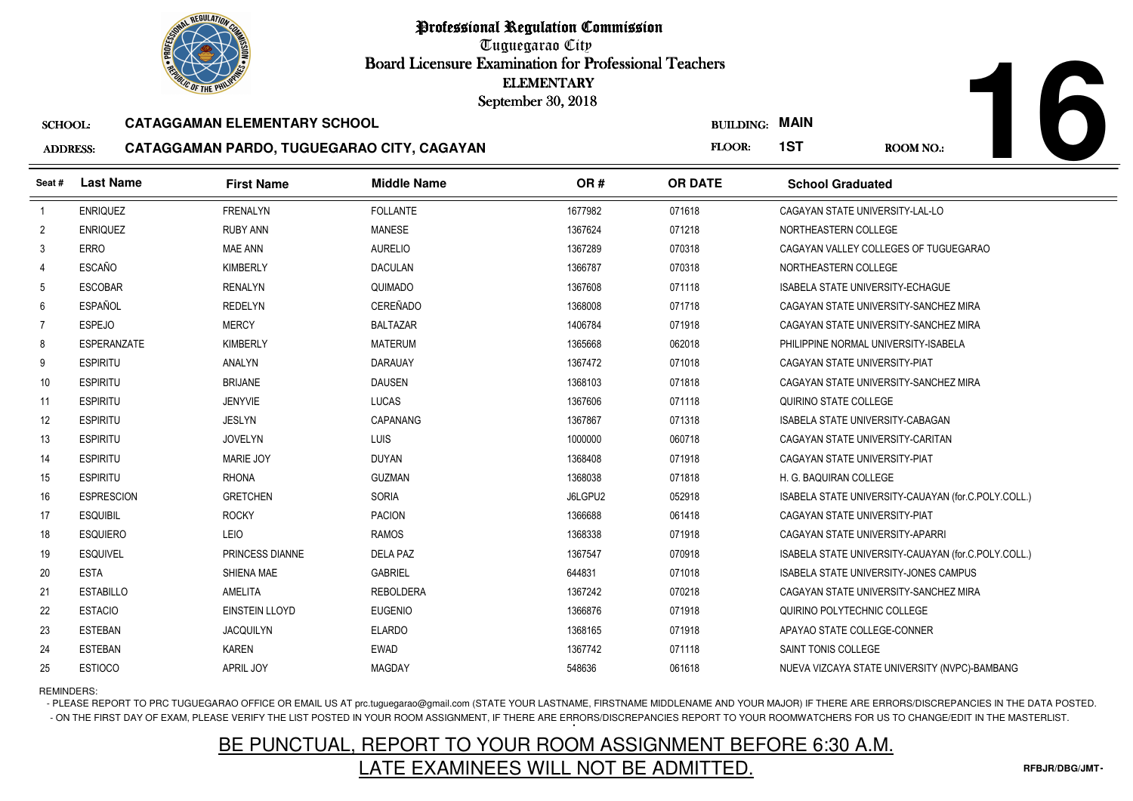Tuguegarao City Board Licensure Examination for Professional Teachers September 30, 2018

#### SCHOOL:**CATAGGAMAN ELEMENTARY SCHOOL**

#### ADDRESS:**CATAGGAMAN PARDO, TUGUEGARAO CITY, CAGAYAN**

**16**

| <b><i>OLIC OF THE PHILIPS</i></b>                     |                    | <b>ELEMENTARY</b><br>September 30, 2018    |                    |         |                  |                                         |                                                     |
|-------------------------------------------------------|--------------------|--------------------------------------------|--------------------|---------|------------------|-----------------------------------------|-----------------------------------------------------|
| <b>CATAGGAMAN ELEMENTARY SCHOOL</b><br><b>SCHOOL:</b> |                    |                                            |                    |         | <b>BUILDING:</b> | <b>MAIN</b>                             |                                                     |
| <b>ADDRESS:</b>                                       |                    | CATAGGAMAN PARDO, TUGUEGARAO CITY, CAGAYAN |                    |         | FLOOR:           | 1ST                                     | <b>ROOM NO.:</b>                                    |
| Seat #                                                | <b>Last Name</b>   | <b>First Name</b>                          | <b>Middle Name</b> | OR#     | <b>OR DATE</b>   | <b>School Graduated</b>                 |                                                     |
| $\overline{1}$                                        | <b>ENRIQUEZ</b>    | <b>FRENALYN</b>                            | <b>FOLLANTE</b>    | 1677982 | 071618           | CAGAYAN STATE UNIVERSITY-LAL-LO         |                                                     |
| $\overline{2}$                                        | <b>ENRIQUEZ</b>    | <b>RUBY ANN</b>                            | <b>MANESE</b>      | 1367624 | 071218           | NORTHEASTERN COLLEGE                    |                                                     |
| 3                                                     | <b>ERRO</b>        | <b>MAE ANN</b>                             | <b>AURELIO</b>     | 1367289 | 070318           |                                         | CAGAYAN VALLEY COLLEGES OF TUGUEGARAO               |
| 4                                                     | <b>ESCAÑO</b>      | <b>KIMBERLY</b>                            | <b>DACULAN</b>     | 1366787 | 070318           | NORTHEASTERN COLLEGE                    |                                                     |
| 5                                                     | <b>ESCOBAR</b>     | <b>RENALYN</b>                             | QUIMADO            | 1367608 | 071118           | ISABELA STATE UNIVERSITY-ECHAGUE        |                                                     |
| 6                                                     | <b>ESPAÑOL</b>     | <b>REDELYN</b>                             | CEREÑADO           | 1368008 | 071718           |                                         | CAGAYAN STATE UNIVERSITY-SANCHEZ MIRA               |
| 7                                                     | <b>ESPEJO</b>      | <b>MERCY</b>                               | <b>BALTAZAR</b>    | 1406784 | 071918           |                                         | CAGAYAN STATE UNIVERSITY-SANCHEZ MIRA               |
| 8                                                     | <b>ESPERANZATE</b> | <b>KIMBERLY</b>                            | <b>MATERUM</b>     | 1365668 | 062018           | PHILIPPINE NORMAL UNIVERSITY-ISABELA    |                                                     |
| 9                                                     | <b>ESPIRITU</b>    | <b>ANALYN</b>                              | <b>DARAUAY</b>     | 1367472 | 071018           | CAGAYAN STATE UNIVERSITY-PIAT           |                                                     |
| 10                                                    | <b>ESPIRITU</b>    | <b>BRIJANE</b>                             | <b>DAUSEN</b>      | 1368103 | 071818           |                                         | CAGAYAN STATE UNIVERSITY-SANCHEZ MIRA               |
| 11                                                    | <b>ESPIRITU</b>    | <b>JENYVIE</b>                             | LUCAS              | 1367606 | 071118           | QUIRINO STATE COLLEGE                   |                                                     |
| 12                                                    | <b>ESPIRITU</b>    | <b>JESLYN</b>                              | <b>CAPANANG</b>    | 1367867 | 071318           | <b>ISABELA STATE UNIVERSITY-CABAGAN</b> |                                                     |
| 13                                                    | <b>ESPIRITU</b>    | <b>JOVELYN</b>                             | LUIS               | 1000000 | 060718           | CAGAYAN STATE UNIVERSITY-CARITAN        |                                                     |
| 14                                                    | <b>ESPIRITU</b>    | <b>MARIE JOY</b>                           | <b>DUYAN</b>       | 1368408 | 071918           | CAGAYAN STATE UNIVERSITY-PIAT           |                                                     |
| 15                                                    | <b>ESPIRITU</b>    | <b>RHONA</b>                               | <b>GUZMAN</b>      | 1368038 | 071818           | H. G. BAQUIRAN COLLEGE                  |                                                     |
| 16                                                    | <b>ESPRESCION</b>  | <b>GRETCHEN</b>                            | <b>SORIA</b>       | J6LGPU2 | 052918           |                                         | ISABELA STATE UNIVERSITY-CAUAYAN (for.C.POLY.COLL.) |
| 17                                                    | <b>ESQUIBIL</b>    | <b>ROCKY</b>                               | <b>PACION</b>      | 1366688 | 061418           | CAGAYAN STATE UNIVERSITY-PIAT           |                                                     |
| 18                                                    | <b>ESQUIERO</b>    | LEIO                                       | <b>RAMOS</b>       | 1368338 | 071918           | CAGAYAN STATE UNIVERSITY-APARRI         |                                                     |
| 19                                                    | <b>ESQUIVEL</b>    | PRINCESS DIANNE                            | <b>DELA PAZ</b>    | 1367547 | 070918           |                                         | ISABELA STATE UNIVERSITY-CAUAYAN (for.C.POLY.COLL.) |
| 20                                                    | <b>ESTA</b>        | SHIENA MAE                                 | <b>GABRIEL</b>     | 644831  | 071018           |                                         | <b>ISABELA STATE UNIVERSITY-JONES CAMPUS</b>        |
| 21                                                    | <b>ESTABILLO</b>   | <b>AMELITA</b>                             | <b>REBOLDERA</b>   | 1367242 | 070218           |                                         | CAGAYAN STATE UNIVERSITY-SANCHEZ MIRA               |
| 22                                                    | <b>ESTACIO</b>     | <b>EINSTEIN LLOYD</b>                      | <b>EUGENIO</b>     | 1366876 | 071918           | QUIRINO POLYTECHNIC COLLEGE             |                                                     |
| 23                                                    | <b>ESTEBAN</b>     | <b>JACQUILYN</b>                           | <b>ELARDO</b>      | 1368165 | 071918           | APAYAO STATE COLLEGE-CONNER             |                                                     |
| 24                                                    | <b>ESTEBAN</b>     | <b>KAREN</b>                               | <b>EWAD</b>        | 1367742 | 071118           | SAINT TONIS COLLEGE                     |                                                     |
| 25                                                    | <b>ESTIOCO</b>     | APRIL JOY                                  | MAGDAY             | 548636  | 061618           |                                         | NUEVA VIZCAYA STATE UNIVERSITY (NVPC)-BAMBANG       |

REMINDERS:

- PLEASE REPORT TO PRC TUGUEGARAO OFFICE OR EMAIL US AT prc.tuguegarao@gmail.com (STATE YOUR LASTNAME, FIRSTNAME MIDDLENAME AND YOUR MAJOR) IF THERE ARE ERRORS/DISCREPANCIES IN THE DATA POSTED. - ON THE FIRST DAY OF EXAM, PLEASE VERIFY THE LIST POSTED IN YOUR ROOM ASSIGNMENT, IF THERE ARE ERRORS/DISCREPANCIES REPORT TO YOUR ROOMWATCHERS FOR US TO CHANGE/EDIT IN THE MASTERLIST.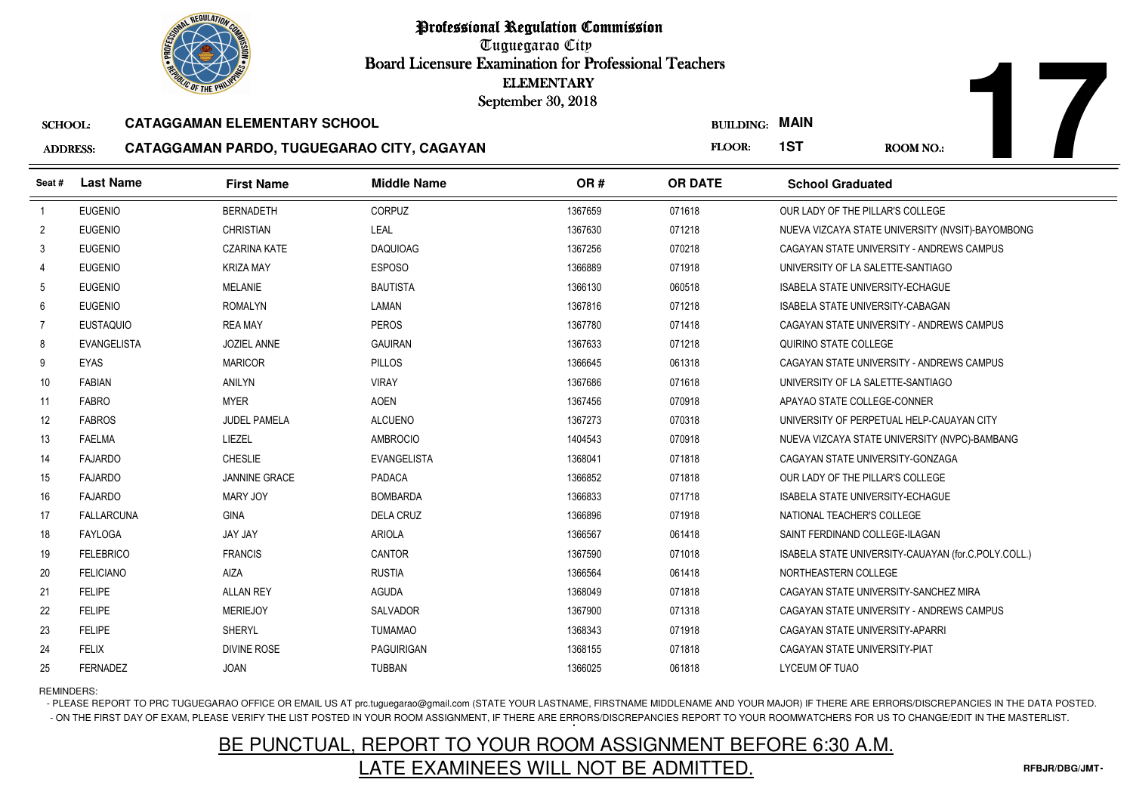Tuguegarao City Board Licensure Examination for Professional Teachers September 30, 2018

#### SCHOOL:**CATAGGAMAN ELEMENTARY SCHOOL**

#### ADDRESS:**CATAGGAMAN PARDO, TUGUEGARAO CITY, CAGAYAN**

| <b><i>OLIC OF THE PHILIP</i></b>                      |                    | <b>ELEMENTARY</b><br>September 30, 2018    |                    |         |                  |                                                     |
|-------------------------------------------------------|--------------------|--------------------------------------------|--------------------|---------|------------------|-----------------------------------------------------|
| <b>CATAGGAMAN ELEMENTARY SCHOOL</b><br><b>SCHOOL:</b> |                    |                                            |                    |         | <b>BUILDING:</b> | <b>MAIN</b>                                         |
| <b>ADDRESS:</b>                                       |                    | CATAGGAMAN PARDO, TUGUEGARAO CITY, CAGAYAN |                    |         | FLOOR:           | 1ST<br><b>ROOM NO.:</b>                             |
| Seat #                                                | <b>Last Name</b>   | <b>First Name</b>                          | <b>Middle Name</b> | OR#     | <b>OR DATE</b>   | <b>School Graduated</b>                             |
| $\overline{1}$                                        | <b>EUGENIO</b>     | <b>BERNADETH</b>                           | <b>CORPUZ</b>      | 1367659 | 071618           | OUR LADY OF THE PILLAR'S COLLEGE                    |
| $\overline{2}$                                        | <b>EUGENIO</b>     | <b>CHRISTIAN</b>                           | LEAL               | 1367630 | 071218           | NUEVA VIZCAYA STATE UNIVERSITY (NVSIT)-BAYOMBONG    |
| 3                                                     | <b>EUGENIO</b>     | <b>CZARINA KATE</b>                        | <b>DAQUIOAG</b>    | 1367256 | 070218           | CAGAYAN STATE UNIVERSITY - ANDREWS CAMPUS           |
| Δ                                                     | <b>EUGENIO</b>     | <b>KRIZA MAY</b>                           | <b>ESPOSO</b>      | 1366889 | 071918           | UNIVERSITY OF LA SALETTE-SANTIAGO                   |
| 5                                                     | <b>EUGENIO</b>     | <b>MELANIE</b>                             | <b>BAUTISTA</b>    | 1366130 | 060518           | <b>ISABELA STATE UNIVERSITY-ECHAGUE</b>             |
| 6                                                     | <b>EUGENIO</b>     | <b>ROMALYN</b>                             | LAMAN              | 1367816 | 071218           | ISABELA STATE UNIVERSITY-CABAGAN                    |
| $\overline{7}$                                        | <b>EUSTAQUIO</b>   | <b>REA MAY</b>                             | <b>PEROS</b>       | 1367780 | 071418           | CAGAYAN STATE UNIVERSITY - ANDREWS CAMPUS           |
| 8                                                     | <b>EVANGELISTA</b> | JOZIEL ANNE                                | <b>GAUIRAN</b>     | 1367633 | 071218           | QUIRINO STATE COLLEGE                               |
| 9                                                     | <b>EYAS</b>        | <b>MARICOR</b>                             | <b>PILLOS</b>      | 1366645 | 061318           | CAGAYAN STATE UNIVERSITY - ANDREWS CAMPUS           |
| 10                                                    | <b>FABIAN</b>      | <b>ANILYN</b>                              | <b>VIRAY</b>       | 1367686 | 071618           | UNIVERSITY OF LA SALETTE-SANTIAGO                   |
| 11                                                    | <b>FABRO</b>       | <b>MYER</b>                                | <b>AOEN</b>        | 1367456 | 070918           | APAYAO STATE COLLEGE-CONNER                         |
| 12                                                    | <b>FABROS</b>      | <b>JUDEL PAMELA</b>                        | <b>ALCUENO</b>     | 1367273 | 070318           | UNIVERSITY OF PERPETUAL HELP-CAUAYAN CITY           |
| 13                                                    | <b>FAELMA</b>      | <b>LIEZEL</b>                              | <b>AMBROCIO</b>    | 1404543 | 070918           | NUEVA VIZCAYA STATE UNIVERSITY (NVPC)-BAMBANG       |
| 14                                                    | <b>FAJARDO</b>     | <b>CHESLIE</b>                             | <b>EVANGELISTA</b> | 1368041 | 071818           | CAGAYAN STATE UNIVERSITY-GONZAGA                    |
| 15                                                    | <b>FAJARDO</b>     | <b>JANNINE GRACE</b>                       | <b>PADACA</b>      | 1366852 | 071818           | OUR LADY OF THE PILLAR'S COLLEGE                    |
| 16                                                    | <b>FAJARDO</b>     | <b>MARY JOY</b>                            | <b>BOMBARDA</b>    | 1366833 | 071718           | <b>ISABELA STATE UNIVERSITY-ECHAGUE</b>             |
| 17                                                    | <b>FALLARCUNA</b>  | <b>GINA</b>                                | <b>DELA CRUZ</b>   | 1366896 | 071918           | NATIONAL TEACHER'S COLLEGE                          |
| 18                                                    | <b>FAYLOGA</b>     | JAY JAY                                    | <b>ARIOLA</b>      | 1366567 | 061418           | SAINT FERDINAND COLLEGE-ILAGAN                      |
| 19                                                    | <b>FELEBRICO</b>   | <b>FRANCIS</b>                             | <b>CANTOR</b>      | 1367590 | 071018           | ISABELA STATE UNIVERSITY-CAUAYAN (for.C.POLY.COLL.) |
| 20                                                    | <b>FELICIANO</b>   | <b>AIZA</b>                                | <b>RUSTIA</b>      | 1366564 | 061418           | NORTHEASTERN COLLEGE                                |
| 21                                                    | <b>FELIPE</b>      | <b>ALLAN REY</b>                           | <b>AGUDA</b>       | 1368049 | 071818           | CAGAYAN STATE UNIVERSITY-SANCHEZ MIRA               |
| 22                                                    | <b>FELIPE</b>      | <b>MERIEJOY</b>                            | SALVADOR           | 1367900 | 071318           | CAGAYAN STATE UNIVERSITY - ANDREWS CAMPUS           |
| 23                                                    | <b>FELIPE</b>      | <b>SHERYL</b>                              | <b>TUMAMAO</b>     | 1368343 | 071918           | CAGAYAN STATE UNIVERSITY-APARRI                     |
| 24                                                    | <b>FELIX</b>       | <b>DIVINE ROSE</b>                         | <b>PAGUIRIGAN</b>  | 1368155 | 071818           | CAGAYAN STATE UNIVERSITY-PIAT                       |
| 25                                                    | FERNADEZ           | <b>JOAN</b>                                | <b>TUBBAN</b>      | 1366025 | 061818           | LYCEUM OF TUAO                                      |

REMINDERS:

- PLEASE REPORT TO PRC TUGUEGARAO OFFICE OR EMAIL US AT prc.tuguegarao@gmail.com (STATE YOUR LASTNAME, FIRSTNAME MIDDLENAME AND YOUR MAJOR) IF THERE ARE ERRORS/DISCREPANCIES IN THE DATA POSTED. - ON THE FIRST DAY OF EXAM, PLEASE VERIFY THE LIST POSTED IN YOUR ROOM ASSIGNMENT, IF THERE ARE ERRORS/DISCREPANCIES REPORT TO YOUR ROOMWATCHERS FOR US TO CHANGE/EDIT IN THE MASTERLIST.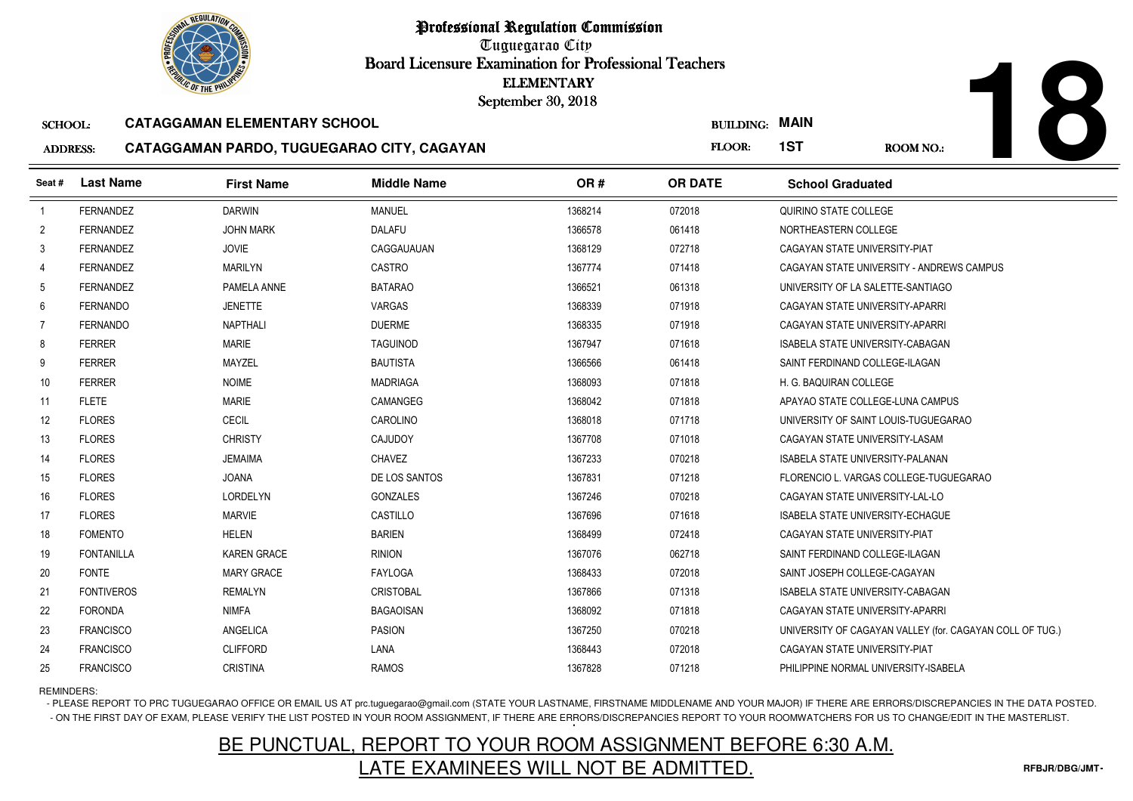Tuguegarao City Board Licensure Examination for Professional Teachers September 30, 2018

#### SCHOOL:**CATAGGAMAN ELEMENTARY SCHOOL**

#### ADDRESS:**CATAGGAMAN PARDO, TUGUEGARAO CITY, CAGAYAN**

**18**

|                 | <b><i>OLIC OF THE PHILIP</i></b> |                                            |                    | <b>ELEMENTARY</b><br>September 30, 2018 |                  |                                         |                                                          |
|-----------------|----------------------------------|--------------------------------------------|--------------------|-----------------------------------------|------------------|-----------------------------------------|----------------------------------------------------------|
| <b>SCHOOL:</b>  |                                  | <b>CATAGGAMAN ELEMENTARY SCHOOL</b>        |                    |                                         | <b>BUILDING:</b> | <b>MAIN</b>                             |                                                          |
| <b>ADDRESS:</b> |                                  | CATAGGAMAN PARDO, TUGUEGARAO CITY, CAGAYAN |                    |                                         | FLOOR:           | 1ST                                     | <b>ROOM NO.:</b>                                         |
| Seat#           | <b>Last Name</b>                 | <b>First Name</b>                          | <b>Middle Name</b> | OR#                                     | <b>OR DATE</b>   | <b>School Graduated</b>                 |                                                          |
| $\overline{1}$  | <b>FERNANDEZ</b>                 | <b>DARWIN</b>                              | <b>MANUEL</b>      | 1368214                                 | 072018           | QUIRINO STATE COLLEGE                   |                                                          |
| $\overline{2}$  | <b>FERNANDEZ</b>                 | <b>JOHN MARK</b>                           | <b>DALAFU</b>      | 1366578                                 | 061418           | NORTHEASTERN COLLEGE                    |                                                          |
| 3               | <b>FERNANDEZ</b>                 | <b>JOVIE</b>                               | CAGGAUAUAN         | 1368129                                 | 072718           | CAGAYAN STATE UNIVERSITY-PIAT           |                                                          |
| 4               | <b>FERNANDEZ</b>                 | <b>MARILYN</b>                             | <b>CASTRO</b>      | 1367774                                 | 071418           |                                         | CAGAYAN STATE UNIVERSITY - ANDREWS CAMPUS                |
| 5               | <b>FERNANDEZ</b>                 | PAMELA ANNE                                | <b>BATARAO</b>     | 1366521                                 | 061318           | UNIVERSITY OF LA SALETTE-SANTIAGO       |                                                          |
| 6               | <b>FERNANDO</b>                  | <b>JENETTE</b>                             | VARGAS             | 1368339                                 | 071918           | CAGAYAN STATE UNIVERSITY-APARRI         |                                                          |
| 7               | <b>FERNANDO</b>                  | <b>NAPTHALI</b>                            | <b>DUERME</b>      | 1368335                                 | 071918           | CAGAYAN STATE UNIVERSITY-APARRI         |                                                          |
| 8               | <b>FERRER</b>                    | <b>MARIE</b>                               | <b>TAGUINOD</b>    | 1367947                                 | 071618           | ISABELA STATE UNIVERSITY-CABAGAN        |                                                          |
| 9               | <b>FERRER</b>                    | MAYZEL                                     | <b>BAUTISTA</b>    | 1366566                                 | 061418           | SAINT FERDINAND COLLEGE-ILAGAN          |                                                          |
| 10              | <b>FERRER</b>                    | <b>NOIME</b>                               | <b>MADRIAGA</b>    | 1368093                                 | 071818           | H. G. BAQUIRAN COLLEGE                  |                                                          |
| 11              | <b>FLETE</b>                     | <b>MARIE</b>                               | CAMANGEG           | 1368042                                 | 071818           | APAYAO STATE COLLEGE-LUNA CAMPUS        |                                                          |
| 12              | <b>FLORES</b>                    | <b>CECIL</b>                               | CAROLINO           | 1368018                                 | 071718           |                                         | UNIVERSITY OF SAINT LOUIS-TUGUEGARAO                     |
| 13              | <b>FLORES</b>                    | <b>CHRISTY</b>                             | CAJUDOY            | 1367708                                 | 071018           | CAGAYAN STATE UNIVERSITY-LASAM          |                                                          |
| 14              | <b>FLORES</b>                    | <b>JEMAIMA</b>                             | <b>CHAVEZ</b>      | 1367233                                 | 070218           | <b>ISABELA STATE UNIVERSITY-PALANAN</b> |                                                          |
| 15              | <b>FLORES</b>                    | <b>ANAOL</b>                               | DE LOS SANTOS      | 1367831                                 | 071218           |                                         | FLORENCIO L. VARGAS COLLEGE-TUGUEGARAO                   |
| 16              | <b>FLORES</b>                    | LORDELYN                                   | GONZALES           | 1367246                                 | 070218           | CAGAYAN STATE UNIVERSITY-LAL-LO         |                                                          |
| 17              | <b>FLORES</b>                    | <b>MARVIE</b>                              | CASTILLO           | 1367696                                 | 071618           | <b>ISABELA STATE UNIVERSITY-ECHAGUE</b> |                                                          |
| 18              | <b>FOMENTO</b>                   | <b>HELEN</b>                               | <b>BARIEN</b>      | 1368499                                 | 072418           | CAGAYAN STATE UNIVERSITY-PIAT           |                                                          |
| 19              | <b>FONTANILLA</b>                | <b>KAREN GRACE</b>                         | <b>RINION</b>      | 1367076                                 | 062718           | SAINT FERDINAND COLLEGE-ILAGAN          |                                                          |
| 20              | <b>FONTE</b>                     | MARY GRACE                                 | <b>FAYLOGA</b>     | 1368433                                 | 072018           | SAINT JOSEPH COLLEGE-CAGAYAN            |                                                          |
| 21              | <b>FONTIVEROS</b>                | <b>REMALYN</b>                             | <b>CRISTOBAL</b>   | 1367866                                 | 071318           | ISABELA STATE UNIVERSITY-CABAGAN        |                                                          |
| 22              | <b>FORONDA</b>                   | <b>NIMFA</b>                               | <b>BAGAOISAN</b>   | 1368092                                 | 071818           | CAGAYAN STATE UNIVERSITY-APARRI         |                                                          |
| 23              | <b>FRANCISCO</b>                 | <b>ANGELICA</b>                            | <b>PASION</b>      | 1367250                                 | 070218           |                                         | UNIVERSITY OF CAGAYAN VALLEY (for. CAGAYAN COLL OF TUG.) |
| 24              | <b>FRANCISCO</b>                 | <b>CLIFFORD</b>                            | LANA               | 1368443                                 | 072018           | CAGAYAN STATE UNIVERSITY-PIAT           |                                                          |
| 25              | <b>FRANCISCO</b>                 | <b>CRISTINA</b>                            | <b>RAMOS</b>       | 1367828                                 | 071218           | PHILIPPINE NORMAL UNIVERSITY-ISABELA    |                                                          |

### REMINDERS:

- PLEASE REPORT TO PRC TUGUEGARAO OFFICE OR EMAIL US AT prc.tuguegarao@gmail.com (STATE YOUR LASTNAME, FIRSTNAME MIDDLENAME AND YOUR MAJOR) IF THERE ARE ERRORS/DISCREPANCIES IN THE DATA POSTED. - ON THE FIRST DAY OF EXAM, PLEASE VERIFY THE LIST POSTED IN YOUR ROOM ASSIGNMENT, IF THERE ARE ERRORS/DISCREPANCIES REPORT TO YOUR ROOMWATCHERS FOR US TO CHANGE/EDIT IN THE MASTERLIST.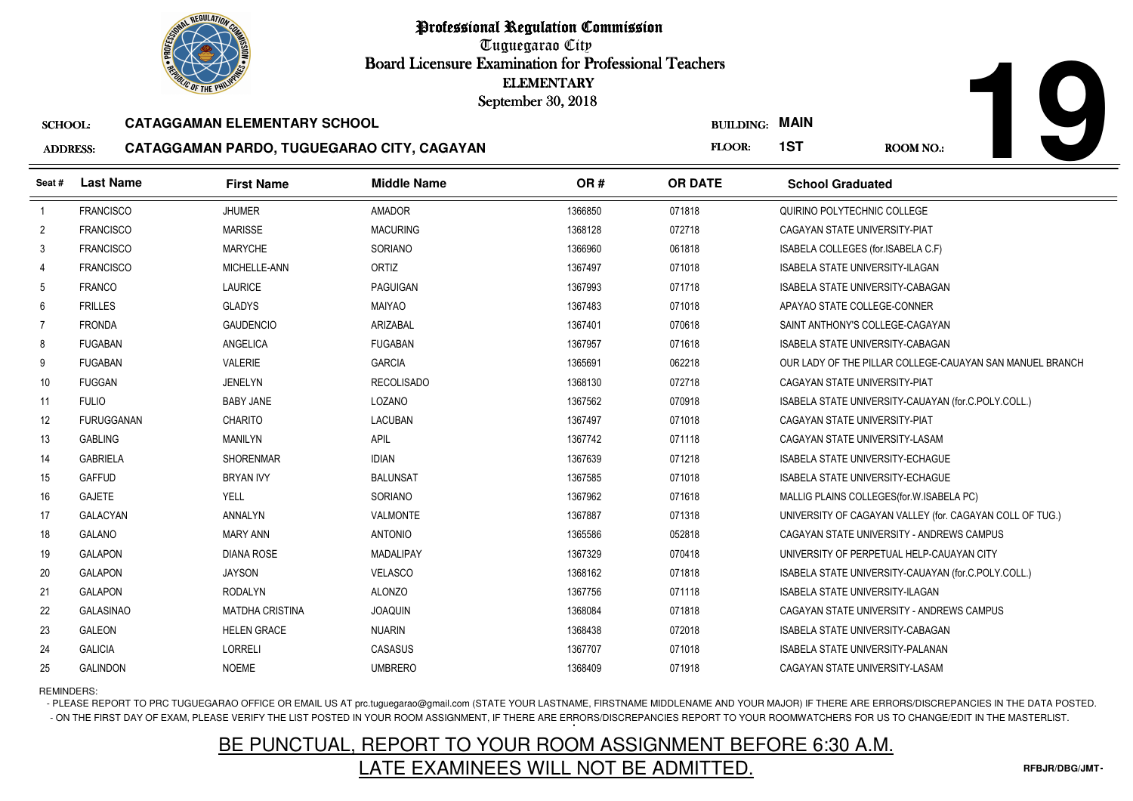Tuguegarao City Board Licensure Examination for Professional Teachers September 30, 2018

#### SCHOOL:**CATAGGAMAN ELEMENTARY SCHOOL**

#### ADDRESS:**CATAGGAMAN PARDO, TUGUEGARAO CITY, CAGAYAN**

| <b><i>OLIC OF THE PHILIP</i></b> |                   | <b>ELEMENTARY</b><br>September 30, 2018    |                    |         |                  |                                                          |
|----------------------------------|-------------------|--------------------------------------------|--------------------|---------|------------------|----------------------------------------------------------|
| <b>SCHOOL:</b>                   |                   | <b>CATAGGAMAN ELEMENTARY SCHOOL</b>        |                    |         | <b>BUILDING:</b> | <b>MAIN</b>                                              |
| <b>ADDRESS:</b>                  |                   | CATAGGAMAN PARDO, TUGUEGARAO CITY, CAGAYAN |                    |         | FLOOR:           | 1ST<br><b>ROOM NO.:</b>                                  |
| Seat #                           | <b>Last Name</b>  | <b>First Name</b>                          | <b>Middle Name</b> | OR#     | <b>OR DATE</b>   | <b>School Graduated</b>                                  |
| $\overline{1}$                   | <b>FRANCISCO</b>  | <b>JHUMER</b>                              | <b>AMADOR</b>      | 1366850 | 071818           | QUIRINO POLYTECHNIC COLLEGE                              |
| $\overline{2}$                   | <b>FRANCISCO</b>  | <b>MARISSE</b>                             | <b>MACURING</b>    | 1368128 | 072718           | CAGAYAN STATE UNIVERSITY-PIAT                            |
| 3                                | <b>FRANCISCO</b>  | <b>MARYCHE</b>                             | SORIANO            | 1366960 | 061818           | ISABELA COLLEGES (for.ISABELA C.F)                       |
| 4                                | <b>FRANCISCO</b>  | MICHELLE-ANN                               | <b>ORTIZ</b>       | 1367497 | 071018           | ISABELA STATE UNIVERSITY-ILAGAN                          |
| 5                                | <b>FRANCO</b>     | <b>LAURICE</b>                             | <b>PAGUIGAN</b>    | 1367993 | 071718           | ISABELA STATE UNIVERSITY-CABAGAN                         |
| 6                                | <b>FRILLES</b>    | <b>GLADYS</b>                              | <b>MAIYAO</b>      | 1367483 | 071018           | APAYAO STATE COLLEGE-CONNER                              |
| 7                                | <b>FRONDA</b>     | <b>GAUDENCIO</b>                           | ARIZABAL           | 1367401 | 070618           | SAINT ANTHONY'S COLLEGE-CAGAYAN                          |
| 8                                | <b>FUGABAN</b>    | ANGELICA                                   | <b>FUGABAN</b>     | 1367957 | 071618           | <b>ISABELA STATE UNIVERSITY-CABAGAN</b>                  |
| 9                                | <b>FUGABAN</b>    | <b>VALERIE</b>                             | <b>GARCIA</b>      | 1365691 | 062218           | OUR LADY OF THE PILLAR COLLEGE-CAUAYAN SAN MANUEL BRANCH |
| 10                               | <b>FUGGAN</b>     | <b>JENELYN</b>                             | <b>RECOLISADO</b>  | 1368130 | 072718           | CAGAYAN STATE UNIVERSITY-PIAT                            |
| 11                               | <b>FULIO</b>      | <b>BABY JANE</b>                           | LOZANO             | 1367562 | 070918           | ISABELA STATE UNIVERSITY-CAUAYAN (for.C.POLY.COLL.)      |
| 12                               | <b>FURUGGANAN</b> | <b>CHARITO</b>                             | LACUBAN            | 1367497 | 071018           | CAGAYAN STATE UNIVERSITY-PIAT                            |
| 13                               | <b>GABLING</b>    | <b>MANILYN</b>                             | <b>APIL</b>        | 1367742 | 071118           | CAGAYAN STATE UNIVERSITY-LASAM                           |
| 14                               | <b>GABRIELA</b>   | <b>SHORENMAR</b>                           | <b>IDIAN</b>       | 1367639 | 071218           | <b>ISABELA STATE UNIVERSITY-ECHAGUE</b>                  |
| 15                               | <b>GAFFUD</b>     | <b>BRYAN IVY</b>                           | <b>BALUNSAT</b>    | 1367585 | 071018           | <b>ISABELA STATE UNIVERSITY-ECHAGUE</b>                  |
| 16                               | <b>GAJETE</b>     | YELL                                       | SORIANO            | 1367962 | 071618           | MALLIG PLAINS COLLEGES (for W. ISABELA PC)               |
| 17                               | <b>GALACYAN</b>   | <b>ANNALYN</b>                             | VALMONTE           | 1367887 | 071318           | UNIVERSITY OF CAGAYAN VALLEY (for. CAGAYAN COLL OF TUG.) |
| 18                               | <b>GALANO</b>     | <b>MARY ANN</b>                            | <b>ANTONIO</b>     | 1365586 | 052818           | CAGAYAN STATE UNIVERSITY - ANDREWS CAMPUS                |
| 19                               | <b>GALAPON</b>    | DIANA ROSE                                 | MADALIPAY          | 1367329 | 070418           | UNIVERSITY OF PERPETUAL HELP-CAUAYAN CITY                |
| 20                               | <b>GALAPON</b>    | <b>JAYSON</b>                              | VELASCO            | 1368162 | 071818           | ISABELA STATE UNIVERSITY-CAUAYAN (for.C.POLY.COLL.)      |
| 21                               | <b>GALAPON</b>    | RODALYN                                    | <b>ALONZO</b>      | 1367756 | 071118           | <b>ISABELA STATE UNIVERSITY-ILAGAN</b>                   |
| 22                               | <b>GALASINAO</b>  | <b>MATDHA CRISTINA</b>                     | <b>JOAQUIN</b>     | 1368084 | 071818           | CAGAYAN STATE UNIVERSITY - ANDREWS CAMPUS                |
| 23                               | <b>GALEON</b>     | <b>HELEN GRACE</b>                         | <b>NUARIN</b>      | 1368438 | 072018           | ISABELA STATE UNIVERSITY-CABAGAN                         |
| 24                               | <b>GALICIA</b>    | <b>LORRELI</b>                             | CASASUS            | 1367707 | 071018           | <b>ISABELA STATE UNIVERSITY-PALANAN</b>                  |
| 25                               | <b>GALINDON</b>   | <b>NOEME</b>                               | <b>UMBRERO</b>     | 1368409 | 071918           | CAGAYAN STATE UNIVERSITY-LASAM                           |

REMINDERS:

- PLEASE REPORT TO PRC TUGUEGARAO OFFICE OR EMAIL US AT prc.tuguegarao@gmail.com (STATE YOUR LASTNAME, FIRSTNAME MIDDLENAME AND YOUR MAJOR) IF THERE ARE ERRORS/DISCREPANCIES IN THE DATA POSTED. - ON THE FIRST DAY OF EXAM, PLEASE VERIFY THE LIST POSTED IN YOUR ROOM ASSIGNMENT, IF THERE ARE ERRORS/DISCREPANCIES REPORT TO YOUR ROOMWATCHERS FOR US TO CHANGE/EDIT IN THE MASTERLIST.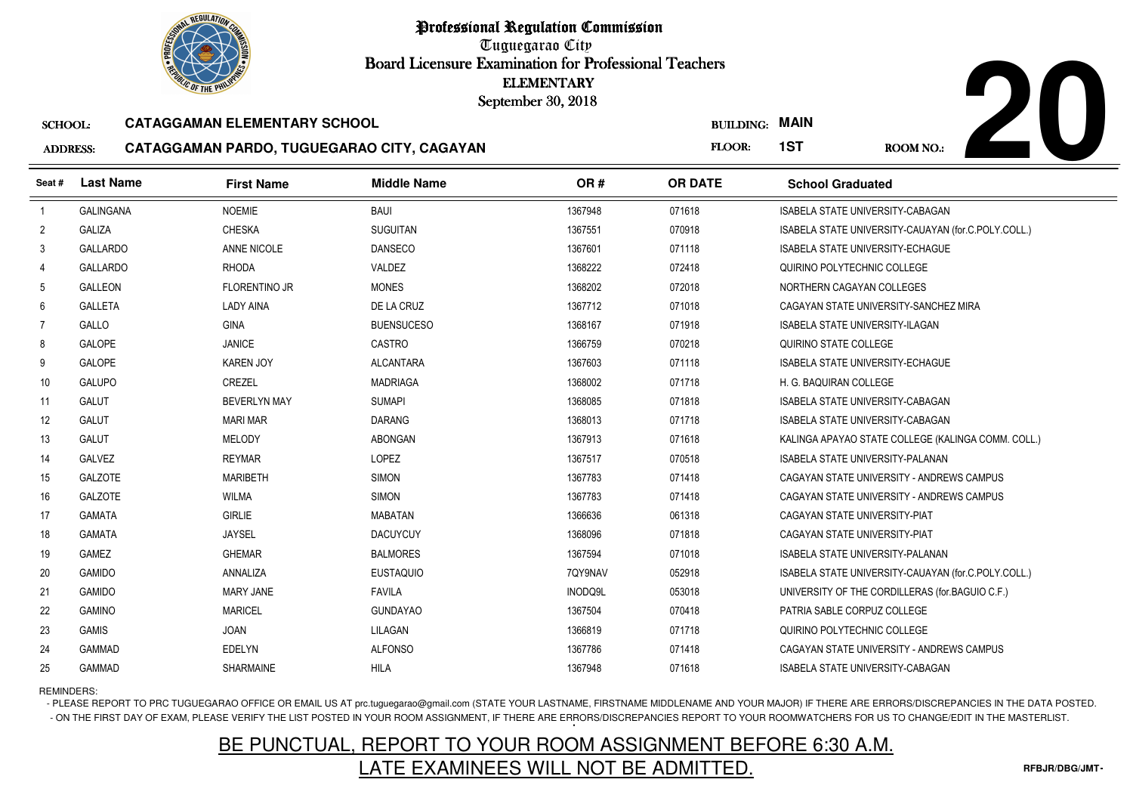Tuguegarao City Board Licensure Examination for Professional Teachers September 30, 2018

#### SCHOOL:**CATAGGAMAN ELEMENTARY SCHOOL**

### ADDRESS:



| <b>ADDRESS:</b> | CATAGGAMAN PARDO, TUGUEGARAO CITY, CAGAYAN |  |  |
|-----------------|--------------------------------------------|--|--|
|-----------------|--------------------------------------------|--|--|

| <b><i>OLIC OF THE PHILIP</i></b> |                  |                                            | <b>ELEMENTARY</b><br>September 30, 2018 |         |                  |                                                     |
|----------------------------------|------------------|--------------------------------------------|-----------------------------------------|---------|------------------|-----------------------------------------------------|
| <b>SCHOOL:</b>                   |                  | <b>CATAGGAMAN ELEMENTARY SCHOOL</b>        |                                         |         | <b>BUILDING:</b> | <b>MAIN</b>                                         |
| <b>ADDRESS:</b>                  |                  | CATAGGAMAN PARDO, TUGUEGARAO CITY, CAGAYAN |                                         |         | FLOOR:           | 1ST<br><b>ROOM NO.:</b>                             |
| Seat #                           | <b>Last Name</b> | <b>First Name</b>                          | <b>Middle Name</b>                      | OR#     | <b>OR DATE</b>   | <b>School Graduated</b>                             |
| $\overline{1}$                   | <b>GALINGANA</b> | <b>NOEMIE</b>                              | BAUI                                    | 1367948 | 071618           | <b>ISABELA STATE UNIVERSITY-CABAGAN</b>             |
| $\overline{2}$                   | <b>GALIZA</b>    | <b>CHESKA</b>                              | <b>SUGUITAN</b>                         | 1367551 | 070918           | ISABELA STATE UNIVERSITY-CAUAYAN (for.C.POLY.COLL.) |
| 3                                | <b>GALLARDO</b>  | ANNE NICOLE                                | <b>DANSECO</b>                          | 1367601 | 071118           | <b>ISABELA STATE UNIVERSITY-ECHAGUE</b>             |
| 4                                | <b>GALLARDO</b>  | <b>RHODA</b>                               | VALDEZ                                  | 1368222 | 072418           | QUIRINO POLYTECHNIC COLLEGE                         |
| 5                                | <b>GALLEON</b>   | <b>FLORENTINO JR</b>                       | <b>MONES</b>                            | 1368202 | 072018           | NORTHERN CAGAYAN COLLEGES                           |
| 6                                | <b>GALLETA</b>   | LADY AINA                                  | DE LA CRUZ                              | 1367712 | 071018           | CAGAYAN STATE UNIVERSITY-SANCHEZ MIRA               |
| $\overline{7}$                   | GALLO            | <b>GINA</b>                                | <b>BUENSUCESO</b>                       | 1368167 | 071918           | <b>ISABELA STATE UNIVERSITY-ILAGAN</b>              |
| 8                                | <b>GALOPE</b>    | <b>JANICE</b>                              | CASTRO                                  | 1366759 | 070218           | QUIRINO STATE COLLEGE                               |
| 9                                | <b>GALOPE</b>    | <b>KAREN JOY</b>                           | <b>ALCANTARA</b>                        | 1367603 | 071118           | <b>ISABELA STATE UNIVERSITY-ECHAGUE</b>             |
| 10                               | GALUPO           | CREZEL                                     | <b>MADRIAGA</b>                         | 1368002 | 071718           | H. G. BAQUIRAN COLLEGE                              |
| 11                               | GALUT            | <b>BEVERLYN MAY</b>                        | <b>SUMAPI</b>                           | 1368085 | 071818           | ISABELA STATE UNIVERSITY-CABAGAN                    |
| 12                               | GALUT            | <b>MARI MAR</b>                            | DARANG                                  | 1368013 | 071718           | ISABELA STATE UNIVERSITY-CABAGAN                    |
| 13                               | GALUT            | MELODY                                     | <b>ABONGAN</b>                          | 1367913 | 071618           | KALINGA APAYAO STATE COLLEGE (KALINGA COMM. COLL.)  |
| 14                               | <b>GALVEZ</b>    | <b>REYMAR</b>                              | LOPEZ                                   | 1367517 | 070518           | <b>ISABELA STATE UNIVERSITY-PALANAN</b>             |
| 15                               | <b>GALZOTE</b>   | <b>MARIBETH</b>                            | <b>SIMON</b>                            | 1367783 | 071418           | CAGAYAN STATE UNIVERSITY - ANDREWS CAMPUS           |
| 16                               | <b>GALZOTE</b>   | WILMA                                      | <b>SIMON</b>                            | 1367783 | 071418           | CAGAYAN STATE UNIVERSITY - ANDREWS CAMPUS           |
| 17                               | <b>GAMATA</b>    | <b>GIRLIE</b>                              | <b>MABATAN</b>                          | 1366636 | 061318           | CAGAYAN STATE UNIVERSITY-PIAT                       |
| 18                               | <b>GAMATA</b>    | <b>JAYSEL</b>                              | <b>DACUYCUY</b>                         | 1368096 | 071818           | CAGAYAN STATE UNIVERSITY-PIAT                       |
| 19                               | <b>GAMEZ</b>     | <b>GHEMAR</b>                              | <b>BALMORES</b>                         | 1367594 | 071018           | <b>ISABELA STATE UNIVERSITY-PALANAN</b>             |
| 20                               | <b>GAMIDO</b>    | ANNALIZA                                   | <b>EUSTAQUIO</b>                        | 7QY9NAV | 052918           | ISABELA STATE UNIVERSITY-CAUAYAN (for.C.POLY.COLL.) |
| 21                               | <b>GAMIDO</b>    | <b>MARY JANE</b>                           | <b>FAVILA</b>                           | INODQ9L | 053018           | UNIVERSITY OF THE CORDILLERAS (for BAGUIO C.F.)     |
| 22                               | <b>GAMINO</b>    | <b>MARICEL</b>                             | <b>GUNDAYAO</b>                         | 1367504 | 070418           | PATRIA SABLE CORPUZ COLLEGE                         |
| 23                               | GAMIS            | <b>JOAN</b>                                | LILAGAN                                 | 1366819 | 071718           | QUIRINO POLYTECHNIC COLLEGE                         |
| 24                               | <b>GAMMAD</b>    | EDELYN                                     | <b>ALFONSO</b>                          | 1367786 | 071418           | CAGAYAN STATE UNIVERSITY - ANDREWS CAMPUS           |
| 25                               | <b>GAMMAD</b>    | <b>SHARMAINE</b>                           | <b>HILA</b>                             | 1367948 | 071618           | <b>ISABELA STATE UNIVERSITY-CABAGAN</b>             |

REMINDERS:

- PLEASE REPORT TO PRC TUGUEGARAO OFFICE OR EMAIL US AT prc.tuguegarao@gmail.com (STATE YOUR LASTNAME, FIRSTNAME MIDDLENAME AND YOUR MAJOR) IF THERE ARE ERRORS/DISCREPANCIES IN THE DATA POSTED. - ON THE FIRST DAY OF EXAM, PLEASE VERIFY THE LIST POSTED IN YOUR ROOM ASSIGNMENT, IF THERE ARE ERRORS/DISCREPANCIES REPORT TO YOUR ROOMWATCHERS FOR US TO CHANGE/EDIT IN THE MASTERLIST.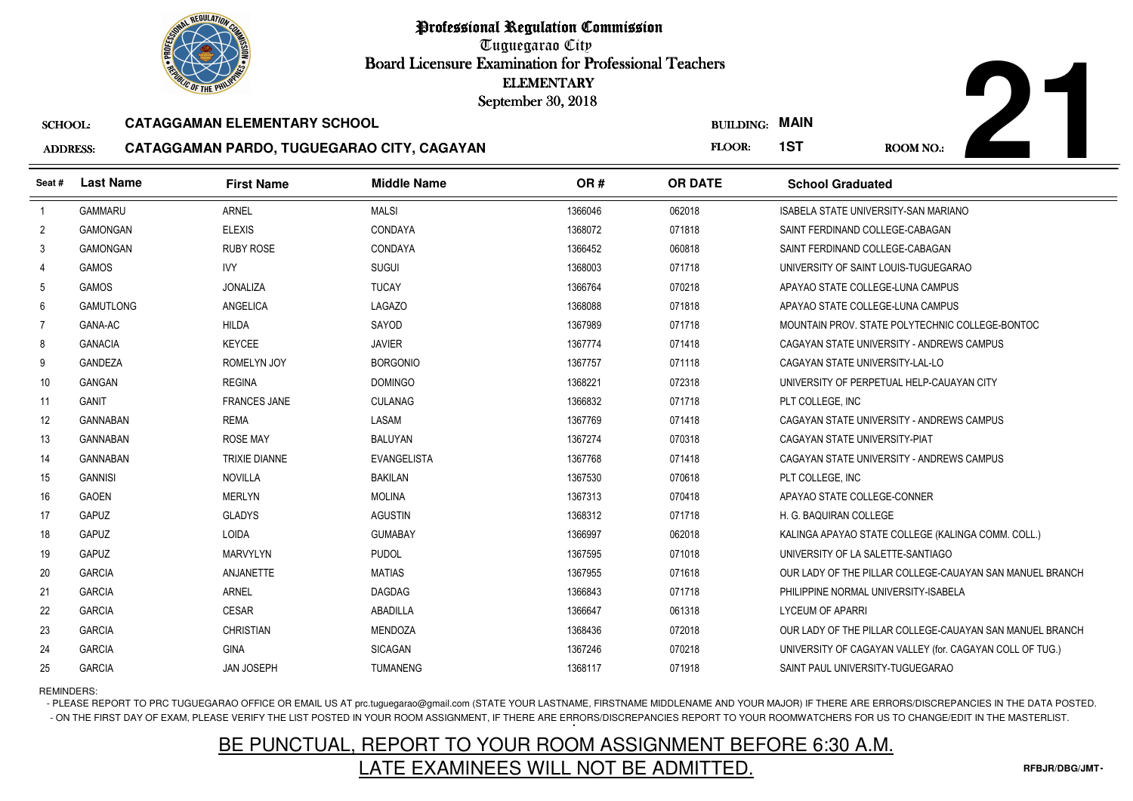

Tuguegarao City Board Licensure Examination for Professional Teachers September 30, 2018

#### SCHOOL:**CATAGGAMAN ELEMENTARY SCHOOL**

#### ADDRESS:**CATAGGAMAN PARDO, TUGUEGARAO CITY, CAGAYAN**



| <b><i>OLIC OF THE PHILIP</i></b> |                  |                                            | <b>ELEMENTARY</b><br>September 30, 2018 |         |                       |                                      |                                                          |
|----------------------------------|------------------|--------------------------------------------|-----------------------------------------|---------|-----------------------|--------------------------------------|----------------------------------------------------------|
| <b>SCHOOL:</b>                   |                  | <b>CATAGGAMAN ELEMENTARY SCHOOL</b>        |                                         |         | <b>BUILDING: MAIN</b> |                                      |                                                          |
| <b>ADDRESS:</b>                  |                  | CATAGGAMAN PARDO, TUGUEGARAO CITY, CAGAYAN |                                         |         | FLOOR:                | 1ST                                  | <b>ROOM NO.:</b>                                         |
| Seat#                            | <b>Last Name</b> | <b>First Name</b>                          | <b>Middle Name</b>                      | OR#     | <b>OR DATE</b>        | <b>School Graduated</b>              |                                                          |
| $\overline{1}$                   | <b>GAMMARU</b>   | <b>ARNEL</b>                               | <b>MALSI</b>                            | 1366046 | 062018                | ISABELA STATE UNIVERSITY-SAN MARIANO |                                                          |
| $\overline{2}$                   | <b>GAMONGAN</b>  | <b>ELEXIS</b>                              | <b>CONDAYA</b>                          | 1368072 | 071818                | SAINT FERDINAND COLLEGE-CABAGAN      |                                                          |
| 3                                | <b>GAMONGAN</b>  | <b>RUBY ROSE</b>                           | CONDAYA                                 | 1366452 | 060818                | SAINT FERDINAND COLLEGE-CABAGAN      |                                                          |
| 4                                | <b>GAMOS</b>     | <b>IVY</b>                                 | <b>SUGUI</b>                            | 1368003 | 071718                | UNIVERSITY OF SAINT LOUIS-TUGUEGARAO |                                                          |
| 5                                | GAMOS            | <b>JONALIZA</b>                            | <b>TUCAY</b>                            | 1366764 | 070218                | APAYAO STATE COLLEGE-LUNA CAMPUS     |                                                          |
| 6                                | <b>GAMUTLONG</b> | ANGELICA                                   | LAGAZO                                  | 1368088 | 071818                | APAYAO STATE COLLEGE-LUNA CAMPUS     |                                                          |
| 7                                | GANA-AC          | <b>HILDA</b>                               | SAYOD                                   | 1367989 | 071718                |                                      | MOUNTAIN PROV. STATE POLYTECHNIC COLLEGE-BONTOC          |
| 8                                | <b>GANACIA</b>   | <b>KEYCEE</b>                              | <b>JAVIER</b>                           | 1367774 | 071418                |                                      | CAGAYAN STATE UNIVERSITY - ANDREWS CAMPUS                |
| 9                                | <b>GANDEZA</b>   | ROMELYN JOY                                | <b>BORGONIO</b>                         | 1367757 | 071118                | CAGAYAN STATE UNIVERSITY-LAL-LO      |                                                          |
| 10                               | GANGAN           | <b>REGINA</b>                              | <b>DOMINGO</b>                          | 1368221 | 072318                |                                      | UNIVERSITY OF PERPETUAL HELP-CAUAYAN CITY                |
| 11                               | <b>GANIT</b>     | <b>FRANCES JANE</b>                        | <b>CULANAG</b>                          | 1366832 | 071718                | PLT COLLEGE, INC                     |                                                          |
| 12                               | <b>GANNABAN</b>  | <b>REMA</b>                                | LASAM                                   | 1367769 | 071418                |                                      | CAGAYAN STATE UNIVERSITY - ANDREWS CAMPUS                |
| 13                               | <b>GANNABAN</b>  | <b>ROSE MAY</b>                            | <b>BALUYAN</b>                          | 1367274 | 070318                | CAGAYAN STATE UNIVERSITY-PIAT        |                                                          |
| 14                               | <b>GANNABAN</b>  | <b>TRIXIE DIANNE</b>                       | <b>EVANGELISTA</b>                      | 1367768 | 071418                |                                      | CAGAYAN STATE UNIVERSITY - ANDREWS CAMPUS                |
| 15                               | <b>GANNISI</b>   | <b>NOVILLA</b>                             | <b>BAKILAN</b>                          | 1367530 | 070618                | PLT COLLEGE, INC                     |                                                          |
| 16                               | <b>GAOEN</b>     | <b>MERLYN</b>                              | <b>MOLINA</b>                           | 1367313 | 070418                | APAYAO STATE COLLEGE-CONNER          |                                                          |
| 17                               | <b>GAPUZ</b>     | <b>GLADYS</b>                              | <b>AGUSTIN</b>                          | 1368312 | 071718                | H. G. BAQUIRAN COLLEGE               |                                                          |
| 18                               | <b>GAPUZ</b>     | <b>LOIDA</b>                               | <b>GUMABAY</b>                          | 1366997 | 062018                |                                      | KALINGA APAYAO STATE COLLEGE (KALINGA COMM. COLL.)       |
| 19                               | GAPUZ            | <b>MARVYLYN</b>                            | <b>PUDOL</b>                            | 1367595 | 071018                | UNIVERSITY OF LA SALETTE-SANTIAGO    |                                                          |
| 20                               | <b>GARCIA</b>    | ANJANETTE                                  | <b>MATIAS</b>                           | 1367955 | 071618                |                                      | OUR LADY OF THE PILLAR COLLEGE-CAUAYAN SAN MANUEL BRANCH |
| 21                               | <b>GARCIA</b>    | <b>ARNEL</b>                               | <b>DAGDAG</b>                           | 1366843 | 071718                | PHILIPPINE NORMAL UNIVERSITY-ISABELA |                                                          |
| 22                               | <b>GARCIA</b>    | <b>CESAR</b>                               | ABADILLA                                | 1366647 | 061318                | <b>LYCEUM OF APARRI</b>              |                                                          |
| 23                               | <b>GARCIA</b>    | <b>CHRISTIAN</b>                           | <b>MENDOZA</b>                          | 1368436 | 072018                |                                      | OUR LADY OF THE PILLAR COLLEGE-CAUAYAN SAN MANUEL BRANCH |
| 24                               | <b>GARCIA</b>    | <b>GINA</b>                                | <b>SICAGAN</b>                          | 1367246 | 070218                |                                      | UNIVERSITY OF CAGAYAN VALLEY (for. CAGAYAN COLL OF TUG.) |
| 25                               | <b>GARCIA</b>    | <b>JAN JOSEPH</b>                          | <b>TUMANENG</b>                         | 1368117 | 071918                | SAINT PAUL UNIVERSITY-TUGUEGARAO     |                                                          |

REMINDERS:

- PLEASE REPORT TO PRC TUGUEGARAO OFFICE OR EMAIL US AT prc.tuguegarao@gmail.com (STATE YOUR LASTNAME, FIRSTNAME MIDDLENAME AND YOUR MAJOR) IF THERE ARE ERRORS/DISCREPANCIES IN THE DATA POSTED. - ON THE FIRST DAY OF EXAM, PLEASE VERIFY THE LIST POSTED IN YOUR ROOM ASSIGNMENT, IF THERE ARE ERRORS/DISCREPANCIES REPORT TO YOUR ROOMWATCHERS FOR US TO CHANGE/EDIT IN THE MASTERLIST.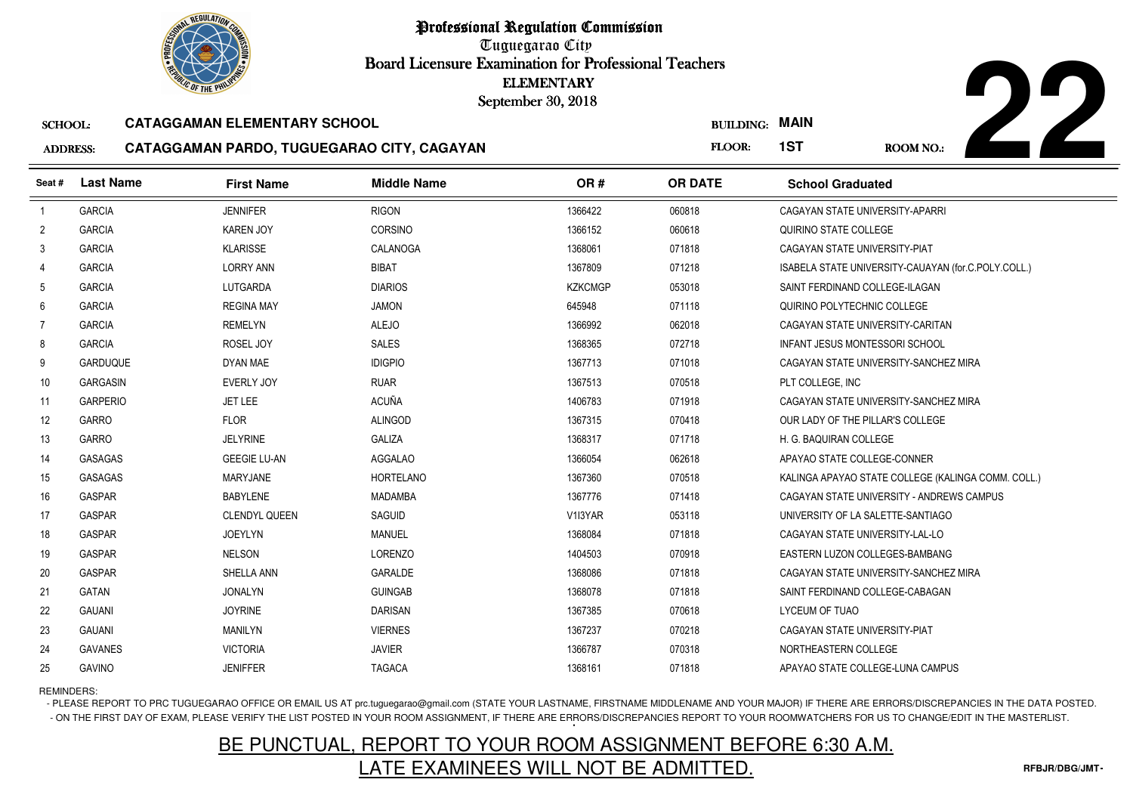Tuguegarao City Board Licensure Examination for Professional Teachers September 30, 2018

#### SCHOOL:**CATAGGAMAN ELEMENTARY SCHOOL**

5 GAVINO JENIFFER TAGACA

#### ADDRESS:**CATAGGAMAN PARDO, TUGUEGARAO CITY, CAGAYAN**



| <b><i>OLIC OF THE PHILIP</i></b> |                                                                                                                        |                     |                    | <b>ELEMENTARY</b><br>September 30, 2018 |                |                              |                                                     |
|----------------------------------|------------------------------------------------------------------------------------------------------------------------|---------------------|--------------------|-----------------------------------------|----------------|------------------------------|-----------------------------------------------------|
|                                  | <b>CATAGGAMAN ELEMENTARY SCHOOL</b><br><b>SCHOOL:</b><br>CATAGGAMAN PARDO, TUGUEGARAO CITY, CAGAYAN<br><b>ADDRESS:</b> |                     |                    |                                         |                | <b>BUILDING: MAIN</b><br>1ST | <b>ROOM NO.:</b>                                    |
| Seat #                           | <b>Last Name</b>                                                                                                       | <b>First Name</b>   | <b>Middle Name</b> | OR#                                     | <b>OR DATE</b> | <b>School Graduated</b>      |                                                     |
| $\overline{1}$                   | <b>GARCIA</b>                                                                                                          | <b>JENNIFER</b>     | <b>RIGON</b>       | 1366422                                 | 060818         |                              | CAGAYAN STATE UNIVERSITY-APARRI                     |
| $\overline{c}$                   | <b>GARCIA</b>                                                                                                          | <b>KAREN JOY</b>    | <b>CORSINO</b>     | 1366152                                 | 060618         | QUIRINO STATE COLLEGE        |                                                     |
| 3                                | <b>GARCIA</b>                                                                                                          | <b>KLARISSE</b>     | CALANOGA           | 1368061                                 | 071818         |                              | CAGAYAN STATE UNIVERSITY-PIAT                       |
| 4                                | <b>GARCIA</b>                                                                                                          | <b>LORRY ANN</b>    | <b>BIBAT</b>       | 1367809                                 | 071218         |                              | ISABELA STATE UNIVERSITY-CAUAYAN (for.C.POLY.COLL.) |
| 5                                | <b>GARCIA</b>                                                                                                          | <b>LUTGARDA</b>     | <b>DIARIOS</b>     | <b>KZKCMGP</b>                          | 053018         |                              | SAINT FERDINAND COLLEGE-ILAGAN                      |
| 6                                | <b>GARCIA</b>                                                                                                          | <b>REGINA MAY</b>   | <b>JAMON</b>       | 645948                                  | 071118         |                              | QUIRINO POLYTECHNIC COLLEGE                         |
| $\overline{7}$                   | <b>GARCIA</b>                                                                                                          | <b>REMELYN</b>      | <b>ALEJO</b>       | 1366992                                 | 062018         |                              | CAGAYAN STATE UNIVERSITY-CARITAN                    |
| 8                                | <b>GARCIA</b>                                                                                                          | ROSEL JOY           | <b>SALES</b>       | 1368365                                 | 072718         |                              | INFANT JESUS MONTESSORI SCHOOL                      |
| 9                                | <b>GARDUQUE</b>                                                                                                        | DYAN MAE            | <b>IDIGPIO</b>     | 1367713                                 | 071018         |                              | CAGAYAN STATE UNIVERSITY-SANCHEZ MIRA               |
| 10                               | <b>GARGASIN</b>                                                                                                        | <b>EVERLY JOY</b>   | <b>RUAR</b>        | 1367513                                 | 070518         | PLT COLLEGE, INC             |                                                     |
| 11                               | <b>GARPERIO</b>                                                                                                        | <b>JET LEE</b>      | <b>ACUÑA</b>       | 1406783                                 | 071918         |                              | CAGAYAN STATE UNIVERSITY-SANCHEZ MIRA               |
| 12                               | <b>GARRO</b>                                                                                                           | <b>FLOR</b>         | <b>ALINGOD</b>     | 1367315                                 | 070418         |                              | OUR LADY OF THE PILLAR'S COLLEGE                    |
| 13                               | <b>GARRO</b>                                                                                                           | <b>JELYRINE</b>     | <b>GALIZA</b>      | 1368317                                 | 071718         | H. G. BAQUIRAN COLLEGE       |                                                     |
| 14                               | GASAGAS                                                                                                                | <b>GEEGIE LU-AN</b> | <b>AGGALAO</b>     | 1366054                                 | 062618         |                              | APAYAO STATE COLLEGE-CONNER                         |
| 15                               | <b>GASAGAS</b>                                                                                                         | <b>MARYJANE</b>     | <b>HORTELANO</b>   | 1367360                                 | 070518         |                              | KALINGA APAYAO STATE COLLEGE (KALINGA COMM. COLL.)  |
| 16                               | <b>GASPAR</b>                                                                                                          | <b>BABYLENE</b>     | <b>MADAMBA</b>     | 1367776                                 | 071418         |                              | CAGAYAN STATE UNIVERSITY - ANDREWS CAMPUS           |
| 17                               | <b>GASPAR</b>                                                                                                          | CLENDYL QUEEN       | <b>SAGUID</b>      | V1I3YAR                                 | 053118         |                              | UNIVERSITY OF LA SALETTE-SANTIAGO                   |
| 18                               | <b>GASPAR</b>                                                                                                          | <b>JOEYLYN</b>      | <b>MANUEL</b>      | 1368084                                 | 071818         |                              | CAGAYAN STATE UNIVERSITY-LAL-LO                     |
| 19                               | <b>GASPAR</b>                                                                                                          | <b>NELSON</b>       | <b>LORENZO</b>     | 1404503                                 | 070918         |                              | EASTERN LUZON COLLEGES-BAMBANG                      |
| 20                               | <b>GASPAR</b>                                                                                                          | SHELLA ANN          | <b>GARALDE</b>     | 1368086                                 | 071818         |                              | CAGAYAN STATE UNIVERSITY-SANCHEZ MIRA               |
| 21                               | <b>GATAN</b>                                                                                                           | <b>JONALYN</b>      | <b>GUINGAB</b>     | 1368078                                 | 071818         |                              | SAINT FERDINAND COLLEGE-CABAGAN                     |
| 22                               | <b>GAUANI</b>                                                                                                          | <b>JOYRINE</b>      | <b>DARISAN</b>     | 1367385                                 | 070618         | LYCEUM OF TUAO               |                                                     |
| 23                               | <b>GAUANI</b>                                                                                                          | <b>MANILYN</b>      | <b>VIERNES</b>     | 1367237                                 | 070218         |                              | CAGAYAN STATE UNIVERSITY-PIAT                       |
| 24                               | <b>GAVANES</b>                                                                                                         | <b>VICTORIA</b>     | <b>JAVIER</b>      | 1366787                                 | 070318         | NORTHEASTERN COLLEGE         |                                                     |

### REMINDERS:

25

- PLEASE REPORT TO PRC TUGUEGARAO OFFICE OR EMAIL US AT prc.tuguegarao@gmail.com (STATE YOUR LASTNAME, FIRSTNAME MIDDLENAME AND YOUR MAJOR) IF THERE ARE ERRORS/DISCREPANCIES IN THE DATA POSTED. - ON THE FIRST DAY OF EXAM, PLEASE VERIFY THE LIST POSTED IN YOUR ROOM ASSIGNMENT, IF THERE ARE ERRORS/DISCREPANCIES REPORT TO YOUR ROOMWATCHERS FOR US TO CHANGE/EDIT IN THE MASTERLIST.

<sup>1368161</sup> <sup>071818</sup> APAYAO STATE COLLEGE-LUNA CAMPUS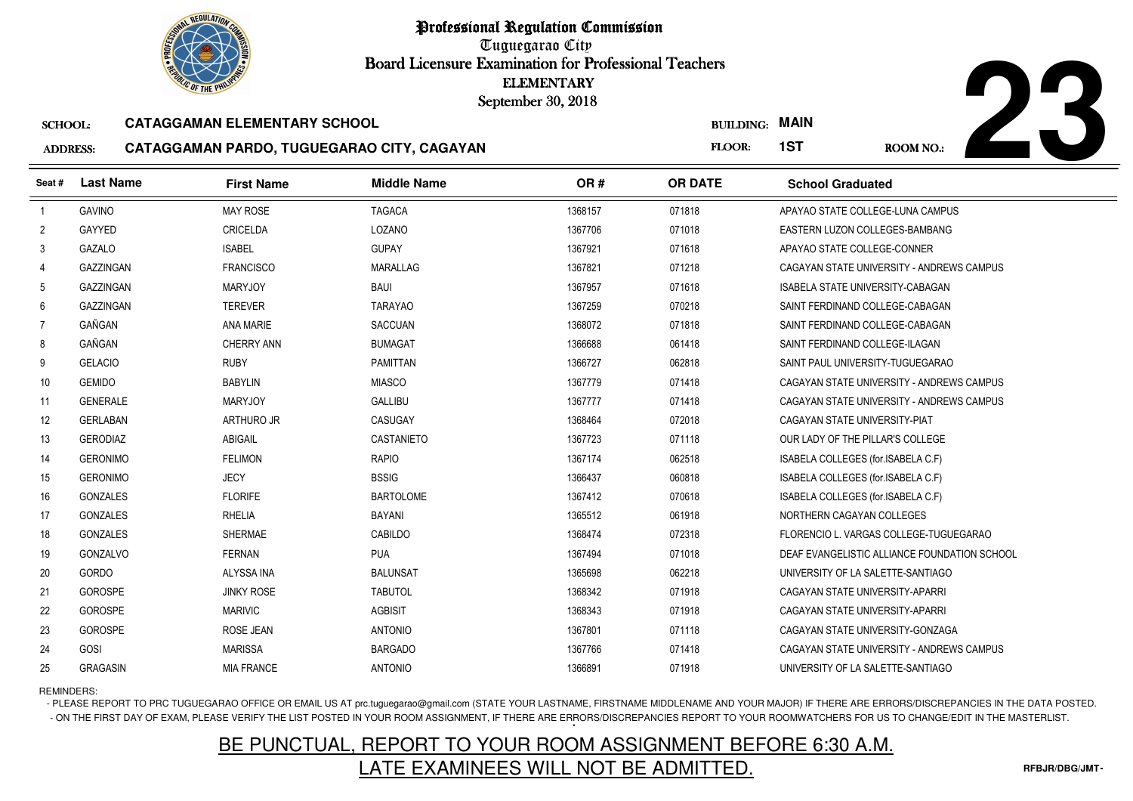Tuguegarao City Board Licensure Examination for Professional Teachers September 30, 2018

#### SCHOOL:**CATAGGAMAN ELEMENTARY SCHOOL**

#### ADDRESS:**CATAGGAMAN PARDO, TUGUEGARAO CITY, CAGAYAN**



| <b><i>OLIC OF THE PHILIP</i></b>                      |                  |                                            | <b>ELEMENTARY</b><br>September 30, 2018 |                       |                |                                              |           |  |
|-------------------------------------------------------|------------------|--------------------------------------------|-----------------------------------------|-----------------------|----------------|----------------------------------------------|-----------|--|
| <b>CATAGGAMAN ELEMENTARY SCHOOL</b><br><b>SCHOOL:</b> |                  |                                            |                                         | <b>BUILDING: MAIN</b> |                |                                              |           |  |
| <b>ADDRESS:</b>                                       |                  | CATAGGAMAN PARDO, TUGUEGARAO CITY, CAGAYAN |                                         |                       | FLOOR:         | 1ST                                          | ROOM NO.: |  |
| Seat#                                                 | <b>Last Name</b> | <b>First Name</b>                          | <b>Middle Name</b>                      | OR#                   | <b>OR DATE</b> | <b>School Graduated</b>                      |           |  |
| $\overline{1}$                                        | <b>GAVINO</b>    | <b>MAY ROSE</b>                            | <b>TAGACA</b>                           | 1368157               | 071818         | APAYAO STATE COLLEGE-LUNA CAMPUS             |           |  |
| $\overline{2}$                                        | GAYYED           | CRICELDA                                   | LOZANO                                  | 1367706               | 071018         | EASTERN LUZON COLLEGES-BAMBANG               |           |  |
| 3                                                     | <b>GAZALO</b>    | <b>ISABEL</b>                              | <b>GUPAY</b>                            | 1367921               | 071618         | APAYAO STATE COLLEGE-CONNER                  |           |  |
| 4                                                     | GAZZINGAN        | <b>FRANCISCO</b>                           | <b>MARALLAG</b>                         | 1367821               | 071218         | CAGAYAN STATE UNIVERSITY - ANDREWS CAMPUS    |           |  |
| 5                                                     | <b>GAZZINGAN</b> | <b>MARYJOY</b>                             | <b>BAUI</b>                             | 1367957               | 071618         | ISABELA STATE UNIVERSITY-CABAGAN             |           |  |
| 6                                                     | <b>GAZZINGAN</b> | <b>TEREVER</b>                             | <b>TARAYAO</b>                          | 1367259               | 070218         | SAINT FERDINAND COLLEGE-CABAGAN              |           |  |
| $\overline{7}$                                        | GAÑGAN           | ANA MARIE                                  | <b>SACCUAN</b>                          | 1368072               | 071818         | SAINT FERDINAND COLLEGE-CABAGAN              |           |  |
| 8                                                     | GAÑGAN           | <b>CHERRY ANN</b>                          | <b>BUMAGAT</b>                          | 1366688               | 061418         | SAINT FERDINAND COLLEGE-ILAGAN               |           |  |
| 9                                                     | <b>GELACIO</b>   | <b>RUBY</b>                                | <b>PAMITTAN</b>                         | 1366727               | 062818         | SAINT PAUL UNIVERSITY-TUGUEGARAO             |           |  |
| 10                                                    | <b>GEMIDO</b>    | <b>BABYLIN</b>                             | <b>MIASCO</b>                           | 1367779               | 071418         | CAGAYAN STATE UNIVERSITY - ANDREWS CAMPUS    |           |  |
| 11                                                    | <b>GENERALE</b>  | <b>MARYJOY</b>                             | <b>GALLIBU</b>                          | 1367777               | 071418         | CAGAYAN STATE UNIVERSITY - ANDREWS CAMPUS    |           |  |
| 12                                                    | <b>GERLABAN</b>  | <b>ARTHURO JR</b>                          | <b>CASUGAY</b>                          | 1368464               | 072018         | CAGAYAN STATE UNIVERSITY-PIAT                |           |  |
| 13                                                    | <b>GERODIAZ</b>  | ABIGAIL                                    | CASTANIETO                              | 1367723               | 071118         | OUR LADY OF THE PILLAR'S COLLEGE             |           |  |
| 14                                                    | <b>GERONIMO</b>  | <b>FELIMON</b>                             | <b>RAPIO</b>                            | 1367174               | 062518         | ISABELA COLLEGES (for.ISABELA C.F)           |           |  |
| 15                                                    | <b>GERONIMO</b>  | <b>JECY</b>                                | <b>BSSIG</b>                            | 1366437               | 060818         | ISABELA COLLEGES (for.ISABELA C.F)           |           |  |
| 16                                                    | <b>GONZALES</b>  | <b>FLORIFE</b>                             | <b>BARTOLOME</b>                        | 1367412               | 070618         | ISABELA COLLEGES (for ISABELA C.F)           |           |  |
| 17                                                    | <b>GONZALES</b>  | <b>RHELIA</b>                              | <b>BAYANI</b>                           | 1365512               | 061918         | NORTHERN CAGAYAN COLLEGES                    |           |  |
| 18                                                    | <b>GONZALES</b>  | <b>SHERMAE</b>                             | CABILDO                                 | 1368474               | 072318         | FLORENCIO L. VARGAS COLLEGE-TUGUEGARAO       |           |  |
| 19                                                    | <b>GONZALVO</b>  | <b>FERNAN</b>                              | <b>PUA</b>                              | 1367494               | 071018         | DEAF EVANGELISTIC ALLIANCE FOUNDATION SCHOOL |           |  |
| 20                                                    | <b>GORDO</b>     | ALYSSA INA                                 | <b>BALUNSAT</b>                         | 1365698               | 062218         | UNIVERSITY OF LA SALETTE-SANTIAGO            |           |  |
| 21                                                    | GOROSPE          | <b>JINKY ROSE</b>                          | <b>TABUTOL</b>                          | 1368342               | 071918         | CAGAYAN STATE UNIVERSITY-APARRI              |           |  |
| 22                                                    | GOROSPE          | <b>MARIVIC</b>                             | <b>AGBISIT</b>                          | 1368343               | 071918         | CAGAYAN STATE UNIVERSITY-APARRI              |           |  |
| 23                                                    | <b>GOROSPE</b>   | ROSE JEAN                                  | <b>ANTONIO</b>                          | 1367801               | 071118         | CAGAYAN STATE UNIVERSITY-GONZAGA             |           |  |
| 24                                                    | GOSI             | <b>MARISSA</b>                             | <b>BARGADO</b>                          | 1367766               | 071418         | CAGAYAN STATE UNIVERSITY - ANDREWS CAMPUS    |           |  |
| 25                                                    | <b>GRAGASIN</b>  | <b>MIA FRANCE</b>                          | <b>ANTONIO</b>                          | 1366891               | 071918         | UNIVERSITY OF LA SALETTE-SANTIAGO            |           |  |

REMINDERS:

- PLEASE REPORT TO PRC TUGUEGARAO OFFICE OR EMAIL US AT prc.tuguegarao@gmail.com (STATE YOUR LASTNAME, FIRSTNAME MIDDLENAME AND YOUR MAJOR) IF THERE ARE ERRORS/DISCREPANCIES IN THE DATA POSTED. - ON THE FIRST DAY OF EXAM, PLEASE VERIFY THE LIST POSTED IN YOUR ROOM ASSIGNMENT, IF THERE ARE ERRORS/DISCREPANCIES REPORT TO YOUR ROOMWATCHERS FOR US TO CHANGE/EDIT IN THE MASTERLIST.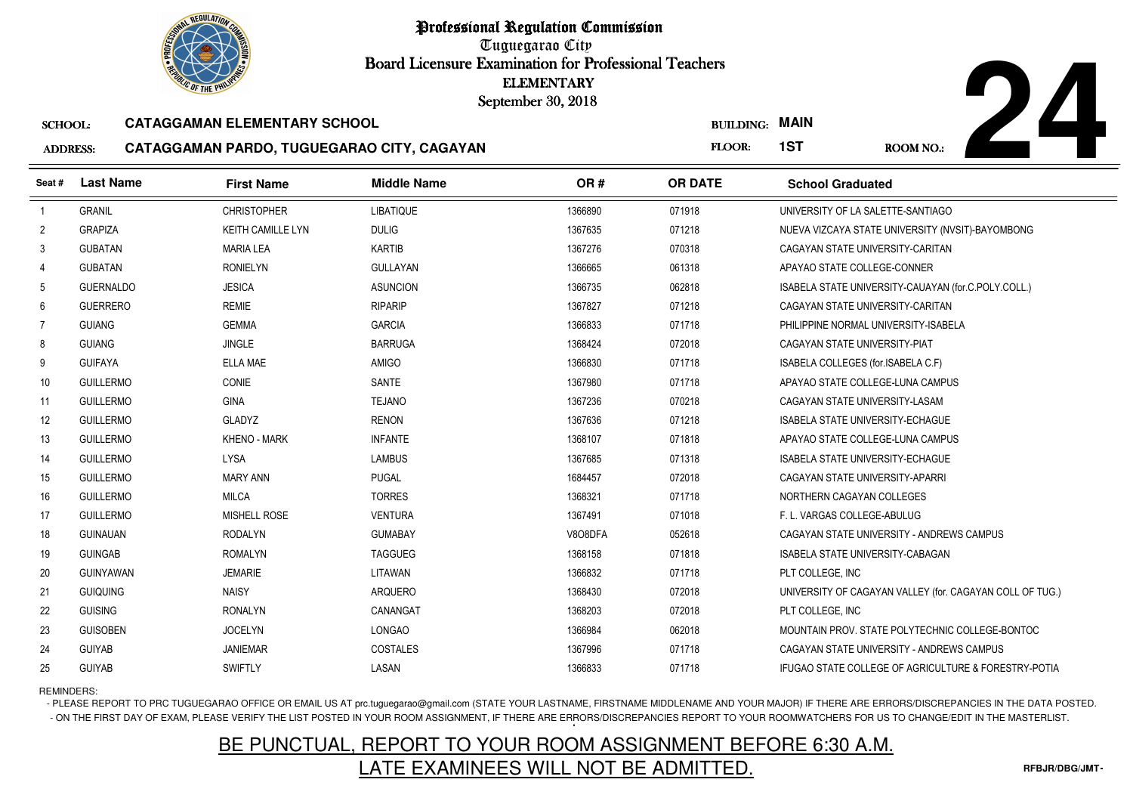Tuguegarao City Board Licensure Examination for Professional Teachers September 30, 2018

#### SCHOOL:**CATAGGAMAN ELEMENTARY SCHOOL**

### AD<sub>1</sub>



|                   | <b><i>OLIC OF THE PHILIP</i></b> |                                            | <b>ELEMENTARY</b><br>September 30, 2018 |         |                  |                                         |                                                          |
|-------------------|----------------------------------|--------------------------------------------|-----------------------------------------|---------|------------------|-----------------------------------------|----------------------------------------------------------|
| <b>SCHOOL:</b>    |                                  | <b>CATAGGAMAN ELEMENTARY SCHOOL</b>        |                                         |         | <b>BUILDING:</b> | <b>MAIN</b>                             |                                                          |
| <b>ADDRESS:</b>   |                                  | CATAGGAMAN PARDO, TUGUEGARAO CITY, CAGAYAN |                                         |         |                  | 1ST                                     | <b>ROOM NO.:</b>                                         |
| Seat #            | <b>Last Name</b>                 | <b>First Name</b>                          | <b>Middle Name</b>                      | OR#     | <b>OR DATE</b>   | <b>School Graduated</b>                 |                                                          |
| $\overline{1}$    | <b>GRANIL</b>                    | <b>CHRISTOPHER</b>                         | <b>LIBATIQUE</b>                        | 1366890 | 071918           | UNIVERSITY OF LA SALETTE-SANTIAGO       |                                                          |
| $\overline{2}$    | <b>GRAPIZA</b>                   | <b>KEITH CAMILLE LYN</b>                   | <b>DULIG</b>                            | 1367635 | 071218           |                                         | NUEVA VIZCAYA STATE UNIVERSITY (NVSIT)-BAYOMBONG         |
| 3                 | <b>GUBATAN</b>                   | <b>MARIA LEA</b>                           | <b>KARTIB</b>                           | 1367276 | 070318           | CAGAYAN STATE UNIVERSITY-CARITAN        |                                                          |
| 4                 | <b>GUBATAN</b>                   | <b>RONIELYN</b>                            | <b>GULLAYAN</b>                         | 1366665 | 061318           | APAYAO STATE COLLEGE-CONNER             |                                                          |
| 5                 | <b>GUERNALDO</b>                 | <b>JESICA</b>                              | <b>ASUNCION</b>                         | 1366735 | 062818           |                                         | ISABELA STATE UNIVERSITY-CAUAYAN (for.C.POLY.COLL.)      |
| 6                 | <b>GUERRERO</b>                  | <b>REMIE</b>                               | <b>RIPARIP</b>                          | 1367827 | 071218           | CAGAYAN STATE UNIVERSITY-CARITAN        |                                                          |
| $\overline{7}$    | <b>GUIANG</b>                    | <b>GEMMA</b>                               | <b>GARCIA</b>                           | 1366833 | 071718           | PHILIPPINE NORMAL UNIVERSITY-ISABELA    |                                                          |
| 8                 | <b>GUIANG</b>                    | <b>JINGLE</b>                              | <b>BARRUGA</b>                          | 1368424 | 072018           | CAGAYAN STATE UNIVERSITY-PIAT           |                                                          |
| 9                 | <b>GUIFAYA</b>                   | <b>ELLA MAE</b>                            | <b>AMIGO</b>                            | 1366830 | 071718           | ISABELA COLLEGES (for.ISABELA C.F)      |                                                          |
| 10 <sup>°</sup>   | <b>GUILLERMO</b>                 | <b>CONIE</b>                               | SANTE                                   | 1367980 | 071718           | APAYAO STATE COLLEGE-LUNA CAMPUS        |                                                          |
| 11                | <b>GUILLERMO</b>                 | <b>GINA</b>                                | <b>TEJANO</b>                           | 1367236 | 070218           | CAGAYAN STATE UNIVERSITY-LASAM          |                                                          |
| $12 \overline{ }$ | <b>GUILLERMO</b>                 | <b>GLADYZ</b>                              | <b>RENON</b>                            | 1367636 | 071218           | <b>ISABELA STATE UNIVERSITY-ECHAGUE</b> |                                                          |
| 13                | <b>GUILLERMO</b>                 | <b>KHENO - MARK</b>                        | <b>INFANTE</b>                          | 1368107 | 071818           | APAYAO STATE COLLEGE-LUNA CAMPUS        |                                                          |
| 14                | <b>GUILLERMO</b>                 | <b>LYSA</b>                                | <b>LAMBUS</b>                           | 1367685 | 071318           | <b>ISABELA STATE UNIVERSITY-ECHAGUE</b> |                                                          |
| 15                | <b>GUILLERMO</b>                 | <b>MARY ANN</b>                            | <b>PUGAL</b>                            | 1684457 | 072018           | CAGAYAN STATE UNIVERSITY-APARRI         |                                                          |
| 16                | <b>GUILLERMO</b>                 | <b>MILCA</b>                               | <b>TORRES</b>                           | 1368321 | 071718           | NORTHERN CAGAYAN COLLEGES               |                                                          |
| 17                | <b>GUILLERMO</b>                 | <b>MISHELL ROSE</b>                        | <b>VENTURA</b>                          | 1367491 | 071018           | F. L. VARGAS COLLEGE-ABULUG             |                                                          |
| 18                | <b>GUINAUAN</b>                  | <b>RODALYN</b>                             | <b>GUMABAY</b>                          | V8O8DFA | 052618           |                                         | CAGAYAN STATE UNIVERSITY - ANDREWS CAMPUS                |
| 19                | <b>GUINGAB</b>                   | <b>ROMALYN</b>                             | <b>TAGGUEG</b>                          | 1368158 | 071818           | <b>ISABELA STATE UNIVERSITY-CABAGAN</b> |                                                          |
| 20                | <b>GUINYAWAN</b>                 | <b>JEMARIE</b>                             | LITAWAN                                 | 1366832 | 071718           | PLT COLLEGE, INC                        |                                                          |
| 21                | <b>GUIQUING</b>                  | <b>NAISY</b>                               | <b>ARQUERO</b>                          | 1368430 | 072018           |                                         | UNIVERSITY OF CAGAYAN VALLEY (for. CAGAYAN COLL OF TUG.) |
| 22                | <b>GUISING</b>                   | <b>RONALYN</b>                             | CANANGAT                                | 1368203 | 072018           | PLT COLLEGE, INC                        |                                                          |
| 23                | <b>GUISOBEN</b>                  | <b>JOCELYN</b>                             | LONGAO                                  | 1366984 | 062018           |                                         | MOUNTAIN PROV. STATE POLYTECHNIC COLLEGE-BONTOC          |
| 24                | <b>GUIYAB</b>                    | <b>JANIEMAR</b>                            | COSTALES                                | 1367996 | 071718           |                                         | CAGAYAN STATE UNIVERSITY - ANDREWS CAMPUS                |
| 25                | <b>GUIYAB</b>                    | <b>SWIFTLY</b>                             | LASAN                                   | 1366833 | 071718           |                                         | IFUGAO STATE COLLEGE OF AGRICULTURE & FORESTRY-POTIA     |

REMINDERS:

- PLEASE REPORT TO PRC TUGUEGARAO OFFICE OR EMAIL US AT prc.tuguegarao@gmail.com (STATE YOUR LASTNAME, FIRSTNAME MIDDLENAME AND YOUR MAJOR) IF THERE ARE ERRORS/DISCREPANCIES IN THE DATA POSTED. - ON THE FIRST DAY OF EXAM, PLEASE VERIFY THE LIST POSTED IN YOUR ROOM ASSIGNMENT, IF THERE ARE ERRORS/DISCREPANCIES REPORT TO YOUR ROOMWATCHERS FOR US TO CHANGE/EDIT IN THE MASTERLIST.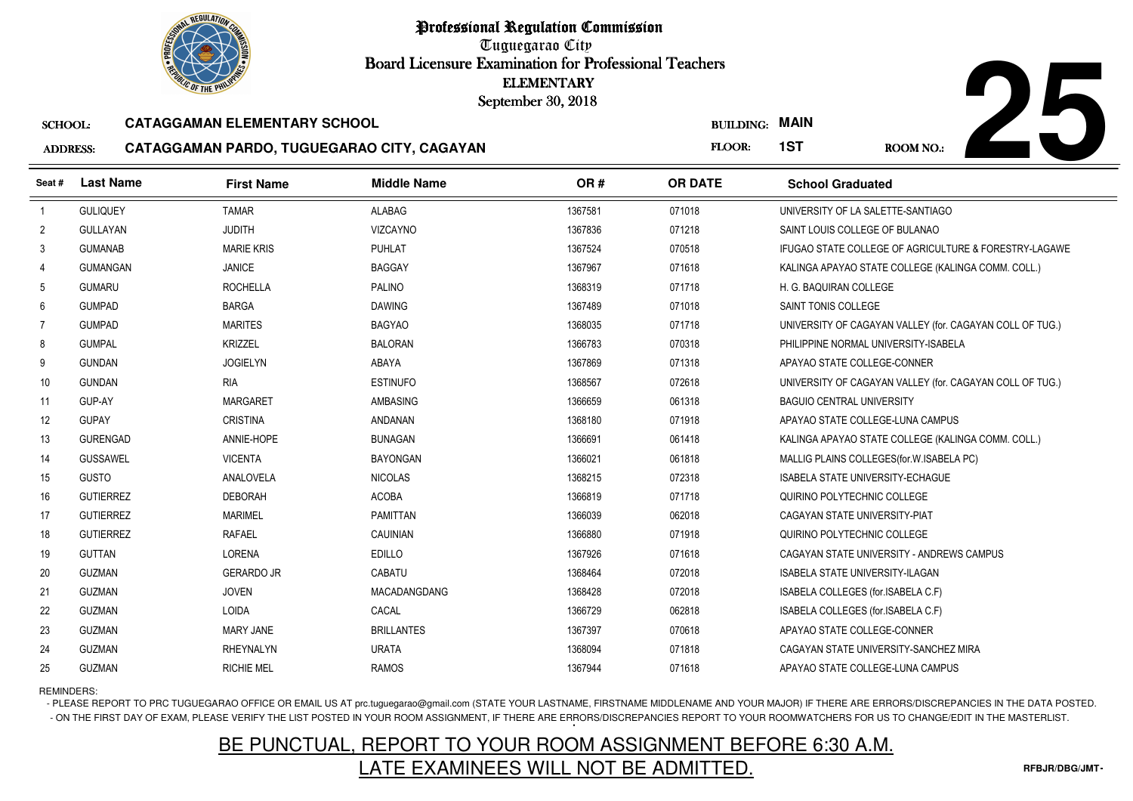

Tuguegarao City Board Licensure Examination for Professional Teachers September 30, 2018

#### SCHOOL:**CATAGGAMAN ELEMENTARY SCHOOL**

#### ADDRESS:**CATAGGAMAN PARDO, TUGUEGARAO CITY, CAGAYAN**



|                 | <b><i>OLIC OF THE PHILIP</i></b> |                                            | <b>ELEMENTARY</b><br>September 30, 2018 |         |                  |                                                          |
|-----------------|----------------------------------|--------------------------------------------|-----------------------------------------|---------|------------------|----------------------------------------------------------|
| <b>SCHOOL:</b>  |                                  | <b>CATAGGAMAN ELEMENTARY SCHOOL</b>        |                                         |         | <b>BUILDING:</b> | <b>MAIN</b>                                              |
| <b>ADDRESS:</b> |                                  | CATAGGAMAN PARDO, TUGUEGARAO CITY, CAGAYAN |                                         |         | FLOOR:           | 1ST<br>ROOM NO.:                                         |
| Seat#           | <b>Last Name</b>                 | <b>First Name</b>                          | <b>Middle Name</b>                      | OR#     | <b>OR DATE</b>   | <b>School Graduated</b>                                  |
| $\overline{1}$  | <b>GULIQUEY</b>                  | <b>TAMAR</b>                               | <b>ALABAG</b>                           | 1367581 | 071018           | UNIVERSITY OF LA SALETTE-SANTIAGO                        |
| $\overline{2}$  | <b>GULLAYAN</b>                  | <b>JUDITH</b>                              | <b>VIZCAYNO</b>                         | 1367836 | 071218           | SAINT LOUIS COLLEGE OF BULANAO                           |
| 3               | <b>GUMANAB</b>                   | <b>MARIE KRIS</b>                          | <b>PUHLAT</b>                           | 1367524 | 070518           | IFUGAO STATE COLLEGE OF AGRICULTURE & FORESTRY-LAGAWE    |
| 4               | <b>GUMANGAN</b>                  | <b>JANICE</b>                              | <b>BAGGAY</b>                           | 1367967 | 071618           | KALINGA APAYAO STATE COLLEGE (KALINGA COMM. COLL.)       |
| 5               | <b>GUMARU</b>                    | <b>ROCHELLA</b>                            | <b>PALINO</b>                           | 1368319 | 071718           | H. G. BAQUIRAN COLLEGE                                   |
| 6               | <b>GUMPAD</b>                    | <b>BARGA</b>                               | <b>DAWING</b>                           | 1367489 | 071018           | SAINT TONIS COLLEGE                                      |
| $\overline{7}$  | <b>GUMPAD</b>                    | <b>MARITES</b>                             | <b>BAGYAO</b>                           | 1368035 | 071718           | UNIVERSITY OF CAGAYAN VALLEY (for. CAGAYAN COLL OF TUG.) |
| 8               | <b>GUMPAL</b>                    | <b>KRIZZEL</b>                             | <b>BALORAN</b>                          | 1366783 | 070318           | PHILIPPINE NORMAL UNIVERSITY-ISABELA                     |
| 9               | <b>GUNDAN</b>                    | <b>JOGIELYN</b>                            | ABAYA                                   | 1367869 | 071318           | APAYAO STATE COLLEGE-CONNER                              |
| 10              | <b>GUNDAN</b>                    | <b>RIA</b>                                 | <b>ESTINUFO</b>                         | 1368567 | 072618           | UNIVERSITY OF CAGAYAN VALLEY (for. CAGAYAN COLL OF TUG.) |
| 11              | GUP-AY                           | <b>MARGARET</b>                            | AMBASING                                | 1366659 | 061318           | <b>BAGUIO CENTRAL UNIVERSITY</b>                         |
| 12              | <b>GUPAY</b>                     | <b>CRISTINA</b>                            | <b>ANDANAN</b>                          | 1368180 | 071918           | APAYAO STATE COLLEGE-LUNA CAMPUS                         |
| 13              | <b>GURENGAD</b>                  | ANNIE-HOPE                                 | <b>BUNAGAN</b>                          | 1366691 | 061418           | KALINGA APAYAO STATE COLLEGE (KALINGA COMM. COLL.)       |
| 14              | <b>GUSSAWEL</b>                  | <b>VICENTA</b>                             | <b>BAYONGAN</b>                         | 1366021 | 061818           | MALLIG PLAINS COLLEGES (for. W. ISABELA PC)              |
| 15              | <b>GUSTO</b>                     | ANALOVELA                                  | <b>NICOLAS</b>                          | 1368215 | 072318           | <b>ISABELA STATE UNIVERSITY-ECHAGUE</b>                  |
| 16              | <b>GUTIERREZ</b>                 | <b>DEBORAH</b>                             | <b>ACOBA</b>                            | 1366819 | 071718           | QUIRINO POLYTECHNIC COLLEGE                              |
| 17              | <b>GUTIERREZ</b>                 | <b>MARIMEL</b>                             | <b>PAMITTAN</b>                         | 1366039 | 062018           | CAGAYAN STATE UNIVERSITY-PIAT                            |
| 18              | <b>GUTIERREZ</b>                 | <b>RAFAEL</b>                              | <b>CAUINIAN</b>                         | 1366880 | 071918           | QUIRINO POLYTECHNIC COLLEGE                              |
| 19              | <b>GUTTAN</b>                    | <b>LORENA</b>                              | <b>EDILLO</b>                           | 1367926 | 071618           | CAGAYAN STATE UNIVERSITY - ANDREWS CAMPUS                |
| 20              | <b>GUZMAN</b>                    | <b>GERARDO JR</b>                          | CABATU                                  | 1368464 | 072018           | <b>ISABELA STATE UNIVERSITY-ILAGAN</b>                   |
| 21              | <b>GUZMAN</b>                    | <b>JOVEN</b>                               | MACADANGDANG                            | 1368428 | 072018           | ISABELA COLLEGES (for.ISABELA C.F)                       |
| 22              | <b>GUZMAN</b>                    | <b>LOIDA</b>                               | CACAL                                   | 1366729 | 062818           | ISABELA COLLEGES (for.ISABELA C.F)                       |
| 23              | <b>GUZMAN</b>                    | <b>MARY JANE</b>                           | <b>BRILLANTES</b>                       | 1367397 | 070618           | APAYAO STATE COLLEGE-CONNER                              |
| 24              | <b>GUZMAN</b>                    | <b>RHEYNALYN</b>                           | <b>URATA</b>                            | 1368094 | 071818           | CAGAYAN STATE UNIVERSITY-SANCHEZ MIRA                    |
| 25              | <b>GUZMAN</b>                    | <b>RICHIE MEL</b>                          | <b>RAMOS</b>                            | 1367944 | 071618           | APAYAO STATE COLLEGE-LUNA CAMPUS                         |

### REMINDERS:

- PLEASE REPORT TO PRC TUGUEGARAO OFFICE OR EMAIL US AT prc.tuguegarao@gmail.com (STATE YOUR LASTNAME, FIRSTNAME MIDDLENAME AND YOUR MAJOR) IF THERE ARE ERRORS/DISCREPANCIES IN THE DATA POSTED. - ON THE FIRST DAY OF EXAM, PLEASE VERIFY THE LIST POSTED IN YOUR ROOM ASSIGNMENT, IF THERE ARE ERRORS/DISCREPANCIES REPORT TO YOUR ROOMWATCHERS FOR US TO CHANGE/EDIT IN THE MASTERLIST.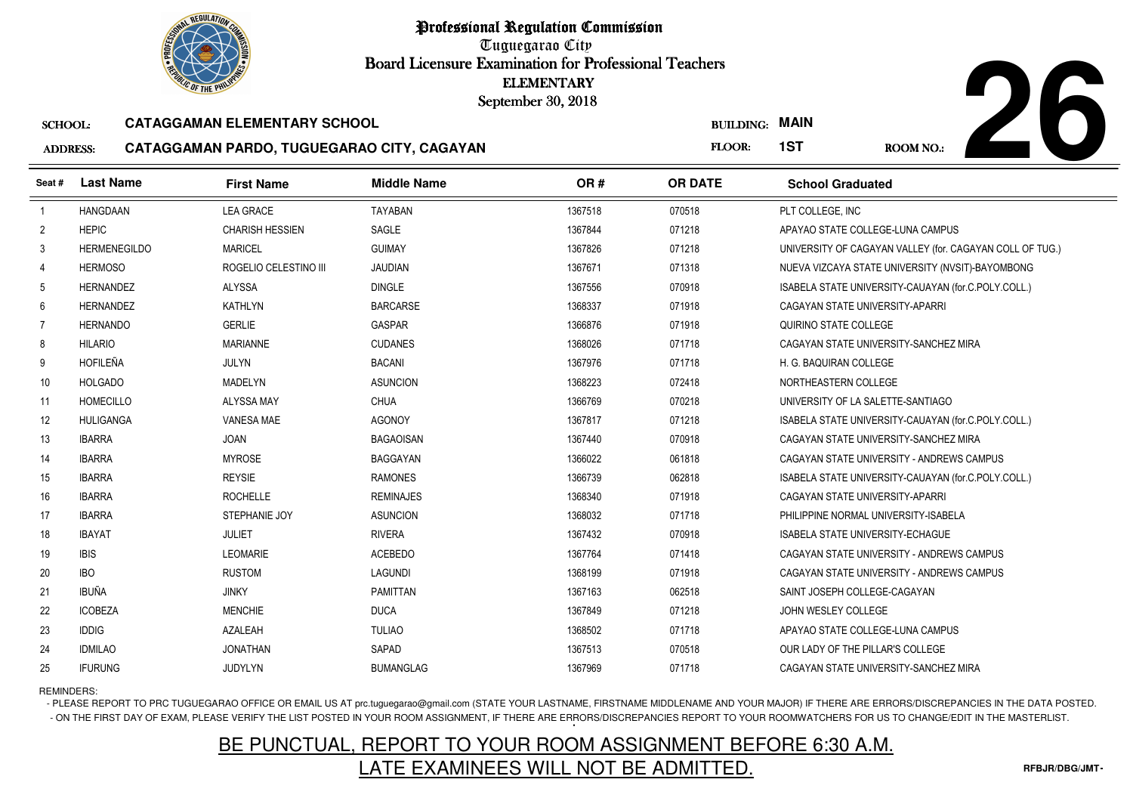Tuguegarao City Board Licensure Examination for Professional Teachers September 30, 2018

#### SCHOOL:**CATAGGAMAN ELEMENTARY SCHOOL**

#### ADDRESS:**CATAGGAMAN PARDO, TUGUEGARAO CITY, CAGAYAN**



| <b>OLIC OF THE PHILIP</b> |                     |                                            |                    | <b>ELEMENTARY</b><br>September 30, 2018 |                       |                                                          |
|---------------------------|---------------------|--------------------------------------------|--------------------|-----------------------------------------|-----------------------|----------------------------------------------------------|
| <b>SCHOOL:</b>            |                     | <b>CATAGGAMAN ELEMENTARY SCHOOL</b>        |                    |                                         | <b>BUILDING: MAIN</b> |                                                          |
| <b>ADDRESS:</b>           |                     | CATAGGAMAN PARDO, TUGUEGARAO CITY, CAGAYAN |                    |                                         | FLOOR:                | 1ST<br>ROOM NO.:                                         |
| Seat #                    | <b>Last Name</b>    | <b>First Name</b>                          | <b>Middle Name</b> | OR#                                     | <b>OR DATE</b>        | <b>School Graduated</b>                                  |
| $\overline{1}$            | <b>HANGDAAN</b>     | <b>LEA GRACE</b>                           | <b>TAYABAN</b>     | 1367518                                 | 070518                | PLT COLLEGE, INC                                         |
| $\overline{2}$            | <b>HEPIC</b>        | <b>CHARISH HESSIEN</b>                     | SAGLE              | 1367844                                 | 071218                | APAYAO STATE COLLEGE-LUNA CAMPUS                         |
| 3                         | <b>HERMENEGILDO</b> | <b>MARICEL</b>                             | <b>GUIMAY</b>      | 1367826                                 | 071218                | UNIVERSITY OF CAGAYAN VALLEY (for. CAGAYAN COLL OF TUG.) |
| $\overline{4}$            | <b>HERMOSO</b>      | ROGELIO CELESTINO III                      | <b>JAUDIAN</b>     | 1367671                                 | 071318                | NUEVA VIZCAYA STATE UNIVERSITY (NVSIT)-BAYOMBONG         |
| 5                         | <b>HERNANDEZ</b>    | ALYSSA                                     | <b>DINGLE</b>      | 1367556                                 | 070918                | ISABELA STATE UNIVERSITY-CAUAYAN (for.C.POLY.COLL.)      |
| 6                         | <b>HERNANDEZ</b>    | <b>KATHLYN</b>                             | <b>BARCARSE</b>    | 1368337                                 | 071918                | CAGAYAN STATE UNIVERSITY-APARRI                          |
| $\overline{7}$            | <b>HERNANDO</b>     | <b>GERLIE</b>                              | <b>GASPAR</b>      | 1366876                                 | 071918                | QUIRINO STATE COLLEGE                                    |
| 8                         | <b>HILARIO</b>      | <b>MARIANNE</b>                            | <b>CUDANES</b>     | 1368026                                 | 071718                | CAGAYAN STATE UNIVERSITY-SANCHEZ MIRA                    |
| 9                         | <b>HOFILEÑA</b>     | <b>JULYN</b>                               | <b>BACANI</b>      | 1367976                                 | 071718                | H. G. BAQUIRAN COLLEGE                                   |
| 10                        | <b>HOLGADO</b>      | <b>MADELYN</b>                             | <b>ASUNCION</b>    | 1368223                                 | 072418                | NORTHEASTERN COLLEGE                                     |
| 11                        | <b>HOMECILLO</b>    | <b>ALYSSA MAY</b>                          | <b>CHUA</b>        | 1366769                                 | 070218                | UNIVERSITY OF LA SALETTE-SANTIAGO                        |
| 12                        | <b>HULIGANGA</b>    | <b>VANESA MAE</b>                          | <b>AGONOY</b>      | 1367817                                 | 071218                | ISABELA STATE UNIVERSITY-CAUAYAN (for.C.POLY.COLL.)      |
| 13                        | <b>IBARRA</b>       | <b>JOAN</b>                                | <b>BAGAOISAN</b>   | 1367440                                 | 070918                | CAGAYAN STATE UNIVERSITY-SANCHEZ MIRA                    |
| 14                        | <b>IBARRA</b>       | <b>MYROSE</b>                              | <b>BAGGAYAN</b>    | 1366022                                 | 061818                | CAGAYAN STATE UNIVERSITY - ANDREWS CAMPUS                |
| 15                        | <b>IBARRA</b>       | <b>REYSIE</b>                              | <b>RAMONES</b>     | 1366739                                 | 062818                | ISABELA STATE UNIVERSITY-CAUAYAN (for.C.POLY.COLL.)      |
| 16                        | <b>IBARRA</b>       | <b>ROCHELLE</b>                            | <b>REMINAJES</b>   | 1368340                                 | 071918                | CAGAYAN STATE UNIVERSITY-APARRI                          |
| 17                        | <b>IBARRA</b>       | STEPHANIE JOY                              | <b>ASUNCION</b>    | 1368032                                 | 071718                | PHILIPPINE NORMAL UNIVERSITY-ISABELA                     |
| 18                        | <b>IBAYAT</b>       | <b>JULIET</b>                              | <b>RIVERA</b>      | 1367432                                 | 070918                | <b>ISABELA STATE UNIVERSITY-ECHAGUE</b>                  |
| 19                        | <b>IBIS</b>         | <b>LEOMARIE</b>                            | <b>ACEBEDO</b>     | 1367764                                 | 071418                | CAGAYAN STATE UNIVERSITY - ANDREWS CAMPUS                |
| 20                        | <b>IBO</b>          | <b>RUSTOM</b>                              | <b>LAGUNDI</b>     | 1368199                                 | 071918                | CAGAYAN STATE UNIVERSITY - ANDREWS CAMPUS                |
| 21                        | <b>IBUÑA</b>        | <b>JINKY</b>                               | <b>PAMITTAN</b>    | 1367163                                 | 062518                | SAINT JOSEPH COLLEGE-CAGAYAN                             |
| 22                        | <b>ICOBEZA</b>      | <b>MENCHIE</b>                             | <b>DUCA</b>        | 1367849                                 | 071218                | JOHN WESLEY COLLEGE                                      |
| 23                        | <b>IDDIG</b>        | AZALEAH                                    | <b>TULIAO</b>      | 1368502                                 | 071718                | APAYAO STATE COLLEGE-LUNA CAMPUS                         |
| 24                        | <b>IDMILAO</b>      | <b>JONATHAN</b>                            | SAPAD              | 1367513                                 | 070518                | OUR LADY OF THE PILLAR'S COLLEGE                         |
| 25                        | <b>IFURUNG</b>      | JUDYLYN                                    | <b>BUMANGLAG</b>   | 1367969                                 | 071718                | CAGAYAN STATE UNIVERSITY-SANCHEZ MIRA                    |

REMINDERS:

- PLEASE REPORT TO PRC TUGUEGARAO OFFICE OR EMAIL US AT prc.tuguegarao@gmail.com (STATE YOUR LASTNAME, FIRSTNAME MIDDLENAME AND YOUR MAJOR) IF THERE ARE ERRORS/DISCREPANCIES IN THE DATA POSTED. - ON THE FIRST DAY OF EXAM, PLEASE VERIFY THE LIST POSTED IN YOUR ROOM ASSIGNMENT, IF THERE ARE ERRORS/DISCREPANCIES REPORT TO YOUR ROOMWATCHERS FOR US TO CHANGE/EDIT IN THE MASTERLIST.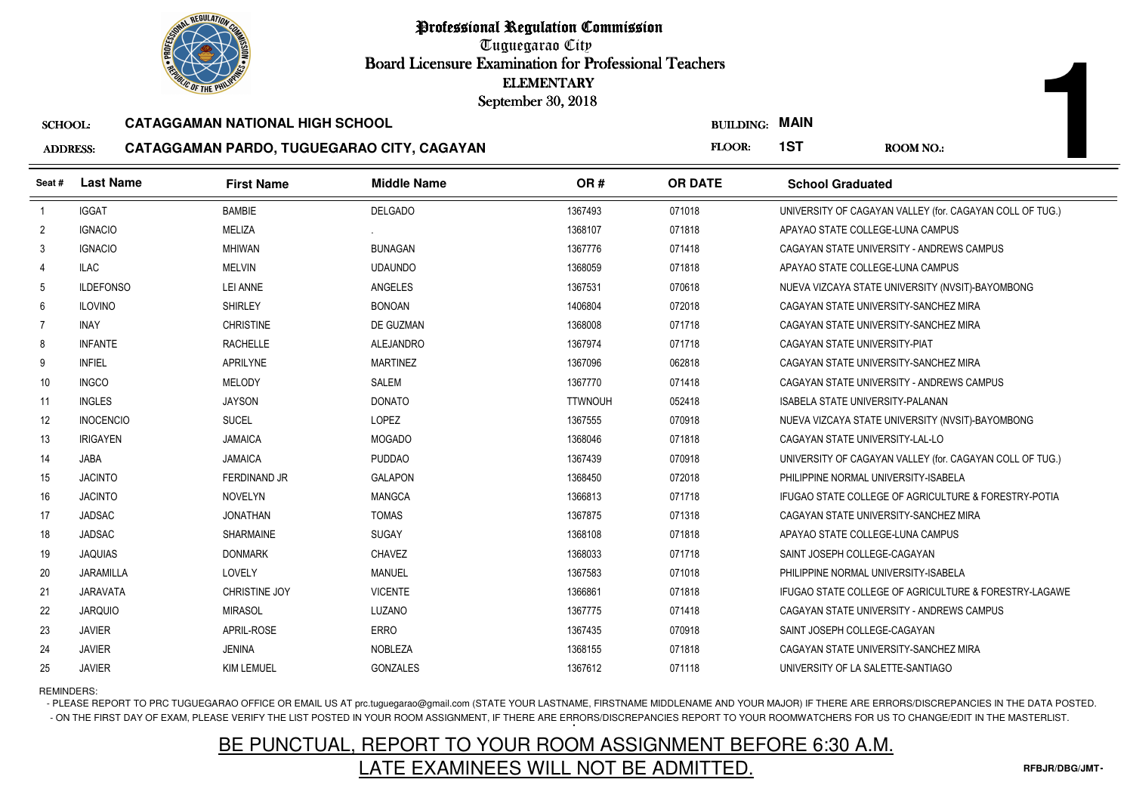

Tuguegarao City Board Licensure Examination for Professional Teachers September 30, 2018

#### SCHOOL:**CATAGGAMAN NATIONAL HIGH SCHOOL**

#### ADDRESS:**CATAGGAMAN PARDO, TUGUEGARAO CITY, CAGAYAN**

|                 | <b><i>OLIC OF THE PHILIPS</i></b> |                                            | <b>ELEMENTARY</b><br>September 30, 2018 |                |                       |                                      |                                                          |
|-----------------|-----------------------------------|--------------------------------------------|-----------------------------------------|----------------|-----------------------|--------------------------------------|----------------------------------------------------------|
| <b>SCHOOL:</b>  |                                   | <b>CATAGGAMAN NATIONAL HIGH SCHOOL</b>     |                                         |                | <b>BUILDING: MAIN</b> |                                      |                                                          |
| <b>ADDRESS:</b> |                                   | CATAGGAMAN PARDO, TUGUEGARAO CITY, CAGAYAN |                                         |                | FLOOR:                | 1ST                                  | <b>ROOM NO.:</b>                                         |
| Seat#           | <b>Last Name</b>                  | <b>First Name</b>                          | <b>Middle Name</b>                      | OR#            | <b>OR DATE</b>        | <b>School Graduated</b>              |                                                          |
| $\overline{1}$  | <b>IGGAT</b>                      | <b>BAMBIE</b>                              | <b>DELGADO</b>                          | 1367493        | 071018                |                                      | UNIVERSITY OF CAGAYAN VALLEY (for. CAGAYAN COLL OF TUG.) |
| $\overline{2}$  | <b>IGNACIO</b>                    | MELIZA                                     |                                         | 1368107        | 071818                | APAYAO STATE COLLEGE-LUNA CAMPUS     |                                                          |
| 3               | <b>IGNACIO</b>                    | <b>MHIWAN</b>                              | <b>BUNAGAN</b>                          | 1367776        | 071418                |                                      | CAGAYAN STATE UNIVERSITY - ANDREWS CAMPUS                |
| 4               | <b>ILAC</b>                       | <b>MELVIN</b>                              | <b>UDAUNDO</b>                          | 1368059        | 071818                | APAYAO STATE COLLEGE-LUNA CAMPUS     |                                                          |
| 5               | <b>ILDEFONSO</b>                  | <b>LEI ANNE</b>                            | ANGELES                                 | 1367531        | 070618                |                                      | NUEVA VIZCAYA STATE UNIVERSITY (NVSIT)-BAYOMBONG         |
| 6               | <b>ILOVINO</b>                    | <b>SHIRLEY</b>                             | <b>BONOAN</b>                           | 1406804        | 072018                |                                      | CAGAYAN STATE UNIVERSITY-SANCHEZ MIRA                    |
| 7               | <b>INAY</b>                       | <b>CHRISTINE</b>                           | DE GUZMAN                               | 1368008        | 071718                |                                      | CAGAYAN STATE UNIVERSITY-SANCHEZ MIRA                    |
| 8               | <b>INFANTE</b>                    | <b>RACHELLE</b>                            | <b>ALEJANDRO</b>                        | 1367974        | 071718                | CAGAYAN STATE UNIVERSITY-PIAT        |                                                          |
| 9               | <b>INFIEL</b>                     | <b>APRILYNE</b>                            | <b>MARTINEZ</b>                         | 1367096        | 062818                |                                      | CAGAYAN STATE UNIVERSITY-SANCHEZ MIRA                    |
| 10              | <b>INGCO</b>                      | <b>MELODY</b>                              | <b>SALEM</b>                            | 1367770        | 071418                |                                      | CAGAYAN STATE UNIVERSITY - ANDREWS CAMPUS                |
| 11              | <b>INGLES</b>                     | <b>JAYSON</b>                              | <b>DONATO</b>                           | <b>TTWNOUH</b> | 052418                | ISABELA STATE UNIVERSITY-PALANAN     |                                                          |
| 12              | <b>INOCENCIO</b>                  | <b>SUCEL</b>                               | LOPEZ                                   | 1367555        | 070918                |                                      | NUEVA VIZCAYA STATE UNIVERSITY (NVSIT)-BAYOMBONG         |
| 13              | <b>IRIGAYEN</b>                   | <b>JAMAICA</b>                             | <b>MOGADO</b>                           | 1368046        | 071818                | CAGAYAN STATE UNIVERSITY-LAL-LO      |                                                          |
| 14              | <b>JABA</b>                       | <b>JAMAICA</b>                             | <b>PUDDAO</b>                           | 1367439        | 070918                |                                      | UNIVERSITY OF CAGAYAN VALLEY (for. CAGAYAN COLL OF TUG.) |
| 15              | <b>JACINTO</b>                    | <b>FERDINAND JR</b>                        | <b>GALAPON</b>                          | 1368450        | 072018                | PHILIPPINE NORMAL UNIVERSITY-ISABELA |                                                          |
| 16              | <b>JACINTO</b>                    | <b>NOVELYN</b>                             | <b>MANGCA</b>                           | 1366813        | 071718                |                                      | IFUGAO STATE COLLEGE OF AGRICULTURE & FORESTRY-POTIA     |
| 17              | <b>JADSAC</b>                     | <b>JONATHAN</b>                            | <b>TOMAS</b>                            | 1367875        | 071318                |                                      | CAGAYAN STATE UNIVERSITY-SANCHEZ MIRA                    |
| 18              | <b>JADSAC</b>                     | <b>SHARMAINE</b>                           | SUGAY                                   | 1368108        | 071818                | APAYAO STATE COLLEGE-LUNA CAMPUS     |                                                          |
| 19              | <b>JAQUIAS</b>                    | <b>DONMARK</b>                             | CHAVEZ                                  | 1368033        | 071718                | SAINT JOSEPH COLLEGE-CAGAYAN         |                                                          |
| 20              | JARAMILLA                         | LOVELY                                     | <b>MANUEL</b>                           | 1367583        | 071018                | PHILIPPINE NORMAL UNIVERSITY-ISABELA |                                                          |
| 21              | <b>JARAVATA</b>                   | CHRISTINE JOY                              | <b>VICENTE</b>                          | 1366861        | 071818                |                                      | IFUGAO STATE COLLEGE OF AGRICULTURE & FORESTRY-LAGAWE    |
| 22              | <b>JARQUIO</b>                    | <b>MIRASOL</b>                             | LUZANO                                  | 1367775        | 071418                |                                      | CAGAYAN STATE UNIVERSITY - ANDREWS CAMPUS                |
| 23              | <b>JAVIER</b>                     | APRIL-ROSE                                 | <b>ERRO</b>                             | 1367435        | 070918                | SAINT JOSEPH COLLEGE-CAGAYAN         |                                                          |
| 24              | <b>JAVIER</b>                     | <b>JENINA</b>                              | <b>NOBLEZA</b>                          | 1368155        | 071818                |                                      | CAGAYAN STATE UNIVERSITY-SANCHEZ MIRA                    |
| 25              | <b>JAVIER</b>                     | <b>KIM LEMUEL</b>                          | <b>GONZALES</b>                         | 1367612        | 071118                | UNIVERSITY OF LA SALETTE-SANTIAGO    |                                                          |

REMINDERS:

- PLEASE REPORT TO PRC TUGUEGARAO OFFICE OR EMAIL US AT prc.tuguegarao@gmail.com (STATE YOUR LASTNAME, FIRSTNAME MIDDLENAME AND YOUR MAJOR) IF THERE ARE ERRORS/DISCREPANCIES IN THE DATA POSTED. - ON THE FIRST DAY OF EXAM, PLEASE VERIFY THE LIST POSTED IN YOUR ROOM ASSIGNMENT, IF THERE ARE ERRORS/DISCREPANCIES REPORT TO YOUR ROOMWATCHERS FOR US TO CHANGE/EDIT IN THE MASTERLIST.

# BE PUNCTUAL, REPORT TO YOUR ROOM ASSIGNMENT BEFORE 6:30 A.M.LATE EXAMINEES WILL NOT BE ADMITTED.

**1**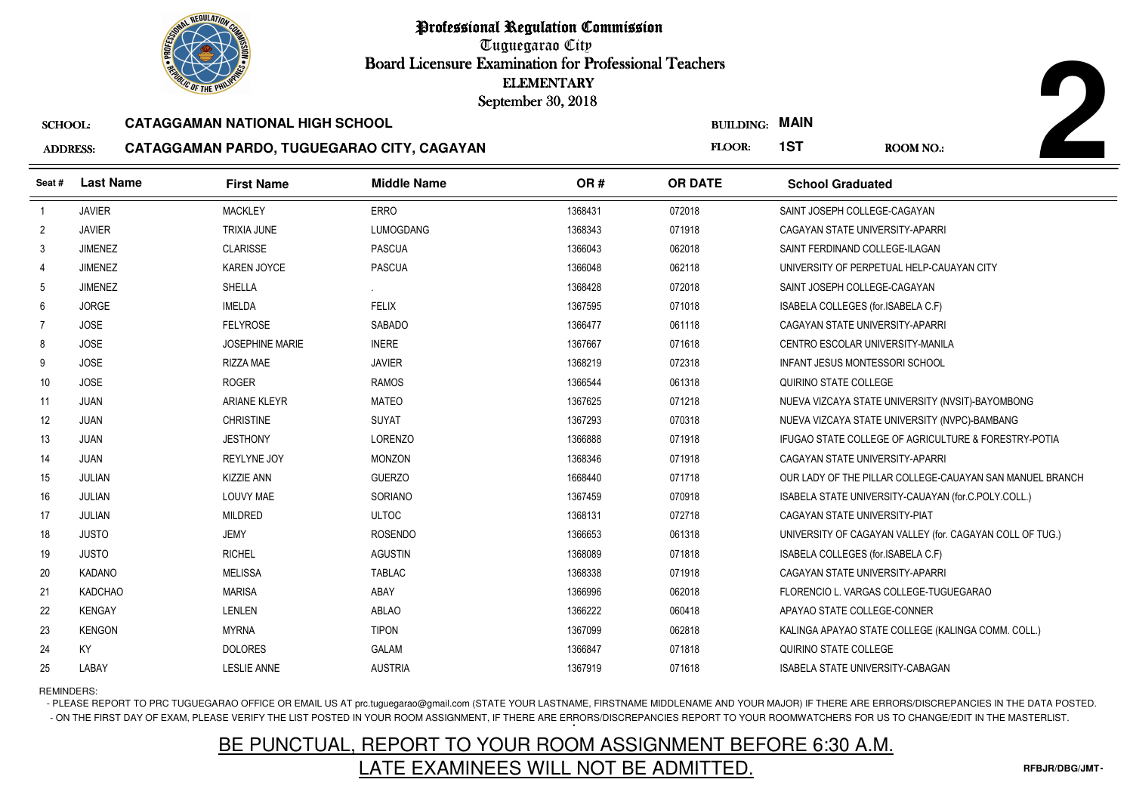

Tuguegarao City Board Licensure Examination for Professional Teachers September 30, 2018

#### SCHOOL:**CATAGGAMAN NATIONAL HIGH SCHOOL**

#### ADDRESS:**CATAGGAMAN PARDO, TUGUEGARAO CITY, CAGAYAN**

| <b>OLIC OF THE PHILIP</b> |                  |                                            | September 30, 2018 | <b>ELEMENTARY</b> |                       |                                       |                                                          |
|---------------------------|------------------|--------------------------------------------|--------------------|-------------------|-----------------------|---------------------------------------|----------------------------------------------------------|
| <b>SCHOOL:</b>            |                  | <b>CATAGGAMAN NATIONAL HIGH SCHOOL</b>     |                    |                   | <b>BUILDING: MAIN</b> |                                       |                                                          |
| <b>ADDRESS:</b>           |                  | CATAGGAMAN PARDO, TUGUEGARAO CITY, CAGAYAN |                    |                   | FLOOR:                | 1ST                                   | <b>ROOM NO.:</b>                                         |
| Seat #                    | <b>Last Name</b> | <b>First Name</b>                          | <b>Middle Name</b> | OR#               | <b>OR DATE</b>        | <b>School Graduated</b>               |                                                          |
|                           | <b>JAVIER</b>    | <b>MACKLEY</b>                             | <b>ERRO</b>        | 1368431           | 072018                | SAINT JOSEPH COLLEGE-CAGAYAN          |                                                          |
| $\overline{2}$            | <b>JAVIER</b>    | <b>TRIXIA JUNE</b>                         | <b>LUMOGDANG</b>   | 1368343           | 071918                | CAGAYAN STATE UNIVERSITY-APARRI       |                                                          |
| 3                         | <b>JIMENEZ</b>   | <b>CLARISSE</b>                            | <b>PASCUA</b>      | 1366043           | 062018                | SAINT FERDINAND COLLEGE-ILAGAN        |                                                          |
| $\overline{4}$            | <b>JIMENEZ</b>   | <b>KAREN JOYCE</b>                         | <b>PASCUA</b>      | 1366048           | 062118                |                                       | UNIVERSITY OF PERPETUAL HELP-CAUAYAN CITY                |
| 5                         | <b>JIMENEZ</b>   | SHELLA                                     |                    | 1368428           | 072018                | SAINT JOSEPH COLLEGE-CAGAYAN          |                                                          |
| 6                         | <b>JORGE</b>     | <b>IMELDA</b>                              | <b>FELIX</b>       | 1367595           | 071018                | ISABELA COLLEGES (for.ISABELA C.F)    |                                                          |
| 7                         | <b>JOSE</b>      | <b>FELYROSE</b>                            | <b>SABADO</b>      | 1366477           | 061118                | CAGAYAN STATE UNIVERSITY-APARRI       |                                                          |
| 8                         | <b>JOSE</b>      | <b>JOSEPHINE MARIE</b>                     | <b>INERE</b>       | 1367667           | 071618                | CENTRO ESCOLAR UNIVERSITY-MANILA      |                                                          |
| 9                         | <b>JOSE</b>      | <b>RIZZA MAE</b>                           | <b>JAVIER</b>      | 1368219           | 072318                | <b>INFANT JESUS MONTESSORI SCHOOL</b> |                                                          |
| 10                        | <b>JOSE</b>      | <b>ROGER</b>                               | <b>RAMOS</b>       | 1366544           | 061318                | QUIRINO STATE COLLEGE                 |                                                          |
| 11                        | <b>JUAN</b>      | <b>ARIANE KLEYR</b>                        | <b>MATEO</b>       | 1367625           | 071218                |                                       | NUEVA VIZCAYA STATE UNIVERSITY (NVSIT)-BAYOMBONG         |
| 12                        | <b>JUAN</b>      | <b>CHRISTINE</b>                           | SUYAT              | 1367293           | 070318                |                                       | NUEVA VIZCAYA STATE UNIVERSITY (NVPC)-BAMBANG            |
| 13                        | JUAN             | <b>JESTHONY</b>                            | <b>LORENZO</b>     | 1366888           | 071918                |                                       | IFUGAO STATE COLLEGE OF AGRICULTURE & FORESTRY-POTIA     |
| 14                        | <b>JUAN</b>      | <b>REYLYNE JOY</b>                         | <b>MONZON</b>      | 1368346           | 071918                | CAGAYAN STATE UNIVERSITY-APARRI       |                                                          |
| 15                        | <b>JULIAN</b>    | KIZZIE ANN                                 | <b>GUERZO</b>      | 1668440           | 071718                |                                       | OUR LADY OF THE PILLAR COLLEGE-CAUAYAN SAN MANUEL BRANCH |
| 16                        | JULIAN           | LOUVY MAE                                  | SORIANO            | 1367459           | 070918                |                                       | ISABELA STATE UNIVERSITY-CAUAYAN (for.C.POLY.COLL.)      |
| 17                        | JULIAN           | <b>MILDRED</b>                             | <b>ULTOC</b>       | 1368131           | 072718                | CAGAYAN STATE UNIVERSITY-PIAT         |                                                          |
| 18                        | <b>JUSTO</b>     | <b>JEMY</b>                                | <b>ROSENDO</b>     | 1366653           | 061318                |                                       | UNIVERSITY OF CAGAYAN VALLEY (for. CAGAYAN COLL OF TUG.) |
| 19                        | <b>JUSTO</b>     | <b>RICHEL</b>                              | <b>AGUSTIN</b>     | 1368089           | 071818                | ISABELA COLLEGES (for.ISABELA C.F)    |                                                          |
| 20                        | <b>KADANO</b>    | <b>MELISSA</b>                             | <b>TABLAC</b>      | 1368338           | 071918                | CAGAYAN STATE UNIVERSITY-APARRI       |                                                          |
| 21                        | <b>KADCHAO</b>   | <b>MARISA</b>                              | ABAY               | 1366996           | 062018                |                                       | FLORENCIO L. VARGAS COLLEGE-TUGUEGARAO                   |
| 22                        | <b>KENGAY</b>    | LENLEN                                     | <b>ABLAO</b>       | 1366222           | 060418                | APAYAO STATE COLLEGE-CONNER           |                                                          |
| 23                        | <b>KENGON</b>    | <b>MYRNA</b>                               | <b>TIPON</b>       | 1367099           | 062818                |                                       | KALINGA APAYAO STATE COLLEGE (KALINGA COMM. COLL.)       |
| 24                        | KY               | <b>DOLORES</b>                             | GALAM              | 1366847           | 071818                | QUIRINO STATE COLLEGE                 |                                                          |
| 25                        | LABAY            | <b>LESLIE ANNE</b>                         | <b>AUSTRIA</b>     | 1367919           | 071618                | ISABELA STATE UNIVERSITY-CABAGAN      |                                                          |

REMINDERS:

- PLEASE REPORT TO PRC TUGUEGARAO OFFICE OR EMAIL US AT prc.tuguegarao@gmail.com (STATE YOUR LASTNAME, FIRSTNAME MIDDLENAME AND YOUR MAJOR) IF THERE ARE ERRORS/DISCREPANCIES IN THE DATA POSTED. - ON THE FIRST DAY OF EXAM, PLEASE VERIFY THE LIST POSTED IN YOUR ROOM ASSIGNMENT, IF THERE ARE ERRORS/DISCREPANCIES REPORT TO YOUR ROOMWATCHERS FOR US TO CHANGE/EDIT IN THE MASTERLIST.

# BE PUNCTUAL, REPORT TO YOUR ROOM ASSIGNMENT BEFORE 6:30 A.M.LATE EXAMINEES WILL NOT BE ADMITTED.

**2**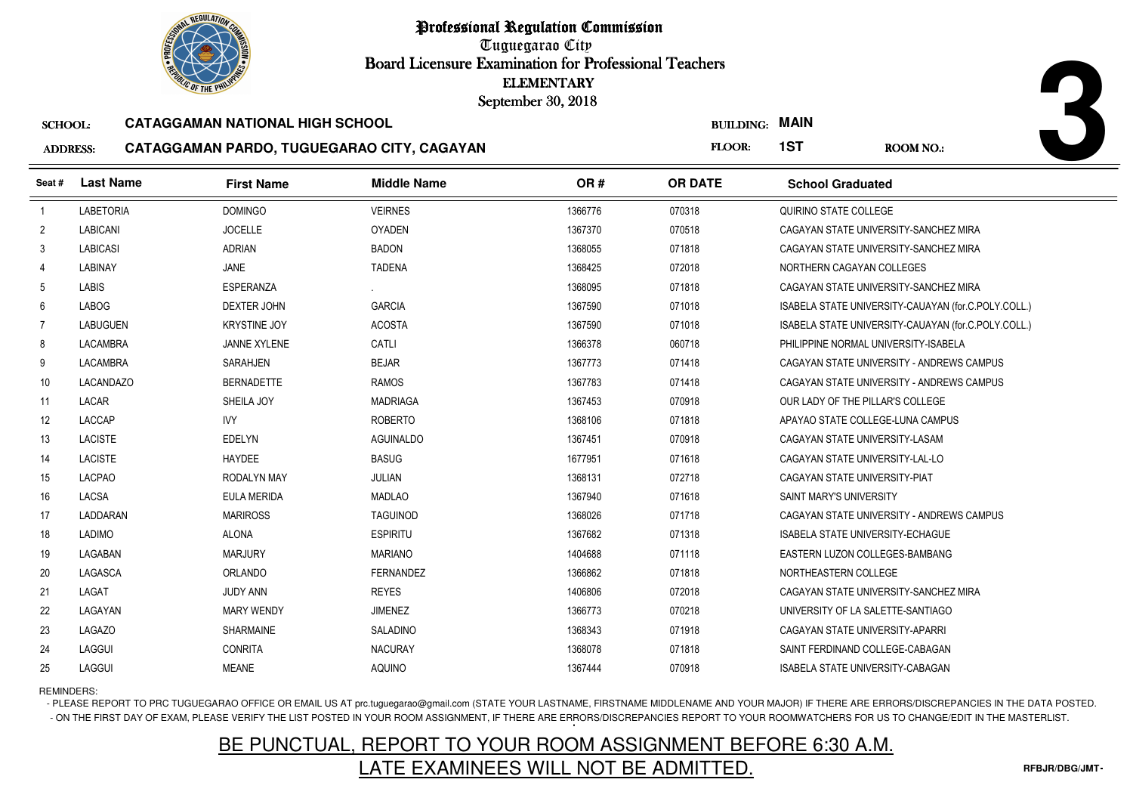Tuguegarao City Board Licensure Examination for Professional Teachers September 30, 2018

#### SCHOOL:**CATAGGAMAN NATIONAL HIGH SCHOOL**

#### ADDRESS:**CATAGGAMAN PARDO, TUGUEGARAO CITY, CAGAYAN**

| <b>OLIC OF THE PHILIP</b> |                  |                                            | <b>ELEMENTARY</b><br>September 30, 2018 |         |                                 |                                         |                                                     |  |
|---------------------------|------------------|--------------------------------------------|-----------------------------------------|---------|---------------------------------|-----------------------------------------|-----------------------------------------------------|--|
| <b>SCHOOL:</b>            |                  | <b>CATAGGAMAN NATIONAL HIGH SCHOOL</b>     |                                         |         | <b>MAIN</b><br><b>BUILDING:</b> |                                         |                                                     |  |
| <b>ADDRESS:</b>           |                  | CATAGGAMAN PARDO, TUGUEGARAO CITY, CAGAYAN |                                         |         | FLOOR:                          | 1ST                                     | ROOM NO.:                                           |  |
| Seat #                    | <b>Last Name</b> | <b>First Name</b>                          | <b>Middle Name</b>                      | OR#     | <b>OR DATE</b>                  | <b>School Graduated</b>                 |                                                     |  |
| -1                        | <b>LABETORIA</b> | <b>DOMINGO</b>                             | <b>VEIRNES</b>                          | 1366776 | 070318                          | QUIRINO STATE COLLEGE                   |                                                     |  |
| $\overline{2}$            | <b>LABICANI</b>  | <b>JOCELLE</b>                             | <b>OYADEN</b>                           | 1367370 | 070518                          |                                         | CAGAYAN STATE UNIVERSITY-SANCHEZ MIRA               |  |
| 3                         | <b>LABICASI</b>  | <b>ADRIAN</b>                              | <b>BADON</b>                            | 1368055 | 071818                          |                                         | CAGAYAN STATE UNIVERSITY-SANCHEZ MIRA               |  |
| $\overline{4}$            | <b>LABINAY</b>   | JANE                                       | <b>TADENA</b>                           | 1368425 | 072018                          | NORTHERN CAGAYAN COLLEGES               |                                                     |  |
| 5                         | <b>LABIS</b>     | ESPERANZA                                  |                                         | 1368095 | 071818                          |                                         | CAGAYAN STATE UNIVERSITY-SANCHEZ MIRA               |  |
| 6                         | <b>LABOG</b>     | <b>DEXTER JOHN</b>                         | <b>GARCIA</b>                           | 1367590 | 071018                          |                                         | ISABELA STATE UNIVERSITY-CAUAYAN (for.C.POLY.COLL.) |  |
| $\overline{7}$            | <b>LABUGUEN</b>  | <b>KRYSTINE JOY</b>                        | <b>ACOSTA</b>                           | 1367590 | 071018                          |                                         | ISABELA STATE UNIVERSITY-CAUAYAN (for.C.POLY.COLL.) |  |
| 8                         | <b>LACAMBRA</b>  | <b>JANNE XYLENE</b>                        | CATLI                                   | 1366378 | 060718                          | PHILIPPINE NORMAL UNIVERSITY-ISABELA    |                                                     |  |
| 9                         | <b>LACAMBRA</b>  | <b>SARAHJEN</b>                            | <b>BEJAR</b>                            | 1367773 | 071418                          |                                         | CAGAYAN STATE UNIVERSITY - ANDREWS CAMPUS           |  |
| 10                        | <b>LACANDAZO</b> | <b>BERNADETTE</b>                          | <b>RAMOS</b>                            | 1367783 | 071418                          |                                         | CAGAYAN STATE UNIVERSITY - ANDREWS CAMPUS           |  |
| 11                        | LACAR            | SHEILA JOY                                 | <b>MADRIAGA</b>                         | 1367453 | 070918                          | OUR LADY OF THE PILLAR'S COLLEGE        |                                                     |  |
| 12                        | <b>LACCAP</b>    | <b>IVY</b>                                 | <b>ROBERTO</b>                          | 1368106 | 071818                          | APAYAO STATE COLLEGE-LUNA CAMPUS        |                                                     |  |
| 13                        | <b>LACISTE</b>   | EDELYN                                     | AGUINALDO                               | 1367451 | 070918                          | CAGAYAN STATE UNIVERSITY-LASAM          |                                                     |  |
| 14                        | <b>LACISTE</b>   | <b>HAYDEE</b>                              | <b>BASUG</b>                            | 1677951 | 071618                          | CAGAYAN STATE UNIVERSITY-LAL-LO         |                                                     |  |
| 15                        | <b>LACPAO</b>    | <b>RODALYN MAY</b>                         | <b>JULIAN</b>                           | 1368131 | 072718                          | CAGAYAN STATE UNIVERSITY-PIAT           |                                                     |  |
| 16                        | <b>LACSA</b>     | <b>EULA MERIDA</b>                         | <b>MADLAO</b>                           | 1367940 | 071618                          | <b>SAINT MARY'S UNIVERSITY</b>          |                                                     |  |
| 17                        | LADDARAN         | <b>MARIROSS</b>                            | <b>TAGUINOD</b>                         | 1368026 | 071718                          |                                         | CAGAYAN STATE UNIVERSITY - ANDREWS CAMPUS           |  |
| 18                        | <b>LADIMO</b>    | <b>ALONA</b>                               | <b>ESPIRITU</b>                         | 1367682 | 071318                          | <b>ISABELA STATE UNIVERSITY-ECHAGUE</b> |                                                     |  |
| 19                        | LAGABAN          | <b>MARJURY</b>                             | <b>MARIANO</b>                          | 1404688 | 071118                          | EASTERN LUZON COLLEGES-BAMBANG          |                                                     |  |
| 20                        | LAGASCA          | ORLANDO                                    | <b>FERNANDEZ</b>                        | 1366862 | 071818                          | NORTHEASTERN COLLEGE                    |                                                     |  |
| 21                        | LAGAT            | JUDY ANN                                   | <b>REYES</b>                            | 1406806 | 072018                          |                                         | CAGAYAN STATE UNIVERSITY-SANCHEZ MIRA               |  |
| 22                        | LAGAYAN          | <b>MARY WENDY</b>                          | <b>JIMENEZ</b>                          | 1366773 | 070218                          | UNIVERSITY OF LA SALETTE-SANTIAGO       |                                                     |  |
| 23                        | <b>LAGAZO</b>    | <b>SHARMAINE</b>                           | <b>SALADINO</b>                         | 1368343 | 071918                          | CAGAYAN STATE UNIVERSITY-APARRI         |                                                     |  |
| 24                        | LAGGUI           | <b>CONRITA</b>                             | <b>NACURAY</b>                          | 1368078 | 071818                          | SAINT FERDINAND COLLEGE-CABAGAN         |                                                     |  |
| 25                        | LAGGUI           | <b>MEANE</b>                               | AQUINO                                  | 1367444 | 070918                          | <b>ISABELA STATE UNIVERSITY-CABAGAN</b> |                                                     |  |

### REMINDERS:

- PLEASE REPORT TO PRC TUGUEGARAO OFFICE OR EMAIL US AT prc.tuguegarao@gmail.com (STATE YOUR LASTNAME, FIRSTNAME MIDDLENAME AND YOUR MAJOR) IF THERE ARE ERRORS/DISCREPANCIES IN THE DATA POSTED. - ON THE FIRST DAY OF EXAM, PLEASE VERIFY THE LIST POSTED IN YOUR ROOM ASSIGNMENT, IF THERE ARE ERRORS/DISCREPANCIES REPORT TO YOUR ROOMWATCHERS FOR US TO CHANGE/EDIT IN THE MASTERLIST.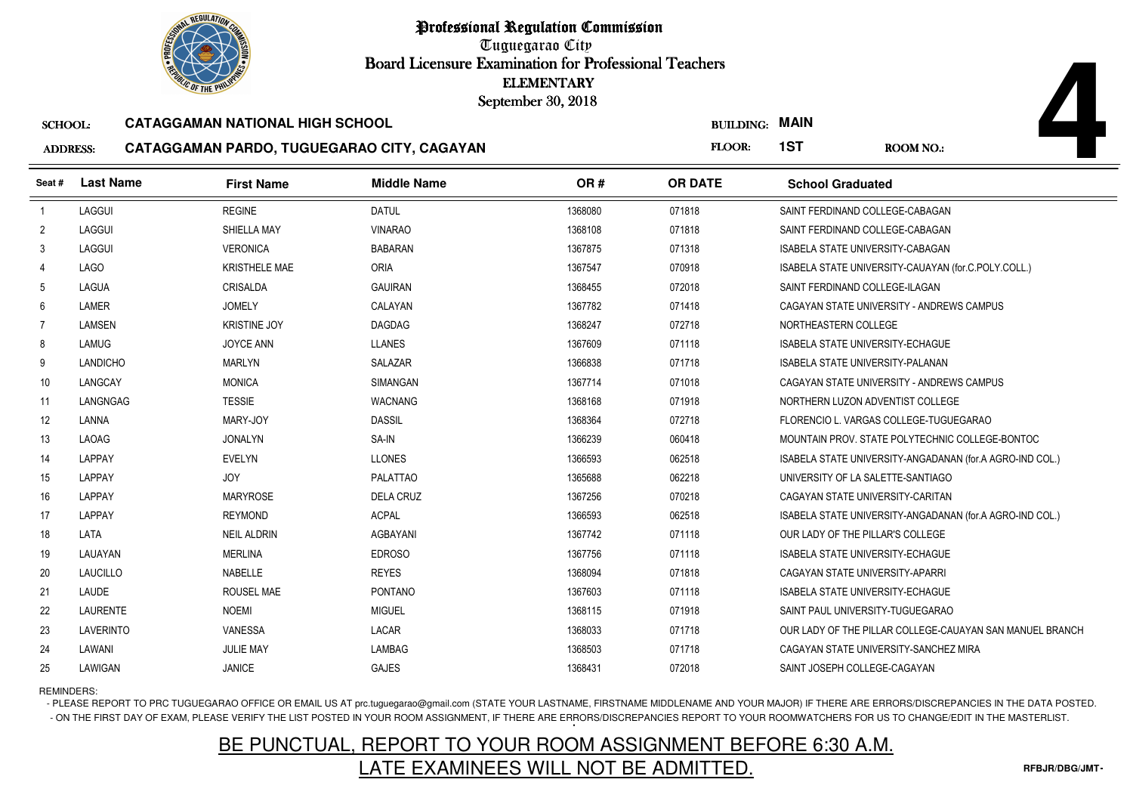Tuguegarao City Board Licensure Examination for Professional Teachers September 30, 2018

#### SCHOOL:**CATAGGAMAN NATIONAL HIGH SCHOOL**

#### ADDRESS:**CATAGGAMAN PARDO, TUGUEGARAO CITY, CAGAYAN**

|                 | <b><i>OLIC OF THE PHILIP</i></b> |                                            |                    | <b>ELEMENTARY</b><br>September 30, 2018 |                       |                                         |                                                          |
|-----------------|----------------------------------|--------------------------------------------|--------------------|-----------------------------------------|-----------------------|-----------------------------------------|----------------------------------------------------------|
| <b>SCHOOL:</b>  |                                  | <b>CATAGGAMAN NATIONAL HIGH SCHOOL</b>     |                    |                                         | <b>BUILDING: MAIN</b> |                                         |                                                          |
| <b>ADDRESS:</b> |                                  | CATAGGAMAN PARDO, TUGUEGARAO CITY, CAGAYAN |                    |                                         | FLOOR:                | 1ST                                     | ROOM NO.:                                                |
| Seat#           | <b>Last Name</b>                 | <b>First Name</b>                          | <b>Middle Name</b> | OR#                                     | <b>OR DATE</b>        | <b>School Graduated</b>                 |                                                          |
| $\overline{1}$  | LAGGUI                           | <b>REGINE</b>                              | <b>DATUL</b>       | 1368080                                 | 071818                | SAINT FERDINAND COLLEGE-CABAGAN         |                                                          |
| $\overline{2}$  | LAGGUI                           | SHIELLA MAY                                | <b>VINARAO</b>     | 1368108                                 | 071818                | SAINT FERDINAND COLLEGE-CABAGAN         |                                                          |
| 3               | LAGGUI                           | <b>VERONICA</b>                            | <b>BABARAN</b>     | 1367875                                 | 071318                | <b>ISABELA STATE UNIVERSITY-CABAGAN</b> |                                                          |
| 4               | <b>LAGO</b>                      | <b>KRISTHELE MAE</b>                       | ORIA               | 1367547                                 | 070918                |                                         | ISABELA STATE UNIVERSITY-CAUAYAN (for.C.POLY.COLL.)      |
| $5\phantom{.0}$ | LAGUA                            | CRISALDA                                   | <b>GAUIRAN</b>     | 1368455                                 | 072018                | SAINT FERDINAND COLLEGE-ILAGAN          |                                                          |
| 6               | LAMER                            | <b>JOMELY</b>                              | CALAYAN            | 1367782                                 | 071418                |                                         | CAGAYAN STATE UNIVERSITY - ANDREWS CAMPUS                |
| $\overline{7}$  | LAMSEN                           | <b>KRISTINE JOY</b>                        | <b>DAGDAG</b>      | 1368247                                 | 072718                | NORTHEASTERN COLLEGE                    |                                                          |
| 8               | LAMUG                            | JOYCE ANN                                  | <b>LLANES</b>      | 1367609                                 | 071118                | ISABELA STATE UNIVERSITY-ECHAGUE        |                                                          |
| 9               | <b>LANDICHO</b>                  | <b>MARLYN</b>                              | <b>SALAZAR</b>     | 1366838                                 | 071718                | ISABELA STATE UNIVERSITY-PALANAN        |                                                          |
| 10              | LANGCAY                          | <b>MONICA</b>                              | <b>SIMANGAN</b>    | 1367714                                 | 071018                |                                         | CAGAYAN STATE UNIVERSITY - ANDREWS CAMPUS                |
| 11              | LANGNGAG                         | <b>TESSIE</b>                              | <b>WACNANG</b>     | 1368168                                 | 071918                | NORTHERN LUZON ADVENTIST COLLEGE        |                                                          |
| 12              | LANNA                            | MARY-JOY                                   | <b>DASSIL</b>      | 1368364                                 | 072718                |                                         | FLORENCIO L. VARGAS COLLEGE-TUGUEGARAO                   |
| 13              | LAOAG                            | <b>JONALYN</b>                             | SA-IN              | 1366239                                 | 060418                |                                         | MOUNTAIN PROV. STATE POLYTECHNIC COLLEGE-BONTOC          |
| 14              | LAPPAY                           | <b>EVELYN</b>                              | <b>LLONES</b>      | 1366593                                 | 062518                |                                         | ISABELA STATE UNIVERSITY-ANGADANAN (for A AGRO-IND COL.) |
| 15              | LAPPAY                           | <b>JOY</b>                                 | <b>PALATTAO</b>    | 1365688                                 | 062218                | UNIVERSITY OF LA SALETTE-SANTIAGO       |                                                          |
| 16              | LAPPAY                           | <b>MARYROSE</b>                            | <b>DELA CRUZ</b>   | 1367256                                 | 070218                | CAGAYAN STATE UNIVERSITY-CARITAN        |                                                          |
| 17              | LAPPAY                           | <b>REYMOND</b>                             | <b>ACPAL</b>       | 1366593                                 | 062518                |                                         | ISABELA STATE UNIVERSITY-ANGADANAN (for.A AGRO-IND COL.) |
| 18              | LATA                             | <b>NEIL ALDRIN</b>                         | <b>AGBAYANI</b>    | 1367742                                 | 071118                | OUR LADY OF THE PILLAR'S COLLEGE        |                                                          |
| 19              | LAUAYAN                          | <b>MERLINA</b>                             | <b>EDROSO</b>      | 1367756                                 | 071118                | <b>ISABELA STATE UNIVERSITY-ECHAGUE</b> |                                                          |
| 20              | <b>LAUCILLO</b>                  | <b>NABELLE</b>                             | <b>REYES</b>       | 1368094                                 | 071818                | CAGAYAN STATE UNIVERSITY-APARRI         |                                                          |
| 21              | LAUDE                            | <b>ROUSEL MAE</b>                          | <b>PONTANO</b>     | 1367603                                 | 071118                | <b>ISABELA STATE UNIVERSITY-ECHAGUE</b> |                                                          |
| 22              | LAURENTE                         | <b>NOEMI</b>                               | <b>MIGUEL</b>      | 1368115                                 | 071918                | SAINT PAUL UNIVERSITY-TUGUEGARAO        |                                                          |
| 23              | LAVERINTO                        | VANESSA                                    | LACAR              | 1368033                                 | 071718                |                                         | OUR LADY OF THE PILLAR COLLEGE-CAUAYAN SAN MANUEL BRANCH |
| 24              | LAWANI                           | <b>JULIE MAY</b>                           | <b>LAMBAG</b>      | 1368503                                 | 071718                |                                         | CAGAYAN STATE UNIVERSITY-SANCHEZ MIRA                    |
| 25              | LAWIGAN                          | <b>JANICE</b>                              | <b>GAJES</b>       | 1368431                                 | 072018                | SAINT JOSEPH COLLEGE-CAGAYAN            |                                                          |

### REMINDERS:

- PLEASE REPORT TO PRC TUGUEGARAO OFFICE OR EMAIL US AT prc.tuguegarao@gmail.com (STATE YOUR LASTNAME, FIRSTNAME MIDDLENAME AND YOUR MAJOR) IF THERE ARE ERRORS/DISCREPANCIES IN THE DATA POSTED. - ON THE FIRST DAY OF EXAM, PLEASE VERIFY THE LIST POSTED IN YOUR ROOM ASSIGNMENT, IF THERE ARE ERRORS/DISCREPANCIES REPORT TO YOUR ROOMWATCHERS FOR US TO CHANGE/EDIT IN THE MASTERLIST.

# BE PUNCTUAL, REPORT TO YOUR ROOM ASSIGNMENT BEFORE 6:30 A.M.LATE EXAMINEES WILL NOT BE ADMITTED.

**4**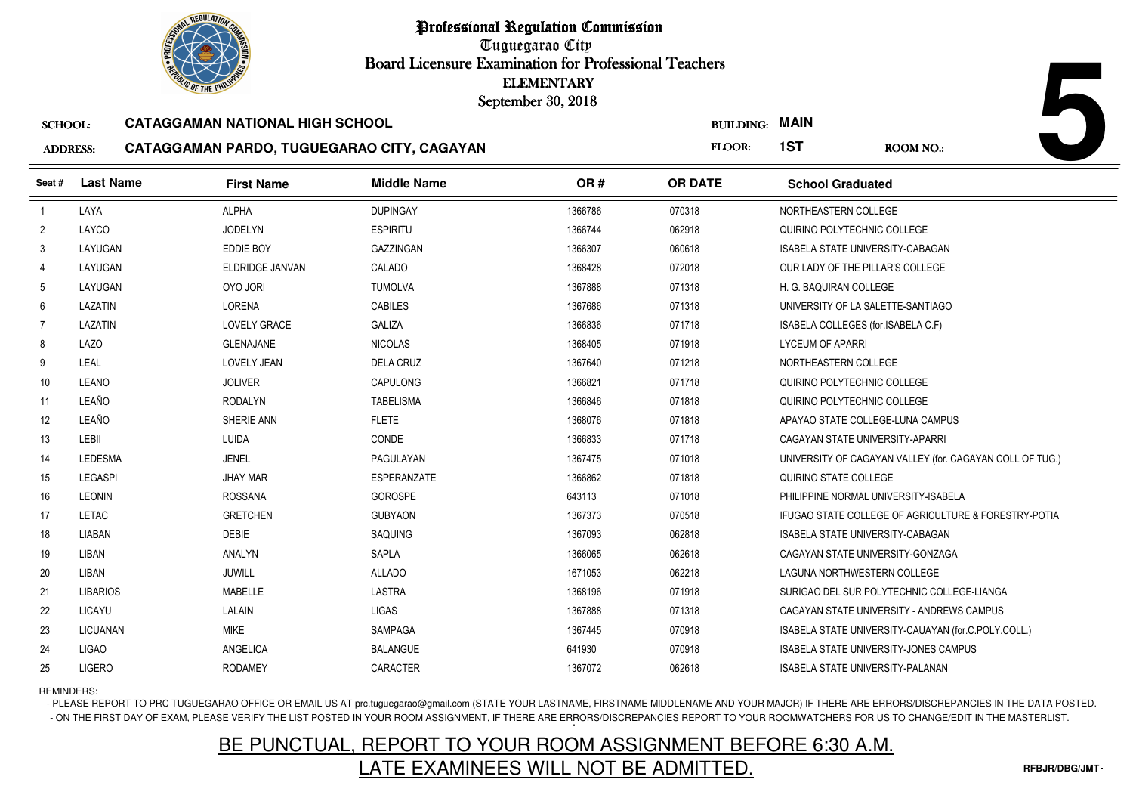Tuguegarao City Board Licensure Examination for Professional Teachers September 30, 2018

#### SCHOOL:**CATAGGAMAN NATIONAL HIGH SCHOOL**

#### ADDRESS:**CATAGGAMAN PARDO, TUGUEGARAO CITY, CAGAYAN**

| <b>OLIC OF THE PHILIP</b> |                  |                                            | <b>ELEMENTARY</b><br>September 30, 2018 |         |                       |                                         |                                                          |
|---------------------------|------------------|--------------------------------------------|-----------------------------------------|---------|-----------------------|-----------------------------------------|----------------------------------------------------------|
| <b>SCHOOL:</b>            |                  | <b>CATAGGAMAN NATIONAL HIGH SCHOOL</b>     |                                         |         | <b>BUILDING: MAIN</b> |                                         |                                                          |
| <b>ADDRESS:</b>           |                  | CATAGGAMAN PARDO, TUGUEGARAO CITY, CAGAYAN |                                         |         | FLOOR:                | 1ST                                     | <b>ROOM NO.:</b>                                         |
| Seat#                     | <b>Last Name</b> | <b>First Name</b>                          | <b>Middle Name</b>                      | OR#     | <b>OR DATE</b>        | <b>School Graduated</b>                 |                                                          |
| $\overline{1}$            | LAYA             | <b>ALPHA</b>                               | <b>DUPINGAY</b>                         | 1366786 | 070318                | NORTHEASTERN COLLEGE                    |                                                          |
| $\overline{2}$            | LAYCO            | <b>JODELYN</b>                             | <b>ESPIRITU</b>                         | 1366744 | 062918                | QUIRINO POLYTECHNIC COLLEGE             |                                                          |
| 3                         | LAYUGAN          | <b>EDDIE BOY</b>                           | <b>GAZZINGAN</b>                        | 1366307 | 060618                | ISABELA STATE UNIVERSITY-CABAGAN        |                                                          |
| 4                         | LAYUGAN          | ELDRIDGE JANVAN                            | CALADO                                  | 1368428 | 072018                | OUR LADY OF THE PILLAR'S COLLEGE        |                                                          |
| -5                        | LAYUGAN          | OYO JORI                                   | <b>TUMOLVA</b>                          | 1367888 | 071318                | H. G. BAQUIRAN COLLEGE                  |                                                          |
| 6                         | LAZATIN          | LORENA                                     | <b>CABILES</b>                          | 1367686 | 071318                | UNIVERSITY OF LA SALETTE-SANTIAGO       |                                                          |
| 7                         | LAZATIN          | <b>LOVELY GRACE</b>                        | <b>GALIZA</b>                           | 1366836 | 071718                | ISABELA COLLEGES (for.ISABELA C.F)      |                                                          |
| 8                         | <b>LAZO</b>      | <b>GLENAJANE</b>                           | <b>NICOLAS</b>                          | 1368405 | 071918                | <b>LYCEUM OF APARRI</b>                 |                                                          |
| 9                         | LEAL             | LOVELY JEAN                                | <b>DELA CRUZ</b>                        | 1367640 | 071218                | NORTHEASTERN COLLEGE                    |                                                          |
| 10 <sup>°</sup>           | <b>LEANO</b>     | <b>JOLIVER</b>                             | CAPULONG                                | 1366821 | 071718                | QUIRINO POLYTECHNIC COLLEGE             |                                                          |
| 11                        | LEAÑO            | <b>RODALYN</b>                             | <b>TABELISMA</b>                        | 1366846 | 071818                | QUIRINO POLYTECHNIC COLLEGE             |                                                          |
| 12                        | LEAÑO            | SHERIE ANN                                 | <b>FLETE</b>                            | 1368076 | 071818                | APAYAO STATE COLLEGE-LUNA CAMPUS        |                                                          |
| 13                        | LEBII            | LUIDA                                      | CONDE                                   | 1366833 | 071718                | CAGAYAN STATE UNIVERSITY-APARRI         |                                                          |
| 14                        | <b>LEDESMA</b>   | <b>JENEL</b>                               | PAGULAYAN                               | 1367475 | 071018                |                                         | UNIVERSITY OF CAGAYAN VALLEY (for. CAGAYAN COLL OF TUG.) |
| 15                        | <b>LEGASPI</b>   | <b>JHAY MAR</b>                            | <b>ESPERANZATE</b>                      | 1366862 | 071818                | QUIRINO STATE COLLEGE                   |                                                          |
| 16                        | LEONIN           | <b>ROSSANA</b>                             | <b>GOROSPE</b>                          | 643113  | 071018                | PHILIPPINE NORMAL UNIVERSITY-ISABELA    |                                                          |
| 17                        | LETAC            | <b>GRETCHEN</b>                            | <b>GUBYAON</b>                          | 1367373 | 070518                |                                         | IFUGAO STATE COLLEGE OF AGRICULTURE & FORESTRY-POTIA     |
| 18                        | <b>LIABAN</b>    | <b>DEBIE</b>                               | SAQUING                                 | 1367093 | 062818                | <b>ISABELA STATE UNIVERSITY-CABAGAN</b> |                                                          |
| 19                        | LIBAN            | <b>ANALYN</b>                              | SAPLA                                   | 1366065 | 062618                | CAGAYAN STATE UNIVERSITY-GONZAGA        |                                                          |
| 20                        | LIBAN            | <b>JUWILL</b>                              | <b>ALLADO</b>                           | 1671053 | 062218                | LAGUNA NORTHWESTERN COLLEGE             |                                                          |
| 21                        | <b>LIBARIOS</b>  | <b>MABELLE</b>                             | LASTRA                                  | 1368196 | 071918                |                                         | SURIGAO DEL SUR POLYTECHNIC COLLEGE-LIANGA               |
| 22                        | LICAYU           | LALAIN                                     | <b>LIGAS</b>                            | 1367888 | 071318                |                                         | CAGAYAN STATE UNIVERSITY - ANDREWS CAMPUS                |
| 23                        | <b>LICUANAN</b>  | <b>MIKE</b>                                | <b>SAMPAGA</b>                          | 1367445 | 070918                |                                         | ISABELA STATE UNIVERSITY-CAUAYAN (for.C.POLY.COLL.)      |
| 24                        | <b>LIGAO</b>     | ANGELICA                                   | <b>BALANGUE</b>                         | 641930  | 070918                |                                         | <b>ISABELA STATE UNIVERSITY-JONES CAMPUS</b>             |
| 25                        | <b>LIGERO</b>    | <b>RODAMEY</b>                             | CARACTER                                | 1367072 | 062618                | ISABELA STATE UNIVERSITY-PALANAN        |                                                          |

REMINDERS:

- PLEASE REPORT TO PRC TUGUEGARAO OFFICE OR EMAIL US AT prc.tuguegarao@gmail.com (STATE YOUR LASTNAME, FIRSTNAME MIDDLENAME AND YOUR MAJOR) IF THERE ARE ERRORS/DISCREPANCIES IN THE DATA POSTED. - ON THE FIRST DAY OF EXAM, PLEASE VERIFY THE LIST POSTED IN YOUR ROOM ASSIGNMENT, IF THERE ARE ERRORS/DISCREPANCIES REPORT TO YOUR ROOMWATCHERS FOR US TO CHANGE/EDIT IN THE MASTERLIST.

# BE PUNCTUAL, REPORT TO YOUR ROOM ASSIGNMENT BEFORE 6:30 A.M.LATE EXAMINEES WILL NOT BE ADMITTED.

**5**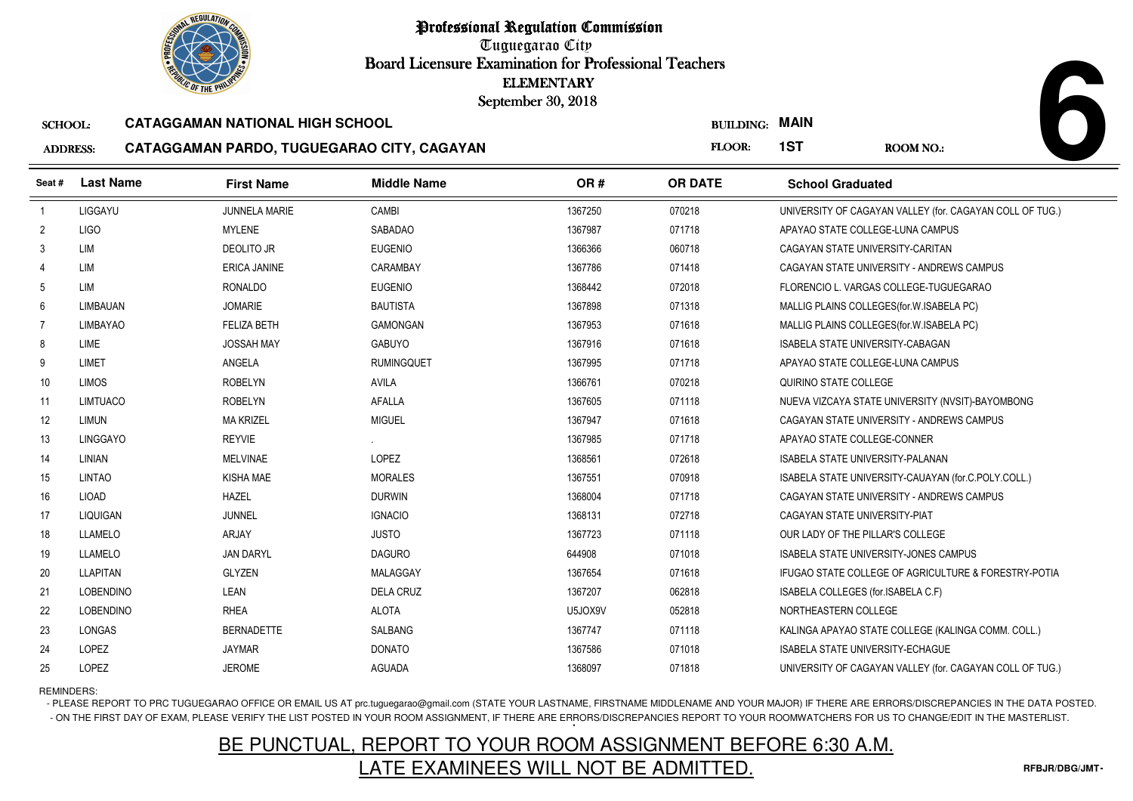Tuguegarao City Board Licensure Examination for Professional Teachers September 30, 2018

#### SCHOOL:**CATAGGAMAN NATIONAL HIGH SCHOOL**

#### ADDRESS:**CATAGGAMAN PARDO, TUGUEGARAO CITY, CAGAYAN**

| <b><i>OLIC OF THE PHILIP</i></b> |                  |                                        |                                            | <b>ELEMENTARY</b><br>September 30, 2018 |                  |                                                          |
|----------------------------------|------------------|----------------------------------------|--------------------------------------------|-----------------------------------------|------------------|----------------------------------------------------------|
| <b>SCHOOL:</b>                   |                  | <b>CATAGGAMAN NATIONAL HIGH SCHOOL</b> |                                            |                                         | <b>BUILDING:</b> | <b>MAIN</b>                                              |
| <b>ADDRESS:</b>                  |                  |                                        | CATAGGAMAN PARDO, TUGUEGARAO CITY, CAGAYAN |                                         | FLOOR:           | 1ST<br><b>ROOM NO.:</b>                                  |
| Seat#                            | <b>Last Name</b> | <b>First Name</b>                      | <b>Middle Name</b>                         | OR#                                     | <b>OR DATE</b>   | <b>School Graduated</b>                                  |
| $\overline{1}$                   | LIGGAYU          | <b>JUNNELA MARIE</b>                   | CAMBI                                      | 1367250                                 | 070218           | UNIVERSITY OF CAGAYAN VALLEY (for. CAGAYAN COLL OF TUG.) |
| $\overline{2}$                   | <b>LIGO</b>      | <b>MYLENE</b>                          | <b>SABADAO</b>                             | 1367987                                 | 071718           | APAYAO STATE COLLEGE-LUNA CAMPUS                         |
| $\mathbf{3}$                     | <b>LIM</b>       | <b>DEOLITO JR</b>                      | <b>EUGENIO</b>                             | 1366366                                 | 060718           | CAGAYAN STATE UNIVERSITY-CARITAN                         |
| 4                                | <b>LIM</b>       | <b>ERICA JANINE</b>                    | CARAMBAY                                   | 1367786                                 | 071418           | CAGAYAN STATE UNIVERSITY - ANDREWS CAMPUS                |
| 5                                | <b>LIM</b>       | <b>RONALDO</b>                         | <b>EUGENIO</b>                             | 1368442                                 | 072018           | FLORENCIO L. VARGAS COLLEGE-TUGUEGARAO                   |
| 6                                | LIMBAUAN         | <b>JOMARIE</b>                         | <b>BAUTISTA</b>                            | 1367898                                 | 071318           | MALLIG PLAINS COLLEGES (for. W. ISABELA PC)              |
| $\overline{7}$                   | LIMBAYAO         | <b>FELIZA BETH</b>                     | <b>GAMONGAN</b>                            | 1367953                                 | 071618           | MALLIG PLAINS COLLEGES (for. W. ISABELA PC)              |
| 8                                | LIME             | <b>JOSSAH MAY</b>                      | <b>GABUYO</b>                              | 1367916                                 | 071618           | ISABELA STATE UNIVERSITY-CABAGAN                         |
| 9                                | LIMET            | ANGELA                                 | <b>RUMINGOUET</b>                          | 1367995                                 | 071718           | APAYAO STATE COLLEGE-LUNA CAMPUS                         |
| 10 <sup>°</sup>                  | <b>LIMOS</b>     | <b>ROBELYN</b>                         | AVILA                                      | 1366761                                 | 070218           | QUIRINO STATE COLLEGE                                    |
| 11                               | LIMTUACO         | <b>ROBELYN</b>                         | <b>AFALLA</b>                              | 1367605                                 | 071118           | NUEVA VIZCAYA STATE UNIVERSITY (NVSIT)-BAYOMBONG         |
| 12                               | <b>LIMUN</b>     | <b>MA KRIZEL</b>                       | <b>MIGUEL</b>                              | 1367947                                 | 071618           | CAGAYAN STATE UNIVERSITY - ANDREWS CAMPUS                |
| 13                               | <b>LINGGAYO</b>  | <b>REYVIE</b>                          |                                            | 1367985                                 | 071718           | APAYAO STATE COLLEGE-CONNER                              |
| 14                               | LINIAN           | <b>MELVINAE</b>                        | LOPEZ                                      | 1368561                                 | 072618           | ISABELA STATE UNIVERSITY-PALANAN                         |
| 15                               | <b>LINTAO</b>    | KISHA MAE                              | <b>MORALES</b>                             | 1367551                                 | 070918           | ISABELA STATE UNIVERSITY-CAUAYAN (for.C.POLY.COLL.)      |
| 16                               | <b>LIOAD</b>     | <b>HAZEL</b>                           | <b>DURWIN</b>                              | 1368004                                 | 071718           | CAGAYAN STATE UNIVERSITY - ANDREWS CAMPUS                |
| 17                               | LIQUIGAN         | JUNNEL                                 | <b>IGNACIO</b>                             | 1368131                                 | 072718           | CAGAYAN STATE UNIVERSITY-PIAT                            |
| 18                               | <b>LLAMELO</b>   | ARJAY                                  | <b>JUSTO</b>                               | 1367723                                 | 071118           | OUR LADY OF THE PILLAR'S COLLEGE                         |
| 19                               | <b>LLAMELO</b>   | <b>JAN DARYL</b>                       | <b>DAGURO</b>                              | 644908                                  | 071018           | <b>ISABELA STATE UNIVERSITY-JONES CAMPUS</b>             |
| 20                               | <b>LLAPITAN</b>  | <b>GLYZEN</b>                          | MALAGGAY                                   | 1367654                                 | 071618           | IFUGAO STATE COLLEGE OF AGRICULTURE & FORESTRY-POTIA     |
| 21                               | <b>LOBENDINO</b> | LEAN                                   | <b>DELA CRUZ</b>                           | 1367207                                 | 062818           | ISABELA COLLEGES (for.ISABELA C.F)                       |
| 22                               | <b>LOBENDINO</b> | <b>RHEA</b>                            | <b>ALOTA</b>                               | U5JOX9V                                 | 052818           | NORTHEASTERN COLLEGE                                     |
| 23                               | <b>LONGAS</b>    | <b>BERNADETTE</b>                      | <b>SALBANG</b>                             | 1367747                                 | 071118           | KALINGA APAYAO STATE COLLEGE (KALINGA COMM. COLL.)       |
| 24                               | <b>LOPEZ</b>     | <b>JAYMAR</b>                          | <b>DONATO</b>                              | 1367586                                 | 071018           | <b>ISABELA STATE UNIVERSITY-ECHAGUE</b>                  |
| 25                               | LOPEZ            | <b>JEROME</b>                          | <b>AGUADA</b>                              | 1368097                                 | 071818           | UNIVERSITY OF CAGAYAN VALLEY (for. CAGAYAN COLL OF TUG.) |

REMINDERS:

- PLEASE REPORT TO PRC TUGUEGARAO OFFICE OR EMAIL US AT prc.tuguegarao@gmail.com (STATE YOUR LASTNAME, FIRSTNAME MIDDLENAME AND YOUR MAJOR) IF THERE ARE ERRORS/DISCREPANCIES IN THE DATA POSTED. - ON THE FIRST DAY OF EXAM, PLEASE VERIFY THE LIST POSTED IN YOUR ROOM ASSIGNMENT, IF THERE ARE ERRORS/DISCREPANCIES REPORT TO YOUR ROOMWATCHERS FOR US TO CHANGE/EDIT IN THE MASTERLIST.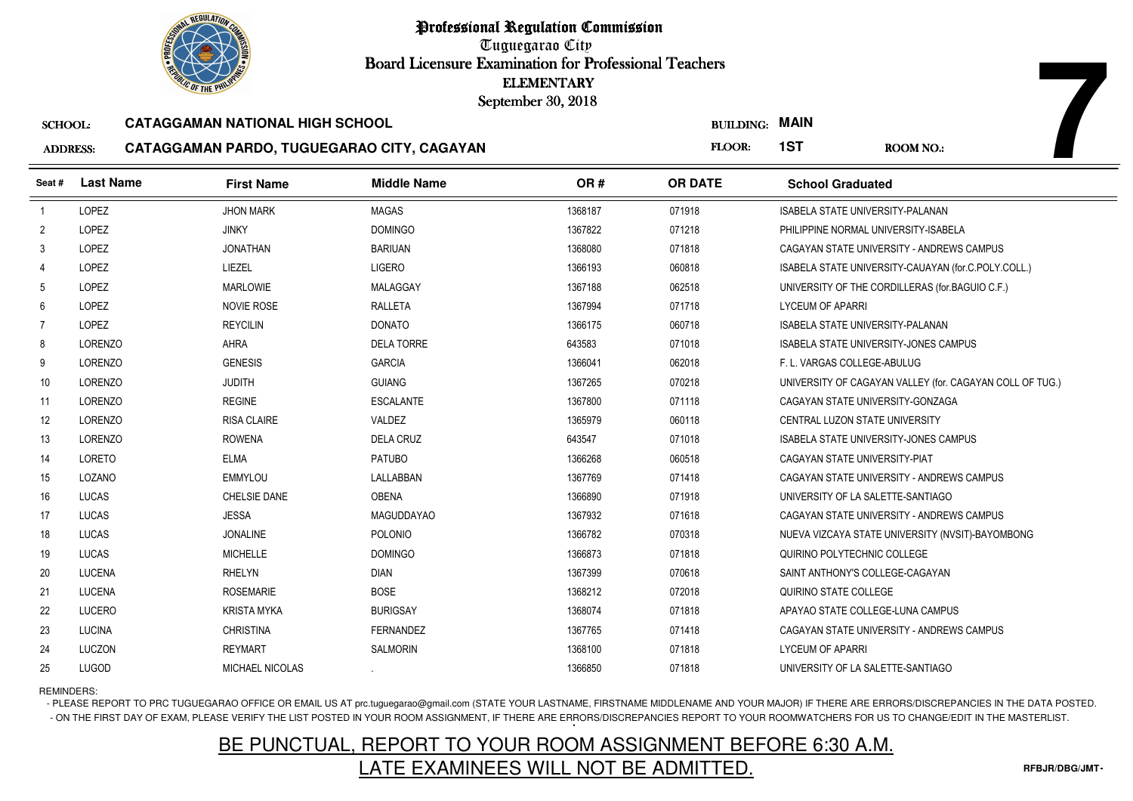

Tuguegarao City Board Licensure Examination for Professional Teachers September 30, 2018

#### SCHOOL:**CATAGGAMAN NATIONAL HIGH SCHOOL**

#### ADDRESS:**CATAGGAMAN PARDO, TUGUEGARAO CITY, CAGAYAN**

| <b>OLIC OF THE PHILIP</b> |                  |                                            |                    | <b>ELEMENTARY</b><br>September 30, 2018 |                       |                                         |                                                          |
|---------------------------|------------------|--------------------------------------------|--------------------|-----------------------------------------|-----------------------|-----------------------------------------|----------------------------------------------------------|
| <b>SCHOOL:</b>            |                  | <b>CATAGGAMAN NATIONAL HIGH SCHOOL</b>     |                    |                                         | <b>BUILDING: MAIN</b> |                                         |                                                          |
| <b>ADDRESS:</b>           |                  | CATAGGAMAN PARDO, TUGUEGARAO CITY, CAGAYAN |                    |                                         | FLOOR:                | 1ST                                     | ROOM NO.:                                                |
| Seat#                     | <b>Last Name</b> | <b>First Name</b>                          | <b>Middle Name</b> | OR#                                     | <b>OR DATE</b>        | <b>School Graduated</b>                 |                                                          |
| $\overline{1}$            | LOPEZ            | <b>JHON MARK</b>                           | <b>MAGAS</b>       | 1368187                                 | 071918                | <b>ISABELA STATE UNIVERSITY-PALANAN</b> |                                                          |
| $\overline{2}$            | LOPEZ            | <b>JINKY</b>                               | <b>DOMINGO</b>     | 1367822                                 | 071218                | PHILIPPINE NORMAL UNIVERSITY-ISABELA    |                                                          |
| 3                         | LOPEZ            | <b>JONATHAN</b>                            | <b>BARIUAN</b>     | 1368080                                 | 071818                |                                         | CAGAYAN STATE UNIVERSITY - ANDREWS CAMPUS                |
| $\overline{4}$            | LOPEZ            | LIEZEL                                     | <b>LIGERO</b>      | 1366193                                 | 060818                |                                         | ISABELA STATE UNIVERSITY-CAUAYAN (for.C.POLY.COLL.)      |
| 5                         | <b>LOPEZ</b>     | <b>MARLOWIE</b>                            | MALAGGAY           | 1367188                                 | 062518                |                                         | UNIVERSITY OF THE CORDILLERAS (for BAGUIO C.F.)          |
| 6                         | LOPEZ            | <b>NOVIE ROSE</b>                          | <b>RALLETA</b>     | 1367994                                 | 071718                | <b>LYCEUM OF APARRI</b>                 |                                                          |
| -7                        | <b>LOPEZ</b>     | <b>REYCILIN</b>                            | <b>DONATO</b>      | 1366175                                 | 060718                | <b>ISABELA STATE UNIVERSITY-PALANAN</b> |                                                          |
| 8                         | LORENZO          | AHRA                                       | <b>DELA TORRE</b>  | 643583                                  | 071018                |                                         | ISABELA STATE UNIVERSITY-JONES CAMPUS                    |
| 9                         | <b>LORENZO</b>   | <b>GENESIS</b>                             | <b>GARCIA</b>      | 1366041                                 | 062018                | F. L. VARGAS COLLEGE-ABULUG             |                                                          |
| 10                        | LORENZO          | <b>JUDITH</b>                              | <b>GUIANG</b>      | 1367265                                 | 070218                |                                         | UNIVERSITY OF CAGAYAN VALLEY (for. CAGAYAN COLL OF TUG.) |
| 11                        | LORENZO          | <b>REGINE</b>                              | <b>ESCALANTE</b>   | 1367800                                 | 071118                | CAGAYAN STATE UNIVERSITY-GONZAGA        |                                                          |
| 12                        | <b>LORENZO</b>   | <b>RISA CLAIRE</b>                         | <b>VALDEZ</b>      | 1365979                                 | 060118                | CENTRAL LUZON STATE UNIVERSITY          |                                                          |
| 13                        | LORENZO          | <b>ROWENA</b>                              | <b>DELA CRUZ</b>   | 643547                                  | 071018                |                                         | ISABELA STATE UNIVERSITY-JONES CAMPUS                    |
| 14                        | LORETO           | <b>ELMA</b>                                | <b>PATUBO</b>      | 1366268                                 | 060518                | CAGAYAN STATE UNIVERSITY-PIAT           |                                                          |
| 15                        | LOZANO           | <b>EMMYLOU</b>                             | LALLABBAN          | 1367769                                 | 071418                |                                         | CAGAYAN STATE UNIVERSITY - ANDREWS CAMPUS                |
| 16                        | LUCAS            | <b>CHELSIE DANE</b>                        | <b>OBENA</b>       | 1366890                                 | 071918                | UNIVERSITY OF LA SALETTE-SANTIAGO       |                                                          |
| 17                        | LUCAS            | <b>JESSA</b>                               | <b>MAGUDDAYAO</b>  | 1367932                                 | 071618                |                                         | CAGAYAN STATE UNIVERSITY - ANDREWS CAMPUS                |
| 18                        | LUCAS            | <b>JONALINE</b>                            | POLONIO            | 1366782                                 | 070318                |                                         | NUEVA VIZCAYA STATE UNIVERSITY (NVSIT)-BAYOMBONG         |
| 19                        | LUCAS            | <b>MICHELLE</b>                            | <b>DOMINGO</b>     | 1366873                                 | 071818                | QUIRINO POLYTECHNIC COLLEGE             |                                                          |
| 20                        | <b>LUCENA</b>    | <b>RHELYN</b>                              | <b>DIAN</b>        | 1367399                                 | 070618                | SAINT ANTHONY'S COLLEGE-CAGAYAN         |                                                          |
| 21                        | <b>LUCENA</b>    | <b>ROSEMARIE</b>                           | <b>BOSE</b>        | 1368212                                 | 072018                | QUIRINO STATE COLLEGE                   |                                                          |
| 22                        | <b>LUCERO</b>    | <b>KRISTA MYKA</b>                         | <b>BURIGSAY</b>    | 1368074                                 | 071818                | APAYAO STATE COLLEGE-LUNA CAMPUS        |                                                          |
| 23                        | <b>LUCINA</b>    | <b>CHRISTINA</b>                           | <b>FERNANDEZ</b>   | 1367765                                 | 071418                |                                         | CAGAYAN STATE UNIVERSITY - ANDREWS CAMPUS                |
| 24                        | LUCZON           | <b>REYMART</b>                             | <b>SALMORIN</b>    | 1368100                                 | 071818                | <b>LYCEUM OF APARRI</b>                 |                                                          |
| 25                        | <b>LUGOD</b>     | <b>MICHAEL NICOLAS</b>                     |                    | 1366850                                 | 071818                | UNIVERSITY OF LA SALETTE-SANTIAGO       |                                                          |

### REMINDERS:

- PLEASE REPORT TO PRC TUGUEGARAO OFFICE OR EMAIL US AT prc.tuguegarao@gmail.com (STATE YOUR LASTNAME, FIRSTNAME MIDDLENAME AND YOUR MAJOR) IF THERE ARE ERRORS/DISCREPANCIES IN THE DATA POSTED. - ON THE FIRST DAY OF EXAM, PLEASE VERIFY THE LIST POSTED IN YOUR ROOM ASSIGNMENT, IF THERE ARE ERRORS/DISCREPANCIES REPORT TO YOUR ROOMWATCHERS FOR US TO CHANGE/EDIT IN THE MASTERLIST.

# BE PUNCTUAL, REPORT TO YOUR ROOM ASSIGNMENT BEFORE 6:30 A.M.LATE EXAMINEES WILL NOT BE ADMITTED.

**7**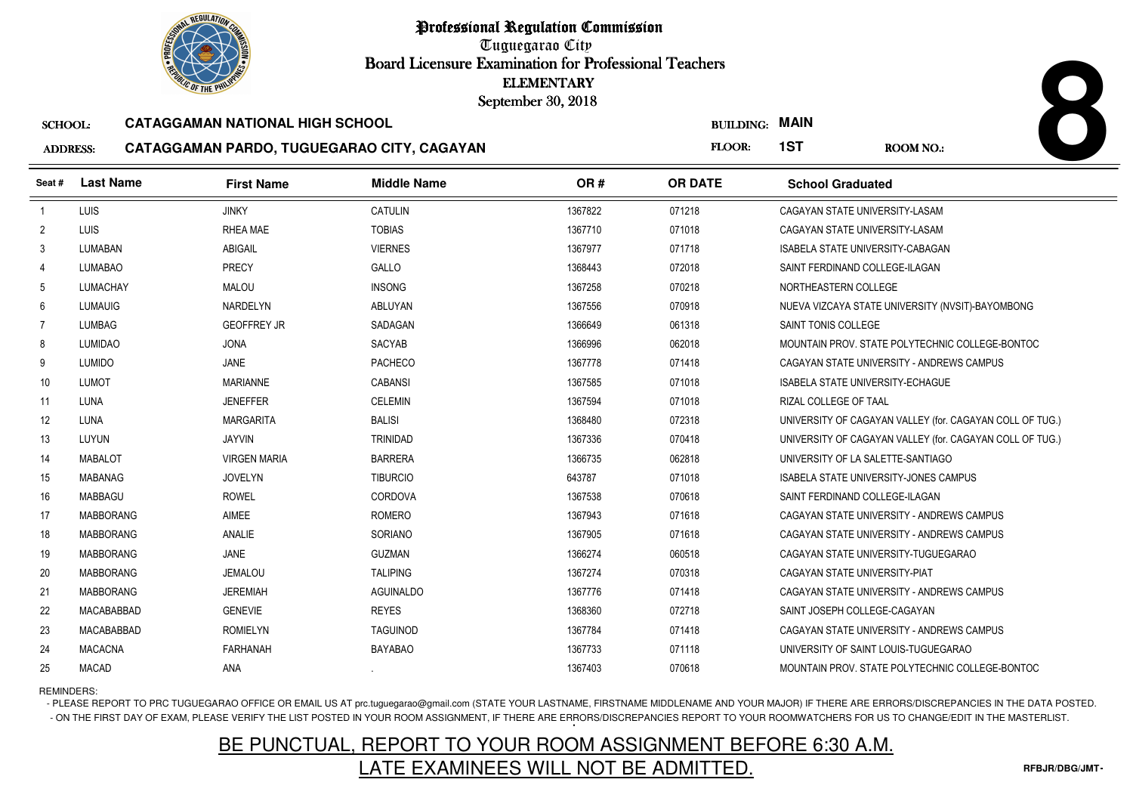Tuguegarao City Board Licensure Examination for Professional Teachers September 30, 2018

#### SCHOOL:**CATAGGAMAN NATIONAL HIGH SCHOOL**

#### ADDRESS:**CATAGGAMAN PARDO, TUGUEGARAO CITY, CAGAYAN**

|                 |                  | <b><i>OLIC OF THE PHILIP</i></b>           |                    | <b>ELEMENTARY</b><br>September 30, 2018 |                  |                                                          |
|-----------------|------------------|--------------------------------------------|--------------------|-----------------------------------------|------------------|----------------------------------------------------------|
| <b>SCHOOL:</b>  |                  | <b>CATAGGAMAN NATIONAL HIGH SCHOOL</b>     |                    |                                         | <b>BUILDING:</b> | <b>MAIN</b>                                              |
| <b>ADDRESS:</b> |                  | CATAGGAMAN PARDO, TUGUEGARAO CITY, CAGAYAN |                    |                                         | FLOOR:           | 1ST<br>ROOM NO.:                                         |
| Seat#           | <b>Last Name</b> | <b>First Name</b>                          | <b>Middle Name</b> | OR#                                     | <b>OR DATE</b>   | <b>School Graduated</b>                                  |
| $\overline{1}$  | LUIS             | <b>JINKY</b>                               | <b>CATULIN</b>     | 1367822                                 | 071218           | CAGAYAN STATE UNIVERSITY-LASAM                           |
| $\overline{2}$  | LUIS             | <b>RHEA MAE</b>                            | <b>TOBIAS</b>      | 1367710                                 | 071018           | CAGAYAN STATE UNIVERSITY-LASAM                           |
| 3               | LUMABAN          | <b>ABIGAIL</b>                             | <b>VIERNES</b>     | 1367977                                 | 071718           | <b>ISABELA STATE UNIVERSITY-CABAGAN</b>                  |
| 4               | <b>LUMABAO</b>   | PRECY                                      | GALLO              | 1368443                                 | 072018           | SAINT FERDINAND COLLEGE-ILAGAN                           |
| 5               | LUMACHAY         | <b>MALOU</b>                               | <b>INSONG</b>      | 1367258                                 | 070218           | NORTHEASTERN COLLEGE                                     |
| 6               | <b>LUMAUIG</b>   | NARDELYN                                   | ABLUYAN            | 1367556                                 | 070918           | NUEVA VIZCAYA STATE UNIVERSITY (NVSIT)-BAYOMBONG         |
| $\overline{7}$  | <b>LUMBAG</b>    | <b>GEOFFREY JR</b>                         | SADAGAN            | 1366649                                 | 061318           | SAINT TONIS COLLEGE                                      |
| 8               | <b>LUMIDAO</b>   | <b>JONA</b>                                | SACYAB             | 1366996                                 | 062018           | MOUNTAIN PROV. STATE POLYTECHNIC COLLEGE-BONTOC          |
| 9               | <b>LUMIDO</b>    | JANE                                       | <b>PACHECO</b>     | 1367778                                 | 071418           | CAGAYAN STATE UNIVERSITY - ANDREWS CAMPUS                |
| 10              | LUMOT            | <b>MARIANNE</b>                            | <b>CABANSI</b>     | 1367585                                 | 071018           | ISABELA STATE UNIVERSITY-ECHAGUE                         |
| 11              | LUNA             | <b>JENEFFER</b>                            | <b>CELEMIN</b>     | 1367594                                 | 071018           | RIZAL COLLEGE OF TAAL                                    |
| 12 <sup>°</sup> | <b>LUNA</b>      | <b>MARGARITA</b>                           | <b>BALISI</b>      | 1368480                                 | 072318           | UNIVERSITY OF CAGAYAN VALLEY (for. CAGAYAN COLL OF TUG.) |
| 13              | LUYUN            | <b>JAYVIN</b>                              | <b>TRINIDAD</b>    | 1367336                                 | 070418           | UNIVERSITY OF CAGAYAN VALLEY (for. CAGAYAN COLL OF TUG.) |
| 14              | <b>MABALOT</b>   | <b>VIRGEN MARIA</b>                        | <b>BARRERA</b>     | 1366735                                 | 062818           | UNIVERSITY OF LA SALETTE-SANTIAGO                        |
| 15              | <b>MABANAG</b>   | <b>JOVELYN</b>                             | <b>TIBURCIO</b>    | 643787                                  | 071018           | <b>ISABELA STATE UNIVERSITY-JONES CAMPUS</b>             |
| 16              | MABBAGU          | <b>ROWEL</b>                               | CORDOVA            | 1367538                                 | 070618           | SAINT FERDINAND COLLEGE-ILAGAN                           |
| 17              | <b>MABBORANG</b> | <b>AIMEE</b>                               | <b>ROMERO</b>      | 1367943                                 | 071618           | CAGAYAN STATE UNIVERSITY - ANDREWS CAMPUS                |
| 18              | <b>MABBORANG</b> | <b>ANALIE</b>                              | SORIANO            | 1367905                                 | 071618           | CAGAYAN STATE UNIVERSITY - ANDREWS CAMPUS                |
| 19              | <b>MABBORANG</b> | <b>JANE</b>                                | <b>GUZMAN</b>      | 1366274                                 | 060518           | CAGAYAN STATE UNIVERSITY-TUGUEGARAO                      |
| 20              | <b>MABBORANG</b> | <b>JEMALOU</b>                             | <b>TALIPING</b>    | 1367274                                 | 070318           | CAGAYAN STATE UNIVERSITY-PIAT                            |
| 21              | <b>MABBORANG</b> | <b>JEREMIAH</b>                            | <b>AGUINALDO</b>   | 1367776                                 | 071418           | CAGAYAN STATE UNIVERSITY - ANDREWS CAMPUS                |
| 22              | MACABABBAD       | <b>GENEVIE</b>                             | <b>REYES</b>       | 1368360                                 | 072718           | SAINT JOSEPH COLLEGE-CAGAYAN                             |
| 23              | MACABABBAD       | <b>ROMIELYN</b>                            | <b>TAGUINOD</b>    | 1367784                                 | 071418           | CAGAYAN STATE UNIVERSITY - ANDREWS CAMPUS                |
| 24              | <b>MACACNA</b>   | <b>FARHANAH</b>                            | <b>BAYABAO</b>     | 1367733                                 | 071118           | UNIVERSITY OF SAINT LOUIS-TUGUEGARAO                     |
| 25              | MACAD            | ANA                                        |                    | 1367403                                 | 070618           | MOUNTAIN PROV. STATE POLYTECHNIC COLLEGE-BONTOC          |

### REMINDERS:

- PLEASE REPORT TO PRC TUGUEGARAO OFFICE OR EMAIL US AT prc.tuguegarao@gmail.com (STATE YOUR LASTNAME, FIRSTNAME MIDDLENAME AND YOUR MAJOR) IF THERE ARE ERRORS/DISCREPANCIES IN THE DATA POSTED. - ON THE FIRST DAY OF EXAM, PLEASE VERIFY THE LIST POSTED IN YOUR ROOM ASSIGNMENT, IF THERE ARE ERRORS/DISCREPANCIES REPORT TO YOUR ROOMWATCHERS FOR US TO CHANGE/EDIT IN THE MASTERLIST.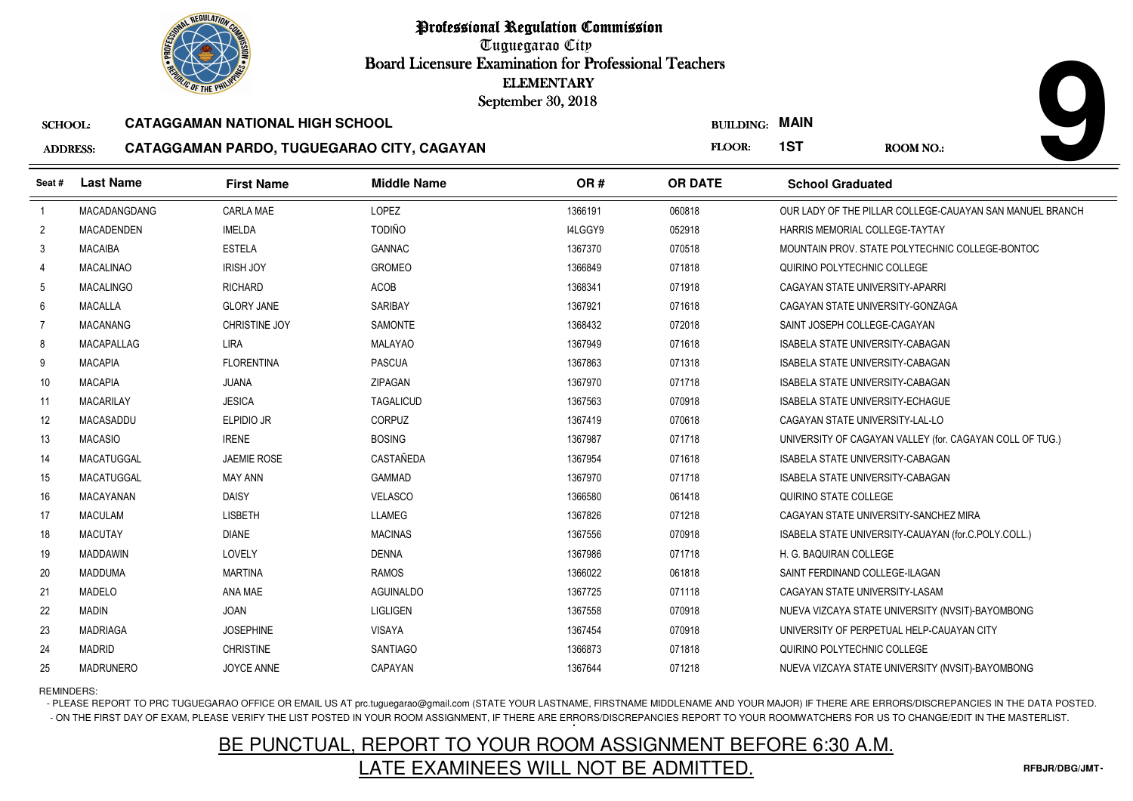Tuguegarao City Board Licensure Examination for Professional Teachers September 30, 2018

#### SCHOOL:**CATAGGAMAN NATIONAL HIGH SCHOOL**

#### ADDRESS:**CATAGGAMAN PARDO, TUGUEGARAO CITY, CAGAYAN**

|                 |                   | <b><i>OLIC OF THE PHILIPS</i></b>      |                                            | <b>ELEMENTARY</b><br>September 30, 2018 |                  |                                                          |
|-----------------|-------------------|----------------------------------------|--------------------------------------------|-----------------------------------------|------------------|----------------------------------------------------------|
| <b>SCHOOL:</b>  |                   | <b>CATAGGAMAN NATIONAL HIGH SCHOOL</b> |                                            |                                         | <b>BUILDING:</b> | <b>MAIN</b>                                              |
| <b>ADDRESS:</b> |                   |                                        | CATAGGAMAN PARDO, TUGUEGARAO CITY, CAGAYAN |                                         | FLOOR:           | 1ST<br><b>ROOM NO.:</b>                                  |
| Seat #          | <b>Last Name</b>  | <b>First Name</b>                      | <b>Middle Name</b>                         | OR#                                     | <b>OR DATE</b>   | <b>School Graduated</b>                                  |
| $\overline{1}$  | MACADANGDANG      | CARLA MAE                              | LOPEZ                                      | 1366191                                 | 060818           | OUR LADY OF THE PILLAR COLLEGE-CAUAYAN SAN MANUEL BRANCH |
| $\overline{2}$  | <b>MACADENDEN</b> | <b>IMELDA</b>                          | <b>TODIÑO</b>                              | I4LGGY9                                 | 052918           | HARRIS MEMORIAL COLLEGE-TAYTAY                           |
| 3               | <b>MACAIBA</b>    | <b>ESTELA</b>                          | <b>GANNAC</b>                              | 1367370                                 | 070518           | MOUNTAIN PROV. STATE POLYTECHNIC COLLEGE-BONTOC          |
| 4               | <b>MACALINAO</b>  | <b>IRISH JOY</b>                       | <b>GROMEO</b>                              | 1366849                                 | 071818           | QUIRINO POLYTECHNIC COLLEGE                              |
| 5               | <b>MACALINGO</b>  | <b>RICHARD</b>                         | ACOB                                       | 1368341                                 | 071918           | CAGAYAN STATE UNIVERSITY-APARRI                          |
| 6               | <b>MACALLA</b>    | <b>GLORY JANE</b>                      | <b>SARIBAY</b>                             | 1367921                                 | 071618           | CAGAYAN STATE UNIVERSITY-GONZAGA                         |
| $\overline{7}$  | <b>MACANANG</b>   | <b>CHRISTINE JOY</b>                   | <b>SAMONTE</b>                             | 1368432                                 | 072018           | SAINT JOSEPH COLLEGE-CAGAYAN                             |
| 8               | MACAPALLAG        | <b>LIRA</b>                            | <b>MALAYAO</b>                             | 1367949                                 | 071618           | ISABELA STATE UNIVERSITY-CABAGAN                         |
| 9               | <b>MACAPIA</b>    | <b>FLORENTINA</b>                      | <b>PASCUA</b>                              | 1367863                                 | 071318           | ISABELA STATE UNIVERSITY-CABAGAN                         |
| 10              | <b>MACAPIA</b>    | <b>JUANA</b>                           | ZIPAGAN                                    | 1367970                                 | 071718           | <b>ISABELA STATE UNIVERSITY-CABAGAN</b>                  |
| 11              | <b>MACARILAY</b>  | <b>JESICA</b>                          | <b>TAGALICUD</b>                           | 1367563                                 | 070918           | <b>ISABELA STATE UNIVERSITY-ECHAGUE</b>                  |
| 12              | <b>MACASADDU</b>  | ELPIDIO JR                             | <b>CORPUZ</b>                              | 1367419                                 | 070618           | CAGAYAN STATE UNIVERSITY-LAL-LO                          |
| 13              | <b>MACASIO</b>    | <b>IRENE</b>                           | <b>BOSING</b>                              | 1367987                                 | 071718           | UNIVERSITY OF CAGAYAN VALLEY (for. CAGAYAN COLL OF TUG.) |
| 14              | <b>MACATUGGAL</b> | <b>JAEMIE ROSE</b>                     | <b>CASTAÑEDA</b>                           | 1367954                                 | 071618           | ISABELA STATE UNIVERSITY-CABAGAN                         |
| 15              | MACATUGGAL        | <b>MAY ANN</b>                         | <b>GAMMAD</b>                              | 1367970                                 | 071718           | ISABELA STATE UNIVERSITY-CABAGAN                         |
| 16              | MACAYANAN         | <b>DAISY</b>                           | <b>VELASCO</b>                             | 1366580                                 | 061418           | QUIRINO STATE COLLEGE                                    |
| 17              | <b>MACULAM</b>    | <b>LISBETH</b>                         | LLAMEG                                     | 1367826                                 | 071218           | CAGAYAN STATE UNIVERSITY-SANCHEZ MIRA                    |
| 18              | <b>MACUTAY</b>    | <b>DIANE</b>                           | <b>MACINAS</b>                             | 1367556                                 | 070918           | ISABELA STATE UNIVERSITY-CAUAYAN (for.C.POLY.COLL.)      |
| 19              | <b>MADDAWIN</b>   | LOVELY                                 | <b>DENNA</b>                               | 1367986                                 | 071718           | H. G. BAQUIRAN COLLEGE                                   |
| 20              | <b>MADDUMA</b>    | <b>MARTINA</b>                         | <b>RAMOS</b>                               | 1366022                                 | 061818           | SAINT FERDINAND COLLEGE-ILAGAN                           |
| 21              | <b>MADELO</b>     | ANA MAE                                | <b>AGUINALDO</b>                           | 1367725                                 | 071118           | CAGAYAN STATE UNIVERSITY-LASAM                           |
| 22              | <b>MADIN</b>      | JOAN                                   | LIGLIGEN                                   | 1367558                                 | 070918           | NUEVA VIZCAYA STATE UNIVERSITY (NVSIT)-BAYOMBONG         |
| 23              | <b>MADRIAGA</b>   | <b>JOSEPHINE</b>                       | <b>VISAYA</b>                              | 1367454                                 | 070918           | UNIVERSITY OF PERPETUAL HELP-CAUAYAN CITY                |
| 24              | <b>MADRID</b>     | <b>CHRISTINE</b>                       | <b>SANTIAGO</b>                            | 1366873                                 | 071818           | QUIRINO POLYTECHNIC COLLEGE                              |
| 25              | <b>MADRUNERO</b>  | <b>JOYCE ANNE</b>                      | CAPAYAN                                    | 1367644                                 | 071218           | NUEVA VIZCAYA STATE UNIVERSITY (NVSIT)-BAYOMBONG         |

REMINDERS:

- PLEASE REPORT TO PRC TUGUEGARAO OFFICE OR EMAIL US AT prc.tuguegarao@gmail.com (STATE YOUR LASTNAME, FIRSTNAME MIDDLENAME AND YOUR MAJOR) IF THERE ARE ERRORS/DISCREPANCIES IN THE DATA POSTED. - ON THE FIRST DAY OF EXAM, PLEASE VERIFY THE LIST POSTED IN YOUR ROOM ASSIGNMENT, IF THERE ARE ERRORS/DISCREPANCIES REPORT TO YOUR ROOMWATCHERS FOR US TO CHANGE/EDIT IN THE MASTERLIST.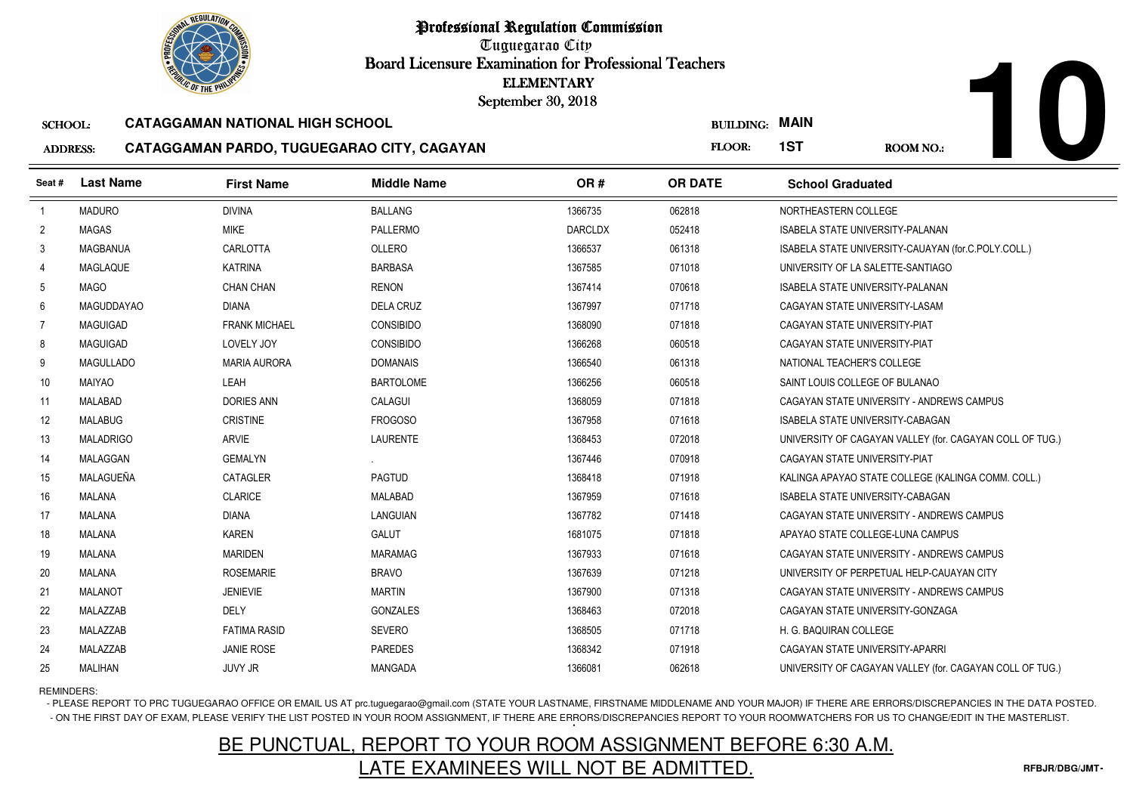Tuguegarao City Board Licensure Examination for Professional Teachers September 30, 2018

#### SCHOOL:**CATAGGAMAN NATIONAL HIGH SCHOOL**

#### ADDRESS:**CATAGGAMAN PARDO, TUGUEGARAO CITY, CAGAYAN**

|                 | <b><i>OLIC OF THE PHILIP</i></b> |                                            | <b>ELEMENTARY</b><br>September 30, 2018 |                |                  |                                                          |
|-----------------|----------------------------------|--------------------------------------------|-----------------------------------------|----------------|------------------|----------------------------------------------------------|
| <b>SCHOOL:</b>  |                                  | <b>CATAGGAMAN NATIONAL HIGH SCHOOL</b>     |                                         |                | <b>BUILDING:</b> | <b>MAIN</b>                                              |
| <b>ADDRESS:</b> |                                  | CATAGGAMAN PARDO, TUGUEGARAO CITY, CAGAYAN |                                         |                | FLOOR:           | 1ST<br><b>ROOM NO.:</b>                                  |
| Seat#           | <b>Last Name</b>                 | <b>First Name</b>                          | <b>Middle Name</b>                      | OR#            | <b>OR DATE</b>   | <b>School Graduated</b>                                  |
| $\overline{1}$  | <b>MADURO</b>                    | <b>DIVINA</b>                              | <b>BALLANG</b>                          | 1366735        | 062818           | NORTHEASTERN COLLEGE                                     |
| $\overline{2}$  | <b>MAGAS</b>                     | <b>MIKE</b>                                | PALLERMO                                | <b>DARCLDX</b> | 052418           | <b>ISABELA STATE UNIVERSITY-PALANAN</b>                  |
| 3               | <b>MAGBANUA</b>                  | CARLOTTA                                   | OLLERO                                  | 1366537        | 061318           | ISABELA STATE UNIVERSITY-CAUAYAN (for.C.POLY.COLL.)      |
| 4               | <b>MAGLAQUE</b>                  | <b>KATRINA</b>                             | <b>BARBASA</b>                          | 1367585        | 071018           | UNIVERSITY OF LA SALETTE-SANTIAGO                        |
| 5               | MAGO                             | <b>CHAN CHAN</b>                           | <b>RENON</b>                            | 1367414        | 070618           | ISABELA STATE UNIVERSITY-PALANAN                         |
| 6               | <b>MAGUDDAYAO</b>                | <b>DIANA</b>                               | <b>DELA CRUZ</b>                        | 1367997        | 071718           | CAGAYAN STATE UNIVERSITY-LASAM                           |
| $\overline{7}$  | <b>MAGUIGAD</b>                  | <b>FRANK MICHAEL</b>                       | <b>CONSIBIDO</b>                        | 1368090        | 071818           | CAGAYAN STATE UNIVERSITY-PIAT                            |
| 8               | <b>MAGUIGAD</b>                  | LOVELY JOY                                 | <b>CONSIBIDO</b>                        | 1366268        | 060518           | CAGAYAN STATE UNIVERSITY-PIAT                            |
| 9               | <b>MAGULLADO</b>                 | <b>MARIA AURORA</b>                        | <b>DOMANAIS</b>                         | 1366540        | 061318           | NATIONAL TEACHER'S COLLEGE                               |
| 10              | MAIYAO                           | LEAH                                       | <b>BARTOLOME</b>                        | 1366256        | 060518           | SAINT LOUIS COLLEGE OF BULANAO                           |
| 11              | MALABAD                          | <b>DORIES ANN</b>                          | CALAGUI                                 | 1368059        | 071818           | CAGAYAN STATE UNIVERSITY - ANDREWS CAMPUS                |
| 12              | <b>MALABUG</b>                   | <b>CRISTINE</b>                            | FROGOSO                                 | 1367958        | 071618           | ISABELA STATE UNIVERSITY-CABAGAN                         |
| 13              | <b>MALADRIGO</b>                 | <b>ARVIE</b>                               | LAURENTE                                | 1368453        | 072018           | UNIVERSITY OF CAGAYAN VALLEY (for. CAGAYAN COLL OF TUG.) |
| 14              | <b>MALAGGAN</b>                  | <b>GEMALYN</b>                             |                                         | 1367446        | 070918           | CAGAYAN STATE UNIVERSITY-PIAT                            |
| 15              | MALAGUEÑA                        | <b>CATAGLER</b>                            | <b>PAGTUD</b>                           | 1368418        | 071918           | KALINGA APAYAO STATE COLLEGE (KALINGA COMM. COLL.)       |
| 16              | <b>MALANA</b>                    | <b>CLARICE</b>                             | <b>MALABAD</b>                          | 1367959        | 071618           | ISABELA STATE UNIVERSITY-CABAGAN                         |
| 17              | <b>MALANA</b>                    | <b>DIANA</b>                               | LANGUIAN                                | 1367782        | 071418           | CAGAYAN STATE UNIVERSITY - ANDREWS CAMPUS                |
| 18              | <b>MALANA</b>                    | <b>KAREN</b>                               | <b>GALUT</b>                            | 1681075        | 071818           | APAYAO STATE COLLEGE-LUNA CAMPUS                         |
| 19              | <b>MALANA</b>                    | <b>MARIDEN</b>                             | <b>MARAMAG</b>                          | 1367933        | 071618           | CAGAYAN STATE UNIVERSITY - ANDREWS CAMPUS                |
| 20              | <b>MALANA</b>                    | <b>ROSEMARIE</b>                           | <b>BRAVO</b>                            | 1367639        | 071218           | UNIVERSITY OF PERPETUAL HELP-CAUAYAN CITY                |
| 21              | <b>MALANOT</b>                   | <b>JENIEVIE</b>                            | <b>MARTIN</b>                           | 1367900        | 071318           | CAGAYAN STATE UNIVERSITY - ANDREWS CAMPUS                |
| 22              | MALAZZAB                         | DELY                                       | GONZALES                                | 1368463        | 072018           | CAGAYAN STATE UNIVERSITY-GONZAGA                         |
| 23              | MALAZZAB                         | <b>FATIMA RASID</b>                        | <b>SEVERO</b>                           | 1368505        | 071718           | H. G. BAQUIRAN COLLEGE                                   |
| 24              | MALAZZAB                         | <b>JANIE ROSE</b>                          | <b>PAREDES</b>                          | 1368342        | 071918           | CAGAYAN STATE UNIVERSITY-APARRI                          |
| 25              | <b>MALIHAN</b>                   | <b>JUVY JR</b>                             | MANGADA                                 | 1366081        | 062618           | UNIVERSITY OF CAGAYAN VALLEY (for. CAGAYAN COLL OF TUG.) |

REMINDERS:

- PLEASE REPORT TO PRC TUGUEGARAO OFFICE OR EMAIL US AT prc.tuguegarao@gmail.com (STATE YOUR LASTNAME, FIRSTNAME MIDDLENAME AND YOUR MAJOR) IF THERE ARE ERRORS/DISCREPANCIES IN THE DATA POSTED. - ON THE FIRST DAY OF EXAM, PLEASE VERIFY THE LIST POSTED IN YOUR ROOM ASSIGNMENT, IF THERE ARE ERRORS/DISCREPANCIES REPORT TO YOUR ROOMWATCHERS FOR US TO CHANGE/EDIT IN THE MASTERLIST.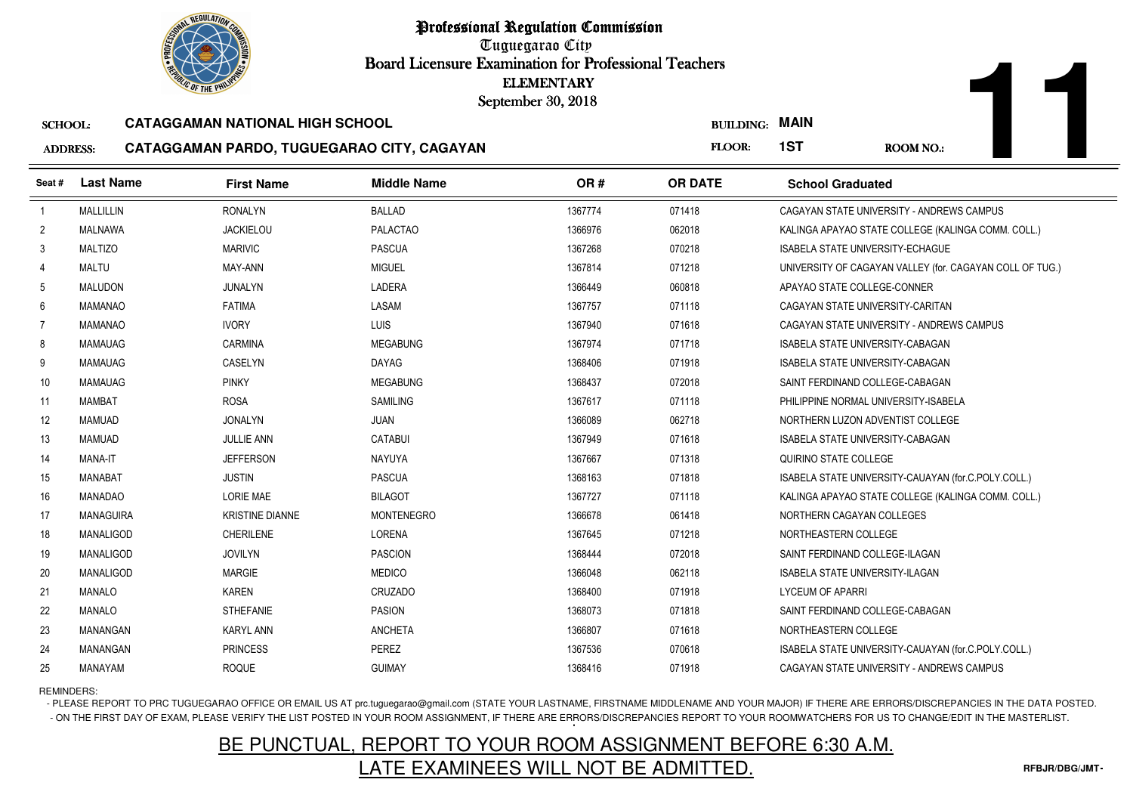Tuguegarao City Board Licensure Examination for Professional Teachers September 30, 2018

#### SCHOOL:**CATAGGAMAN NATIONAL HIGH SCHOOL**

#### ADDRESS:**CATAGGAMAN PARDO, TUGUEGARAO CITY, CAGAYAN**

|                 |                  | <b><i>OLIC OF THE PHILIP</i></b>       |                                            | <b>ELEMENTARY</b><br>September 30, 2018 |                       |                                                          |  |
|-----------------|------------------|----------------------------------------|--------------------------------------------|-----------------------------------------|-----------------------|----------------------------------------------------------|--|
| <b>SCHOOL:</b>  |                  | <b>CATAGGAMAN NATIONAL HIGH SCHOOL</b> |                                            |                                         | <b>BUILDING: MAIN</b> |                                                          |  |
| <b>ADDRESS:</b> |                  |                                        | CATAGGAMAN PARDO, TUGUEGARAO CITY, CAGAYAN |                                         | FLOOR:                | 1ST<br><b>ROOM NO.:</b>                                  |  |
| Seat #          | <b>Last Name</b> | <b>First Name</b>                      | <b>Middle Name</b>                         | OR#                                     | <b>OR DATE</b>        | <b>School Graduated</b>                                  |  |
| $\overline{1}$  | MALLILLIN        | <b>RONALYN</b>                         | <b>BALLAD</b>                              | 1367774                                 | 071418                | CAGAYAN STATE UNIVERSITY - ANDREWS CAMPUS                |  |
| $\overline{2}$  | MALNAWA          | <b>JACKIELOU</b>                       | <b>PALACTAO</b>                            | 1366976                                 | 062018                | KALINGA APAYAO STATE COLLEGE (KALINGA COMM. COLL.)       |  |
| 3               | <b>MALTIZO</b>   | <b>MARIVIC</b>                         | <b>PASCUA</b>                              | 1367268                                 | 070218                | <b>ISABELA STATE UNIVERSITY-ECHAGUE</b>                  |  |
| Δ               | <b>MALTU</b>     | MAY-ANN                                | <b>MIGUEL</b>                              | 1367814                                 | 071218                | UNIVERSITY OF CAGAYAN VALLEY (for. CAGAYAN COLL OF TUG.) |  |
| 5               | <b>MALUDON</b>   | JUNALYN                                | LADERA                                     | 1366449                                 | 060818                | APAYAO STATE COLLEGE-CONNER                              |  |
| 6               | MAMANAO          | <b>FATIMA</b>                          | LASAM                                      | 1367757                                 | 071118                | CAGAYAN STATE UNIVERSITY-CARITAN                         |  |
| $\overline{7}$  | <b>MAMANAO</b>   | <b>IVORY</b>                           | LUIS                                       | 1367940                                 | 071618                | CAGAYAN STATE UNIVERSITY - ANDREWS CAMPUS                |  |
| 8               | <b>MAMAUAG</b>   | <b>CARMINA</b>                         | <b>MEGABUNG</b>                            | 1367974                                 | 071718                | <b>ISABELA STATE UNIVERSITY-CABAGAN</b>                  |  |
| 9               | <b>MAMAUAG</b>   | CASELYN                                | <b>DAYAG</b>                               | 1368406                                 | 071918                | <b>ISABELA STATE UNIVERSITY-CABAGAN</b>                  |  |
| 10 <sup>°</sup> | <b>MAMAUAG</b>   | <b>PINKY</b>                           | <b>MEGABUNG</b>                            | 1368437                                 | 072018                | SAINT FERDINAND COLLEGE-CABAGAN                          |  |
| 11              | MAMBAT           | <b>ROSA</b>                            | <b>SAMILING</b>                            | 1367617                                 | 071118                | PHILIPPINE NORMAL UNIVERSITY-ISABELA                     |  |
| 12 <sup>2</sup> | <b>MAMUAD</b>    | <b>JONALYN</b>                         | <b>JUAN</b>                                | 1366089                                 | 062718                | NORTHERN LUZON ADVENTIST COLLEGE                         |  |
| 13              | <b>MAMUAD</b>    | <b>JULLIE ANN</b>                      | <b>CATABUI</b>                             | 1367949                                 | 071618                | <b>ISABELA STATE UNIVERSITY-CABAGAN</b>                  |  |
| 14              | <b>MANA-IT</b>   | <b>JEFFERSON</b>                       | <b>NAYUYA</b>                              | 1367667                                 | 071318                | QUIRINO STATE COLLEGE                                    |  |
| 15              | <b>MANABAT</b>   | <b>JUSTIN</b>                          | <b>PASCUA</b>                              | 1368163                                 | 071818                | ISABELA STATE UNIVERSITY-CAUAYAN (for.C.POLY.COLL.)      |  |
| 16              | MANADAO          | <b>LORIE MAE</b>                       | <b>BILAGOT</b>                             | 1367727                                 | 071118                | KALINGA APAYAO STATE COLLEGE (KALINGA COMM. COLL.)       |  |
| 17              | MANAGUIRA        | <b>KRISTINE DIANNE</b>                 | MONTENEGRO                                 | 1366678                                 | 061418                | NORTHERN CAGAYAN COLLEGES                                |  |
| 18              | MANALIGOD        | <b>CHERILENE</b>                       | LORENA                                     | 1367645                                 | 071218                | NORTHEASTERN COLLEGE                                     |  |
| 19              | MANALIGOD        | <b>JOVILYN</b>                         | <b>PASCION</b>                             | 1368444                                 | 072018                | SAINT FERDINAND COLLEGE-ILAGAN                           |  |
| 20              | MANALIGOD        | <b>MARGIE</b>                          | <b>MEDICO</b>                              | 1366048                                 | 062118                | <b>ISABELA STATE UNIVERSITY-ILAGAN</b>                   |  |
| 21              | <b>MANALO</b>    | <b>KAREN</b>                           | CRUZADO                                    | 1368400                                 | 071918                | <b>LYCEUM OF APARRI</b>                                  |  |
| 22              | <b>MANALO</b>    | <b>STHEFANIE</b>                       | <b>PASION</b>                              | 1368073                                 | 071818                | SAINT FERDINAND COLLEGE-CABAGAN                          |  |
| 23              | <b>MANANGAN</b>  | <b>KARYL ANN</b>                       | <b>ANCHETA</b>                             | 1366807                                 | 071618                | NORTHEASTERN COLLEGE                                     |  |
| 24              | <b>MANANGAN</b>  | <b>PRINCESS</b>                        | PEREZ                                      | 1367536                                 | 070618                | ISABELA STATE UNIVERSITY-CAUAYAN (for.C.POLY.COLL.)      |  |
| 25              | MANAYAM          | <b>ROQUE</b>                           | <b>GUIMAY</b>                              | 1368416                                 | 071918                | CAGAYAN STATE UNIVERSITY - ANDREWS CAMPUS                |  |

REMINDERS:

- PLEASE REPORT TO PRC TUGUEGARAO OFFICE OR EMAIL US AT prc.tuguegarao@gmail.com (STATE YOUR LASTNAME, FIRSTNAME MIDDLENAME AND YOUR MAJOR) IF THERE ARE ERRORS/DISCREPANCIES IN THE DATA POSTED. - ON THE FIRST DAY OF EXAM, PLEASE VERIFY THE LIST POSTED IN YOUR ROOM ASSIGNMENT, IF THERE ARE ERRORS/DISCREPANCIES REPORT TO YOUR ROOMWATCHERS FOR US TO CHANGE/EDIT IN THE MASTERLIST.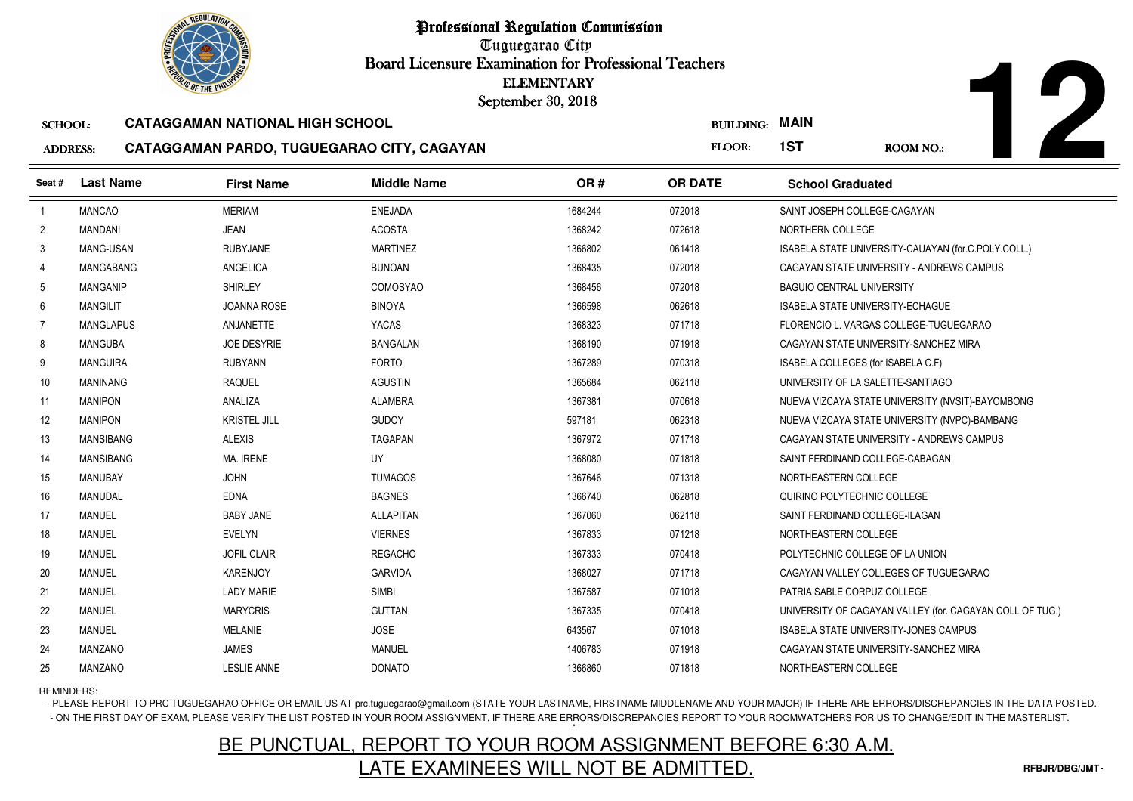

Tuguegarao City Board Licensure Examination for Professional Teachers September 30, 2018

#### SCHOOL:**CATAGGAMAN NATIONAL HIGH SCHOOL**

#### ADDRESS:**CATAGGAMAN PARDO, TUGUEGARAO CITY, CAGAYAN**

**12**

|                 | <b><i>OLIC OF THE PHILIP</i></b> |                                            | <b>ELEMENTARY</b><br>September 30, 2018 |         |                  |                                                          |
|-----------------|----------------------------------|--------------------------------------------|-----------------------------------------|---------|------------------|----------------------------------------------------------|
| <b>SCHOOL:</b>  |                                  | <b>CATAGGAMAN NATIONAL HIGH SCHOOL</b>     |                                         |         | <b>BUILDING:</b> | <b>MAIN</b>                                              |
| <b>ADDRESS:</b> |                                  | CATAGGAMAN PARDO, TUGUEGARAO CITY, CAGAYAN |                                         |         | FLOOR:           | 1ST<br><b>ROOM NO.:</b>                                  |
| Seat #          | <b>Last Name</b>                 | <b>First Name</b>                          | <b>Middle Name</b>                      | OR#     | <b>OR DATE</b>   | <b>School Graduated</b>                                  |
| $\overline{1}$  | <b>MANCAO</b>                    | <b>MERIAM</b>                              | <b>ENEJADA</b>                          | 1684244 | 072018           | SAINT JOSEPH COLLEGE-CAGAYAN                             |
| $\overline{2}$  | <b>MANDANI</b>                   | <b>JEAN</b>                                | <b>ACOSTA</b>                           | 1368242 | 072618           | NORTHERN COLLEGE                                         |
| 3               | MANG-USAN                        | <b>RUBYJANE</b>                            | <b>MARTINEZ</b>                         | 1366802 | 061418           | ISABELA STATE UNIVERSITY-CAUAYAN (for.C.POLY.COLL.)      |
| $\overline{4}$  | MANGABANG                        | ANGELICA                                   | <b>BUNOAN</b>                           | 1368435 | 072018           | CAGAYAN STATE UNIVERSITY - ANDREWS CAMPUS                |
| 5               | <b>MANGANIP</b>                  | <b>SHIRLEY</b>                             | <b>COMOSYAO</b>                         | 1368456 | 072018           | <b>BAGUIO CENTRAL UNIVERSITY</b>                         |
| 6               | <b>MANGILIT</b>                  | <b>JOANNA ROSE</b>                         | <b>BINOYA</b>                           | 1366598 | 062618           | <b>ISABELA STATE UNIVERSITY-ECHAGUE</b>                  |
| $\overline{7}$  | <b>MANGLAPUS</b>                 | ANJANETTE                                  | YACAS                                   | 1368323 | 071718           | FLORENCIO L. VARGAS COLLEGE-TUGUEGARAO                   |
| 8               | <b>MANGUBA</b>                   | <b>JOE DESYRIE</b>                         | <b>BANGALAN</b>                         | 1368190 | 071918           | CAGAYAN STATE UNIVERSITY-SANCHEZ MIRA                    |
| 9               | <b>MANGUIRA</b>                  | <b>RUBYANN</b>                             | <b>FORTO</b>                            | 1367289 | 070318           | ISABELA COLLEGES (for.ISABELA C.F)                       |
| 10              | MANINANG                         | <b>RAQUEL</b>                              | <b>AGUSTIN</b>                          | 1365684 | 062118           | UNIVERSITY OF LA SALETTE-SANTIAGO                        |
| 11              | <b>MANIPON</b>                   | ANALIZA                                    | <b>ALAMBRA</b>                          | 1367381 | 070618           | NUEVA VIZCAYA STATE UNIVERSITY (NVSIT)-BAYOMBONG         |
| 12              | <b>MANIPON</b>                   | <b>KRISTEL JILL</b>                        | <b>GUDOY</b>                            | 597181  | 062318           | NUEVA VIZCAYA STATE UNIVERSITY (NVPC)-BAMBANG            |
| 13              | <b>MANSIBANG</b>                 | <b>ALEXIS</b>                              | <b>TAGAPAN</b>                          | 1367972 | 071718           | CAGAYAN STATE UNIVERSITY - ANDREWS CAMPUS                |
| 14              | <b>MANSIBANG</b>                 | MA. IRENE                                  | UY                                      | 1368080 | 071818           | SAINT FERDINAND COLLEGE-CABAGAN                          |
| 15              | <b>MANUBAY</b>                   | <b>JOHN</b>                                | <b>TUMAGOS</b>                          | 1367646 | 071318           | NORTHEASTERN COLLEGE                                     |
| 16              | MANUDAL                          | <b>EDNA</b>                                | <b>BAGNES</b>                           | 1366740 | 062818           | QUIRINO POLYTECHNIC COLLEGE                              |
| 17              | <b>MANUEL</b>                    | <b>BABY JANE</b>                           | <b>ALLAPITAN</b>                        | 1367060 | 062118           | SAINT FERDINAND COLLEGE-ILAGAN                           |
| 18              | <b>MANUEL</b>                    | <b>EVELYN</b>                              | <b>VIERNES</b>                          | 1367833 | 071218           | NORTHEASTERN COLLEGE                                     |
| 19              | <b>MANUEL</b>                    | <b>JOFIL CLAIR</b>                         | <b>REGACHO</b>                          | 1367333 | 070418           | POLYTECHNIC COLLEGE OF LA UNION                          |
| 20              | <b>MANUEL</b>                    | <b>KARENJOY</b>                            | <b>GARVIDA</b>                          | 1368027 | 071718           | CAGAYAN VALLEY COLLEGES OF TUGUEGARAO                    |
| 21              | <b>MANUEL</b>                    | <b>LADY MARIE</b>                          | <b>SIMBI</b>                            | 1367587 | 071018           | PATRIA SABLE CORPUZ COLLEGE                              |
| 22              | <b>MANUEL</b>                    | <b>MARYCRIS</b>                            | <b>GUTTAN</b>                           | 1367335 | 070418           | UNIVERSITY OF CAGAYAN VALLEY (for. CAGAYAN COLL OF TUG.) |
| 23              | <b>MANUEL</b>                    | <b>MELANIE</b>                             | <b>JOSE</b>                             | 643567  | 071018           | <b>ISABELA STATE UNIVERSITY-JONES CAMPUS</b>             |
| 24              | <b>MANZANO</b>                   | <b>JAMES</b>                               | <b>MANUEL</b>                           | 1406783 | 071918           | CAGAYAN STATE UNIVERSITY-SANCHEZ MIRA                    |
| 25              | <b>MANZANO</b>                   | <b>LESLIE ANNE</b>                         | <b>DONATO</b>                           | 1366860 | 071818           | NORTHEASTERN COLLEGE                                     |

REMINDERS:

- PLEASE REPORT TO PRC TUGUEGARAO OFFICE OR EMAIL US AT prc.tuguegarao@gmail.com (STATE YOUR LASTNAME, FIRSTNAME MIDDLENAME AND YOUR MAJOR) IF THERE ARE ERRORS/DISCREPANCIES IN THE DATA POSTED. - ON THE FIRST DAY OF EXAM, PLEASE VERIFY THE LIST POSTED IN YOUR ROOM ASSIGNMENT, IF THERE ARE ERRORS/DISCREPANCIES REPORT TO YOUR ROOMWATCHERS FOR US TO CHANGE/EDIT IN THE MASTERLIST.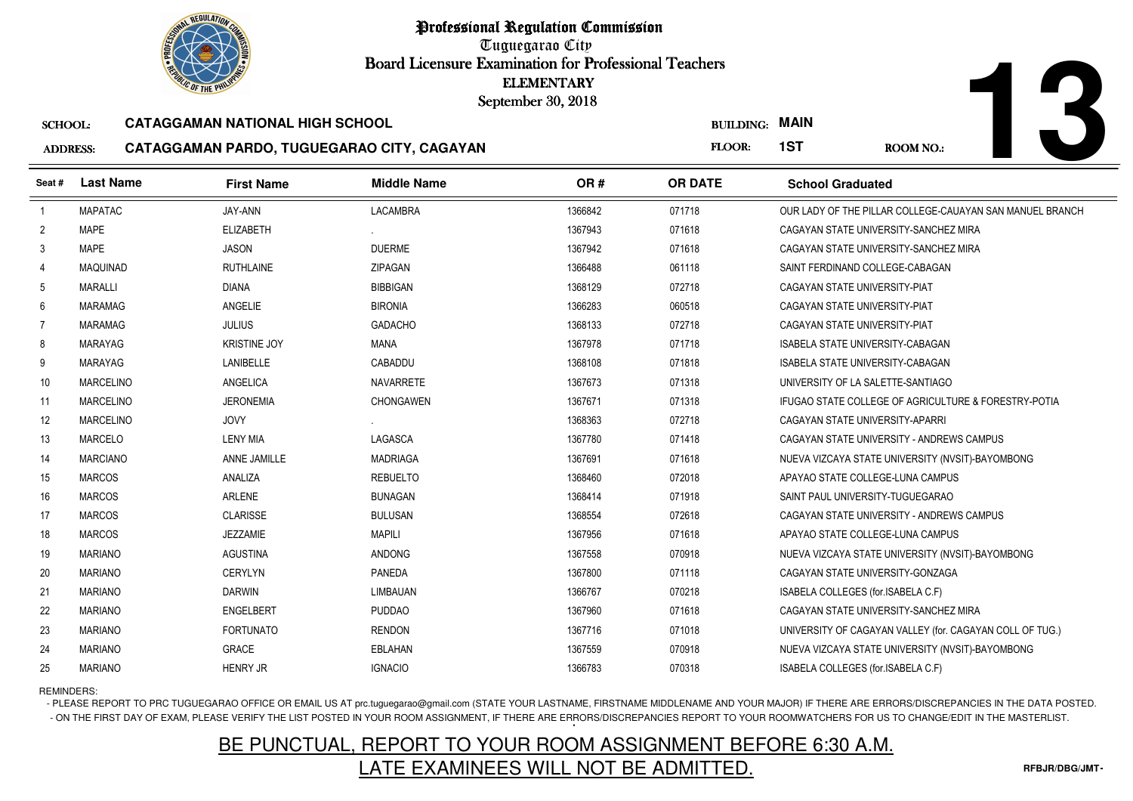

Tuguegarao City Board Licensure Examination for Professional Teachers September 30, 2018

#### SCHOOL:**CATAGGAMAN NATIONAL HIGH SCHOOL**

#### ADDRESS:**CATAGGAMAN PARDO, TUGUEGARAO CITY, CAGAYAN**

|                 |                  | <b><i>OLIC OF THE PHILIP</i></b>       |                                            | <b>ELEMENTARY</b><br>September 30, 2018 |                  |                                                          |
|-----------------|------------------|----------------------------------------|--------------------------------------------|-----------------------------------------|------------------|----------------------------------------------------------|
| <b>SCHOOL:</b>  |                  | <b>CATAGGAMAN NATIONAL HIGH SCHOOL</b> |                                            |                                         | <b>BUILDING:</b> | <b>MAIN</b>                                              |
| <b>ADDRESS:</b> |                  |                                        | CATAGGAMAN PARDO, TUGUEGARAO CITY, CAGAYAN |                                         | FLOOR:           | 1ST<br><b>ROOM NO.:</b>                                  |
| Seat#           | <b>Last Name</b> | <b>First Name</b>                      | <b>Middle Name</b>                         | OR#                                     | <b>OR DATE</b>   | <b>School Graduated</b>                                  |
| $\overline{1}$  | <b>MAPATAC</b>   | JAY-ANN                                | <b>LACAMBRA</b>                            | 1366842                                 | 071718           | OUR LADY OF THE PILLAR COLLEGE-CAUAYAN SAN MANUEL BRANCH |
| $\overline{2}$  | <b>MAPE</b>      | <b>ELIZABETH</b>                       |                                            | 1367943                                 | 071618           | CAGAYAN STATE UNIVERSITY-SANCHEZ MIRA                    |
| 3               | <b>MAPE</b>      | <b>JASON</b>                           | <b>DUERME</b>                              | 1367942                                 | 071618           | CAGAYAN STATE UNIVERSITY-SANCHEZ MIRA                    |
| 4               | <b>MAQUINAD</b>  | <b>RUTHLAINE</b>                       | <b>ZIPAGAN</b>                             | 1366488                                 | 061118           | SAINT FERDINAND COLLEGE-CABAGAN                          |
| 5               | <b>MARALLI</b>   | <b>DIANA</b>                           | <b>BIBBIGAN</b>                            | 1368129                                 | 072718           | CAGAYAN STATE UNIVERSITY-PIAT                            |
| 6               | MARAMAG          | ANGELIE                                | <b>BIRONIA</b>                             | 1366283                                 | 060518           | CAGAYAN STATE UNIVERSITY-PIAT                            |
| $\overline{7}$  | <b>MARAMAG</b>   | <b>JULIUS</b>                          | <b>GADACHO</b>                             | 1368133                                 | 072718           | CAGAYAN STATE UNIVERSITY-PIAT                            |
| 8               | MARAYAG          | <b>KRISTINE JOY</b>                    | <b>MANA</b>                                | 1367978                                 | 071718           | <b>ISABELA STATE UNIVERSITY-CABAGAN</b>                  |
| 9               | <b>MARAYAG</b>   | <b>LANIBELLE</b>                       | CABADDU                                    | 1368108                                 | 071818           | ISABELA STATE UNIVERSITY-CABAGAN                         |
| 10              | MARCELINO        | ANGELICA                               | NAVARRETE                                  | 1367673                                 | 071318           | UNIVERSITY OF LA SALETTE-SANTIAGO                        |
| 11              | <b>MARCELINO</b> | <b>JERONEMIA</b>                       | <b>CHONGAWEN</b>                           | 1367671                                 | 071318           | IFUGAO STATE COLLEGE OF AGRICULTURE & FORESTRY-POTIA     |
| 12              | <b>MARCELINO</b> | <b>JOVY</b>                            |                                            | 1368363                                 | 072718           | CAGAYAN STATE UNIVERSITY-APARRI                          |
| 13              | MARCELO          | <b>LENY MIA</b>                        | LAGASCA                                    | 1367780                                 | 071418           | CAGAYAN STATE UNIVERSITY - ANDREWS CAMPUS                |
| 14              | <b>MARCIANO</b>  | ANNE JAMILLE                           | <b>MADRIAGA</b>                            | 1367691                                 | 071618           | NUEVA VIZCAYA STATE UNIVERSITY (NVSIT)-BAYOMBONG         |
| 15              | <b>MARCOS</b>    | ANALIZA                                | <b>REBUELTO</b>                            | 1368460                                 | 072018           | APAYAO STATE COLLEGE-LUNA CAMPUS                         |
| 16              | <b>MARCOS</b>    | <b>ARLENE</b>                          | <b>BUNAGAN</b>                             | 1368414                                 | 071918           | SAINT PAUL UNIVERSITY-TUGUEGARAO                         |
| 17              | <b>MARCOS</b>    | <b>CLARISSE</b>                        | <b>BULUSAN</b>                             | 1368554                                 | 072618           | CAGAYAN STATE UNIVERSITY - ANDREWS CAMPUS                |
| 18              | <b>MARCOS</b>    | <b>JEZZAMIE</b>                        | <b>MAPILI</b>                              | 1367956                                 | 071618           | APAYAO STATE COLLEGE-LUNA CAMPUS                         |
| 19              | <b>MARIANO</b>   | <b>AGUSTINA</b>                        | ANDONG                                     | 1367558                                 | 070918           | NUEVA VIZCAYA STATE UNIVERSITY (NVSIT)-BAYOMBONG         |
| 20              | <b>MARIANO</b>   | <b>CERYLYN</b>                         | PANEDA                                     | 1367800                                 | 071118           | CAGAYAN STATE UNIVERSITY-GONZAGA                         |
| 21              | <b>MARIANO</b>   | <b>DARWIN</b>                          | LIMBAUAN                                   | 1366767                                 | 070218           | ISABELA COLLEGES (for.ISABELA C.F)                       |
| 22              | <b>MARIANO</b>   | <b>ENGELBERT</b>                       | <b>PUDDAO</b>                              | 1367960                                 | 071618           | CAGAYAN STATE UNIVERSITY-SANCHEZ MIRA                    |
| 23              | <b>MARIANO</b>   | <b>FORTUNATO</b>                       | <b>RENDON</b>                              | 1367716                                 | 071018           | UNIVERSITY OF CAGAYAN VALLEY (for. CAGAYAN COLL OF TUG.) |
| 24              | <b>MARIANO</b>   | <b>GRACE</b>                           | EBLAHAN                                    | 1367559                                 | 070918           | NUEVA VIZCAYA STATE UNIVERSITY (NVSIT)-BAYOMBONG         |
| 25              | <b>MARIANO</b>   | <b>HENRY JR</b>                        | <b>IGNACIO</b>                             | 1366783                                 | 070318           | ISABELA COLLEGES (for ISABELA C.F)                       |

REMINDERS:

- PLEASE REPORT TO PRC TUGUEGARAO OFFICE OR EMAIL US AT prc.tuguegarao@gmail.com (STATE YOUR LASTNAME, FIRSTNAME MIDDLENAME AND YOUR MAJOR) IF THERE ARE ERRORS/DISCREPANCIES IN THE DATA POSTED. - ON THE FIRST DAY OF EXAM, PLEASE VERIFY THE LIST POSTED IN YOUR ROOM ASSIGNMENT, IF THERE ARE ERRORS/DISCREPANCIES REPORT TO YOUR ROOMWATCHERS FOR US TO CHANGE/EDIT IN THE MASTERLIST.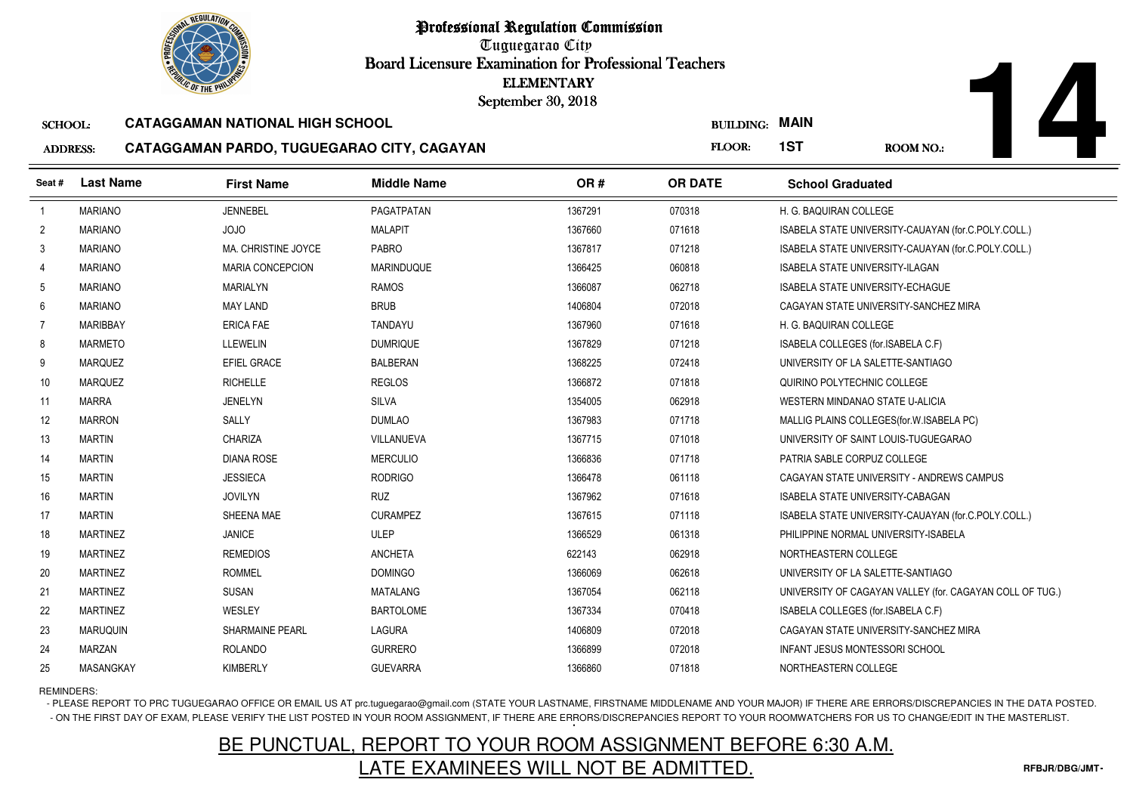Tuguegarao City Board Licensure Examination for Professional Teachers September 30, 2018

#### SCHOOL:**CATAGGAMAN NATIONAL HIGH SCHOOL**

#### ADDRESS:**CATAGGAMAN PARDO, TUGUEGARAO CITY, CAGAYAN**

|                 | <b><i>OLIC OF THE PHILIP</i></b> |                                            | <b>ELEMENTARY</b><br>September 30, 2018 |         |                  |                                                          |
|-----------------|----------------------------------|--------------------------------------------|-----------------------------------------|---------|------------------|----------------------------------------------------------|
| <b>SCHOOL:</b>  |                                  | <b>CATAGGAMAN NATIONAL HIGH SCHOOL</b>     |                                         |         | <b>BUILDING:</b> | <b>MAIN</b>                                              |
| <b>ADDRESS:</b> |                                  | CATAGGAMAN PARDO, TUGUEGARAO CITY, CAGAYAN |                                         |         | FLOOR:           | 1ST<br><b>ROOM NO.:</b>                                  |
| Seat#           | <b>Last Name</b>                 | <b>First Name</b>                          | <b>Middle Name</b>                      | OR#     | <b>OR DATE</b>   | <b>School Graduated</b>                                  |
| $\overline{1}$  | <b>MARIANO</b>                   | <b>JENNEBEL</b>                            | PAGATPATAN                              | 1367291 | 070318           | H. G. BAQUIRAN COLLEGE                                   |
| $\overline{2}$  | <b>MARIANO</b>                   | JOJO                                       | <b>MALAPIT</b>                          | 1367660 | 071618           | ISABELA STATE UNIVERSITY-CAUAYAN (for.C.POLY.COLL.)      |
| 3               | <b>MARIANO</b>                   | MA. CHRISTINE JOYCE                        | <b>PABRO</b>                            | 1367817 | 071218           | ISABELA STATE UNIVERSITY-CAUAYAN (for.C.POLY.COLL.)      |
| 4               | <b>MARIANO</b>                   | <b>MARIA CONCEPCION</b>                    | <b>MARINDUQUE</b>                       | 1366425 | 060818           | <b>ISABELA STATE UNIVERSITY-ILAGAN</b>                   |
| 5               | <b>MARIANO</b>                   | MARIALYN                                   | <b>RAMOS</b>                            | 1366087 | 062718           | ISABELA STATE UNIVERSITY-ECHAGUE                         |
| 6               | <b>MARIANO</b>                   | <b>MAY LAND</b>                            | <b>BRUB</b>                             | 1406804 | 072018           | CAGAYAN STATE UNIVERSITY-SANCHEZ MIRA                    |
| $\overline{7}$  | <b>MARIBBAY</b>                  | <b>ERICA FAE</b>                           | <b>TANDAYU</b>                          | 1367960 | 071618           | H. G. BAQUIRAN COLLEGE                                   |
| 8               | <b>MARMETO</b>                   | <b>LLEWELIN</b>                            | <b>DUMRIQUE</b>                         | 1367829 | 071218           | ISABELA COLLEGES (for.ISABELA C.F)                       |
| 9               | <b>MARQUEZ</b>                   | EFIEL GRACE                                | <b>BALBERAN</b>                         | 1368225 | 072418           | UNIVERSITY OF LA SALETTE-SANTIAGO                        |
| 10              | <b>MARQUEZ</b>                   | <b>RICHELLE</b>                            | <b>REGLOS</b>                           | 1366872 | 071818           | QUIRINO POLYTECHNIC COLLEGE                              |
| 11              | <b>MARRA</b>                     | <b>JENELYN</b>                             | SILVA                                   | 1354005 | 062918           | WESTERN MINDANAO STATE U-ALICIA                          |
| 12              | <b>MARRON</b>                    | <b>SALLY</b>                               | <b>DUMLAO</b>                           | 1367983 | 071718           | MALLIG PLAINS COLLEGES (for. W. ISABELA PC)              |
| 13              | <b>MARTIN</b>                    | CHARIZA                                    | VILLANUEVA                              | 1367715 | 071018           | UNIVERSITY OF SAINT LOUIS-TUGUEGARAO                     |
| 14              | <b>MARTIN</b>                    | DIANA ROSE                                 | <b>MERCULIO</b>                         | 1366836 | 071718           | PATRIA SABLE CORPUZ COLLEGE                              |
| 15              | <b>MARTIN</b>                    | <b>JESSIECA</b>                            | <b>RODRIGO</b>                          | 1366478 | 061118           | CAGAYAN STATE UNIVERSITY - ANDREWS CAMPUS                |
| 16              | <b>MARTIN</b>                    | <b>JOVILYN</b>                             | <b>RUZ</b>                              | 1367962 | 071618           | ISABELA STATE UNIVERSITY-CABAGAN                         |
| 17              | <b>MARTIN</b>                    | SHEENA MAE                                 | <b>CURAMPEZ</b>                         | 1367615 | 071118           | ISABELA STATE UNIVERSITY-CAUAYAN (for C.POLY.COLL.)      |
| 18              | <b>MARTINEZ</b>                  | <b>JANICE</b>                              | <b>ULEP</b>                             | 1366529 | 061318           | PHILIPPINE NORMAL UNIVERSITY-ISABELA                     |
| 19              | <b>MARTINEZ</b>                  | <b>REMEDIOS</b>                            | <b>ANCHETA</b>                          | 622143  | 062918           | NORTHEASTERN COLLEGE                                     |
| 20              | <b>MARTINEZ</b>                  | <b>ROMMEL</b>                              | <b>DOMINGO</b>                          | 1366069 | 062618           | UNIVERSITY OF LA SALETTE-SANTIAGO                        |
| 21              | <b>MARTINEZ</b>                  | <b>SUSAN</b>                               | <b>MATALANG</b>                         | 1367054 | 062118           | UNIVERSITY OF CAGAYAN VALLEY (for. CAGAYAN COLL OF TUG.) |
| 22              | <b>MARTINEZ</b>                  | WESLEY                                     | <b>BARTOLOME</b>                        | 1367334 | 070418           | ISABELA COLLEGES (for.ISABELA C.F)                       |
| 23              | <b>MARUQUIN</b>                  | <b>SHARMAINE PEARL</b>                     | <b>LAGURA</b>                           | 1406809 | 072018           | CAGAYAN STATE UNIVERSITY-SANCHEZ MIRA                    |
| 24              | <b>MARZAN</b>                    | <b>ROLANDO</b>                             | <b>GURRERO</b>                          | 1366899 | 072018           | <b>INFANT JESUS MONTESSORI SCHOOL</b>                    |
| 25              | MASANGKAY                        | <b>KIMBERLY</b>                            | <b>GUEVARRA</b>                         | 1366860 | 071818           | NORTHEASTERN COLLEGE                                     |

REMINDERS:

- PLEASE REPORT TO PRC TUGUEGARAO OFFICE OR EMAIL US AT prc.tuguegarao@gmail.com (STATE YOUR LASTNAME, FIRSTNAME MIDDLENAME AND YOUR MAJOR) IF THERE ARE ERRORS/DISCREPANCIES IN THE DATA POSTED. - ON THE FIRST DAY OF EXAM, PLEASE VERIFY THE LIST POSTED IN YOUR ROOM ASSIGNMENT, IF THERE ARE ERRORS/DISCREPANCIES REPORT TO YOUR ROOMWATCHERS FOR US TO CHANGE/EDIT IN THE MASTERLIST.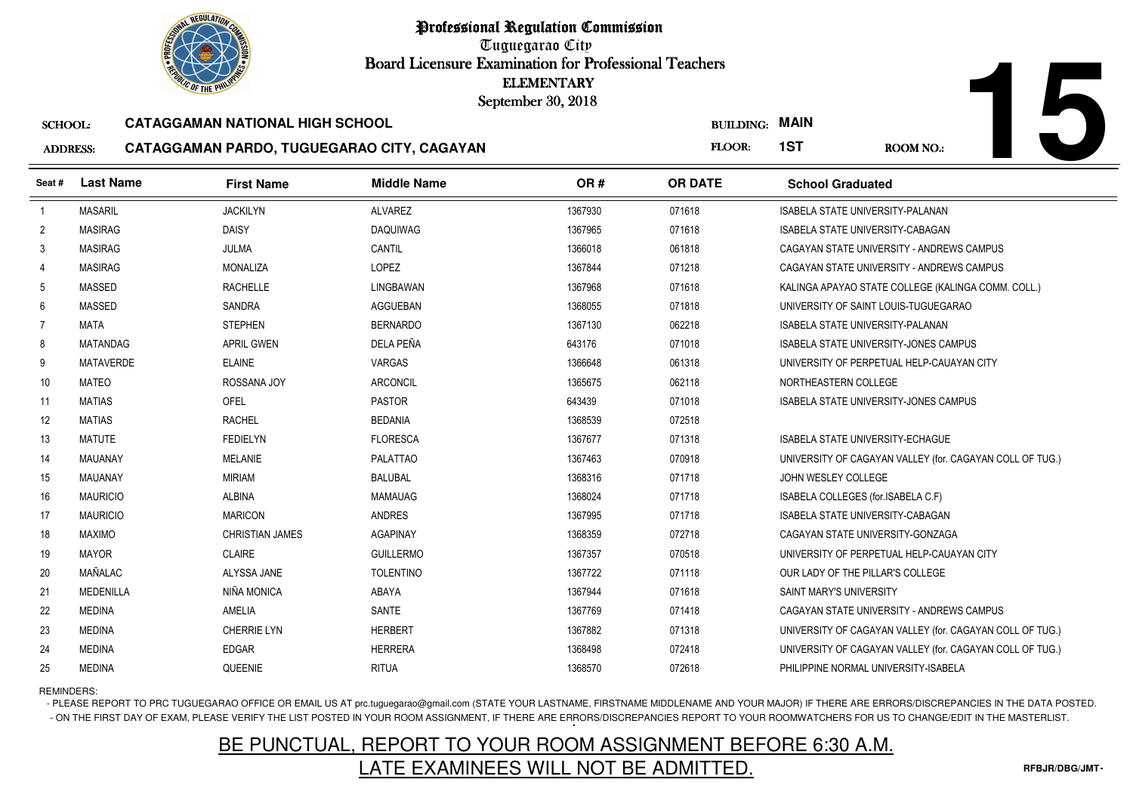Tuguegarao City Board Licensure Examination for Professional Teachers September 30, 2018

#### SCHOOL:**CATAGGAMAN NATIONAL HIGH SCHOOL**

#### ADDRESS:**CATAGGAMAN PARDO, TUGUEGARAO CITY, CAGAYAN**

| <b><i>OLIC OF THE PHILIPS</i></b> |                  |                                            | <b>ELEMENTARY</b><br>September 30, 2018 |         |                  |                                                          |  |  |
|-----------------------------------|------------------|--------------------------------------------|-----------------------------------------|---------|------------------|----------------------------------------------------------|--|--|
| <b>SCHOOL:</b>                    |                  | <b>CATAGGAMAN NATIONAL HIGH SCHOOL</b>     |                                         |         | <b>BUILDING:</b> | <b>MAIN</b>                                              |  |  |
| <b>ADDRESS:</b>                   |                  | CATAGGAMAN PARDO, TUGUEGARAO CITY, CAGAYAN |                                         |         | FLOOR:           | 1ST<br>ROOM NO.:                                         |  |  |
| Seat #                            | <b>Last Name</b> | <b>First Name</b>                          | <b>Middle Name</b>                      | OR#     | <b>OR DATE</b>   | <b>School Graduated</b>                                  |  |  |
| $\overline{1}$                    | <b>MASARIL</b>   | <b>JACKILYN</b>                            | <b>ALVAREZ</b>                          | 1367930 | 071618           | <b>ISABELA STATE UNIVERSITY-PALANAN</b>                  |  |  |
| $\overline{2}$                    | <b>MASIRAG</b>   | <b>DAISY</b>                               | <b>DAQUIWAG</b>                         | 1367965 | 071618           | <b>ISABELA STATE UNIVERSITY-CABAGAN</b>                  |  |  |
| 3                                 | <b>MASIRAG</b>   | JULMA                                      | CANTIL                                  | 1366018 | 061818           | CAGAYAN STATE UNIVERSITY - ANDREWS CAMPUS                |  |  |
| 4                                 | <b>MASIRAG</b>   | <b>MONALIZA</b>                            | LOPEZ                                   | 1367844 | 071218           | CAGAYAN STATE UNIVERSITY - ANDREWS CAMPUS                |  |  |
| 5                                 | <b>MASSED</b>    | <b>RACHELLE</b>                            | LINGBAWAN                               | 1367968 | 071618           | KALINGA APAYAO STATE COLLEGE (KALINGA COMM. COLL.)       |  |  |
| 6                                 | <b>MASSED</b>    | <b>SANDRA</b>                              | <b>AGGUEBAN</b>                         | 1368055 | 071818           | UNIVERSITY OF SAINT LOUIS-TUGUEGARAO                     |  |  |
| 7                                 | <b>MATA</b>      | <b>STEPHEN</b>                             | <b>BERNARDO</b>                         | 1367130 | 062218           | <b>ISABELA STATE UNIVERSITY-PALANAN</b>                  |  |  |
| 8                                 | <b>MATANDAG</b>  | <b>APRIL GWEN</b>                          | DELA PEÑA                               | 643176  | 071018           | ISABELA STATE UNIVERSITY-JONES CAMPUS                    |  |  |
| 9                                 | <b>MATAVERDE</b> | <b>ELAINE</b>                              | <b>VARGAS</b>                           | 1366648 | 061318           | UNIVERSITY OF PERPETUAL HELP-CAUAYAN CITY                |  |  |
| 10                                | <b>MATEO</b>     | ROSSANA JOY                                | <b>ARCONCIL</b>                         | 1365675 | 062118           | NORTHEASTERN COLLEGE                                     |  |  |
| 11                                | <b>MATIAS</b>    | <b>OFEL</b>                                | <b>PASTOR</b>                           | 643439  | 071018           | ISABELA STATE UNIVERSITY-JONES CAMPUS                    |  |  |
| 12                                | <b>MATIAS</b>    | <b>RACHEL</b>                              | <b>BEDANIA</b>                          | 1368539 | 072518           |                                                          |  |  |
| 13                                | <b>MATUTE</b>    | <b>FEDIELYN</b>                            | <b>FLORESCA</b>                         | 1367677 | 071318           | <b>ISABELA STATE UNIVERSITY-ECHAGUE</b>                  |  |  |
| 14                                | <b>MAUANAY</b>   | <b>MELANIE</b>                             | <b>PALATTAO</b>                         | 1367463 | 070918           | UNIVERSITY OF CAGAYAN VALLEY (for. CAGAYAN COLL OF TUG.) |  |  |
| 15                                | <b>MAUANAY</b>   | <b>MIRIAM</b>                              | <b>BALUBAL</b>                          | 1368316 | 071718           | JOHN WESLEY COLLEGE                                      |  |  |
| 16                                | <b>MAURICIO</b>  | ALBINA                                     | <b>MAMAUAG</b>                          | 1368024 | 071718           | ISABELA COLLEGES (for.ISABELA C.F)                       |  |  |
| 17                                | <b>MAURICIO</b>  | <b>MARICON</b>                             | <b>ANDRES</b>                           | 1367995 | 071718           | ISABELA STATE UNIVERSITY-CABAGAN                         |  |  |
| 18                                | <b>MAXIMO</b>    | <b>CHRISTIAN JAMES</b>                     | <b>AGAPINAY</b>                         | 1368359 | 072718           | CAGAYAN STATE UNIVERSITY-GONZAGA                         |  |  |
| 19                                | <b>MAYOR</b>     | <b>CLAIRE</b>                              | <b>GUILLERMO</b>                        | 1367357 | 070518           | UNIVERSITY OF PERPETUAL HELP-CAUAYAN CITY                |  |  |
| 20                                | MAÑALAC          | ALYSSA JANE                                | <b>TOLENTINO</b>                        | 1367722 | 071118           | OUR LADY OF THE PILLAR'S COLLEGE                         |  |  |
| 21                                | <b>MEDENILLA</b> | NIÑA MONICA                                | ABAYA                                   | 1367944 | 071618           | SAINT MARY'S UNIVERSITY                                  |  |  |
| 22                                | <b>MEDINA</b>    | AMELIA                                     | <b>SANTE</b>                            | 1367769 | 071418           | CAGAYAN STATE UNIVERSITY - ANDREWS CAMPUS                |  |  |
| 23                                | <b>MEDINA</b>    | <b>CHERRIE LYN</b>                         | <b>HERBERT</b>                          | 1367882 | 071318           | UNIVERSITY OF CAGAYAN VALLEY (for. CAGAYAN COLL OF TUG.) |  |  |
| 24                                | <b>MEDINA</b>    | <b>EDGAR</b>                               | <b>HERRERA</b>                          | 1368498 | 072418           | UNIVERSITY OF CAGAYAN VALLEY (for. CAGAYAN COLL OF TUG.) |  |  |
| 25                                | <b>MEDINA</b>    | QUEENIE                                    | <b>RITUA</b>                            | 1368570 | 072618           | PHILIPPINE NORMAL UNIVERSITY-ISABELA                     |  |  |

REMINDERS:

- PLEASE REPORT TO PRC TUGUEGARAO OFFICE OR EMAIL US AT prc.tuguegarao@gmail.com (STATE YOUR LASTNAME, FIRSTNAME MIDDLENAME AND YOUR MAJOR) IF THERE ARE ERRORS/DISCREPANCIES IN THE DATA POSTED. - ON THE FIRST DAY OF EXAM, PLEASE VERIFY THE LIST POSTED IN YOUR ROOM ASSIGNMENT, IF THERE ARE ERRORS/DISCREPANCIES REPORT TO YOUR ROOMWATCHERS FOR US TO CHANGE/EDIT IN THE MASTERLIST.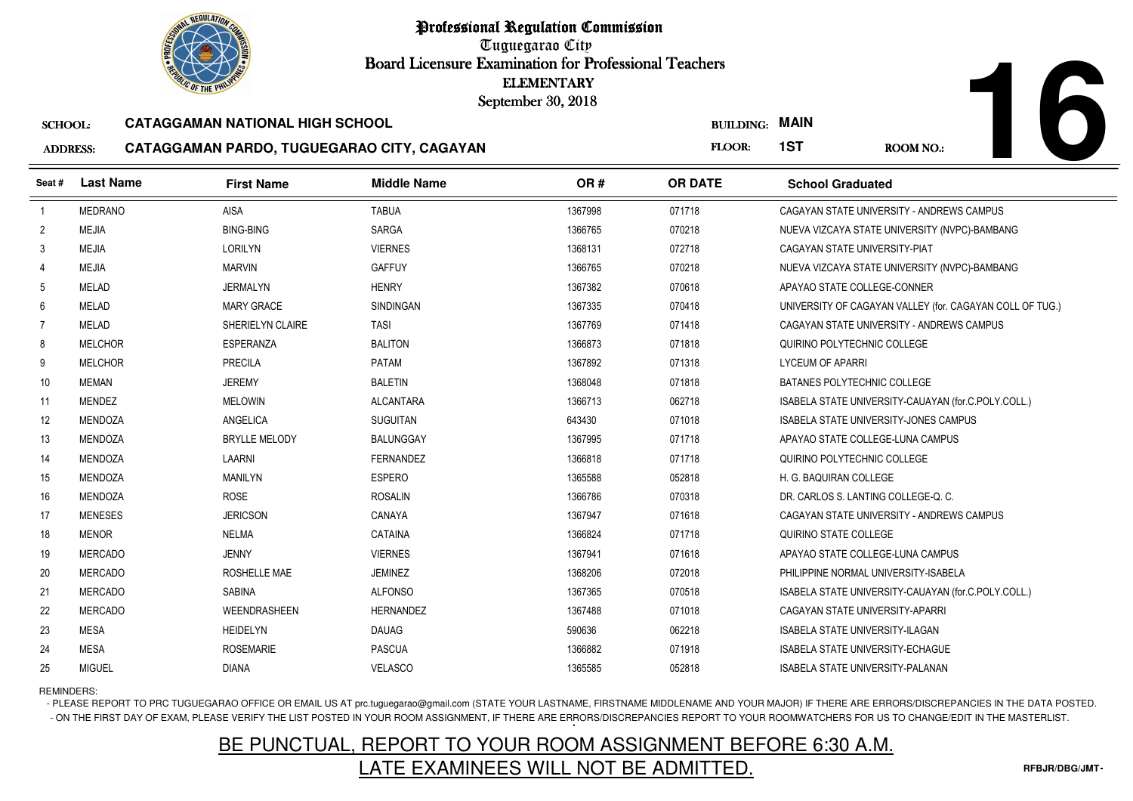Tuguegarao City Board Licensure Examination for Professional Teachers September 30, 2018

#### SCHOOL:**CATAGGAMAN NATIONAL HIGH SCHOOL**

#### ADDRESS:**CATAGGAMAN PARDO, TUGUEGARAO CITY, CAGAYAN**

**16**

|                 | <b>OLIC OF THE PHILIP</b> |                                            | <b>ELEMENTARY</b><br>September 30, 2018 |         |                  |                                                          |
|-----------------|---------------------------|--------------------------------------------|-----------------------------------------|---------|------------------|----------------------------------------------------------|
| <b>SCHOOL:</b>  |                           | <b>CATAGGAMAN NATIONAL HIGH SCHOOL</b>     |                                         |         | <b>BUILDING:</b> | <b>MAIN</b>                                              |
| <b>ADDRESS:</b> |                           | CATAGGAMAN PARDO, TUGUEGARAO CITY, CAGAYAN |                                         |         | FLOOR:           | 1ST<br>ROOM NO.:                                         |
| Seat #          | <b>Last Name</b>          | <b>First Name</b>                          | <b>Middle Name</b>                      | OR#     | <b>OR DATE</b>   | <b>School Graduated</b>                                  |
| $\overline{1}$  | <b>MEDRANO</b>            | <b>AISA</b>                                | <b>TABUA</b>                            | 1367998 | 071718           | CAGAYAN STATE UNIVERSITY - ANDREWS CAMPUS                |
| $\overline{2}$  | <b>MEJIA</b>              | <b>BING-BING</b>                           | SARGA                                   | 1366765 | 070218           | NUEVA VIZCAYA STATE UNIVERSITY (NVPC)-BAMBANG            |
| 3               | <b>MEJIA</b>              | LORILYN                                    | <b>VIERNES</b>                          | 1368131 | 072718           | CAGAYAN STATE UNIVERSITY-PIAT                            |
| $\overline{4}$  | <b>MEJIA</b>              | <b>MARVIN</b>                              | <b>GAFFUY</b>                           | 1366765 | 070218           | NUEVA VIZCAYA STATE UNIVERSITY (NVPC)-BAMBANG            |
| 5               | <b>MELAD</b>              | <b>JERMALYN</b>                            | <b>HENRY</b>                            | 1367382 | 070618           | APAYAO STATE COLLEGE-CONNER                              |
| 6               | <b>MELAD</b>              | <b>MARY GRACE</b>                          | <b>SINDINGAN</b>                        | 1367335 | 070418           | UNIVERSITY OF CAGAYAN VALLEY (for. CAGAYAN COLL OF TUG.) |
| 7               | <b>MELAD</b>              | SHERIELYN CLAIRE                           | <b>TASI</b>                             | 1367769 | 071418           | CAGAYAN STATE UNIVERSITY - ANDREWS CAMPUS                |
| 8               | <b>MELCHOR</b>            | <b>ESPERANZA</b>                           | <b>BALITON</b>                          | 1366873 | 071818           | QUIRINO POLYTECHNIC COLLEGE                              |
| 9               | <b>MELCHOR</b>            | <b>PRECILA</b>                             | PATAM                                   | 1367892 | 071318           | <b>LYCEUM OF APARRI</b>                                  |
| 10              | MEMAN                     | <b>JEREMY</b>                              | <b>BALETIN</b>                          | 1368048 | 071818           | BATANES POLYTECHNIC COLLEGE                              |
| 11              | <b>MENDEZ</b>             | <b>MELOWIN</b>                             | <b>ALCANTARA</b>                        | 1366713 | 062718           | ISABELA STATE UNIVERSITY-CAUAYAN (for.C.POLY.COLL.)      |
| 12              | <b>MENDOZA</b>            | <b>ANGELICA</b>                            | <b>SUGUITAN</b>                         | 643430  | 071018           | ISABELA STATE UNIVERSITY-JONES CAMPUS                    |
| 13              | MENDOZA                   | <b>BRYLLE MELODY</b>                       | BALUNGGAY                               | 1367995 | 071718           | APAYAO STATE COLLEGE-LUNA CAMPUS                         |
| 14              | <b>MENDOZA</b>            | LAARNI                                     | <b>FERNANDEZ</b>                        | 1366818 | 071718           | QUIRINO POLYTECHNIC COLLEGE                              |
| 15              | <b>MENDOZA</b>            | <b>MANILYN</b>                             | <b>ESPERO</b>                           | 1365588 | 052818           | H. G. BAQUIRAN COLLEGE                                   |
| 16              | <b>MENDOZA</b>            | <b>ROSE</b>                                | <b>ROSALIN</b>                          | 1366786 | 070318           | DR. CARLOS S. LANTING COLLEGE-Q. C.                      |
| 17              | <b>MENESES</b>            | <b>JERICSON</b>                            | CANAYA                                  | 1367947 | 071618           | CAGAYAN STATE UNIVERSITY - ANDREWS CAMPUS                |
| 18              | <b>MENOR</b>              | <b>NELMA</b>                               | CATAINA                                 | 1366824 | 071718           | QUIRINO STATE COLLEGE                                    |
| 19              | <b>MERCADO</b>            | <b>JENNY</b>                               | <b>VIERNES</b>                          | 1367941 | 071618           | APAYAO STATE COLLEGE-LUNA CAMPUS                         |
| 20              | <b>MERCADO</b>            | <b>ROSHELLE MAE</b>                        | <b>JEMINEZ</b>                          | 1368206 | 072018           | PHILIPPINE NORMAL UNIVERSITY-ISABELA                     |
| 21              | <b>MERCADO</b>            | <b>SABINA</b>                              | <b>ALFONSO</b>                          | 1367365 | 070518           | ISABELA STATE UNIVERSITY-CAUAYAN (for.C.POLY.COLL.)      |
| 22              | <b>MERCADO</b>            | WEENDRASHEEN                               | <b>HERNANDEZ</b>                        | 1367488 | 071018           | CAGAYAN STATE UNIVERSITY-APARRI                          |
| 23              | <b>MESA</b>               | <b>HEIDELYN</b>                            | <b>DAUAG</b>                            | 590636  | 062218           | <b>ISABELA STATE UNIVERSITY-ILAGAN</b>                   |
| 24              | <b>MESA</b>               | <b>ROSEMARIE</b>                           | <b>PASCUA</b>                           | 1366882 | 071918           | ISABELA STATE UNIVERSITY-ECHAGUE                         |
| 25              | <b>MIGUEL</b>             | <b>DIANA</b>                               | <b>VELASCO</b>                          | 1365585 | 052818           | <b>ISABELA STATE UNIVERSITY-PALANAN</b>                  |

REMINDERS:

- PLEASE REPORT TO PRC TUGUEGARAO OFFICE OR EMAIL US AT prc.tuguegarao@gmail.com (STATE YOUR LASTNAME, FIRSTNAME MIDDLENAME AND YOUR MAJOR) IF THERE ARE ERRORS/DISCREPANCIES IN THE DATA POSTED. - ON THE FIRST DAY OF EXAM, PLEASE VERIFY THE LIST POSTED IN YOUR ROOM ASSIGNMENT, IF THERE ARE ERRORS/DISCREPANCIES REPORT TO YOUR ROOMWATCHERS FOR US TO CHANGE/EDIT IN THE MASTERLIST.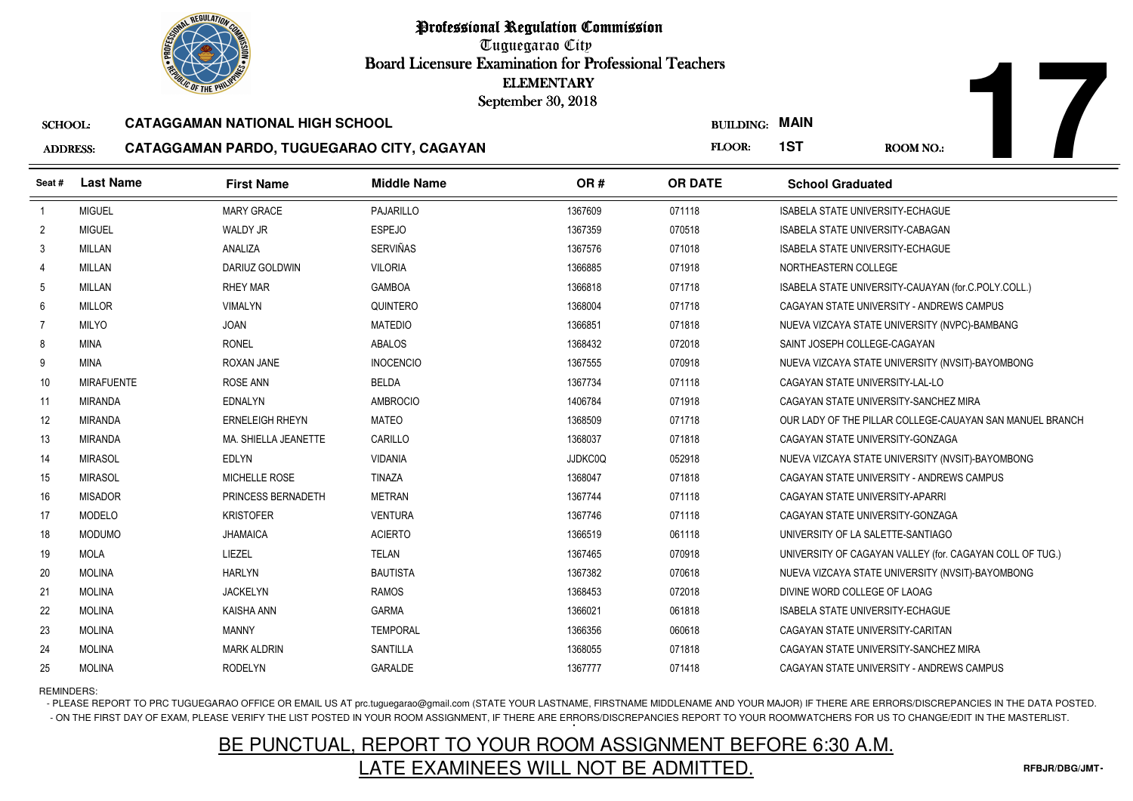Tuguegarao City Board Licensure Examination for Professional Teachers September 30, 2018

#### SCHOOL:**CATAGGAMAN NATIONAL HIGH SCHOOL**

#### ADDRESS:**CATAGGAMAN PARDO, TUGUEGARAO CITY, CAGAYAN**

|                 | <b><i>OLIC OF THE PHILIPS</i></b> |                                            | <b>ELEMENTARY</b><br>September 30, 2018 |         |                       |                                                          |
|-----------------|-----------------------------------|--------------------------------------------|-----------------------------------------|---------|-----------------------|----------------------------------------------------------|
| <b>SCHOOL:</b>  |                                   | <b>CATAGGAMAN NATIONAL HIGH SCHOOL</b>     |                                         |         | <b>BUILDING: MAIN</b> |                                                          |
| <b>ADDRESS:</b> |                                   | CATAGGAMAN PARDO, TUGUEGARAO CITY, CAGAYAN |                                         |         | FLOOR:                | 1ST<br><b>ROOM NO.:</b>                                  |
| Seat#           | <b>Last Name</b>                  | <b>First Name</b>                          | <b>Middle Name</b>                      | OR#     | <b>OR DATE</b>        | <b>School Graduated</b>                                  |
| $\overline{1}$  | <b>MIGUEL</b>                     | <b>MARY GRACE</b>                          | <b>PAJARILLO</b>                        | 1367609 | 071118                | <b>ISABELA STATE UNIVERSITY-ECHAGUE</b>                  |
| $\overline{2}$  | <b>MIGUEL</b>                     | <b>WALDY JR</b>                            | <b>ESPEJO</b>                           | 1367359 | 070518                | ISABELA STATE UNIVERSITY-CABAGAN                         |
| 3               | <b>MILLAN</b>                     | ANALIZA                                    | <b>SERVIÑAS</b>                         | 1367576 | 071018                | <b>ISABELA STATE UNIVERSITY-ECHAGUE</b>                  |
| 4               | <b>MILLAN</b>                     | <b>DARIUZ GOLDWIN</b>                      | <b>VILORIA</b>                          | 1366885 | 071918                | NORTHEASTERN COLLEGE                                     |
| 5               | MILLAN                            | <b>RHEY MAR</b>                            | <b>GAMBOA</b>                           | 1366818 | 071718                | ISABELA STATE UNIVERSITY-CAUAYAN (for.C.POLY.COLL.)      |
| 6               | <b>MILLOR</b>                     | <b>VIMALYN</b>                             | QUINTERO                                | 1368004 | 071718                | CAGAYAN STATE UNIVERSITY - ANDREWS CAMPUS                |
| 7               | <b>MILYO</b>                      | <b>JOAN</b>                                | <b>MATEDIO</b>                          | 1366851 | 071818                | NUEVA VIZCAYA STATE UNIVERSITY (NVPC)-BAMBANG            |
| 8               | <b>MINA</b>                       | <b>RONEL</b>                               | ABALOS                                  | 1368432 | 072018                | SAINT JOSEPH COLLEGE-CAGAYAN                             |
| 9               | <b>MINA</b>                       | ROXAN JANE                                 | <b>INOCENCIO</b>                        | 1367555 | 070918                | NUEVA VIZCAYA STATE UNIVERSITY (NVSIT)-BAYOMBONG         |
| 10              | <b>MIRAFUENTE</b>                 | <b>ROSE ANN</b>                            | <b>BELDA</b>                            | 1367734 | 071118                | CAGAYAN STATE UNIVERSITY-LAL-LO                          |
| 11              | <b>MIRANDA</b>                    | <b>EDNALYN</b>                             | <b>AMBROCIO</b>                         | 1406784 | 071918                | CAGAYAN STATE UNIVERSITY-SANCHEZ MIRA                    |
| 12              | <b>MIRANDA</b>                    | <b>ERNELEIGH RHEYN</b>                     | <b>MATEO</b>                            | 1368509 | 071718                | OUR LADY OF THE PILLAR COLLEGE-CAUAYAN SAN MANUEL BRANCH |
| 13              | <b>MIRANDA</b>                    | MA. SHIELLA JEANETTE                       | CARILLO                                 | 1368037 | 071818                | CAGAYAN STATE UNIVERSITY-GONZAGA                         |
| 14              | <b>MIRASOL</b>                    | <b>EDLYN</b>                               | <b>VIDANIA</b>                          | JJDKC0Q | 052918                | NUEVA VIZCAYA STATE UNIVERSITY (NVSIT)-BAYOMBONG         |
| 15              | <b>MIRASOL</b>                    | MICHELLE ROSE                              | <b>TINAZA</b>                           | 1368047 | 071818                | CAGAYAN STATE UNIVERSITY - ANDREWS CAMPUS                |
| 16              | <b>MISADOR</b>                    | PRINCESS BERNADETH                         | <b>METRAN</b>                           | 1367744 | 071118                | CAGAYAN STATE UNIVERSITY-APARRI                          |
| 17              | <b>MODELO</b>                     | <b>KRISTOFER</b>                           | <b>VENTURA</b>                          | 1367746 | 071118                | CAGAYAN STATE UNIVERSITY-GONZAGA                         |
| 18              | <b>MODUMO</b>                     | <b>JHAMAICA</b>                            | <b>ACIERTO</b>                          | 1366519 | 061118                | UNIVERSITY OF LA SALETTE-SANTIAGO                        |
| 19              | <b>MOLA</b>                       | LIEZEL                                     | <b>TELAN</b>                            | 1367465 | 070918                | UNIVERSITY OF CAGAYAN VALLEY (for. CAGAYAN COLL OF TUG.) |
| 20              | <b>MOLINA</b>                     | <b>HARLYN</b>                              | <b>BAUTISTA</b>                         | 1367382 | 070618                | NUEVA VIZCAYA STATE UNIVERSITY (NVSIT)-BAYOMBONG         |
| 21              | <b>MOLINA</b>                     | <b>JACKELYN</b>                            | <b>RAMOS</b>                            | 1368453 | 072018                | DIVINE WORD COLLEGE OF LAOAG                             |
| 22              | <b>MOLINA</b>                     | KAISHA ANN                                 | <b>GARMA</b>                            | 1366021 | 061818                | ISABELA STATE UNIVERSITY-ECHAGUE                         |
| 23              | <b>MOLINA</b>                     | <b>MANNY</b>                               | <b>TEMPORAL</b>                         | 1366356 | 060618                | CAGAYAN STATE UNIVERSITY-CARITAN                         |
| 24              | <b>MOLINA</b>                     | <b>MARK ALDRIN</b>                         | <b>SANTILLA</b>                         | 1368055 | 071818                | CAGAYAN STATE UNIVERSITY-SANCHEZ MIRA                    |
| 25              | <b>MOLINA</b>                     | <b>RODELYN</b>                             | GARALDE                                 | 1367777 | 071418                | CAGAYAN STATE UNIVERSITY - ANDREWS CAMPUS                |

REMINDERS:

- PLEASE REPORT TO PRC TUGUEGARAO OFFICE OR EMAIL US AT prc.tuguegarao@gmail.com (STATE YOUR LASTNAME, FIRSTNAME MIDDLENAME AND YOUR MAJOR) IF THERE ARE ERRORS/DISCREPANCIES IN THE DATA POSTED. - ON THE FIRST DAY OF EXAM, PLEASE VERIFY THE LIST POSTED IN YOUR ROOM ASSIGNMENT, IF THERE ARE ERRORS/DISCREPANCIES REPORT TO YOUR ROOMWATCHERS FOR US TO CHANGE/EDIT IN THE MASTERLIST.

# BE PUNCTUAL, REPORT TO YOUR ROOM ASSIGNMENT BEFORE 6:30 A.M.LATE EXAMINEES WILL NOT BE ADMITTED.

**17**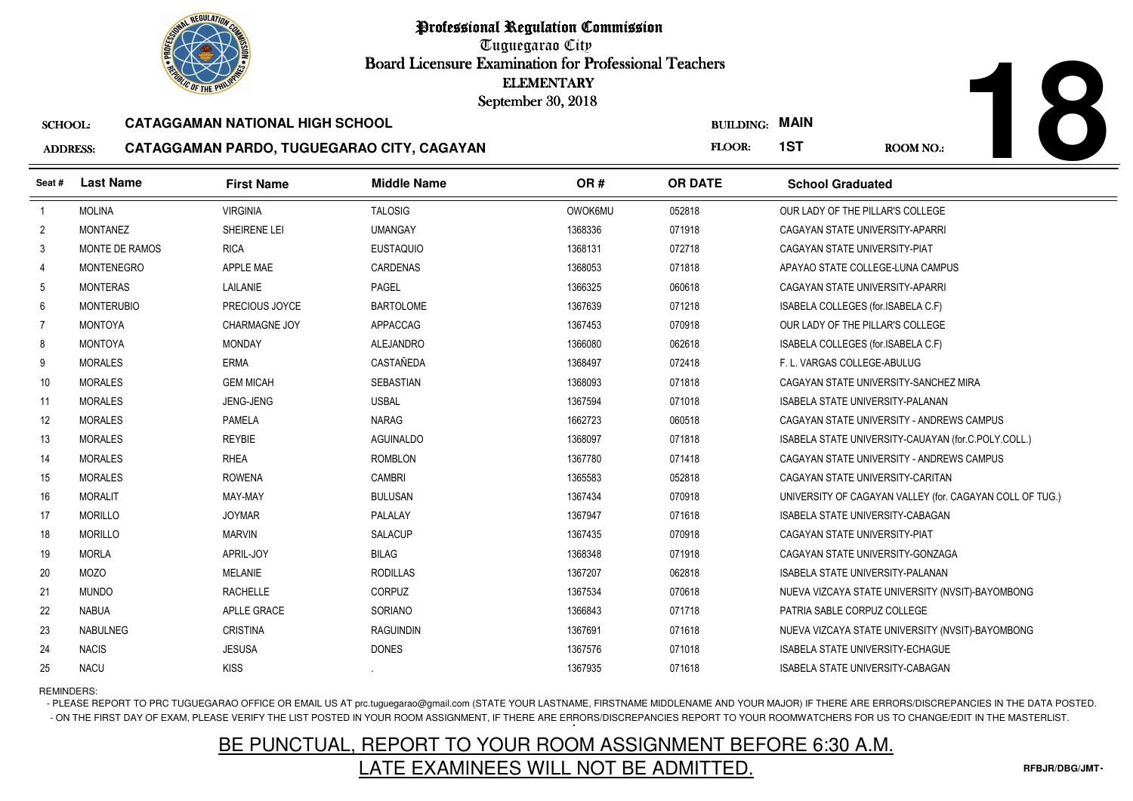Tuguegarao City Board Licensure Examination for Professional Teachers September 30, 2018

#### SCHOOL:**CATAGGAMAN NATIONAL HIGH SCHOOL**

#### ADDRESS:**CATAGGAMAN PARDO, TUGUEGARAO CITY, CAGAYAN**

|--|

| <b><i>OLIC OF THE PHILIP</i></b>                              |                   |                   |                    | <b>ELEMENTARY</b><br>September 30, 2018 |                  |                                                          |
|---------------------------------------------------------------|-------------------|-------------------|--------------------|-----------------------------------------|------------------|----------------------------------------------------------|
| <b>CATAGGAMAN NATIONAL HIGH SCHOOL</b><br><b>SCHOOL:</b>      |                   |                   |                    |                                         | <b>BUILDING:</b> | <b>MAIN</b>                                              |
| CATAGGAMAN PARDO, TUGUEGARAO CITY, CAGAYAN<br><b>ADDRESS:</b> |                   |                   |                    | FLOOR:                                  | 1ST<br>ROOM NO.: |                                                          |
| Seat#                                                         | <b>Last Name</b>  | <b>First Name</b> | <b>Middle Name</b> | OR#                                     | <b>OR DATE</b>   | <b>School Graduated</b>                                  |
| $\overline{1}$                                                | <b>MOLINA</b>     | <b>VIRGINIA</b>   | <b>TALOSIG</b>     | <b>OWOK6MU</b>                          | 052818           | OUR LADY OF THE PILLAR'S COLLEGE                         |
| $\overline{2}$                                                | <b>MONTANEZ</b>   | SHEIRENE LEI      | <b>UMANGAY</b>     | 1368336                                 | 071918           | CAGAYAN STATE UNIVERSITY-APARRI                          |
| 3                                                             | MONTE DE RAMOS    | <b>RICA</b>       | <b>EUSTAQUIO</b>   | 1368131                                 | 072718           | CAGAYAN STATE UNIVERSITY-PIAT                            |
| 4                                                             | <b>MONTENEGRO</b> | <b>APPLE MAE</b>  | <b>CARDENAS</b>    | 1368053                                 | 071818           | APAYAO STATE COLLEGE-LUNA CAMPUS                         |
| 5                                                             | <b>MONTERAS</b>   | LAILANIE          | PAGEL              | 1366325                                 | 060618           | CAGAYAN STATE UNIVERSITY-APARRI                          |
| 6                                                             | <b>MONTERUBIO</b> | PRECIOUS JOYCE    | <b>BARTOLOME</b>   | 1367639                                 | 071218           | ISABELA COLLEGES (for.ISABELA C.F)                       |
| $\overline{7}$                                                | <b>MONTOYA</b>    | CHARMAGNE JOY     | APPACCAG           | 1367453                                 | 070918           | OUR LADY OF THE PILLAR'S COLLEGE                         |
| 8                                                             | <b>MONTOYA</b>    | <b>MONDAY</b>     | ALEJANDRO          | 1366080                                 | 062618           | ISABELA COLLEGES (for.ISABELA C.F)                       |
| 9                                                             | <b>MORALES</b>    | <b>ERMA</b>       | CASTAÑEDA          | 1368497                                 | 072418           | F. L. VARGAS COLLEGE-ABULUG                              |
| 10                                                            | <b>MORALES</b>    | <b>GEM MICAH</b>  | SEBASTIAN          | 1368093                                 | 071818           | CAGAYAN STATE UNIVERSITY-SANCHEZ MIRA                    |
| 11                                                            | <b>MORALES</b>    | <b>JENG-JENG</b>  | <b>USBAL</b>       | 1367594                                 | 071018           | <b>ISABELA STATE UNIVERSITY-PALANAN</b>                  |
| 12                                                            | <b>MORALES</b>    | <b>PAMELA</b>     | <b>NARAG</b>       | 1662723                                 | 060518           | CAGAYAN STATE UNIVERSITY - ANDREWS CAMPUS                |
| 13                                                            | <b>MORALES</b>    | <b>REYBIE</b>     | <b>AGUINALDO</b>   | 1368097                                 | 071818           | ISABELA STATE UNIVERSITY-CAUAYAN (for.C.POLY.COLL.)      |
| 14                                                            | <b>MORALES</b>    | <b>RHEA</b>       | <b>ROMBLON</b>     | 1367780                                 | 071418           | CAGAYAN STATE UNIVERSITY - ANDREWS CAMPUS                |
| 15                                                            | <b>MORALES</b>    | <b>ROWENA</b>     | CAMBRI             | 1365583                                 | 052818           | CAGAYAN STATE UNIVERSITY-CARITAN                         |
| 16                                                            | <b>MORALIT</b>    | MAY-MAY           | <b>BULUSAN</b>     | 1367434                                 | 070918           | UNIVERSITY OF CAGAYAN VALLEY (for. CAGAYAN COLL OF TUG.) |
| 17                                                            | <b>MORILLO</b>    | <b>JOYMAR</b>     | PALALAY            | 1367947                                 | 071618           | <b>ISABELA STATE UNIVERSITY-CABAGAN</b>                  |
| 18                                                            | <b>MORILLO</b>    | <b>MARVIN</b>     | <b>SALACUP</b>     | 1367435                                 | 070918           | CAGAYAN STATE UNIVERSITY-PIAT                            |
| 19                                                            | <b>MORLA</b>      | APRIL-JOY         | <b>BILAG</b>       | 1368348                                 | 071918           | CAGAYAN STATE UNIVERSITY-GONZAGA                         |
| 20                                                            | <b>MOZO</b>       | <b>MELANIE</b>    | <b>RODILLAS</b>    | 1367207                                 | 062818           | ISABELA STATE UNIVERSITY-PALANAN                         |
| 21                                                            | <b>MUNDO</b>      | <b>RACHELLE</b>   | <b>CORPUZ</b>      | 1367534                                 | 070618           | NUEVA VIZCAYA STATE UNIVERSITY (NVSIT)-BAYOMBONG         |
| 22                                                            | <b>NABUA</b>      | APLLE GRACE       | <b>SORIANO</b>     | 1366843                                 | 071718           | PATRIA SABLE CORPUZ COLLEGE                              |
| 23                                                            | NABULNEG          | <b>CRISTINA</b>   | RAGUINDIN          | 1367691                                 | 071618           | NUEVA VIZCAYA STATE UNIVERSITY (NVSIT)-BAYOMBONG         |
| 24                                                            | <b>NACIS</b>      | <b>JESUSA</b>     | <b>DONES</b>       | 1367576                                 | 071018           | <b>ISABELA STATE UNIVERSITY-ECHAGUE</b>                  |
| 25                                                            | NACU              | <b>KISS</b>       |                    | 1367935                                 | 071618           | ISABELA STATE UNIVERSITY-CABAGAN                         |

REMINDERS:

- PLEASE REPORT TO PRC TUGUEGARAO OFFICE OR EMAIL US AT prc.tuguegarao@gmail.com (STATE YOUR LASTNAME, FIRSTNAME MIDDLENAME AND YOUR MAJOR) IF THERE ARE ERRORS/DISCREPANCIES IN THE DATA POSTED. - ON THE FIRST DAY OF EXAM, PLEASE VERIFY THE LIST POSTED IN YOUR ROOM ASSIGNMENT, IF THERE ARE ERRORS/DISCREPANCIES REPORT TO YOUR ROOMWATCHERS FOR US TO CHANGE/EDIT IN THE MASTERLIST.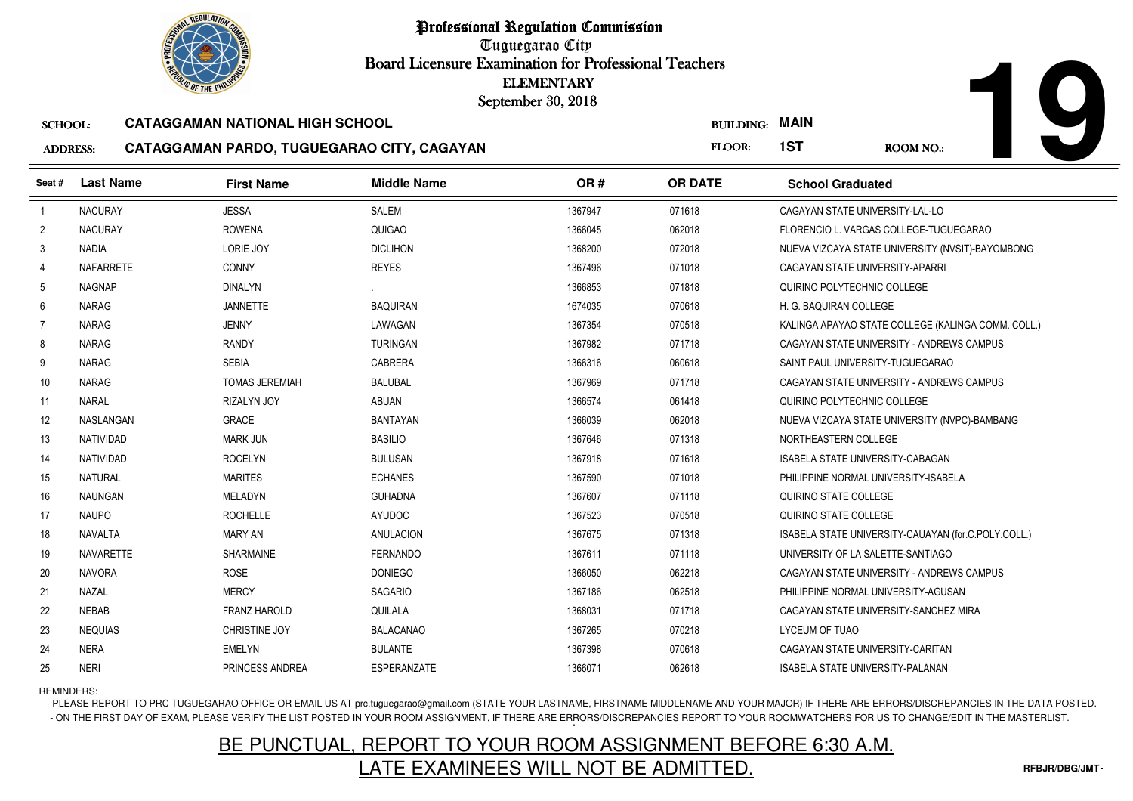Tuguegarao City Board Licensure Examination for Professional Teachers September 30, 2018

#### SCHOOL:**CATAGGAMAN NATIONAL HIGH SCHOOL**

#### ADDRESS:**CATAGGAMAN PARDO, TUGUEGARAO CITY, CAGAYAN**

| <b>ADDRESS:</b> | CATAGGAMAN PARDO, TUGUEGARAO CITY, CAGAYAI |  |  |
|-----------------|--------------------------------------------|--|--|
|-----------------|--------------------------------------------|--|--|

|                 | <b><i>OLIC OF THE PHILIP</i></b> |                                            | <b>ELEMENTARY</b><br>September 30, 2018 |         |                  |                                                     |
|-----------------|----------------------------------|--------------------------------------------|-----------------------------------------|---------|------------------|-----------------------------------------------------|
| <b>SCHOOL:</b>  |                                  | <b>CATAGGAMAN NATIONAL HIGH SCHOOL</b>     |                                         |         | <b>BUILDING:</b> | <b>MAIN</b>                                         |
| <b>ADDRESS:</b> |                                  | CATAGGAMAN PARDO, TUGUEGARAO CITY, CAGAYAN |                                         |         | FLOOR:           | 1ST<br><b>ROOM NO.:</b>                             |
| Seat#           | <b>Last Name</b>                 | <b>First Name</b>                          | <b>Middle Name</b>                      | OR#     | <b>OR DATE</b>   | <b>School Graduated</b>                             |
| $\overline{1}$  | <b>NACURAY</b>                   | <b>JESSA</b>                               | SALEM                                   | 1367947 | 071618           | CAGAYAN STATE UNIVERSITY-LAL-LO                     |
| $\overline{2}$  | <b>NACURAY</b>                   | <b>ROWENA</b>                              | QUIGAO                                  | 1366045 | 062018           | FLORENCIO L. VARGAS COLLEGE-TUGUEGARAO              |
| 3               | <b>NADIA</b>                     | LORIE JOY                                  | <b>DICLIHON</b>                         | 1368200 | 072018           | NUEVA VIZCAYA STATE UNIVERSITY (NVSIT)-BAYOMBONG    |
| 4               | <b>NAFARRETE</b>                 | <b>CONNY</b>                               | <b>REYES</b>                            | 1367496 | 071018           | CAGAYAN STATE UNIVERSITY-APARRI                     |
| 5               | <b>NAGNAP</b>                    | <b>DINALYN</b>                             |                                         | 1366853 | 071818           | QUIRINO POLYTECHNIC COLLEGE                         |
| 6               | <b>NARAG</b>                     | <b>JANNETTE</b>                            | <b>BAQUIRAN</b>                         | 1674035 | 070618           | H. G. BAQUIRAN COLLEGE                              |
| $\overline{7}$  | <b>NARAG</b>                     | <b>JENNY</b>                               | LAWAGAN                                 | 1367354 | 070518           | KALINGA APAYAO STATE COLLEGE (KALINGA COMM. COLL.)  |
| 8               | <b>NARAG</b>                     | <b>RANDY</b>                               | <b>TURINGAN</b>                         | 1367982 | 071718           | CAGAYAN STATE UNIVERSITY - ANDREWS CAMPUS           |
| 9               | NARAG                            | <b>SEBIA</b>                               | <b>CABRERA</b>                          | 1366316 | 060618           | SAINT PAUL UNIVERSITY-TUGUEGARAO                    |
| 10              | NARAG                            | <b>TOMAS JEREMIAH</b>                      | <b>BALUBAL</b>                          | 1367969 | 071718           | CAGAYAN STATE UNIVERSITY - ANDREWS CAMPUS           |
| 11              | <b>NARAL</b>                     | <b>RIZALYN JOY</b>                         | ABUAN                                   | 1366574 | 061418           | QUIRINO POLYTECHNIC COLLEGE                         |
| 12              | NASLANGAN                        | <b>GRACE</b>                               | <b>BANTAYAN</b>                         | 1366039 | 062018           | NUEVA VIZCAYA STATE UNIVERSITY (NVPC)-BAMBANG       |
| 13              | NATIVIDAD                        | <b>MARK JUN</b>                            | <b>BASILIO</b>                          | 1367646 | 071318           | NORTHEASTERN COLLEGE                                |
| 14              | <b>NATIVIDAD</b>                 | <b>ROCELYN</b>                             | <b>BULUSAN</b>                          | 1367918 | 071618           | <b>ISABELA STATE UNIVERSITY-CABAGAN</b>             |
| 15              | NATURAL                          | <b>MARITES</b>                             | <b>ECHANES</b>                          | 1367590 | 071018           | PHILIPPINE NORMAL UNIVERSITY-ISABELA                |
| 16              | NAUNGAN                          | MELADYN                                    | <b>GUHADNA</b>                          | 1367607 | 071118           | QUIRINO STATE COLLEGE                               |
| 17              | <b>NAUPO</b>                     | <b>ROCHELLE</b>                            | <b>AYUDOC</b>                           | 1367523 | 070518           | QUIRINO STATE COLLEGE                               |
| 18              | NAVALTA                          | <b>MARY AN</b>                             | ANULACION                               | 1367675 | 071318           | ISABELA STATE UNIVERSITY-CAUAYAN (for.C.POLY.COLL.) |
| 19              | NAVARETTE                        | SHARMAINE                                  | <b>FERNANDO</b>                         | 1367611 | 071118           | UNIVERSITY OF LA SALETTE-SANTIAGO                   |
| 20              | <b>NAVORA</b>                    | <b>ROSE</b>                                | <b>DONIEGO</b>                          | 1366050 | 062218           | CAGAYAN STATE UNIVERSITY - ANDREWS CAMPUS           |
| 21              | NAZAL                            | <b>MERCY</b>                               | <b>SAGARIO</b>                          | 1367186 | 062518           | PHILIPPINE NORMAL UNIVERSITY-AGUSAN                 |
| 22              | <b>NEBAB</b>                     | <b>FRANZ HAROLD</b>                        | QUILALA                                 | 1368031 | 071718           | CAGAYAN STATE UNIVERSITY-SANCHEZ MIRA               |
| 23              | <b>NEQUIAS</b>                   | <b>CHRISTINE JOY</b>                       | <b>BALACANAO</b>                        | 1367265 | 070218           | LYCEUM OF TUAO                                      |
| 24              | <b>NERA</b>                      | <b>EMELYN</b>                              | <b>BULANTE</b>                          | 1367398 | 070618           | CAGAYAN STATE UNIVERSITY-CARITAN                    |
| 25              | <b>NERI</b>                      | PRINCESS ANDREA                            | ESPERANZATE                             | 1366071 | 062618           | ISABELA STATE UNIVERSITY-PALANAN                    |

REMINDERS:

- PLEASE REPORT TO PRC TUGUEGARAO OFFICE OR EMAIL US AT prc.tuguegarao@gmail.com (STATE YOUR LASTNAME, FIRSTNAME MIDDLENAME AND YOUR MAJOR) IF THERE ARE ERRORS/DISCREPANCIES IN THE DATA POSTED. - ON THE FIRST DAY OF EXAM, PLEASE VERIFY THE LIST POSTED IN YOUR ROOM ASSIGNMENT, IF THERE ARE ERRORS/DISCREPANCIES REPORT TO YOUR ROOMWATCHERS FOR US TO CHANGE/EDIT IN THE MASTERLIST.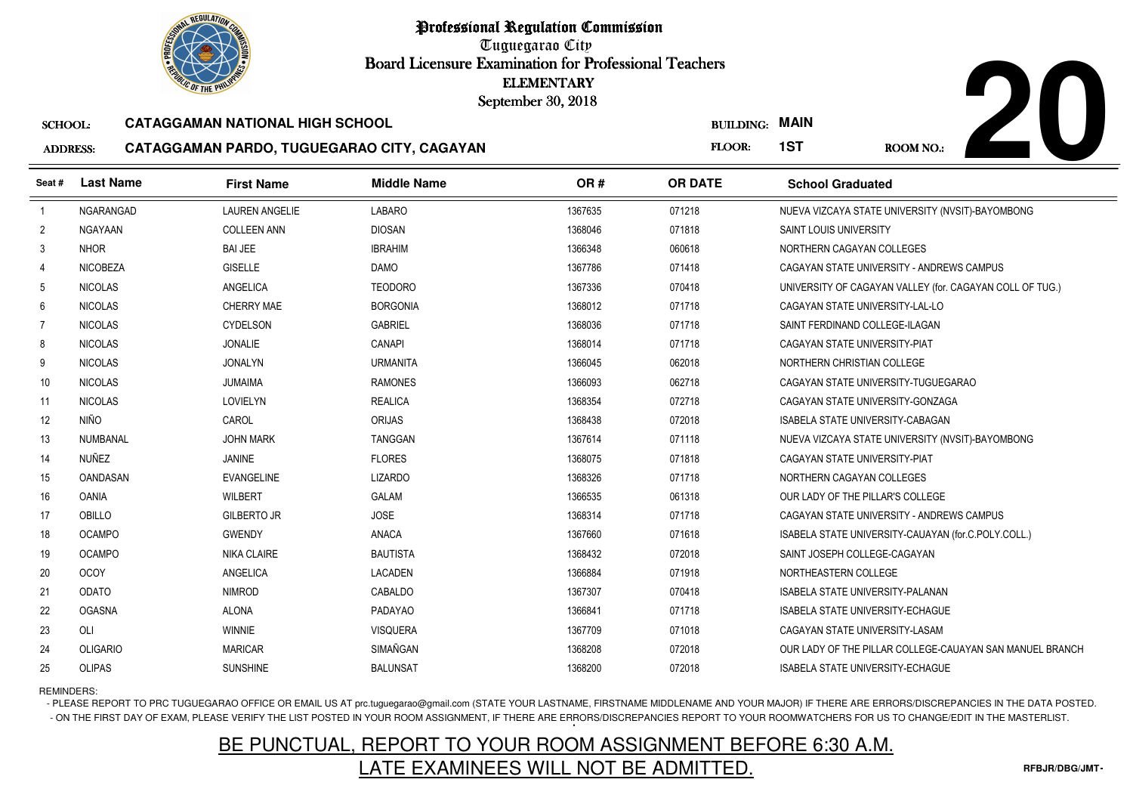

Tuguegarao City Board Licensure Examination for Professional Teachers September 30, 2018

#### SCHOOL:**CATAGGAMAN NATIONAL HIGH SCHOOL**

#### ADDRESS:**CATAGGAMAN PARDO, TUGUEGARAO CITY, CAGAYAN**



|                 | <b>OLIC OF THE PHILIP</b> |                                            |                    | <b>ELEMENTARY</b><br>September 30, 2018 |                  |                                                          |
|-----------------|---------------------------|--------------------------------------------|--------------------|-----------------------------------------|------------------|----------------------------------------------------------|
| <b>SCHOOL:</b>  |                           | <b>CATAGGAMAN NATIONAL HIGH SCHOOL</b>     |                    |                                         | <b>BUILDING:</b> | <b>MAIN</b>                                              |
| <b>ADDRESS:</b> |                           | CATAGGAMAN PARDO, TUGUEGARAO CITY, CAGAYAN |                    |                                         | FLOOR:           | 1ST<br><b>ROOM NO.:</b>                                  |
| Seat#           | <b>Last Name</b>          | <b>First Name</b>                          | <b>Middle Name</b> | OR#                                     | <b>OR DATE</b>   | <b>School Graduated</b>                                  |
| $\overline{1}$  | NGARANGAD                 | <b>LAUREN ANGELIE</b>                      | <b>LABARO</b>      | 1367635                                 | 071218           | NUEVA VIZCAYA STATE UNIVERSITY (NVSIT)-BAYOMBONG         |
| $\overline{2}$  | <b>NGAYAAN</b>            | <b>COLLEEN ANN</b>                         | <b>DIOSAN</b>      | 1368046                                 | 071818           | <b>SAINT LOUIS UNIVERSITY</b>                            |
| 3               | <b>NHOR</b>               | <b>BAI JEE</b>                             | <b>IBRAHIM</b>     | 1366348                                 | 060618           | NORTHERN CAGAYAN COLLEGES                                |
| 4               | <b>NICOBEZA</b>           | <b>GISELLE</b>                             | <b>DAMO</b>        | 1367786                                 | 071418           | CAGAYAN STATE UNIVERSITY - ANDREWS CAMPUS                |
| 5               | <b>NICOLAS</b>            | ANGELICA                                   | <b>TEODORO</b>     | 1367336                                 | 070418           | UNIVERSITY OF CAGAYAN VALLEY (for. CAGAYAN COLL OF TUG.) |
| 6               | <b>NICOLAS</b>            | <b>CHERRY MAE</b>                          | <b>BORGONIA</b>    | 1368012                                 | 071718           | CAGAYAN STATE UNIVERSITY-LAL-LO                          |
| $\overline{7}$  | <b>NICOLAS</b>            | CYDELSON                                   | <b>GABRIEL</b>     | 1368036                                 | 071718           | SAINT FERDINAND COLLEGE-ILAGAN                           |
| 8               | <b>NICOLAS</b>            | <b>JONALIE</b>                             | CANAPI             | 1368014                                 | 071718           | CAGAYAN STATE UNIVERSITY-PIAT                            |
| 9               | <b>NICOLAS</b>            | <b>JONALYN</b>                             | <b>URMANITA</b>    | 1366045                                 | 062018           | NORTHERN CHRISTIAN COLLEGE                               |
| 10 <sup>°</sup> | <b>NICOLAS</b>            | <b>JUMAIMA</b>                             | <b>RAMONES</b>     | 1366093                                 | 062718           | CAGAYAN STATE UNIVERSITY-TUGUEGARAO                      |
| 11              | <b>NICOLAS</b>            | LOVIELYN                                   | <b>REALICA</b>     | 1368354                                 | 072718           | CAGAYAN STATE UNIVERSITY-GONZAGA                         |
| $12 \,$         | <b>NIÑO</b>               | CAROL                                      | ORIJAS             | 1368438                                 | 072018           | ISABELA STATE UNIVERSITY-CABAGAN                         |
| 13              | NUMBANAL                  | <b>JOHN MARK</b>                           | <b>TANGGAN</b>     | 1367614                                 | 071118           | NUEVA VIZCAYA STATE UNIVERSITY (NVSIT)-BAYOMBONG         |
| 14              | NUÑEZ                     | <b>JANINE</b>                              | <b>FLORES</b>      | 1368075                                 | 071818           | CAGAYAN STATE UNIVERSITY-PIAT                            |
| 15              | OANDASAN                  | <b>EVANGELINE</b>                          | LIZARDO            | 1368326                                 | 071718           | NORTHERN CAGAYAN COLLEGES                                |
| 16              | <b>OANIA</b>              | <b>WILBERT</b>                             | GALAM              | 1366535                                 | 061318           | OUR LADY OF THE PILLAR'S COLLEGE                         |
| 17              | OBILLO                    | <b>GILBERTO JR</b>                         | <b>JOSE</b>        | 1368314                                 | 071718           | CAGAYAN STATE UNIVERSITY - ANDREWS CAMPUS                |
| 18              | <b>OCAMPO</b>             | <b>GWENDY</b>                              | ANACA              | 1367660                                 | 071618           | ISABELA STATE UNIVERSITY-CAUAYAN (for.C.POLY.COLL.)      |
| 19              | <b>OCAMPO</b>             | <b>NIKA CLAIRE</b>                         | <b>BAUTISTA</b>    | 1368432                                 | 072018           | SAINT JOSEPH COLLEGE-CAGAYAN                             |
| 20              | <b>OCOY</b>               | ANGELICA                                   | <b>LACADEN</b>     | 1366884                                 | 071918           | NORTHEASTERN COLLEGE                                     |
| 21              | <b>ODATO</b>              | <b>NIMROD</b>                              | CABALDO            | 1367307                                 | 070418           | <b>ISABELA STATE UNIVERSITY-PALANAN</b>                  |
| 22              | <b>OGASNA</b>             | <b>ALONA</b>                               | PADAYAO            | 1366841                                 | 071718           | <b>ISABELA STATE UNIVERSITY-ECHAGUE</b>                  |
| 23              | OLI                       | <b>WINNIE</b>                              | <b>VISQUERA</b>    | 1367709                                 | 071018           | CAGAYAN STATE UNIVERSITY-LASAM                           |
| 24              | <b>OLIGARIO</b>           | <b>MARICAR</b>                             | SIMAÑGAN           | 1368208                                 | 072018           | OUR LADY OF THE PILLAR COLLEGE-CAUAYAN SAN MANUEL BRANCH |
| 25              | <b>OLIPAS</b>             | <b>SUNSHINE</b>                            | <b>BALUNSAT</b>    | 1368200                                 | 072018           | <b>ISABELA STATE UNIVERSITY-ECHAGUE</b>                  |

### REMINDERS:

- PLEASE REPORT TO PRC TUGUEGARAO OFFICE OR EMAIL US AT prc.tuguegarao@gmail.com (STATE YOUR LASTNAME, FIRSTNAME MIDDLENAME AND YOUR MAJOR) IF THERE ARE ERRORS/DISCREPANCIES IN THE DATA POSTED. - ON THE FIRST DAY OF EXAM, PLEASE VERIFY THE LIST POSTED IN YOUR ROOM ASSIGNMENT, IF THERE ARE ERRORS/DISCREPANCIES REPORT TO YOUR ROOMWATCHERS FOR US TO CHANGE/EDIT IN THE MASTERLIST.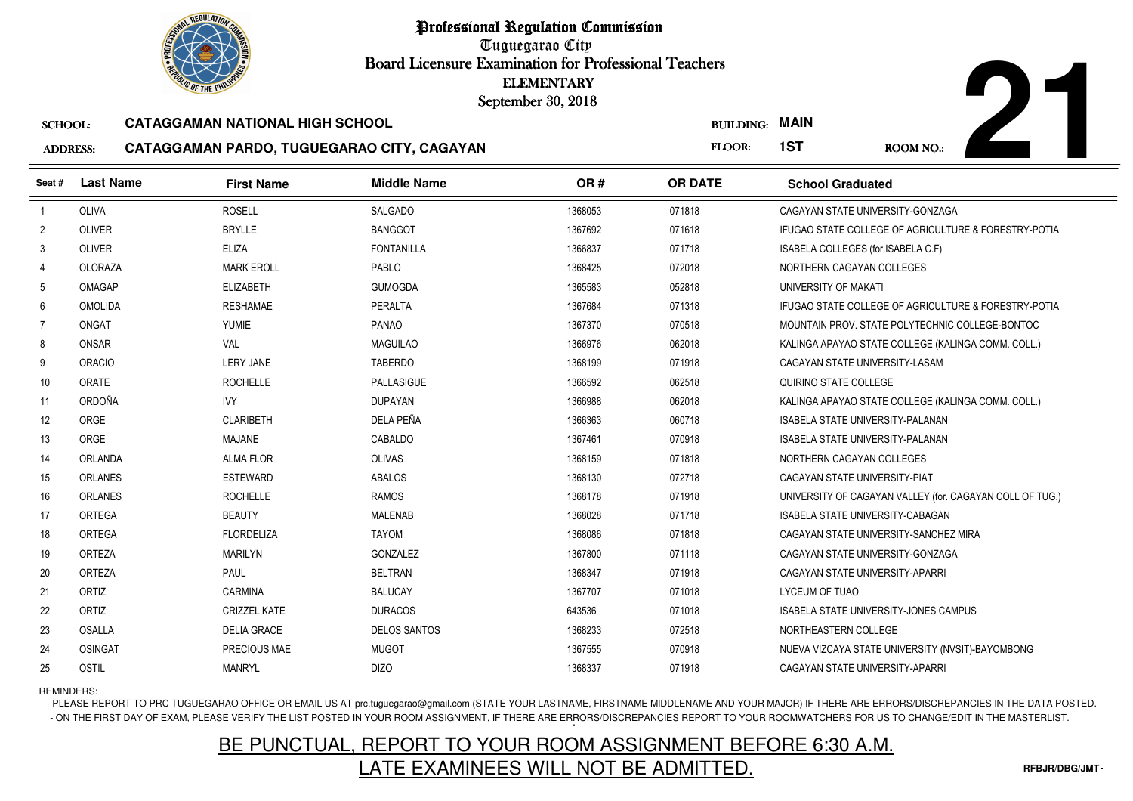Tuguegarao City Board Licensure Examination for Professional Teachers September 30, 2018

#### SCHOOL:**CATAGGAMAN NATIONAL HIGH SCHOOL**

#### ADDRESS:**CATAGGAMAN PARDO, TUGUEGARAO CITY, CAGAYAN**



| <b><i>OLIC OF THE PHILIP</i></b> |                  |                                            | <b>ELEMENTARY</b><br>September 30, 2018 |         |                  |                                         |                                                          |
|----------------------------------|------------------|--------------------------------------------|-----------------------------------------|---------|------------------|-----------------------------------------|----------------------------------------------------------|
| <b>SCHOOL:</b>                   |                  | <b>CATAGGAMAN NATIONAL HIGH SCHOOL</b>     |                                         |         | <b>BUILDING:</b> | <b>MAIN</b>                             |                                                          |
| <b>ADDRESS:</b>                  |                  | CATAGGAMAN PARDO, TUGUEGARAO CITY, CAGAYAN |                                         |         | FLOOR:           | 1ST                                     | ROOM NO.:                                                |
| Seat #                           | <b>Last Name</b> | <b>First Name</b>                          | <b>Middle Name</b>                      | OR#     | <b>OR DATE</b>   | <b>School Graduated</b>                 |                                                          |
| $\overline{1}$                   | <b>OLIVA</b>     | <b>ROSELL</b>                              | <b>SALGADO</b>                          | 1368053 | 071818           | CAGAYAN STATE UNIVERSITY-GONZAGA        |                                                          |
| $\overline{2}$                   | <b>OLIVER</b>    | <b>BRYLLE</b>                              | <b>BANGGOT</b>                          | 1367692 | 071618           |                                         | IFUGAO STATE COLLEGE OF AGRICULTURE & FORESTRY-POTIA     |
| 3                                | OLIVER           | <b>ELIZA</b>                               | <b>FONTANILLA</b>                       | 1366837 | 071718           | ISABELA COLLEGES (for.ISABELA C.F)      |                                                          |
| $\overline{4}$                   | OLORAZA          | <b>MARK EROLL</b>                          | PABLO                                   | 1368425 | 072018           | NORTHERN CAGAYAN COLLEGES               |                                                          |
| 5                                | <b>OMAGAP</b>    | <b>ELIZABETH</b>                           | <b>GUMOGDA</b>                          | 1365583 | 052818           | UNIVERSITY OF MAKATI                    |                                                          |
| 6                                | <b>OMOLIDA</b>   | <b>RESHAMAE</b>                            | <b>PERALTA</b>                          | 1367684 | 071318           |                                         | IFUGAO STATE COLLEGE OF AGRICULTURE & FORESTRY-POTIA     |
| $\overline{7}$                   | <b>ONGAT</b>     | <b>YUMIE</b>                               | PANAO                                   | 1367370 | 070518           |                                         | MOUNTAIN PROV. STATE POLYTECHNIC COLLEGE-BONTOC          |
| 8                                | ONSAR            | VAL                                        | <b>MAGUILAO</b>                         | 1366976 | 062018           |                                         | KALINGA APAYAO STATE COLLEGE (KALINGA COMM. COLL.)       |
| 9                                | <b>ORACIO</b>    | <b>LERY JANE</b>                           | <b>TABERDO</b>                          | 1368199 | 071918           | CAGAYAN STATE UNIVERSITY-LASAM          |                                                          |
| 10                               | ORATE            | <b>ROCHELLE</b>                            | PALLASIGUE                              | 1366592 | 062518           | QUIRINO STATE COLLEGE                   |                                                          |
| 11                               | ORDOÑA           | <b>IVY</b>                                 | <b>DUPAYAN</b>                          | 1366988 | 062018           |                                         | KALINGA APAYAO STATE COLLEGE (KALINGA COMM. COLL.)       |
| 12                               | ORGE             | <b>CLARIBETH</b>                           | DELA PEÑA                               | 1366363 | 060718           | <b>ISABELA STATE UNIVERSITY-PALANAN</b> |                                                          |
| 13                               | ORGE             | <b>MAJANE</b>                              | CABALDO                                 | 1367461 | 070918           | <b>ISABELA STATE UNIVERSITY-PALANAN</b> |                                                          |
| 14                               | <b>ORLANDA</b>   | <b>ALMA FLOR</b>                           | <b>OLIVAS</b>                           | 1368159 | 071818           | NORTHERN CAGAYAN COLLEGES               |                                                          |
| 15                               | <b>ORLANES</b>   | <b>ESTEWARD</b>                            | <b>ABALOS</b>                           | 1368130 | 072718           | CAGAYAN STATE UNIVERSITY-PIAT           |                                                          |
| 16                               | <b>ORLANES</b>   | <b>ROCHELLE</b>                            | <b>RAMOS</b>                            | 1368178 | 071918           |                                         | UNIVERSITY OF CAGAYAN VALLEY (for. CAGAYAN COLL OF TUG.) |
| 17                               | <b>ORTEGA</b>    | <b>BEAUTY</b>                              | <b>MALENAB</b>                          | 1368028 | 071718           | <b>ISABELA STATE UNIVERSITY-CABAGAN</b> |                                                          |
| 18                               | ORTEGA           | <b>FLORDELIZA</b>                          | <b>TAYOM</b>                            | 1368086 | 071818           |                                         | CAGAYAN STATE UNIVERSITY-SANCHEZ MIRA                    |
| 19                               | <b>ORTEZA</b>    | <b>MARILYN</b>                             | GONZALEZ                                | 1367800 | 071118           | CAGAYAN STATE UNIVERSITY-GONZAGA        |                                                          |
| 20                               | ORTEZA           | <b>PAUL</b>                                | <b>BELTRAN</b>                          | 1368347 | 071918           | CAGAYAN STATE UNIVERSITY-APARRI         |                                                          |
| 21                               | ORTIZ            | <b>CARMINA</b>                             | <b>BALUCAY</b>                          | 1367707 | 071018           | <b>LYCEUM OF TUAO</b>                   |                                                          |
| 22                               | ORTIZ            | <b>CRIZZEL KATE</b>                        | <b>DURACOS</b>                          | 643536  | 071018           |                                         | ISABELA STATE UNIVERSITY-JONES CAMPUS                    |
| 23                               | <b>OSALLA</b>    | <b>DELIA GRACE</b>                         | <b>DELOS SANTOS</b>                     | 1368233 | 072518           | NORTHEASTERN COLLEGE                    |                                                          |
| 24                               | <b>OSINGAT</b>   | PRECIOUS MAE                               | <b>MUGOT</b>                            | 1367555 | 070918           |                                         | NUEVA VIZCAYA STATE UNIVERSITY (NVSIT)-BAYOMBONG         |
| 25                               | <b>OSTIL</b>     | <b>MANRYL</b>                              | <b>DIZO</b>                             | 1368337 | 071918           | CAGAYAN STATE UNIVERSITY-APARRI         |                                                          |

REMINDERS:

- PLEASE REPORT TO PRC TUGUEGARAO OFFICE OR EMAIL US AT prc.tuguegarao@gmail.com (STATE YOUR LASTNAME, FIRSTNAME MIDDLENAME AND YOUR MAJOR) IF THERE ARE ERRORS/DISCREPANCIES IN THE DATA POSTED. - ON THE FIRST DAY OF EXAM, PLEASE VERIFY THE LIST POSTED IN YOUR ROOM ASSIGNMENT, IF THERE ARE ERRORS/DISCREPANCIES REPORT TO YOUR ROOMWATCHERS FOR US TO CHANGE/EDIT IN THE MASTERLIST.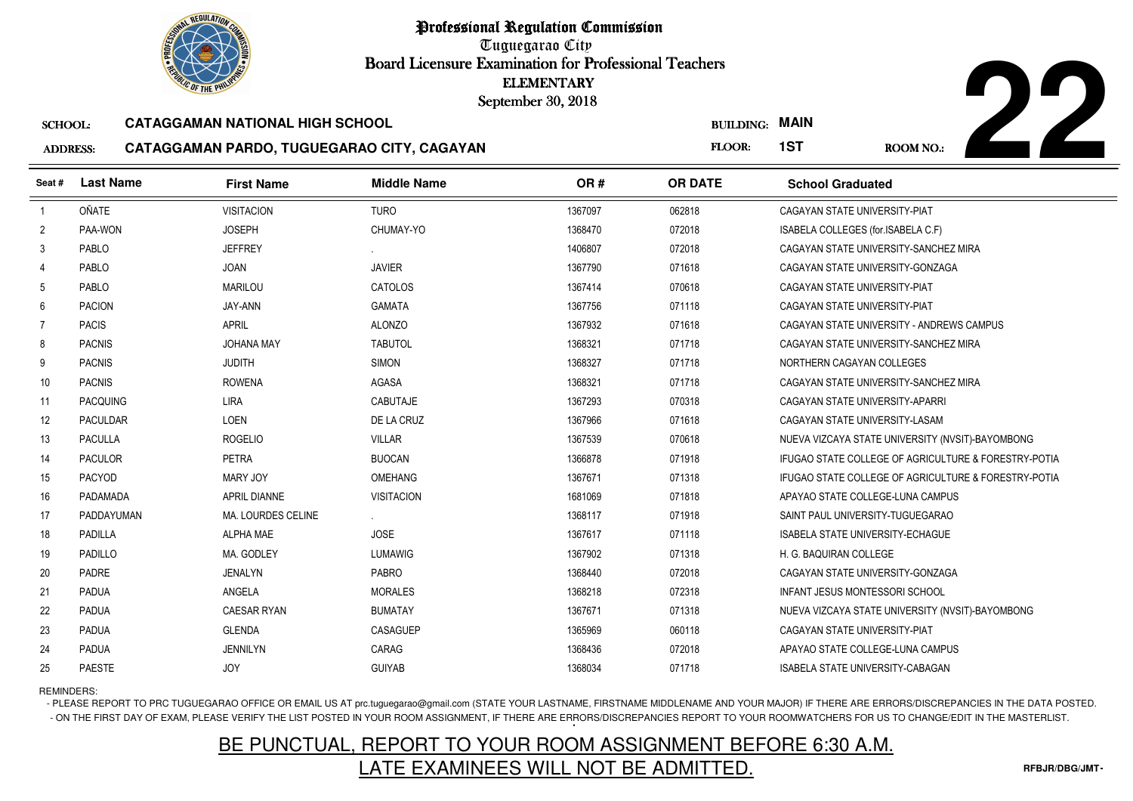Tuguegarao City Board Licensure Examination for Professional Teachers September 30, 2018

#### SCHOOL:**CATAGGAMAN NATIONAL HIGH SCHOOL**

### **ADDRES**



| S: | CATAGGAMAN PARDO, TUGUEGARAO CITY, CAGAYAN |  |
|----|--------------------------------------------|--|
|    |                                            |  |

| <b><i>OLIC OF THE PHILIP</i></b> |                  |                                            |                    | <b>ELEMENTARY</b><br>September 30, 2018 |                  |                                                      |
|----------------------------------|------------------|--------------------------------------------|--------------------|-----------------------------------------|------------------|------------------------------------------------------|
| <b>SCHOOL:</b>                   |                  | <b>CATAGGAMAN NATIONAL HIGH SCHOOL</b>     |                    |                                         | <b>BUILDING:</b> | <b>MAIN</b>                                          |
| <b>ADDRESS:</b>                  |                  | CATAGGAMAN PARDO, TUGUEGARAO CITY, CAGAYAN |                    |                                         | FLOOR:           | 1ST<br><b>ROOM NO.:</b>                              |
| Seat#                            | <b>Last Name</b> | <b>First Name</b>                          | <b>Middle Name</b> | OR#                                     | <b>OR DATE</b>   | <b>School Graduated</b>                              |
| $\overline{1}$                   | <b>OÑATE</b>     | <b>VISITACION</b>                          | <b>TURO</b>        | 1367097                                 | 062818           | CAGAYAN STATE UNIVERSITY-PIAT                        |
| $\overline{2}$                   | PAA-WON          | <b>JOSEPH</b>                              | CHUMAY-YO          | 1368470                                 | 072018           | ISABELA COLLEGES (for.ISABELA C.F)                   |
| 3                                | PABLO            | <b>JEFFREY</b>                             |                    | 1406807                                 | 072018           | CAGAYAN STATE UNIVERSITY-SANCHEZ MIRA                |
| $\overline{4}$                   | PABLO            | <b>JOAN</b>                                | <b>JAVIER</b>      | 1367790                                 | 071618           | CAGAYAN STATE UNIVERSITY-GONZAGA                     |
| -5                               | PABLO            | <b>MARILOU</b>                             | CATOLOS            | 1367414                                 | 070618           | CAGAYAN STATE UNIVERSITY-PIAT                        |
| 6                                | <b>PACION</b>    | JAY-ANN                                    | <b>GAMATA</b>      | 1367756                                 | 071118           | CAGAYAN STATE UNIVERSITY-PIAT                        |
| 7                                | <b>PACIS</b>     | <b>APRIL</b>                               | <b>ALONZO</b>      | 1367932                                 | 071618           | CAGAYAN STATE UNIVERSITY - ANDREWS CAMPUS            |
| 8                                | <b>PACNIS</b>    | <b>JOHANA MAY</b>                          | <b>TABUTOL</b>     | 1368321                                 | 071718           | CAGAYAN STATE UNIVERSITY-SANCHEZ MIRA                |
| 9                                | <b>PACNIS</b>    | <b>JUDITH</b>                              | <b>SIMON</b>       | 1368327                                 | 071718           | NORTHERN CAGAYAN COLLEGES                            |
| 10                               | <b>PACNIS</b>    | <b>ROWENA</b>                              | AGASA              | 1368321                                 | 071718           | CAGAYAN STATE UNIVERSITY-SANCHEZ MIRA                |
| 11                               | <b>PACQUING</b>  | <b>LIRA</b>                                | <b>CABUTAJE</b>    | 1367293                                 | 070318           | CAGAYAN STATE UNIVERSITY-APARRI                      |
| 12                               | <b>PACULDAR</b>  | LOEN                                       | DE LA CRUZ         | 1367966                                 | 071618           | CAGAYAN STATE UNIVERSITY-LASAM                       |
| 13                               | <b>PACULLA</b>   | <b>ROGELIO</b>                             | <b>VILLAR</b>      | 1367539                                 | 070618           | NUEVA VIZCAYA STATE UNIVERSITY (NVSIT)-BAYOMBONG     |
| 14                               | <b>PACULOR</b>   | <b>PETRA</b>                               | <b>BUOCAN</b>      | 1366878                                 | 071918           | IFUGAO STATE COLLEGE OF AGRICULTURE & FORESTRY-POTIA |
| 15                               | <b>PACYOD</b>    | MARY JOY                                   | <b>OMEHANG</b>     | 1367671                                 | 071318           | IFUGAO STATE COLLEGE OF AGRICULTURE & FORESTRY-POTIA |
| 16                               | PADAMADA         | APRIL DIANNE                               | <b>VISITACION</b>  | 1681069                                 | 071818           | APAYAO STATE COLLEGE-LUNA CAMPUS                     |
| 17                               | PADDAYUMAN       | MA. LOURDES CELINE                         |                    | 1368117                                 | 071918           | SAINT PAUL UNIVERSITY-TUGUEGARAO                     |
| 18                               | <b>PADILLA</b>   | <b>ALPHA MAE</b>                           | <b>JOSE</b>        | 1367617                                 | 071118           | <b>ISABELA STATE UNIVERSITY-ECHAGUE</b>              |
| 19                               | <b>PADILLO</b>   | MA. GODLEY                                 | <b>LUMAWIG</b>     | 1367902                                 | 071318           | H. G. BAQUIRAN COLLEGE                               |
| 20                               | PADRE            | <b>JENALYN</b>                             | <b>PABRO</b>       | 1368440                                 | 072018           | CAGAYAN STATE UNIVERSITY-GONZAGA                     |
| 21                               | <b>PADUA</b>     | ANGELA                                     | <b>MORALES</b>     | 1368218                                 | 072318           | INFANT JESUS MONTESSORI SCHOOL                       |
| 22                               | <b>PADUA</b>     | <b>CAESAR RYAN</b>                         | <b>BUMATAY</b>     | 1367671                                 | 071318           | NUEVA VIZCAYA STATE UNIVERSITY (NVSIT)-BAYOMBONG     |
| 23                               | <b>PADUA</b>     | <b>GLENDA</b>                              | CASAGUEP           | 1365969                                 | 060118           | CAGAYAN STATE UNIVERSITY-PIAT                        |
| 24                               | <b>PADUA</b>     | <b>JENNILYN</b>                            | CARAG              | 1368436                                 | 072018           | APAYAO STATE COLLEGE-LUNA CAMPUS                     |
| 25                               | <b>PAESTE</b>    | <b>JOY</b>                                 | <b>GUIYAB</b>      | 1368034                                 | 071718           | <b>ISABELA STATE UNIVERSITY-CABAGAN</b>              |

REMINDERS:

- PLEASE REPORT TO PRC TUGUEGARAO OFFICE OR EMAIL US AT prc.tuguegarao@gmail.com (STATE YOUR LASTNAME, FIRSTNAME MIDDLENAME AND YOUR MAJOR) IF THERE ARE ERRORS/DISCREPANCIES IN THE DATA POSTED. - ON THE FIRST DAY OF EXAM, PLEASE VERIFY THE LIST POSTED IN YOUR ROOM ASSIGNMENT, IF THERE ARE ERRORS/DISCREPANCIES REPORT TO YOUR ROOMWATCHERS FOR US TO CHANGE/EDIT IN THE MASTERLIST.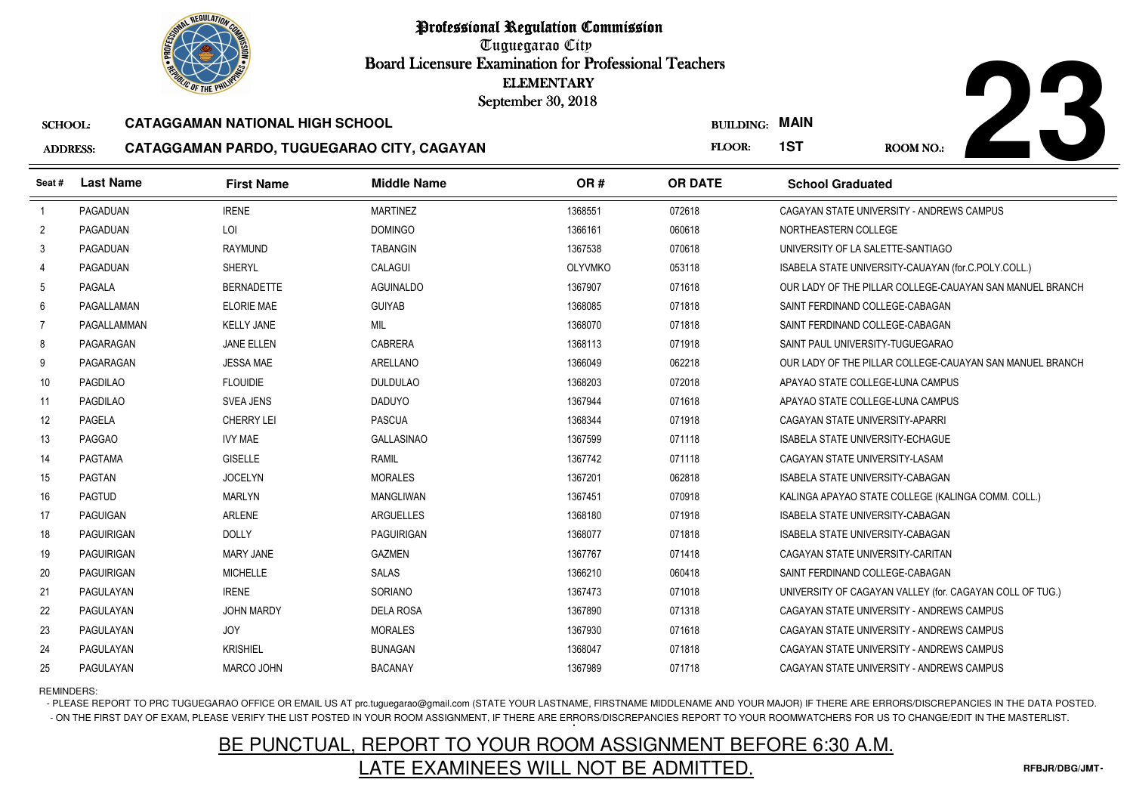Tuguegarao City Board Licensure Examination for Professional Teachers September 30, 2018

#### SCHOOL:**CATAGGAMAN NATIONAL HIGH SCHOOL**

#### ADDRESS:**CATAGGAMAN PARDO, TUGUEGARAO CITY, CAGAYAN**



|                 | <b><i>OLIC OF THE PHILIP</i></b> |                                            | <b>ELEMENTARY</b><br>September 30, 2018 |                |                  |                                                          |
|-----------------|----------------------------------|--------------------------------------------|-----------------------------------------|----------------|------------------|----------------------------------------------------------|
| <b>SCHOOL:</b>  |                                  | <b>CATAGGAMAN NATIONAL HIGH SCHOOL</b>     |                                         |                | <b>BUILDING:</b> | <b>MAIN</b>                                              |
| <b>ADDRESS:</b> |                                  | CATAGGAMAN PARDO, TUGUEGARAO CITY, CAGAYAN |                                         |                | FLOOR:           | 1ST<br>ROOM NO.:                                         |
| Seat #          | <b>Last Name</b>                 | <b>First Name</b>                          | <b>Middle Name</b>                      | OR#            | <b>OR DATE</b>   | <b>School Graduated</b>                                  |
| $\overline{1}$  | PAGADUAN                         | <b>IRENE</b>                               | <b>MARTINEZ</b>                         | 1368551        | 072618           | CAGAYAN STATE UNIVERSITY - ANDREWS CAMPUS                |
| $\overline{2}$  | PAGADUAN                         | LOI                                        | <b>DOMINGO</b>                          | 1366161        | 060618           | NORTHEASTERN COLLEGE                                     |
| 3               | PAGADUAN                         | <b>RAYMUND</b>                             | <b>TABANGIN</b>                         | 1367538        | 070618           | UNIVERSITY OF LA SALETTE-SANTIAGO                        |
| 4               | PAGADUAN                         | <b>SHERYL</b>                              | CALAGUI                                 | <b>OLYVMKO</b> | 053118           | ISABELA STATE UNIVERSITY-CAUAYAN (for.C.POLY.COLL.)      |
| 5               | PAGALA                           | <b>BERNADETTE</b>                          | <b>AGUINALDO</b>                        | 1367907        | 071618           | OUR LADY OF THE PILLAR COLLEGE-CAUAYAN SAN MANUEL BRANCH |
| 6               | PAGALLAMAN                       | <b>ELORIE MAE</b>                          | <b>GUIYAB</b>                           | 1368085        | 071818           | SAINT FERDINAND COLLEGE-CABAGAN                          |
| $\overline{7}$  | PAGALLAMMAN                      | <b>KELLY JANE</b>                          | MIL                                     | 1368070        | 071818           | SAINT FERDINAND COLLEGE-CABAGAN                          |
| 8               | PAGARAGAN                        | <b>JANE ELLEN</b>                          | <b>CABRERA</b>                          | 1368113        | 071918           | SAINT PAUL UNIVERSITY-TUGUEGARAO                         |
| 9               | PAGARAGAN                        | <b>JESSA MAE</b>                           | ARELLANO                                | 1366049        | 062218           | OUR LADY OF THE PILLAR COLLEGE-CAUAYAN SAN MANUEL BRANCH |
| 10              | <b>PAGDILAO</b>                  | <b>FLOUIDIE</b>                            | <b>DULDULAO</b>                         | 1368203        | 072018           | APAYAO STATE COLLEGE-LUNA CAMPUS                         |
| 11              | <b>PAGDILAO</b>                  | <b>SVEA JENS</b>                           | <b>DADUYO</b>                           | 1367944        | 071618           | APAYAO STATE COLLEGE-LUNA CAMPUS                         |
| 12              | <b>PAGELA</b>                    | <b>CHERRY LEI</b>                          | <b>PASCUA</b>                           | 1368344        | 071918           | CAGAYAN STATE UNIVERSITY-APARRI                          |
| 13              | <b>PAGGAO</b>                    | <b>IVY MAE</b>                             | <b>GALLASINAO</b>                       | 1367599        | 071118           | <b>ISABELA STATE UNIVERSITY-ECHAGUE</b>                  |
| 14              | PAGTAMA                          | <b>GISELLE</b>                             | <b>RAMIL</b>                            | 1367742        | 071118           | CAGAYAN STATE UNIVERSITY-LASAM                           |
| 15              | <b>PAGTAN</b>                    | <b>JOCELYN</b>                             | <b>MORALES</b>                          | 1367201        | 062818           | <b>ISABELA STATE UNIVERSITY-CABAGAN</b>                  |
| 16              | <b>PAGTUD</b>                    | <b>MARLYN</b>                              | MANGLIWAN                               | 1367451        | 070918           | KALINGA APAYAO STATE COLLEGE (KALINGA COMM. COLL.)       |
| 17              | PAGUIGAN                         | ARLENE                                     | ARGUELLES                               | 1368180        | 071918           | ISABELA STATE UNIVERSITY-CABAGAN                         |
| 18              | <b>PAGUIRIGAN</b>                | <b>DOLLY</b>                               | PAGUIRIGAN                              | 1368077        | 071818           | ISABELA STATE UNIVERSITY-CABAGAN                         |
| 19              | <b>PAGUIRIGAN</b>                | <b>MARY JANE</b>                           | <b>GAZMEN</b>                           | 1367767        | 071418           | CAGAYAN STATE UNIVERSITY-CARITAN                         |
| 20              | PAGUIRIGAN                       | <b>MICHELLE</b>                            | <b>SALAS</b>                            | 1366210        | 060418           | SAINT FERDINAND COLLEGE-CABAGAN                          |
| 21              | PAGULAYAN                        | <b>IRENE</b>                               | SORIANO                                 | 1367473        | 071018           | UNIVERSITY OF CAGAYAN VALLEY (for. CAGAYAN COLL OF TUG.) |
| 22              | PAGULAYAN                        | <b>JOHN MARDY</b>                          | <b>DELA ROSA</b>                        | 1367890        | 071318           | CAGAYAN STATE UNIVERSITY - ANDREWS CAMPUS                |
| 23              | PAGULAYAN                        | <b>JOY</b>                                 | <b>MORALES</b>                          | 1367930        | 071618           | CAGAYAN STATE UNIVERSITY - ANDREWS CAMPUS                |
| 24              | PAGULAYAN                        | <b>KRISHIEL</b>                            | <b>BUNAGAN</b>                          | 1368047        | 071818           | CAGAYAN STATE UNIVERSITY - ANDREWS CAMPUS                |
| 25              | PAGULAYAN                        | MARCO JOHN                                 | <b>BACANAY</b>                          | 1367989        | 071718           | CAGAYAN STATE UNIVERSITY - ANDREWS CAMPUS                |

REMINDERS:

- PLEASE REPORT TO PRC TUGUEGARAO OFFICE OR EMAIL US AT prc.tuguegarao@gmail.com (STATE YOUR LASTNAME, FIRSTNAME MIDDLENAME AND YOUR MAJOR) IF THERE ARE ERRORS/DISCREPANCIES IN THE DATA POSTED. - ON THE FIRST DAY OF EXAM, PLEASE VERIFY THE LIST POSTED IN YOUR ROOM ASSIGNMENT, IF THERE ARE ERRORS/DISCREPANCIES REPORT TO YOUR ROOMWATCHERS FOR US TO CHANGE/EDIT IN THE MASTERLIST.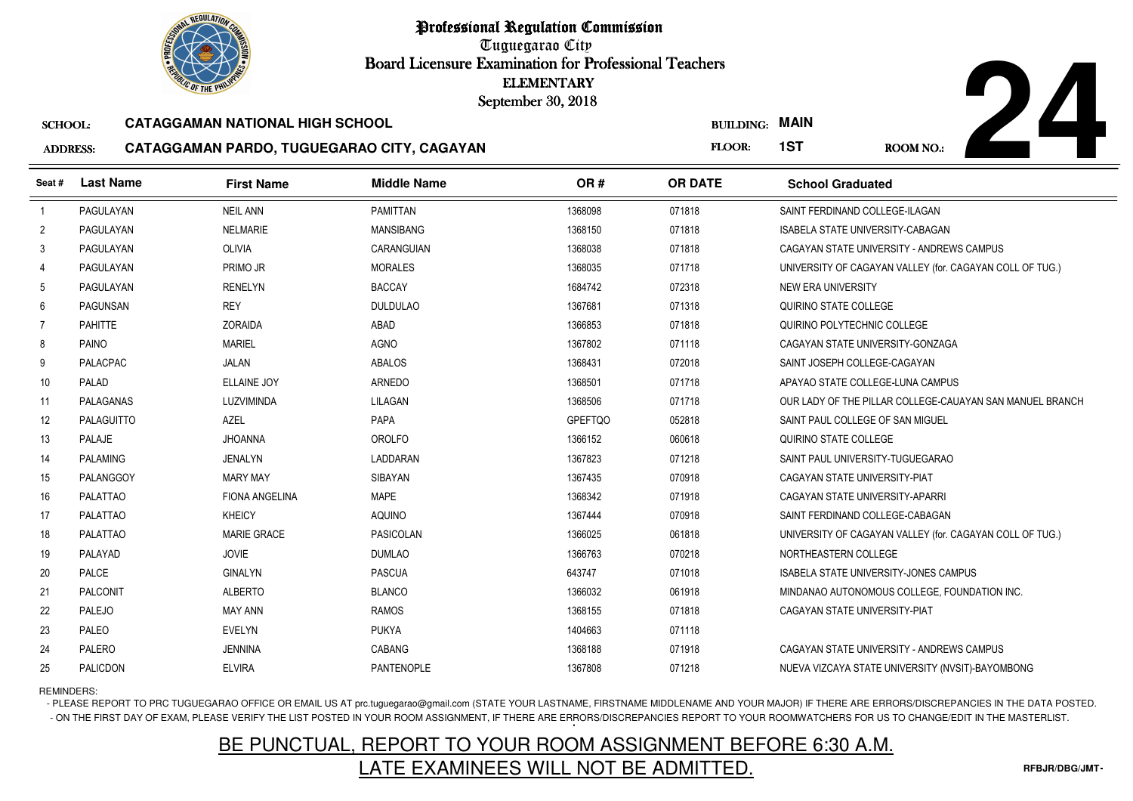Tuguegarao City Board Licensure Examination for Professional Teachers September 30, 2018

#### SCHOOL:**CATAGGAMAN NATIONAL HIGH SCHOOL**

### ADDRESS:



### **CATAGGAMAN PARDO, TUGUEGARAO CITY, CAGAYAN**

|                                   | <b><i>OLIC OF THE PHILIP</i></b> |                                                                                      | <b>ELEMENTARY</b><br>September 30, 2018 |                |                            |                                                          |
|-----------------------------------|----------------------------------|--------------------------------------------------------------------------------------|-----------------------------------------|----------------|----------------------------|----------------------------------------------------------|
| <b>SCHOOL:</b><br><b>ADDRESS:</b> |                                  | <b>CATAGGAMAN NATIONAL HIGH SCHOOL</b><br>CATAGGAMAN PARDO, TUGUEGARAO CITY, CAGAYAN |                                         |                | <b>BUILDING:</b><br>FLOOR: | <b>MAIN</b><br>1ST<br>ROOM NO.:                          |
| Seat #                            | <b>Last Name</b>                 | <b>First Name</b>                                                                    | <b>Middle Name</b>                      | OR#            | <b>OR DATE</b>             | <b>School Graduated</b>                                  |
| $\overline{1}$                    | PAGULAYAN                        | <b>NEIL ANN</b>                                                                      | <b>PAMITTAN</b>                         | 1368098        | 071818                     | SAINT FERDINAND COLLEGE-ILAGAN                           |
| $\overline{2}$                    | PAGULAYAN                        | <b>NELMARIE</b>                                                                      | <b>MANSIBANG</b>                        | 1368150        | 071818                     | ISABELA STATE UNIVERSITY-CABAGAN                         |
| 3                                 | PAGULAYAN                        | <b>OLIVIA</b>                                                                        | CARANGUIAN                              | 1368038        | 071818                     | CAGAYAN STATE UNIVERSITY - ANDREWS CAMPUS                |
| 4                                 | PAGULAYAN                        | PRIMO JR                                                                             | <b>MORALES</b>                          | 1368035        | 071718                     | UNIVERSITY OF CAGAYAN VALLEY (for. CAGAYAN COLL OF TUG.) |
| 5                                 | PAGULAYAN                        | <b>RENELYN</b>                                                                       | <b>BACCAY</b>                           | 1684742        | 072318                     | NEW ERA UNIVERSITY                                       |
| 6                                 | PAGUNSAN                         | <b>REY</b>                                                                           | <b>DULDULAO</b>                         | 1367681        | 071318                     | QUIRINO STATE COLLEGE                                    |
| $\overline{7}$                    | <b>PAHITTE</b>                   | <b>ZORAIDA</b>                                                                       | ABAD                                    | 1366853        | 071818                     | QUIRINO POLYTECHNIC COLLEGE                              |
| 8                                 | <b>PAINO</b>                     | <b>MARIEL</b>                                                                        | <b>AGNO</b>                             | 1367802        | 071118                     | CAGAYAN STATE UNIVERSITY-GONZAGA                         |
| 9                                 | <b>PALACPAC</b>                  | <b>JALAN</b>                                                                         | <b>ABALOS</b>                           | 1368431        | 072018                     | SAINT JOSEPH COLLEGE-CAGAYAN                             |
| 10                                | PALAD                            | <b>ELLAINE JOY</b>                                                                   | <b>ARNEDO</b>                           | 1368501        | 071718                     | APAYAO STATE COLLEGE-LUNA CAMPUS                         |
| 11                                | PALAGANAS                        | LUZVIMINDA                                                                           | LILAGAN                                 | 1368506        | 071718                     | OUR LADY OF THE PILLAR COLLEGE-CAUAYAN SAN MANUEL BRANCH |
| 12                                | <b>PALAGUITTO</b>                | <b>AZEL</b>                                                                          | PAPA                                    | <b>GPEFTQO</b> | 052818                     | SAINT PAUL COLLEGE OF SAN MIGUEL                         |
| 13                                | PALAJE                           | <b>JHOANNA</b>                                                                       | OROLFO                                  | 1366152        | 060618                     | QUIRINO STATE COLLEGE                                    |
| 14                                | <b>PALAMING</b>                  | <b>JENALYN</b>                                                                       | LADDARAN                                | 1367823        | 071218                     | SAINT PAUL UNIVERSITY-TUGUEGARAO                         |
| 15                                | PALANGGOY                        | <b>MARY MAY</b>                                                                      | <b>SIBAYAN</b>                          | 1367435        | 070918                     | CAGAYAN STATE UNIVERSITY-PIAT                            |
| 16                                | <b>PALATTAO</b>                  | <b>FIONA ANGELINA</b>                                                                | <b>MAPE</b>                             | 1368342        | 071918                     | CAGAYAN STATE UNIVERSITY-APARRI                          |
| 17                                | <b>PALATTAO</b>                  | <b>KHEICY</b>                                                                        | <b>AQUINO</b>                           | 1367444        | 070918                     | SAINT FERDINAND COLLEGE-CABAGAN                          |
| 18                                | <b>PALATTAO</b>                  | <b>MARIE GRACE</b>                                                                   | <b>PASICOLAN</b>                        | 1366025        | 061818                     | UNIVERSITY OF CAGAYAN VALLEY (for. CAGAYAN COLL OF TUG.) |
| 19                                | PALAYAD                          | <b>JOVIE</b>                                                                         | <b>DUMLAO</b>                           | 1366763        | 070218                     | NORTHEASTERN COLLEGE                                     |
| 20                                | PALCE                            | <b>GINALYN</b>                                                                       | <b>PASCUA</b>                           | 643747         | 071018                     | <b>ISABELA STATE UNIVERSITY-JONES CAMPUS</b>             |
| 21                                | <b>PALCONIT</b>                  | <b>ALBERTO</b>                                                                       | <b>BLANCO</b>                           | 1366032        | 061918                     | MINDANAO AUTONOMOUS COLLEGE. FOUNDATION INC.             |
| 22                                | PALEJO                           | <b>MAY ANN</b>                                                                       | <b>RAMOS</b>                            | 1368155        | 071818                     | CAGAYAN STATE UNIVERSITY-PIAT                            |
| 23                                | PALEO                            | <b>EVELYN</b>                                                                        | <b>PUKYA</b>                            | 1404663        | 071118                     |                                                          |
| 24                                | <b>PALERO</b>                    | <b>JENNINA</b>                                                                       | CABANG                                  | 1368188        | 071918                     | CAGAYAN STATE UNIVERSITY - ANDREWS CAMPUS                |
| 25                                | PALICDON                         | <b>ELVIRA</b>                                                                        | PANTENOPLE                              | 1367808        | 071218                     | NUEVA VIZCAYA STATE UNIVERSITY (NVSIT)-BAYOMBONG         |

REMINDERS:

- PLEASE REPORT TO PRC TUGUEGARAO OFFICE OR EMAIL US AT prc.tuguegarao@gmail.com (STATE YOUR LASTNAME, FIRSTNAME MIDDLENAME AND YOUR MAJOR) IF THERE ARE ERRORS/DISCREPANCIES IN THE DATA POSTED. - ON THE FIRST DAY OF EXAM, PLEASE VERIFY THE LIST POSTED IN YOUR ROOM ASSIGNMENT, IF THERE ARE ERRORS/DISCREPANCIES REPORT TO YOUR ROOMWATCHERS FOR US TO CHANGE/EDIT IN THE MASTERLIST.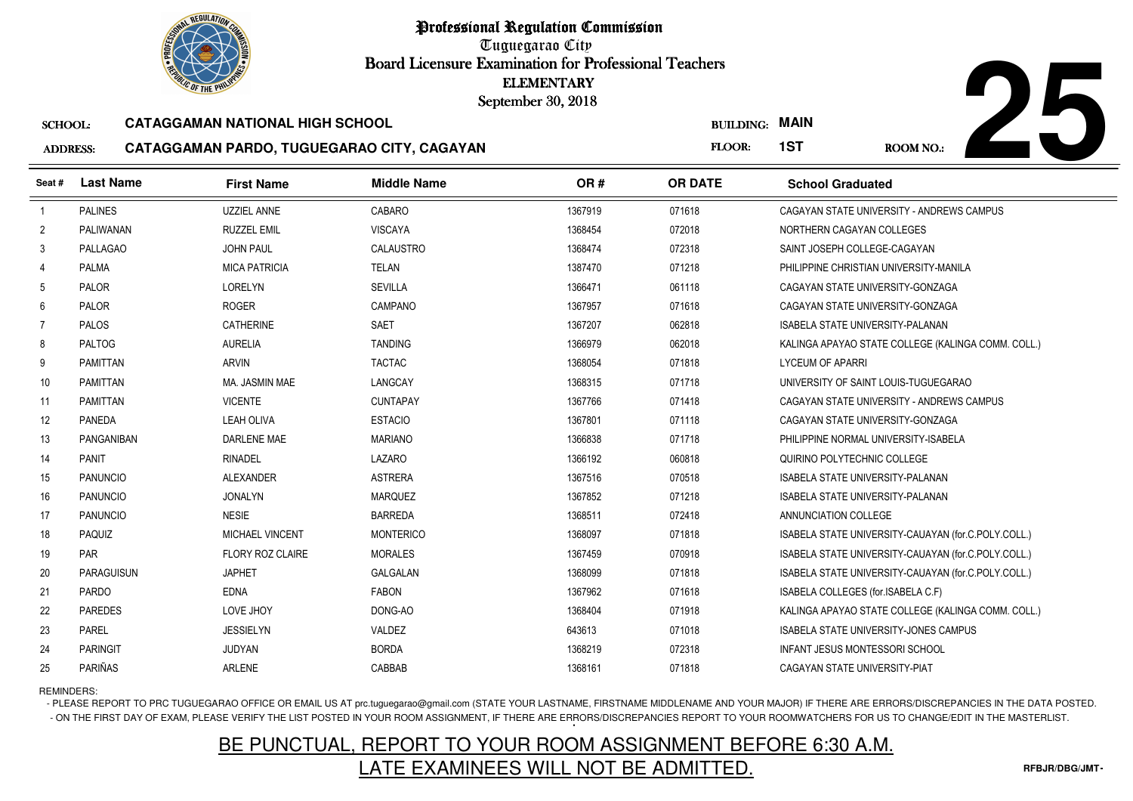Tuguegarao City Board Licensure Examination for Professional Teachers September 30, 2018

#### SCHOOL:**CATAGGAMAN NATIONAL HIGH SCHOOL**

3 PAREL JESSIELYN VALDEZ

4 PARINGIT JUDYAN BORDA

5 PARIÑAS ARLENE ARLENE CABBAB

#### ADDRESS:**CATAGGAMAN PARDO, TUGUEGARAO CITY, CAGAYAN**



| <b>OLIC OF THE PHILIP</b> |                   |                                        |                                            | <b>ELEMENTARY</b><br>September 30, 2018 |                  |                                                     |
|---------------------------|-------------------|----------------------------------------|--------------------------------------------|-----------------------------------------|------------------|-----------------------------------------------------|
| <b>SCHOOL:</b>            |                   | <b>CATAGGAMAN NATIONAL HIGH SCHOOL</b> |                                            |                                         | <b>BUILDING:</b> | <b>MAIN</b>                                         |
| <b>ADDRESS:</b>           |                   |                                        | CATAGGAMAN PARDO, TUGUEGARAO CITY, CAGAYAN |                                         | FLOOR:           | 1ST<br><b>ROOM NO.:</b>                             |
| Seat #                    | <b>Last Name</b>  | <b>First Name</b>                      | <b>Middle Name</b>                         | OR#                                     | <b>OR DATE</b>   | <b>School Graduated</b>                             |
|                           | <b>PALINES</b>    | <b>UZZIEL ANNE</b>                     | CABARO                                     | 1367919                                 | 071618           | CAGAYAN STATE UNIVERSITY - ANDREWS CAMPUS           |
| $\overline{2}$            | PALIWANAN         | <b>RUZZEL EMIL</b>                     | <b>VISCAYA</b>                             | 1368454                                 | 072018           | NORTHERN CAGAYAN COLLEGES                           |
| 3                         | <b>PALLAGAO</b>   | <b>JOHN PAUL</b>                       | CALAUSTRO                                  | 1368474                                 | 072318           | SAINT JOSEPH COLLEGE-CAGAYAN                        |
| 4                         | PALMA             | <b>MICA PATRICIA</b>                   | <b>TELAN</b>                               | 1387470                                 | 071218           | PHILIPPINE CHRISTIAN UNIVERSITY-MANILA              |
| 5                         | PALOR             | LORELYN                                | <b>SEVILLA</b>                             | 1366471                                 | 061118           | CAGAYAN STATE UNIVERSITY-GONZAGA                    |
| 6                         | PALOR             | <b>ROGER</b>                           | CAMPANO                                    | 1367957                                 | 071618           | CAGAYAN STATE UNIVERSITY-GONZAGA                    |
| $\overline{7}$            | PALOS             | <b>CATHERINE</b>                       | <b>SAET</b>                                | 1367207                                 | 062818           | ISABELA STATE UNIVERSITY-PALANAN                    |
| 8                         | <b>PALTOG</b>     | <b>AURELIA</b>                         | <b>TANDING</b>                             | 1366979                                 | 062018           | KALINGA APAYAO STATE COLLEGE (KALINGA COMM. COLL.)  |
| 9                         | PAMITTAN          | <b>ARVIN</b>                           | <b>TACTAC</b>                              | 1368054                                 | 071818           | <b>LYCEUM OF APARRI</b>                             |
| 10                        | PAMITTAN          | MA. JASMIN MAE                         | LANGCAY                                    | 1368315                                 | 071718           | UNIVERSITY OF SAINT LOUIS-TUGUEGARAO                |
| 11                        | PAMITTAN          | <b>VICENTE</b>                         | <b>CUNTAPAY</b>                            | 1367766                                 | 071418           | CAGAYAN STATE UNIVERSITY - ANDREWS CAMPUS           |
| 12                        | <b>PANEDA</b>     | <b>LEAH OLIVA</b>                      | <b>ESTACIO</b>                             | 1367801                                 | 071118           | CAGAYAN STATE UNIVERSITY-GONZAGA                    |
| 13                        | PANGANIBAN        | DARLENE MAE                            | <b>MARIANO</b>                             | 1366838                                 | 071718           | PHILIPPINE NORMAL UNIVERSITY-ISABELA                |
| 14                        | <b>PANIT</b>      | <b>RINADEL</b>                         | LAZARO                                     | 1366192                                 | 060818           | QUIRINO POLYTECHNIC COLLEGE                         |
| 15                        | <b>PANUNCIO</b>   | <b>ALEXANDER</b>                       | <b>ASTRERA</b>                             | 1367516                                 | 070518           | <b>ISABELA STATE UNIVERSITY-PALANAN</b>             |
| 16                        | <b>PANUNCIO</b>   | <b>JONALYN</b>                         | <b>MARQUEZ</b>                             | 1367852                                 | 071218           | ISABELA STATE UNIVERSITY-PALANAN                    |
| 17                        | <b>PANUNCIO</b>   | <b>NESIE</b>                           | <b>BARREDA</b>                             | 1368511                                 | 072418           | ANNUNCIATION COLLEGE                                |
| 18                        | <b>PAQUIZ</b>     | <b>MICHAEL VINCENT</b>                 | <b>MONTERICO</b>                           | 1368097                                 | 071818           | ISABELA STATE UNIVERSITY-CAUAYAN (for.C.POLY.COLL.) |
| 19                        | <b>PAR</b>        | <b>FLORY ROZ CLAIRE</b>                | <b>MORALES</b>                             | 1367459                                 | 070918           | ISABELA STATE UNIVERSITY-CAUAYAN (for.C.POLY.COLL.) |
| 20                        | <b>PARAGUISUN</b> | <b>JAPHET</b>                          | <b>GALGALAN</b>                            | 1368099                                 | 071818           | ISABELA STATE UNIVERSITY-CAUAYAN (for C.POLY.COLL.) |
| 21                        | <b>PARDO</b>      | <b>EDNA</b>                            | <b>FABON</b>                               | 1367962                                 | 071618           | ISABELA COLLEGES (for ISABELA C.F)                  |
| 22                        | <b>PAREDES</b>    | LOVE JHOY                              | DONG-AO                                    | 1368404                                 | 071918           | KALINGA APAYAO STATE COLLEGE (KALINGA COMM. COLL.)  |

REMINDERS:

23

24

25

- PLEASE REPORT TO PRC TUGUEGARAO OFFICE OR EMAIL US AT prc.tuguegarao@gmail.com (STATE YOUR LASTNAME, FIRSTNAME MIDDLENAME AND YOUR MAJOR) IF THERE ARE ERRORS/DISCREPANCIES IN THE DATA POSTED. - ON THE FIRST DAY OF EXAM, PLEASE VERIFY THE LIST POSTED IN YOUR ROOM ASSIGNMENT, IF THERE ARE ERRORS/DISCREPANCIES REPORT TO YOUR ROOMWATCHERS FOR US TO CHANGE/EDIT IN THE MASTERLIST.

<sup>643613</sup> <sup>071018</sup> ISABELA STATE UNIVERSITY-JONES CAMPUS

<sup>1368219</sup> <sup>072318</sup> INFANT JESUS MONTESSORI SCHOOL

<sup>1368161</sup> <sup>071818</sup> CAGAYAN STATE UNIVERSITY-PIAT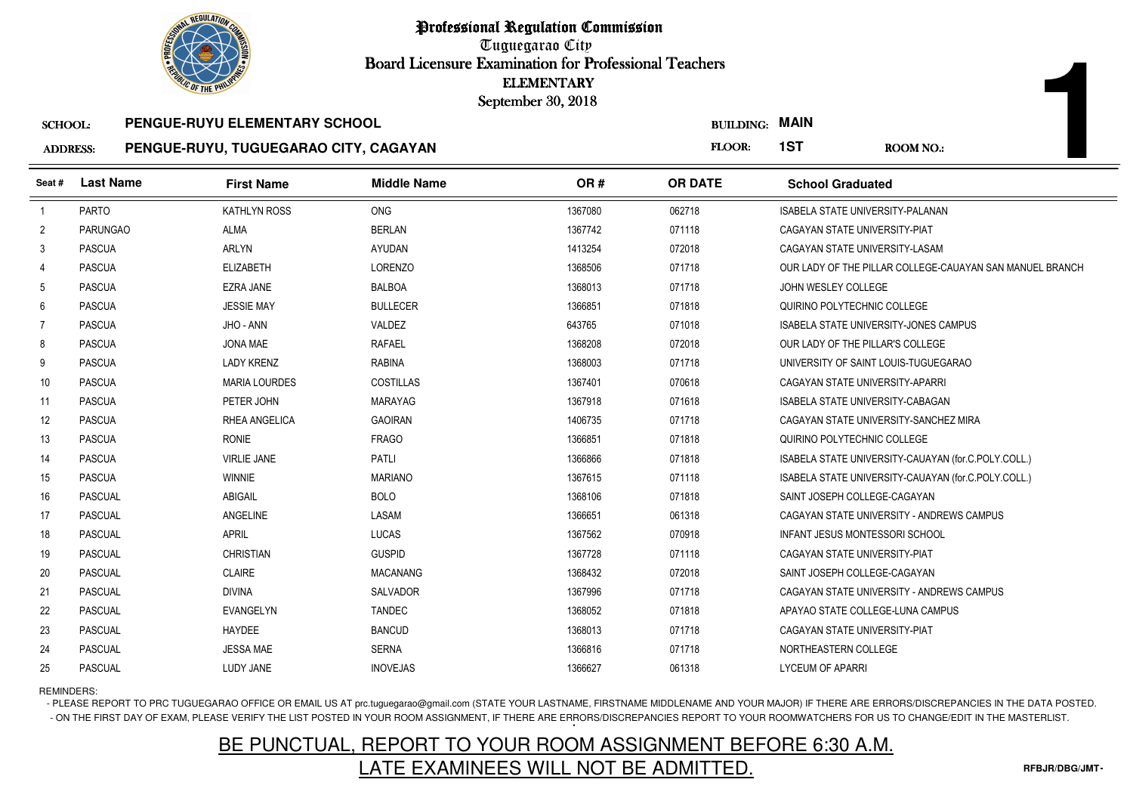

Tuguegarao City Board Licensure Examination for Professional Teachers September 30, 2018

### SCHOOL:**PENGUE-RUYU ELEMENTARY SCHOOL**

#### ADDRESS:**PENGUE-RUYU, TUGUEGARAO CITY, CAGAYAN**

| <b>OLIC OF THE PHILIP</b> |                  |                                       | <b>ELEMENTARY</b><br>September 30, 2018 |         |                       |                                         |                                                          |
|---------------------------|------------------|---------------------------------------|-----------------------------------------|---------|-----------------------|-----------------------------------------|----------------------------------------------------------|
| <b>SCHOOL:</b>            |                  | PENGUE-RUYU ELEMENTARY SCHOOL         |                                         |         | <b>BUILDING: MAIN</b> |                                         |                                                          |
| <b>ADDRESS:</b>           |                  | PENGUE-RUYU, TUGUEGARAO CITY, CAGAYAN |                                         |         | FLOOR:                | 1ST                                     | <b>ROOM NO.:</b>                                         |
| Seat#                     | <b>Last Name</b> | <b>First Name</b>                     | <b>Middle Name</b>                      | OR#     | <b>OR DATE</b>        | <b>School Graduated</b>                 |                                                          |
| $\overline{1}$            | PARTO            | KATHLYN ROSS                          | <b>ONG</b>                              | 1367080 | 062718                | <b>ISABELA STATE UNIVERSITY-PALANAN</b> |                                                          |
| $\overline{2}$            | <b>PARUNGAO</b>  | <b>ALMA</b>                           | <b>BERLAN</b>                           | 1367742 | 071118                | CAGAYAN STATE UNIVERSITY-PIAT           |                                                          |
| 3                         | <b>PASCUA</b>    | <b>ARLYN</b>                          | <b>AYUDAN</b>                           | 1413254 | 072018                | CAGAYAN STATE UNIVERSITY-LASAM          |                                                          |
| 4                         | <b>PASCUA</b>    | <b>ELIZABETH</b>                      | <b>LORENZO</b>                          | 1368506 | 071718                |                                         | OUR LADY OF THE PILLAR COLLEGE-CAUAYAN SAN MANUEL BRANCH |
| 5                         | <b>PASCUA</b>    | <b>EZRA JANE</b>                      | <b>BALBOA</b>                           | 1368013 | 071718                | JOHN WESLEY COLLEGE                     |                                                          |
| 6                         | <b>PASCUA</b>    | <b>JESSIE MAY</b>                     | <b>BULLECER</b>                         | 1366851 | 071818                | QUIRINO POLYTECHNIC COLLEGE             |                                                          |
| 7                         | <b>PASCUA</b>    | JHO - ANN                             | VALDEZ                                  | 643765  | 071018                |                                         | <b>ISABELA STATE UNIVERSITY-JONES CAMPUS</b>             |
| 8                         | <b>PASCUA</b>    | JONA MAE                              | <b>RAFAEL</b>                           | 1368208 | 072018                | OUR LADY OF THE PILLAR'S COLLEGE        |                                                          |
| 9                         | <b>PASCUA</b>    | <b>LADY KRENZ</b>                     | <b>RABINA</b>                           | 1368003 | 071718                | UNIVERSITY OF SAINT LOUIS-TUGUEGARAO    |                                                          |
| 10                        | <b>PASCUA</b>    | <b>MARIA LOURDES</b>                  | <b>COSTILLAS</b>                        | 1367401 | 070618                | CAGAYAN STATE UNIVERSITY-APARRI         |                                                          |
| 11                        | <b>PASCUA</b>    | PETER JOHN                            | <b>MARAYAG</b>                          | 1367918 | 071618                | ISABELA STATE UNIVERSITY-CABAGAN        |                                                          |
| 12                        | <b>PASCUA</b>    | <b>RHEA ANGELICA</b>                  | <b>GAOIRAN</b>                          | 1406735 | 071718                |                                         | CAGAYAN STATE UNIVERSITY-SANCHEZ MIRA                    |
| 13                        | <b>PASCUA</b>    | <b>RONIE</b>                          | <b>FRAGO</b>                            | 1366851 | 071818                | QUIRINO POLYTECHNIC COLLEGE             |                                                          |
| 14                        | <b>PASCUA</b>    | <b>VIRLIE JANE</b>                    | <b>PATLI</b>                            | 1366866 | 071818                |                                         | ISABELA STATE UNIVERSITY-CAUAYAN (for.C.POLY.COLL.)      |
| 15                        | <b>PASCUA</b>    | <b>WINNIE</b>                         | <b>MARIANO</b>                          | 1367615 | 071118                |                                         | ISABELA STATE UNIVERSITY-CAUAYAN (for.C.POLY.COLL.)      |
| 16                        | <b>PASCUAL</b>   | ABIGAIL                               | <b>BOLO</b>                             | 1368106 | 071818                | SAINT JOSEPH COLLEGE-CAGAYAN            |                                                          |
| 17                        | <b>PASCUAL</b>   | ANGELINE                              | LASAM                                   | 1366651 | 061318                |                                         | CAGAYAN STATE UNIVERSITY - ANDREWS CAMPUS                |
| 18                        | <b>PASCUAL</b>   | <b>APRIL</b>                          | LUCAS                                   | 1367562 | 070918                | <b>INFANT JESUS MONTESSORI SCHOOL</b>   |                                                          |
| 19                        | <b>PASCUAL</b>   | <b>CHRISTIAN</b>                      | <b>GUSPID</b>                           | 1367728 | 071118                | CAGAYAN STATE UNIVERSITY-PIAT           |                                                          |
| 20                        | <b>PASCUAL</b>   | <b>CLAIRE</b>                         | <b>MACANANG</b>                         | 1368432 | 072018                | SAINT JOSEPH COLLEGE-CAGAYAN            |                                                          |
| 21                        | <b>PASCUAL</b>   | <b>DIVINA</b>                         | SALVADOR                                | 1367996 | 071718                |                                         | CAGAYAN STATE UNIVERSITY - ANDREWS CAMPUS                |
| 22                        | <b>PASCUAL</b>   | EVANGELYN                             | <b>TANDEC</b>                           | 1368052 | 071818                | APAYAO STATE COLLEGE-LUNA CAMPUS        |                                                          |
| 23                        | <b>PASCUAL</b>   | HAYDEE                                | <b>BANCUD</b>                           | 1368013 | 071718                | CAGAYAN STATE UNIVERSITY-PIAT           |                                                          |
| 24                        | <b>PASCUAL</b>   | <b>JESSA MAE</b>                      | <b>SERNA</b>                            | 1366816 | 071718                | NORTHEASTERN COLLEGE                    |                                                          |
| 25                        | <b>PASCUAL</b>   | LUDY JANE                             | <b>INOVEJAS</b>                         | 1366627 | 061318                | <b>LYCEUM OF APARRI</b>                 |                                                          |

REMINDERS:

- PLEASE REPORT TO PRC TUGUEGARAO OFFICE OR EMAIL US AT prc.tuguegarao@gmail.com (STATE YOUR LASTNAME, FIRSTNAME MIDDLENAME AND YOUR MAJOR) IF THERE ARE ERRORS/DISCREPANCIES IN THE DATA POSTED. - ON THE FIRST DAY OF EXAM, PLEASE VERIFY THE LIST POSTED IN YOUR ROOM ASSIGNMENT, IF THERE ARE ERRORS/DISCREPANCIES REPORT TO YOUR ROOMWATCHERS FOR US TO CHANGE/EDIT IN THE MASTERLIST.

# BE PUNCTUAL, REPORT TO YOUR ROOM ASSIGNMENT BEFORE 6:30 A.M.LATE EXAMINEES WILL NOT BE ADMITTED.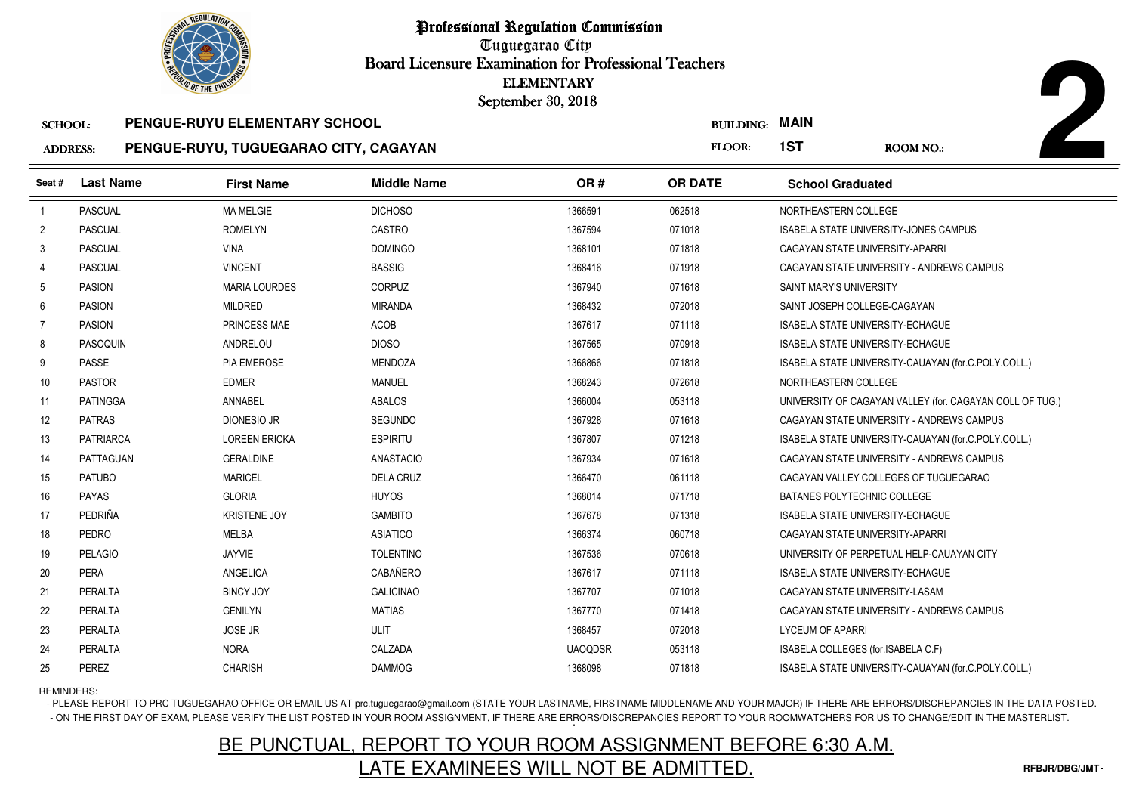Tuguegarao City Board Licensure Examination for Professional Teachers September 30, 2018

#### SCHOOL:**PENGUE-RUYU ELEMENTARY SCHOOL**

#### ADDRESS:**PENGUE-RUYU, TUGUEGARAO CITY, CAGAYAN**

| <b><i>OLIC OF THE PHILIP</i></b> |                  |                                       | <b>ELEMENTARY</b><br>September 30, 2018 |                |                       |                                         |                                                          |
|----------------------------------|------------------|---------------------------------------|-----------------------------------------|----------------|-----------------------|-----------------------------------------|----------------------------------------------------------|
| <b>SCHOOL:</b>                   |                  | PENGUE-RUYU ELEMENTARY SCHOOL         |                                         |                | <b>BUILDING: MAIN</b> |                                         |                                                          |
| <b>ADDRESS:</b>                  |                  | PENGUE-RUYU, TUGUEGARAO CITY, CAGAYAN |                                         |                | FLOOR:                | 1ST                                     | <b>ROOM NO.:</b>                                         |
| Seat #                           | <b>Last Name</b> | <b>First Name</b>                     | <b>Middle Name</b>                      | OR#            | <b>OR DATE</b>        | <b>School Graduated</b>                 |                                                          |
| $\overline{1}$                   | PASCUAL          | <b>MA MELGIE</b>                      | <b>DICHOSO</b>                          | 1366591        | 062518                | NORTHEASTERN COLLEGE                    |                                                          |
| $\overline{2}$                   | <b>PASCUAL</b>   | <b>ROMELYN</b>                        | CASTRO                                  | 1367594        | 071018                |                                         | <b>ISABELA STATE UNIVERSITY-JONES CAMPUS</b>             |
| 3                                | PASCUAL          | <b>VINA</b>                           | <b>DOMINGO</b>                          | 1368101        | 071818                | CAGAYAN STATE UNIVERSITY-APARRI         |                                                          |
| 4                                | <b>PASCUAL</b>   | <b>VINCENT</b>                        | <b>BASSIG</b>                           | 1368416        | 071918                |                                         | CAGAYAN STATE UNIVERSITY - ANDREWS CAMPUS                |
| 5                                | <b>PASION</b>    | <b>MARIA LOURDES</b>                  | CORPUZ                                  | 1367940        | 071618                | SAINT MARY'S UNIVERSITY                 |                                                          |
| 6                                | <b>PASION</b>    | <b>MILDRED</b>                        | <b>MIRANDA</b>                          | 1368432        | 072018                | SAINT JOSEPH COLLEGE-CAGAYAN            |                                                          |
| 7                                | <b>PASION</b>    | PRINCESS MAE                          | <b>ACOB</b>                             | 1367617        | 071118                | <b>ISABELA STATE UNIVERSITY-ECHAGUE</b> |                                                          |
| 8                                | PASOQUIN         | ANDRELOU                              | <b>DIOSO</b>                            | 1367565        | 070918                | ISABELA STATE UNIVERSITY-ECHAGUE        |                                                          |
| 9                                | <b>PASSE</b>     | <b>PIA EMEROSE</b>                    | <b>MENDOZA</b>                          | 1366866        | 071818                |                                         | ISABELA STATE UNIVERSITY-CAUAYAN (for.C.POLY.COLL.)      |
| 10                               | <b>PASTOR</b>    | <b>EDMER</b>                          | MANUEL                                  | 1368243        | 072618                | NORTHEASTERN COLLEGE                    |                                                          |
| 11                               | PATINGGA         | ANNABEL                               | ABALOS                                  | 1366004        | 053118                |                                         | UNIVERSITY OF CAGAYAN VALLEY (for. CAGAYAN COLL OF TUG.) |
| 12                               | <b>PATRAS</b>    | <b>DIONESIO JR</b>                    | <b>SEGUNDO</b>                          | 1367928        | 071618                |                                         | CAGAYAN STATE UNIVERSITY - ANDREWS CAMPUS                |
| 13                               | <b>PATRIARCA</b> | <b>LOREEN ERICKA</b>                  | <b>ESPIRITU</b>                         | 1367807        | 071218                |                                         | ISABELA STATE UNIVERSITY-CAUAYAN (for.C.POLY.COLL.)      |
| 14                               | PATTAGUAN        | <b>GERALDINE</b>                      | <b>ANASTACIO</b>                        | 1367934        | 071618                |                                         | CAGAYAN STATE UNIVERSITY - ANDREWS CAMPUS                |
| 15                               | <b>PATUBO</b>    | <b>MARICEL</b>                        | <b>DELA CRUZ</b>                        | 1366470        | 061118                |                                         | CAGAYAN VALLEY COLLEGES OF TUGUEGARAO                    |
| 16                               | <b>PAYAS</b>     | <b>GLORIA</b>                         | <b>HUYOS</b>                            | 1368014        | 071718                | BATANES POLYTECHNIC COLLEGE             |                                                          |
| 17                               | PEDRIÑA          | <b>KRISTENE JOY</b>                   | <b>GAMBITO</b>                          | 1367678        | 071318                | <b>ISABELA STATE UNIVERSITY-ECHAGUE</b> |                                                          |
| 18                               | <b>PEDRO</b>     | <b>MELBA</b>                          | <b>ASIATICO</b>                         | 1366374        | 060718                | CAGAYAN STATE UNIVERSITY-APARRI         |                                                          |
| 19                               | <b>PELAGIO</b>   | JAYVIE                                | <b>TOLENTINO</b>                        | 1367536        | 070618                |                                         | UNIVERSITY OF PERPETUAL HELP-CAUAYAN CITY                |
| 20                               | PERA             | <b>ANGELICA</b>                       | CABAÑERO                                | 1367617        | 071118                | ISABELA STATE UNIVERSITY-ECHAGUE        |                                                          |
| 21                               | PERALTA          | <b>BINCY JOY</b>                      | <b>GALICINAO</b>                        | 1367707        | 071018                | CAGAYAN STATE UNIVERSITY-LASAM          |                                                          |
| 22                               | PERALTA          | <b>GENILYN</b>                        | <b>MATIAS</b>                           | 1367770        | 071418                |                                         | CAGAYAN STATE UNIVERSITY - ANDREWS CAMPUS                |
| 23                               | PERALTA          | <b>JOSE JR</b>                        | <b>ULIT</b>                             | 1368457        | 072018                | <b>LYCEUM OF APARRI</b>                 |                                                          |
| 24                               | PERALTA          | <b>NORA</b>                           | CALZADA                                 | <b>UAOQDSR</b> | 053118                | ISABELA COLLEGES (for.ISABELA C.F)      |                                                          |
| 25                               | PEREZ            | <b>CHARISH</b>                        | <b>DAMMOG</b>                           | 1368098        | 071818                |                                         | ISABELA STATE UNIVERSITY-CAUAYAN (for.C.POLY.COLL.)      |

### REMINDERS:

- PLEASE REPORT TO PRC TUGUEGARAO OFFICE OR EMAIL US AT prc.tuguegarao@gmail.com (STATE YOUR LASTNAME, FIRSTNAME MIDDLENAME AND YOUR MAJOR) IF THERE ARE ERRORS/DISCREPANCIES IN THE DATA POSTED. - ON THE FIRST DAY OF EXAM, PLEASE VERIFY THE LIST POSTED IN YOUR ROOM ASSIGNMENT, IF THERE ARE ERRORS/DISCREPANCIES REPORT TO YOUR ROOMWATCHERS FOR US TO CHANGE/EDIT IN THE MASTERLIST.

# BE PUNCTUAL, REPORT TO YOUR ROOM ASSIGNMENT BEFORE 6:30 A.M.LATE EXAMINEES WILL NOT BE ADMITTED.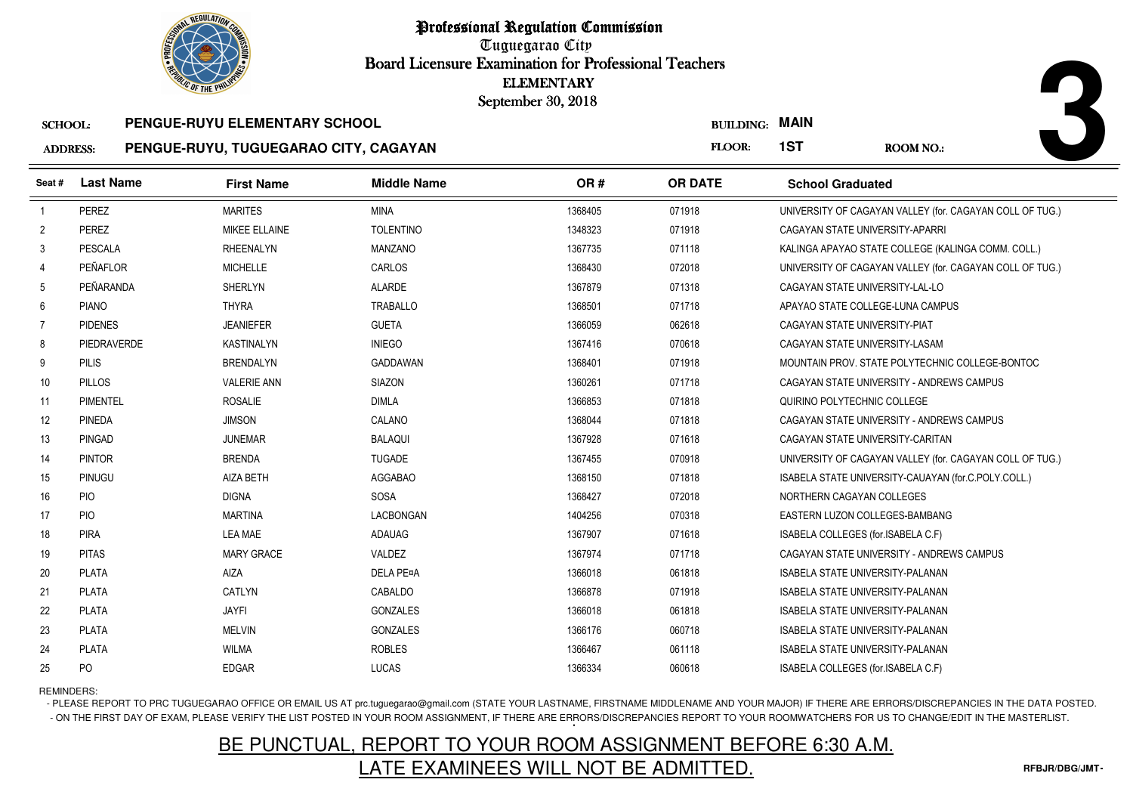Tuguegarao City Board Licensure Examination for Professional Teachers September 30, 2018

| SCHOOL: | <b>PENGUE-RUYU ELEMENTARY SCHOOL</b> |
|---------|--------------------------------------|
|         |                                      |

#### ADDRESS:**PENGUE-RUYU, TUGUEGARAO CITY, CAGAYAN**

|                 | <b>OLIC OF THE PHILIP</b> |                                       |                    | <b>ELEMENTARY</b><br>September 30, 2018 |                  |                                         |                                                          |
|-----------------|---------------------------|---------------------------------------|--------------------|-----------------------------------------|------------------|-----------------------------------------|----------------------------------------------------------|
| <b>SCHOOL:</b>  |                           | PENGUE-RUYU ELEMENTARY SCHOOL         |                    |                                         | <b>BUILDING:</b> | <b>MAIN</b>                             |                                                          |
| <b>ADDRESS:</b> |                           | PENGUE-RUYU, TUGUEGARAO CITY, CAGAYAN |                    |                                         | FLOOR:           | 1ST                                     | <b>ROOM NO.:</b>                                         |
| Seat #          | <b>Last Name</b>          | <b>First Name</b>                     | <b>Middle Name</b> | OR#                                     | <b>OR DATE</b>   | <b>School Graduated</b>                 |                                                          |
| $\overline{1}$  | PEREZ                     | <b>MARITES</b>                        | <b>MINA</b>        | 1368405                                 | 071918           |                                         | UNIVERSITY OF CAGAYAN VALLEY (for. CAGAYAN COLL OF TUG.) |
| $\overline{2}$  | <b>PEREZ</b>              | MIKEE ELLAINE                         | <b>TOLENTINO</b>   | 1348323                                 | 071918           | CAGAYAN STATE UNIVERSITY-APARRI         |                                                          |
| 3               | <b>PESCALA</b>            | <b>RHEENALYN</b>                      | <b>MANZANO</b>     | 1367735                                 | 071118           |                                         | KALINGA APAYAO STATE COLLEGE (KALINGA COMM. COLL.)       |
| $\overline{4}$  | PEÑAFLOR                  | <b>MICHELLE</b>                       | <b>CARLOS</b>      | 1368430                                 | 072018           |                                         | UNIVERSITY OF CAGAYAN VALLEY (for. CAGAYAN COLL OF TUG.) |
| 5               | PEÑARANDA                 | SHERLYN                               | <b>ALARDE</b>      | 1367879                                 | 071318           | CAGAYAN STATE UNIVERSITY-LAL-LO         |                                                          |
| 6               | <b>PIANO</b>              | <b>THYRA</b>                          | <b>TRABALLO</b>    | 1368501                                 | 071718           | APAYAO STATE COLLEGE-LUNA CAMPUS        |                                                          |
| 7               | <b>PIDENES</b>            | <b>JEANIEFER</b>                      | <b>GUETA</b>       | 1366059                                 | 062618           | CAGAYAN STATE UNIVERSITY-PIAT           |                                                          |
| 8               | PIEDRAVERDE               | <b>KASTINALYN</b>                     | <b>INIEGO</b>      | 1367416                                 | 070618           | CAGAYAN STATE UNIVERSITY-LASAM          |                                                          |
| 9               | <b>PILIS</b>              | <b>BRENDALYN</b>                      | <b>GADDAWAN</b>    | 1368401                                 | 071918           |                                         | MOUNTAIN PROV. STATE POLYTECHNIC COLLEGE-BONTOC          |
| 10              | <b>PILLOS</b>             | <b>VALERIE ANN</b>                    | SIAZON             | 1360261                                 | 071718           |                                         | CAGAYAN STATE UNIVERSITY - ANDREWS CAMPUS                |
| 11              | <b>PIMENTEL</b>           | <b>ROSALIE</b>                        | <b>DIMLA</b>       | 1366853                                 | 071818           | QUIRINO POLYTECHNIC COLLEGE             |                                                          |
| 12              | <b>PINEDA</b>             | <b>JIMSON</b>                         | CALANO             | 1368044                                 | 071818           |                                         | CAGAYAN STATE UNIVERSITY - ANDREWS CAMPUS                |
| 13              | PINGAD                    | <b>JUNEMAR</b>                        | <b>BALAQUI</b>     | 1367928                                 | 071618           | CAGAYAN STATE UNIVERSITY-CARITAN        |                                                          |
| 14              | <b>PINTOR</b>             | <b>BRENDA</b>                         | <b>TUGADE</b>      | 1367455                                 | 070918           |                                         | UNIVERSITY OF CAGAYAN VALLEY (for. CAGAYAN COLL OF TUG.) |
| 15              | <b>PINUGU</b>             | <b>AIZA BETH</b>                      | <b>AGGABAO</b>     | 1368150                                 | 071818           |                                         | ISABELA STATE UNIVERSITY-CAUAYAN (for.C.POLY.COLL.)      |
| 16              | <b>PIO</b>                | <b>DIGNA</b>                          | <b>SOSA</b>        | 1368427                                 | 072018           | NORTHERN CAGAYAN COLLEGES               |                                                          |
| 17              | <b>PIO</b>                | <b>MARTINA</b>                        | LACBONGAN          | 1404256                                 | 070318           | EASTERN LUZON COLLEGES-BAMBANG          |                                                          |
| 18              | <b>PIRA</b>               | <b>LEA MAE</b>                        | <b>ADAUAG</b>      | 1367907                                 | 071618           | ISABELA COLLEGES (for ISABELA C.F)      |                                                          |
| 19              | <b>PITAS</b>              | <b>MARY GRACE</b>                     | <b>VALDEZ</b>      | 1367974                                 | 071718           |                                         | CAGAYAN STATE UNIVERSITY - ANDREWS CAMPUS                |
| 20              | <b>PLATA</b>              | AIZA                                  | <b>DELA PE¤A</b>   | 1366018                                 | 061818           | <b>ISABELA STATE UNIVERSITY-PALANAN</b> |                                                          |
| 21              | <b>PLATA</b>              | CATLYN                                | CABALDO            | 1366878                                 | 071918           | ISABELA STATE UNIVERSITY-PALANAN        |                                                          |
| 22              | <b>PLATA</b>              | <b>JAYFI</b>                          | <b>GONZALES</b>    | 1366018                                 | 061818           | ISABELA STATE UNIVERSITY-PALANAN        |                                                          |
| 23              | <b>PLATA</b>              | <b>MELVIN</b>                         | <b>GONZALES</b>    | 1366176                                 | 060718           | <b>ISABELA STATE UNIVERSITY-PALANAN</b> |                                                          |
| 24              | <b>PLATA</b>              | <b>WILMA</b>                          | <b>ROBLES</b>      | 1366467                                 | 061118           | <b>ISABELA STATE UNIVERSITY-PALANAN</b> |                                                          |
| 25              | PO                        | <b>EDGAR</b>                          | LUCAS              | 1366334                                 | 060618           | ISABELA COLLEGES (for.ISABELA C.F)      |                                                          |

REMINDERS:

- PLEASE REPORT TO PRC TUGUEGARAO OFFICE OR EMAIL US AT prc.tuguegarao@gmail.com (STATE YOUR LASTNAME, FIRSTNAME MIDDLENAME AND YOUR MAJOR) IF THERE ARE ERRORS/DISCREPANCIES IN THE DATA POSTED. - ON THE FIRST DAY OF EXAM, PLEASE VERIFY THE LIST POSTED IN YOUR ROOM ASSIGNMENT, IF THERE ARE ERRORS/DISCREPANCIES REPORT TO YOUR ROOMWATCHERS FOR US TO CHANGE/EDIT IN THE MASTERLIST.

# BE PUNCTUAL, REPORT TO YOUR ROOM ASSIGNMENT BEFORE 6:30 A.M.LATE EXAMINEES WILL NOT BE ADMITTED.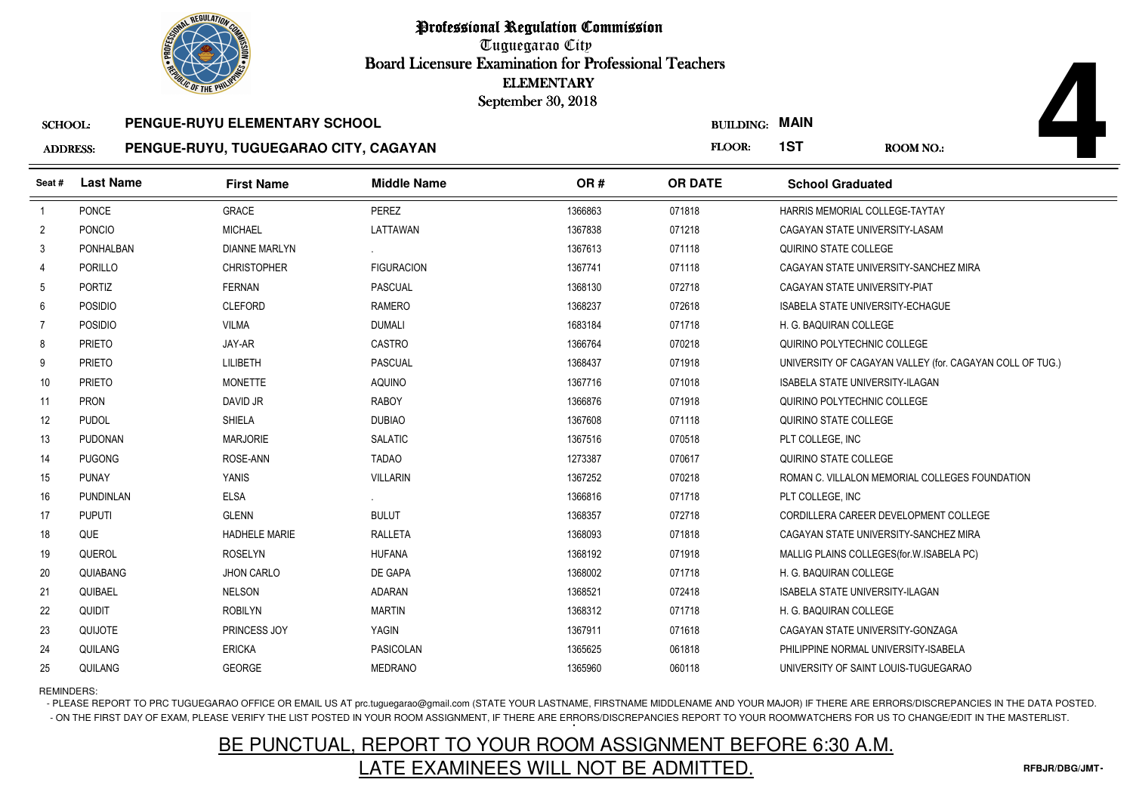Tuguegarao City Board Licensure Examination for Professional Teachers September 30, 2018

### SCHOOL: **PENGUE-RUYU ELEMENTARY SCHOOLPENGUE-RUYU, TUGUEGARAO CITY, CAGAYAN**

|                 | <b><i>OLIC OF THE PHILIP</i></b> |                                       |                    | <b>ELEMENTARY</b><br>September 30, 2018 |                  |                                         |                                                          |
|-----------------|----------------------------------|---------------------------------------|--------------------|-----------------------------------------|------------------|-----------------------------------------|----------------------------------------------------------|
| <b>SCHOOL:</b>  |                                  | PENGUE-RUYU ELEMENTARY SCHOOL         |                    |                                         | <b>BUILDING:</b> | <b>MAIN</b>                             |                                                          |
| <b>ADDRESS:</b> |                                  | PENGUE-RUYU, TUGUEGARAO CITY, CAGAYAN |                    |                                         | FLOOR:           | 1ST                                     | <b>ROOM NO.:</b>                                         |
| Seat #          | <b>Last Name</b>                 | <b>First Name</b>                     | <b>Middle Name</b> | OR#                                     | <b>OR DATE</b>   | <b>School Graduated</b>                 |                                                          |
| $\overline{1}$  | PONCE                            | <b>GRACE</b>                          | PEREZ              | 1366863                                 | 071818           | HARRIS MEMORIAL COLLEGE-TAYTAY          |                                                          |
| $\overline{2}$  | <b>PONCIO</b>                    | <b>MICHAEL</b>                        | LATTAWAN           | 1367838                                 | 071218           | CAGAYAN STATE UNIVERSITY-LASAM          |                                                          |
| 3               | PONHALBAN                        | <b>DIANNE MARLYN</b>                  |                    | 1367613                                 | 071118           | QUIRINO STATE COLLEGE                   |                                                          |
| 4               | PORILLO                          | <b>CHRISTOPHER</b>                    | <b>FIGURACION</b>  | 1367741                                 | 071118           |                                         | CAGAYAN STATE UNIVERSITY-SANCHEZ MIRA                    |
| 5               | PORTIZ                           | <b>FERNAN</b>                         | <b>PASCUAL</b>     | 1368130                                 | 072718           | CAGAYAN STATE UNIVERSITY-PIAT           |                                                          |
| 6               | <b>POSIDIO</b>                   | <b>CLEFORD</b>                        | RAMERO             | 1368237                                 | 072618           | <b>ISABELA STATE UNIVERSITY-ECHAGUE</b> |                                                          |
| $\overline{7}$  | <b>POSIDIO</b>                   | <b>VILMA</b>                          | <b>DUMALI</b>      | 1683184                                 | 071718           | H. G. BAQUIRAN COLLEGE                  |                                                          |
| 8               | <b>PRIETO</b>                    | JAY-AR                                | <b>CASTRO</b>      | 1366764                                 | 070218           | QUIRINO POLYTECHNIC COLLEGE             |                                                          |
| 9               | <b>PRIETO</b>                    | <b>LILIBETH</b>                       | <b>PASCUAL</b>     | 1368437                                 | 071918           |                                         | UNIVERSITY OF CAGAYAN VALLEY (for. CAGAYAN COLL OF TUG.) |
| 10              | <b>PRIETO</b>                    | <b>MONETTE</b>                        | <b>AQUINO</b>      | 1367716                                 | 071018           | ISABELA STATE UNIVERSITY-ILAGAN         |                                                          |
| 11              | <b>PRON</b>                      | DAVID JR                              | <b>RABOY</b>       | 1366876                                 | 071918           | QUIRINO POLYTECHNIC COLLEGE             |                                                          |
| 12              | <b>PUDOL</b>                     | SHIELA                                | <b>DUBIAO</b>      | 1367608                                 | 071118           | QUIRINO STATE COLLEGE                   |                                                          |
| 13              | <b>PUDONAN</b>                   | <b>MARJORIE</b>                       | <b>SALATIC</b>     | 1367516                                 | 070518           | PLT COLLEGE. INC                        |                                                          |
| 14              | <b>PUGONG</b>                    | ROSE-ANN                              | <b>TADAO</b>       | 1273387                                 | 070617           | QUIRINO STATE COLLEGE                   |                                                          |
| 15              | <b>PUNAY</b>                     | <b>YANIS</b>                          | <b>VILLARIN</b>    | 1367252                                 | 070218           |                                         | ROMAN C. VILLALON MEMORIAL COLLEGES FOUNDATION           |
| 16              | <b>PUNDINLAN</b>                 | <b>ELSA</b>                           |                    | 1366816                                 | 071718           | PLT COLLEGE, INC                        |                                                          |
| 17              | <b>PUPUTI</b>                    | <b>GLENN</b>                          | <b>BULUT</b>       | 1368357                                 | 072718           |                                         | CORDILLERA CAREER DEVELOPMENT COLLEGE                    |
| 18              | QUE                              | <b>HADHELE MARIE</b>                  | <b>RALLETA</b>     | 1368093                                 | 071818           |                                         | CAGAYAN STATE UNIVERSITY-SANCHEZ MIRA                    |
| 19              | QUEROL                           | <b>ROSELYN</b>                        | <b>HUFANA</b>      | 1368192                                 | 071918           |                                         | MALLIG PLAINS COLLEGES (for. W. ISABELA PC)              |
| 20              | QUIABANG                         | <b>JHON CARLO</b>                     | DE GAPA            | 1368002                                 | 071718           | H. G. BAQUIRAN COLLEGE                  |                                                          |
| 21              | QUIBAEL                          | <b>NELSON</b>                         | <b>ADARAN</b>      | 1368521                                 | 072418           | <b>ISABELA STATE UNIVERSITY-ILAGAN</b>  |                                                          |
| 22              | <b>QUIDIT</b>                    | <b>ROBILYN</b>                        | <b>MARTIN</b>      | 1368312                                 | 071718           | H. G. BAQUIRAN COLLEGE                  |                                                          |
| 23              | QUIJOTE                          | PRINCESS JOY                          | YAGIN              | 1367911                                 | 071618           | CAGAYAN STATE UNIVERSITY-GONZAGA        |                                                          |
| 24              | QUILANG                          | <b>ERICKA</b>                         | <b>PASICOLAN</b>   | 1365625                                 | 061818           | PHILIPPINE NORMAL UNIVERSITY-ISABELA    |                                                          |
| 25              | QUILANG                          | GEORGE                                | <b>MEDRANO</b>     | 1365960                                 | 060118           |                                         | UNIVERSITY OF SAINT LOUIS-TUGUEGARAO                     |

REMINDERS:

- PLEASE REPORT TO PRC TUGUEGARAO OFFICE OR EMAIL US AT prc.tuguegarao@gmail.com (STATE YOUR LASTNAME, FIRSTNAME MIDDLENAME AND YOUR MAJOR) IF THERE ARE ERRORS/DISCREPANCIES IN THE DATA POSTED. - ON THE FIRST DAY OF EXAM, PLEASE VERIFY THE LIST POSTED IN YOUR ROOM ASSIGNMENT, IF THERE ARE ERRORS/DISCREPANCIES REPORT TO YOUR ROOMWATCHERS FOR US TO CHANGE/EDIT IN THE MASTERLIST.

# BE PUNCTUAL, REPORT TO YOUR ROOM ASSIGNMENT BEFORE 6:30 A.M.LATE EXAMINEES WILL NOT BE ADMITTED.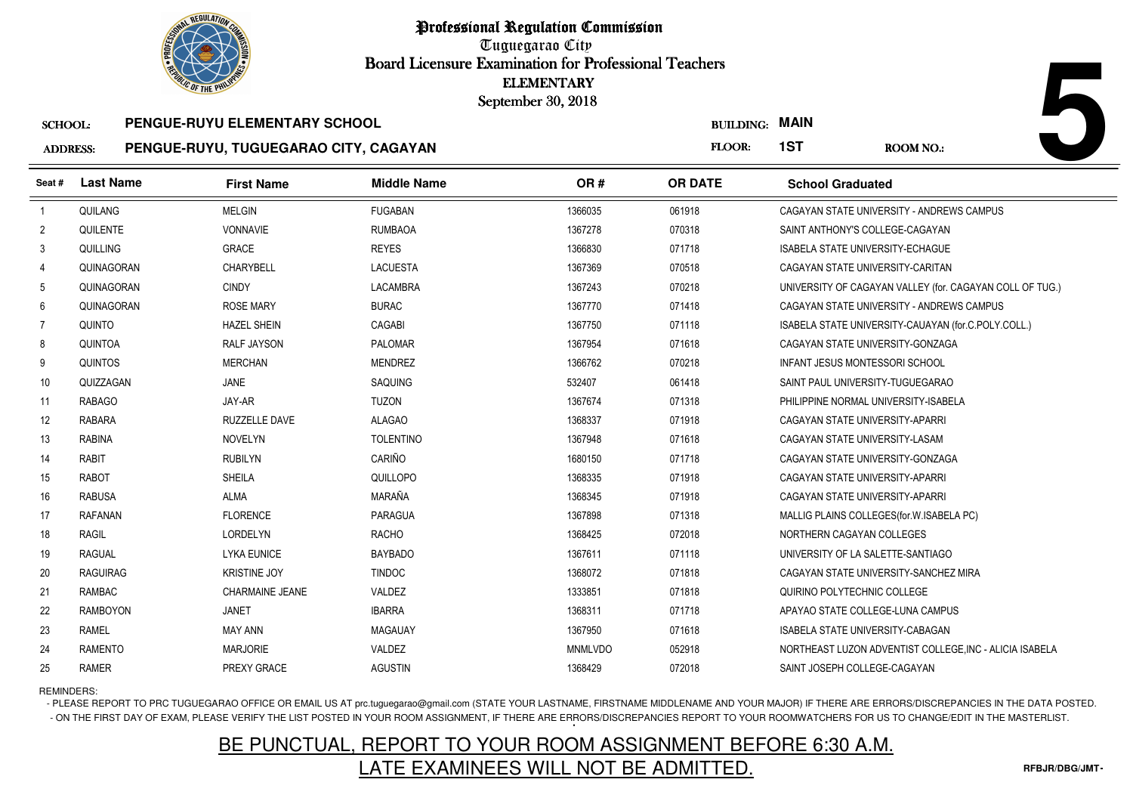Tuguegarao City Board Licensure Examination for Professional Teachers September 30, 2018

#### ADDRESS:SCHOOL: **PENGUE-RUYU ELEMENTARY SCHOOLPENGUE-RUYU, TUGUEGARAO CITY, CAGAYAN**

|                 | <b>OLIC OF THE PHILIP</b> |                                       |                    | <b>ELEMENTARY</b><br>September 30, 2018 |                  |                                                          |
|-----------------|---------------------------|---------------------------------------|--------------------|-----------------------------------------|------------------|----------------------------------------------------------|
| <b>SCHOOL:</b>  |                           | PENGUE-RUYU ELEMENTARY SCHOOL         |                    |                                         | <b>BUILDING:</b> | <b>MAIN</b>                                              |
| <b>ADDRESS:</b> |                           | PENGUE-RUYU, TUGUEGARAO CITY, CAGAYAN |                    |                                         | FLOOR:           | 1ST<br><b>ROOM NO.:</b>                                  |
| Seat #          | <b>Last Name</b>          | <b>First Name</b>                     | <b>Middle Name</b> | OR#                                     | <b>OR DATE</b>   | <b>School Graduated</b>                                  |
| $\overline{1}$  | QUILANG                   | <b>MELGIN</b>                         | <b>FUGABAN</b>     | 1366035                                 | 061918           | CAGAYAN STATE UNIVERSITY - ANDREWS CAMPUS                |
| 2               | QUILENTE                  | <b>VONNAVIE</b>                       | <b>RUMBAOA</b>     | 1367278                                 | 070318           | SAINT ANTHONY'S COLLEGE-CAGAYAN                          |
| 3               | QUILLING                  | <b>GRACE</b>                          | <b>REYES</b>       | 1366830                                 | 071718           | <b>ISABELA STATE UNIVERSITY-ECHAGUE</b>                  |
| 4               | QUINAGORAN                | CHARYBELL                             | <b>LACUESTA</b>    | 1367369                                 | 070518           | CAGAYAN STATE UNIVERSITY-CARITAN                         |
| 5               | QUINAGORAN                | <b>CINDY</b>                          | LACAMBRA           | 1367243                                 | 070218           | UNIVERSITY OF CAGAYAN VALLEY (for. CAGAYAN COLL OF TUG.) |
| 6               | QUINAGORAN                | <b>ROSE MARY</b>                      | <b>BURAC</b>       | 1367770                                 | 071418           | CAGAYAN STATE UNIVERSITY - ANDREWS CAMPUS                |
| $\overline{7}$  | QUINTO                    | <b>HAZEL SHEIN</b>                    | CAGABI             | 1367750                                 | 071118           | ISABELA STATE UNIVERSITY-CAUAYAN (for.C.POLY.COLL.)      |
| 8               | QUINTOA                   | <b>RALF JAYSON</b>                    | <b>PALOMAR</b>     | 1367954                                 | 071618           | CAGAYAN STATE UNIVERSITY-GONZAGA                         |
| 9               | <b>QUINTOS</b>            | <b>MERCHAN</b>                        | <b>MENDREZ</b>     | 1366762                                 | 070218           | <b>INFANT JESUS MONTESSORI SCHOOL</b>                    |
| 10              | QUIZZAGAN                 | <b>JANE</b>                           | SAQUING            | 532407                                  | 061418           | SAINT PAUL UNIVERSITY-TUGUEGARAO                         |
| 11              | <b>RABAGO</b>             | JAY-AR                                | <b>TUZON</b>       | 1367674                                 | 071318           | PHILIPPINE NORMAL UNIVERSITY-ISABELA                     |
| 12              | <b>RABARA</b>             | RUZZELLE DAVE                         | <b>ALAGAO</b>      | 1368337                                 | 071918           | CAGAYAN STATE UNIVERSITY-APARRI                          |
| 13              | <b>RABINA</b>             | <b>NOVELYN</b>                        | <b>TOLENTINO</b>   | 1367948                                 | 071618           | CAGAYAN STATE UNIVERSITY-LASAM                           |
| 14              | <b>RABIT</b>              | <b>RUBILYN</b>                        | CARIÑO             | 1680150                                 | 071718           | CAGAYAN STATE UNIVERSITY-GONZAGA                         |
| 15              | <b>RABOT</b>              | <b>SHEILA</b>                         | QUILLOPO           | 1368335                                 | 071918           | CAGAYAN STATE UNIVERSITY-APARRI                          |
| 16              | <b>RABUSA</b>             | <b>ALMA</b>                           | MARAÑA             | 1368345                                 | 071918           | CAGAYAN STATE UNIVERSITY-APARRI                          |
| 17              | RAFANAN                   | <b>FLORENCE</b>                       | <b>PARAGUA</b>     | 1367898                                 | 071318           | MALLIG PLAINS COLLEGES (for W. ISABELA PC)               |
| 18              | <b>RAGIL</b>              | <b>LORDELYN</b>                       | <b>RACHO</b>       | 1368425                                 | 072018           | NORTHERN CAGAYAN COLLEGES                                |
| 19              | <b>RAGUAL</b>             | <b>LYKA EUNICE</b>                    | <b>BAYBADO</b>     | 1367611                                 | 071118           | UNIVERSITY OF LA SALETTE-SANTIAGO                        |
| 20              | <b>RAGUIRAG</b>           | <b>KRISTINE JOY</b>                   | <b>TINDOC</b>      | 1368072                                 | 071818           | CAGAYAN STATE UNIVERSITY-SANCHEZ MIRA                    |
| 21              | <b>RAMBAC</b>             | <b>CHARMAINE JEANE</b>                | VALDEZ             | 1333851                                 | 071818           | QUIRINO POLYTECHNIC COLLEGE                              |
| 22              | <b>RAMBOYON</b>           | <b>JANET</b>                          | <b>IBARRA</b>      | 1368311                                 | 071718           | APAYAO STATE COLLEGE-LUNA CAMPUS                         |
| 23              | <b>RAMEL</b>              | <b>MAY ANN</b>                        | <b>MAGAUAY</b>     | 1367950                                 | 071618           | ISABELA STATE UNIVERSITY-CABAGAN                         |
| 24              | <b>RAMENTO</b>            | <b>MARJORIE</b>                       | VALDEZ             | <b>MNMLVDO</b>                          | 052918           | NORTHEAST LUZON ADVENTIST COLLEGE, INC - ALICIA ISABELA  |
| 25              | <b>RAMER</b>              | PREXY GRACE                           | <b>AGUSTIN</b>     | 1368429                                 | 072018           | SAINT JOSEPH COLLEGE-CAGAYAN                             |

REMINDERS:

- PLEASE REPORT TO PRC TUGUEGARAO OFFICE OR EMAIL US AT prc.tuguegarao@gmail.com (STATE YOUR LASTNAME, FIRSTNAME MIDDLENAME AND YOUR MAJOR) IF THERE ARE ERRORS/DISCREPANCIES IN THE DATA POSTED. - ON THE FIRST DAY OF EXAM, PLEASE VERIFY THE LIST POSTED IN YOUR ROOM ASSIGNMENT, IF THERE ARE ERRORS/DISCREPANCIES REPORT TO YOUR ROOMWATCHERS FOR US TO CHANGE/EDIT IN THE MASTERLIST.

# BE PUNCTUAL, REPORT TO YOUR ROOM ASSIGNMENT BEFORE 6:30 A.M.LATE EXAMINEES WILL NOT BE ADMITTED.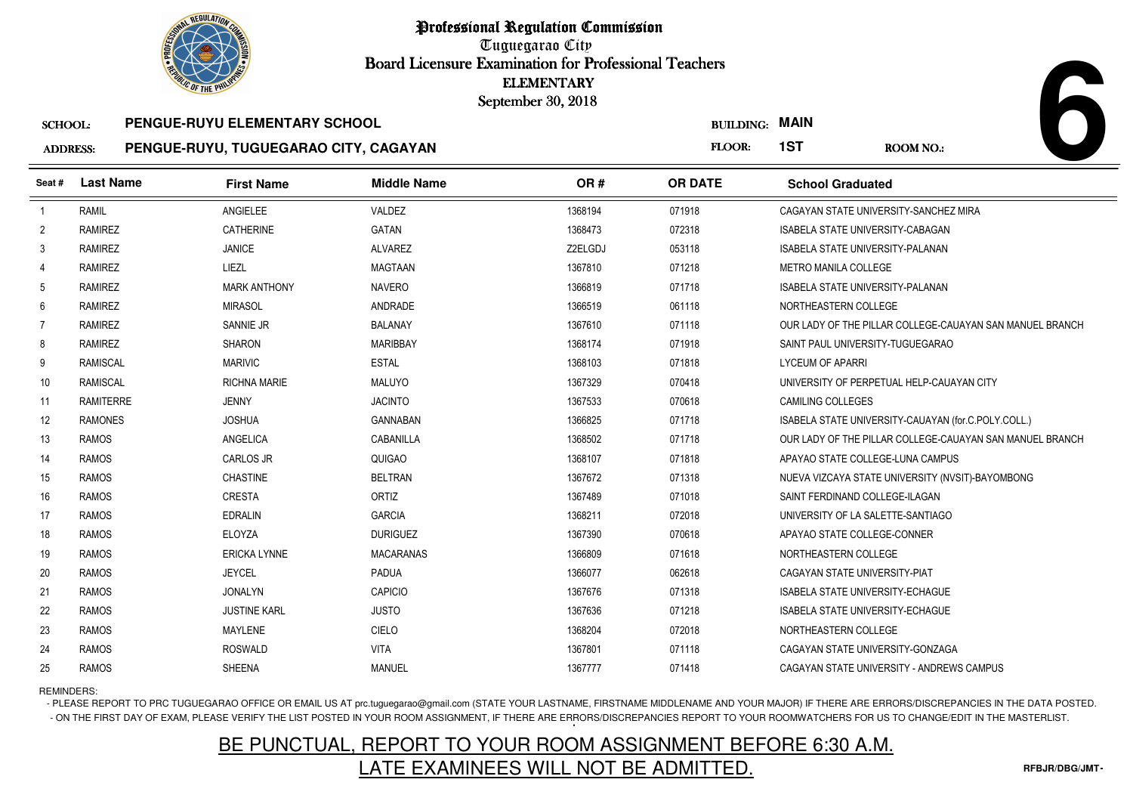Tuguegarao City Board Licensure Examination for Professional Teachers September 30, 2018

#### SCHOOL:**PENGUE-RUYU ELEMENTARY SCHOOL**

#### AD **PENGUE-RUYU, TUGUEGARAO CITY, CAGAYAN**

| <b>DRESS:</b> |  |  | PENGUE-RUYU, TUGUEGARAO CITY, CAGAYAN |
|---------------|--|--|---------------------------------------|
|---------------|--|--|---------------------------------------|

|                 | <b>OLIC OF THE PHILIP</b> |                                       |                    | <b>ELEMENTARY</b><br>September 30, 2018 |                  |                                         |                                                          |
|-----------------|---------------------------|---------------------------------------|--------------------|-----------------------------------------|------------------|-----------------------------------------|----------------------------------------------------------|
| <b>SCHOOL:</b>  |                           | PENGUE-RUYU ELEMENTARY SCHOOL         |                    |                                         | <b>BUILDING:</b> | <b>MAIN</b>                             |                                                          |
| <b>ADDRESS:</b> |                           | PENGUE-RUYU, TUGUEGARAO CITY, CAGAYAN |                    |                                         | FLOOR:           | 1ST                                     | <b>ROOM NO.:</b>                                         |
| Seat #          | <b>Last Name</b>          | <b>First Name</b>                     | <b>Middle Name</b> | OR#                                     | <b>OR DATE</b>   | <b>School Graduated</b>                 |                                                          |
| $\overline{1}$  | <b>RAMIL</b>              | ANGIELEE                              | VALDEZ             | 1368194                                 | 071918           |                                         | CAGAYAN STATE UNIVERSITY-SANCHEZ MIRA                    |
| $\overline{2}$  | <b>RAMIREZ</b>            | <b>CATHERINE</b>                      | GATAN              | 1368473                                 | 072318           | <b>ISABELA STATE UNIVERSITY-CABAGAN</b> |                                                          |
| 3               | <b>RAMIREZ</b>            | <b>JANICE</b>                         | <b>ALVAREZ</b>     | Z2ELGDJ                                 | 053118           | ISABELA STATE UNIVERSITY-PALANAN        |                                                          |
| $\overline{4}$  | <b>RAMIREZ</b>            | LIEZL                                 | <b>MAGTAAN</b>     | 1367810                                 | 071218           | <b>METRO MANILA COLLEGE</b>             |                                                          |
| 5               | <b>RAMIREZ</b>            | <b>MARK ANTHONY</b>                   | <b>NAVERO</b>      | 1366819                                 | 071718           | <b>ISABELA STATE UNIVERSITY-PALANAN</b> |                                                          |
| 6               | <b>RAMIREZ</b>            | <b>MIRASOL</b>                        | ANDRADE            | 1366519                                 | 061118           | NORTHEASTERN COLLEGE                    |                                                          |
| $\overline{7}$  | <b>RAMIREZ</b>            | SANNIE JR                             | <b>BALANAY</b>     | 1367610                                 | 071118           |                                         | OUR LADY OF THE PILLAR COLLEGE-CAUAYAN SAN MANUEL BRANCH |
| 8               | <b>RAMIREZ</b>            | <b>SHARON</b>                         | <b>MARIBBAY</b>    | 1368174                                 | 071918           | SAINT PAUL UNIVERSITY-TUGUEGARAO        |                                                          |
| 9               | <b>RAMISCAL</b>           | <b>MARIVIC</b>                        | <b>ESTAL</b>       | 1368103                                 | 071818           | <b>LYCEUM OF APARRI</b>                 |                                                          |
| 10              | <b>RAMISCAL</b>           | <b>RICHNA MARIE</b>                   | <b>MALUYO</b>      | 1367329                                 | 070418           |                                         | UNIVERSITY OF PERPETUAL HELP-CAUAYAN CITY                |
| 11              | <b>RAMITERRE</b>          | <b>JENNY</b>                          | <b>JACINTO</b>     | 1367533                                 | 070618           | <b>CAMILING COLLEGES</b>                |                                                          |
| 12              | <b>RAMONES</b>            | <b>JOSHUA</b>                         | <b>GANNABAN</b>    | 1366825                                 | 071718           |                                         | ISABELA STATE UNIVERSITY-CAUAYAN (for.C.POLY.COLL.)      |
| 13              | <b>RAMOS</b>              | ANGELICA                              | CABANILLA          | 1368502                                 | 071718           |                                         | OUR LADY OF THE PILLAR COLLEGE-CAUAYAN SAN MANUEL BRANCH |
| 14              | <b>RAMOS</b>              | <b>CARLOS JR</b>                      | <b>QUIGAO</b>      | 1368107                                 | 071818           | APAYAO STATE COLLEGE-LUNA CAMPUS        |                                                          |
| 15              | <b>RAMOS</b>              | <b>CHASTINE</b>                       | <b>BELTRAN</b>     | 1367672                                 | 071318           |                                         | NUEVA VIZCAYA STATE UNIVERSITY (NVSIT)-BAYOMBONG         |
| 16              | <b>RAMOS</b>              | CRESTA                                | ORTIZ              | 1367489                                 | 071018           | SAINT FERDINAND COLLEGE-ILAGAN          |                                                          |
| 17              | <b>RAMOS</b>              | <b>EDRALIN</b>                        | <b>GARCIA</b>      | 1368211                                 | 072018           | UNIVERSITY OF LA SALETTE-SANTIAGO       |                                                          |
| 18              | <b>RAMOS</b>              | ELOYZA                                | <b>DURIGUEZ</b>    | 1367390                                 | 070618           | APAYAO STATE COLLEGE-CONNER             |                                                          |
| 19              | <b>RAMOS</b>              | <b>ERICKA LYNNE</b>                   | <b>MACARANAS</b>   | 1366809                                 | 071618           | NORTHEASTERN COLLEGE                    |                                                          |
| 20              | <b>RAMOS</b>              | <b>JEYCEL</b>                         | <b>PADUA</b>       | 1366077                                 | 062618           | CAGAYAN STATE UNIVERSITY-PIAT           |                                                          |
| 21              | <b>RAMOS</b>              | <b>JONALYN</b>                        | CAPICIO            | 1367676                                 | 071318           | <b>ISABELA STATE UNIVERSITY-ECHAGUE</b> |                                                          |
| 22              | <b>RAMOS</b>              | <b>JUSTINE KARL</b>                   | <b>JUSTO</b>       | 1367636                                 | 071218           | ISABELA STATE UNIVERSITY-ECHAGUE        |                                                          |
| 23              | <b>RAMOS</b>              | <b>MAYLENE</b>                        | CIELO              | 1368204                                 | 072018           | NORTHEASTERN COLLEGE                    |                                                          |
| 24              | <b>RAMOS</b>              | <b>ROSWALD</b>                        | <b>VITA</b>        | 1367801                                 | 071118           | CAGAYAN STATE UNIVERSITY-GONZAGA        |                                                          |
| 25              | <b>RAMOS</b>              | <b>SHEENA</b>                         | <b>MANUEL</b>      | 1367777                                 | 071418           |                                         | CAGAYAN STATE UNIVERSITY - ANDREWS CAMPUS                |

REMINDERS:

- PLEASE REPORT TO PRC TUGUEGARAO OFFICE OR EMAIL US AT prc.tuguegarao@gmail.com (STATE YOUR LASTNAME, FIRSTNAME MIDDLENAME AND YOUR MAJOR) IF THERE ARE ERRORS/DISCREPANCIES IN THE DATA POSTED. - ON THE FIRST DAY OF EXAM, PLEASE VERIFY THE LIST POSTED IN YOUR ROOM ASSIGNMENT, IF THERE ARE ERRORS/DISCREPANCIES REPORT TO YOUR ROOMWATCHERS FOR US TO CHANGE/EDIT IN THE MASTERLIST.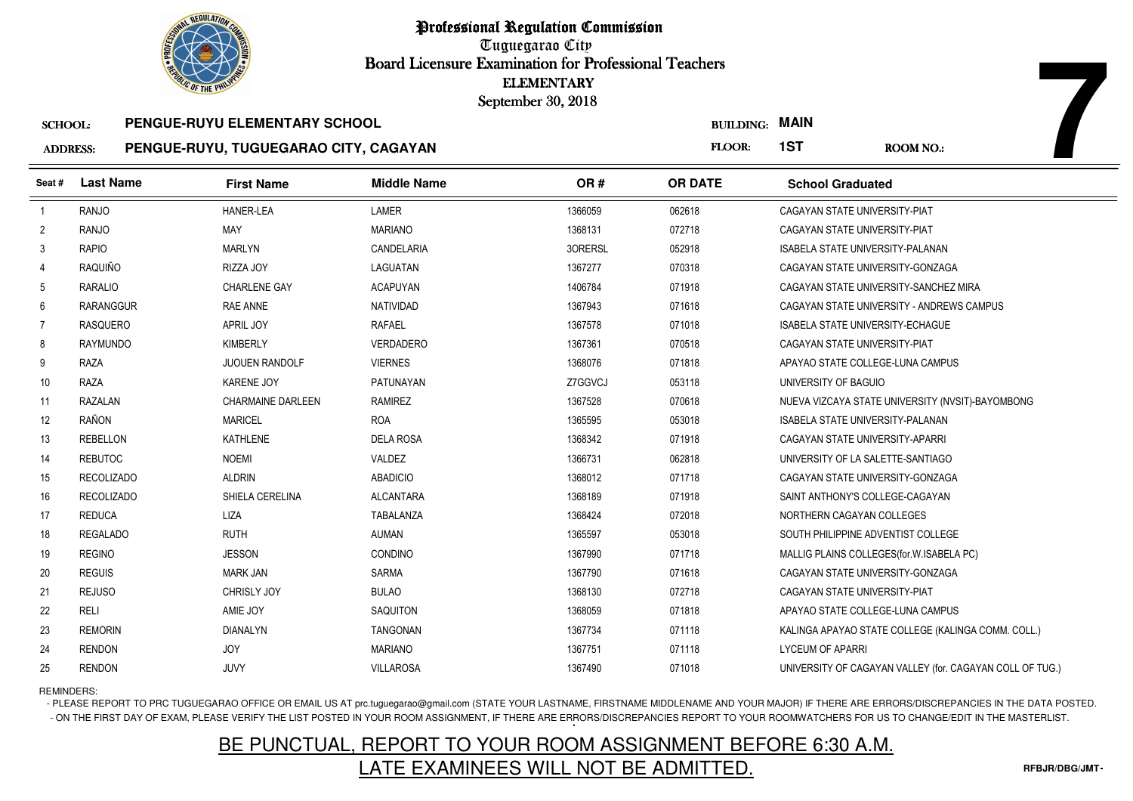

Tuguegarao City Board Licensure Examination for Professional Teachers September 30, 2018

#### SCHOOL:**PENGUE-RUYU ELEMENTARY SCHOOL**

#### ADDRESS:**PENGUE-RUYU, TUGUEGARAO CITY, CAGAYAN**

|                                   | <b>OLIC OF THE PHILIP</b> |                                                                        |                    | <b>ELEMENTARY</b><br>September 30, 2018 |                                 |                                         |                                                          |
|-----------------------------------|---------------------------|------------------------------------------------------------------------|--------------------|-----------------------------------------|---------------------------------|-----------------------------------------|----------------------------------------------------------|
| <b>SCHOOL:</b><br><b>ADDRESS:</b> |                           | PENGUE-RUYU ELEMENTARY SCHOOL<br>PENGUE-RUYU, TUGUEGARAO CITY, CAGAYAN |                    |                                         | <b>BUILDING: MAIN</b><br>FLOOR: | 1ST                                     | <b>ROOM NO.:</b>                                         |
| Seat #                            | <b>Last Name</b>          | <b>First Name</b>                                                      | <b>Middle Name</b> | OR#                                     | <b>OR DATE</b>                  | <b>School Graduated</b>                 |                                                          |
| $\overline{1}$                    | RANJO                     | <b>HANER-LEA</b>                                                       | <b>LAMER</b>       | 1366059                                 | 062618                          | CAGAYAN STATE UNIVERSITY-PIAT           |                                                          |
| $\overline{2}$                    | <b>RANJO</b>              | MAY                                                                    | <b>MARIANO</b>     | 1368131                                 | 072718                          | CAGAYAN STATE UNIVERSITY-PIAT           |                                                          |
| 3                                 | <b>RAPIO</b>              | <b>MARLYN</b>                                                          | CANDELARIA         | 30RERSL                                 | 052918                          | <b>ISABELA STATE UNIVERSITY-PALANAN</b> |                                                          |
| $\overline{4}$                    | RAQUIÑO                   | RIZZA JOY                                                              | LAGUATAN           | 1367277                                 | 070318                          | CAGAYAN STATE UNIVERSITY-GONZAGA        |                                                          |
| 5                                 | <b>RARALIO</b>            | <b>CHARLENE GAY</b>                                                    | <b>ACAPUYAN</b>    | 1406784                                 | 071918                          |                                         | CAGAYAN STATE UNIVERSITY-SANCHEZ MIRA                    |
| 6                                 | <b>RARANGGUR</b>          | RAE ANNE                                                               | NATIVIDAD          | 1367943                                 | 071618                          |                                         | CAGAYAN STATE UNIVERSITY - ANDREWS CAMPUS                |
| 7                                 | <b>RASQUERO</b>           | <b>APRIL JOY</b>                                                       | <b>RAFAEL</b>      | 1367578                                 | 071018                          | <b>ISABELA STATE UNIVERSITY-ECHAGUE</b> |                                                          |
| 8                                 | <b>RAYMUNDO</b>           | <b>KIMBERLY</b>                                                        | <b>VERDADERO</b>   | 1367361                                 | 070518                          | CAGAYAN STATE UNIVERSITY-PIAT           |                                                          |
| 9                                 | <b>RAZA</b>               | <b>JUOUEN RANDOLF</b>                                                  | <b>VIERNES</b>     | 1368076                                 | 071818                          | APAYAO STATE COLLEGE-LUNA CAMPUS        |                                                          |
| 10                                | <b>RAZA</b>               | <b>KARENE JOY</b>                                                      | PATUNAYAN          | Z7GGVCJ                                 | 053118                          | UNIVERSITY OF BAGUIO                    |                                                          |
| 11                                | RAZALAN                   | <b>CHARMAINE DARLEEN</b>                                               | <b>RAMIREZ</b>     | 1367528                                 | 070618                          |                                         | NUEVA VIZCAYA STATE UNIVERSITY (NVSIT)-BAYOMBONG         |
| 12                                | RAÑON                     | <b>MARICEL</b>                                                         | <b>ROA</b>         | 1365595                                 | 053018                          | <b>ISABELA STATE UNIVERSITY-PALANAN</b> |                                                          |
| 13                                | <b>REBELLON</b>           | KATHLENE                                                               | <b>DELA ROSA</b>   | 1368342                                 | 071918                          | CAGAYAN STATE UNIVERSITY-APARRI         |                                                          |
| 14                                | <b>REBUTOC</b>            | <b>NOEMI</b>                                                           | <b>VALDEZ</b>      | 1366731                                 | 062818                          | UNIVERSITY OF LA SALETTE-SANTIAGO       |                                                          |
| 15                                | <b>RECOLIZADO</b>         | <b>ALDRIN</b>                                                          | <b>ABADICIO</b>    | 1368012                                 | 071718                          | CAGAYAN STATE UNIVERSITY-GONZAGA        |                                                          |
| 16                                | <b>RECOLIZADO</b>         | SHIELA CERELINA                                                        | <b>ALCANTARA</b>   | 1368189                                 | 071918                          | SAINT ANTHONY'S COLLEGE-CAGAYAN         |                                                          |
| 17                                | <b>REDUCA</b>             | <b>LIZA</b>                                                            | TABALANZA          | 1368424                                 | 072018                          | NORTHERN CAGAYAN COLLEGES               |                                                          |
| 18                                | <b>REGALADO</b>           | <b>RUTH</b>                                                            | <b>AUMAN</b>       | 1365597                                 | 053018                          | SOUTH PHILIPPINE ADVENTIST COLLEGE      |                                                          |
| 19                                | <b>REGINO</b>             | <b>JESSON</b>                                                          | <b>CONDINO</b>     | 1367990                                 | 071718                          |                                         | MALLIG PLAINS COLLEGES (for. W. ISABELA PC)              |
| 20                                | <b>REGUIS</b>             | <b>MARK JAN</b>                                                        | <b>SARMA</b>       | 1367790                                 | 071618                          | CAGAYAN STATE UNIVERSITY-GONZAGA        |                                                          |
| 21                                | <b>REJUSO</b>             | <b>CHRISLY JOY</b>                                                     | <b>BULAO</b>       | 1368130                                 | 072718                          | CAGAYAN STATE UNIVERSITY-PIAT           |                                                          |
| 22                                | <b>RELI</b>               | AMIE JOY                                                               | SAQUITON           | 1368059                                 | 071818                          | APAYAO STATE COLLEGE-LUNA CAMPUS        |                                                          |
| 23                                | <b>REMORIN</b>            | <b>DIANALYN</b>                                                        | <b>TANGONAN</b>    | 1367734                                 | 071118                          |                                         | KALINGA APAYAO STATE COLLEGE (KALINGA COMM. COLL.)       |
| 24                                | <b>RENDON</b>             | <b>JOY</b>                                                             | <b>MARIANO</b>     | 1367751                                 | 071118                          | <b>LYCEUM OF APARRI</b>                 |                                                          |
| 25                                | <b>RENDON</b>             | JUVY                                                                   | <b>VILLAROSA</b>   | 1367490                                 | 071018                          |                                         | UNIVERSITY OF CAGAYAN VALLEY (for. CAGAYAN COLL OF TUG.) |

REMINDERS:

- PLEASE REPORT TO PRC TUGUEGARAO OFFICE OR EMAIL US AT prc.tuguegarao@gmail.com (STATE YOUR LASTNAME, FIRSTNAME MIDDLENAME AND YOUR MAJOR) IF THERE ARE ERRORS/DISCREPANCIES IN THE DATA POSTED. - ON THE FIRST DAY OF EXAM, PLEASE VERIFY THE LIST POSTED IN YOUR ROOM ASSIGNMENT, IF THERE ARE ERRORS/DISCREPANCIES REPORT TO YOUR ROOMWATCHERS FOR US TO CHANGE/EDIT IN THE MASTERLIST.

# BE PUNCTUAL, REPORT TO YOUR ROOM ASSIGNMENT BEFORE 6:30 A.M.LATE EXAMINEES WILL NOT BE ADMITTED.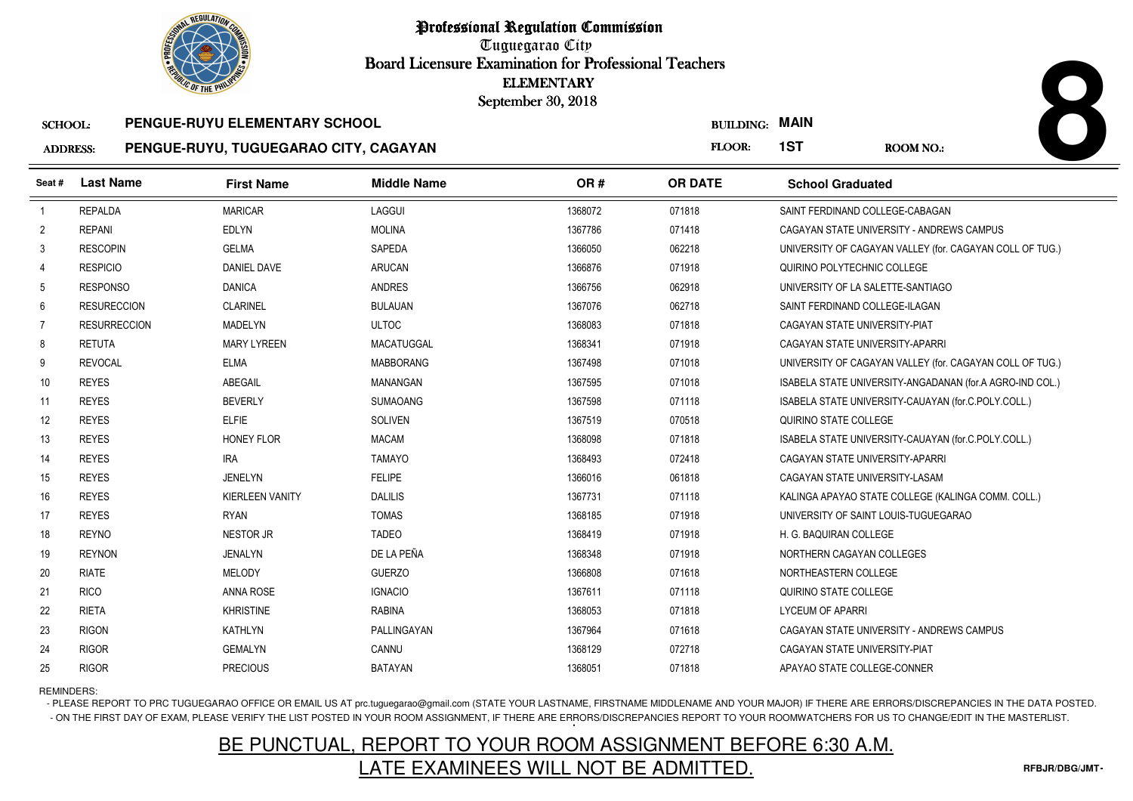Tuguegarao City Board Licensure Examination for Professional Teachers September 30, 2018

### SCHOOL: **PENGUE-RUYU ELEMENTARY SCHOOLPENGUE-RUYU, TUGUEGARAO CITY, CAGAYAN**

|                 | <b>OLIC OF THE PHILIP</b> |                                       |                    | <b>ELEMENTARY</b><br>September 30, 2018 |                       |                                                          |  |
|-----------------|---------------------------|---------------------------------------|--------------------|-----------------------------------------|-----------------------|----------------------------------------------------------|--|
| <b>SCHOOL:</b>  |                           | PENGUE-RUYU ELEMENTARY SCHOOL         |                    |                                         | <b>BUILDING: MAIN</b> |                                                          |  |
| <b>ADDRESS:</b> |                           | PENGUE-RUYU, TUGUEGARAO CITY, CAGAYAN |                    |                                         | FLOOR:                | 1ST<br><b>ROOM NO.:</b>                                  |  |
| Seat #          | <b>Last Name</b>          | <b>First Name</b>                     | <b>Middle Name</b> | OR#                                     | <b>OR DATE</b>        | <b>School Graduated</b>                                  |  |
| -1              | <b>REPALDA</b>            | <b>MARICAR</b>                        | LAGGUI             | 1368072                                 | 071818                | SAINT FERDINAND COLLEGE-CABAGAN                          |  |
| $\overline{2}$  | <b>REPANI</b>             | <b>EDLYN</b>                          | <b>MOLINA</b>      | 1367786                                 | 071418                | CAGAYAN STATE UNIVERSITY - ANDREWS CAMPUS                |  |
| 3               | <b>RESCOPIN</b>           | <b>GELMA</b>                          | SAPEDA             | 1366050                                 | 062218                | UNIVERSITY OF CAGAYAN VALLEY (for. CAGAYAN COLL OF TUG.) |  |
| 4               | <b>RESPICIO</b>           | <b>DANIEL DAVE</b>                    | <b>ARUCAN</b>      | 1366876                                 | 071918                | QUIRINO POLYTECHNIC COLLEGE                              |  |
| 5               | <b>RESPONSO</b>           | <b>DANICA</b>                         | ANDRES             | 1366756                                 | 062918                | UNIVERSITY OF LA SALETTE-SANTIAGO                        |  |
| 6               | <b>RESURECCION</b>        | <b>CLARINEL</b>                       | <b>BULAUAN</b>     | 1367076                                 | 062718                | SAINT FERDINAND COLLEGE-ILAGAN                           |  |
| 7               | <b>RESURRECCION</b>       | <b>MADELYN</b>                        | <b>ULTOC</b>       | 1368083                                 | 071818                | CAGAYAN STATE UNIVERSITY-PIAT                            |  |
| 8               | <b>RETUTA</b>             | <b>MARY LYREEN</b>                    | MACATUGGAL         | 1368341                                 | 071918                | CAGAYAN STATE UNIVERSITY-APARRI                          |  |
| 9               | <b>REVOCAL</b>            | <b>ELMA</b>                           | <b>MABBORANG</b>   | 1367498                                 | 071018                | UNIVERSITY OF CAGAYAN VALLEY (for. CAGAYAN COLL OF TUG.) |  |
| 10              | <b>REYES</b>              | ABEGAIL                               | <b>MANANGAN</b>    | 1367595                                 | 071018                | ISABELA STATE UNIVERSITY-ANGADANAN (for.A AGRO-IND COL.) |  |
| 11              | <b>REYES</b>              | <b>BEVERLY</b>                        | <b>SUMAOANG</b>    | 1367598                                 | 071118                | ISABELA STATE UNIVERSITY-CAUAYAN (for.C.POLY.COLL.)      |  |
| 12              | <b>REYES</b>              | <b>ELFIE</b>                          | <b>SOLIVEN</b>     | 1367519                                 | 070518                | QUIRINO STATE COLLEGE                                    |  |
| 13              | <b>REYES</b>              | <b>HONEY FLOR</b>                     | <b>MACAM</b>       | 1368098                                 | 071818                | ISABELA STATE UNIVERSITY-CAUAYAN (for.C.POLY.COLL.)      |  |
| 14              | <b>REYES</b>              | <b>IRA</b>                            | <b>TAMAYO</b>      | 1368493                                 | 072418                | CAGAYAN STATE UNIVERSITY-APARRI                          |  |
| 15              | <b>REYES</b>              | <b>JENELYN</b>                        | <b>FELIPE</b>      | 1366016                                 | 061818                | CAGAYAN STATE UNIVERSITY-LASAM                           |  |
| 16              | <b>REYES</b>              | <b>KIERLEEN VANITY</b>                | <b>DALILIS</b>     | 1367731                                 | 071118                | KALINGA APAYAO STATE COLLEGE (KALINGA COMM. COLL.)       |  |
| 17              | <b>REYES</b>              | <b>RYAN</b>                           | <b>TOMAS</b>       | 1368185                                 | 071918                | UNIVERSITY OF SAINT LOUIS-TUGUEGARAO                     |  |
| 18              | <b>REYNO</b>              | <b>NESTOR JR</b>                      | <b>TADEO</b>       | 1368419                                 | 071918                | H. G. BAQUIRAN COLLEGE                                   |  |
| 19              | <b>REYNON</b>             | <b>JENALYN</b>                        | DE LA PEÑA         | 1368348                                 | 071918                | NORTHERN CAGAYAN COLLEGES                                |  |
| 20              | <b>RIATE</b>              | <b>MELODY</b>                         | <b>GUERZO</b>      | 1366808                                 | 071618                | NORTHEASTERN COLLEGE                                     |  |
| 21              | <b>RICO</b>               | <b>ANNA ROSE</b>                      | <b>IGNACIO</b>     | 1367611                                 | 071118                | QUIRINO STATE COLLEGE                                    |  |
| 22              | <b>RIETA</b>              | <b>KHRISTINE</b>                      | <b>RABINA</b>      | 1368053                                 | 071818                | <b>LYCEUM OF APARRI</b>                                  |  |
| 23              | <b>RIGON</b>              | <b>KATHLYN</b>                        | PALLINGAYAN        | 1367964                                 | 071618                | CAGAYAN STATE UNIVERSITY - ANDREWS CAMPUS                |  |
| 24              | <b>RIGOR</b>              | <b>GEMALYN</b>                        | CANNU              | 1368129                                 | 072718                | CAGAYAN STATE UNIVERSITY-PIAT                            |  |
| 25              | <b>RIGOR</b>              | <b>PRECIOUS</b>                       | <b>BATAYAN</b>     | 1368051                                 | 071818                | APAYAO STATE COLLEGE-CONNER                              |  |

REMINDERS:

- PLEASE REPORT TO PRC TUGUEGARAO OFFICE OR EMAIL US AT prc.tuguegarao@gmail.com (STATE YOUR LASTNAME, FIRSTNAME MIDDLENAME AND YOUR MAJOR) IF THERE ARE ERRORS/DISCREPANCIES IN THE DATA POSTED. - ON THE FIRST DAY OF EXAM, PLEASE VERIFY THE LIST POSTED IN YOUR ROOM ASSIGNMENT, IF THERE ARE ERRORS/DISCREPANCIES REPORT TO YOUR ROOMWATCHERS FOR US TO CHANGE/EDIT IN THE MASTERLIST.

# BE PUNCTUAL, REPORT TO YOUR ROOM ASSIGNMENT BEFORE 6:30 A.M.LATE EXAMINEES WILL NOT BE ADMITTED.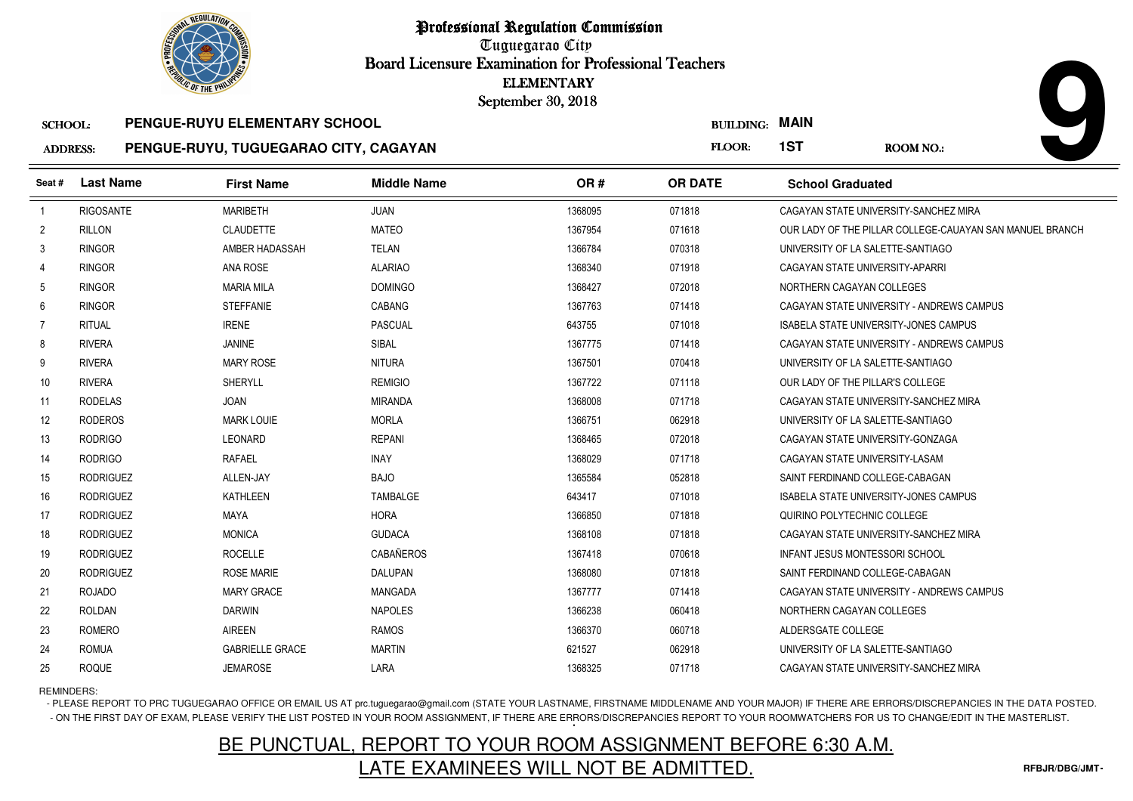

Tuguegarao City Board Licensure Examination for Professional Teachers September 30, 2018

#### ADDRESS:**PENGUE-RUYU, TUGUEGARAO CITY, CAGAYAN**

|                 | <b>OLIC OF THE PHILIP</b> |                                       |                    | <b>ELEMENTARY</b><br>September 30, 2018 |                  |                                       |                                                          |
|-----------------|---------------------------|---------------------------------------|--------------------|-----------------------------------------|------------------|---------------------------------------|----------------------------------------------------------|
| <b>SCHOOL:</b>  |                           | PENGUE-RUYU ELEMENTARY SCHOOL         |                    |                                         | <b>BUILDING:</b> | <b>MAIN</b>                           |                                                          |
| <b>ADDRESS:</b> |                           | PENGUE-RUYU, TUGUEGARAO CITY, CAGAYAN |                    |                                         | FLOOR:           | 1ST                                   | ROOM NO.:                                                |
| Seat #          | <b>Last Name</b>          | <b>First Name</b>                     | <b>Middle Name</b> | OR#                                     | <b>OR DATE</b>   | <b>School Graduated</b>               |                                                          |
| -1              | <b>RIGOSANTE</b>          | <b>MARIBETH</b>                       | <b>JUAN</b>        | 1368095                                 | 071818           |                                       | CAGAYAN STATE UNIVERSITY-SANCHEZ MIRA                    |
| $\overline{2}$  | <b>RILLON</b>             | <b>CLAUDETTE</b>                      | <b>MATEO</b>       | 1367954                                 | 071618           |                                       | OUR LADY OF THE PILLAR COLLEGE-CAUAYAN SAN MANUEL BRANCH |
| 3               | <b>RINGOR</b>             | AMBER HADASSAH                        | <b>TELAN</b>       | 1366784                                 | 070318           | UNIVERSITY OF LA SALETTE-SANTIAGO     |                                                          |
| 4               | <b>RINGOR</b>             | <b>ANA ROSE</b>                       | <b>ALARIAO</b>     | 1368340                                 | 071918           | CAGAYAN STATE UNIVERSITY-APARRI       |                                                          |
| 5               | <b>RINGOR</b>             | <b>MARIA MILA</b>                     | <b>DOMINGO</b>     | 1368427                                 | 072018           | NORTHERN CAGAYAN COLLEGES             |                                                          |
| 6               | <b>RINGOR</b>             | <b>STEFFANIE</b>                      | <b>CABANG</b>      | 1367763                                 | 071418           |                                       | CAGAYAN STATE UNIVERSITY - ANDREWS CAMPUS                |
| 7               | <b>RITUAL</b>             | <b>IRENE</b>                          | <b>PASCUAL</b>     | 643755                                  | 071018           |                                       | <b>ISABELA STATE UNIVERSITY-JONES CAMPUS</b>             |
| 8               | <b>RIVERA</b>             | <b>JANINE</b>                         | SIBAL              | 1367775                                 | 071418           |                                       | CAGAYAN STATE UNIVERSITY - ANDREWS CAMPUS                |
| 9               | <b>RIVERA</b>             | <b>MARY ROSE</b>                      | <b>NITURA</b>      | 1367501                                 | 070418           | UNIVERSITY OF LA SALETTE-SANTIAGO     |                                                          |
| 10              | <b>RIVERA</b>             | <b>SHERYLL</b>                        | <b>REMIGIO</b>     | 1367722                                 | 071118           | OUR LADY OF THE PILLAR'S COLLEGE      |                                                          |
| 11              | <b>RODELAS</b>            | <b>JOAN</b>                           | <b>MIRANDA</b>     | 1368008                                 | 071718           |                                       | CAGAYAN STATE UNIVERSITY-SANCHEZ MIRA                    |
| 12              | <b>RODEROS</b>            | <b>MARK LOUIE</b>                     | <b>MORLA</b>       | 1366751                                 | 062918           | UNIVERSITY OF LA SALETTE-SANTIAGO     |                                                          |
| 13              | <b>RODRIGO</b>            | <b>LEONARD</b>                        | <b>REPANI</b>      | 1368465                                 | 072018           | CAGAYAN STATE UNIVERSITY-GONZAGA      |                                                          |
| 14              | <b>RODRIGO</b>            | <b>RAFAEL</b>                         | <b>INAY</b>        | 1368029                                 | 071718           | CAGAYAN STATE UNIVERSITY-LASAM        |                                                          |
| 15              | <b>RODRIGUEZ</b>          | ALLEN-JAY                             | <b>BAJO</b>        | 1365584                                 | 052818           | SAINT FERDINAND COLLEGE-CABAGAN       |                                                          |
| 16              | <b>RODRIGUEZ</b>          | <b>KATHLEEN</b>                       | <b>TAMBALGE</b>    | 643417                                  | 071018           |                                       | <b>ISABELA STATE UNIVERSITY-JONES CAMPUS</b>             |
| 17              | <b>RODRIGUEZ</b>          | <b>MAYA</b>                           | <b>HORA</b>        | 1366850                                 | 071818           | QUIRINO POLYTECHNIC COLLEGE           |                                                          |
| 18              | <b>RODRIGUEZ</b>          | <b>MONICA</b>                         | <b>GUDACA</b>      | 1368108                                 | 071818           |                                       | CAGAYAN STATE UNIVERSITY-SANCHEZ MIRA                    |
| 19              | <b>RODRIGUEZ</b>          | <b>ROCELLE</b>                        | CABAÑEROS          | 1367418                                 | 070618           | <b>INFANT JESUS MONTESSORI SCHOOL</b> |                                                          |
| 20              | <b>RODRIGUEZ</b>          | <b>ROSE MARIE</b>                     | <b>DALUPAN</b>     | 1368080                                 | 071818           | SAINT FERDINAND COLLEGE-CABAGAN       |                                                          |
| 21              | <b>ROJADO</b>             | <b>MARY GRACE</b>                     | MANGADA            | 1367777                                 | 071418           |                                       | CAGAYAN STATE UNIVERSITY - ANDREWS CAMPUS                |
| 22              | <b>ROLDAN</b>             | <b>DARWIN</b>                         | <b>NAPOLES</b>     | 1366238                                 | 060418           | NORTHERN CAGAYAN COLLEGES             |                                                          |
| 23              | <b>ROMERO</b>             | <b>AIREEN</b>                         | <b>RAMOS</b>       | 1366370                                 | 060718           | ALDERSGATE COLLEGE                    |                                                          |
| 24              | <b>ROMUA</b>              | <b>GABRIELLE GRACE</b>                | <b>MARTIN</b>      | 621527                                  | 062918           | UNIVERSITY OF LA SALETTE-SANTIAGO     |                                                          |
| 25              | <b>ROQUE</b>              | <b>JEMAROSE</b>                       | LARA               | 1368325                                 | 071718           |                                       | CAGAYAN STATE UNIVERSITY-SANCHEZ MIRA                    |

REMINDERS:

- PLEASE REPORT TO PRC TUGUEGARAO OFFICE OR EMAIL US AT prc.tuguegarao@gmail.com (STATE YOUR LASTNAME, FIRSTNAME MIDDLENAME AND YOUR MAJOR) IF THERE ARE ERRORS/DISCREPANCIES IN THE DATA POSTED. - ON THE FIRST DAY OF EXAM, PLEASE VERIFY THE LIST POSTED IN YOUR ROOM ASSIGNMENT, IF THERE ARE ERRORS/DISCREPANCIES REPORT TO YOUR ROOMWATCHERS FOR US TO CHANGE/EDIT IN THE MASTERLIST.

# BE PUNCTUAL, REPORT TO YOUR ROOM ASSIGNMENT BEFORE 6:30 A.M.LATE EXAMINEES WILL NOT BE ADMITTED.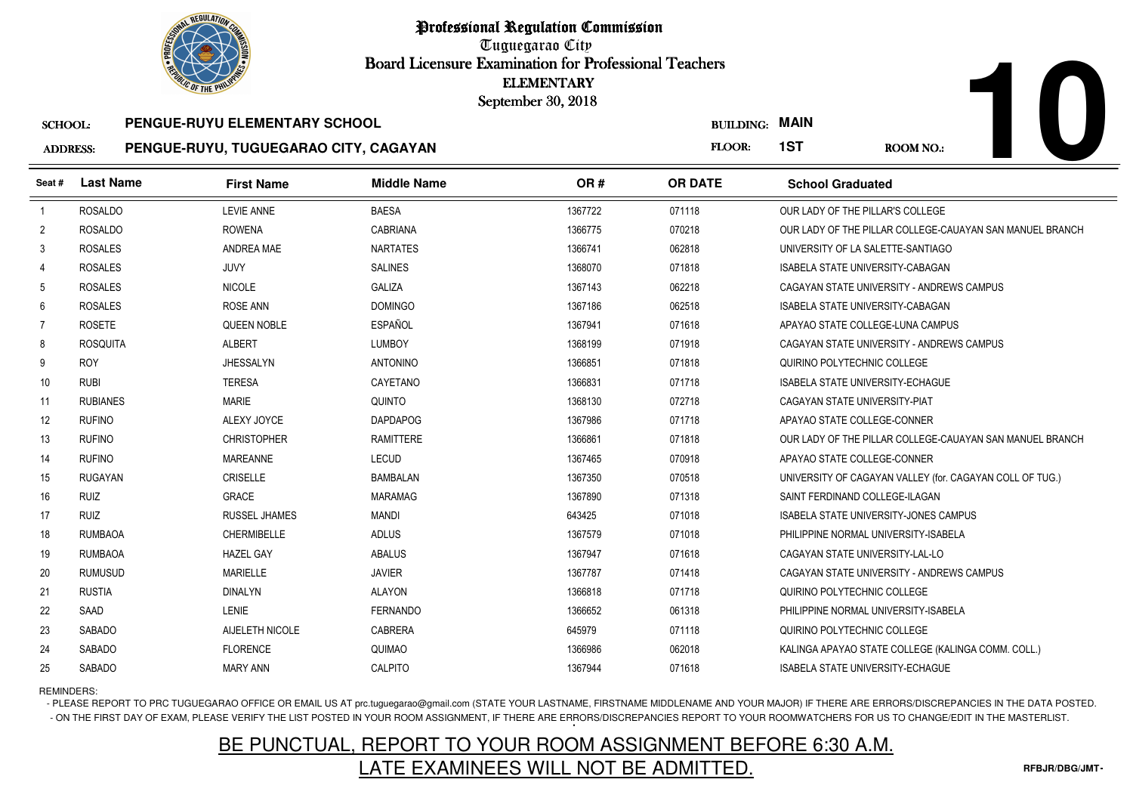

Tuguegarao City Board Licensure Examination for Professional Teachers September 30, 2018

#### SCHOOL:**PENGUE-RUYU ELEMENTARY SCHOOL**

#### ADDRESS:**PENGUE-RUYU, TUGUEGARAO CITY, CAGAYAN**

| <b>OLIC OF THE PHILIP</b> |                  |                                       |                    | <b>ELEMENTARY</b><br>September 30, 2018 |                       |                                                          |
|---------------------------|------------------|---------------------------------------|--------------------|-----------------------------------------|-----------------------|----------------------------------------------------------|
| <b>SCHOOL:</b>            |                  | PENGUE-RUYU ELEMENTARY SCHOOL         |                    |                                         | <b>BUILDING: MAIN</b> |                                                          |
| <b>ADDRESS:</b>           |                  | PENGUE-RUYU, TUGUEGARAO CITY, CAGAYAN |                    |                                         | FLOOR:                | 1ST<br><b>ROOM NO.:</b>                                  |
| Seat#                     | <b>Last Name</b> | <b>First Name</b>                     | <b>Middle Name</b> | OR#                                     | <b>OR DATE</b>        | <b>School Graduated</b>                                  |
| $\overline{1}$            | <b>ROSALDO</b>   | <b>LEVIE ANNE</b>                     | <b>BAESA</b>       | 1367722                                 | 071118                | OUR LADY OF THE PILLAR'S COLLEGE                         |
| $\overline{2}$            | <b>ROSALDO</b>   | <b>ROWENA</b>                         | <b>CABRIANA</b>    | 1366775                                 | 070218                | OUR LADY OF THE PILLAR COLLEGE-CAUAYAN SAN MANUEL BRANCH |
| 3                         | <b>ROSALES</b>   | ANDREA MAE                            | <b>NARTATES</b>    | 1366741                                 | 062818                | UNIVERSITY OF LA SALETTE-SANTIAGO                        |
| 4                         | <b>ROSALES</b>   | JUVY                                  | <b>SALINES</b>     | 1368070                                 | 071818                | ISABELA STATE UNIVERSITY-CABAGAN                         |
| 5                         | <b>ROSALES</b>   | <b>NICOLE</b>                         | <b>GALIZA</b>      | 1367143                                 | 062218                | CAGAYAN STATE UNIVERSITY - ANDREWS CAMPUS                |
| 6                         | <b>ROSALES</b>   | ROSE ANN                              | <b>DOMINGO</b>     | 1367186                                 | 062518                | <b>ISABELA STATE UNIVERSITY-CABAGAN</b>                  |
| $\overline{7}$            | <b>ROSETE</b>    | QUEEN NOBLE                           | <b>ESPAÑOL</b>     | 1367941                                 | 071618                | APAYAO STATE COLLEGE-LUNA CAMPUS                         |
| 8                         | <b>ROSQUITA</b>  | <b>ALBERT</b>                         | <b>LUMBOY</b>      | 1368199                                 | 071918                | CAGAYAN STATE UNIVERSITY - ANDREWS CAMPUS                |
| 9                         | <b>ROY</b>       | <b>JHESSALYN</b>                      | <b>ANTONINO</b>    | 1366851                                 | 071818                | QUIRINO POLYTECHNIC COLLEGE                              |
| 10                        | <b>RUBI</b>      | <b>TERESA</b>                         | CAYETANO           | 1366831                                 | 071718                | <b>ISABELA STATE UNIVERSITY-ECHAGUE</b>                  |
| 11                        | <b>RUBIANES</b>  | <b>MARIE</b>                          | <b>QUINTO</b>      | 1368130                                 | 072718                | CAGAYAN STATE UNIVERSITY-PIAT                            |
| 12                        | <b>RUFINO</b>    | ALEXY JOYCE                           | <b>DAPDAPOG</b>    | 1367986                                 | 071718                | APAYAO STATE COLLEGE-CONNER                              |
| 13                        | <b>RUFINO</b>    | <b>CHRISTOPHER</b>                    | <b>RAMITTERE</b>   | 1366861                                 | 071818                | OUR LADY OF THE PILLAR COLLEGE-CAUAYAN SAN MANUEL BRANCH |
| 14                        | <b>RUFINO</b>    | <b>MAREANNE</b>                       | LECUD              | 1367465                                 | 070918                | APAYAO STATE COLLEGE-CONNER                              |
| 15                        | <b>RUGAYAN</b>   | <b>CRISELLE</b>                       | <b>BAMBALAN</b>    | 1367350                                 | 070518                | UNIVERSITY OF CAGAYAN VALLEY (for. CAGAYAN COLL OF TUG.) |
| 16                        | <b>RUIZ</b>      | <b>GRACE</b>                          | <b>MARAMAG</b>     | 1367890                                 | 071318                | SAINT FERDINAND COLLEGE-ILAGAN                           |
| 17                        | <b>RUIZ</b>      | <b>RUSSEL JHAMES</b>                  | <b>MANDI</b>       | 643425                                  | 071018                | <b>ISABELA STATE UNIVERSITY-JONES CAMPUS</b>             |
| 18                        | <b>RUMBAOA</b>   | <b>CHERMIBELLE</b>                    | <b>ADLUS</b>       | 1367579                                 | 071018                | PHILIPPINE NORMAL UNIVERSITY-ISABELA                     |
| 19                        | <b>RUMBAOA</b>   | <b>HAZEL GAY</b>                      | <b>ABALUS</b>      | 1367947                                 | 071618                | CAGAYAN STATE UNIVERSITY-LAL-LO                          |
| 20                        | <b>RUMUSUD</b>   | <b>MARIELLE</b>                       | <b>JAVIER</b>      | 1367787                                 | 071418                | CAGAYAN STATE UNIVERSITY - ANDREWS CAMPUS                |
| 21                        | <b>RUSTIA</b>    | <b>DINALYN</b>                        | <b>ALAYON</b>      | 1366818                                 | 071718                | QUIRINO POLYTECHNIC COLLEGE                              |
| 22                        | SAAD             | <b>LENIE</b>                          | <b>FERNANDO</b>    | 1366652                                 | 061318                | PHILIPPINE NORMAL UNIVERSITY-ISABELA                     |
| 23                        | <b>SABADO</b>    | AIJELETH NICOLE                       | <b>CABRERA</b>     | 645979                                  | 071118                | QUIRINO POLYTECHNIC COLLEGE                              |
| 24                        | SABADO           | <b>FLORENCE</b>                       | QUIMAO             | 1366986                                 | 062018                | KALINGA APAYAO STATE COLLEGE (KALINGA COMM. COLL.)       |
| 25                        | SABADO           | <b>MARY ANN</b>                       | CALPITO            | 1367944                                 | 071618                | <b>ISABELA STATE UNIVERSITY-ECHAGUE</b>                  |

REMINDERS:

- PLEASE REPORT TO PRC TUGUEGARAO OFFICE OR EMAIL US AT prc.tuguegarao@gmail.com (STATE YOUR LASTNAME, FIRSTNAME MIDDLENAME AND YOUR MAJOR) IF THERE ARE ERRORS/DISCREPANCIES IN THE DATA POSTED. - ON THE FIRST DAY OF EXAM, PLEASE VERIFY THE LIST POSTED IN YOUR ROOM ASSIGNMENT, IF THERE ARE ERRORS/DISCREPANCIES REPORT TO YOUR ROOMWATCHERS FOR US TO CHANGE/EDIT IN THE MASTERLIST.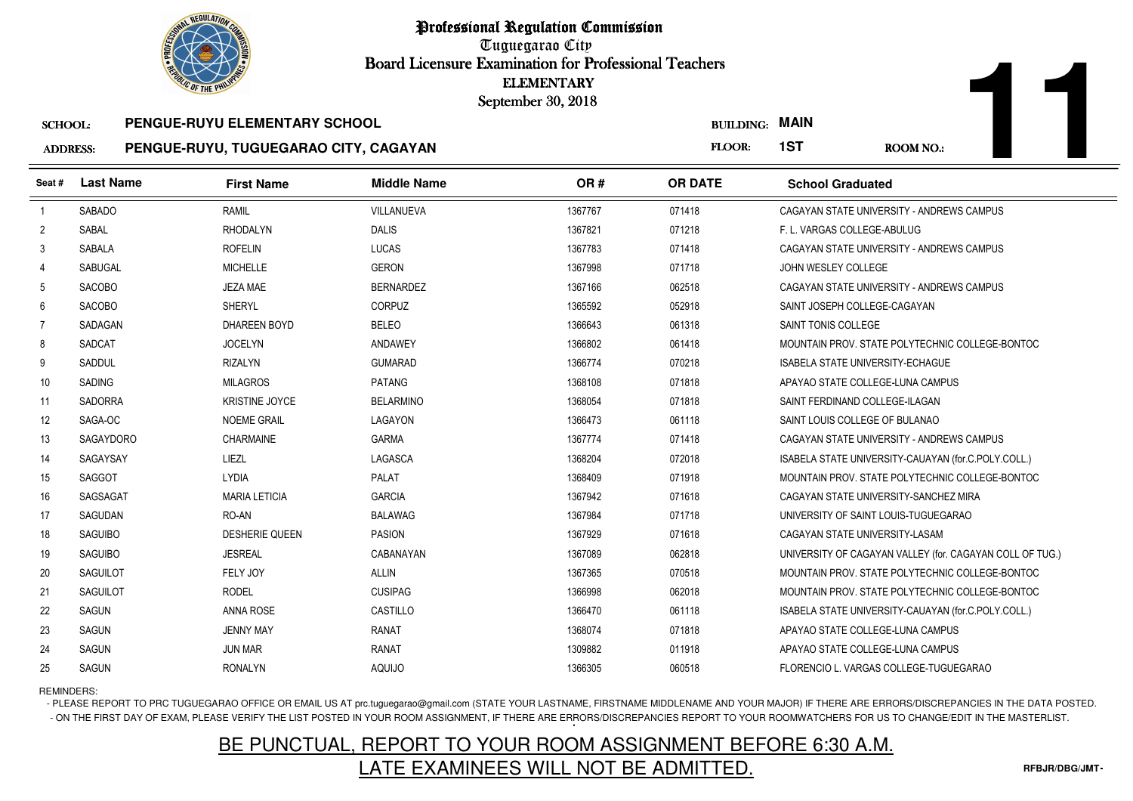

Tuguegarao City Board Licensure Examination for Professional Teachers September 30, 2018

#### SCHOOL:**PENGUE-RUYU ELEMENTARY SCHOOL**

#### ADDRESS:**PENGUE-RUYU, TUGUEGARAO CITY, CAGAYAN**

| <b><i>OLIC OF THE PHILIP</i></b> |                  |                                       | <b>ELEMENTARY</b><br>September 30, 2018 |         |                       |                                         |                                                          |
|----------------------------------|------------------|---------------------------------------|-----------------------------------------|---------|-----------------------|-----------------------------------------|----------------------------------------------------------|
| <b>SCHOOL:</b>                   |                  | PENGUE-RUYU ELEMENTARY SCHOOL         |                                         |         | <b>BUILDING: MAIN</b> |                                         |                                                          |
| <b>ADDRESS:</b>                  |                  | PENGUE-RUYU, TUGUEGARAO CITY, CAGAYAN |                                         |         | FLOOR:                | 1ST                                     | <b>ROOM NO.:</b>                                         |
| Seat #                           | <b>Last Name</b> | <b>First Name</b>                     | <b>Middle Name</b>                      | OR#     | <b>OR DATE</b>        | <b>School Graduated</b>                 |                                                          |
| $\overline{1}$                   | <b>SABADO</b>    | RAMIL                                 | VILLANUEVA                              | 1367767 | 071418                |                                         | CAGAYAN STATE UNIVERSITY - ANDREWS CAMPUS                |
| $\overline{2}$                   | SABAL            | <b>RHODALYN</b>                       | <b>DALIS</b>                            | 1367821 | 071218                | F. L. VARGAS COLLEGE-ABULUG             |                                                          |
| 3                                | SABALA           | <b>ROFELIN</b>                        | LUCAS                                   | 1367783 | 071418                |                                         | CAGAYAN STATE UNIVERSITY - ANDREWS CAMPUS                |
| $\overline{4}$                   | <b>SABUGAL</b>   | <b>MICHELLE</b>                       | <b>GERON</b>                            | 1367998 | 071718                | JOHN WESLEY COLLEGE                     |                                                          |
| 5                                | <b>SACOBO</b>    | <b>JEZA MAE</b>                       | <b>BERNARDEZ</b>                        | 1367166 | 062518                |                                         | CAGAYAN STATE UNIVERSITY - ANDREWS CAMPUS                |
| 6                                | <b>SACOBO</b>    | <b>SHERYL</b>                         | CORPUZ                                  | 1365592 | 052918                | SAINT JOSEPH COLLEGE-CAGAYAN            |                                                          |
| 7                                | SADAGAN          | <b>DHAREEN BOYD</b>                   | <b>BELEO</b>                            | 1366643 | 061318                | SAINT TONIS COLLEGE                     |                                                          |
| 8                                | SADCAT           | <b>JOCELYN</b>                        | ANDAWEY                                 | 1366802 | 061418                |                                         | MOUNTAIN PROV. STATE POLYTECHNIC COLLEGE-BONTOC          |
| 9                                | SADDUL           | <b>RIZALYN</b>                        | <b>GUMARAD</b>                          | 1366774 | 070218                | <b>ISABELA STATE UNIVERSITY-ECHAGUE</b> |                                                          |
| 10                               | SADING           | <b>MILAGROS</b>                       | <b>PATANG</b>                           | 1368108 | 071818                | APAYAO STATE COLLEGE-LUNA CAMPUS        |                                                          |
| 11                               | <b>SADORRA</b>   | <b>KRISTINE JOYCE</b>                 | <b>BELARMINO</b>                        | 1368054 | 071818                | SAINT FERDINAND COLLEGE-ILAGAN          |                                                          |
| 12                               | SAGA-OC          | <b>NOEME GRAIL</b>                    | LAGAYON                                 | 1366473 | 061118                | SAINT LOUIS COLLEGE OF BULANAO          |                                                          |
| 13                               | <b>SAGAYDORO</b> | CHARMAINE                             | <b>GARMA</b>                            | 1367774 | 071418                |                                         | CAGAYAN STATE UNIVERSITY - ANDREWS CAMPUS                |
| 14                               | SAGAYSAY         | LIEZL                                 | LAGASCA                                 | 1368204 | 072018                |                                         | ISABELA STATE UNIVERSITY-CAUAYAN (for.C.POLY.COLL.)      |
| 15                               | SAGGOT           | <b>LYDIA</b>                          | <b>PALAT</b>                            | 1368409 | 071918                |                                         | MOUNTAIN PROV. STATE POLYTECHNIC COLLEGE-BONTOC          |
| 16                               | SAGSAGAT         | <b>MARIA LETICIA</b>                  | <b>GARCIA</b>                           | 1367942 | 071618                |                                         | CAGAYAN STATE UNIVERSITY-SANCHEZ MIRA                    |
| 17                               | SAGUDAN          | RO-AN                                 | <b>BALAWAG</b>                          | 1367984 | 071718                |                                         | UNIVERSITY OF SAINT LOUIS-TUGUEGARAO                     |
| 18                               | <b>SAGUIBO</b>   | <b>DESHERIE QUEEN</b>                 | <b>PASION</b>                           | 1367929 | 071618                | CAGAYAN STATE UNIVERSITY-LASAM          |                                                          |
| 19                               | SAGUIBO          | <b>JESREAL</b>                        | CABANAYAN                               | 1367089 | 062818                |                                         | UNIVERSITY OF CAGAYAN VALLEY (for. CAGAYAN COLL OF TUG.) |
| 20                               | SAGUILOT         | FELY JOY                              | <b>ALLIN</b>                            | 1367365 | 070518                |                                         | MOUNTAIN PROV. STATE POLYTECHNIC COLLEGE-BONTOC          |
| 21                               | SAGUILOT         | <b>RODEL</b>                          | <b>CUSIPAG</b>                          | 1366998 | 062018                |                                         | MOUNTAIN PROV. STATE POLYTECHNIC COLLEGE-BONTOC          |
| 22                               | SAGUN            | <b>ANNA ROSE</b>                      | CASTILLO                                | 1366470 | 061118                |                                         | ISABELA STATE UNIVERSITY-CAUAYAN (for.C.POLY.COLL.)      |
| 23                               | <b>SAGUN</b>     | <b>JENNY MAY</b>                      | <b>RANAT</b>                            | 1368074 | 071818                | APAYAO STATE COLLEGE-LUNA CAMPUS        |                                                          |
| 24                               | <b>SAGUN</b>     | <b>JUN MAR</b>                        | <b>RANAT</b>                            | 1309882 | 011918                | APAYAO STATE COLLEGE-LUNA CAMPUS        |                                                          |
| 25                               | <b>SAGUN</b>     | <b>RONALYN</b>                        | <b>AQUIJO</b>                           | 1366305 | 060518                |                                         | FLORENCIO L. VARGAS COLLEGE-TUGUEGARAO                   |

### REMINDERS:

- PLEASE REPORT TO PRC TUGUEGARAO OFFICE OR EMAIL US AT prc.tuguegarao@gmail.com (STATE YOUR LASTNAME, FIRSTNAME MIDDLENAME AND YOUR MAJOR) IF THERE ARE ERRORS/DISCREPANCIES IN THE DATA POSTED. - ON THE FIRST DAY OF EXAM, PLEASE VERIFY THE LIST POSTED IN YOUR ROOM ASSIGNMENT, IF THERE ARE ERRORS/DISCREPANCIES REPORT TO YOUR ROOMWATCHERS FOR US TO CHANGE/EDIT IN THE MASTERLIST.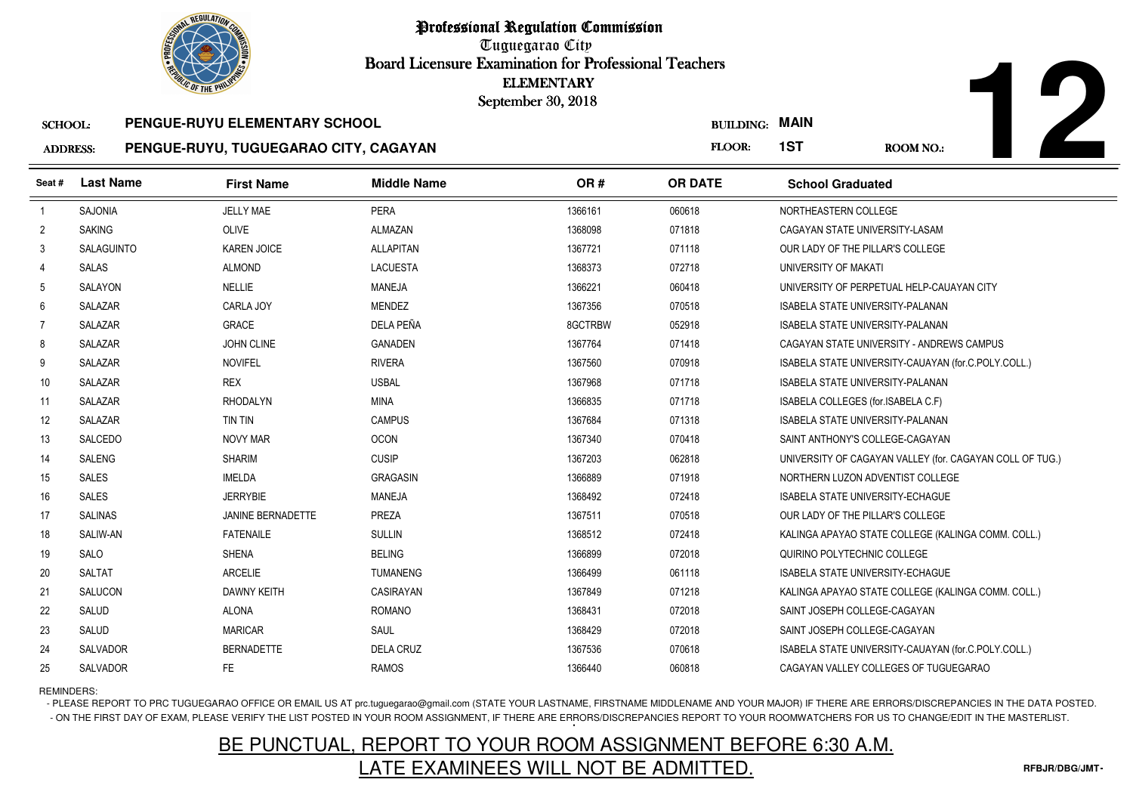Tuguegarao City Board Licensure Examination for Professional Teachers September 30, 2018

#### SCHOOL:**PENGUE-RUYU ELEMENTARY SCHOOL**

#### ADDRESS:**PENGUE-RUYU, TUGUEGARAO CITY, CAGAYAN**

| <b><i>OLIC OF THE PHILIP</i></b>  |                  |                                                                        |                    | <b>ELEMENTARY</b><br>September 30, 2018 |                                 |                                                          |
|-----------------------------------|------------------|------------------------------------------------------------------------|--------------------|-----------------------------------------|---------------------------------|----------------------------------------------------------|
| <b>SCHOOL:</b><br><b>ADDRESS:</b> |                  | PENGUE-RUYU ELEMENTARY SCHOOL<br>PENGUE-RUYU, TUGUEGARAO CITY, CAGAYAN |                    |                                         | <b>BUILDING: MAIN</b><br>FLOOR: | 1ST<br>ROOM NO.:                                         |
|                                   |                  |                                                                        |                    |                                         |                                 |                                                          |
| Seat #                            | <b>Last Name</b> | <b>First Name</b>                                                      | <b>Middle Name</b> | OR#                                     | <b>OR DATE</b>                  | <b>School Graduated</b>                                  |
| $\overline{1}$                    | SAJONIA          | <b>JELLY MAE</b>                                                       | <b>PERA</b>        | 1366161                                 | 060618                          | NORTHEASTERN COLLEGE                                     |
| $\overline{2}$                    | <b>SAKING</b>    | <b>OLIVE</b>                                                           | <b>ALMAZAN</b>     | 1368098                                 | 071818                          | CAGAYAN STATE UNIVERSITY-LASAM                           |
| 3                                 | SALAGUINTO       | <b>KAREN JOICE</b>                                                     | <b>ALLAPITAN</b>   | 1367721                                 | 071118                          | OUR LADY OF THE PILLAR'S COLLEGE                         |
| 4                                 | SALAS            | <b>ALMOND</b>                                                          | <b>LACUESTA</b>    | 1368373                                 | 072718                          | UNIVERSITY OF MAKATI                                     |
| 5                                 | SALAYON          | <b>NELLIE</b>                                                          | MANEJA             | 1366221                                 | 060418                          | UNIVERSITY OF PERPETUAL HELP-CAUAYAN CITY                |
| 6                                 | <b>SALAZAR</b>   | CARLA JOY                                                              | <b>MENDEZ</b>      | 1367356                                 | 070518                          | <b>ISABELA STATE UNIVERSITY-PALANAN</b>                  |
| 7                                 | SALAZAR          | <b>GRACE</b>                                                           | DELA PEÑA          | 8GCTRBW                                 | 052918                          | <b>ISABELA STATE UNIVERSITY-PALANAN</b>                  |
| 8                                 | SALAZAR          | JOHN CLINE                                                             | <b>GANADEN</b>     | 1367764                                 | 071418                          | CAGAYAN STATE UNIVERSITY - ANDREWS CAMPUS                |
| 9                                 | SALAZAR          | <b>NOVIFEL</b>                                                         | <b>RIVERA</b>      | 1367560                                 | 070918                          | ISABELA STATE UNIVERSITY-CAUAYAN (for.C.POLY.COLL.)      |
| 10                                | SALAZAR          | <b>REX</b>                                                             | <b>USBAL</b>       | 1367968                                 | 071718                          | <b>ISABELA STATE UNIVERSITY-PALANAN</b>                  |
| 11                                | <b>SALAZAR</b>   | <b>RHODALYN</b>                                                        | <b>MINA</b>        | 1366835                                 | 071718                          | ISABELA COLLEGES (for ISABELA C.F)                       |
| 12                                | SALAZAR          | TIN TIN                                                                | <b>CAMPUS</b>      | 1367684                                 | 071318                          | <b>ISABELA STATE UNIVERSITY-PALANAN</b>                  |
| 13                                | SALCEDO          | <b>NOVY MAR</b>                                                        | <b>OCON</b>        | 1367340                                 | 070418                          | SAINT ANTHONY'S COLLEGE-CAGAYAN                          |
| 14                                | <b>SALENG</b>    | <b>SHARIM</b>                                                          | <b>CUSIP</b>       | 1367203                                 | 062818                          | UNIVERSITY OF CAGAYAN VALLEY (for. CAGAYAN COLL OF TUG.) |
| 15                                | SALES            | <b>IMELDA</b>                                                          | <b>GRAGASIN</b>    | 1366889                                 | 071918                          | NORTHERN LUZON ADVENTIST COLLEGE                         |
| 16                                | SALES            | <b>JERRYBIE</b>                                                        | MANEJA             | 1368492                                 | 072418                          | ISABELA STATE UNIVERSITY-ECHAGUE                         |
| 17                                | <b>SALINAS</b>   | JANINE BERNADETTE                                                      | PREZA              | 1367511                                 | 070518                          | OUR LADY OF THE PILLAR'S COLLEGE                         |
| 18                                | SALIW-AN         | <b>FATENAILE</b>                                                       | <b>SULLIN</b>      | 1368512                                 | 072418                          | KALINGA APAYAO STATE COLLEGE (KALINGA COMM. COLL.)       |
| 19                                | SALO             | <b>SHENA</b>                                                           | <b>BELING</b>      | 1366899                                 | 072018                          | QUIRINO POLYTECHNIC COLLEGE                              |
| 20                                | SALTAT           | <b>ARCELIE</b>                                                         | <b>TUMANENG</b>    | 1366499                                 | 061118                          | <b>ISABELA STATE UNIVERSITY-ECHAGUE</b>                  |
| 21                                | SALUCON          | <b>DAWNY KEITH</b>                                                     | CASIRAYAN          | 1367849                                 | 071218                          | KALINGA APAYAO STATE COLLEGE (KALINGA COMM. COLL.)       |
| 22                                | SALUD            | <b>ALONA</b>                                                           | ROMANO             | 1368431                                 | 072018                          | SAINT JOSEPH COLLEGE-CAGAYAN                             |
| 23                                | SALUD            | <b>MARICAR</b>                                                         | SAUL               | 1368429                                 | 072018                          | SAINT JOSEPH COLLEGE-CAGAYAN                             |
| 24                                | SALVADOR         | <b>BERNADETTE</b>                                                      | <b>DELA CRUZ</b>   | 1367536                                 | 070618                          | ISABELA STATE UNIVERSITY-CAUAYAN (for.C.POLY.COLL.)      |
| 25                                | SALVADOR         | FE.                                                                    | <b>RAMOS</b>       | 1366440                                 | 060818                          | CAGAYAN VALLEY COLLEGES OF TUGUEGARAO                    |

### REMINDERS:

- PLEASE REPORT TO PRC TUGUEGARAO OFFICE OR EMAIL US AT prc.tuguegarao@gmail.com (STATE YOUR LASTNAME, FIRSTNAME MIDDLENAME AND YOUR MAJOR) IF THERE ARE ERRORS/DISCREPANCIES IN THE DATA POSTED. - ON THE FIRST DAY OF EXAM, PLEASE VERIFY THE LIST POSTED IN YOUR ROOM ASSIGNMENT, IF THERE ARE ERRORS/DISCREPANCIES REPORT TO YOUR ROOMWATCHERS FOR US TO CHANGE/EDIT IN THE MASTERLIST.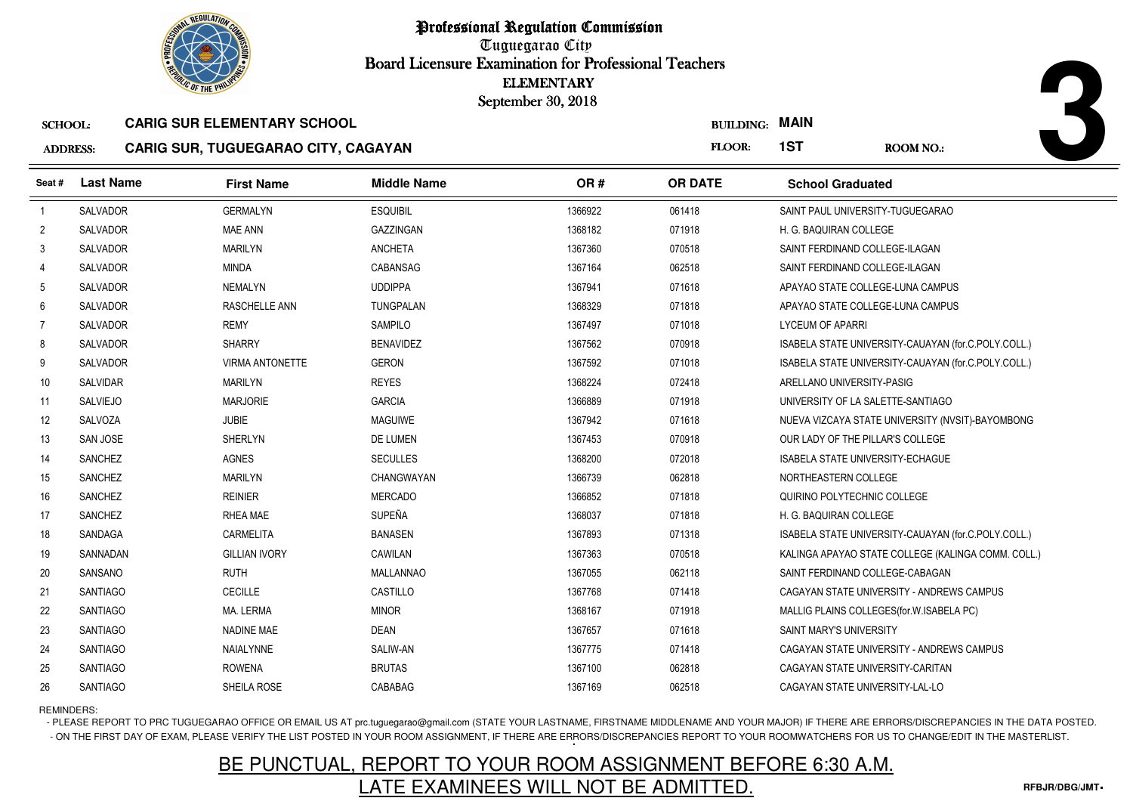

Tuguegarao City Board Licensure Examination for Professional Teachers September 30, 2018

#### ADDRESS:**CARIG SUR, TUGUEGARAO CITY, CAGAYAN**

| <b><i>OLIC OF THE PHILIP</i></b> |                                   |                                    | <b>ELEMENTARY</b>                   |                    |                                         |                                                     |
|----------------------------------|-----------------------------------|------------------------------------|-------------------------------------|--------------------|-----------------------------------------|-----------------------------------------------------|
|                                  |                                   |                                    |                                     |                    |                                         |                                                     |
|                                  |                                   |                                    |                                     | <b>FLOOR:</b>      | 1ST                                     | ROOM NO.:                                           |
| <b>Last Name</b>                 | <b>First Name</b>                 | <b>Middle Name</b>                 | OR#                                 | <b>OR DATE</b>     | <b>School Graduated</b>                 |                                                     |
| SALVADOR                         | <b>GERMALYN</b>                   | <b>ESQUIBIL</b>                    | 1366922                             | 061418             | SAINT PAUL UNIVERSITY-TUGUEGARAO        |                                                     |
| SALVADOR                         | MAE ANN                           | GAZZINGAN                          | 1368182                             | 071918             | H. G. BAQUIRAN COLLEGE                  |                                                     |
| SALVADOR                         | <b>MARILYN</b>                    | <b>ANCHETA</b>                     | 1367360                             | 070518             | SAINT FERDINAND COLLEGE-ILAGAN          |                                                     |
| SALVADOR                         | <b>MINDA</b>                      | <b>CABANSAG</b>                    | 1367164                             | 062518             | SAINT FERDINAND COLLEGE-ILAGAN          |                                                     |
| SALVADOR                         | <b>NEMALYN</b>                    | <b>UDDIPPA</b>                     | 1367941                             | 071618             |                                         | APAYAO STATE COLLEGE-LUNA CAMPUS                    |
| <b>SALVADOR</b>                  | RASCHELLE ANN                     | <b>TUNGPALAN</b>                   | 1368329                             | 071818             |                                         | APAYAO STATE COLLEGE-LUNA CAMPUS                    |
| SALVADOR                         | <b>REMY</b>                       | <b>SAMPILO</b>                     | 1367497                             | 071018             | LYCEUM OF APARRI                        |                                                     |
| SALVADOR                         | <b>SHARRY</b>                     | <b>BENAVIDEZ</b>                   | 1367562                             | 070918             |                                         | ISABELA STATE UNIVERSITY-CAUAYAN (for.C.POLY.COLL.) |
| <b>SALVADOR</b>                  | <b>VIRMA ANTONETTE</b>            | <b>GERON</b>                       | 1367592                             | 071018             |                                         | ISABELA STATE UNIVERSITY-CAUAYAN (for.C.POLY.COLL.) |
| SALVIDAR                         | <b>MARILYN</b>                    | <b>REYES</b>                       | 1368224                             | 072418             | ARELLANO UNIVERSITY-PASIG               |                                                     |
| <b>SALVIEJO</b>                  | <b>MARJORIE</b>                   | <b>GARCIA</b>                      | 1366889                             | 071918             | UNIVERSITY OF LA SALETTE-SANTIAGO       |                                                     |
| SALVOZA                          | <b>JUBIE</b>                      | <b>MAGUIWE</b>                     | 1367942                             | 071618             |                                         | NUEVA VIZCAYA STATE UNIVERSITY (NVSIT)-BAYOMBONG    |
| <b>SAN JOSE</b>                  | <b>SHERLYN</b>                    | <b>DE LUMEN</b>                    | 1367453                             | 070918             | OUR LADY OF THE PILLAR'S COLLEGE        |                                                     |
| <b>SANCHEZ</b>                   | <b>AGNES</b>                      | <b>SECULLES</b>                    | 1368200                             | 072018             | <b>ISABELA STATE UNIVERSITY-ECHAGUE</b> |                                                     |
| SANCHEZ                          | <b>MARILYN</b>                    | <b>CHANGWAYAN</b>                  | 1366739                             | 062818             | NORTHEASTERN COLLEGE                    |                                                     |
| <b>SANCHEZ</b>                   | <b>REINIER</b>                    | <b>MERCADO</b>                     | 1366852                             | 071818             | QUIRINO POLYTECHNIC COLLEGE             |                                                     |
| <b>SANCHEZ</b>                   | RHEA MAE                          | <b>SUPEÑA</b>                      | 1368037                             | 071818             | H. G. BAQUIRAN COLLEGE                  |                                                     |
| SANDAGA                          | <b>CARMELITA</b>                  | <b>BANASEN</b>                     | 1367893                             | 071318             |                                         | ISABELA STATE UNIVERSITY-CAUAYAN (for.C.POLY.COLL.) |
| SANNADAN                         | <b>GILLIAN IVORY</b>              | CAWILAN                            | 1367363                             | 070518             |                                         | KALINGA APAYAO STATE COLLEGE (KALINGA COMM. COLL.)  |
| SANSANO                          | <b>RUTH</b>                       | <b>MALLANNAO</b>                   | 1367055                             | 062118             | SAINT FERDINAND COLLEGE-CABAGAN         |                                                     |
| <b>SANTIAGO</b>                  | CECILLE                           | CASTILLO                           | 1367768                             | 071418             |                                         | CAGAYAN STATE UNIVERSITY - ANDREWS CAMPUS           |
| <b>SANTIAGO</b>                  | MA. LERMA                         | <b>MINOR</b>                       | 1368167                             | 071918             |                                         | MALLIG PLAINS COLLEGES (for. W. ISABELA PC)         |
| <b>SANTIAGO</b>                  | <b>NADINE MAE</b>                 | <b>DEAN</b>                        | 1367657                             | 071618             | SAINT MARY'S UNIVERSITY                 |                                                     |
| <b>SANTIAGO</b>                  | <b>NAIALYNNE</b>                  | SALIW-AN                           | 1367775                             | 071418             |                                         | CAGAYAN STATE UNIVERSITY - ANDREWS CAMPUS           |
| <b>SANTIAGO</b>                  | <b>ROWENA</b>                     | <b>BRUTAS</b>                      | 1367100                             | 062818             | CAGAYAN STATE UNIVERSITY-CARITAN        |                                                     |
| <b>SANTIAGO</b>                  | SHEILA ROSE                       | CABABAG                            | 1367169                             | 062518             | CAGAYAN STATE UNIVERSITY-LAL-LO         |                                                     |
|                                  | <b>SCHOOL:</b><br><b>ADDRESS:</b> | <b>CARIG SUR ELEMENTARY SCHOOL</b> | CARIG SUR, TUGUEGARAO CITY, CAGAYAN | September 30, 2018 |                                         | <b>BUILDING: MAIN</b>                               |

### REMINDERS:

- PLEASE REPORT TO PRC TUGUEGARAO OFFICE OR EMAIL US AT prc.tuguegarao@gmail.com (STATE YOUR LASTNAME, FIRSTNAME MIDDLENAME AND YOUR MAJOR) IF THERE ARE ERRORS/DISCREPANCIES IN THE DATA POSTED. - ON THE FIRST DAY OF EXAM, PLEASE VERIFY THE LIST POSTED IN YOUR ROOM ASSIGNMENT, IF THERE ARE ERRORS/DISCREPANCIES REPORT TO YOUR ROOMWATCHERS FOR US TO CHANGE/EDIT IN THE MASTERLIST.

# BE PUNCTUAL, REPORT TO YOUR ROOM ASSIGNMENT BEFORE 6:30 A.M.LATE EXAMINEES WILL NOT BE ADMITTED.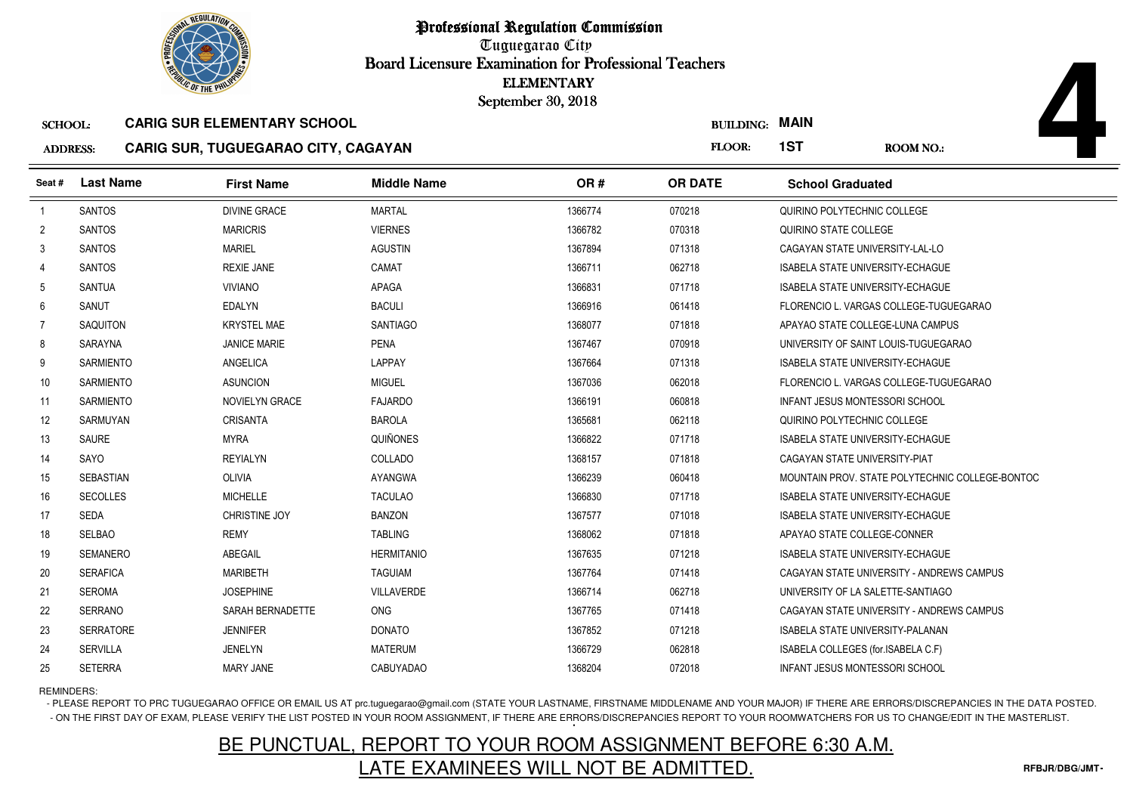

Tuguegarao City Board Licensure Examination for Professional Teachers September 30, 2018

### ADDRESS:**CARIG SUR, TUGUEGARAO CITY, CAGAYAN**

| <b><i>OLIC OF THE PHILIP</i></b>  |                  |                                                                                  | <b>ELEMENTARY</b><br>September 30, 2018 |         |                                 |                                         |                                                 |
|-----------------------------------|------------------|----------------------------------------------------------------------------------|-----------------------------------------|---------|---------------------------------|-----------------------------------------|-------------------------------------------------|
| <b>SCHOOL:</b><br><b>ADDRESS:</b> |                  | <b>CARIG SUR ELEMENTARY SCHOOL</b><br><b>CARIG SUR, TUGUEGARAO CITY, CAGAYAN</b> |                                         |         | <b>BUILDING: MAIN</b><br>FLOOR: | 1ST                                     | <b>ROOM NO.:</b>                                |
| Seat #                            | <b>Last Name</b> | <b>First Name</b>                                                                | <b>Middle Name</b>                      | OR#     | <b>OR DATE</b>                  | <b>School Graduated</b>                 |                                                 |
| $\overline{1}$                    | <b>SANTOS</b>    | <b>DIVINE GRACE</b>                                                              | <b>MARTAL</b>                           | 1366774 | 070218                          | QUIRINO POLYTECHNIC COLLEGE             |                                                 |
| $\overline{2}$                    | <b>SANTOS</b>    | <b>MARICRIS</b>                                                                  | <b>VIERNES</b>                          | 1366782 | 070318                          | QUIRINO STATE COLLEGE                   |                                                 |
| 3                                 | <b>SANTOS</b>    | <b>MARIEL</b>                                                                    | <b>AGUSTIN</b>                          | 1367894 | 071318                          | CAGAYAN STATE UNIVERSITY-LAL-LO         |                                                 |
| 4                                 | <b>SANTOS</b>    | <b>REXIE JANE</b>                                                                | CAMAT                                   | 1366711 | 062718                          | ISABELA STATE UNIVERSITY-ECHAGUE        |                                                 |
| 5                                 | <b>SANTUA</b>    | <b>VIVIANO</b>                                                                   | APAGA                                   | 1366831 | 071718                          | ISABELA STATE UNIVERSITY-ECHAGUE        |                                                 |
| 6                                 | SANUT            | <b>EDALYN</b>                                                                    | <b>BACULI</b>                           | 1366916 | 061418                          |                                         | FLORENCIO L. VARGAS COLLEGE-TUGUEGARAO          |
| 7                                 | <b>SAQUITON</b>  | <b>KRYSTEL MAE</b>                                                               | <b>SANTIAGO</b>                         | 1368077 | 071818                          | APAYAO STATE COLLEGE-LUNA CAMPUS        |                                                 |
| 8                                 | SARAYNA          | <b>JANICE MARIE</b>                                                              | <b>PENA</b>                             | 1367467 | 070918                          |                                         | UNIVERSITY OF SAINT LOUIS-TUGUEGARAO            |
| 9                                 | <b>SARMIENTO</b> | <b>ANGELICA</b>                                                                  | <b>LAPPAY</b>                           | 1367664 | 071318                          | <b>ISABELA STATE UNIVERSITY-ECHAGUE</b> |                                                 |
| 10                                | <b>SARMIENTO</b> | <b>ASUNCION</b>                                                                  | <b>MIGUEL</b>                           | 1367036 | 062018                          |                                         | FLORENCIO L. VARGAS COLLEGE-TUGUEGARAO          |
| 11                                | <b>SARMIENTO</b> | <b>NOVIELYN GRACE</b>                                                            | <b>FAJARDO</b>                          | 1366191 | 060818                          | <b>INFANT JESUS MONTESSORI SCHOOL</b>   |                                                 |
| 12                                | SARMUYAN         | <b>CRISANTA</b>                                                                  | <b>BAROLA</b>                           | 1365681 | 062118                          | QUIRINO POLYTECHNIC COLLEGE             |                                                 |
| 13                                | <b>SAURE</b>     | <b>MYRA</b>                                                                      | QUIÑONES                                | 1366822 | 071718                          | ISABELA STATE UNIVERSITY-ECHAGUE        |                                                 |
| 14                                | SAYO             | <b>REYIALYN</b>                                                                  | COLLADO                                 | 1368157 | 071818                          | CAGAYAN STATE UNIVERSITY-PIAT           |                                                 |
| 15                                | <b>SEBASTIAN</b> | <b>OLIVIA</b>                                                                    | <b>AYANGWA</b>                          | 1366239 | 060418                          |                                         | MOUNTAIN PROV. STATE POLYTECHNIC COLLEGE-BONTOC |
| 16                                | <b>SECOLLES</b>  | <b>MICHELLE</b>                                                                  | <b>TACULAO</b>                          | 1366830 | 071718                          | ISABELA STATE UNIVERSITY-ECHAGUE        |                                                 |
| 17                                | <b>SEDA</b>      | CHRISTINE JOY                                                                    | <b>BANZON</b>                           | 1367577 | 071018                          | <b>ISABELA STATE UNIVERSITY-ECHAGUE</b> |                                                 |
| 18                                | <b>SELBAO</b>    | <b>REMY</b>                                                                      | <b>TABLING</b>                          | 1368062 | 071818                          | APAYAO STATE COLLEGE-CONNER             |                                                 |
| 19                                | <b>SEMANERO</b>  | ABEGAIL                                                                          | <b>HERMITANIO</b>                       | 1367635 | 071218                          | ISABELA STATE UNIVERSITY-ECHAGUE        |                                                 |
| 20                                | <b>SERAFICA</b>  | <b>MARIBETH</b>                                                                  | <b>TAGUIAM</b>                          | 1367764 | 071418                          |                                         | CAGAYAN STATE UNIVERSITY - ANDREWS CAMPUS       |
| 21                                | <b>SEROMA</b>    | <b>JOSEPHINE</b>                                                                 | VILLAVERDE                              | 1366714 | 062718                          | UNIVERSITY OF LA SALETTE-SANTIAGO       |                                                 |
| 22                                | <b>SERRANO</b>   | SARAH BERNADETTE                                                                 | ONG                                     | 1367765 | 071418                          |                                         | CAGAYAN STATE UNIVERSITY - ANDREWS CAMPUS       |
| 23                                | <b>SERRATORE</b> | <b>JENNIFER</b>                                                                  | <b>DONATO</b>                           | 1367852 | 071218                          | <b>ISABELA STATE UNIVERSITY-PALANAN</b> |                                                 |
| 24                                | <b>SERVILLA</b>  | <b>JENELYN</b>                                                                   | <b>MATERUM</b>                          | 1366729 | 062818                          | ISABELA COLLEGES (for.ISABELA C.F)      |                                                 |
| 25                                | <b>SETERRA</b>   | MARY JANE                                                                        | <b>CABUYADAO</b>                        | 1368204 | 072018                          | INFANT JESUS MONTESSORI SCHOOL          |                                                 |

REMINDERS:

- PLEASE REPORT TO PRC TUGUEGARAO OFFICE OR EMAIL US AT prc.tuguegarao@gmail.com (STATE YOUR LASTNAME, FIRSTNAME MIDDLENAME AND YOUR MAJOR) IF THERE ARE ERRORS/DISCREPANCIES IN THE DATA POSTED. - ON THE FIRST DAY OF EXAM, PLEASE VERIFY THE LIST POSTED IN YOUR ROOM ASSIGNMENT, IF THERE ARE ERRORS/DISCREPANCIES REPORT TO YOUR ROOMWATCHERS FOR US TO CHANGE/EDIT IN THE MASTERLIST.

# BE PUNCTUAL, REPORT TO YOUR ROOM ASSIGNMENT BEFORE 6:30 A.M.LATE EXAMINEES WILL NOT BE ADMITTED.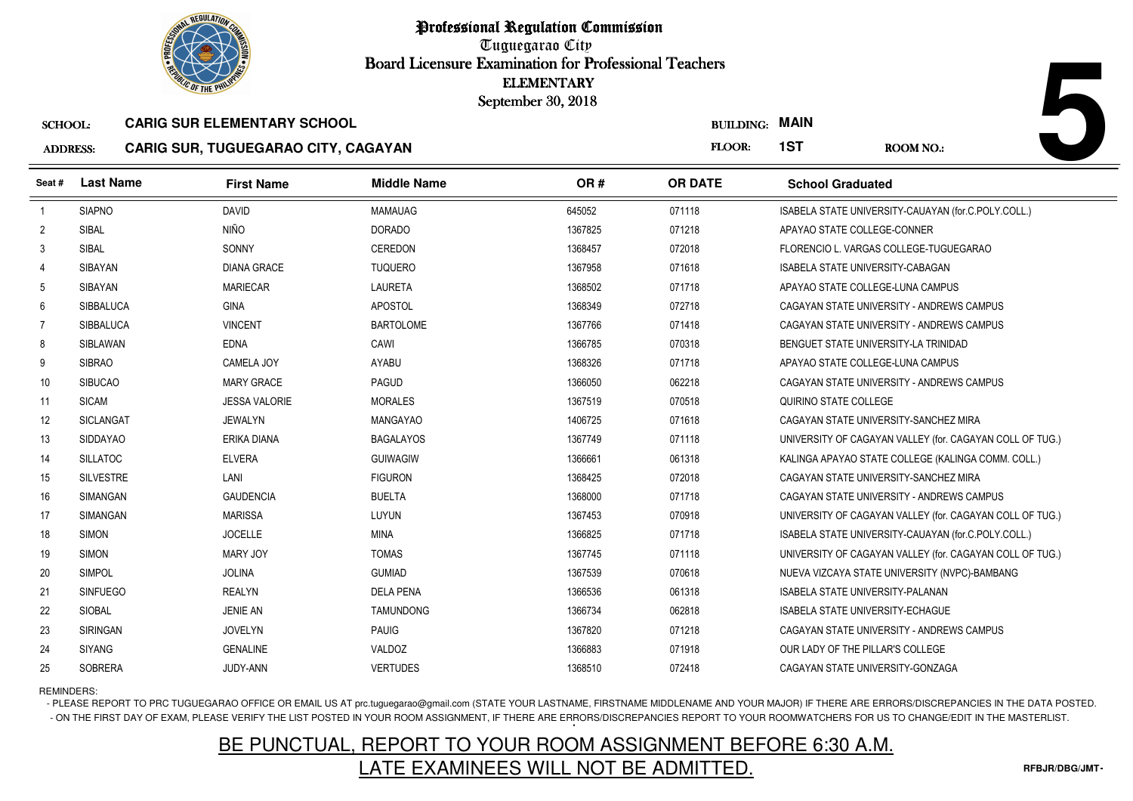

Tuguegarao City Board Licensure Examination for Professional Teachers September 30, 2018

#### ADDRESS:**CARIG SUR, TUGUEGARAO CITY, CAGAYAN**

| <b>OLIC OF THE PHILIP</b> |                  |                                            |                    | <b>ELEMENTARY</b><br>September 30, 2018 |                       |                                         |                                                          |
|---------------------------|------------------|--------------------------------------------|--------------------|-----------------------------------------|-----------------------|-----------------------------------------|----------------------------------------------------------|
| <b>SCHOOL:</b>            |                  | <b>CARIG SUR ELEMENTARY SCHOOL</b>         |                    |                                         | <b>BUILDING: MAIN</b> |                                         |                                                          |
| <b>ADDRESS:</b>           |                  | <b>CARIG SUR, TUGUEGARAO CITY, CAGAYAN</b> |                    |                                         | FLOOR:                | 1ST                                     | <b>ROOM NO.:</b>                                         |
| Seat #                    | <b>Last Name</b> | <b>First Name</b>                          | <b>Middle Name</b> | OR#                                     | <b>OR DATE</b>        | <b>School Graduated</b>                 |                                                          |
| $\overline{1}$            | <b>SIAPNO</b>    | <b>DAVID</b>                               | <b>MAMAUAG</b>     | 645052                                  | 071118                |                                         | ISABELA STATE UNIVERSITY-CAUAYAN (for.C.POLY.COLL.)      |
| $\overline{2}$            | SIBAL            | <b>NIÑO</b>                                | <b>DORADO</b>      | 1367825                                 | 071218                | APAYAO STATE COLLEGE-CONNER             |                                                          |
| 3                         | <b>SIBAL</b>     | SONNY                                      | <b>CEREDON</b>     | 1368457                                 | 072018                |                                         | FLORENCIO L. VARGAS COLLEGE-TUGUEGARAO                   |
| 4                         | <b>SIBAYAN</b>   | <b>DIANA GRACE</b>                         | <b>TUQUERO</b>     | 1367958                                 | 071618                | ISABELA STATE UNIVERSITY-CABAGAN        |                                                          |
| 5                         | SIBAYAN          | <b>MARIECAR</b>                            | <b>LAURETA</b>     | 1368502                                 | 071718                | APAYAO STATE COLLEGE-LUNA CAMPUS        |                                                          |
| 6                         | <b>SIBBALUCA</b> | <b>GINA</b>                                | <b>APOSTOL</b>     | 1368349                                 | 072718                |                                         | CAGAYAN STATE UNIVERSITY - ANDREWS CAMPUS                |
| 7                         | <b>SIBBALUCA</b> | <b>VINCENT</b>                             | <b>BARTOLOME</b>   | 1367766                                 | 071418                |                                         | CAGAYAN STATE UNIVERSITY - ANDREWS CAMPUS                |
| 8                         | SIBLAWAN         | <b>EDNA</b>                                | CAWI               | 1366785                                 | 070318                | BENGUET STATE UNIVERSITY-LA TRINIDAD    |                                                          |
| 9                         | <b>SIBRAO</b>    | CAMELA JOY                                 | <b>AYABU</b>       | 1368326                                 | 071718                | APAYAO STATE COLLEGE-LUNA CAMPUS        |                                                          |
| 10                        | <b>SIBUCAO</b>   | <b>MARY GRACE</b>                          | PAGUD              | 1366050                                 | 062218                |                                         | CAGAYAN STATE UNIVERSITY - ANDREWS CAMPUS                |
| 11                        | <b>SICAM</b>     | <b>JESSA VALORIE</b>                       | <b>MORALES</b>     | 1367519                                 | 070518                | QUIRINO STATE COLLEGE                   |                                                          |
| 12                        | <b>SICLANGAT</b> | <b>JEWALYN</b>                             | <b>MANGAYAO</b>    | 1406725                                 | 071618                |                                         | CAGAYAN STATE UNIVERSITY-SANCHEZ MIRA                    |
| 13                        | <b>SIDDAYAO</b>  | <b>ERIKA DIANA</b>                         | <b>BAGALAYOS</b>   | 1367749                                 | 071118                |                                         | UNIVERSITY OF CAGAYAN VALLEY (for. CAGAYAN COLL OF TUG.) |
| 14                        | <b>SILLATOC</b>  | <b>ELVERA</b>                              | <b>GUIWAGIW</b>    | 1366661                                 | 061318                |                                         | KALINGA APAYAO STATE COLLEGE (KALINGA COMM. COLL.)       |
| 15                        | <b>SILVESTRE</b> | LANI                                       | <b>FIGURON</b>     | 1368425                                 | 072018                |                                         | CAGAYAN STATE UNIVERSITY-SANCHEZ MIRA                    |
| 16                        | SIMANGAN         | <b>GAUDENCIA</b>                           | <b>BUELTA</b>      | 1368000                                 | 071718                |                                         | CAGAYAN STATE UNIVERSITY - ANDREWS CAMPUS                |
| 17                        | <b>SIMANGAN</b>  | <b>MARISSA</b>                             | LUYUN              | 1367453                                 | 070918                |                                         | UNIVERSITY OF CAGAYAN VALLEY (for. CAGAYAN COLL OF TUG.) |
| 18                        | <b>SIMON</b>     | <b>JOCELLE</b>                             | <b>MINA</b>        | 1366825                                 | 071718                |                                         | ISABELA STATE UNIVERSITY-CAUAYAN (for.C.POLY.COLL.)      |
| 19                        | <b>SIMON</b>     | MARY JOY                                   | <b>TOMAS</b>       | 1367745                                 | 071118                |                                         | UNIVERSITY OF CAGAYAN VALLEY (for. CAGAYAN COLL OF TUG.) |
| 20                        | <b>SIMPOL</b>    | <b>JOLINA</b>                              | <b>GUMIAD</b>      | 1367539                                 | 070618                |                                         | NUEVA VIZCAYA STATE UNIVERSITY (NVPC)-BAMBANG            |
| 21                        | <b>SINFUEGO</b>  | <b>REALYN</b>                              | <b>DELA PENA</b>   | 1366536                                 | 061318                | ISABELA STATE UNIVERSITY-PALANAN        |                                                          |
| 22                        | SIOBAL           | <b>JENIE AN</b>                            | <b>TAMUNDONG</b>   | 1366734                                 | 062818                | <b>ISABELA STATE UNIVERSITY-ECHAGUE</b> |                                                          |
| 23                        | <b>SIRINGAN</b>  | <b>JOVELYN</b>                             | <b>PAUIG</b>       | 1367820                                 | 071218                |                                         | CAGAYAN STATE UNIVERSITY - ANDREWS CAMPUS                |
| 24                        | <b>SIYANG</b>    | <b>GENALINE</b>                            | VALDOZ             | 1366883                                 | 071918                | OUR LADY OF THE PILLAR'S COLLEGE        |                                                          |
| 25                        | SOBRERA          | JUDY-ANN                                   | <b>VERTUDES</b>    | 1368510                                 | 072418                | CAGAYAN STATE UNIVERSITY-GONZAGA        |                                                          |

REMINDERS:

- PLEASE REPORT TO PRC TUGUEGARAO OFFICE OR EMAIL US AT prc.tuguegarao@gmail.com (STATE YOUR LASTNAME, FIRSTNAME MIDDLENAME AND YOUR MAJOR) IF THERE ARE ERRORS/DISCREPANCIES IN THE DATA POSTED. - ON THE FIRST DAY OF EXAM, PLEASE VERIFY THE LIST POSTED IN YOUR ROOM ASSIGNMENT, IF THERE ARE ERRORS/DISCREPANCIES REPORT TO YOUR ROOMWATCHERS FOR US TO CHANGE/EDIT IN THE MASTERLIST.

# BE PUNCTUAL, REPORT TO YOUR ROOM ASSIGNMENT BEFORE 6:30 A.M.LATE EXAMINEES WILL NOT BE ADMITTED.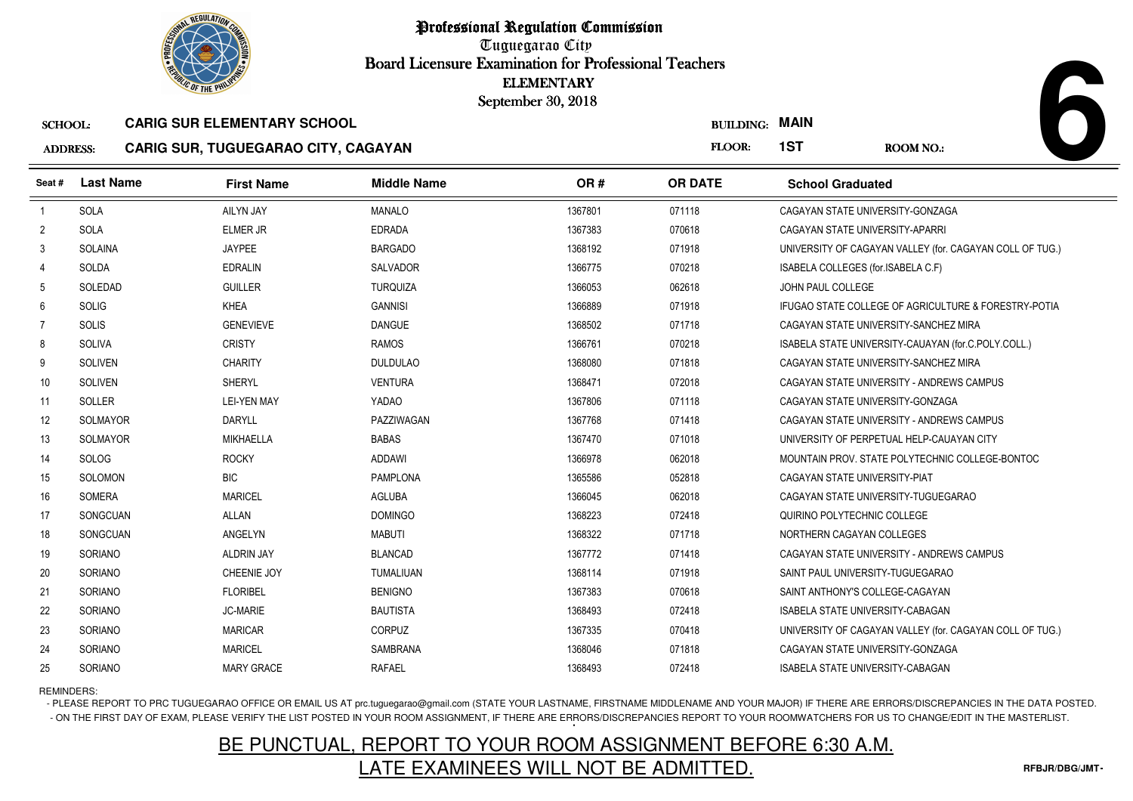

Tuguegarao City Board Licensure Examination for Professional Teachers September 30, 2018

### ADDRESS:**CARIG SUR, TUGUEGARAO CITY, CAGAYAN**

| <b><i>OLIC OF THE PHILIP</i></b> |                  |                                     | <b>ELEMENTARY</b><br>September 30, 2018 |         |                  |                                       |                                                          |
|----------------------------------|------------------|-------------------------------------|-----------------------------------------|---------|------------------|---------------------------------------|----------------------------------------------------------|
| <b>SCHOOL:</b>                   |                  | <b>CARIG SUR ELEMENTARY SCHOOL</b>  |                                         |         | <b>BUILDING:</b> | <b>MAIN</b>                           |                                                          |
| <b>ADDRESS:</b>                  |                  | CARIG SUR, TUGUEGARAO CITY, CAGAYAN |                                         |         | FLOOR:           | 1ST                                   | <b>ROOM NO.:</b>                                         |
| Seat#                            | <b>Last Name</b> | <b>First Name</b>                   | <b>Middle Name</b>                      | OR#     | <b>OR DATE</b>   | <b>School Graduated</b>               |                                                          |
| $\overline{1}$                   | SOLA             | <b>AILYN JAY</b>                    | <b>MANALO</b>                           | 1367801 | 071118           | CAGAYAN STATE UNIVERSITY-GONZAGA      |                                                          |
| $\overline{2}$                   | SOLA             | <b>ELMER JR</b>                     | <b>EDRADA</b>                           | 1367383 | 070618           | CAGAYAN STATE UNIVERSITY-APARRI       |                                                          |
| 3                                | <b>SOLAINA</b>   | <b>JAYPEE</b>                       | <b>BARGADO</b>                          | 1368192 | 071918           |                                       | UNIVERSITY OF CAGAYAN VALLEY (for. CAGAYAN COLL OF TUG.) |
| 4                                | SOLDA            | <b>EDRALIN</b>                      | <b>SALVADOR</b>                         | 1366775 | 070218           | ISABELA COLLEGES (for.ISABELA C.F)    |                                                          |
| -5                               | SOLEDAD          | <b>GUILLER</b>                      | <b>TURQUIZA</b>                         | 1366053 | 062618           | JOHN PAUL COLLEGE                     |                                                          |
| 6                                | SOLIG            | <b>KHEA</b>                         | <b>GANNISI</b>                          | 1366889 | 071918           |                                       | IFUGAO STATE COLLEGE OF AGRICULTURE & FORESTRY-POTIA     |
| 7                                | SOLIS            | <b>GENEVIEVE</b>                    | <b>DANGUE</b>                           | 1368502 | 071718           | CAGAYAN STATE UNIVERSITY-SANCHEZ MIRA |                                                          |
| 8                                | SOLIVA           | <b>CRISTY</b>                       | <b>RAMOS</b>                            | 1366761 | 070218           |                                       | ISABELA STATE UNIVERSITY-CAUAYAN (for.C.POLY.COLL.)      |
| 9                                | <b>SOLIVEN</b>   | <b>CHARITY</b>                      | <b>DULDULAO</b>                         | 1368080 | 071818           | CAGAYAN STATE UNIVERSITY-SANCHEZ MIRA |                                                          |
| 10                               | <b>SOLIVEN</b>   | <b>SHERYL</b>                       | <b>VENTURA</b>                          | 1368471 | 072018           |                                       | CAGAYAN STATE UNIVERSITY - ANDREWS CAMPUS                |
| 11                               | <b>SOLLER</b>    | <b>LEI-YEN MAY</b>                  | YADAO                                   | 1367806 | 071118           | CAGAYAN STATE UNIVERSITY-GONZAGA      |                                                          |
| 12                               | <b>SOLMAYOR</b>  | <b>DARYLL</b>                       | PAZZIWAGAN                              | 1367768 | 071418           |                                       | CAGAYAN STATE UNIVERSITY - ANDREWS CAMPUS                |
| 13                               | SOLMAYOR         | <b>MIKHAELLA</b>                    | <b>BABAS</b>                            | 1367470 | 071018           |                                       | UNIVERSITY OF PERPETUAL HELP-CAUAYAN CITY                |
| 14                               | SOLOG            | <b>ROCKY</b>                        | <b>ADDAWI</b>                           | 1366978 | 062018           |                                       | MOUNTAIN PROV. STATE POLYTECHNIC COLLEGE-BONTOC          |
| 15                               | SOLOMON          | <b>BIC</b>                          | <b>PAMPLONA</b>                         | 1365586 | 052818           | CAGAYAN STATE UNIVERSITY-PIAT         |                                                          |
| 16                               | SOMERA           | <b>MARICEL</b>                      | <b>AGLUBA</b>                           | 1366045 | 062018           | CAGAYAN STATE UNIVERSITY-TUGUEGARAO   |                                                          |
| 17                               | SONGCUAN         | <b>ALLAN</b>                        | <b>DOMINGO</b>                          | 1368223 | 072418           | QUIRINO POLYTECHNIC COLLEGE           |                                                          |
| 18                               | SONGCUAN         | ANGELYN                             | <b>MABUTI</b>                           | 1368322 | 071718           | NORTHERN CAGAYAN COLLEGES             |                                                          |
| 19                               | SORIANO          | <b>ALDRIN JAY</b>                   | <b>BLANCAD</b>                          | 1367772 | 071418           |                                       | CAGAYAN STATE UNIVERSITY - ANDREWS CAMPUS                |
| 20                               | SORIANO          | CHEENIE JOY                         | TUMALIUAN                               | 1368114 | 071918           | SAINT PAUL UNIVERSITY-TUGUEGARAO      |                                                          |
| 21                               | SORIANO          | <b>FLORIBEL</b>                     | <b>BENIGNO</b>                          | 1367383 | 070618           | SAINT ANTHONY'S COLLEGE-CAGAYAN       |                                                          |
| 22                               | SORIANO          | <b>JC-MARIE</b>                     | <b>BAUTISTA</b>                         | 1368493 | 072418           | ISABELA STATE UNIVERSITY-CABAGAN      |                                                          |
| 23                               | <b>SORIANO</b>   | <b>MARICAR</b>                      | <b>CORPUZ</b>                           | 1367335 | 070418           |                                       | UNIVERSITY OF CAGAYAN VALLEY (for. CAGAYAN COLL OF TUG.) |
| 24                               | SORIANO          | <b>MARICEL</b>                      | SAMBRANA                                | 1368046 | 071818           | CAGAYAN STATE UNIVERSITY-GONZAGA      |                                                          |
| 25                               | SORIANO          | <b>MARY GRACE</b>                   | <b>RAFAEL</b>                           | 1368493 | 072418           | ISABELA STATE UNIVERSITY-CABAGAN      |                                                          |

REMINDERS:

- PLEASE REPORT TO PRC TUGUEGARAO OFFICE OR EMAIL US AT prc.tuguegarao@gmail.com (STATE YOUR LASTNAME, FIRSTNAME MIDDLENAME AND YOUR MAJOR) IF THERE ARE ERRORS/DISCREPANCIES IN THE DATA POSTED. - ON THE FIRST DAY OF EXAM, PLEASE VERIFY THE LIST POSTED IN YOUR ROOM ASSIGNMENT, IF THERE ARE ERRORS/DISCREPANCIES REPORT TO YOUR ROOMWATCHERS FOR US TO CHANGE/EDIT IN THE MASTERLIST.

# BE PUNCTUAL, REPORT TO YOUR ROOM ASSIGNMENT BEFORE 6:30 A.M.LATE EXAMINEES WILL NOT BE ADMITTED.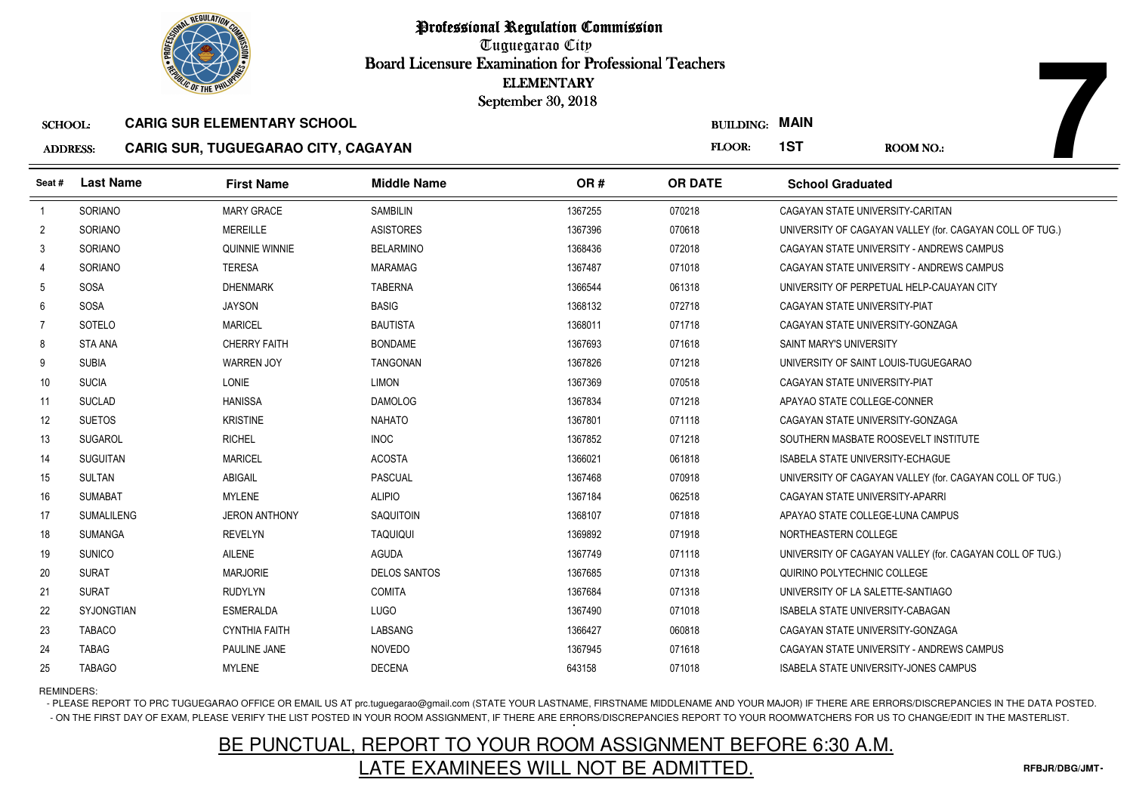

Tuguegarao City Board Licensure Examination for Professional Teachers September 30, 2018

#### ADDRESS:**CARIG SUR, TUGUEGARAO CITY, CAGAYAN**

| <b>OLIC OF THE PHILIP</b> |                   |                                            | <b>ELEMENTARY</b><br>September 30, 2018 |         |                       |                                         |                                                          |
|---------------------------|-------------------|--------------------------------------------|-----------------------------------------|---------|-----------------------|-----------------------------------------|----------------------------------------------------------|
| <b>SCHOOL:</b>            |                   | <b>CARIG SUR ELEMENTARY SCHOOL</b>         |                                         |         | <b>BUILDING: MAIN</b> |                                         |                                                          |
| <b>ADDRESS:</b>           |                   | <b>CARIG SUR, TUGUEGARAO CITY, CAGAYAN</b> |                                         |         | FLOOR:                | 1ST                                     | <b>ROOM NO.:</b>                                         |
| Seat #                    | <b>Last Name</b>  | <b>First Name</b>                          | <b>Middle Name</b>                      | OR#     | <b>OR DATE</b>        | <b>School Graduated</b>                 |                                                          |
| $\overline{1}$            | SORIANO           | <b>MARY GRACE</b>                          | <b>SAMBILIN</b>                         | 1367255 | 070218                | CAGAYAN STATE UNIVERSITY-CARITAN        |                                                          |
| $\overline{2}$            | <b>SORIANO</b>    | <b>MEREILLE</b>                            | <b>ASISTORES</b>                        | 1367396 | 070618                |                                         | UNIVERSITY OF CAGAYAN VALLEY (for. CAGAYAN COLL OF TUG.) |
| 3                         | <b>SORIANO</b>    | QUINNIE WINNIE                             | <b>BELARMINO</b>                        | 1368436 | 072018                |                                         | CAGAYAN STATE UNIVERSITY - ANDREWS CAMPUS                |
| 4                         | <b>SORIANO</b>    | <b>TERESA</b>                              | <b>MARAMAG</b>                          | 1367487 | 071018                |                                         | CAGAYAN STATE UNIVERSITY - ANDREWS CAMPUS                |
| 5                         | <b>SOSA</b>       | <b>DHENMARK</b>                            | <b>TABERNA</b>                          | 1366544 | 061318                |                                         | UNIVERSITY OF PERPETUAL HELP-CAUAYAN CITY                |
| 6                         | <b>SOSA</b>       | <b>JAYSON</b>                              | <b>BASIG</b>                            | 1368132 | 072718                | CAGAYAN STATE UNIVERSITY-PIAT           |                                                          |
| 7                         | SOTELO            | <b>MARICEL</b>                             | <b>BAUTISTA</b>                         | 1368011 | 071718                | CAGAYAN STATE UNIVERSITY-GONZAGA        |                                                          |
| 8                         | <b>STA ANA</b>    | <b>CHERRY FAITH</b>                        | <b>BONDAME</b>                          | 1367693 | 071618                | SAINT MARY'S UNIVERSITY                 |                                                          |
| 9                         | <b>SUBIA</b>      | <b>WARREN JOY</b>                          | <b>TANGONAN</b>                         | 1367826 | 071218                |                                         | UNIVERSITY OF SAINT LOUIS-TUGUEGARAO                     |
| 10                        | <b>SUCIA</b>      | <b>LONIE</b>                               | <b>LIMON</b>                            | 1367369 | 070518                | CAGAYAN STATE UNIVERSITY-PIAT           |                                                          |
| 11                        | <b>SUCLAD</b>     | <b>HANISSA</b>                             | <b>DAMOLOG</b>                          | 1367834 | 071218                | APAYAO STATE COLLEGE-CONNER             |                                                          |
| 12                        | <b>SUETOS</b>     | <b>KRISTINE</b>                            | <b>NAHATO</b>                           | 1367801 | 071118                | CAGAYAN STATE UNIVERSITY-GONZAGA        |                                                          |
| 13                        | <b>SUGAROL</b>    | <b>RICHEL</b>                              | <b>INOC</b>                             | 1367852 | 071218                |                                         | SOUTHERN MASBATE ROOSEVELT INSTITUTE                     |
| 14                        | <b>SUGUITAN</b>   | <b>MARICEL</b>                             | <b>ACOSTA</b>                           | 1366021 | 061818                | <b>ISABELA STATE UNIVERSITY-ECHAGUE</b> |                                                          |
| 15                        | <b>SULTAN</b>     | <b>ABIGAIL</b>                             | <b>PASCUAL</b>                          | 1367468 | 070918                |                                         | UNIVERSITY OF CAGAYAN VALLEY (for. CAGAYAN COLL OF TUG.) |
| 16                        | <b>SUMABAT</b>    | <b>MYLENE</b>                              | <b>ALIPIO</b>                           | 1367184 | 062518                | CAGAYAN STATE UNIVERSITY-APARRI         |                                                          |
| 17                        | <b>SUMALILENG</b> | <b>JERON ANTHONY</b>                       | <b>SAQUITOIN</b>                        | 1368107 | 071818                | APAYAO STATE COLLEGE-LUNA CAMPUS        |                                                          |
| 18                        | <b>SUMANGA</b>    | <b>REVELYN</b>                             | <b>TAQUIQUI</b>                         | 1369892 | 071918                | NORTHEASTERN COLLEGE                    |                                                          |
| 19                        | <b>SUNICO</b>     | <b>AILENE</b>                              | <b>AGUDA</b>                            | 1367749 | 071118                |                                         | UNIVERSITY OF CAGAYAN VALLEY (for. CAGAYAN COLL OF TUG.) |
| 20                        | <b>SURAT</b>      | <b>MARJORIE</b>                            | <b>DELOS SANTOS</b>                     | 1367685 | 071318                | QUIRINO POLYTECHNIC COLLEGE             |                                                          |
| 21                        | <b>SURAT</b>      | <b>RUDYLYN</b>                             | <b>COMITA</b>                           | 1367684 | 071318                | UNIVERSITY OF LA SALETTE-SANTIAGO       |                                                          |
| 22                        | <b>SYJONGTIAN</b> | <b>ESMERALDA</b>                           | <b>LUGO</b>                             | 1367490 | 071018                | ISABELA STATE UNIVERSITY-CABAGAN        |                                                          |
| 23                        | <b>TABACO</b>     | <b>CYNTHIA FAITH</b>                       | LABSANG                                 | 1366427 | 060818                | CAGAYAN STATE UNIVERSITY-GONZAGA        |                                                          |
| 24                        | <b>TABAG</b>      | PAULINE JANE                               | <b>NOVEDO</b>                           | 1367945 | 071618                |                                         | CAGAYAN STATE UNIVERSITY - ANDREWS CAMPUS                |
| 25                        | <b>TABAGO</b>     | <b>MYLENE</b>                              | <b>DECENA</b>                           | 643158  | 071018                |                                         | ISABELA STATE UNIVERSITY-JONES CAMPUS                    |

REMINDERS:

- PLEASE REPORT TO PRC TUGUEGARAO OFFICE OR EMAIL US AT prc.tuguegarao@gmail.com (STATE YOUR LASTNAME, FIRSTNAME MIDDLENAME AND YOUR MAJOR) IF THERE ARE ERRORS/DISCREPANCIES IN THE DATA POSTED. - ON THE FIRST DAY OF EXAM, PLEASE VERIFY THE LIST POSTED IN YOUR ROOM ASSIGNMENT, IF THERE ARE ERRORS/DISCREPANCIES REPORT TO YOUR ROOMWATCHERS FOR US TO CHANGE/EDIT IN THE MASTERLIST.

# BE PUNCTUAL, REPORT TO YOUR ROOM ASSIGNMENT BEFORE 6:30 A.M.LATE EXAMINEES WILL NOT BE ADMITTED.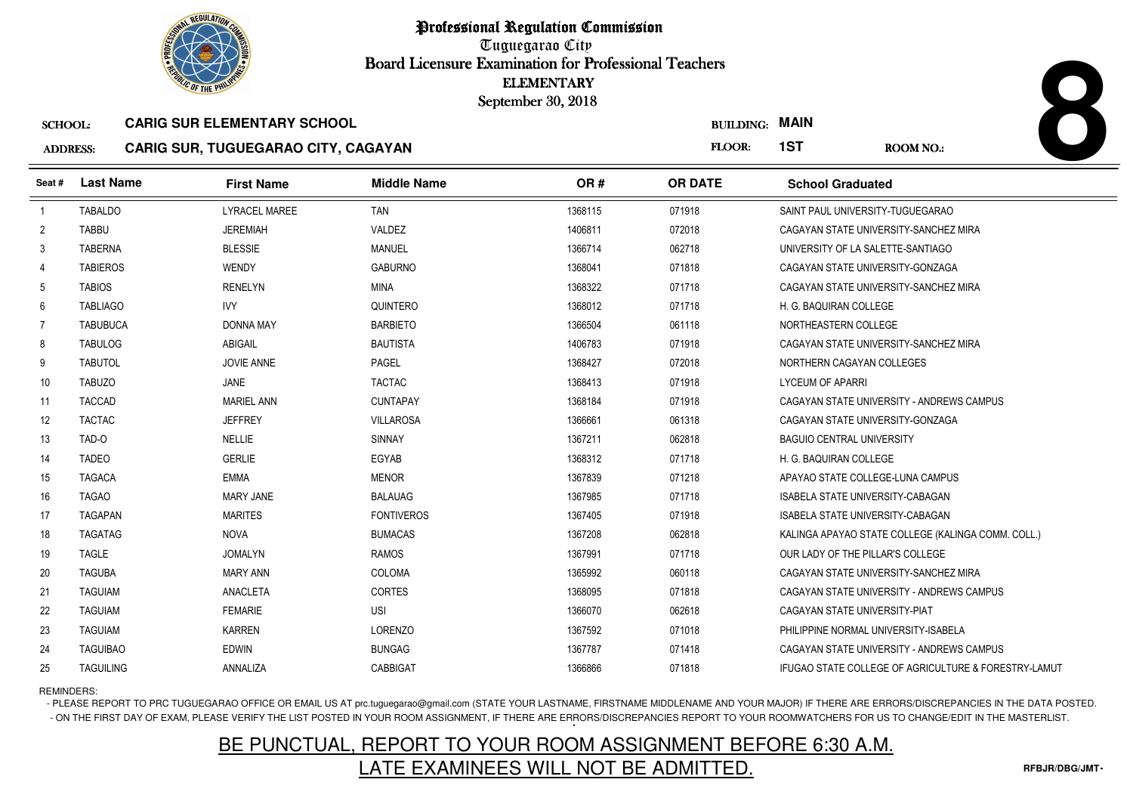

Tuguegarao City Board Licensure Examination for Professional Teachers September 30, 2018

### ADDRESS:**CARIG SUR, TUGUEGARAO CITY, CAGAYAN**

| <b><i>OLIC OF THE PHILIPS</i></b> |                  |                                                                                  |                    | <b>ELEMENTARY</b><br>September 30, 2018 |                            |                                         |                                                      |
|-----------------------------------|------------------|----------------------------------------------------------------------------------|--------------------|-----------------------------------------|----------------------------|-----------------------------------------|------------------------------------------------------|
| <b>SCHOOL:</b><br><b>ADDRESS:</b> |                  | <b>CARIG SUR ELEMENTARY SCHOOL</b><br><b>CARIG SUR, TUGUEGARAO CITY, CAGAYAN</b> |                    |                                         | <b>BUILDING:</b><br>FLOOR: | <b>MAIN</b><br>1ST                      | <b>ROOM NO.:</b>                                     |
|                                   |                  |                                                                                  |                    |                                         |                            |                                         |                                                      |
| Seat #                            | <b>Last Name</b> | <b>First Name</b>                                                                | <b>Middle Name</b> | OR#                                     | <b>OR DATE</b>             | <b>School Graduated</b>                 |                                                      |
| $\overline{1}$                    | <b>TABALDO</b>   | <b>LYRACEL MAREE</b>                                                             | TAN                | 1368115                                 | 071918                     | SAINT PAUL UNIVERSITY-TUGUEGARAO        |                                                      |
| 2                                 | <b>TABBU</b>     | <b>JEREMIAH</b>                                                                  | VALDEZ             | 1406811                                 | 072018                     |                                         | CAGAYAN STATE UNIVERSITY-SANCHEZ MIRA                |
| 3                                 | <b>TABERNA</b>   | <b>BLESSIE</b>                                                                   | <b>MANUEL</b>      | 1366714                                 | 062718                     | UNIVERSITY OF LA SALETTE-SANTIAGO       |                                                      |
| 4                                 | <b>TABIEROS</b>  | WENDY                                                                            | <b>GABURNO</b>     | 1368041                                 | 071818                     | CAGAYAN STATE UNIVERSITY-GONZAGA        |                                                      |
| 5                                 | <b>TABIOS</b>    | <b>RENELYN</b>                                                                   | MINA               | 1368322                                 | 071718                     |                                         | CAGAYAN STATE UNIVERSITY-SANCHEZ MIRA                |
| 6                                 | <b>TABLIAGO</b>  | <b>IVY</b>                                                                       | QUINTERO           | 1368012                                 | 071718                     | H. G. BAQUIRAN COLLEGE                  |                                                      |
| 7                                 | <b>TABUBUCA</b>  | <b>DONNA MAY</b>                                                                 | <b>BARBIETO</b>    | 1366504                                 | 061118                     | NORTHEASTERN COLLEGE                    |                                                      |
| 8                                 | <b>TABULOG</b>   | <b>ABIGAIL</b>                                                                   | <b>BAUTISTA</b>    | 1406783                                 | 071918                     |                                         | CAGAYAN STATE UNIVERSITY-SANCHEZ MIRA                |
| 9                                 | <b>TABUTOL</b>   | <b>JOVIE ANNE</b>                                                                | PAGEL              | 1368427                                 | 072018                     | NORTHERN CAGAYAN COLLEGES               |                                                      |
| 10                                | <b>TABUZO</b>    | JANE                                                                             | <b>TACTAC</b>      | 1368413                                 | 071918                     | LYCEUM OF APARRI                        |                                                      |
| 11                                | <b>TACCAD</b>    | <b>MARIEL ANN</b>                                                                | <b>CUNTAPAY</b>    | 1368184                                 | 071918                     |                                         | CAGAYAN STATE UNIVERSITY - ANDREWS CAMPUS            |
| 12                                | <b>TACTAC</b>    | <b>JEFFREY</b>                                                                   | <b>VILLAROSA</b>   | 1366661                                 | 061318                     | CAGAYAN STATE UNIVERSITY-GONZAGA        |                                                      |
| 13                                | TAD-O            | <b>NELLIE</b>                                                                    | <b>SINNAY</b>      | 1367211                                 | 062818                     | <b>BAGUIO CENTRAL UNIVERSITY</b>        |                                                      |
| 14                                | <b>TADEO</b>     | <b>GERLIE</b>                                                                    | EGYAB              | 1368312                                 | 071718                     | H. G. BAQUIRAN COLLEGE                  |                                                      |
| 15                                | <b>TAGACA</b>    | <b>EMMA</b>                                                                      | <b>MENOR</b>       | 1367839                                 | 071218                     | APAYAO STATE COLLEGE-LUNA CAMPUS        |                                                      |
| 16                                | <b>TAGAO</b>     | <b>MARY JANE</b>                                                                 | <b>BALAUAG</b>     | 1367985                                 | 071718                     | <b>ISABELA STATE UNIVERSITY-CABAGAN</b> |                                                      |
| 17                                | <b>TAGAPAN</b>   | <b>MARITES</b>                                                                   | <b>FONTIVEROS</b>  | 1367405                                 | 071918                     | <b>ISABELA STATE UNIVERSITY-CABAGAN</b> |                                                      |
| 18                                | <b>TAGATAG</b>   | <b>NOVA</b>                                                                      | <b>BUMACAS</b>     | 1367208                                 | 062818                     |                                         | KALINGA APAYAO STATE COLLEGE (KALINGA COMM. COLL.)   |
| 19                                | <b>TAGLE</b>     | <b>JOMALYN</b>                                                                   | <b>RAMOS</b>       | 1367991                                 | 071718                     | OUR LADY OF THE PILLAR'S COLLEGE        |                                                      |
| 20                                | <b>TAGUBA</b>    | <b>MARY ANN</b>                                                                  | <b>COLOMA</b>      | 1365992                                 | 060118                     |                                         | CAGAYAN STATE UNIVERSITY-SANCHEZ MIRA                |
| 21                                | <b>TAGUIAM</b>   | ANACLETA                                                                         | <b>CORTES</b>      | 1368095                                 | 071818                     |                                         | CAGAYAN STATE UNIVERSITY - ANDREWS CAMPUS            |
| 22                                | <b>TAGUIAM</b>   | <b>FEMARIE</b>                                                                   | USI                | 1366070                                 | 062618                     | CAGAYAN STATE UNIVERSITY-PIAT           |                                                      |
| 23                                | <b>TAGUIAM</b>   | <b>KARREN</b>                                                                    | <b>LORENZO</b>     | 1367592                                 | 071018                     | PHILIPPINE NORMAL UNIVERSITY-ISABELA    |                                                      |
| 24                                | <b>TAGUIBAO</b>  | <b>EDWIN</b>                                                                     | <b>BUNGAG</b>      | 1367787                                 | 071418                     |                                         | CAGAYAN STATE UNIVERSITY - ANDREWS CAMPUS            |
| 25                                | <b>TAGUILING</b> | ANNALIZA                                                                         | CABBIGAT           | 1366866                                 | 071818                     |                                         | IFUGAO STATE COLLEGE OF AGRICULTURE & FORESTRY-LAMUT |

REMINDERS:

- PLEASE REPORT TO PRC TUGUEGARAO OFFICE OR EMAIL US AT prc.tuguegarao@gmail.com (STATE YOUR LASTNAME, FIRSTNAME MIDDLENAME AND YOUR MAJOR) IF THERE ARE ERRORS/DISCREPANCIES IN THE DATA POSTED. - ON THE FIRST DAY OF EXAM, PLEASE VERIFY THE LIST POSTED IN YOUR ROOM ASSIGNMENT, IF THERE ARE ERRORS/DISCREPANCIES REPORT TO YOUR ROOMWATCHERS FOR US TO CHANGE/EDIT IN THE MASTERLIST.

# BE PUNCTUAL, REPORT TO YOUR ROOM ASSIGNMENT BEFORE 6:30 A.M.LATE EXAMINEES WILL NOT BE ADMITTED.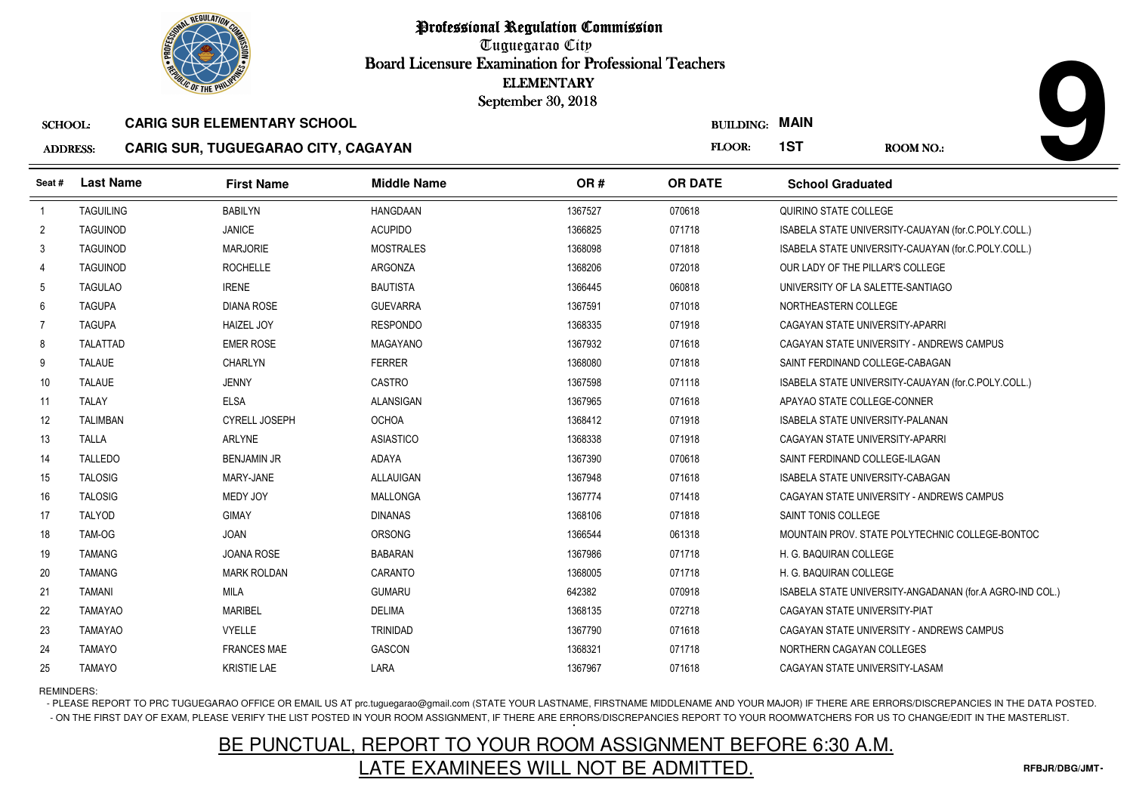

Tuguegarao City Board Licensure Examination for Professional Teachers September 30, 2018

### ADDRESS:**CARIG SUR, TUGUEGARAO CITY, CAGAYAN**

| <b>OLIC OF THE PHILIP</b> |                  |                                            |                    | <b>ELEMENTARY</b><br>September 30, 2018 |                  |                                         |                                                          |
|---------------------------|------------------|--------------------------------------------|--------------------|-----------------------------------------|------------------|-----------------------------------------|----------------------------------------------------------|
| <b>SCHOOL:</b>            |                  | <b>CARIG SUR ELEMENTARY SCHOOL</b>         |                    |                                         | <b>BUILDING:</b> | <b>MAIN</b>                             |                                                          |
| <b>ADDRESS:</b>           |                  | <b>CARIG SUR, TUGUEGARAO CITY, CAGAYAN</b> |                    |                                         | FLOOR:           | 1ST                                     | <b>ROOM NO.:</b>                                         |
| Seat #                    | <b>Last Name</b> | <b>First Name</b>                          | <b>Middle Name</b> | OR#                                     | <b>OR DATE</b>   | <b>School Graduated</b>                 |                                                          |
| $\overline{1}$            | <b>TAGUILING</b> | <b>BABILYN</b>                             | <b>HANGDAAN</b>    | 1367527                                 | 070618           | QUIRINO STATE COLLEGE                   |                                                          |
| $\overline{2}$            | <b>TAGUINOD</b>  | <b>JANICE</b>                              | <b>ACUPIDO</b>     | 1366825                                 | 071718           |                                         | ISABELA STATE UNIVERSITY-CAUAYAN (for.C.POLY.COLL.)      |
| 3                         | <b>TAGUINOD</b>  | <b>MARJORIE</b>                            | <b>MOSTRALES</b>   | 1368098                                 | 071818           |                                         | ISABELA STATE UNIVERSITY-CAUAYAN (for.C.POLY.COLL.)      |
| 4                         | <b>TAGUINOD</b>  | <b>ROCHELLE</b>                            | ARGONZA            | 1368206                                 | 072018           | OUR LADY OF THE PILLAR'S COLLEGE        |                                                          |
| 5                         | <b>TAGULAO</b>   | <b>IRENE</b>                               | <b>BAUTISTA</b>    | 1366445                                 | 060818           | UNIVERSITY OF LA SALETTE-SANTIAGO       |                                                          |
| 6                         | <b>TAGUPA</b>    | <b>DIANA ROSE</b>                          | <b>GUEVARRA</b>    | 1367591                                 | 071018           | NORTHEASTERN COLLEGE                    |                                                          |
| $\overline{7}$            | <b>TAGUPA</b>    | <b>HAIZEL JOY</b>                          | <b>RESPONDO</b>    | 1368335                                 | 071918           | CAGAYAN STATE UNIVERSITY-APARRI         |                                                          |
| 8                         | TALATTAD         | <b>EMER ROSE</b>                           | MAGAYANO           | 1367932                                 | 071618           |                                         | CAGAYAN STATE UNIVERSITY - ANDREWS CAMPUS                |
| 9                         | <b>TALAUE</b>    | <b>CHARLYN</b>                             | <b>FERRER</b>      | 1368080                                 | 071818           | SAINT FERDINAND COLLEGE-CABAGAN         |                                                          |
| 10                        | <b>TALAUE</b>    | <b>JENNY</b>                               | CASTRO             | 1367598                                 | 071118           |                                         | ISABELA STATE UNIVERSITY-CAUAYAN (for.C.POLY.COLL.)      |
| 11                        | <b>TALAY</b>     | <b>ELSA</b>                                | <b>ALANSIGAN</b>   | 1367965                                 | 071618           | APAYAO STATE COLLEGE-CONNER             |                                                          |
| 12                        | <b>TALIMBAN</b>  | CYRELL JOSEPH                              | <b>OCHOA</b>       | 1368412                                 | 071918           | ISABELA STATE UNIVERSITY-PALANAN        |                                                          |
| 13                        | <b>TALLA</b>     | <b>ARLYNE</b>                              | ASIASTICO          | 1368338                                 | 071918           | CAGAYAN STATE UNIVERSITY-APARRI         |                                                          |
| 14                        | <b>TALLEDO</b>   | <b>BENJAMIN JR</b>                         | <b>ADAYA</b>       | 1367390                                 | 070618           | SAINT FERDINAND COLLEGE-ILAGAN          |                                                          |
| 15                        | <b>TALOSIG</b>   | MARY-JANE                                  | ALLAUIGAN          | 1367948                                 | 071618           | <b>ISABELA STATE UNIVERSITY-CABAGAN</b> |                                                          |
| 16                        | <b>TALOSIG</b>   | <b>MEDY JOY</b>                            | <b>MALLONGA</b>    | 1367774                                 | 071418           |                                         | CAGAYAN STATE UNIVERSITY - ANDREWS CAMPUS                |
| 17                        | <b>TALYOD</b>    | <b>GIMAY</b>                               | <b>DINANAS</b>     | 1368106                                 | 071818           | SAINT TONIS COLLEGE                     |                                                          |
| 18                        | TAM-OG           | <b>JOAN</b>                                | ORSONG             | 1366544                                 | 061318           |                                         | MOUNTAIN PROV. STATE POLYTECHNIC COLLEGE-BONTOC          |
| 19                        | TAMANG           | <b>JOANA ROSE</b>                          | <b>BABARAN</b>     | 1367986                                 | 071718           | H. G. BAQUIRAN COLLEGE                  |                                                          |
| 20                        | <b>TAMANG</b>    | <b>MARK ROLDAN</b>                         | CARANTO            | 1368005                                 | 071718           | H. G. BAQUIRAN COLLEGE                  |                                                          |
| 21                        | <b>TAMANI</b>    | <b>MILA</b>                                | <b>GUMARU</b>      | 642382                                  | 070918           |                                         | ISABELA STATE UNIVERSITY-ANGADANAN (for.A AGRO-IND COL.) |
| 22                        | <b>TAMAYAO</b>   | <b>MARIBEL</b>                             | <b>DELIMA</b>      | 1368135                                 | 072718           | CAGAYAN STATE UNIVERSITY-PIAT           |                                                          |
| 23                        | <b>TAMAYAO</b>   | <b>VYELLE</b>                              | <b>TRINIDAD</b>    | 1367790                                 | 071618           |                                         | CAGAYAN STATE UNIVERSITY - ANDREWS CAMPUS                |
| 24                        | <b>TAMAYO</b>    | <b>FRANCES MAE</b>                         | GASCON             | 1368321                                 | 071718           | NORTHERN CAGAYAN COLLEGES               |                                                          |
| 25                        | <b>TAMAYO</b>    | <b>KRISTIE LAE</b>                         | LARA               | 1367967                                 | 071618           | CAGAYAN STATE UNIVERSITY-LASAM          |                                                          |

REMINDERS:

- PLEASE REPORT TO PRC TUGUEGARAO OFFICE OR EMAIL US AT prc.tuguegarao@gmail.com (STATE YOUR LASTNAME, FIRSTNAME MIDDLENAME AND YOUR MAJOR) IF THERE ARE ERRORS/DISCREPANCIES IN THE DATA POSTED. - ON THE FIRST DAY OF EXAM, PLEASE VERIFY THE LIST POSTED IN YOUR ROOM ASSIGNMENT, IF THERE ARE ERRORS/DISCREPANCIES REPORT TO YOUR ROOMWATCHERS FOR US TO CHANGE/EDIT IN THE MASTERLIST.

# BE PUNCTUAL, REPORT TO YOUR ROOM ASSIGNMENT BEFORE 6:30 A.M.LATE EXAMINEES WILL NOT BE ADMITTED.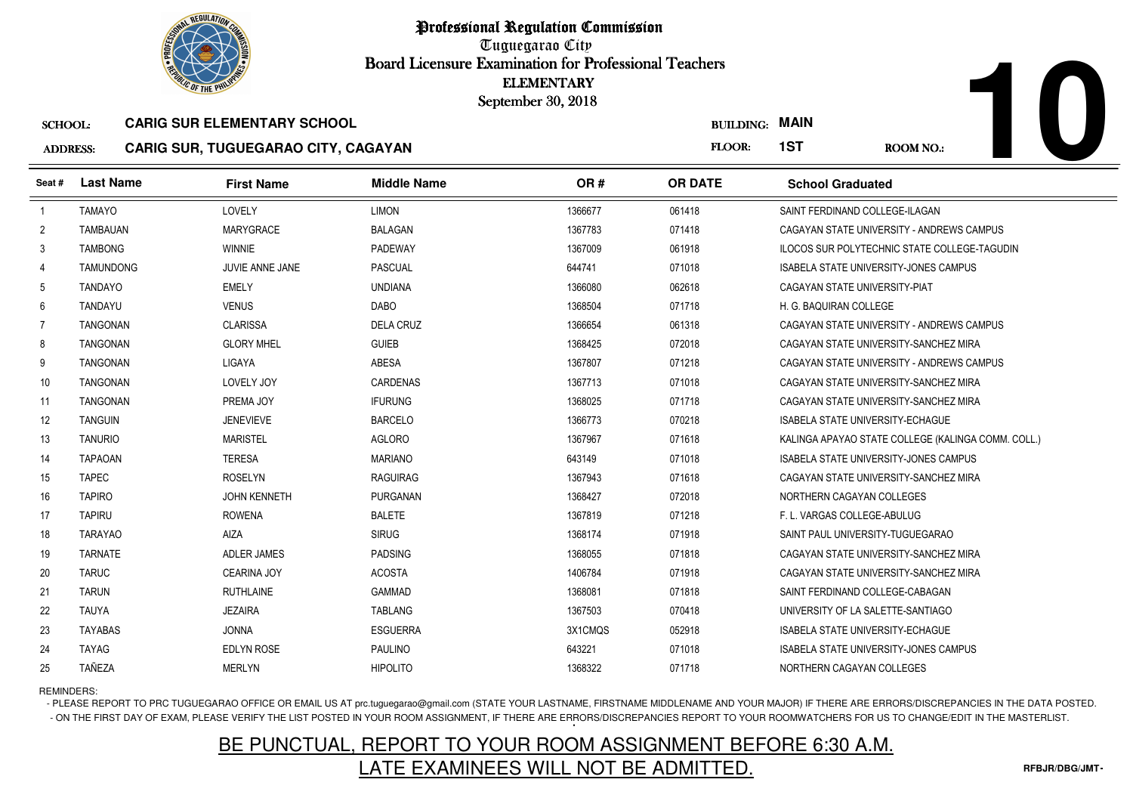

Tuguegarao City Board Licensure Examination for Professional Teachers September 30, 2018

#### ADDRESS:**CARIG SUR, TUGUEGARAO CITY, CAGAYAN**

|                 |                  |                                            | Doard Licensure Examination for Professional Teachers | <b>ELEMENTARY</b>  |                  |                                                     |
|-----------------|------------------|--------------------------------------------|-------------------------------------------------------|--------------------|------------------|-----------------------------------------------------|
|                 |                  | <b>CARIG SUR ELEMENTARY SCHOOL</b>         |                                                       | September 30, 2018 | <b>BUILDING:</b> | <b>MAIN</b>                                         |
| <b>SCHOOL:</b>  |                  |                                            |                                                       |                    |                  |                                                     |
| <b>ADDRESS:</b> |                  | <b>CARIG SUR, TUGUEGARAO CITY, CAGAYAN</b> |                                                       |                    | FLOOR:           | 1ST<br>ROOM NO.:                                    |
| Seat #          | <b>Last Name</b> | <b>First Name</b>                          | <b>Middle Name</b>                                    | OR#                | <b>OR DATE</b>   | <b>School Graduated</b>                             |
| $\overline{1}$  | <b>TAMAYO</b>    | LOVELY                                     | <b>LIMON</b>                                          | 1366677            | 061418           | SAINT FERDINAND COLLEGE-ILAGAN                      |
| $\overline{2}$  | <b>TAMBAUAN</b>  | <b>MARYGRACE</b>                           | <b>BALAGAN</b>                                        | 1367783            | 071418           | CAGAYAN STATE UNIVERSITY - ANDREWS CAMPUS           |
| 3               | <b>TAMBONG</b>   | <b>WINNIE</b>                              | PADEWAY                                               | 1367009            | 061918           | <b>ILOCOS SUR POLYTECHNIC STATE COLLEGE-TAGUDIN</b> |
| 4               | <b>TAMUNDONG</b> | JUVIE ANNE JANE                            | <b>PASCUAL</b>                                        | 644741             | 071018           | ISABELA STATE UNIVERSITY-JONES CAMPUS               |
| 5               | <b>TANDAYO</b>   | <b>EMELY</b>                               | <b>UNDIANA</b>                                        | 1366080            | 062618           | CAGAYAN STATE UNIVERSITY-PIAT                       |
| 6               | TANDAYU          | <b>VENUS</b>                               | <b>DABO</b>                                           | 1368504            | 071718           | H. G. BAQUIRAN COLLEGE                              |
| 7               | TANGONAN         | <b>CLARISSA</b>                            | <b>DELA CRUZ</b>                                      | 1366654            | 061318           | CAGAYAN STATE UNIVERSITY - ANDREWS CAMPUS           |
| 8               | TANGONAN         | <b>GLORY MHEL</b>                          | <b>GUIEB</b>                                          | 1368425            | 072018           | CAGAYAN STATE UNIVERSITY-SANCHEZ MIRA               |
| 9               | <b>TANGONAN</b>  | <b>LIGAYA</b>                              | <b>ABESA</b>                                          | 1367807            | 071218           | CAGAYAN STATE UNIVERSITY - ANDREWS CAMPUS           |
| 10              | TANGONAN         | LOVELY JOY                                 | <b>CARDENAS</b>                                       | 1367713            | 071018           | CAGAYAN STATE UNIVERSITY-SANCHEZ MIRA               |
| 11              | <b>TANGONAN</b>  | PREMA JOY                                  | <b>IFURUNG</b>                                        | 1368025            | 071718           | CAGAYAN STATE UNIVERSITY-SANCHEZ MIRA               |
| 12              | <b>TANGUIN</b>   | <b>JENEVIEVE</b>                           | <b>BARCELO</b>                                        | 1366773            | 070218           | ISABELA STATE UNIVERSITY-ECHAGUE                    |
| 13              | <b>TANURIO</b>   | <b>MARISTEL</b>                            | <b>AGLORO</b>                                         | 1367967            | 071618           | KALINGA APAYAO STATE COLLEGE (KALINGA COMM. COLL.)  |
| 14              | <b>TAPAOAN</b>   | <b>TERESA</b>                              | <b>MARIANO</b>                                        | 643149             | 071018           | ISABELA STATE UNIVERSITY-JONES CAMPUS               |
| 15              | <b>TAPEC</b>     | <b>ROSELYN</b>                             | <b>RAGUIRAG</b>                                       | 1367943            | 071618           | CAGAYAN STATE UNIVERSITY-SANCHEZ MIRA               |
| 16              | <b>TAPIRO</b>    | <b>JOHN KENNETH</b>                        | PURGANAN                                              | 1368427            | 072018           | NORTHERN CAGAYAN COLLEGES                           |
| 17              | <b>TAPIRU</b>    | <b>ROWENA</b>                              | <b>BALETE</b>                                         | 1367819            | 071218           | F. L. VARGAS COLLEGE-ABULUG                         |
| 18              | <b>TARAYAO</b>   | <b>AIZA</b>                                | <b>SIRUG</b>                                          | 1368174            | 071918           | SAINT PAUL UNIVERSITY-TUGUEGARAO                    |
| 19              | <b>TARNATE</b>   | <b>ADLER JAMES</b>                         | <b>PADSING</b>                                        | 1368055            | 071818           | CAGAYAN STATE UNIVERSITY-SANCHEZ MIRA               |
| 20              | <b>TARUC</b>     | <b>CEARINA JOY</b>                         | <b>ACOSTA</b>                                         | 1406784            | 071918           | CAGAYAN STATE UNIVERSITY-SANCHEZ MIRA               |
| 21              | <b>TARUN</b>     | <b>RUTHLAINE</b>                           | <b>GAMMAD</b>                                         | 1368081            | 071818           | SAINT FERDINAND COLLEGE-CABAGAN                     |
| 22              | <b>TAUYA</b>     | <b>JEZAIRA</b>                             | <b>TABLANG</b>                                        | 1367503            | 070418           | UNIVERSITY OF LA SALETTE-SANTIAGO                   |
| 23              | <b>TAYABAS</b>   | <b>JONNA</b>                               | <b>ESGUERRA</b>                                       | 3X1CMQS            | 052918           | <b>ISABELA STATE UNIVERSITY-ECHAGUE</b>             |
| 24              | <b>TAYAG</b>     | EDLYN ROSE                                 | <b>PAULINO</b>                                        | 643221             | 071018           | <b>ISABELA STATE UNIVERSITY-JONES CAMPUS</b>        |
| 25              | <b>TAÑEZA</b>    | <b>MERLYN</b>                              | <b>HIPOLITO</b>                                       | 1368322            | 071718           | NORTHERN CAGAYAN COLLEGES                           |

### REMINDERS:

- PLEASE REPORT TO PRC TUGUEGARAO OFFICE OR EMAIL US AT prc.tuguegarao@gmail.com (STATE YOUR LASTNAME, FIRSTNAME MIDDLENAME AND YOUR MAJOR) IF THERE ARE ERRORS/DISCREPANCIES IN THE DATA POSTED. - ON THE FIRST DAY OF EXAM, PLEASE VERIFY THE LIST POSTED IN YOUR ROOM ASSIGNMENT, IF THERE ARE ERRORS/DISCREPANCIES REPORT TO YOUR ROOMWATCHERS FOR US TO CHANGE/EDIT IN THE MASTERLIST.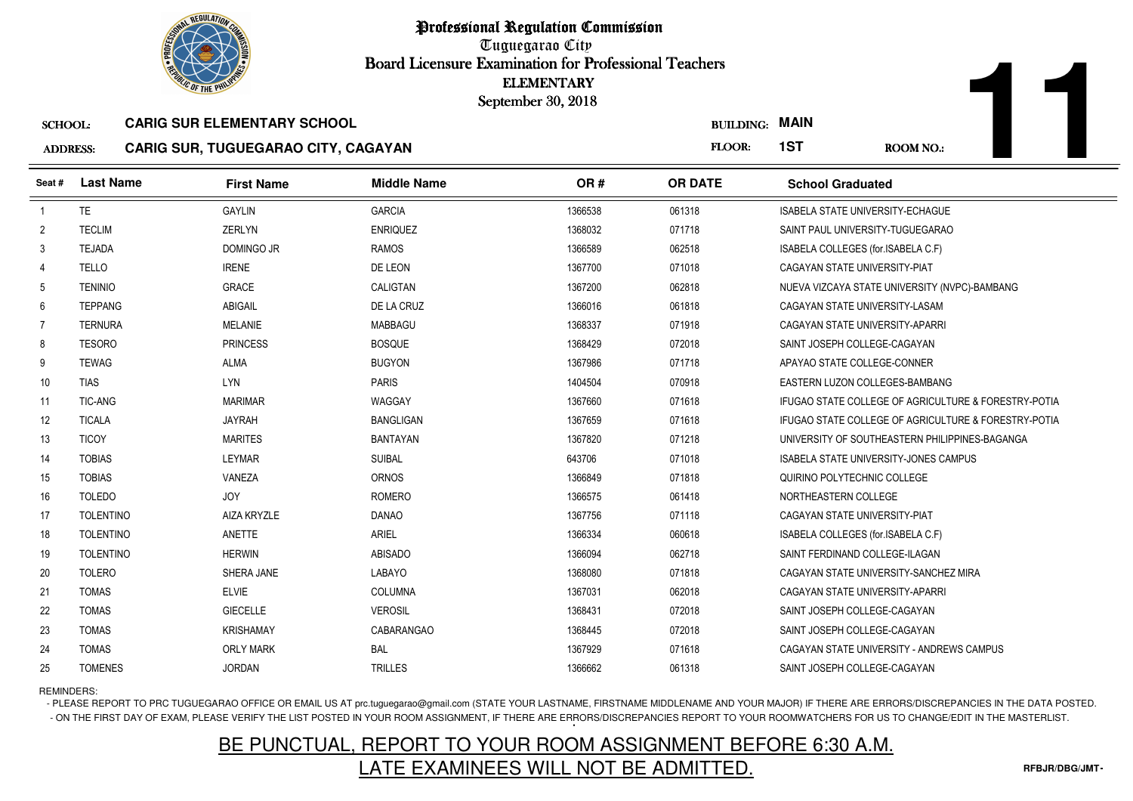

Professional Regulation CommissionTuguegarao City Board Licensure Examination for Professional Teachers September 30, 2018

| <b>JILDING:</b> | <b>MAIN</b> |  |
|-----------------|-------------|--|
|-----------------|-------------|--|

#### ADDRESS:**CARIG SUR, TUGUEGARAO CITY, CAGAYAN**

**11**

|                 | <b><i>OLIC OF THE PHILIPS</i></b> |                                            |                    | <b>ELEMENTARY</b><br>September 30, 2018 |                  |                                                                 |
|-----------------|-----------------------------------|--------------------------------------------|--------------------|-----------------------------------------|------------------|-----------------------------------------------------------------|
| <b>SCHOOL:</b>  |                                   | <b>CARIG SUR ELEMENTARY SCHOOL</b>         |                    |                                         | <b>BUILDING:</b> | <b>MAIN</b>                                                     |
| <b>ADDRESS:</b> |                                   | <b>CARIG SUR, TUGUEGARAO CITY, CAGAYAN</b> |                    |                                         | FLOOR:           | 1ST<br><b>ROOM NO.:</b>                                         |
| Seat#           | <b>Last Name</b>                  | <b>First Name</b>                          | <b>Middle Name</b> | OR#                                     | <b>OR DATE</b>   | <b>School Graduated</b>                                         |
| $\overline{1}$  | <b>TE</b>                         | <b>GAYLIN</b>                              | <b>GARCIA</b>      | 1366538                                 | 061318           | ISABELA STATE UNIVERSITY-ECHAGUE                                |
| $\overline{2}$  | <b>TECLIM</b>                     | <b>ZERLYN</b>                              | <b>ENRIQUEZ</b>    | 1368032                                 | 071718           | SAINT PAUL UNIVERSITY-TUGUEGARAO                                |
| 3               | <b>TEJADA</b>                     | DOMINGO JR                                 | <b>RAMOS</b>       | 1366589                                 | 062518           | ISABELA COLLEGES (for.ISABELA C.F)                              |
| 4               | <b>TELLO</b>                      | <b>IRENE</b>                               | DE LEON            | 1367700                                 | 071018           | CAGAYAN STATE UNIVERSITY-PIAT                                   |
| 5               | <b>TENINIO</b>                    | <b>GRACE</b>                               | <b>CALIGTAN</b>    | 1367200                                 | 062818           | NUEVA VIZCAYA STATE UNIVERSITY (NVPC)-BAMBANG                   |
| 6               | <b>TEPPANG</b>                    | ABIGAIL                                    | DE LA CRUZ         | 1366016                                 | 061818           | CAGAYAN STATE UNIVERSITY-LASAM                                  |
| $\overline{7}$  | <b>TERNURA</b>                    | <b>MELANIE</b>                             | <b>MABBAGU</b>     | 1368337                                 | 071918           | CAGAYAN STATE UNIVERSITY-APARRI                                 |
| 8               | <b>TESORO</b>                     | <b>PRINCESS</b>                            | <b>BOSQUE</b>      | 1368429                                 | 072018           | SAINT JOSEPH COLLEGE-CAGAYAN                                    |
| 9               | <b>TEWAG</b>                      | <b>ALMA</b>                                | <b>BUGYON</b>      | 1367986                                 | 071718           | APAYAO STATE COLLEGE-CONNER                                     |
| 10 <sup>°</sup> | <b>TIAS</b>                       | LYN                                        | <b>PARIS</b>       | 1404504                                 | 070918           | EASTERN LUZON COLLEGES-BAMBANG                                  |
| 11              | <b>TIC-ANG</b>                    | <b>MARIMAR</b>                             | WAGGAY             | 1367660                                 | 071618           | <b>IFUGAO STATE COLLEGE OF AGRICULTURE &amp; FORESTRY-POTIA</b> |
| 12 <sup>2</sup> | <b>TICALA</b>                     | <b>JAYRAH</b>                              | <b>BANGLIGAN</b>   | 1367659                                 | 071618           | IFUGAO STATE COLLEGE OF AGRICULTURE & FORESTRY-POTIA            |
| 13              | <b>TICOY</b>                      | <b>MARITES</b>                             | <b>BANTAYAN</b>    | 1367820                                 | 071218           | UNIVERSITY OF SOUTHEASTERN PHILIPPINES-BAGANGA                  |
| 14              | <b>TOBIAS</b>                     | <b>LEYMAR</b>                              | <b>SUIBAL</b>      | 643706                                  | 071018           | <b>ISABELA STATE UNIVERSITY-JONES CAMPUS</b>                    |
| 15              | <b>TOBIAS</b>                     | VANEZA                                     | ORNOS              | 1366849                                 | 071818           | QUIRINO POLYTECHNIC COLLEGE                                     |
| 16              | <b>TOLEDO</b>                     | <b>JOY</b>                                 | <b>ROMERO</b>      | 1366575                                 | 061418           | NORTHEASTERN COLLEGE                                            |
| 17              | <b>TOLENTINO</b>                  | AIZA KRYZLE                                | <b>DANAO</b>       | 1367756                                 | 071118           | CAGAYAN STATE UNIVERSITY-PIAT                                   |
| 18              | <b>TOLENTINO</b>                  | ANETTE                                     | <b>ARIEL</b>       | 1366334                                 | 060618           | ISABELA COLLEGES (for ISABELA C.F)                              |
| 19              | <b>TOLENTINO</b>                  | <b>HERWIN</b>                              | <b>ABISADO</b>     | 1366094                                 | 062718           | SAINT FERDINAND COLLEGE-ILAGAN                                  |
| 20              | <b>TOLERO</b>                     | SHERA JANE                                 | LABAYO             | 1368080                                 | 071818           | CAGAYAN STATE UNIVERSITY-SANCHEZ MIRA                           |
| 21              | <b>TOMAS</b>                      | <b>ELVIE</b>                               | <b>COLUMNA</b>     | 1367031                                 | 062018           | CAGAYAN STATE UNIVERSITY-APARRI                                 |
| 22              | <b>TOMAS</b>                      | <b>GIECELLE</b>                            | <b>VEROSIL</b>     | 1368431                                 | 072018           | SAINT JOSEPH COLLEGE-CAGAYAN                                    |
| 23              | <b>TOMAS</b>                      | <b>KRISHAMAY</b>                           | CABARANGAO         | 1368445                                 | 072018           | SAINT JOSEPH COLLEGE-CAGAYAN                                    |
| 24              | <b>TOMAS</b>                      | <b>ORLY MARK</b>                           | <b>BAL</b>         | 1367929                                 | 071618           | CAGAYAN STATE UNIVERSITY - ANDREWS CAMPUS                       |
| 25              | <b>TOMENES</b>                    | <b>JORDAN</b>                              | <b>TRILLES</b>     | 1366662                                 | 061318           | SAINT JOSEPH COLLEGE-CAGAYAN                                    |

REMINDERS:

- PLEASE REPORT TO PRC TUGUEGARAO OFFICE OR EMAIL US AT prc.tuguegarao@gmail.com (STATE YOUR LASTNAME, FIRSTNAME MIDDLENAME AND YOUR MAJOR) IF THERE ARE ERRORS/DISCREPANCIES IN THE DATA POSTED. - ON THE FIRST DAY OF EXAM, PLEASE VERIFY THE LIST POSTED IN YOUR ROOM ASSIGNMENT, IF THERE ARE ERRORS/DISCREPANCIES REPORT TO YOUR ROOMWATCHERS FOR US TO CHANGE/EDIT IN THE MASTERLIST.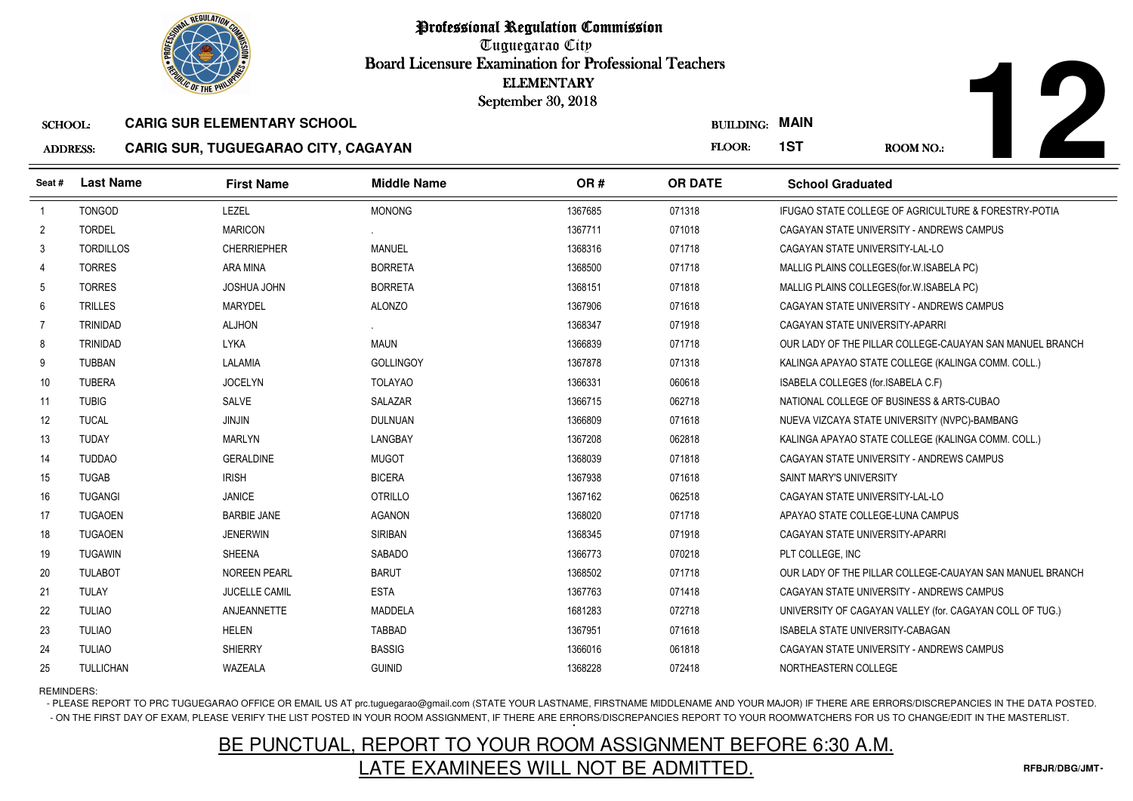

Professional Regulation CommissionTuguegarao City Board Licensure Examination for Professional Teachers September 30, 2018

#### SCHOOL:**CARIG SUR ELEMENTARY SCHOOL**

#### $\mathbf{A}$ **CARIG SUR, TUGUEGARAO CITY, CAGAYAN**

TULIAO ANJEANNETTE MADDELA

5 TULLICHAN WAZEALA GUINID

|                                                      | <b><i>OLIC OF THE PHILIP</i></b> |                                            |                    | <b>ELEMENTARY</b><br>September 30, 2018 |                       |                                                          |  |
|------------------------------------------------------|----------------------------------|--------------------------------------------|--------------------|-----------------------------------------|-----------------------|----------------------------------------------------------|--|
| <b>CARIG SUR ELEMENTARY SCHOOL</b><br><b>SCHOOL:</b> |                                  |                                            |                    |                                         | <b>BUILDING: MAIN</b> |                                                          |  |
| <b>ADDRESS:</b>                                      |                                  | <b>CARIG SUR, TUGUEGARAO CITY, CAGAYAN</b> |                    |                                         | FLOOR:                | 1ST<br><b>ROOM NO.:</b>                                  |  |
| Seat #                                               | <b>Last Name</b>                 | <b>First Name</b>                          | <b>Middle Name</b> | OR#                                     | <b>OR DATE</b>        | <b>School Graduated</b>                                  |  |
| $\overline{1}$                                       | <b>TONGOD</b>                    | LEZEL                                      | <b>MONONG</b>      | 1367685                                 | 071318                | IFUGAO STATE COLLEGE OF AGRICULTURE & FORESTRY-POTIA     |  |
| $\overline{2}$                                       | <b>TORDEL</b>                    | <b>MARICON</b>                             |                    | 1367711                                 | 071018                | CAGAYAN STATE UNIVERSITY - ANDREWS CAMPUS                |  |
| 3                                                    | <b>TORDILLOS</b>                 | <b>CHERRIEPHER</b>                         | <b>MANUEL</b>      | 1368316                                 | 071718                | CAGAYAN STATE UNIVERSITY-LAL-LO                          |  |
| 4                                                    | <b>TORRES</b>                    | ARA MINA                                   | <b>BORRETA</b>     | 1368500                                 | 071718                | MALLIG PLAINS COLLEGES (for. W. ISABELA PC)              |  |
| 5                                                    | <b>TORRES</b>                    | JOSHUA JOHN                                | <b>BORRETA</b>     | 1368151                                 | 071818                | MALLIG PLAINS COLLEGES (for. W. ISABELA PC)              |  |
| 6                                                    | <b>TRILLES</b>                   | <b>MARYDEL</b>                             | <b>ALONZO</b>      | 1367906                                 | 071618                | CAGAYAN STATE UNIVERSITY - ANDREWS CAMPUS                |  |
| $\overline{7}$                                       | <b>TRINIDAD</b>                  | <b>ALJHON</b>                              |                    | 1368347                                 | 071918                | CAGAYAN STATE UNIVERSITY-APARRI                          |  |
| 8                                                    | <b>TRINIDAD</b>                  | <b>LYKA</b>                                | <b>MAUN</b>        | 1366839                                 | 071718                | OUR LADY OF THE PILLAR COLLEGE-CAUAYAN SAN MANUEL BRANCH |  |
| 9                                                    | <b>TUBBAN</b>                    | LALAMIA                                    | <b>GOLLINGOY</b>   | 1367878                                 | 071318                | KALINGA APAYAO STATE COLLEGE (KALINGA COMM. COLL.)       |  |
| 10                                                   | <b>TUBERA</b>                    | <b>JOCELYN</b>                             | <b>TOLAYAO</b>     | 1366331                                 | 060618                | ISABELA COLLEGES (for.ISABELA C.F)                       |  |
| 11                                                   | <b>TUBIG</b>                     | SALVE                                      | <b>SALAZAR</b>     | 1366715                                 | 062718                | NATIONAL COLLEGE OF BUSINESS & ARTS-CUBAO                |  |
| 12                                                   | <b>TUCAL</b>                     | <b>JINJIN</b>                              | <b>DULNUAN</b>     | 1366809                                 | 071618                | NUEVA VIZCAYA STATE UNIVERSITY (NVPC)-BAMBANG            |  |
| 13                                                   | <b>TUDAY</b>                     | <b>MARLYN</b>                              | LANGBAY            | 1367208                                 | 062818                | KALINGA APAYAO STATE COLLEGE (KALINGA COMM. COLL.)       |  |
| 14                                                   | <b>TUDDAO</b>                    | <b>GERALDINE</b>                           | <b>MUGOT</b>       | 1368039                                 | 071818                | CAGAYAN STATE UNIVERSITY - ANDREWS CAMPUS                |  |
| 15                                                   | <b>TUGAB</b>                     | <b>IRISH</b>                               | <b>BICERA</b>      | 1367938                                 | 071618                | SAINT MARY'S UNIVERSITY                                  |  |
| 16                                                   | <b>TUGANGI</b>                   | <b>JANICE</b>                              | <b>OTRILLO</b>     | 1367162                                 | 062518                | CAGAYAN STATE UNIVERSITY-LAL-LO                          |  |
| 17                                                   | <b>TUGAOEN</b>                   | <b>BARBIE JANE</b>                         | <b>AGANON</b>      | 1368020                                 | 071718                | APAYAO STATE COLLEGE-LUNA CAMPUS                         |  |
| 18                                                   | <b>TUGAOEN</b>                   | <b>JENERWIN</b>                            | <b>SIRIBAN</b>     | 1368345                                 | 071918                | CAGAYAN STATE UNIVERSITY-APARRI                          |  |
| 19                                                   | <b>TUGAWIN</b>                   | <b>SHEENA</b>                              | <b>SABADO</b>      | 1366773                                 | 070218                | PLT COLLEGE, INC                                         |  |
| 20                                                   | <b>TULABOT</b>                   | <b>NOREEN PEARL</b>                        | <b>BARUT</b>       | 1368502                                 | 071718                | OUR LADY OF THE PILLAR COLLEGE-CAUAYAN SAN MANUEL BRANCH |  |
| 21                                                   | <b>TULAY</b>                     | <b>JUCELLE CAMIL</b>                       | <b>ESTA</b>        | 1367763                                 | 071418                | CAGAYAN STATE UNIVERSITY - ANDREWS CAMPUS                |  |

<sup>1681283</sup> <sup>072718</sup> UNIVERSITY OF CAGAYAN VALLEY (for. CAGAYAN COLL OF TUG.)

3 TULIAO HELEN HELEN TABBAD <sup>1367951</sup> <sup>071618</sup> ISABELA STATE UNIVERSITY-CABAGAN 4 TULIAO SHIERRY BASSIG <sup>1366016</sup> <sup>061818</sup> CAGAYAN STATE UNIVERSITY - ANDREWS CAMPUS

<sup>1368228</sup> <sup>072418</sup> NORTHEASTERN COLLEGE

REMINDERS:

22

23

24

25

--

- PLEASE REPORT TO PRC TUGUEGARAO OFFICE OR EMAIL US AT prc.tuguegarao@gmail.com (STATE YOUR LASTNAME, FIRSTNAME MIDDLENAME AND YOUR MAJOR) IF THERE ARE ERRORS/DISCREPANCIES IN THE DATA POSTED. - ON THE FIRST DAY OF EXAM, PLEASE VERIFY THE LIST POSTED IN YOUR ROOM ASSIGNMENT, IF THERE ARE ERRORS/DISCREPANCIES REPORT TO YOUR ROOMWATCHERS FOR US TO CHANGE/EDIT IN THE MASTERLIST.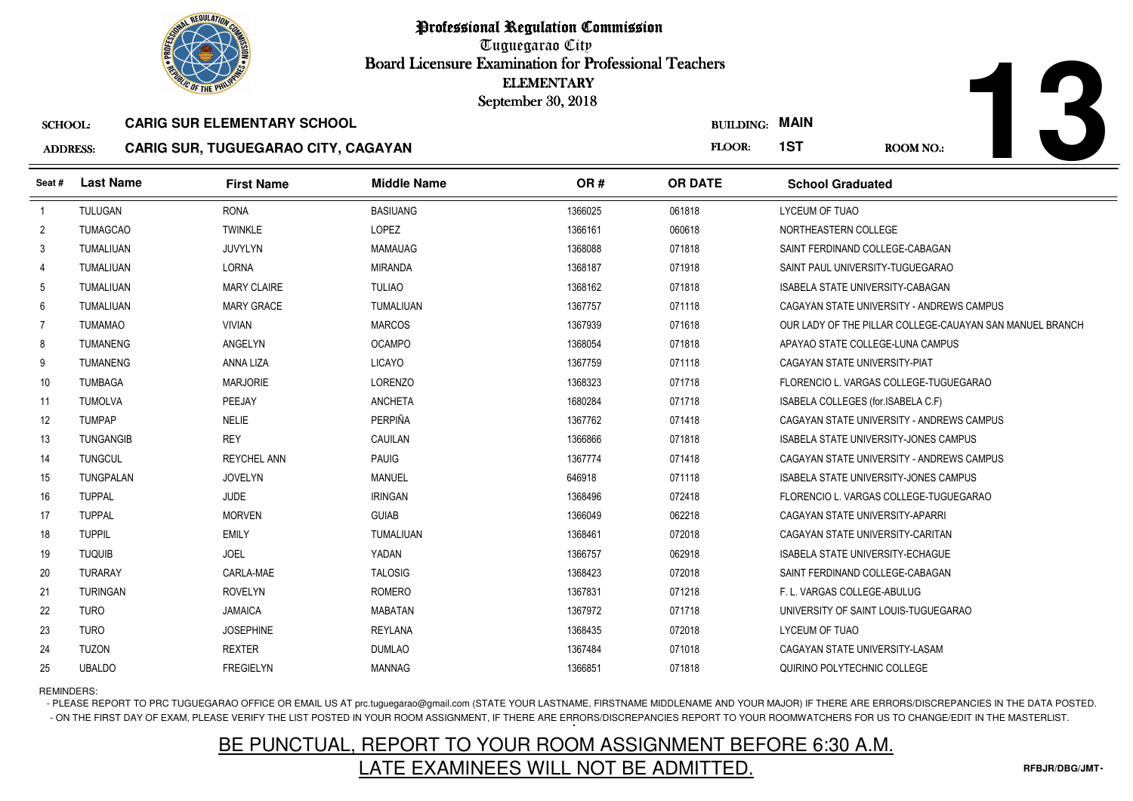

Tuguegarao City Board Licensure Examination for Professional Teachers September 30, 2018

### **ADI**

| <b>DRESS:</b> |  |  | <b>CARIG SUR, TUGUEGARAO CITY, CAGAYAN</b> |
|---------------|--|--|--------------------------------------------|
|---------------|--|--|--------------------------------------------|

| <b><i>OLIC OF THE PHILIP</i></b> |                  |                                            | <b>ELEMENTARY</b><br>September 30, 2018 |         |                  |                                                          |
|----------------------------------|------------------|--------------------------------------------|-----------------------------------------|---------|------------------|----------------------------------------------------------|
| <b>SCHOOL:</b>                   |                  | <b>CARIG SUR ELEMENTARY SCHOOL</b>         |                                         |         | <b>BUILDING:</b> | <b>MAIN</b>                                              |
| <b>ADDRESS:</b>                  |                  | <b>CARIG SUR, TUGUEGARAO CITY, CAGAYAN</b> |                                         |         | FLOOR:           | 1ST<br><b>ROOM NO.:</b>                                  |
| Seat #                           | <b>Last Name</b> | <b>First Name</b>                          | <b>Middle Name</b>                      | OR#     | <b>OR DATE</b>   | <b>School Graduated</b>                                  |
| $\overline{1}$                   | <b>TULUGAN</b>   | <b>RONA</b>                                | <b>BASIUANG</b>                         | 1366025 | 061818           | LYCEUM OF TUAO                                           |
| $\mathbf{2}$                     | <b>TUMAGCAO</b>  | <b>TWINKLE</b>                             | LOPEZ                                   | 1366161 | 060618           | NORTHEASTERN COLLEGE                                     |
| 3                                | TUMALIUAN        | JUVYLYN                                    | <b>MAMAUAG</b>                          | 1368088 | 071818           | SAINT FERDINAND COLLEGE-CABAGAN                          |
| 4                                | <b>TUMALIUAN</b> | <b>LORNA</b>                               | <b>MIRANDA</b>                          | 1368187 | 071918           | SAINT PAUL UNIVERSITY-TUGUEGARAO                         |
| 5                                | TUMALIUAN        | <b>MARY CLAIRE</b>                         | <b>TULIAO</b>                           | 1368162 | 071818           | ISABELA STATE UNIVERSITY-CABAGAN                         |
| 6                                | TUMALIUAN        | <b>MARY GRACE</b>                          | TUMALIUAN                               | 1367757 | 071118           | CAGAYAN STATE UNIVERSITY - ANDREWS CAMPUS                |
| $\overline{7}$                   | <b>TUMAMAO</b>   | <b>VIVIAN</b>                              | <b>MARCOS</b>                           | 1367939 | 071618           | OUR LADY OF THE PILLAR COLLEGE-CAUAYAN SAN MANUEL BRANCH |
| 8                                | <b>TUMANENG</b>  | ANGELYN                                    | <b>OCAMPO</b>                           | 1368054 | 071818           | APAYAO STATE COLLEGE-LUNA CAMPUS                         |
| 9                                | <b>TUMANENG</b>  | ANNA LIZA                                  | <b>LICAYO</b>                           | 1367759 | 071118           | CAGAYAN STATE UNIVERSITY-PIAT                            |
| 10                               | <b>TUMBAGA</b>   | <b>MARJORIE</b>                            | <b>LORENZO</b>                          | 1368323 | 071718           | FLORENCIO L. VARGAS COLLEGE-TUGUEGARAO                   |
| 11                               | <b>TUMOLVA</b>   | PEEJAY                                     | <b>ANCHETA</b>                          | 1680284 | 071718           | ISABELA COLLEGES (for ISABELA C.F)                       |
| 12                               | <b>TUMPAP</b>    | <b>NELIE</b>                               | PERPIÑA                                 | 1367762 | 071418           | CAGAYAN STATE UNIVERSITY - ANDREWS CAMPUS                |
| 13                               | <b>TUNGANGIB</b> | <b>REY</b>                                 | CAUILAN                                 | 1366866 | 071818           | ISABELA STATE UNIVERSITY-JONES CAMPUS                    |
| 14                               | <b>TUNGCUL</b>   | <b>REYCHEL ANN</b>                         | <b>PAUIG</b>                            | 1367774 | 071418           | CAGAYAN STATE UNIVERSITY - ANDREWS CAMPUS                |
| 15                               | <b>TUNGPALAN</b> | <b>JOVELYN</b>                             | <b>MANUEL</b>                           | 646918  | 071118           | <b>ISABELA STATE UNIVERSITY-JONES CAMPUS</b>             |
| 16                               | <b>TUPPAL</b>    | <b>JUDE</b>                                | <b>IRINGAN</b>                          | 1368496 | 072418           | FLORENCIO L. VARGAS COLLEGE-TUGUEGARAO                   |
| 17                               | <b>TUPPAL</b>    | <b>MORVEN</b>                              | <b>GUIAB</b>                            | 1366049 | 062218           | CAGAYAN STATE UNIVERSITY-APARRI                          |
| 18                               | <b>TUPPIL</b>    | <b>EMILY</b>                               | TUMALIUAN                               | 1368461 | 072018           | CAGAYAN STATE UNIVERSITY-CARITAN                         |
| 19                               | <b>TUQUIB</b>    | <b>JOEL</b>                                | YADAN                                   | 1366757 | 062918           | <b>ISABELA STATE UNIVERSITY-ECHAGUE</b>                  |
| 20                               | <b>TURARAY</b>   | CARLA-MAE                                  | <b>TALOSIG</b>                          | 1368423 | 072018           | SAINT FERDINAND COLLEGE-CABAGAN                          |
| 21                               | <b>TURINGAN</b>  | <b>ROVELYN</b>                             | <b>ROMERO</b>                           | 1367831 | 071218           | F. L. VARGAS COLLEGE-ABULUG                              |
| 22                               | <b>TURO</b>      | <b>JAMAICA</b>                             | <b>MABATAN</b>                          | 1367972 | 071718           | UNIVERSITY OF SAINT LOUIS-TUGUEGARAO                     |
| 23                               | <b>TURO</b>      | <b>JOSEPHINE</b>                           | <b>REYLANA</b>                          | 1368435 | 072018           | LYCEUM OF TUAO                                           |
| 24                               | <b>TUZON</b>     | <b>REXTER</b>                              | <b>DUMLAO</b>                           | 1367484 | 071018           | CAGAYAN STATE UNIVERSITY-LASAM                           |
| 25                               | <b>UBALDO</b>    | <b>FREGIELYN</b>                           | <b>MANNAG</b>                           | 1366851 | 071818           | QUIRINO POLYTECHNIC COLLEGE                              |

REMINDERS:

- PLEASE REPORT TO PRC TUGUEGARAO OFFICE OR EMAIL US AT prc.tuguegarao@gmail.com (STATE YOUR LASTNAME, FIRSTNAME MIDDLENAME AND YOUR MAJOR) IF THERE ARE ERRORS/DISCREPANCIES IN THE DATA POSTED. - ON THE FIRST DAY OF EXAM, PLEASE VERIFY THE LIST POSTED IN YOUR ROOM ASSIGNMENT, IF THERE ARE ERRORS/DISCREPANCIES REPORT TO YOUR ROOMWATCHERS FOR US TO CHANGE/EDIT IN THE MASTERLIST.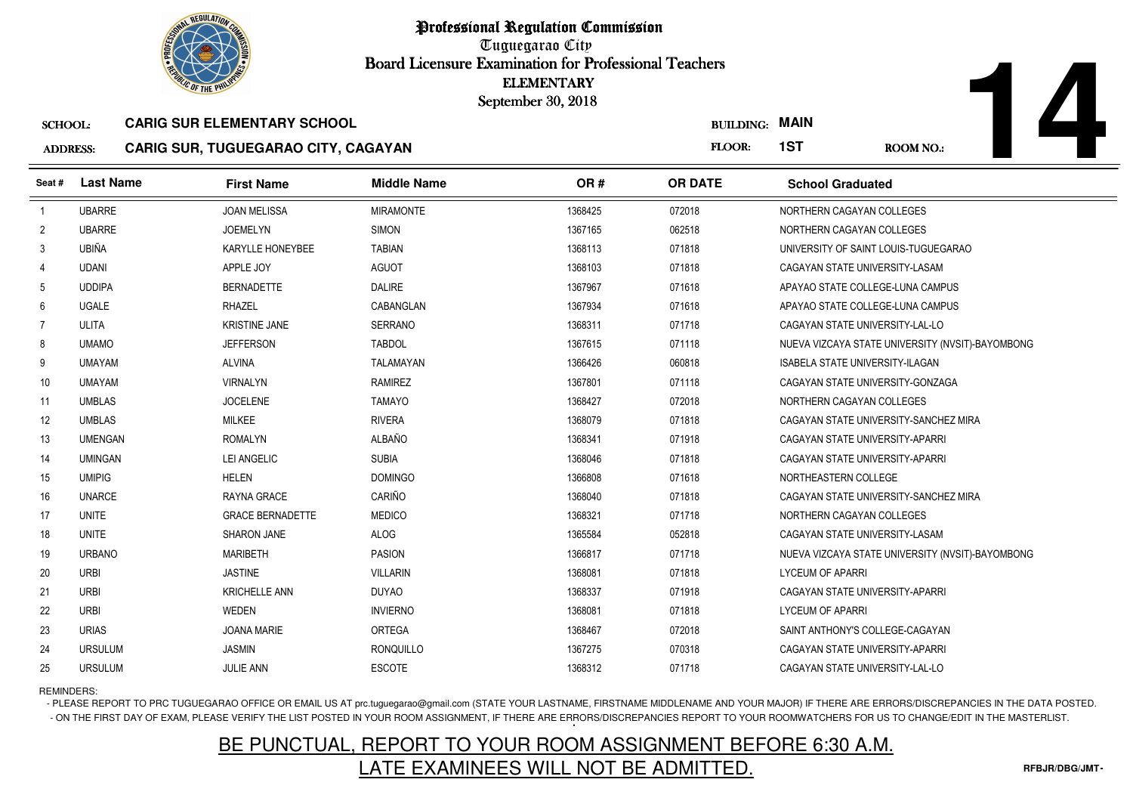

Tuguegarao City Board Licensure Examination for Professional Teachers September 30, 2018

### ADDRESS:**CARIG SUR, TUGUEGARAO CITY, CAGAYAN**

| <b><i>OLIC OF THE PHILIP</i></b>                     |                  |                                     | <b>ELEMENTARY</b><br>September 30, 2018 |         |                       |                                        |                                                  |
|------------------------------------------------------|------------------|-------------------------------------|-----------------------------------------|---------|-----------------------|----------------------------------------|--------------------------------------------------|
| <b>CARIG SUR ELEMENTARY SCHOOL</b><br><b>SCHOOL:</b> |                  |                                     |                                         |         | <b>BUILDING: MAIN</b> |                                        |                                                  |
| <b>ADDRESS:</b>                                      |                  | CARIG SUR, TUGUEGARAO CITY, CAGAYAN |                                         |         | FLOOR:                | 1ST                                    | <b>ROOM NO.:</b>                                 |
| Seat#                                                | <b>Last Name</b> | <b>First Name</b>                   | <b>Middle Name</b>                      | OR#     | <b>OR DATE</b>        | <b>School Graduated</b>                |                                                  |
| $\overline{1}$                                       | <b>UBARRE</b>    | <b>JOAN MELISSA</b>                 | <b>MIRAMONTE</b>                        | 1368425 | 072018                | NORTHERN CAGAYAN COLLEGES              |                                                  |
| $\overline{2}$                                       | <b>UBARRE</b>    | <b>JOEMELYN</b>                     | <b>SIMON</b>                            | 1367165 | 062518                | NORTHERN CAGAYAN COLLEGES              |                                                  |
| -3                                                   | UBIÑA            | KARYLLE HONEYBEE                    | <b>TABIAN</b>                           | 1368113 | 071818                |                                        | UNIVERSITY OF SAINT LOUIS-TUGUEGARAO             |
| $\overline{4}$                                       | <b>UDANI</b>     | APPLE JOY                           | <b>AGUOT</b>                            | 1368103 | 071818                | CAGAYAN STATE UNIVERSITY-LASAM         |                                                  |
| 5                                                    | <b>UDDIPA</b>    | <b>BERNADETTE</b>                   | <b>DALIRE</b>                           | 1367967 | 071618                | APAYAO STATE COLLEGE-LUNA CAMPUS       |                                                  |
| 6                                                    | <b>UGALE</b>     | <b>RHAZEL</b>                       | CABANGLAN                               | 1367934 | 071618                | APAYAO STATE COLLEGE-LUNA CAMPUS       |                                                  |
| 7                                                    | ULITA            | <b>KRISTINE JANE</b>                | <b>SERRANO</b>                          | 1368311 | 071718                | CAGAYAN STATE UNIVERSITY-LAL-LO        |                                                  |
| 8                                                    | <b>UMAMO</b>     | <b>JEFFERSON</b>                    | <b>TABDOL</b>                           | 1367615 | 071118                |                                        | NUEVA VIZCAYA STATE UNIVERSITY (NVSIT)-BAYOMBONG |
| 9                                                    | <b>UMAYAM</b>    | <b>ALVINA</b>                       | <b>TALAMAYAN</b>                        | 1366426 | 060818                | <b>ISABELA STATE UNIVERSITY-ILAGAN</b> |                                                  |
| 10                                                   | <b>UMAYAM</b>    | <b>VIRNALYN</b>                     | <b>RAMIREZ</b>                          | 1367801 | 071118                | CAGAYAN STATE UNIVERSITY-GONZAGA       |                                                  |
| 11                                                   | <b>UMBLAS</b>    | <b>JOCELENE</b>                     | <b>TAMAYO</b>                           | 1368427 | 072018                | NORTHERN CAGAYAN COLLEGES              |                                                  |
| 12                                                   | <b>UMBLAS</b>    | <b>MILKEE</b>                       | <b>RIVERA</b>                           | 1368079 | 071818                |                                        | CAGAYAN STATE UNIVERSITY-SANCHEZ MIRA            |
| 13                                                   | <b>UMENGAN</b>   | <b>ROMALYN</b>                      | <b>ALBAÑO</b>                           | 1368341 | 071918                | CAGAYAN STATE UNIVERSITY-APARRI        |                                                  |
| 14                                                   | <b>UMINGAN</b>   | LEI ANGELIC                         | <b>SUBIA</b>                            | 1368046 | 071818                | CAGAYAN STATE UNIVERSITY-APARRI        |                                                  |
| 15                                                   | <b>UMIPIG</b>    | <b>HELEN</b>                        | <b>DOMINGO</b>                          | 1366808 | 071618                | NORTHEASTERN COLLEGE                   |                                                  |
| 16                                                   | <b>UNARCE</b>    | RAYNA GRACE                         | CARIÑO                                  | 1368040 | 071818                |                                        | CAGAYAN STATE UNIVERSITY-SANCHEZ MIRA            |
| 17                                                   | <b>UNITE</b>     | <b>GRACE BERNADETTE</b>             | <b>MEDICO</b>                           | 1368321 | 071718                | NORTHERN CAGAYAN COLLEGES              |                                                  |
| 18                                                   | <b>UNITE</b>     | SHARON JANE                         | <b>ALOG</b>                             | 1365584 | 052818                | CAGAYAN STATE UNIVERSITY-LASAM         |                                                  |
| 19                                                   | <b>URBANO</b>    | <b>MARIBETH</b>                     | <b>PASION</b>                           | 1366817 | 071718                |                                        | NUEVA VIZCAYA STATE UNIVERSITY (NVSIT)-BAYOMBONG |
| 20                                                   | <b>URBI</b>      | <b>JASTINE</b>                      | <b>VILLARIN</b>                         | 1368081 | 071818                | <b>LYCEUM OF APARRI</b>                |                                                  |
| 21                                                   | <b>URBI</b>      | <b>KRICHELLE ANN</b>                | <b>DUYAO</b>                            | 1368337 | 071918                | CAGAYAN STATE UNIVERSITY-APARRI        |                                                  |
| 22                                                   | <b>URBI</b>      | <b>WEDEN</b>                        | <b>INVIERNO</b>                         | 1368081 | 071818                | <b>LYCEUM OF APARRI</b>                |                                                  |
| 23                                                   | <b>URIAS</b>     | <b>JOANA MARIE</b>                  | <b>ORTEGA</b>                           | 1368467 | 072018                | SAINT ANTHONY'S COLLEGE-CAGAYAN        |                                                  |
| 24                                                   | <b>URSULUM</b>   | <b>JASMIN</b>                       | <b>RONQUILLO</b>                        | 1367275 | 070318                | CAGAYAN STATE UNIVERSITY-APARRI        |                                                  |
| 25                                                   | <b>URSULUM</b>   | <b>JULIE ANN</b>                    | <b>ESCOTE</b>                           | 1368312 | 071718                | CAGAYAN STATE UNIVERSITY-LAL-LO        |                                                  |

REMINDERS:

- PLEASE REPORT TO PRC TUGUEGARAO OFFICE OR EMAIL US AT prc.tuguegarao@gmail.com (STATE YOUR LASTNAME, FIRSTNAME MIDDLENAME AND YOUR MAJOR) IF THERE ARE ERRORS/DISCREPANCIES IN THE DATA POSTED. - ON THE FIRST DAY OF EXAM, PLEASE VERIFY THE LIST POSTED IN YOUR ROOM ASSIGNMENT, IF THERE ARE ERRORS/DISCREPANCIES REPORT TO YOUR ROOMWATCHERS FOR US TO CHANGE/EDIT IN THE MASTERLIST.

# BE PUNCTUAL, REPORT TO YOUR ROOM ASSIGNMENT BEFORE 6:30 A.M.LATE EXAMINEES WILL NOT BE ADMITTED.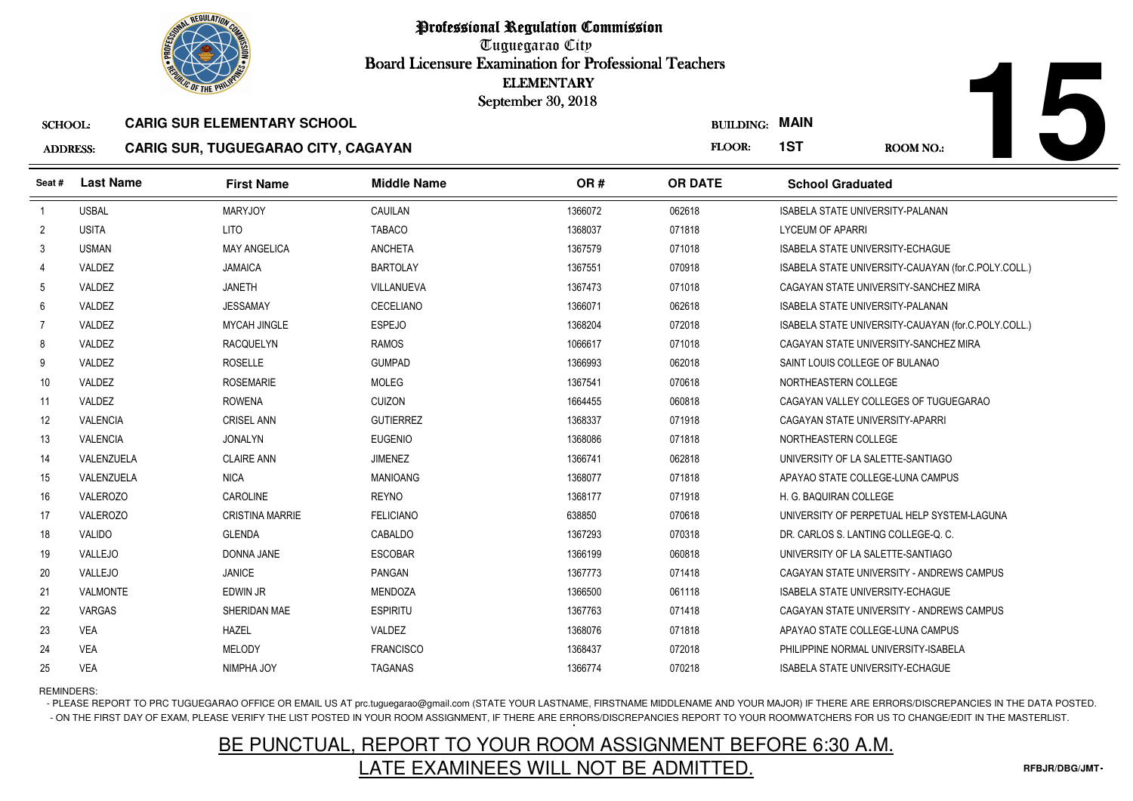

Tuguegarao City Board Licensure Examination for Professional Teachers September 30, 2018

#### SCHOOL:**CARIG SUR ELEMENTARY SCHOOL**

#### ADDRESS:**CARIG SUR, TUGUEGARAO CITY, CAGAYAN**

| <b><i>OLIC OF THE PHILIP</i></b>                     |                  |                                            | <b>ELEMENTARY</b><br>September 30, 2018 |         |                |                                                     |
|------------------------------------------------------|------------------|--------------------------------------------|-----------------------------------------|---------|----------------|-----------------------------------------------------|
| <b>CARIG SUR ELEMENTARY SCHOOL</b><br><b>SCHOOL:</b> |                  |                                            |                                         |         |                | <b>BUILDING: MAIN</b>                               |
| <b>ADDRESS:</b>                                      |                  | <b>CARIG SUR, TUGUEGARAO CITY, CAGAYAN</b> |                                         |         | FLOOR:         | 1ST<br><b>ROOM NO.:</b>                             |
| Seat #                                               | <b>Last Name</b> | <b>First Name</b>                          | <b>Middle Name</b>                      | OR#     | <b>OR DATE</b> | <b>School Graduated</b>                             |
| $\overline{1}$                                       | <b>USBAL</b>     | <b>MARYJOY</b>                             | CAUILAN                                 | 1366072 | 062618         | ISABELA STATE UNIVERSITY-PALANAN                    |
| $\overline{2}$                                       | <b>USITA</b>     | <b>LITO</b>                                | <b>TABACO</b>                           | 1368037 | 071818         | <b>LYCEUM OF APARRI</b>                             |
| 3                                                    | <b>USMAN</b>     | <b>MAY ANGELICA</b>                        | <b>ANCHETA</b>                          | 1367579 | 071018         | <b>ISABELA STATE UNIVERSITY-ECHAGUE</b>             |
| 4                                                    | VALDEZ           | <b>JAMAICA</b>                             | <b>BARTOLAY</b>                         | 1367551 | 070918         | ISABELA STATE UNIVERSITY-CAUAYAN (for.C.POLY.COLL.) |
| 5                                                    | VALDEZ           | <b>JANETH</b>                              | VILLANUEVA                              | 1367473 | 071018         | CAGAYAN STATE UNIVERSITY-SANCHEZ MIRA               |
| 6                                                    | VALDEZ           | <b>JESSAMAY</b>                            | CECELIANO                               | 1366071 | 062618         | ISABELA STATE UNIVERSITY-PALANAN                    |
| $\overline{7}$                                       | VALDEZ           | <b>MYCAH JINGLE</b>                        | <b>ESPEJO</b>                           | 1368204 | 072018         | ISABELA STATE UNIVERSITY-CAUAYAN (for.C.POLY.COLL.) |
| 8                                                    | VALDEZ           | <b>RACQUELYN</b>                           | <b>RAMOS</b>                            | 1066617 | 071018         | CAGAYAN STATE UNIVERSITY-SANCHEZ MIRA               |
| 9                                                    | VALDEZ           | <b>ROSELLE</b>                             | <b>GUMPAD</b>                           | 1366993 | 062018         | SAINT LOUIS COLLEGE OF BULANAO                      |
| 10 <sup>°</sup>                                      | VALDEZ           | <b>ROSEMARIE</b>                           | <b>MOLEG</b>                            | 1367541 | 070618         | NORTHEASTERN COLLEGE                                |
| 11                                                   | VALDEZ           | <b>ROWENA</b>                              | <b>CUIZON</b>                           | 1664455 | 060818         | CAGAYAN VALLEY COLLEGES OF TUGUEGARAO               |
| 12                                                   | <b>VALENCIA</b>  | <b>CRISEL ANN</b>                          | <b>GUTIERREZ</b>                        | 1368337 | 071918         | CAGAYAN STATE UNIVERSITY-APARRI                     |
| 13                                                   | <b>VALENCIA</b>  | <b>JONALYN</b>                             | <b>EUGENIO</b>                          | 1368086 | 071818         | NORTHEASTERN COLLEGE                                |
| 14                                                   | VALENZUELA       | <b>CLAIRE ANN</b>                          | <b>JIMENEZ</b>                          | 1366741 | 062818         | UNIVERSITY OF LA SALETTE-SANTIAGO                   |
| 15                                                   | VALENZUELA       | <b>NICA</b>                                | <b>MANIOANG</b>                         | 1368077 | 071818         | APAYAO STATE COLLEGE-LUNA CAMPUS                    |
| 16                                                   | <b>VALEROZO</b>  | <b>CAROLINE</b>                            | <b>REYNO</b>                            | 1368177 | 071918         | H. G. BAQUIRAN COLLEGE                              |
| 17                                                   | VALEROZO         | <b>CRISTINA MARRIE</b>                     | <b>FELICIANO</b>                        | 638850  | 070618         | UNIVERSITY OF PERPETUAL HELP SYSTEM-LAGUNA          |
| 18                                                   | VALIDO           | <b>GLENDA</b>                              | CABALDO                                 | 1367293 | 070318         | DR. CARLOS S. LANTING COLLEGE-Q. C.                 |
| 19                                                   | VALLEJO          | <b>DONNA JANE</b>                          | <b>ESCOBAR</b>                          | 1366199 | 060818         | UNIVERSITY OF LA SALETTE-SANTIAGO                   |
| 20                                                   | VALLEJO          | <b>JANICE</b>                              | <b>PANGAN</b>                           | 1367773 | 071418         | CAGAYAN STATE UNIVERSITY - ANDREWS CAMPUS           |
| 21                                                   | VALMONTE         | EDWIN JR                                   | <b>MENDOZA</b>                          | 1366500 | 061118         | <b>ISABELA STATE UNIVERSITY-ECHAGUE</b>             |
| 22                                                   | VARGAS           | SHERIDAN MAE                               | <b>ESPIRITU</b>                         | 1367763 | 071418         | CAGAYAN STATE UNIVERSITY - ANDREWS CAMPUS           |
| 23                                                   | <b>VEA</b>       | <b>HAZEL</b>                               | VALDEZ                                  | 1368076 | 071818         | APAYAO STATE COLLEGE-LUNA CAMPUS                    |
| 24                                                   | <b>VEA</b>       | <b>MELODY</b>                              | <b>FRANCISCO</b>                        | 1368437 | 072018         | PHILIPPINE NORMAL UNIVERSITY-ISABELA                |
| 25                                                   | <b>VEA</b>       | NIMPHA JOY                                 | <b>TAGANAS</b>                          | 1366774 | 070218         | ISABELA STATE UNIVERSITY-ECHAGUE                    |

REMINDERS:

- PLEASE REPORT TO PRC TUGUEGARAO OFFICE OR EMAIL US AT prc.tuguegarao@gmail.com (STATE YOUR LASTNAME, FIRSTNAME MIDDLENAME AND YOUR MAJOR) IF THERE ARE ERRORS/DISCREPANCIES IN THE DATA POSTED. - ON THE FIRST DAY OF EXAM, PLEASE VERIFY THE LIST POSTED IN YOUR ROOM ASSIGNMENT, IF THERE ARE ERRORS/DISCREPANCIES REPORT TO YOUR ROOMWATCHERS FOR US TO CHANGE/EDIT IN THE MASTERLIST.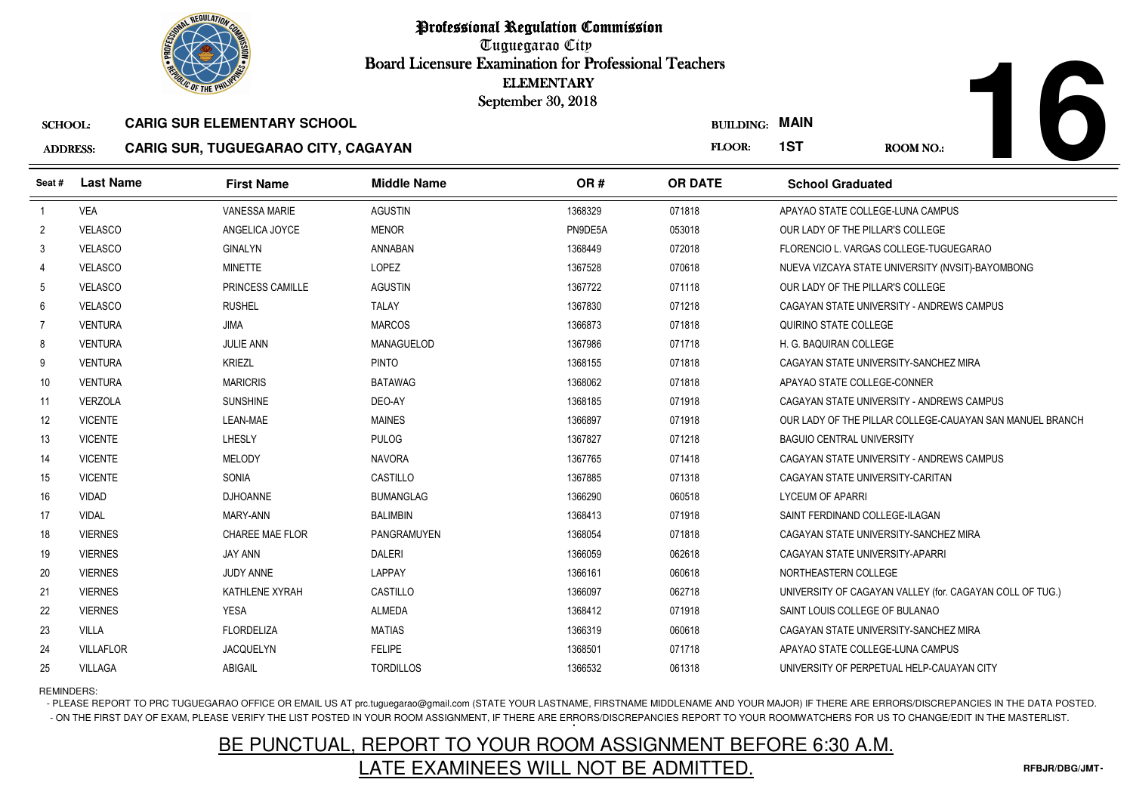

Professional Regulation CommissionTuguegarao City Board Licensure Examination for Professional Teachers September 30, 2018

#### SCHOOL:**CARIG SUR ELEMENTARY SCHOOL**

#### ADDRESS:**CARIG SUR, TUGUEGARAO CITY, CAGAYAN**

|                                                               | <b><i>OLIC OF THE PHILIPS</i></b> |                                    |                    | <b>ELEMENTARY</b><br>September 30, 2018 |                  |                                       |                                                          |
|---------------------------------------------------------------|-----------------------------------|------------------------------------|--------------------|-----------------------------------------|------------------|---------------------------------------|----------------------------------------------------------|
| <b>SCHOOL:</b>                                                |                                   | <b>CARIG SUR ELEMENTARY SCHOOL</b> |                    |                                         | <b>BUILDING:</b> | <b>MAIN</b>                           |                                                          |
| <b>CARIG SUR, TUGUEGARAO CITY, CAGAYAN</b><br><b>ADDRESS:</b> |                                   |                                    |                    |                                         | FLOOR:           | 1ST                                   | <b>ROOM NO.:</b>                                         |
| Seat #                                                        | <b>Last Name</b>                  | <b>First Name</b>                  | <b>Middle Name</b> | OR#                                     | <b>OR DATE</b>   | <b>School Graduated</b>               |                                                          |
| $\overline{1}$                                                | <b>VEA</b>                        | <b>VANESSA MARIE</b>               | <b>AGUSTIN</b>     | 1368329                                 | 071818           | APAYAO STATE COLLEGE-LUNA CAMPUS      |                                                          |
| $\overline{2}$                                                | <b>VELASCO</b>                    | ANGELICA JOYCE                     | <b>MENOR</b>       | PN9DE5A                                 | 053018           | OUR LADY OF THE PILLAR'S COLLEGE      |                                                          |
| 3                                                             | <b>VELASCO</b>                    | <b>GINALYN</b>                     | <b>ANNABAN</b>     | 1368449                                 | 072018           |                                       | FLORENCIO L. VARGAS COLLEGE-TUGUEGARAO                   |
| $\overline{4}$                                                | <b>VELASCO</b>                    | <b>MINETTE</b>                     | LOPEZ              | 1367528                                 | 070618           |                                       | NUEVA VIZCAYA STATE UNIVERSITY (NVSIT)-BAYOMBONG         |
| 5                                                             | <b>VELASCO</b>                    | PRINCESS CAMILLE                   | <b>AGUSTIN</b>     | 1367722                                 | 071118           | OUR LADY OF THE PILLAR'S COLLEGE      |                                                          |
| 6                                                             | <b>VELASCO</b>                    | <b>RUSHEL</b>                      | <b>TALAY</b>       | 1367830                                 | 071218           |                                       | CAGAYAN STATE UNIVERSITY - ANDREWS CAMPUS                |
| 7                                                             | <b>VENTURA</b>                    | <b>JIMA</b>                        | <b>MARCOS</b>      | 1366873                                 | 071818           | QUIRINO STATE COLLEGE                 |                                                          |
| 8                                                             | <b>VENTURA</b>                    | <b>JULIE ANN</b>                   | <b>MANAGUELOD</b>  | 1367986                                 | 071718           | H. G. BAQUIRAN COLLEGE                |                                                          |
| 9                                                             | <b>VENTURA</b>                    | <b>KRIEZL</b>                      | <b>PINTO</b>       | 1368155                                 | 071818           | CAGAYAN STATE UNIVERSITY-SANCHEZ MIRA |                                                          |
| 10                                                            | <b>VENTURA</b>                    | <b>MARICRIS</b>                    | <b>BATAWAG</b>     | 1368062                                 | 071818           | APAYAO STATE COLLEGE-CONNER           |                                                          |
| 11                                                            | <b>VERZOLA</b>                    | <b>SUNSHINE</b>                    | DEO-AY             | 1368185                                 | 071918           |                                       | CAGAYAN STATE UNIVERSITY - ANDREWS CAMPUS                |
| 12                                                            | <b>VICENTE</b>                    | LEAN-MAE                           | <b>MAINES</b>      | 1366897                                 | 071918           |                                       | OUR LADY OF THE PILLAR COLLEGE-CAUAYAN SAN MANUEL BRANCH |
| 13                                                            | <b>VICENTE</b>                    | LHESLY                             | <b>PULOG</b>       | 1367827                                 | 071218           | <b>BAGUIO CENTRAL UNIVERSITY</b>      |                                                          |
| 14                                                            | <b>VICENTE</b>                    | <b>MELODY</b>                      | <b>NAVORA</b>      | 1367765                                 | 071418           |                                       | CAGAYAN STATE UNIVERSITY - ANDREWS CAMPUS                |
| 15                                                            | <b>VICENTE</b>                    | SONIA                              | CASTILLO           | 1367885                                 | 071318           | CAGAYAN STATE UNIVERSITY-CARITAN      |                                                          |
| 16                                                            | <b>VIDAD</b>                      | <b>DJHOANNE</b>                    | <b>BUMANGLAG</b>   | 1366290                                 | 060518           | <b>LYCEUM OF APARRI</b>               |                                                          |
| 17                                                            | <b>VIDAL</b>                      | MARY-ANN                           | <b>BALIMBIN</b>    | 1368413                                 | 071918           | SAINT FERDINAND COLLEGE-ILAGAN        |                                                          |
| 18                                                            | <b>VIERNES</b>                    | <b>CHAREE MAE FLOR</b>             | <b>PANGRAMUYEN</b> | 1368054                                 | 071818           | CAGAYAN STATE UNIVERSITY-SANCHEZ MIRA |                                                          |
| 19                                                            | <b>VIERNES</b>                    | <b>JAY ANN</b>                     | <b>DALERI</b>      | 1366059                                 | 062618           | CAGAYAN STATE UNIVERSITY-APARRI       |                                                          |
| 20                                                            | <b>VIERNES</b>                    | JUDY ANNE                          | LAPPAY             | 1366161                                 | 060618           | NORTHEASTERN COLLEGE                  |                                                          |
| 21                                                            | <b>VIERNES</b>                    | KATHLENE XYRAH                     | CASTILLO           | 1366097                                 | 062718           |                                       | UNIVERSITY OF CAGAYAN VALLEY (for. CAGAYAN COLL OF TUG.) |
| 22                                                            | <b>VIERNES</b>                    | <b>YESA</b>                        | <b>ALMEDA</b>      | 1368412                                 | 071918           | SAINT LOUIS COLLEGE OF BULANAO        |                                                          |
| 23                                                            | <b>VILLA</b>                      | <b>FLORDELIZA</b>                  | <b>MATIAS</b>      | 1366319                                 | 060618           | CAGAYAN STATE UNIVERSITY-SANCHEZ MIRA |                                                          |
| 24                                                            | <b>VILLAFLOR</b>                  | <b>JACQUELYN</b>                   | <b>FELIPE</b>      | 1368501                                 | 071718           | APAYAO STATE COLLEGE-LUNA CAMPUS      |                                                          |
| 25                                                            | <b>VILLAGA</b>                    | ABIGAIL                            | <b>TORDILLOS</b>   | 1366532                                 | 061318           |                                       | UNIVERSITY OF PERPETUAL HELP-CAUAYAN CITY                |

REMINDERS:

- PLEASE REPORT TO PRC TUGUEGARAO OFFICE OR EMAIL US AT prc.tuguegarao@gmail.com (STATE YOUR LASTNAME, FIRSTNAME MIDDLENAME AND YOUR MAJOR) IF THERE ARE ERRORS/DISCREPANCIES IN THE DATA POSTED. - ON THE FIRST DAY OF EXAM, PLEASE VERIFY THE LIST POSTED IN YOUR ROOM ASSIGNMENT, IF THERE ARE ERRORS/DISCREPANCIES REPORT TO YOUR ROOMWATCHERS FOR US TO CHANGE/EDIT IN THE MASTERLIST.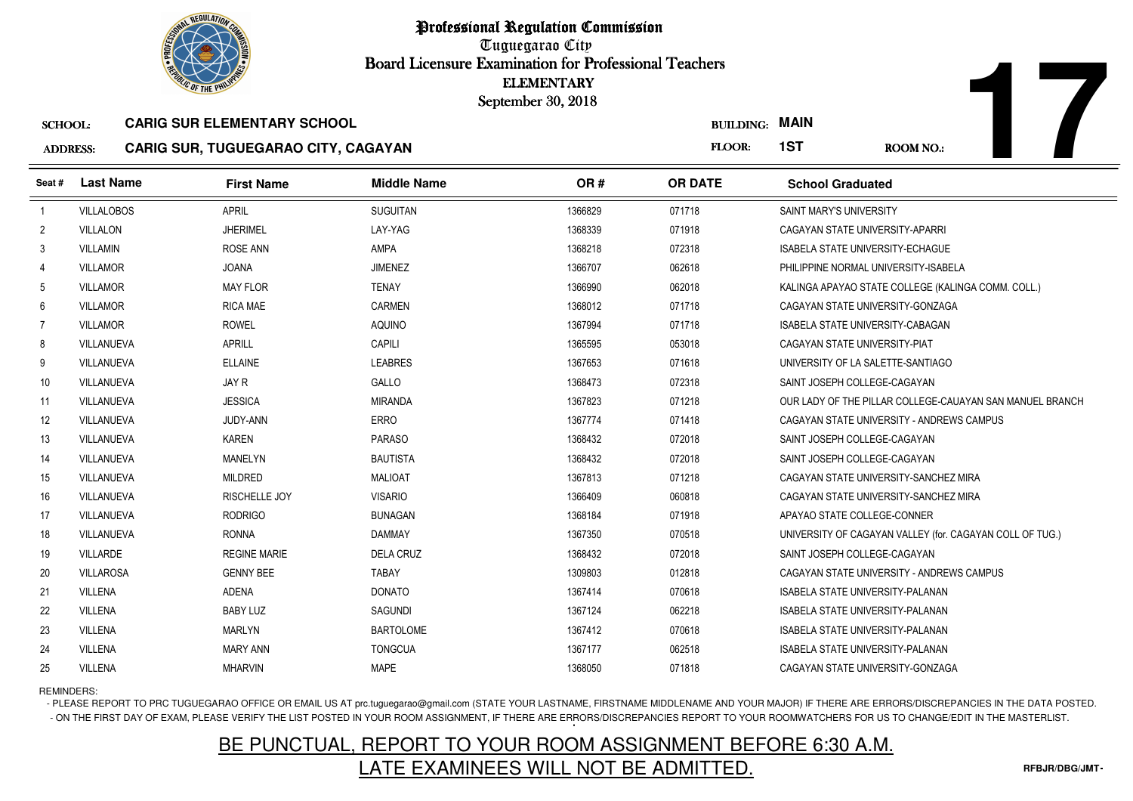

Tuguegarao City Board Licensure Examination for Professional Teachers September 30, 2018

### SCHOOL:**CARIG SUR ELEMENTARY SCHOOL**

#### ADDRESS:**CARIG SUR, TUGUEGARAO CITY, CAGAYAN**

|                 | <b>OLIC OF THE PHILIP</b> |                                     |                    | <b>ELEMENTARY</b><br>September 30, 2018 |                       |                                                          |
|-----------------|---------------------------|-------------------------------------|--------------------|-----------------------------------------|-----------------------|----------------------------------------------------------|
| <b>SCHOOL:</b>  |                           | <b>CARIG SUR ELEMENTARY SCHOOL</b>  |                    |                                         | <b>BUILDING: MAIN</b> |                                                          |
| <b>ADDRESS:</b> |                           | CARIG SUR, TUGUEGARAO CITY, CAGAYAN |                    |                                         | FLOOR:                | 1ST<br>ROOM NO.:                                         |
| Seat#           | <b>Last Name</b>          | <b>First Name</b>                   | <b>Middle Name</b> | OR#                                     | <b>OR DATE</b>        | <b>School Graduated</b>                                  |
| $\overline{1}$  | <b>VILLALOBOS</b>         | <b>APRIL</b>                        | <b>SUGUITAN</b>    | 1366829                                 | 071718                | SAINT MARY'S UNIVERSITY                                  |
| $\overline{2}$  | <b>VILLALON</b>           | <b>JHERIMEL</b>                     | LAY-YAG            | 1368339                                 | 071918                | CAGAYAN STATE UNIVERSITY-APARRI                          |
| 3               | <b>VILLAMIN</b>           | <b>ROSE ANN</b>                     | <b>AMPA</b>        | 1368218                                 | 072318                | <b>ISABELA STATE UNIVERSITY-ECHAGUE</b>                  |
| 4               | <b>VILLAMOR</b>           | <b>JOANA</b>                        | <b>JIMENEZ</b>     | 1366707                                 | 062618                | PHILIPPINE NORMAL UNIVERSITY-ISABELA                     |
| -5              | <b>VILLAMOR</b>           | <b>MAY FLOR</b>                     | <b>TENAY</b>       | 1366990                                 | 062018                | KALINGA APAYAO STATE COLLEGE (KALINGA COMM. COLL.)       |
| 6               | <b>VILLAMOR</b>           | <b>RICA MAE</b>                     | CARMEN             | 1368012                                 | 071718                | CAGAYAN STATE UNIVERSITY-GONZAGA                         |
| 7               | <b>VILLAMOR</b>           | <b>ROWEL</b>                        | AQUINO             | 1367994                                 | 071718                | ISABELA STATE UNIVERSITY-CABAGAN                         |
| 8               | VILLANUEVA                | <b>APRILL</b>                       | <b>CAPILI</b>      | 1365595                                 | 053018                | CAGAYAN STATE UNIVERSITY-PIAT                            |
| 9               | VILLANUEVA                | <b>ELLAINE</b>                      | <b>LEABRES</b>     | 1367653                                 | 071618                | UNIVERSITY OF LA SALETTE-SANTIAGO                        |
| 10              | VILLANUEVA                | JAY R                               | GALLO              | 1368473                                 | 072318                | SAINT JOSEPH COLLEGE-CAGAYAN                             |
| 11              | VILLANUEVA                | <b>JESSICA</b>                      | <b>MIRANDA</b>     | 1367823                                 | 071218                | OUR LADY OF THE PILLAR COLLEGE-CAUAYAN SAN MANUEL BRANCH |
| 12              | VILLANUEVA                | JUDY-ANN                            | <b>ERRO</b>        | 1367774                                 | 071418                | CAGAYAN STATE UNIVERSITY - ANDREWS CAMPUS                |
| 13              | VILLANUEVA                | <b>KAREN</b>                        | <b>PARASO</b>      | 1368432                                 | 072018                | SAINT JOSEPH COLLEGE-CAGAYAN                             |
| 14              | VILLANUEVA                | <b>MANELYN</b>                      | <b>BAUTISTA</b>    | 1368432                                 | 072018                | SAINT JOSEPH COLLEGE-CAGAYAN                             |
| 15              | VILLANUEVA                | <b>MILDRED</b>                      | <b>MALIOAT</b>     | 1367813                                 | 071218                | CAGAYAN STATE UNIVERSITY-SANCHEZ MIRA                    |
| 16              | VILLANUEVA                | <b>RISCHELLE JOY</b>                | <b>VISARIO</b>     | 1366409                                 | 060818                | CAGAYAN STATE UNIVERSITY-SANCHEZ MIRA                    |
| 17              | VILLANUEVA                | <b>RODRIGO</b>                      | <b>BUNAGAN</b>     | 1368184                                 | 071918                | APAYAO STATE COLLEGE-CONNER                              |
| 18              | VILLANUEVA                | <b>RONNA</b>                        | <b>DAMMAY</b>      | 1367350                                 | 070518                | UNIVERSITY OF CAGAYAN VALLEY (for. CAGAYAN COLL OF TUG.) |
| 19              | <b>VILLARDE</b>           | <b>REGINE MARIE</b>                 | <b>DELA CRUZ</b>   | 1368432                                 | 072018                | SAINT JOSEPH COLLEGE-CAGAYAN                             |
| 20              | <b>VILLAROSA</b>          | <b>GENNY BEE</b>                    | <b>TABAY</b>       | 1309803                                 | 012818                | CAGAYAN STATE UNIVERSITY - ANDREWS CAMPUS                |
| 21              | VILLENA                   | <b>ADENA</b>                        | <b>DONATO</b>      | 1367414                                 | 070618                | ISABELA STATE UNIVERSITY-PALANAN                         |
| 22              | <b>VILLENA</b>            | <b>BABY LUZ</b>                     | <b>SAGUNDI</b>     | 1367124                                 | 062218                | <b>ISABELA STATE UNIVERSITY-PALANAN</b>                  |
| 23              | <b>VILLENA</b>            | <b>MARLYN</b>                       | <b>BARTOLOME</b>   | 1367412                                 | 070618                | ISABELA STATE UNIVERSITY-PALANAN                         |
| 24              | VILLENA                   | <b>MARY ANN</b>                     | <b>TONGCUA</b>     | 1367177                                 | 062518                | ISABELA STATE UNIVERSITY-PALANAN                         |
| 25              | VILLENA                   | <b>MHARVIN</b>                      | <b>MAPE</b>        | 1368050                                 | 071818                | CAGAYAN STATE UNIVERSITY-GONZAGA                         |

### REMINDERS:

- PLEASE REPORT TO PRC TUGUEGARAO OFFICE OR EMAIL US AT prc.tuguegarao@gmail.com (STATE YOUR LASTNAME, FIRSTNAME MIDDLENAME AND YOUR MAJOR) IF THERE ARE ERRORS/DISCREPANCIES IN THE DATA POSTED. - ON THE FIRST DAY OF EXAM, PLEASE VERIFY THE LIST POSTED IN YOUR ROOM ASSIGNMENT, IF THERE ARE ERRORS/DISCREPANCIES REPORT TO YOUR ROOMWATCHERS FOR US TO CHANGE/EDIT IN THE MASTERLIST.

# BE PUNCTUAL, REPORT TO YOUR ROOM ASSIGNMENT BEFORE 6:30 A.M.LATE EXAMINEES WILL NOT BE ADMITTED.